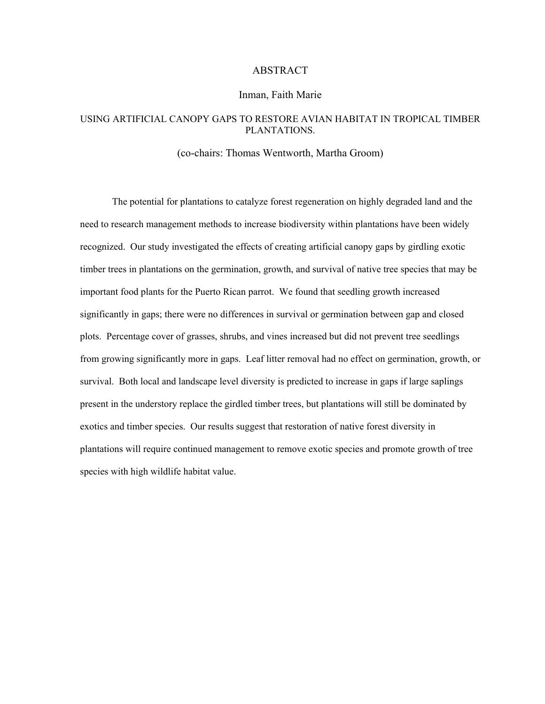# ABSTRACT

## Inman, Faith Marie

# USING ARTIFICIAL CANOPY GAPS TO RESTORE AVIAN HABITAT IN TROPICAL TIMBER PLANTATIONS.

## (co-chairs: Thomas Wentworth, Martha Groom)

The potential for plantations to catalyze forest regeneration on highly degraded land and the need to research management methods to increase biodiversity within plantations have been widely recognized. Our study investigated the effects of creating artificial canopy gaps by girdling exotic timber trees in plantations on the germination, growth, and survival of native tree species that may be important food plants for the Puerto Rican parrot. We found that seedling growth increased significantly in gaps; there were no differences in survival or germination between gap and closed plots. Percentage cover of grasses, shrubs, and vines increased but did not prevent tree seedlings from growing significantly more in gaps. Leaf litter removal had no effect on germination, growth, or survival. Both local and landscape level diversity is predicted to increase in gaps if large saplings present in the understory replace the girdled timber trees, but plantations will still be dominated by exotics and timber species. Our results suggest that restoration of native forest diversity in plantations will require continued management to remove exotic species and promote growth of tree species with high wildlife habitat value.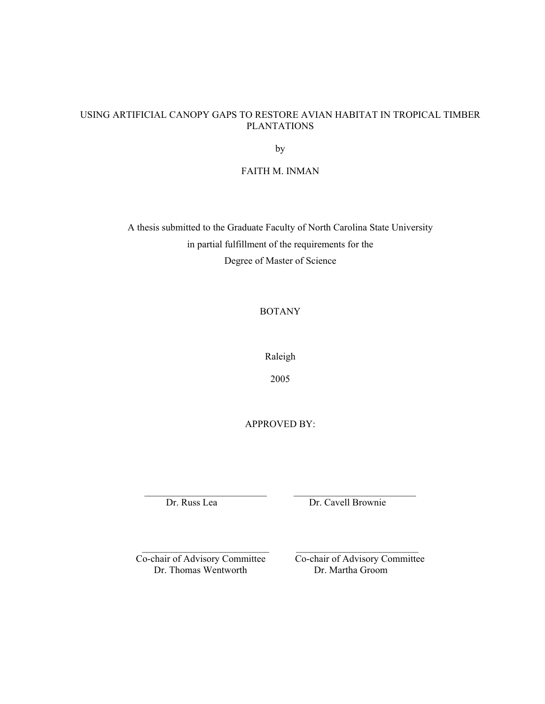# USING ARTIFICIAL CANOPY GAPS TO RESTORE AVIAN HABITAT IN TROPICAL TIMBER PLANTATIONS

by

FAITH M. INMAN

A thesis submitted to the Graduate Faculty of North Carolina State University in partial fulfillment of the requirements for the Degree of Master of Science

BOTANY

Raleigh

2005

APPROVED BY:

 $\mathcal{L}_\text{max}$  and the contract of the contract of the contract of the contract of the contract of the contract of the contract of the contract of the contract of the contract of the contract of the contract of the contrac

\_\_\_\_\_\_\_\_\_\_\_\_\_\_\_\_\_\_\_\_\_\_\_\_\_\_ \_\_\_\_\_\_\_\_\_\_\_\_\_\_\_\_\_\_\_\_\_\_\_\_\_

Dr. Russ Lea Dr. Cavell Brownie

Dr. Thomas Wentworth Dr. Martha Groom

Co-chair of Advisory Committee Co-chair of Advisory Committee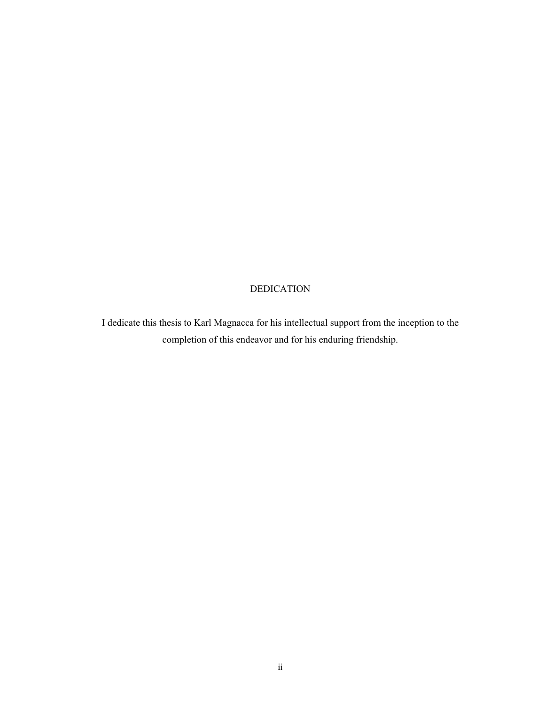# DEDICATION

I dedicate this thesis to Karl Magnacca for his intellectual support from the inception to the completion of this endeavor and for his enduring friendship.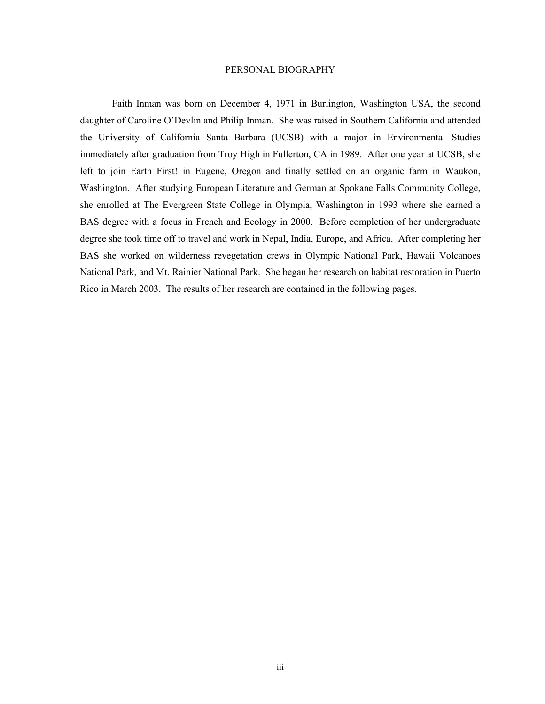#### PERSONAL BIOGRAPHY

Faith Inman was born on December 4, 1971 in Burlington, Washington USA, the second daughter of Caroline O'Devlin and Philip Inman. She was raised in Southern California and attended the University of California Santa Barbara (UCSB) with a major in Environmental Studies immediately after graduation from Troy High in Fullerton, CA in 1989. After one year at UCSB, she left to join Earth First! in Eugene, Oregon and finally settled on an organic farm in Waukon, Washington. After studying European Literature and German at Spokane Falls Community College, she enrolled at The Evergreen State College in Olympia, Washington in 1993 where she earned a BAS degree with a focus in French and Ecology in 2000. Before completion of her undergraduate degree she took time off to travel and work in Nepal, India, Europe, and Africa. After completing her BAS she worked on wilderness revegetation crews in Olympic National Park, Hawaii Volcanoes National Park, and Mt. Rainier National Park. She began her research on habitat restoration in Puerto Rico in March 2003. The results of her research are contained in the following pages.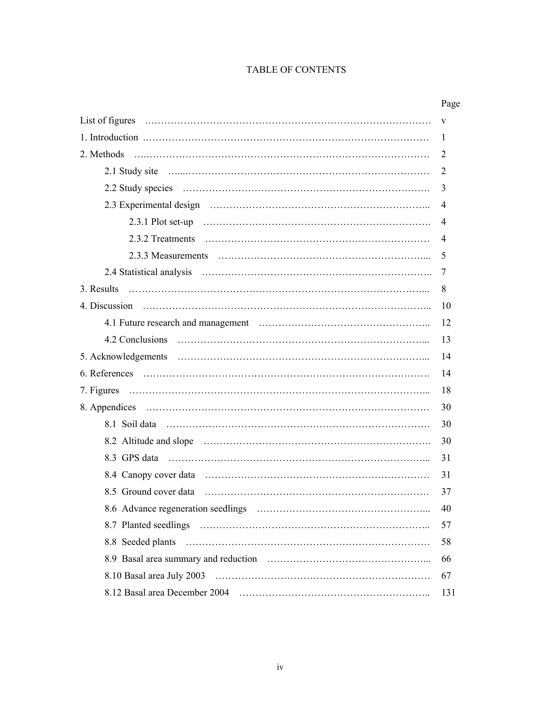# TABLE OF CONTENTS

|                       | Page |
|-----------------------|------|
|                       | V    |
|                       | 1    |
| 2. Methods            | 2    |
|                       | 2    |
|                       | 3    |
|                       | 4    |
|                       | 4    |
|                       | 4    |
|                       | 5    |
|                       | 7    |
| 3. Results            | 8    |
| 4. Discussion         | 10   |
|                       | 12   |
|                       | 13   |
|                       | 14   |
|                       | 14   |
|                       | 18   |
|                       | 30   |
|                       | 30   |
|                       | 30   |
|                       | 31   |
|                       | 31   |
| 8.5 Ground cover data | 37   |
|                       | 40   |
|                       | 57   |
|                       | 58   |
|                       | 66   |
|                       | 67   |
|                       | 131  |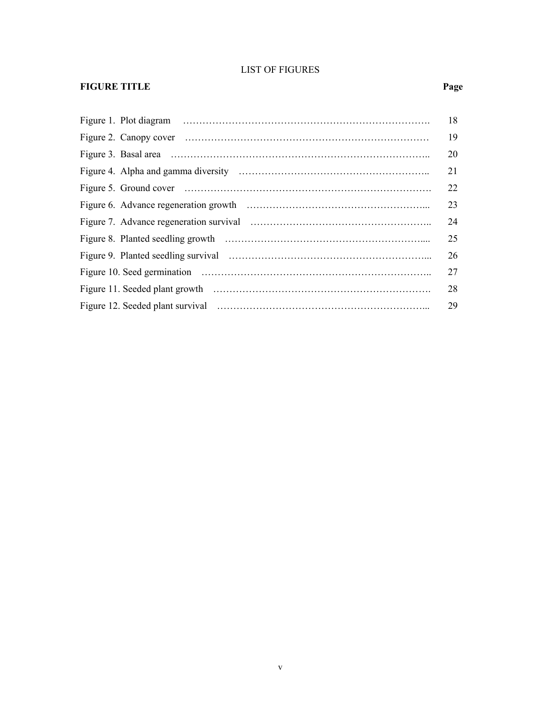# LIST OF FIGURES

# **FIGURE TITLE** Page

|  | 18 |
|--|----|
|  | 19 |
|  | 20 |
|  | 21 |
|  | 22 |
|  | 23 |
|  | 24 |
|  | 25 |
|  | 26 |
|  | 27 |
|  | 28 |
|  | 29 |
|  |    |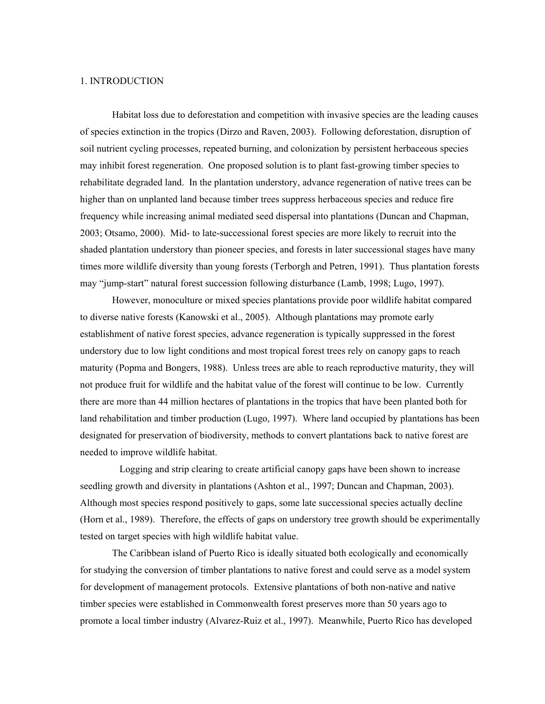#### 1. INTRODUCTION

Habitat loss due to deforestation and competition with invasive species are the leading causes of species extinction in the tropics (Dirzo and Raven, 2003). Following deforestation, disruption of soil nutrient cycling processes, repeated burning, and colonization by persistent herbaceous species may inhibit forest regeneration. One proposed solution is to plant fast-growing timber species to rehabilitate degraded land. In the plantation understory, advance regeneration of native trees can be higher than on unplanted land because timber trees suppress herbaceous species and reduce fire frequency while increasing animal mediated seed dispersal into plantations (Duncan and Chapman, 2003; Otsamo, 2000). Mid- to late-successional forest species are more likely to recruit into the shaded plantation understory than pioneer species, and forests in later successional stages have many times more wildlife diversity than young forests (Terborgh and Petren, 1991). Thus plantation forests may "jump-start" natural forest succession following disturbance (Lamb, 1998; Lugo, 1997).

However, monoculture or mixed species plantations provide poor wildlife habitat compared to diverse native forests (Kanowski et al., 2005). Although plantations may promote early establishment of native forest species, advance regeneration is typically suppressed in the forest understory due to low light conditions and most tropical forest trees rely on canopy gaps to reach maturity (Popma and Bongers, 1988). Unless trees are able to reach reproductive maturity, they will not produce fruit for wildlife and the habitat value of the forest will continue to be low. Currently there are more than 44 million hectares of plantations in the tropics that have been planted both for land rehabilitation and timber production (Lugo, 1997). Where land occupied by plantations has been designated for preservation of biodiversity, methods to convert plantations back to native forest are needed to improve wildlife habitat.

 Logging and strip clearing to create artificial canopy gaps have been shown to increase seedling growth and diversity in plantations (Ashton et al., 1997; Duncan and Chapman, 2003). Although most species respond positively to gaps, some late successional species actually decline (Horn et al., 1989). Therefore, the effects of gaps on understory tree growth should be experimentally tested on target species with high wildlife habitat value.

The Caribbean island of Puerto Rico is ideally situated both ecologically and economically for studying the conversion of timber plantations to native forest and could serve as a model system for development of management protocols. Extensive plantations of both non-native and native timber species were established in Commonwealth forest preserves more than 50 years ago to promote a local timber industry (Alvarez-Ruiz et al., 1997). Meanwhile, Puerto Rico has developed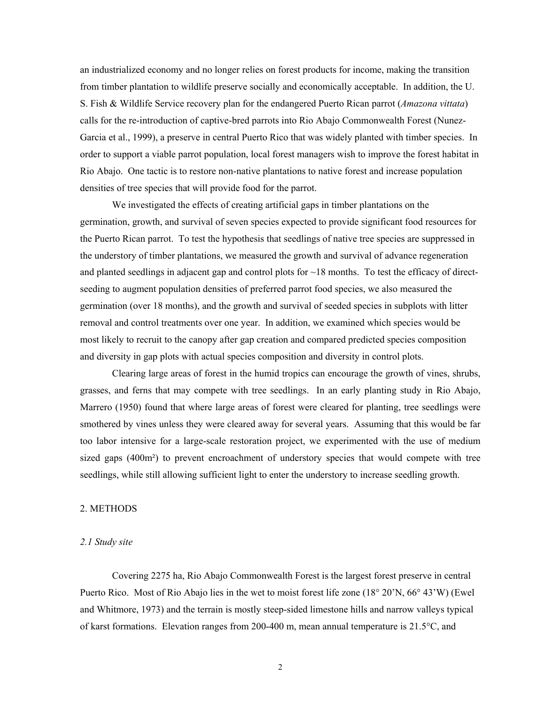an industrialized economy and no longer relies on forest products for income, making the transition from timber plantation to wildlife preserve socially and economically acceptable. In addition, the U. S. Fish & Wildlife Service recovery plan for the endangered Puerto Rican parrot (*Amazona vittata*) calls for the re-introduction of captive-bred parrots into Rio Abajo Commonwealth Forest (Nunez-Garcia et al., 1999), a preserve in central Puerto Rico that was widely planted with timber species. In order to support a viable parrot population, local forest managers wish to improve the forest habitat in Rio Abajo. One tactic is to restore non-native plantations to native forest and increase population densities of tree species that will provide food for the parrot.

We investigated the effects of creating artificial gaps in timber plantations on the germination, growth, and survival of seven species expected to provide significant food resources for the Puerto Rican parrot. To test the hypothesis that seedlings of native tree species are suppressed in the understory of timber plantations, we measured the growth and survival of advance regeneration and planted seedlings in adjacent gap and control plots for  $\sim$ 18 months. To test the efficacy of directseeding to augment population densities of preferred parrot food species, we also measured the germination (over 18 months), and the growth and survival of seeded species in subplots with litter removal and control treatments over one year. In addition, we examined which species would be most likely to recruit to the canopy after gap creation and compared predicted species composition and diversity in gap plots with actual species composition and diversity in control plots.

Clearing large areas of forest in the humid tropics can encourage the growth of vines, shrubs, grasses, and ferns that may compete with tree seedlings. In an early planting study in Rio Abajo, Marrero (1950) found that where large areas of forest were cleared for planting, tree seedlings were smothered by vines unless they were cleared away for several years. Assuming that this would be far too labor intensive for a large-scale restoration project, we experimented with the use of medium sized gaps (400m²) to prevent encroachment of understory species that would compete with tree seedlings, while still allowing sufficient light to enter the understory to increase seedling growth.

# 2. METHODS

#### *2.1 Study site*

Covering 2275 ha, Rio Abajo Commonwealth Forest is the largest forest preserve in central Puerto Rico. Most of Rio Abajo lies in the wet to moist forest life zone (18° 20'N, 66° 43'W) (Ewel and Whitmore, 1973) and the terrain is mostly steep-sided limestone hills and narrow valleys typical of karst formations. Elevation ranges from 200-400 m, mean annual temperature is 21.5°C, and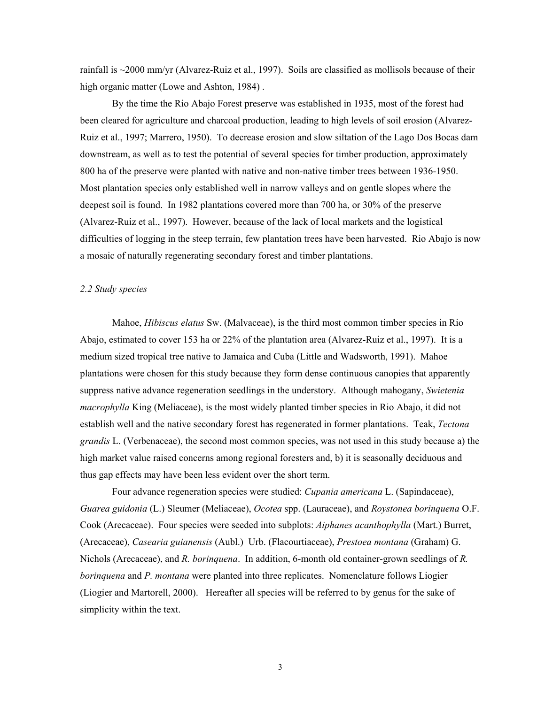rainfall is ~2000 mm/yr (Alvarez-Ruiz et al., 1997). Soils are classified as mollisols because of their high organic matter (Lowe and Ashton, 1984) .

By the time the Rio Abajo Forest preserve was established in 1935, most of the forest had been cleared for agriculture and charcoal production, leading to high levels of soil erosion (Alvarez-Ruiz et al., 1997; Marrero, 1950). To decrease erosion and slow siltation of the Lago Dos Bocas dam downstream, as well as to test the potential of several species for timber production, approximately 800 ha of the preserve were planted with native and non-native timber trees between 1936-1950. Most plantation species only established well in narrow valleys and on gentle slopes where the deepest soil is found. In 1982 plantations covered more than 700 ha, or 30% of the preserve (Alvarez-Ruiz et al., 1997). However, because of the lack of local markets and the logistical difficulties of logging in the steep terrain, few plantation trees have been harvested. Rio Abajo is now a mosaic of naturally regenerating secondary forest and timber plantations.

#### *2.2 Study species*

Mahoe, *Hibiscus elatus* Sw. (Malvaceae), is the third most common timber species in Rio Abajo, estimated to cover 153 ha or 22% of the plantation area (Alvarez-Ruiz et al., 1997). It is a medium sized tropical tree native to Jamaica and Cuba (Little and Wadsworth, 1991). Mahoe plantations were chosen for this study because they form dense continuous canopies that apparently suppress native advance regeneration seedlings in the understory. Although mahogany, *Swietenia macrophylla* King (Meliaceae), is the most widely planted timber species in Rio Abajo, it did not establish well and the native secondary forest has regenerated in former plantations. Teak, *Tectona grandis* L. (Verbenaceae), the second most common species, was not used in this study because a) the high market value raised concerns among regional foresters and, b) it is seasonally deciduous and thus gap effects may have been less evident over the short term.

Four advance regeneration species were studied: *Cupania americana* L. (Sapindaceae), *Guarea guidonia* (L.) Sleumer (Meliaceae), *Ocotea* spp. (Lauraceae), and *Roystonea borinquena* O.F. Cook (Arecaceae). Four species were seeded into subplots: *Aiphanes acanthophylla* (Mart.) Burret, (Arecaceae), *Casearia guianensis* (Aubl.) Urb. (Flacourtiaceae), *Prestoea montana* (Graham) G. Nichols (Arecaceae), and *R. borinquena*. In addition, 6-month old container-grown seedlings of *R. borinquena* and *P. montana* were planted into three replicates. Nomenclature follows Liogier (Liogier and Martorell, 2000). Hereafter all species will be referred to by genus for the sake of simplicity within the text.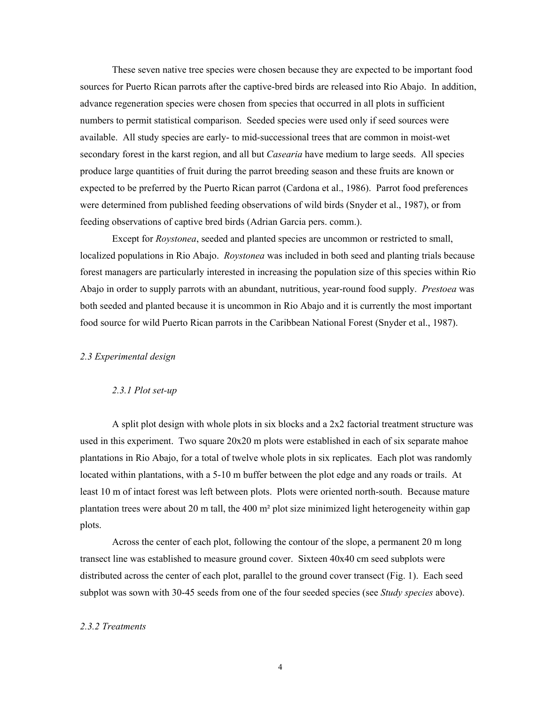These seven native tree species were chosen because they are expected to be important food sources for Puerto Rican parrots after the captive-bred birds are released into Rio Abajo. In addition, advance regeneration species were chosen from species that occurred in all plots in sufficient numbers to permit statistical comparison. Seeded species were used only if seed sources were available. All study species are early- to mid-successional trees that are common in moist-wet secondary forest in the karst region, and all but *Casearia* have medium to large seeds. All species produce large quantities of fruit during the parrot breeding season and these fruits are known or expected to be preferred by the Puerto Rican parrot (Cardona et al., 1986). Parrot food preferences were determined from published feeding observations of wild birds (Snyder et al., 1987), or from feeding observations of captive bred birds (Adrian Garcia pers. comm.).

Except for *Roystonea*, seeded and planted species are uncommon or restricted to small, localized populations in Rio Abajo. *Roystonea* was included in both seed and planting trials because forest managers are particularly interested in increasing the population size of this species within Rio Abajo in order to supply parrots with an abundant, nutritious, year-round food supply. *Prestoea* was both seeded and planted because it is uncommon in Rio Abajo and it is currently the most important food source for wild Puerto Rican parrots in the Caribbean National Forest (Snyder et al., 1987).

#### *2.3 Experimental design*

#### *2.3.1 Plot set-up*

A split plot design with whole plots in six blocks and a 2x2 factorial treatment structure was used in this experiment. Two square 20x20 m plots were established in each of six separate mahoe plantations in Rio Abajo, for a total of twelve whole plots in six replicates. Each plot was randomly located within plantations, with a 5-10 m buffer between the plot edge and any roads or trails. At least 10 m of intact forest was left between plots. Plots were oriented north-south. Because mature plantation trees were about 20 m tall, the 400 m² plot size minimized light heterogeneity within gap plots.

Across the center of each plot, following the contour of the slope, a permanent 20 m long transect line was established to measure ground cover. Sixteen 40x40 cm seed subplots were distributed across the center of each plot, parallel to the ground cover transect (Fig. 1). Each seed subplot was sown with 30-45 seeds from one of the four seeded species (see *Study species* above).

#### *2.3.2 Treatments*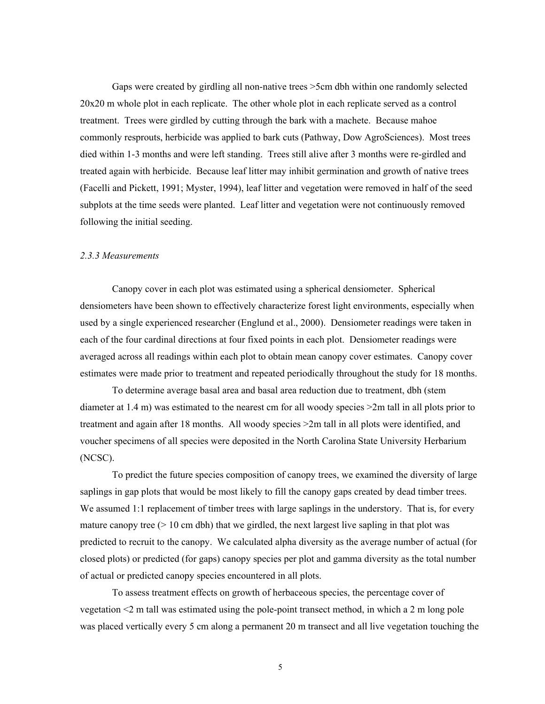Gaps were created by girdling all non-native trees >5cm dbh within one randomly selected 20x20 m whole plot in each replicate. The other whole plot in each replicate served as a control treatment. Trees were girdled by cutting through the bark with a machete. Because mahoe commonly resprouts, herbicide was applied to bark cuts (Pathway, Dow AgroSciences). Most trees died within 1-3 months and were left standing. Trees still alive after 3 months were re-girdled and treated again with herbicide. Because leaf litter may inhibit germination and growth of native trees (Facelli and Pickett, 1991; Myster, 1994), leaf litter and vegetation were removed in half of the seed subplots at the time seeds were planted. Leaf litter and vegetation were not continuously removed following the initial seeding.

#### *2.3.3 Measurements*

Canopy cover in each plot was estimated using a spherical densiometer. Spherical densiometers have been shown to effectively characterize forest light environments, especially when used by a single experienced researcher (Englund et al., 2000). Densiometer readings were taken in each of the four cardinal directions at four fixed points in each plot. Densiometer readings were averaged across all readings within each plot to obtain mean canopy cover estimates. Canopy cover estimates were made prior to treatment and repeated periodically throughout the study for 18 months.

To determine average basal area and basal area reduction due to treatment, dbh (stem diameter at 1.4 m) was estimated to the nearest cm for all woody species >2m tall in all plots prior to treatment and again after 18 months. All woody species >2m tall in all plots were identified, and voucher specimens of all species were deposited in the North Carolina State University Herbarium (NCSC).

To predict the future species composition of canopy trees, we examined the diversity of large saplings in gap plots that would be most likely to fill the canopy gaps created by dead timber trees. We assumed 1:1 replacement of timber trees with large saplings in the understory. That is, for every mature canopy tree  $(> 10 \text{ cm}$  dbh) that we girdled, the next largest live sapling in that plot was predicted to recruit to the canopy. We calculated alpha diversity as the average number of actual (for closed plots) or predicted (for gaps) canopy species per plot and gamma diversity as the total number of actual or predicted canopy species encountered in all plots.

To assess treatment effects on growth of herbaceous species, the percentage cover of vegetation <2 m tall was estimated using the pole-point transect method, in which a 2 m long pole was placed vertically every 5 cm along a permanent 20 m transect and all live vegetation touching the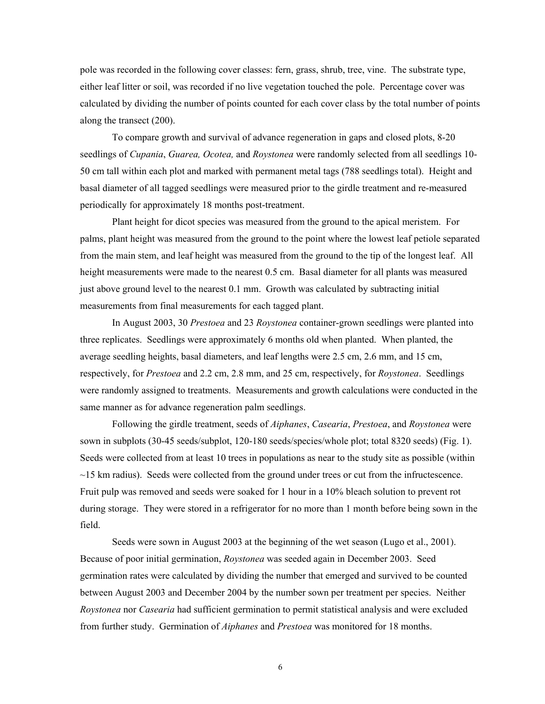pole was recorded in the following cover classes: fern, grass, shrub, tree, vine. The substrate type, either leaf litter or soil, was recorded if no live vegetation touched the pole. Percentage cover was calculated by dividing the number of points counted for each cover class by the total number of points along the transect (200).

To compare growth and survival of advance regeneration in gaps and closed plots, 8-20 seedlings of *Cupania*, *Guarea, Ocotea,* and *Roystonea* were randomly selected from all seedlings 10- 50 cm tall within each plot and marked with permanent metal tags (788 seedlings total). Height and basal diameter of all tagged seedlings were measured prior to the girdle treatment and re-measured periodically for approximately 18 months post-treatment.

Plant height for dicot species was measured from the ground to the apical meristem. For palms, plant height was measured from the ground to the point where the lowest leaf petiole separated from the main stem, and leaf height was measured from the ground to the tip of the longest leaf. All height measurements were made to the nearest 0.5 cm. Basal diameter for all plants was measured just above ground level to the nearest 0.1 mm. Growth was calculated by subtracting initial measurements from final measurements for each tagged plant.

In August 2003, 30 *Prestoea* and 23 *Roystonea* container-grown seedlings were planted into three replicates. Seedlings were approximately 6 months old when planted. When planted, the average seedling heights, basal diameters, and leaf lengths were 2.5 cm, 2.6 mm, and 15 cm, respectively, for *Prestoea* and 2.2 cm, 2.8 mm, and 25 cm, respectively, for *Roystonea*. Seedlings were randomly assigned to treatments. Measurements and growth calculations were conducted in the same manner as for advance regeneration palm seedlings.

Following the girdle treatment, seeds of *Aiphanes*, *Casearia*, *Prestoea*, and *Roystonea* were sown in subplots (30-45 seeds/subplot, 120-180 seeds/species/whole plot; total 8320 seeds) (Fig. 1). Seeds were collected from at least 10 trees in populations as near to the study site as possible (within  $\sim$ 15 km radius). Seeds were collected from the ground under trees or cut from the infructescence. Fruit pulp was removed and seeds were soaked for 1 hour in a 10% bleach solution to prevent rot during storage. They were stored in a refrigerator for no more than 1 month before being sown in the field.

Seeds were sown in August 2003 at the beginning of the wet season (Lugo et al., 2001). Because of poor initial germination, *Roystonea* was seeded again in December 2003. Seed germination rates were calculated by dividing the number that emerged and survived to be counted between August 2003 and December 2004 by the number sown per treatment per species. Neither *Roystonea* nor *Casearia* had sufficient germination to permit statistical analysis and were excluded from further study. Germination of *Aiphanes* and *Prestoea* was monitored for 18 months.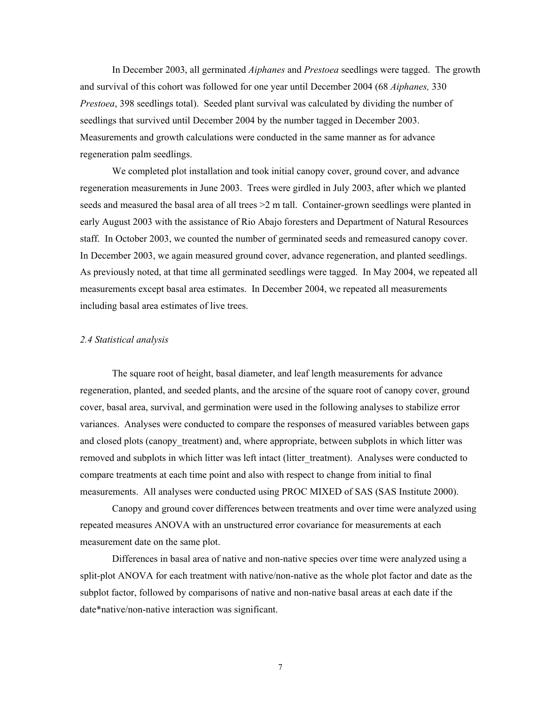In December 2003, all germinated *Aiphanes* and *Prestoea* seedlings were tagged. The growth and survival of this cohort was followed for one year until December 2004 (68 *Aiphanes,* 330 *Prestoea*, 398 seedlings total). Seeded plant survival was calculated by dividing the number of seedlings that survived until December 2004 by the number tagged in December 2003. Measurements and growth calculations were conducted in the same manner as for advance regeneration palm seedlings.

We completed plot installation and took initial canopy cover, ground cover, and advance regeneration measurements in June 2003. Trees were girdled in July 2003, after which we planted seeds and measured the basal area of all trees  $>2$  m tall. Container-grown seedlings were planted in early August 2003 with the assistance of Rio Abajo foresters and Department of Natural Resources staff. In October 2003, we counted the number of germinated seeds and remeasured canopy cover. In December 2003, we again measured ground cover, advance regeneration, and planted seedlings. As previously noted, at that time all germinated seedlings were tagged. In May 2004, we repeated all measurements except basal area estimates. In December 2004, we repeated all measurements including basal area estimates of live trees.

#### *2.4 Statistical analysis*

The square root of height, basal diameter, and leaf length measurements for advance regeneration, planted, and seeded plants, and the arcsine of the square root of canopy cover, ground cover, basal area, survival, and germination were used in the following analyses to stabilize error variances. Analyses were conducted to compare the responses of measured variables between gaps and closed plots (canopy\_treatment) and, where appropriate, between subplots in which litter was removed and subplots in which litter was left intact (litter treatment). Analyses were conducted to compare treatments at each time point and also with respect to change from initial to final measurements. All analyses were conducted using PROC MIXED of SAS (SAS Institute 2000).

Canopy and ground cover differences between treatments and over time were analyzed using repeated measures ANOVA with an unstructured error covariance for measurements at each measurement date on the same plot.

Differences in basal area of native and non-native species over time were analyzed using a split-plot ANOVA for each treatment with native/non-native as the whole plot factor and date as the subplot factor, followed by comparisons of native and non-native basal areas at each date if the date\*native/non-native interaction was significant.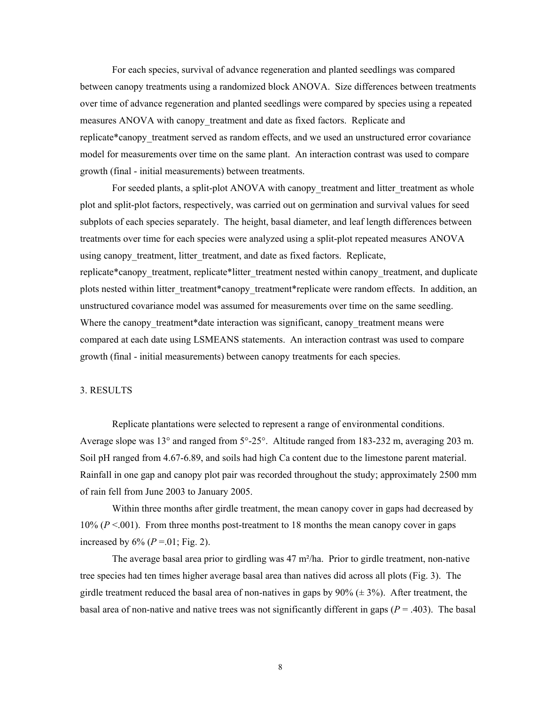For each species, survival of advance regeneration and planted seedlings was compared between canopy treatments using a randomized block ANOVA. Size differences between treatments over time of advance regeneration and planted seedlings were compared by species using a repeated measures ANOVA with canopy treatment and date as fixed factors. Replicate and replicate\*canopy treatment served as random effects, and we used an unstructured error covariance model for measurements over time on the same plant. An interaction contrast was used to compare growth (final - initial measurements) between treatments.

For seeded plants, a split-plot ANOVA with canopy treatment and litter treatment as whole plot and split-plot factors, respectively, was carried out on germination and survival values for seed subplots of each species separately. The height, basal diameter, and leaf length differences between treatments over time for each species were analyzed using a split-plot repeated measures ANOVA using canopy treatment, litter treatment, and date as fixed factors. Replicate, replicate\*canopy treatment, replicate\*litter treatment nested within canopy treatment, and duplicate plots nested within litter treatment\*canopy treatment\*replicate were random effects. In addition, an unstructured covariance model was assumed for measurements over time on the same seedling. Where the canopy treatment\*date interaction was significant, canopy treatment means were compared at each date using LSMEANS statements. An interaction contrast was used to compare growth (final - initial measurements) between canopy treatments for each species.

#### 3. RESULTS

Replicate plantations were selected to represent a range of environmental conditions. Average slope was 13° and ranged from 5°-25°. Altitude ranged from 183-232 m, averaging 203 m. Soil pH ranged from 4.67-6.89, and soils had high Ca content due to the limestone parent material. Rainfall in one gap and canopy plot pair was recorded throughout the study; approximately 2500 mm of rain fell from June 2003 to January 2005.

Within three months after girdle treatment, the mean canopy cover in gaps had decreased by 10% (*P* <.001). From three months post-treatment to 18 months the mean canopy cover in gaps increased by  $6\%$  ( $P = .01$ ; Fig. 2).

The average basal area prior to girdling was 47 m²/ha. Prior to girdle treatment, non-native tree species had ten times higher average basal area than natives did across all plots (Fig. 3). The girdle treatment reduced the basal area of non-natives in gaps by  $90\%$  ( $\pm$  3%). After treatment, the basal area of non-native and native trees was not significantly different in gaps ( $P = .403$ ). The basal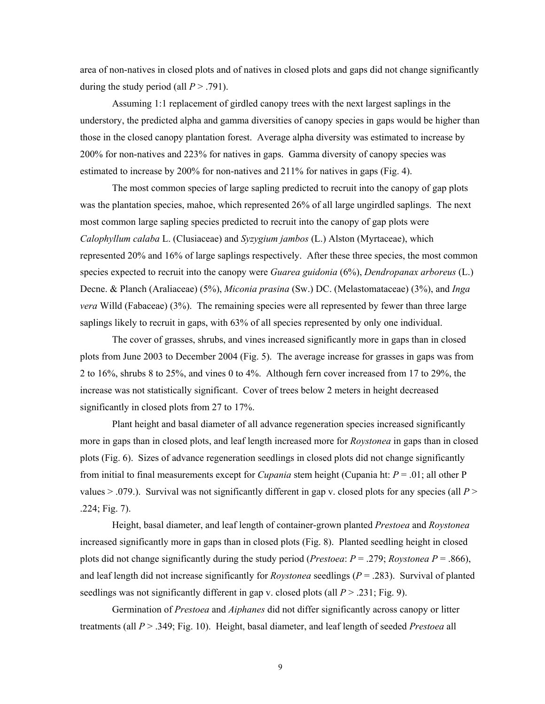area of non-natives in closed plots and of natives in closed plots and gaps did not change significantly during the study period (all  $P > .791$ ).

Assuming 1:1 replacement of girdled canopy trees with the next largest saplings in the understory, the predicted alpha and gamma diversities of canopy species in gaps would be higher than those in the closed canopy plantation forest. Average alpha diversity was estimated to increase by 200% for non-natives and 223% for natives in gaps. Gamma diversity of canopy species was estimated to increase by 200% for non-natives and 211% for natives in gaps (Fig. 4).

The most common species of large sapling predicted to recruit into the canopy of gap plots was the plantation species, mahoe, which represented 26% of all large ungirdled saplings. The next most common large sapling species predicted to recruit into the canopy of gap plots were *Calophyllum calaba* L. (Clusiaceae) and *Syzygium jambos* (L.) Alston (Myrtaceae), which represented 20% and 16% of large saplings respectively. After these three species, the most common species expected to recruit into the canopy were *Guarea guidonia* (6%), *Dendropanax arboreus* (L.) Decne. & Planch (Araliaceae) (5%), *Miconia prasina* (Sw.) DC. (Melastomataceae) (3%), and *Inga vera* Willd (Fabaceae) (3%). The remaining species were all represented by fewer than three large saplings likely to recruit in gaps, with 63% of all species represented by only one individual.

The cover of grasses, shrubs, and vines increased significantly more in gaps than in closed plots from June 2003 to December 2004 (Fig. 5). The average increase for grasses in gaps was from 2 to 16%, shrubs 8 to 25%, and vines 0 to 4%. Although fern cover increased from 17 to 29%, the increase was not statistically significant. Cover of trees below 2 meters in height decreased significantly in closed plots from 27 to 17%.

Plant height and basal diameter of all advance regeneration species increased significantly more in gaps than in closed plots, and leaf length increased more for *Roystonea* in gaps than in closed plots (Fig. 6). Sizes of advance regeneration seedlings in closed plots did not change significantly from initial to final measurements except for *Cupania* stem height (Cupania ht: *P* = .01; all other P values > .079.). Survival was not significantly different in gap v. closed plots for any species (all *P* > .224; Fig. 7).

Height, basal diameter, and leaf length of container-grown planted *Prestoea* and *Roystonea* increased significantly more in gaps than in closed plots (Fig. 8). Planted seedling height in closed plots did not change significantly during the study period (*Prestoea:*  $P = .279$ *; Roystonea*  $P = .866$ ), and leaf length did not increase significantly for *Roystonea* seedlings (*P* = .283). Survival of planted seedlings was not significantly different in gap v. closed plots (all  $P > .231$ ; Fig. 9).

Germination of *Prestoea* and *Aiphanes* did not differ significantly across canopy or litter treatments (all *P* > .349; Fig. 10). Height, basal diameter, and leaf length of seeded *Prestoea* all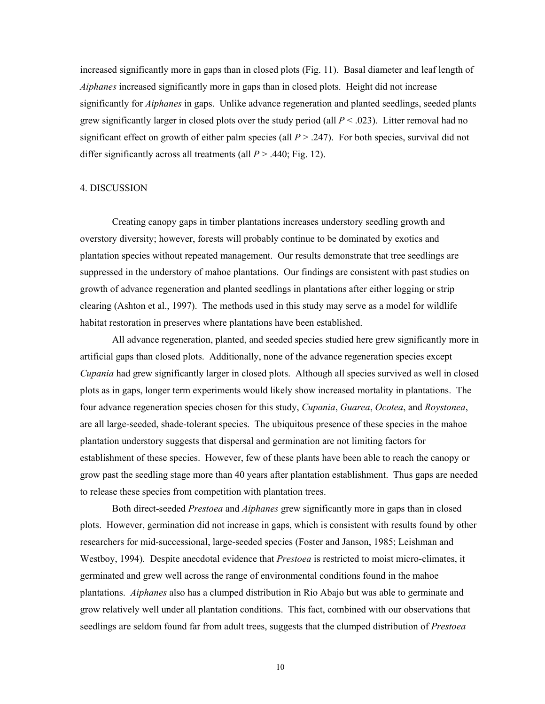increased significantly more in gaps than in closed plots (Fig. 11). Basal diameter and leaf length of *Aiphanes* increased significantly more in gaps than in closed plots. Height did not increase significantly for *Aiphanes* in gaps. Unlike advance regeneration and planted seedlings, seeded plants grew significantly larger in closed plots over the study period (all  $P < .023$ ). Litter removal had no significant effect on growth of either palm species (all  $P > .247$ ). For both species, survival did not differ significantly across all treatments (all  $P > .440$ ; Fig. 12).

#### 4. DISCUSSION

Creating canopy gaps in timber plantations increases understory seedling growth and overstory diversity; however, forests will probably continue to be dominated by exotics and plantation species without repeated management. Our results demonstrate that tree seedlings are suppressed in the understory of mahoe plantations. Our findings are consistent with past studies on growth of advance regeneration and planted seedlings in plantations after either logging or strip clearing (Ashton et al., 1997). The methods used in this study may serve as a model for wildlife habitat restoration in preserves where plantations have been established.

All advance regeneration, planted, and seeded species studied here grew significantly more in artificial gaps than closed plots. Additionally, none of the advance regeneration species except *Cupania* had grew significantly larger in closed plots. Although all species survived as well in closed plots as in gaps, longer term experiments would likely show increased mortality in plantations. The four advance regeneration species chosen for this study, *Cupania*, *Guarea*, *Ocotea*, and *Roystonea*, are all large-seeded, shade-tolerant species. The ubiquitous presence of these species in the mahoe plantation understory suggests that dispersal and germination are not limiting factors for establishment of these species. However, few of these plants have been able to reach the canopy or grow past the seedling stage more than 40 years after plantation establishment. Thus gaps are needed to release these species from competition with plantation trees.

Both direct-seeded *Prestoea* and *Aiphanes* grew significantly more in gaps than in closed plots. However, germination did not increase in gaps, which is consistent with results found by other researchers for mid-successional, large-seeded species (Foster and Janson, 1985; Leishman and Westboy, 1994). Despite anecdotal evidence that *Prestoea* is restricted to moist micro-climates, it germinated and grew well across the range of environmental conditions found in the mahoe plantations. *Aiphanes* also has a clumped distribution in Rio Abajo but was able to germinate and grow relatively well under all plantation conditions. This fact, combined with our observations that seedlings are seldom found far from adult trees, suggests that the clumped distribution of *Prestoea*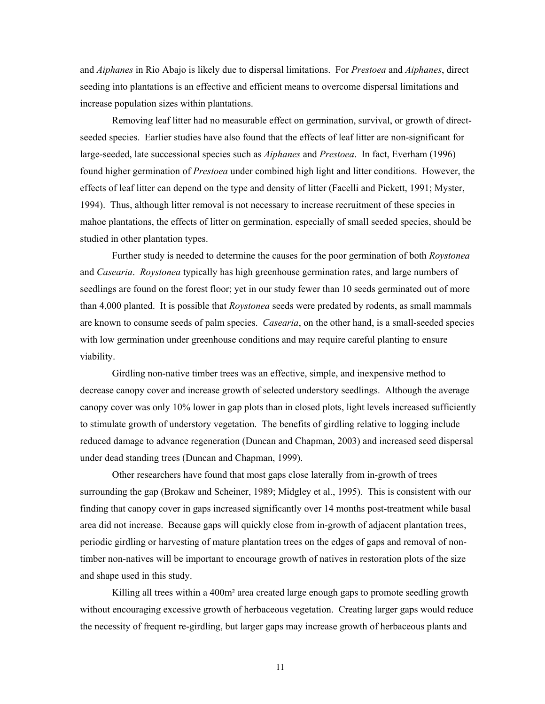and *Aiphanes* in Rio Abajo is likely due to dispersal limitations. For *Prestoea* and *Aiphanes*, direct seeding into plantations is an effective and efficient means to overcome dispersal limitations and increase population sizes within plantations.

Removing leaf litter had no measurable effect on germination, survival, or growth of directseeded species. Earlier studies have also found that the effects of leaf litter are non-significant for large-seeded, late successional species such as *Aiphanes* and *Prestoea*. In fact, Everham (1996) found higher germination of *Prestoea* under combined high light and litter conditions. However, the effects of leaf litter can depend on the type and density of litter (Facelli and Pickett, 1991; Myster, 1994). Thus, although litter removal is not necessary to increase recruitment of these species in mahoe plantations, the effects of litter on germination, especially of small seeded species, should be studied in other plantation types.

Further study is needed to determine the causes for the poor germination of both *Roystonea* and *Casearia*. *Roystonea* typically has high greenhouse germination rates, and large numbers of seedlings are found on the forest floor; yet in our study fewer than 10 seeds germinated out of more than 4,000 planted. It is possible that *Roystonea* seeds were predated by rodents, as small mammals are known to consume seeds of palm species. *Casearia*, on the other hand, is a small-seeded species with low germination under greenhouse conditions and may require careful planting to ensure viability.

Girdling non-native timber trees was an effective, simple, and inexpensive method to decrease canopy cover and increase growth of selected understory seedlings. Although the average canopy cover was only 10% lower in gap plots than in closed plots, light levels increased sufficiently to stimulate growth of understory vegetation. The benefits of girdling relative to logging include reduced damage to advance regeneration (Duncan and Chapman, 2003) and increased seed dispersal under dead standing trees (Duncan and Chapman, 1999).

Other researchers have found that most gaps close laterally from in-growth of trees surrounding the gap (Brokaw and Scheiner, 1989; Midgley et al., 1995). This is consistent with our finding that canopy cover in gaps increased significantly over 14 months post-treatment while basal area did not increase. Because gaps will quickly close from in-growth of adjacent plantation trees, periodic girdling or harvesting of mature plantation trees on the edges of gaps and removal of nontimber non-natives will be important to encourage growth of natives in restoration plots of the size and shape used in this study.

Killing all trees within a 400m² area created large enough gaps to promote seedling growth without encouraging excessive growth of herbaceous vegetation. Creating larger gaps would reduce the necessity of frequent re-girdling, but larger gaps may increase growth of herbaceous plants and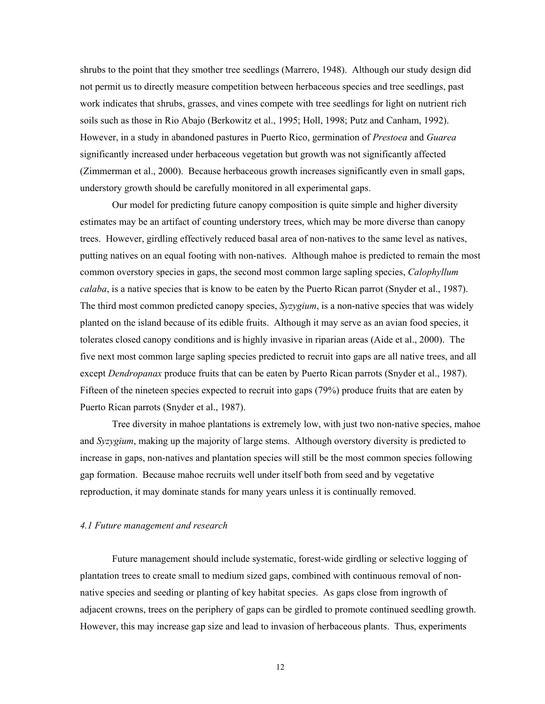shrubs to the point that they smother tree seedlings (Marrero, 1948). Although our study design did not permit us to directly measure competition between herbaceous species and tree seedlings, past work indicates that shrubs, grasses, and vines compete with tree seedlings for light on nutrient rich soils such as those in Rio Abajo (Berkowitz et al., 1995; Holl, 1998; Putz and Canham, 1992). However, in a study in abandoned pastures in Puerto Rico, germination of *Prestoea* and *Guarea* significantly increased under herbaceous vegetation but growth was not significantly affected (Zimmerman et al., 2000). Because herbaceous growth increases significantly even in small gaps, understory growth should be carefully monitored in all experimental gaps.

Our model for predicting future canopy composition is quite simple and higher diversity estimates may be an artifact of counting understory trees, which may be more diverse than canopy trees. However, girdling effectively reduced basal area of non-natives to the same level as natives, putting natives on an equal footing with non-natives. Although mahoe is predicted to remain the most common overstory species in gaps, the second most common large sapling species, *Calophyllum calaba*, is a native species that is know to be eaten by the Puerto Rican parrot (Snyder et al., 1987). The third most common predicted canopy species, *Syzygium*, is a non-native species that was widely planted on the island because of its edible fruits. Although it may serve as an avian food species, it tolerates closed canopy conditions and is highly invasive in riparian areas (Aide et al., 2000). The five next most common large sapling species predicted to recruit into gaps are all native trees, and all except *Dendropanax* produce fruits that can be eaten by Puerto Rican parrots (Snyder et al., 1987). Fifteen of the nineteen species expected to recruit into gaps (79%) produce fruits that are eaten by Puerto Rican parrots (Snyder et al., 1987).

Tree diversity in mahoe plantations is extremely low, with just two non-native species, mahoe and *Syzygium*, making up the majority of large stems. Although overstory diversity is predicted to increase in gaps, non-natives and plantation species will still be the most common species following gap formation. Because mahoe recruits well under itself both from seed and by vegetative reproduction, it may dominate stands for many years unless it is continually removed.

#### *4.1 Future management and research*

 Future management should include systematic, forest-wide girdling or selective logging of plantation trees to create small to medium sized gaps, combined with continuous removal of nonnative species and seeding or planting of key habitat species. As gaps close from ingrowth of adjacent crowns, trees on the periphery of gaps can be girdled to promote continued seedling growth. However, this may increase gap size and lead to invasion of herbaceous plants. Thus, experiments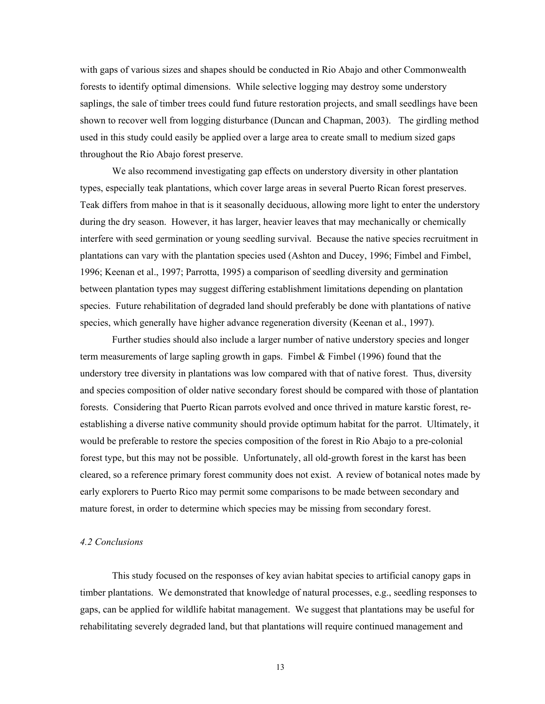with gaps of various sizes and shapes should be conducted in Rio Abajo and other Commonwealth forests to identify optimal dimensions. While selective logging may destroy some understory saplings, the sale of timber trees could fund future restoration projects, and small seedlings have been shown to recover well from logging disturbance (Duncan and Chapman, 2003). The girdling method used in this study could easily be applied over a large area to create small to medium sized gaps throughout the Rio Abajo forest preserve.

We also recommend investigating gap effects on understory diversity in other plantation types, especially teak plantations, which cover large areas in several Puerto Rican forest preserves. Teak differs from mahoe in that is it seasonally deciduous, allowing more light to enter the understory during the dry season. However, it has larger, heavier leaves that may mechanically or chemically interfere with seed germination or young seedling survival. Because the native species recruitment in plantations can vary with the plantation species used (Ashton and Ducey, 1996; Fimbel and Fimbel, 1996; Keenan et al., 1997; Parrotta, 1995) a comparison of seedling diversity and germination between plantation types may suggest differing establishment limitations depending on plantation species. Future rehabilitation of degraded land should preferably be done with plantations of native species, which generally have higher advance regeneration diversity (Keenan et al., 1997).

Further studies should also include a larger number of native understory species and longer term measurements of large sapling growth in gaps. Fimbel & Fimbel (1996) found that the understory tree diversity in plantations was low compared with that of native forest. Thus, diversity and species composition of older native secondary forest should be compared with those of plantation forests. Considering that Puerto Rican parrots evolved and once thrived in mature karstic forest, reestablishing a diverse native community should provide optimum habitat for the parrot. Ultimately, it would be preferable to restore the species composition of the forest in Rio Abajo to a pre-colonial forest type, but this may not be possible. Unfortunately, all old-growth forest in the karst has been cleared, so a reference primary forest community does not exist. A review of botanical notes made by early explorers to Puerto Rico may permit some comparisons to be made between secondary and mature forest, in order to determine which species may be missing from secondary forest.

#### *4.2 Conclusions*

This study focused on the responses of key avian habitat species to artificial canopy gaps in timber plantations. We demonstrated that knowledge of natural processes, e.g., seedling responses to gaps, can be applied for wildlife habitat management. We suggest that plantations may be useful for rehabilitating severely degraded land, but that plantations will require continued management and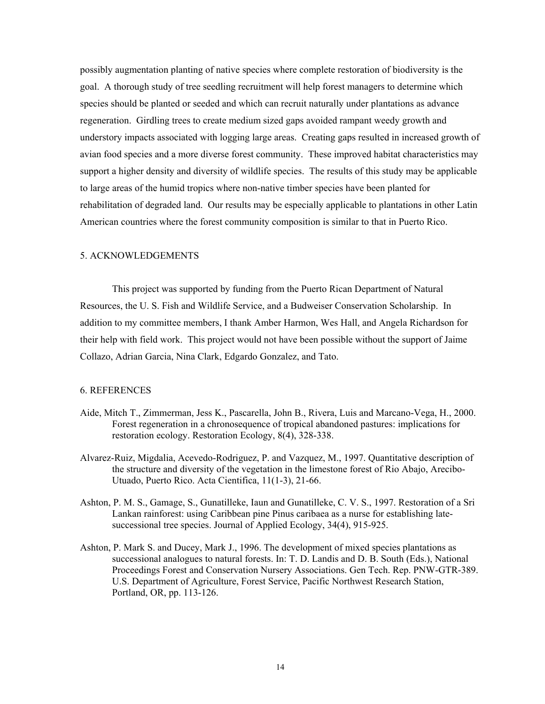possibly augmentation planting of native species where complete restoration of biodiversity is the goal. A thorough study of tree seedling recruitment will help forest managers to determine which species should be planted or seeded and which can recruit naturally under plantations as advance regeneration. Girdling trees to create medium sized gaps avoided rampant weedy growth and understory impacts associated with logging large areas. Creating gaps resulted in increased growth of avian food species and a more diverse forest community. These improved habitat characteristics may support a higher density and diversity of wildlife species. The results of this study may be applicable to large areas of the humid tropics where non-native timber species have been planted for rehabilitation of degraded land. Our results may be especially applicable to plantations in other Latin American countries where the forest community composition is similar to that in Puerto Rico.

## 5. ACKNOWLEDGEMENTS

This project was supported by funding from the Puerto Rican Department of Natural Resources, the U. S. Fish and Wildlife Service, and a Budweiser Conservation Scholarship. In addition to my committee members, I thank Amber Harmon, Wes Hall, and Angela Richardson for their help with field work. This project would not have been possible without the support of Jaime Collazo, Adrian Garcia, Nina Clark, Edgardo Gonzalez, and Tato.

#### 6. REFERENCES

- Aide, Mitch T., Zimmerman, Jess K., Pascarella, John B., Rivera, Luis and Marcano-Vega, H., 2000. Forest regeneration in a chronosequence of tropical abandoned pastures: implications for restoration ecology. Restoration Ecology, 8(4), 328-338.
- Alvarez-Ruiz, Migdalia, Acevedo-Rodriguez, P. and Vazquez, M., 1997. Quantitative description of the structure and diversity of the vegetation in the limestone forest of Rio Abajo, Arecibo-Utuado, Puerto Rico. Acta Cientifica, 11(1-3), 21-66.
- Ashton, P. M. S., Gamage, S., Gunatilleke, Iaun and Gunatilleke, C. V. S., 1997. Restoration of a Sri Lankan rainforest: using Caribbean pine Pinus caribaea as a nurse for establishing latesuccessional tree species. Journal of Applied Ecology, 34(4), 915-925.
- Ashton, P. Mark S. and Ducey, Mark J., 1996. The development of mixed species plantations as successional analogues to natural forests. In: T. D. Landis and D. B. South (Eds.), National Proceedings Forest and Conservation Nursery Associations. Gen Tech. Rep. PNW-GTR-389. U.S. Department of Agriculture, Forest Service, Pacific Northwest Research Station, Portland, OR, pp. 113-126.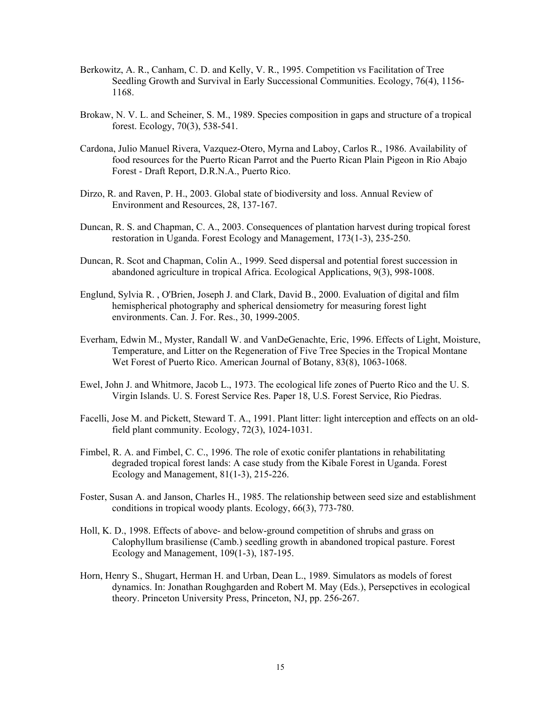- Berkowitz, A. R., Canham, C. D. and Kelly, V. R., 1995. Competition vs Facilitation of Tree Seedling Growth and Survival in Early Successional Communities. Ecology, 76(4), 1156- 1168.
- Brokaw, N. V. L. and Scheiner, S. M., 1989. Species composition in gaps and structure of a tropical forest. Ecology, 70(3), 538-541.
- Cardona, Julio Manuel Rivera, Vazquez-Otero, Myrna and Laboy, Carlos R., 1986. Availability of food resources for the Puerto Rican Parrot and the Puerto Rican Plain Pigeon in Rio Abajo Forest - Draft Report, D.R.N.A., Puerto Rico.
- Dirzo, R. and Raven, P. H., 2003. Global state of biodiversity and loss. Annual Review of Environment and Resources, 28, 137-167.
- Duncan, R. S. and Chapman, C. A., 2003. Consequences of plantation harvest during tropical forest restoration in Uganda. Forest Ecology and Management, 173(1-3), 235-250.
- Duncan, R. Scot and Chapman, Colin A., 1999. Seed dispersal and potential forest succession in abandoned agriculture in tropical Africa. Ecological Applications, 9(3), 998-1008.
- Englund, Sylvia R. , O'Brien, Joseph J. and Clark, David B., 2000. Evaluation of digital and film hemispherical photography and spherical densiometry for measuring forest light environments. Can. J. For. Res., 30, 1999-2005.
- Everham, Edwin M., Myster, Randall W. and VanDeGenachte, Eric, 1996. Effects of Light, Moisture, Temperature, and Litter on the Regeneration of Five Tree Species in the Tropical Montane Wet Forest of Puerto Rico. American Journal of Botany, 83(8), 1063-1068.
- Ewel, John J. and Whitmore, Jacob L., 1973. The ecological life zones of Puerto Rico and the U. S. Virgin Islands. U. S. Forest Service Res. Paper 18, U.S. Forest Service, Rio Piedras.
- Facelli, Jose M. and Pickett, Steward T. A., 1991. Plant litter: light interception and effects on an oldfield plant community. Ecology, 72(3), 1024-1031.
- Fimbel, R. A. and Fimbel, C. C., 1996. The role of exotic conifer plantations in rehabilitating degraded tropical forest lands: A case study from the Kibale Forest in Uganda. Forest Ecology and Management, 81(1-3), 215-226.
- Foster, Susan A. and Janson, Charles H., 1985. The relationship between seed size and establishment conditions in tropical woody plants. Ecology, 66(3), 773-780.
- Holl, K. D., 1998. Effects of above- and below-ground competition of shrubs and grass on Calophyllum brasiliense (Camb.) seedling growth in abandoned tropical pasture. Forest Ecology and Management, 109(1-3), 187-195.
- Horn, Henry S., Shugart, Herman H. and Urban, Dean L., 1989. Simulators as models of forest dynamics. In: Jonathan Roughgarden and Robert M. May (Eds.), Persepctives in ecological theory. Princeton University Press, Princeton, NJ, pp. 256-267.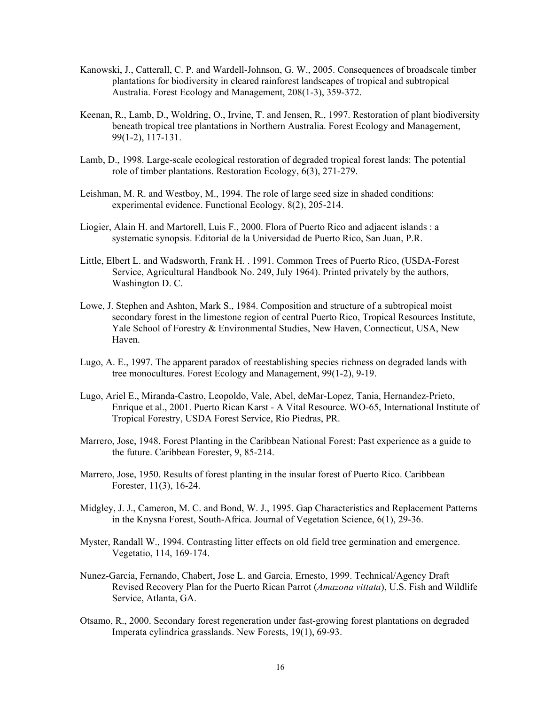- Kanowski, J., Catterall, C. P. and Wardell-Johnson, G. W., 2005. Consequences of broadscale timber plantations for biodiversity in cleared rainforest landscapes of tropical and subtropical Australia. Forest Ecology and Management, 208(1-3), 359-372.
- Keenan, R., Lamb, D., Woldring, O., Irvine, T. and Jensen, R., 1997. Restoration of plant biodiversity beneath tropical tree plantations in Northern Australia. Forest Ecology and Management, 99(1-2), 117-131.
- Lamb, D., 1998. Large-scale ecological restoration of degraded tropical forest lands: The potential role of timber plantations. Restoration Ecology, 6(3), 271-279.
- Leishman, M. R. and Westboy, M., 1994. The role of large seed size in shaded conditions: experimental evidence. Functional Ecology, 8(2), 205-214.
- Liogier, Alain H. and Martorell, Luis F., 2000. Flora of Puerto Rico and adjacent islands : a systematic synopsis. Editorial de la Universidad de Puerto Rico, San Juan, P.R.
- Little, Elbert L. and Wadsworth, Frank H. . 1991. Common Trees of Puerto Rico, (USDA-Forest Service, Agricultural Handbook No. 249, July 1964). Printed privately by the authors, Washington D. C.
- Lowe, J. Stephen and Ashton, Mark S., 1984. Composition and structure of a subtropical moist secondary forest in the limestone region of central Puerto Rico, Tropical Resources Institute, Yale School of Forestry & Environmental Studies, New Haven, Connecticut, USA, New Haven.
- Lugo, A. E., 1997. The apparent paradox of reestablishing species richness on degraded lands with tree monocultures. Forest Ecology and Management, 99(1-2), 9-19.
- Lugo, Ariel E., Miranda-Castro, Leopoldo, Vale, Abel, deMar-Lopez, Tania, Hernandez-Prieto, Enrique et al., 2001. Puerto Rican Karst - A Vital Resource. WO-65, International Institute of Tropical Forestry, USDA Forest Service, Rio Piedras, PR.
- Marrero, Jose, 1948. Forest Planting in the Caribbean National Forest: Past experience as a guide to the future. Caribbean Forester, 9, 85-214.
- Marrero, Jose, 1950. Results of forest planting in the insular forest of Puerto Rico. Caribbean Forester, 11(3), 16-24.
- Midgley, J. J., Cameron, M. C. and Bond, W. J., 1995. Gap Characteristics and Replacement Patterns in the Knysna Forest, South-Africa. Journal of Vegetation Science, 6(1), 29-36.
- Myster, Randall W., 1994. Contrasting litter effects on old field tree germination and emergence. Vegetatio, 114, 169-174.
- Nunez-Garcia, Fernando, Chabert, Jose L. and Garcia, Ernesto, 1999. Technical/Agency Draft Revised Recovery Plan for the Puerto Rican Parrot (*Amazona vittata*), U.S. Fish and Wildlife Service, Atlanta, GA.
- Otsamo, R., 2000. Secondary forest regeneration under fast-growing forest plantations on degraded Imperata cylindrica grasslands. New Forests, 19(1), 69-93.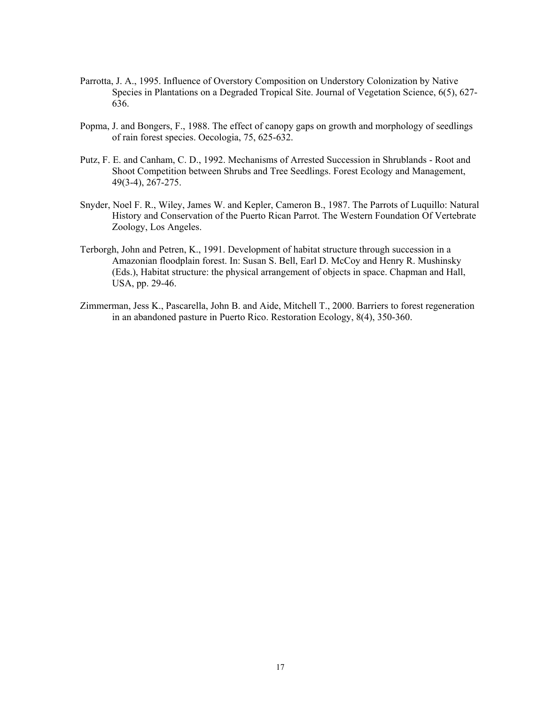- Parrotta, J. A., 1995. Influence of Overstory Composition on Understory Colonization by Native Species in Plantations on a Degraded Tropical Site. Journal of Vegetation Science, 6(5), 627- 636.
- Popma, J. and Bongers, F., 1988. The effect of canopy gaps on growth and morphology of seedlings of rain forest species. Oecologia, 75, 625-632.
- Putz, F. E. and Canham, C. D., 1992. Mechanisms of Arrested Succession in Shrublands Root and Shoot Competition between Shrubs and Tree Seedlings. Forest Ecology and Management, 49(3-4), 267-275.
- Snyder, Noel F. R., Wiley, James W. and Kepler, Cameron B., 1987. The Parrots of Luquillo: Natural History and Conservation of the Puerto Rican Parrot. The Western Foundation Of Vertebrate Zoology, Los Angeles.
- Terborgh, John and Petren, K., 1991. Development of habitat structure through succession in a Amazonian floodplain forest. In: Susan S. Bell, Earl D. McCoy and Henry R. Mushinsky (Eds.), Habitat structure: the physical arrangement of objects in space. Chapman and Hall, USA, pp. 29-46.
- Zimmerman, Jess K., Pascarella, John B. and Aide, Mitchell T., 2000. Barriers to forest regeneration in an abandoned pasture in Puerto Rico. Restoration Ecology, 8(4), 350-360.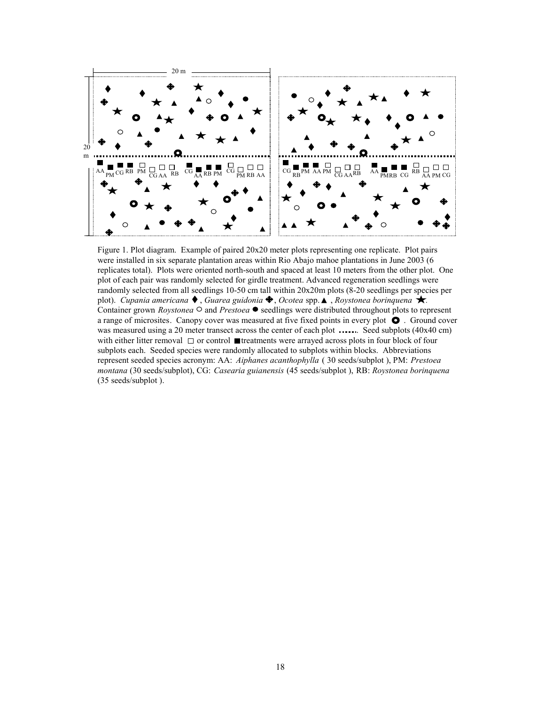

Figure 1. Plot diagram. Example of paired 20x20 meter plots representing one replicate. Plot pairs were installed in six separate plantation areas within Rio Abajo mahoe plantations in June 2003 (6 replicates total). Plots were oriented north-south and spaced at least 10 meters from the other plot. One plot of each pair was randomly selected for girdle treatment. Advanced regeneration seedlings were randomly selected from all seedlings 10-50 cm tall within 20x20m plots (8-20 seedlings per species per plot). *Cupania americana*  $\blacklozenge$ , *Guarea guidonia*  $\blacklozenge$ , *Ocotea* spp.  $\blacktriangle$ , *Roystonea borinquena*  $\blacktriangleright$ . Container grown *Roystonea*  $\circ$  and *Prestoea*  $\bullet$  seedlings were distributed throughout plots to represent a range of microsites. Canopy cover was measured at five fixed points in every plot  $\bullet$ . Ground cover was measured using a 20 meter transect across the center of each plot  $\ldots$ . Seed subplots (40x40 cm) with either litter removal  $\Box$  or control **I** treatments were arrayed across plots in four block of four subplots each. Seeded species were randomly allocated to subplots within blocks. Abbreviations represent seeded species acronym: AA: *Aiphanes acanthophylla* ( 30 seeds/subplot ), PM: *Prestoea montana* (30 seeds/subplot), CG: *Casearia guianensis* (45 seeds/subplot ), RB: *Roystonea borinquena* (35 seeds/subplot ).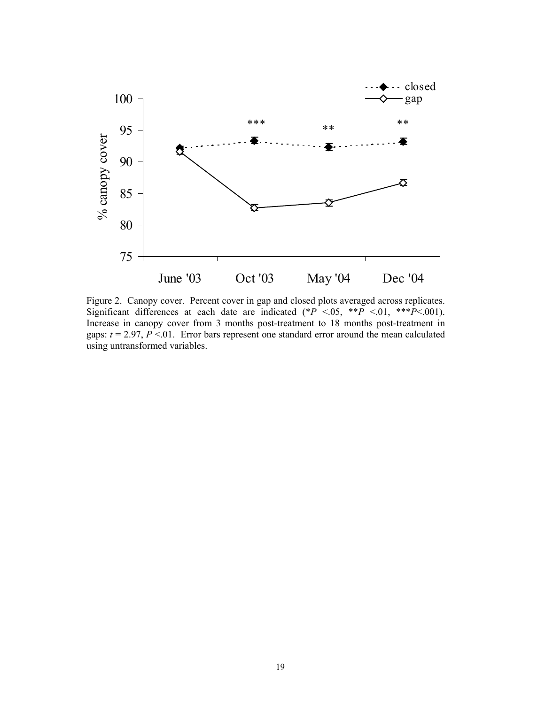

Figure 2. Canopy cover. Percent cover in gap and closed plots averaged across replicates. Significant differences at each date are indicated  $(*P^{\sim}0.05, **P^{\sim}<0.01, **P^{\sim}<0.001)$ . Increase in canopy cover from 3 months post-treatment to 18 months post-treatment in gaps:  $t = 2.97, P < 01$ . Error bars represent one standard error around the mean calculated using untransformed variables.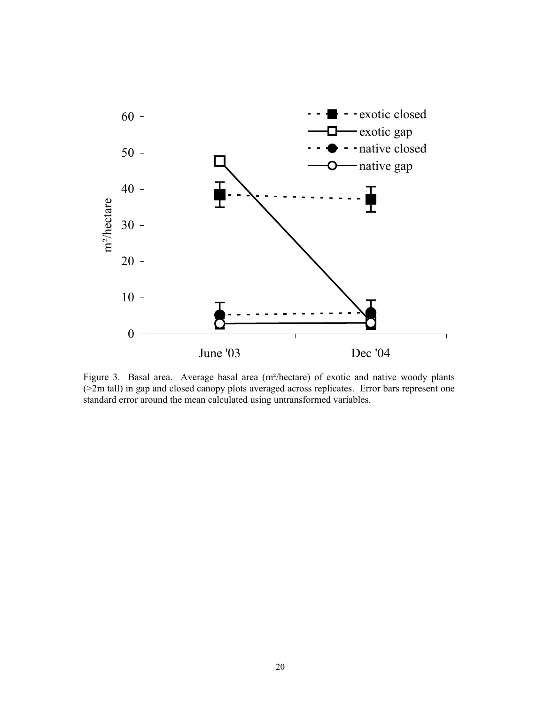

Figure 3. Basal area. Average basal area (m²/hectare) of exotic and native woody plants (>2m tall) in gap and closed canopy plots averaged across replicates. Error bars represent one standard error around the mean calculated using untransformed variables.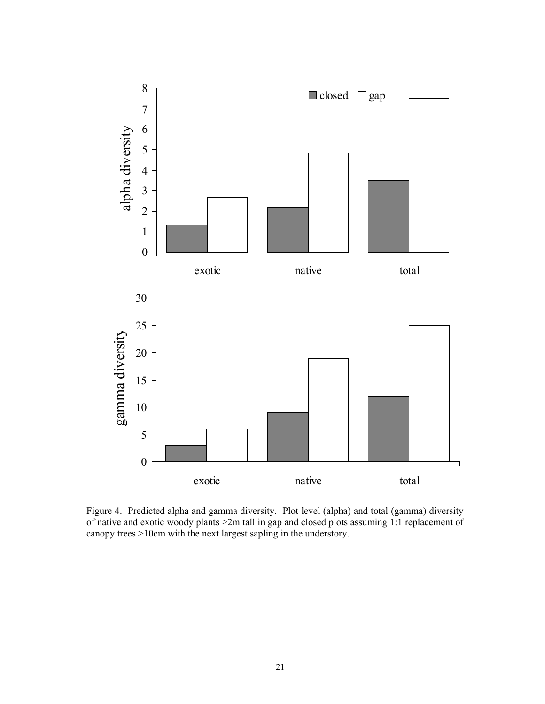

Figure 4. Predicted alpha and gamma diversity. Plot level (alpha) and total (gamma) diversity of native and exotic woody plants >2m tall in gap and closed plots assuming 1:1 replacement of canopy trees >10cm with the next largest sapling in the understory.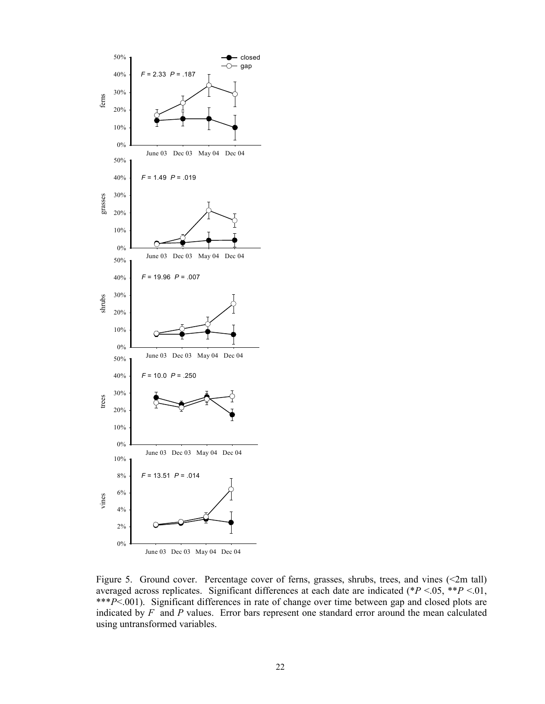

Figure 5. Ground cover. Percentage cover of ferns, grasses, shrubs, trees, and vines (<2m tall) averaged across replicates. Significant differences at each date are indicated (\**P* <.05, \*\**P* <.01, \*\*\**P*<.001). Significant differences in rate of change over time between gap and closed plots are indicated by *F* and *P* values. Error bars represent one standard error around the mean calculated using untransformed variables.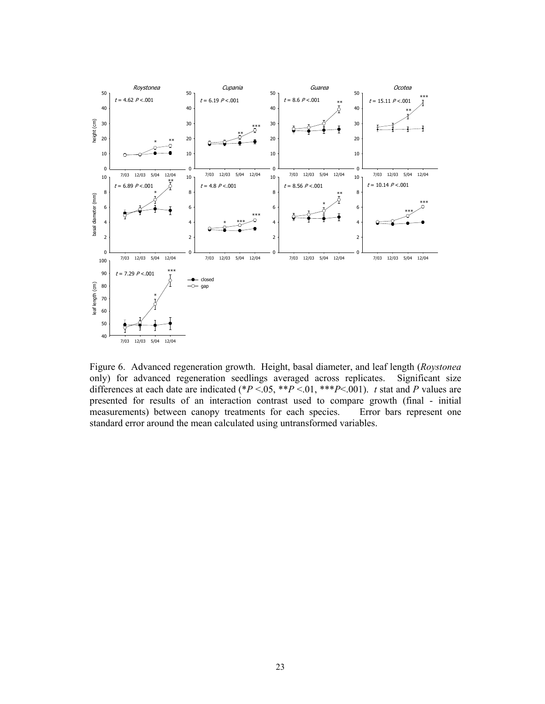

Figure 6. Advanced regeneration growth. Height, basal diameter, and leaf length (*Roystonea* only) for advanced regeneration seedlings averaged across replicates. Significant size differences at each date are indicated (\* $P < 0.05$ , \*\* $P < 0.01$ , \*\* $P < 0.001$ ). *t* stat and *P* values are presented for results of an interaction contrast used to compare growth (final - initial measurements) between canopy treatments for each species. Error bars represent one standard error around the mean calculated using untransformed variables.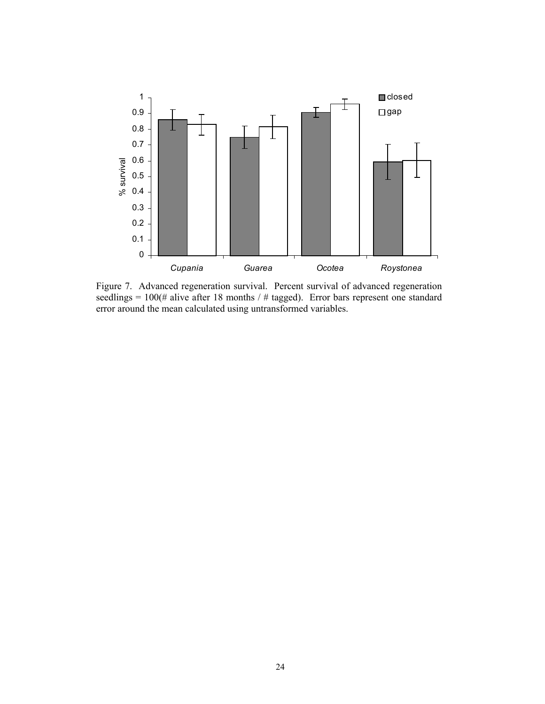

Figure 7. Advanced regeneration survival. Percent survival of advanced regeneration seedlings =  $100$ (# alive after 18 months / # tagged). Error bars represent one standard error around the mean calculated using untransformed variables.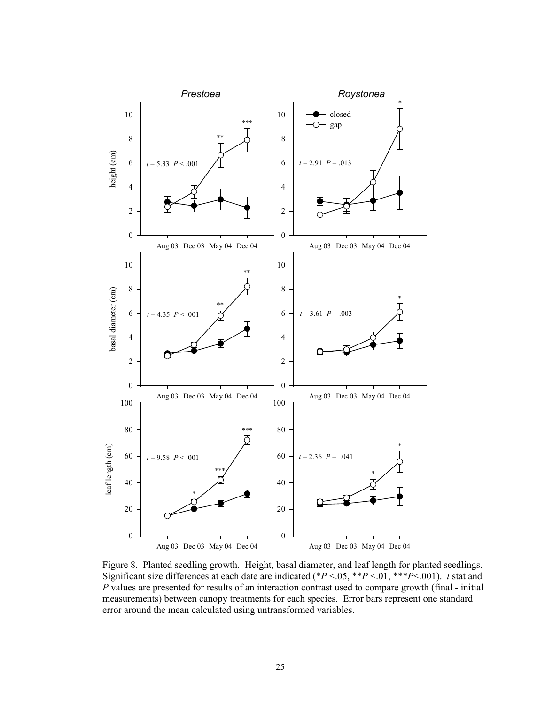

Figure 8. Planted seedling growth. Height, basal diameter, and leaf length for planted seedlings. Significant size differences at each date are indicated (\* $P < 0.05$ , \*\* $P < 0.01$ , \*\*\* $P < 0.01$ ). *t* stat and *P* values are presented for results of an interaction contrast used to compare growth (final - initial measurements) between canopy treatments for each species. Error bars represent one standard error around the mean calculated using untransformed variables.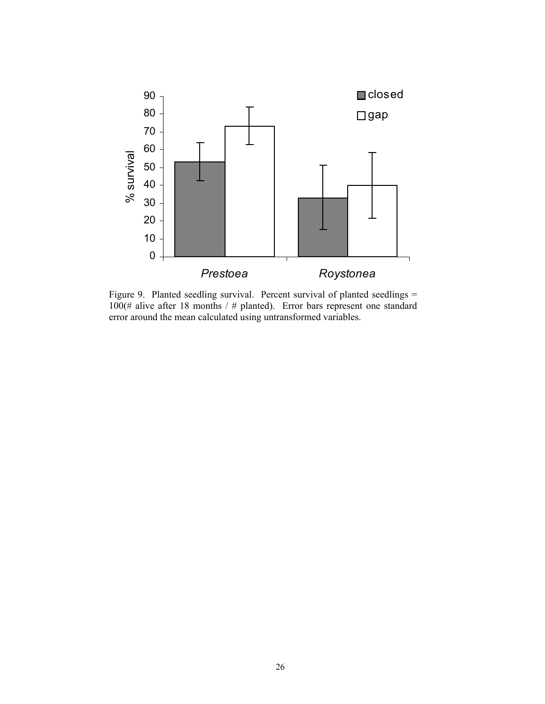

Figure 9. Planted seedling survival. Percent survival of planted seedlings = 100(# alive after 18 months / # planted). Error bars represent one standard error around the mean calculated using untransformed variables.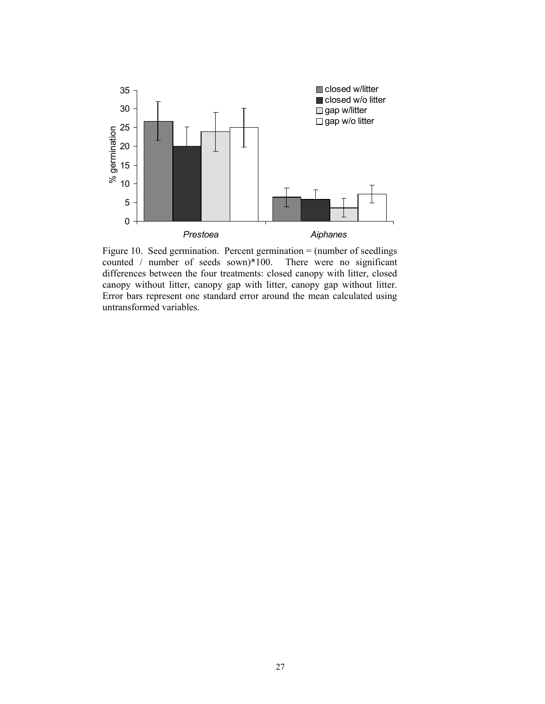

Figure 10. Seed germination. Percent germination = (number of seedlings counted / number of seeds sown)\*100. There were no significant differences between the four treatments: closed canopy with litter, closed canopy without litter, canopy gap with litter, canopy gap without litter. Error bars represent one standard error around the mean calculated using untransformed variables.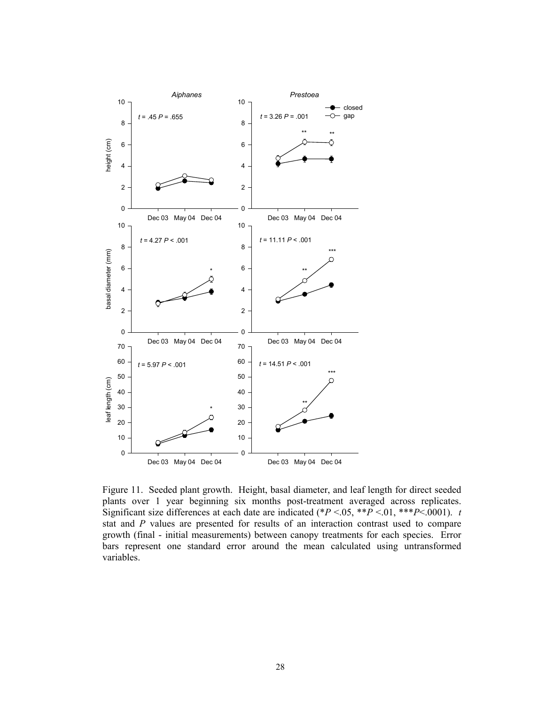

Figure 11. Seeded plant growth. Height, basal diameter, and leaf length for direct seeded plants over 1 year beginning six months post-treatment averaged across replicates. Significant size differences at each date are indicated (\* $P < 0.05$ , \*\* $P < 0.01$ , \*\* $P < 0.0001$ ). *t* stat and *P* values are presented for results of an interaction contrast used to compare growth (final - initial measurements) between canopy treatments for each species. Error bars represent one standard error around the mean calculated using untransformed variables.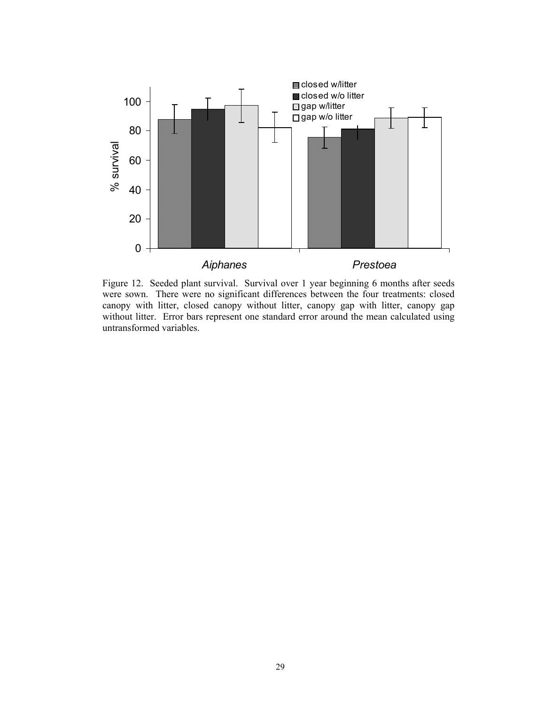

Figure 12. Seeded plant survival. Survival over 1 year beginning 6 months after seeds were sown. There were no significant differences between the four treatments: closed canopy with litter, closed canopy without litter, canopy gap with litter, canopy gap without litter. Error bars represent one standard error around the mean calculated using untransformed variables.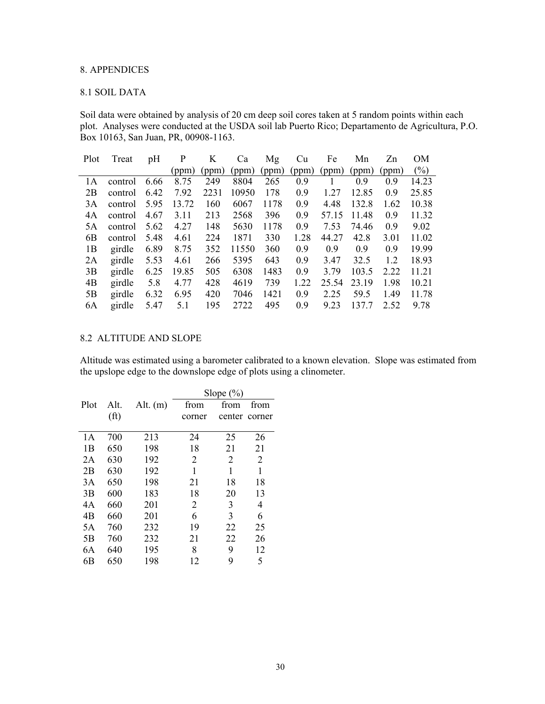# 8. APPENDICES

# 8.1 SOIL DATA

Soil data were obtained by analysis of 20 cm deep soil cores taken at 5 random points within each plot. Analyses were conducted at the USDA soil lab Puerto Rico; Departamento de Agricultura, P.O. Box 10163, San Juan, PR, 00908-1163.

| Plot | Treat   | pH   | P     | K     | Ca    | Mg    | <b>Cu</b> | Fe    | Mn    | Zn    | OМ    |
|------|---------|------|-------|-------|-------|-------|-----------|-------|-------|-------|-------|
|      |         |      | (ppm) | (ppm) | (ppm) | (ppm) | (ppm)     | (ppm) | (ppm) | (ppm) | (%)   |
| 1A   | control | 6.66 | 8.75  | 249   | 8804  | 265   | 0.9       |       | 0.9   | 0.9   | 14.23 |
| 2B   | control | 6.42 | 7.92  | 2231  | 10950 | 178   | 0.9       | 1.27  | 12.85 | 0.9   | 25.85 |
| 3A   | control | 5.95 | 13.72 | 160   | 6067  | 1178  | 0.9       | 4.48  | 132.8 | 1.62  | 10.38 |
| 4A   | control | 4.67 | 3.11  | 213   | 2568  | 396   | 0.9       | 57.15 | 11.48 | 0.9   | 11.32 |
| 5A   | control | 5.62 | 4.27  | 148   | 5630  | 1178  | 0.9       | 7.53  | 74.46 | 0.9   | 9.02  |
| 6B   | control | 5.48 | 4.61  | 224   | 1871  | 330   | 1.28      | 44.27 | 42.8  | 3.01  | 11.02 |
| 1B   | girdle  | 6.89 | 8.75  | 352   | 11550 | 360   | 0.9       | 0.9   | 0.9   | 0.9   | 19.99 |
| 2A   | girdle  | 5.53 | 4.61  | 266   | 5395  | 643   | 0.9       | 3.47  | 32.5  | 12    | 18.93 |
| 3B   | girdle  | 6.25 | 19.85 | 505   | 6308  | 1483  | 0.9       | 3.79  | 103.5 | 2.22  | 11.21 |
| 4B   | girdle  | 5.8  | 4.77  | 428   | 4619  | 739   | 1.22      | 25.54 | 23.19 | 1.98  | 10.21 |
| 5B   | girdle  | 6.32 | 6.95  | 420   | 7046  | 1421  | 0.9       | 2.25  | 59.5  | 1.49  | 1178  |
| 6A   | girdle  | 5.47 | 5.1   | 195   | 2722  | 495   | 0.9       | 9.23  | 137.7 | 2.52  | 9.78  |

# 8.2 ALTITUDE AND SLOPE

Altitude was estimated using a barometer calibrated to a known elevation. Slope was estimated from the upslope edge to the downslope edge of plots using a clinometer.

|      |                   |            | Slope $(\% )$ |        |        |  |  |  |
|------|-------------------|------------|---------------|--------|--------|--|--|--|
| Plot | Alt.              | Alt. $(m)$ | from          | from   | from   |  |  |  |
|      | (f <sup>t</sup> ) |            | corner        | center | corner |  |  |  |
|      |                   |            |               |        |        |  |  |  |
| 1 A  | 700               | 213        | 24            | 25     | 26     |  |  |  |
| 1B   | 650               | 198        | 18            | 21     | 21     |  |  |  |
| 2A   | 630               | 192        | 2             | 2      | 2      |  |  |  |
| 2B   | 630               | 192        | 1             | 1      | 1      |  |  |  |
| 3A   | 650               | 198        | 21            | 18     | 18     |  |  |  |
| 3B   | 600               | 183        | 18            | 20     | 13     |  |  |  |
| 4A   | 660               | 201        | 2             | 3      | 4      |  |  |  |
| 4B   | 660               | 201        | 6             | 3      | 6      |  |  |  |
| 5A   | 760               | 232        | 19            | 22     | 25     |  |  |  |
| 5B   | 760               | 232        | 21            | 22     | 26     |  |  |  |
| 6A   | 640               | 195        | 8             | 9      | 12     |  |  |  |
| 6B   | 650               | 198        | 12            | 9      | 5      |  |  |  |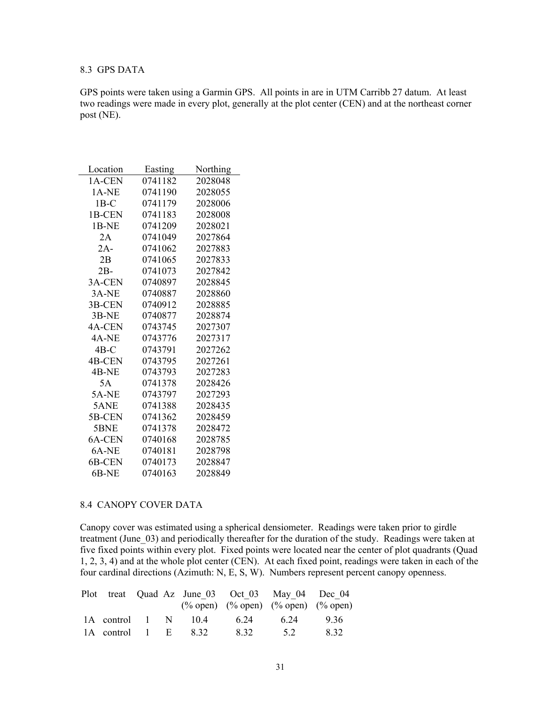# 8.3 GPS DATA

GPS points were taken using a Garmin GPS. All points in are in UTM Carribb 27 datum. At least two readings were made in every plot, generally at the plot center (CEN) and at the northeast corner post (NE).

| Location | Easting | Northing |
|----------|---------|----------|
| 1A-CEN   | 0741182 | 2028048  |
| 1A-NE    | 0741190 | 2028055  |
| $1B-C$   | 0741179 | 2028006  |
| 1B-CEN   | 0741183 | 2028008  |
| 1B-NE    | 0741209 | 2028021  |
| 2A       | 0741049 | 2027864  |
| $2A-$    | 0741062 | 2027883  |
| 2B       | 0741065 | 2027833  |
| $2B-$    | 0741073 | 2027842  |
| 3A-CEN   | 0740897 | 2028845  |
| 3A-NE    | 0740887 | 2028860  |
| 3B-CEN   | 0740912 | 2028885  |
| 3B-NE    | 0740877 | 2028874  |
| 4A-CEN   | 0743745 | 2027307  |
| 4A-NE    | 0743776 | 2027317  |
| 4B-C     | 0743791 | 2027262  |
| 4B-CEN   | 0743795 | 2027261  |
| 4B-NE    | 0743793 | 2027283  |
| 5A       | 0741378 | 2028426  |
| 5A-NE    | 0743797 | 2027293  |
| 5ANE     | 0741388 | 2028435  |
| 5B-CEN   | 0741362 | 2028459  |
| 5BNE     | 0741378 | 2028472  |
| 6A-CEN   | 0740168 | 2028785  |
| 6A-NE    | 0740181 | 2028798  |
| 6B-CEN   | 0740173 | 2028847  |
| 6B-NE    | 0740163 | 2028849  |

### 8.4 CANOPY COVER DATA

Canopy cover was estimated using a spherical densiometer. Readings were taken prior to girdle treatment (June 03) and periodically thereafter for the duration of the study. Readings were taken at five fixed points within every plot. Fixed points were located near the center of plot quadrants (Quad 1, 2, 3, 4) and at the whole plot center (CEN). At each fixed point, readings were taken in each of the four cardinal directions (Azimuth: N, E, S, W). Numbers represent percent canopy openness.

|                     |  |                          |      | Plot treat Quad Az June 03 Oct 03 May 04 Dec 04<br>$(\% \text{ open})$ $(\% \text{ open})$ $(\% \text{ open})$ $(\% \text{ open})$ $(\% \text{ open})$ |       |
|---------------------|--|--------------------------|------|--------------------------------------------------------------------------------------------------------------------------------------------------------|-------|
|                     |  | 1A control 1 N 10.4 6.24 |      | 6 24                                                                                                                                                   | -9.36 |
| 1A control 1 E 8.32 |  |                          | 8.32 | 5.2                                                                                                                                                    | 832   |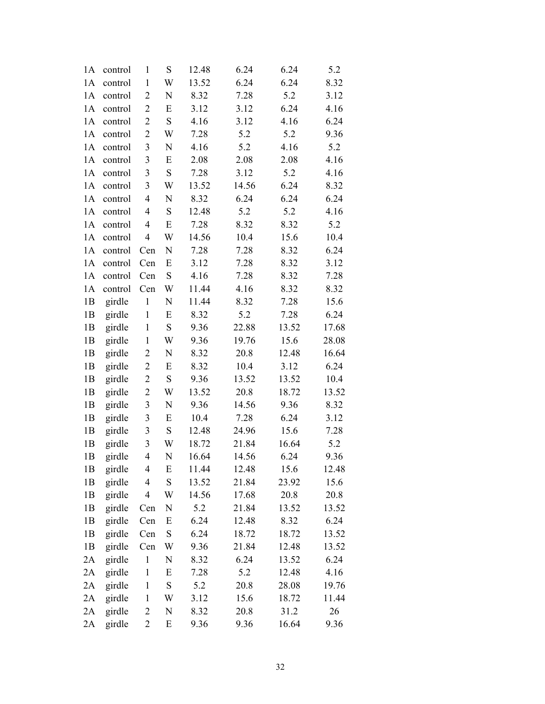| 1A | control | $\mathbf{1}$            | S         | 12.48 | 6.24  | 6.24  | 5.2   |
|----|---------|-------------------------|-----------|-------|-------|-------|-------|
| 1A | control | $\mathbf{1}$            | W         | 13.52 | 6.24  | 6.24  | 8.32  |
| 1A | control | $\overline{c}$          | N         | 8.32  | 7.28  | 5.2   | 3.12  |
| 1A | control | $\overline{c}$          | E         | 3.12  | 3.12  | 6.24  | 4.16  |
| 1A | control | $\overline{2}$          | ${\bf S}$ | 4.16  | 3.12  | 4.16  | 6.24  |
| 1A | control | $\overline{c}$          | W         | 7.28  | 5.2   | 5.2   | 9.36  |
| 1A | control | 3                       | N         | 4.16  | 5.2   | 4.16  | 5.2   |
| 1A | control | 3                       | E         | 2.08  | 2.08  | 2.08  | 4.16  |
| 1A | control | $\mathfrak{Z}$          | ${\bf S}$ | 7.28  | 3.12  | 5.2   | 4.16  |
| 1A | control | $\mathfrak{Z}$          | W         | 13.52 | 14.56 | 6.24  | 8.32  |
| 1A | control | $\overline{\mathbf{4}}$ | N         | 8.32  | 6.24  | 6.24  | 6.24  |
| 1A | control | 4                       | ${\bf S}$ | 12.48 | 5.2   | 5.2   | 4.16  |
| 1A | control | 4                       | E         | 7.28  | 8.32  | 8.32  | 5.2   |
| 1A | control | $\overline{4}$          | W         | 14.56 | 10.4  | 15.6  | 10.4  |
| 1A | control | Cen                     | N         | 7.28  | 7.28  | 8.32  | 6.24  |
| 1A | control | Cen                     | E         | 3.12  | 7.28  | 8.32  | 3.12  |
| 1A | control | Cen                     | ${\bf S}$ | 4.16  | 7.28  | 8.32  | 7.28  |
| 1A | control | Cen                     | W         | 11.44 | 4.16  | 8.32  | 8.32  |
| 1B | girdle  | $\mathbf 1$             | N         | 11.44 | 8.32  | 7.28  | 15.6  |
| 1B | girdle  | $\mathbf{1}$            | E         | 8.32  | 5.2   | 7.28  | 6.24  |
| 1B | girdle  | $\mathbf{1}$            | ${\bf S}$ | 9.36  | 22.88 | 13.52 | 17.68 |
| 1B | girdle  | $\mathbf{1}$            | W         | 9.36  | 19.76 | 15.6  | 28.08 |
| 1B | girdle  | 2                       | N         | 8.32  | 20.8  | 12.48 | 16.64 |
| 1B | girdle  | $\overline{c}$          | E         | 8.32  | 10.4  | 3.12  | 6.24  |
| 1B | girdle  | $\overline{c}$          | ${\bf S}$ | 9.36  | 13.52 | 13.52 | 10.4  |
| 1B | girdle  | 2                       | W         | 13.52 | 20.8  | 18.72 | 13.52 |
| 1B | girdle  | 3                       | N         | 9.36  | 14.56 | 9.36  | 8.32  |
| 1B | girdle  | 3                       | E         | 10.4  | 7.28  | 6.24  | 3.12  |
| 1B | girdle  | 3                       | ${\bf S}$ | 12.48 | 24.96 | 15.6  | 7.28  |
| 1B | girdle  | 3                       | W         | 18.72 | 21.84 | 16.64 | 5.2   |
| 1B | girdle  | 4                       | N         | 16.64 | 14.56 | 6.24  | 9.36  |
| 1B | girdle  | 4                       | E         | 11.44 | 12.48 | 15.6  | 12.48 |
| 1B | girdle  | 4                       | ${\bf S}$ | 13.52 | 21.84 | 23.92 | 15.6  |
| 1B | girdle  | 4                       | W         | 14.56 | 17.68 | 20.8  | 20.8  |
| 1B | girdle  | Cen                     | N         | 5.2   | 21.84 | 13.52 | 13.52 |
| 1B | girdle  | Cen                     | E         | 6.24  | 12.48 | 8.32  | 6.24  |
| 1B | girdle  | Cen                     | ${\bf S}$ | 6.24  | 18.72 | 18.72 | 13.52 |
| 1B | girdle  | Cen                     | W         | 9.36  | 21.84 | 12.48 | 13.52 |
| 2A | girdle  | $\mathbf{1}$            | N         | 8.32  | 6.24  | 13.52 | 6.24  |
| 2A | girdle  | $\mathbf{1}$            | E         | 7.28  | 5.2   | 12.48 | 4.16  |
| 2A | girdle  | $\mathbf{1}$            | ${\bf S}$ | 5.2   | 20.8  | 28.08 | 19.76 |
| 2A | girdle  | 1                       | W         | 3.12  | 15.6  | 18.72 | 11.44 |
| 2A | girdle  | $\overline{c}$          | N         | 8.32  | 20.8  | 31.2  | 26    |
| 2A | girdle  | 2                       | E         | 9.36  | 9.36  | 16.64 | 9.36  |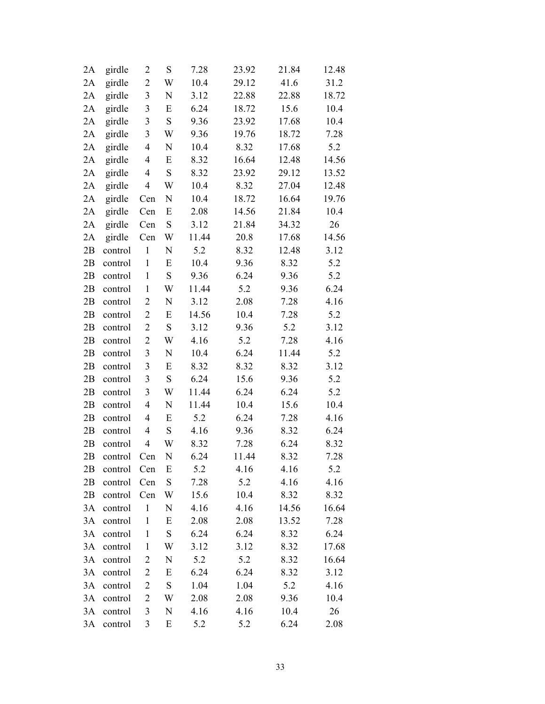| 2A | girdle  | $\overline{c}$          | S         | 7.28  | 23.92 | 21.84 | 12.48 |
|----|---------|-------------------------|-----------|-------|-------|-------|-------|
| 2A | girdle  | $\overline{2}$          | W         | 10.4  | 29.12 | 41.6  | 31.2  |
| 2A | girdle  | $\mathfrak{Z}$          | N         | 3.12  | 22.88 | 22.88 | 18.72 |
| 2A | girdle  | 3                       | E         | 6.24  | 18.72 | 15.6  | 10.4  |
| 2A | girdle  | $\mathfrak{Z}$          | S         | 9.36  | 23.92 | 17.68 | 10.4  |
| 2A | girdle  | 3                       | W         | 9.36  | 19.76 | 18.72 | 7.28  |
| 2A | girdle  | 4                       | N         | 10.4  | 8.32  | 17.68 | 5.2   |
| 2A | girdle  | $\overline{\mathbf{4}}$ | E         | 8.32  | 16.64 | 12.48 | 14.56 |
| 2A | girdle  | $\overline{4}$          | ${\bf S}$ | 8.32  | 23.92 | 29.12 | 13.52 |
| 2A | girdle  | $\overline{4}$          | W         | 10.4  | 8.32  | 27.04 | 12.48 |
| 2A | girdle  | Cen                     | N         | 10.4  | 18.72 | 16.64 | 19.76 |
| 2A | girdle  | Cen                     | E         | 2.08  | 14.56 | 21.84 | 10.4  |
| 2A | girdle  | Cen                     | ${\bf S}$ | 3.12  | 21.84 | 34.32 | 26    |
| 2A | girdle  | Cen                     | W         | 11.44 | 20.8  | 17.68 | 14.56 |
| 2B | control | $\mathbf{1}$            | N         | 5.2   | 8.32  | 12.48 | 3.12  |
| 2B | control | $\mathbf{1}$            | E         | 10.4  | 9.36  | 8.32  | 5.2   |
| 2B | control | $\mathbf{1}$            | ${\bf S}$ | 9.36  | 6.24  | 9.36  | 5.2   |
| 2B | control | $\mathbf{1}$            | W         | 11.44 | 5.2   | 9.36  | 6.24  |
| 2B | control | $\mathbf{2}$            | N         | 3.12  | 2.08  | 7.28  | 4.16  |
| 2B | control | $\overline{c}$          | E         | 14.56 | 10.4  | 7.28  | 5.2   |
| 2B | control | $\overline{c}$          | ${\bf S}$ | 3.12  | 9.36  | 5.2   | 3.12  |
| 2B | control | $\overline{2}$          | W         | 4.16  | 5.2   | 7.28  | 4.16  |
| 2B | control | $\mathfrak{Z}$          | N         | 10.4  | 6.24  | 11.44 | 5.2   |
| 2B | control | $\mathfrak{Z}$          | E         | 8.32  | 8.32  | 8.32  | 3.12  |
| 2B | control | 3                       | ${\bf S}$ | 6.24  | 15.6  | 9.36  | 5.2   |
| 2B | control | 3                       | W         | 11.44 | 6.24  | 6.24  | 5.2   |
| 2B | control | $\overline{4}$          | N         | 11.44 | 10.4  | 15.6  | 10.4  |
| 2B | control | 4                       | E         | 5.2   | 6.24  | 7.28  | 4.16  |
| 2B | control | $\overline{4}$          | S         | 4.16  | 9.36  | 8.32  | 6.24  |
| 2B | control | $\overline{4}$          | W         | 8.32  | 7.28  | 6.24  | 8.32  |
| 2B | control | Cen                     | N         | 6.24  | 11.44 | 8.32  | 7.28  |
| 2Β | control | Cen                     | E         | 5.2   | 4.16  | 4.16  | 5.2   |
| 2B | control | Cen                     | ${\bf S}$ | 7.28  | 5.2   | 4.16  | 4.16  |
| 2B | control | Cen                     | W         | 15.6  | 10.4  | 8.32  | 8.32  |
| 3A | control | $\mathbf{1}$            | N         | 4.16  | 4.16  | 14.56 | 16.64 |
| 3A | control | $\mathbf{1}$            | E         | 2.08  | 2.08  | 13.52 | 7.28  |
| 3A | control | $\mathbf{1}$            | ${\bf S}$ | 6.24  | 6.24  | 8.32  | 6.24  |
| 3A | control | $\mathbf{1}$            | W         | 3.12  | 3.12  | 8.32  | 17.68 |
| 3A | control | $\overline{c}$          | N         | 5.2   | 5.2   | 8.32  | 16.64 |
| 3A | control | 2                       | E         | 6.24  | 6.24  | 8.32  | 3.12  |
| 3A | control | $\overline{c}$          | ${\bf S}$ | 1.04  | 1.04  | 5.2   | 4.16  |
| 3A | control | $\overline{\mathbf{c}}$ | W         | 2.08  | 2.08  | 9.36  | 10.4  |
| 3A | control | 3                       | N         | 4.16  | 4.16  | 10.4  | 26    |
| 3A | control | 3                       | E         | 5.2   | 5.2   | 6.24  | 2.08  |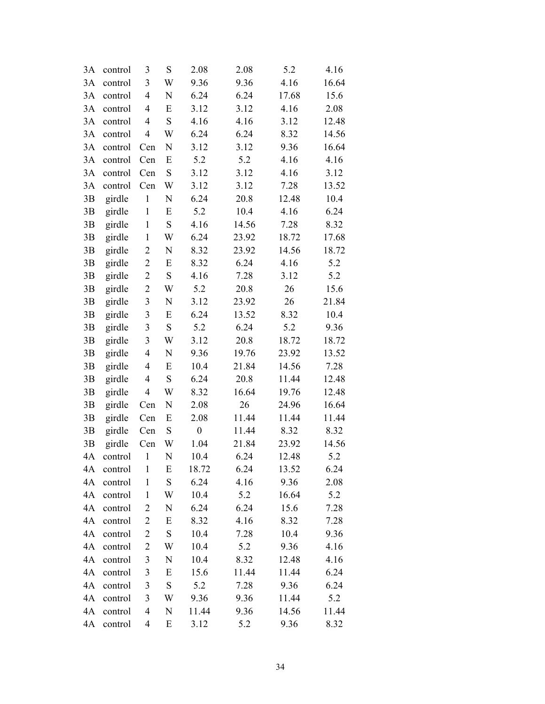| 3A | control | 3                       | S         | 2.08             | 2.08  | 5.2   | 4.16  |
|----|---------|-------------------------|-----------|------------------|-------|-------|-------|
| 3A | control | 3                       | W         | 9.36             | 9.36  | 4.16  | 16.64 |
| 3A | control | $\overline{4}$          | N         | 6.24             | 6.24  | 17.68 | 15.6  |
| 3A | control | 4                       | E         | 3.12             | 3.12  | 4.16  | 2.08  |
| 3A | control | 4                       | S         | 4.16             | 4.16  | 3.12  | 12.48 |
| 3A | control | $\overline{4}$          | W         | 6.24             | 6.24  | 8.32  | 14.56 |
| 3A | control | Cen                     | N         | 3.12             | 3.12  | 9.36  | 16.64 |
| 3A | control | Cen                     | E         | 5.2              | 5.2   | 4.16  | 4.16  |
| 3A | control | Cen                     | ${\bf S}$ | 3.12             | 3.12  | 4.16  | 3.12  |
| 3A | control | Cen                     | W         | 3.12             | 3.12  | 7.28  | 13.52 |
| 3B | girdle  | $\mathbf 1$             | N         | 6.24             | 20.8  | 12.48 | 10.4  |
| 3B | girdle  | $\mathbf{1}$            | E         | 5.2              | 10.4  | 4.16  | 6.24  |
| 3B | girdle  | $\mathbf{1}$            | ${\bf S}$ | 4.16             | 14.56 | 7.28  | 8.32  |
| 3B | girdle  | $\mathbf{1}$            | W         | 6.24             | 23.92 | 18.72 | 17.68 |
| 3B | girdle  | $\overline{c}$          | N         | 8.32             | 23.92 | 14.56 | 18.72 |
| 3B | girdle  | $\overline{\mathbf{c}}$ | E         | 8.32             | 6.24  | 4.16  | 5.2   |
| 3B | girdle  | $\overline{c}$          | ${\bf S}$ | 4.16             | 7.28  | 3.12  | 5.2   |
| 3B | girdle  | $\overline{c}$          | W         | 5.2              | 20.8  | 26    | 15.6  |
| 3B | girdle  | $\mathfrak{Z}$          | N         | 3.12             | 23.92 | 26    | 21.84 |
| 3B | girdle  | 3                       | E         | 6.24             | 13.52 | 8.32  | 10.4  |
| 3B | girdle  | 3                       | ${\bf S}$ | 5.2              | 6.24  | 5.2   | 9.36  |
| 3B | girdle  | $\mathfrak{Z}$          | W         | 3.12             | 20.8  | 18.72 | 18.72 |
| 3B | girdle  | $\overline{4}$          | N         | 9.36             | 19.76 | 23.92 | 13.52 |
| 3B | girdle  | 4                       | E         | 10.4             | 21.84 | 14.56 | 7.28  |
| 3B | girdle  | $\overline{4}$          | ${\bf S}$ | 6.24             | 20.8  | 11.44 | 12.48 |
| 3B | girdle  | 4                       | W         | 8.32             | 16.64 | 19.76 | 12.48 |
| 3B | girdle  | Cen                     | N         | 2.08             | 26    | 24.96 | 16.64 |
| 3B | girdle  | Cen                     | E         | 2.08             | 11.44 | 11.44 | 11.44 |
| 3B | girdle  | Cen                     | ${\bf S}$ | $\boldsymbol{0}$ | 11.44 | 8.32  | 8.32  |
| 3B | girdle  | Cen                     | W         | 1.04             | 21.84 | 23.92 | 14.56 |
| 4A | control | $\mathbf{1}$            | N         | 10.4             | 6.24  | 12.48 | 5.2   |
| 4A | control | $\mathbf{1}$            | E         | 18.72            | 6.24  | 13.52 | 6.24  |
| 4A | control | $\mathbf{1}$            | S         | 6.24             | 4.16  | 9.36  | 2.08  |
| 4A | control | $\mathbf{1}$            | W         | 10.4             | 5.2   | 16.64 | 5.2   |
| 4A | control | 2                       | N         | 6.24             | 6.24  | 15.6  | 7.28  |
| 4A | control | 2                       | E         | 8.32             | 4.16  | 8.32  | 7.28  |
| 4A | control | 2                       | ${\bf S}$ | 10.4             | 7.28  | 10.4  | 9.36  |
| 4A | control | $\overline{c}$          | W         | 10.4             | 5.2   | 9.36  | 4.16  |
| 4A | control | 3                       | N         | 10.4             | 8.32  | 12.48 | 4.16  |
| 4А | control | 3                       | E         | 15.6             | 11.44 | 11.44 | 6.24  |
| 4A | control | $\mathfrak{Z}$          | S         | 5.2              | 7.28  | 9.36  | 6.24  |
| 4A | control | 3                       | W         | 9.36             | 9.36  | 11.44 | 5.2   |
| 4A | control | 4                       | N         | 11.44            | 9.36  | 14.56 | 11.44 |
| 4A | control | 4                       | E         | 3.12             | 5.2   | 9.36  | 8.32  |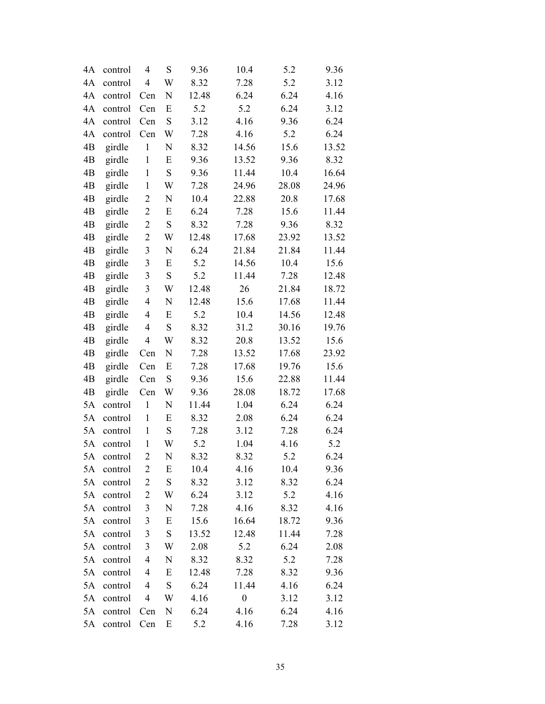| 4A | control | $\overline{4}$          | S         | 9.36  | 10.4             | 5.2   | 9.36  |
|----|---------|-------------------------|-----------|-------|------------------|-------|-------|
| 4A | control | $\overline{4}$          | W         | 8.32  | 7.28             | 5.2   | 3.12  |
| 4A | control | Cen                     | N         | 12.48 | 6.24             | 6.24  | 4.16  |
| 4A | control | Cen                     | E         | 5.2   | 5.2              | 6.24  | 3.12  |
| 4A | control | Cen                     | S         | 3.12  | 4.16             | 9.36  | 6.24  |
| 4A | control | Cen                     | W         | 7.28  | 4.16             | 5.2   | 6.24  |
| 4B | girdle  | $\,1$                   | N         | 8.32  | 14.56            | 15.6  | 13.52 |
| 4B | girdle  | $\,1$                   | E         | 9.36  | 13.52            | 9.36  | 8.32  |
| 4B | girdle  | $\,1$                   | S         | 9.36  | 11.44            | 10.4  | 16.64 |
| 4B | girdle  | $\,1$                   | W         | 7.28  | 24.96            | 28.08 | 24.96 |
| 4B | girdle  | $\overline{\mathbf{c}}$ | N         | 10.4  | 22.88            | 20.8  | 17.68 |
| 4B | girdle  | $\overline{c}$          | E         | 6.24  | 7.28             | 15.6  | 11.44 |
| 4B | girdle  | $\overline{c}$          | ${\bf S}$ | 8.32  | 7.28             | 9.36  | 8.32  |
| 4B | girdle  | $\overline{c}$          | W         | 12.48 | 17.68            | 23.92 | 13.52 |
| 4B | girdle  | $\mathfrak{Z}$          | N         | 6.24  | 21.84            | 21.84 | 11.44 |
| 4B | girdle  | $\mathfrak{Z}$          | E         | 5.2   | 14.56            | 10.4  | 15.6  |
| 4B | girdle  | $\mathfrak{Z}$          | S         | 5.2   | 11.44            | 7.28  | 12.48 |
| 4B | girdle  | $\mathfrak{Z}$          | W         | 12.48 | 26               | 21.84 | 18.72 |
| 4B | girdle  | $\overline{4}$          | N         | 12.48 | 15.6             | 17.68 | 11.44 |
| 4B | girdle  | $\overline{\mathbf{4}}$ | E         | 5.2   | 10.4             | 14.56 | 12.48 |
| 4B | girdle  | $\overline{4}$          | S         | 8.32  | 31.2             | 30.16 | 19.76 |
| 4B | girdle  | $\overline{4}$          | W         | 8.32  | 20.8             | 13.52 | 15.6  |
| 4B | girdle  | Cen                     | N         | 7.28  | 13.52            | 17.68 | 23.92 |
| 4B | girdle  | Cen                     | E         | 7.28  | 17.68            | 19.76 | 15.6  |
| 4B | girdle  | Cen                     | S         | 9.36  | 15.6             | 22.88 | 11.44 |
| 4B | girdle  | Cen                     | W         | 9.36  | 28.08            | 18.72 | 17.68 |
| 5A | control | $\mathbf{1}$            | N         | 11.44 | 1.04             | 6.24  | 6.24  |
| 5A | control | $\,1$                   | E         | 8.32  | 2.08             | 6.24  | 6.24  |
| 5A | control | $\mathbf{1}$            | S         | 7.28  | 3.12             | 7.28  | 6.24  |
| 5A | control | $\mathbf{1}$            | W         | 5.2   | 1.04             | 4.16  | 5.2   |
| 5A | control | $\overline{c}$          | N         | 8.32  | 8.32             | 5.2   | 6.24  |
| 5A | control | $\overline{c}$          | E         | 10.4  | 4.16             | 10.4  | 9.36  |
| 5A | control | $\overline{2}$          | ${\bf S}$ | 8.32  | 3.12             | 8.32  | 6.24  |
| 5A | control | $\overline{2}$          | W         | 6.24  | 3.12             | 5.2   | 4.16  |
| 5A | control | 3                       | N         | 7.28  | 4.16             | 8.32  | 4.16  |
| 5A | control | 3                       | E         | 15.6  | 16.64            | 18.72 | 9.36  |
| 5A | control | $\mathfrak{Z}$          | ${\bf S}$ | 13.52 | 12.48            | 11.44 | 7.28  |
| 5A | control | 3                       | W         | 2.08  | 5.2              | 6.24  | 2.08  |
| 5A | control | 4                       | N         | 8.32  | 8.32             | 5.2   | 7.28  |
| 5A | control | 4                       | E         | 12.48 | 7.28             | 8.32  | 9.36  |
| 5A | control | $\overline{4}$          | ${\bf S}$ | 6.24  | 11.44            | 4.16  | 6.24  |
| 5A | control | 4                       | W         | 4.16  | $\boldsymbol{0}$ | 3.12  | 3.12  |
| 5A | control | Cen                     | N         | 6.24  | 4.16             | 6.24  | 4.16  |
| 5A | control | Cen                     | E         | 5.2   | 4.16             | 7.28  | 3.12  |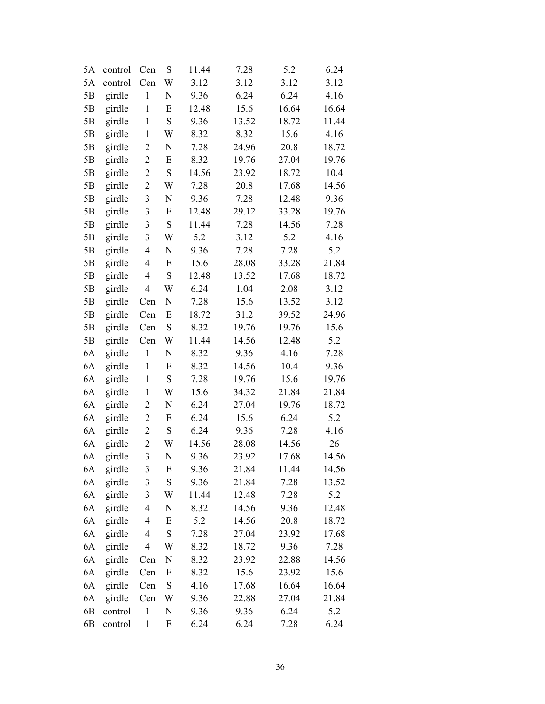| 5A             | control | Cen            | S         | 11.44 | 7.28  | 5.2   | 6.24  |
|----------------|---------|----------------|-----------|-------|-------|-------|-------|
| 5A             | control | Cen            | W         | 3.12  | 3.12  | 3.12  | 3.12  |
| 5B             | girdle  | $\mathbf{1}$   | N         | 9.36  | 6.24  | 6.24  | 4.16  |
| 5B             | girdle  | $\mathbf{1}$   | E         | 12.48 | 15.6  | 16.64 | 16.64 |
| 5B             | girdle  | $\mathbf{1}$   | S         | 9.36  | 13.52 | 18.72 | 11.44 |
| 5B             | girdle  | $\mathbf{1}$   | W         | 8.32  | 8.32  | 15.6  | 4.16  |
| 5B             | girdle  | $\overline{c}$ | N         | 7.28  | 24.96 | 20.8  | 18.72 |
| 5B             | girdle  | $\overline{c}$ | E         | 8.32  | 19.76 | 27.04 | 19.76 |
| 5B             | girdle  | $\overline{c}$ | S         | 14.56 | 23.92 | 18.72 | 10.4  |
| 5B             | girdle  | $\overline{c}$ | W         | 7.28  | 20.8  | 17.68 | 14.56 |
| 5B             | girdle  | $\mathfrak{Z}$ | N         | 9.36  | 7.28  | 12.48 | 9.36  |
| 5B             | girdle  | 3              | E         | 12.48 | 29.12 | 33.28 | 19.76 |
| 5B             | girdle  | 3              | ${\bf S}$ | 11.44 | 7.28  | 14.56 | 7.28  |
| 5B             | girdle  | $\mathfrak{Z}$ | W         | 5.2   | 3.12  | 5.2   | 4.16  |
| 5B             | girdle  | $\overline{4}$ | N         | 9.36  | 7.28  | 7.28  | 5.2   |
| 5B             | girdle  | 4              | E         | 15.6  | 28.08 | 33.28 | 21.84 |
| 5B             | girdle  | 4              | S         | 12.48 | 13.52 | 17.68 | 18.72 |
| 5B             | girdle  | $\overline{4}$ | W         | 6.24  | 1.04  | 2.08  | 3.12  |
| 5B             | girdle  | Cen            | N         | 7.28  | 15.6  | 13.52 | 3.12  |
| 5B             | girdle  | Cen            | E         | 18.72 | 31.2  | 39.52 | 24.96 |
| 5B             | girdle  | Cen            | ${\bf S}$ | 8.32  | 19.76 | 19.76 | 15.6  |
| 5B             | girdle  | Cen            | W         | 11.44 | 14.56 | 12.48 | 5.2   |
| 6A             | girdle  | $\mathbf{1}$   | N         | 8.32  | 9.36  | 4.16  | 7.28  |
| 6A             | girdle  | $\mathbf{1}$   | E         | 8.32  | 14.56 | 10.4  | 9.36  |
| 6A             | girdle  | $\mathbf{1}$   | ${\bf S}$ | 7.28  | 19.76 | 15.6  | 19.76 |
| 6A             | girdle  | $\mathbf{1}$   | W         | 15.6  | 34.32 | 21.84 | 21.84 |
| 6A             | girdle  | $\overline{c}$ | N         | 6.24  | 27.04 | 19.76 | 18.72 |
| 6A             | girdle  | $\overline{c}$ | E         | 6.24  | 15.6  | 6.24  | 5.2   |
| 6A             | girdle  | $\overline{c}$ | ${\bf S}$ | 6.24  | 9.36  | 7.28  | 4.16  |
| 6A             | girdle  | $\overline{c}$ | W         | 14.56 | 28.08 | 14.56 | 26    |
| 6A             | girdle  | 3              | N         | 9.36  | 23.92 | 17.68 | 14.56 |
| 6A             | girdle  | 3              | E         | 9.36  | 21.84 | 11.44 | 14.56 |
| 6A             | girdle  | 3              | S         | 9.36  | 21.84 | 7.28  | 13.52 |
| 6A             | girdle  | 3              | W         | 11.44 | 12.48 | 7.28  | 5.2   |
| 6A             | girdle  | 4              | N         | 8.32  | 14.56 | 9.36  | 12.48 |
| 6A             | girdle  | 4              | E         | 5.2   | 14.56 | 20.8  | 18.72 |
| 6A             | girdle  | 4              | ${\bf S}$ | 7.28  | 27.04 | 23.92 | 17.68 |
| 6A             | girdle  | $\overline{4}$ | W         | 8.32  | 18.72 | 9.36  | 7.28  |
| 6A             | girdle  | Cen            | N         | 8.32  | 23.92 | 22.88 | 14.56 |
| 6A             | girdle  | Cen            | E         | 8.32  | 15.6  | 23.92 | 15.6  |
| 6A             | girdle  | Cen            | ${\bf S}$ | 4.16  | 17.68 | 16.64 | 16.64 |
| 6A             | girdle  | Cen            | W         | 9.36  | 22.88 | 27.04 | 21.84 |
| 6B             | control | $\mathbf{1}$   | N         | 9.36  | 9.36  | 6.24  | 5.2   |
| 6 <sub>B</sub> | control | $\mathbf{1}$   | E         | 6.24  | 6.24  | 7.28  | 6.24  |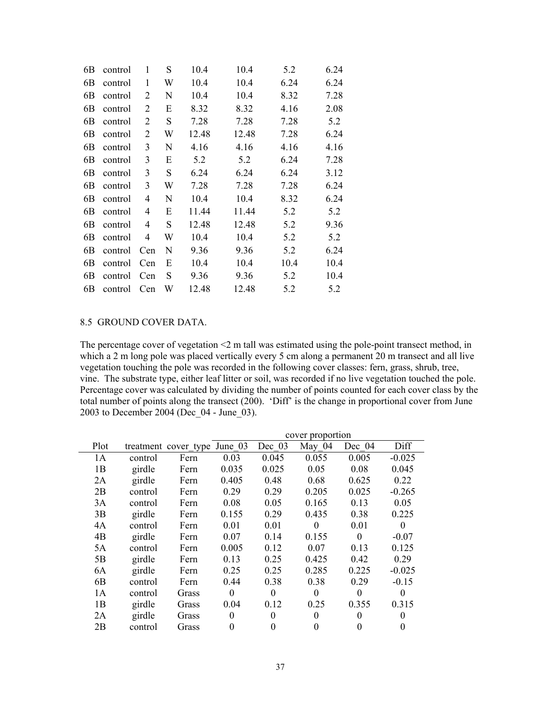| 6B | control | 1              | S | 10.4  | 10.4  | 5.2  | 6.24 |
|----|---------|----------------|---|-------|-------|------|------|
| 6B | control | 1              | W | 10.4  | 10.4  | 6.24 | 6.24 |
| 6B | control | 2              | N | 10.4  | 10.4  | 8.32 | 7.28 |
| 6B | control | 2              | E | 8.32  | 8.32  | 4.16 | 2.08 |
| 6B | control | $\overline{2}$ | S | 7.28  | 7.28  | 7.28 | 5.2  |
| 6B | control | $\overline{2}$ | W | 12.48 | 12.48 | 7.28 | 6.24 |
| 6B | control | 3              | N | 4.16  | 4.16  | 4.16 | 4.16 |
| 6B | control | 3              | E | 5.2   | 5.2   | 6.24 | 7.28 |
| 6B | control | 3              | S | 6.24  | 6.24  | 6.24 | 3.12 |
| 6B | control | 3              | W | 7.28  | 7.28  | 7.28 | 6.24 |
| 6B | control | 4              | N | 10.4  | 10.4  | 8.32 | 6.24 |
| 6B | control | 4              | E | 11.44 | 11.44 | 5.2  | 5.2  |
| 6B | control | 4              | S | 12.48 | 12.48 | 5.2  | 9.36 |
| 6B | control | 4              | W | 10.4  | 10.4  | 5.2  | 5.2  |
| 6B | control | Cen            | N | 9.36  | 9.36  | 5.2  | 6.24 |
| 6B | control | Cen            | E | 10.4  | 10.4  | 10.4 | 10.4 |
| 6B | control | Cen            | S | 9.36  | 9.36  | 5.2  | 10.4 |
| 6B | control | Cen            | W | 12.48 | 12.48 | 5.2  | 5.2  |

## 8.5 GROUND COVER DATA.

The percentage cover of vegetation <2 m tall was estimated using the pole-point transect method, in which a 2 m long pole was placed vertically every 5 cm along a permanent 20 m transect and all live vegetation touching the pole was recorded in the following cover classes: fern, grass, shrub, tree, vine. The substrate type, either leaf litter or soil, was recorded if no live vegetation touched the pole. Percentage cover was calculated by dividing the number of points counted for each cover class by the total number of points along the transect (200). 'Diff' is the change in proportional cover from June 2003 to December 2004 (Dec\_04 - June\_03).

|                |         |                              | cover proportion |          |          |          |          |  |  |  |
|----------------|---------|------------------------------|------------------|----------|----------|----------|----------|--|--|--|
| Plot           |         | treatment cover type June 03 |                  | Dec 03   | May 04   | Dec $04$ | Diff     |  |  |  |
| 1A             | control | Fern                         | 0.03             | 0.045    | 0.055    | 0.005    | $-0.025$ |  |  |  |
| 1B             | girdle  | Fern                         | 0.035            | 0.025    | 0.05     | 0.08     | 0.045    |  |  |  |
| 2A             | girdle  | Fern                         | 0.405            | 0.48     | 0.68     | 0.625    | 0.22     |  |  |  |
| 2B             | control | Fern                         | 0.29             | 0.29     | 0.205    | 0.025    | $-0.265$ |  |  |  |
| 3A             | control | Fern                         | 0.08             | 0.05     | 0.165    | 0.13     | 0.05     |  |  |  |
| 3B             | girdle  | Fern                         | 0.155            | 0.29     | 0.435    | 0.38     | 0.225    |  |  |  |
| 4A             | control | Fern                         | 0.01             | 0.01     | $\theta$ | 0.01     | $\theta$ |  |  |  |
| 4B             | girdle  | Fern                         | 0.07             | 0.14     | 0.155    | $\theta$ | $-0.07$  |  |  |  |
| 5A             | control | Fern                         | 0.005            | 0.12     | 0.07     | 0.13     | 0.125    |  |  |  |
| 5B             | girdle  | Fern                         | 0.13             | 0.25     | 0.425    | 0.42     | 0.29     |  |  |  |
| 6A             | girdle  | Fern                         | 0.25             | 0.25     | 0.285    | 0.225    | $-0.025$ |  |  |  |
| 6 <sub>B</sub> | control | Fern                         | 0.44             | 0.38     | 0.38     | 0.29     | $-0.15$  |  |  |  |
| 1A             | control | Grass                        | $\theta$         | $\theta$ | $\theta$ | $\theta$ | $\theta$ |  |  |  |
| 1B             | girdle  | Grass                        | 0.04             | 0.12     | 0.25     | 0.355    | 0.315    |  |  |  |
| 2A             | girdle  | Grass                        | 0                | $\theta$ | 0        | 0        | $\Omega$ |  |  |  |
| 2B             | control | Grass                        | 0                | 0        | 0        | $\theta$ | 0        |  |  |  |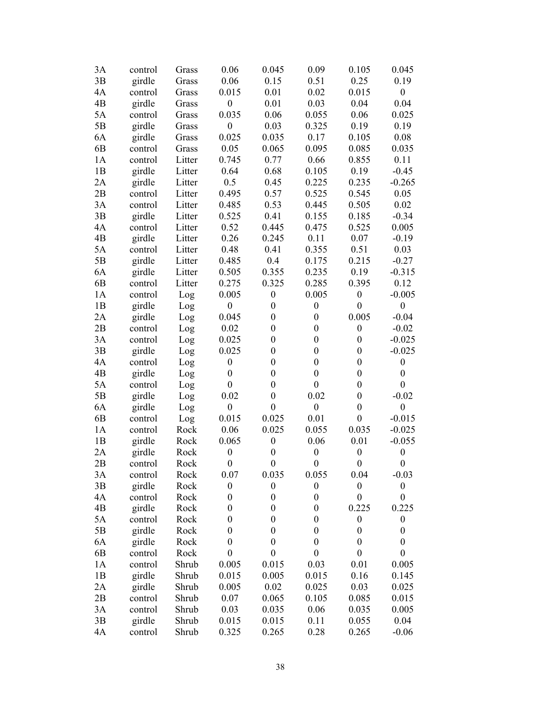| 3A             | control | Grass  | 0.06             | 0.045            | 0.09             | 0.105            | 0.045            |
|----------------|---------|--------|------------------|------------------|------------------|------------------|------------------|
| 3B             | girdle  | Grass  | 0.06             | 0.15             | 0.51             | 0.25             | 0.19             |
| 4A             | control | Grass  | 0.015            | 0.01             | 0.02             | 0.015            | $\boldsymbol{0}$ |
| 4 <sub>B</sub> | girdle  | Grass  | $\boldsymbol{0}$ | 0.01             | 0.03             | 0.04             | 0.04             |
| 5A             | control | Grass  | 0.035            | 0.06             | 0.055            | 0.06             | 0.025            |
| 5B             | girdle  | Grass  | $\boldsymbol{0}$ | 0.03             | 0.325            | 0.19             | 0.19             |
| 6A             | girdle  | Grass  | 0.025            | 0.035            | 0.17             | 0.105            | 0.08             |
| 6 <sub>B</sub> | control | Grass  | 0.05             | 0.065            | 0.095            | 0.085            | 0.035            |
| 1A             | control | Litter | 0.745            | 0.77             | 0.66             | 0.855            | 0.11             |
| 1B             | girdle  | Litter | 0.64             | 0.68             | 0.105            | 0.19             | $-0.45$          |
| 2A             | girdle  | Litter | 0.5              | 0.45             | 0.225            | 0.235            | $-0.265$         |
| 2B             | control | Litter | 0.495            | 0.57             | 0.525            | 0.545            | 0.05             |
| 3A             | control | Litter | 0.485            | 0.53             | 0.445            | 0.505            | 0.02             |
| 3B             | girdle  | Litter | 0.525            | 0.41             | 0.155            | 0.185            | $-0.34$          |
| 4A             | control | Litter | 0.52             | 0.445            | 0.475            | 0.525            | 0.005            |
| 4B             | girdle  | Litter | 0.26             | 0.245            | 0.11             | 0.07             | $-0.19$          |
| 5A             | control | Litter | 0.48             | 0.41             | 0.355            | 0.51             | 0.03             |
| 5B             | girdle  | Litter | 0.485            | 0.4              | 0.175            | 0.215            | $-0.27$          |
| 6A             | girdle  | Litter | 0.505            | 0.355            | 0.235            | 0.19             | $-0.315$         |
| 6 <sub>B</sub> | control | Litter | 0.275            | 0.325            | 0.285            | 0.395            | 0.12             |
| 1A             | control | Log    | 0.005            | $\boldsymbol{0}$ | 0.005            | $\boldsymbol{0}$ | $-0.005$         |
| 1B             | girdle  | Log    | $\boldsymbol{0}$ | $\boldsymbol{0}$ | $\boldsymbol{0}$ | $\boldsymbol{0}$ | $\boldsymbol{0}$ |
| 2A             | girdle  | Log    | 0.045            | $\boldsymbol{0}$ | $\boldsymbol{0}$ | 0.005            | $-0.04$          |
| 2B             | control | Log    | 0.02             | $\boldsymbol{0}$ | $\boldsymbol{0}$ | $\boldsymbol{0}$ | $-0.02$          |
| 3A             | control | Log    | 0.025            | $\boldsymbol{0}$ | $\boldsymbol{0}$ | $\boldsymbol{0}$ | $-0.025$         |
| 3B             | girdle  | Log    | 0.025            | $\boldsymbol{0}$ | $\boldsymbol{0}$ | $\boldsymbol{0}$ | $-0.025$         |
| 4A             | control | Log    | $\boldsymbol{0}$ | $\boldsymbol{0}$ | $\boldsymbol{0}$ | $\boldsymbol{0}$ | $\boldsymbol{0}$ |
| 4 <sub>B</sub> | girdle  | Log    | $\boldsymbol{0}$ | $\boldsymbol{0}$ | $\boldsymbol{0}$ | $\boldsymbol{0}$ | $\boldsymbol{0}$ |
| 5A             | control | Log    | $\boldsymbol{0}$ | $\boldsymbol{0}$ | $\boldsymbol{0}$ | $\boldsymbol{0}$ | $\boldsymbol{0}$ |
| 5B             | girdle  | Log    | 0.02             | $\boldsymbol{0}$ | 0.02             | $\boldsymbol{0}$ | $-0.02$          |
| 6A             | girdle  | Log    | $\boldsymbol{0}$ | $\boldsymbol{0}$ | $\boldsymbol{0}$ | $\boldsymbol{0}$ | $\boldsymbol{0}$ |
| 6 <sub>B</sub> | control | Log    | 0.015            | 0.025            | 0.01             | $\boldsymbol{0}$ | $-0.015$         |
| 1A             | control | Rock   | 0.06             | 0.025            | 0.055            | 0.035            | $-0.025$         |
| 1B             | girdle  | Rock   | 0.065            | $\boldsymbol{0}$ | 0.06             | 0.01             | $-0.055$         |
| 2A             | girdle  | Rock   | $\boldsymbol{0}$ | $\boldsymbol{0}$ | $\boldsymbol{0}$ | $\boldsymbol{0}$ | $\boldsymbol{0}$ |
| 2B             | control | Rock   | $\boldsymbol{0}$ | $\boldsymbol{0}$ | $\boldsymbol{0}$ | $\boldsymbol{0}$ | $\boldsymbol{0}$ |
| 3A             | control | Rock   | 0.07             | 0.035            | 0.055            | 0.04             | $-0.03$          |
| 3B             | girdle  | Rock   | $\boldsymbol{0}$ | $\boldsymbol{0}$ | $\boldsymbol{0}$ | $\boldsymbol{0}$ | $\boldsymbol{0}$ |
| 4A             | control | Rock   | $\boldsymbol{0}$ | $\boldsymbol{0}$ | $\boldsymbol{0}$ | $\boldsymbol{0}$ | $\boldsymbol{0}$ |
| 4B             | girdle  | Rock   | $\boldsymbol{0}$ | $\boldsymbol{0}$ | $\boldsymbol{0}$ | 0.225            | 0.225            |
| 5A             | control | Rock   | $\boldsymbol{0}$ | $\boldsymbol{0}$ | $\boldsymbol{0}$ | $\boldsymbol{0}$ | $\boldsymbol{0}$ |
| 5B             | girdle  | Rock   | $\boldsymbol{0}$ | $\boldsymbol{0}$ | $\boldsymbol{0}$ | $\boldsymbol{0}$ | $\boldsymbol{0}$ |
| 6A             | girdle  | Rock   | $\boldsymbol{0}$ | $\boldsymbol{0}$ | $\boldsymbol{0}$ | $\boldsymbol{0}$ | $\boldsymbol{0}$ |
| 6B             | control | Rock   | $\boldsymbol{0}$ | $\boldsymbol{0}$ | $\boldsymbol{0}$ | $\boldsymbol{0}$ | $\boldsymbol{0}$ |
| 1A             | control | Shrub  | 0.005            | 0.015            | 0.03             | 0.01             | 0.005            |
| 1B             | girdle  | Shrub  | 0.015            | 0.005            | 0.015            | 0.16             | 0.145            |
| 2A             | girdle  | Shrub  | 0.005            | 0.02             | 0.025            | 0.03             | 0.025            |
| 2B             | control | Shrub  | 0.07             | 0.065            | 0.105            | 0.085            | 0.015            |
| 3A             | control | Shrub  | 0.03             | 0.035            | 0.06             | 0.035            | 0.005            |
| 3B             | girdle  | Shrub  | 0.015            | 0.015            | 0.11             | 0.055            | 0.04             |
| 4A             | control | Shrub  | 0.325            | 0.265            | 0.28             | 0.265            | $-0.06$          |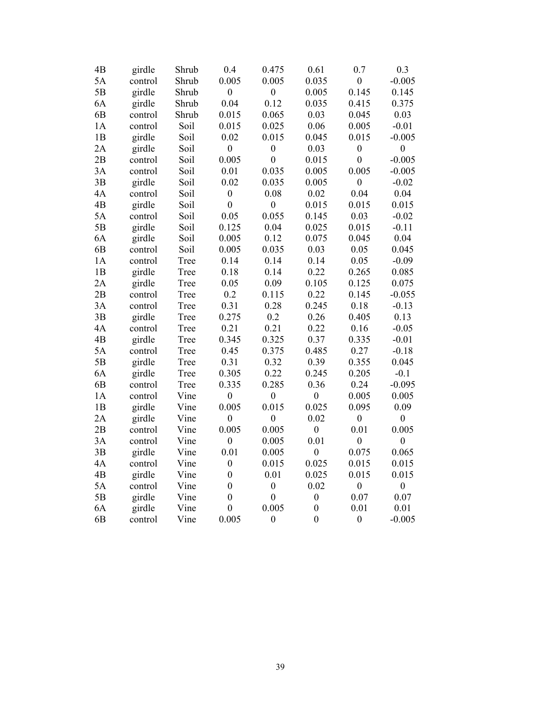| 4B             | girdle  | Shrub | 0.4              | 0.475            | 0.61             | 0.7              | 0.3              |
|----------------|---------|-------|------------------|------------------|------------------|------------------|------------------|
| 5A             | control | Shrub | 0.005            | 0.005            | 0.035            | $\boldsymbol{0}$ | $-0.005$         |
| 5B             | girdle  | Shrub | $\boldsymbol{0}$ | $\boldsymbol{0}$ | 0.005            | 0.145            | 0.145            |
| 6A             | girdle  | Shrub | 0.04             | 0.12             | 0.035            | 0.415            | 0.375            |
| 6B             | control | Shrub | 0.015            | 0.065            | 0.03             | 0.045            | 0.03             |
| 1A             | control | Soil  | 0.015            | 0.025            | 0.06             | 0.005            | $-0.01$          |
| 1B             | girdle  | Soil  | 0.02             | 0.015            | 0.045            | 0.015            | $-0.005$         |
| 2A             | girdle  | Soil  | $\boldsymbol{0}$ | $\boldsymbol{0}$ | 0.03             | $\boldsymbol{0}$ | $\boldsymbol{0}$ |
| 2B             | control | Soil  | 0.005            | $\mathbf{0}$     | 0.015            | $\mathbf{0}$     | $-0.005$         |
| 3A             | control | Soil  | 0.01             | 0.035            | 0.005            | 0.005            | $-0.005$         |
| 3B             | girdle  | Soil  | 0.02             | 0.035            | 0.005            | $\boldsymbol{0}$ | $-0.02$          |
| 4A             | control | Soil  | $\boldsymbol{0}$ | 0.08             | 0.02             | 0.04             | 0.04             |
| 4B             | girdle  | Soil  | $\boldsymbol{0}$ | $\boldsymbol{0}$ | 0.015            | 0.015            | 0.015            |
| 5A             | control | Soil  | 0.05             | 0.055            | 0.145            | 0.03             | $-0.02$          |
| 5B             | girdle  | Soil  | 0.125            | 0.04             | 0.025            | 0.015            | $-0.11$          |
| 6A             | girdle  | Soil  | 0.005            | 0.12             | 0.075            | 0.045            | 0.04             |
| 6B             | control | Soil  | 0.005            | 0.035            | 0.03             | 0.05             | 0.045            |
| 1A             | control | Tree  | 0.14             | 0.14             | 0.14             | 0.05             | $-0.09$          |
| 1B             | girdle  | Tree  | 0.18             | 0.14             | 0.22             | 0.265            | 0.085            |
| 2A             | girdle  | Tree  | 0.05             | 0.09             | 0.105            | 0.125            | 0.075            |
| 2B             | control | Tree  | 0.2              | 0.115            | 0.22             | 0.145            | $-0.055$         |
| 3A             | control | Tree  | 0.31             | 0.28             | 0.245            | 0.18             | $-0.13$          |
| 3B             | girdle  | Tree  | 0.275            | 0.2              | 0.26             | 0.405            | 0.13             |
| 4A             | control | Tree  | 0.21             | 0.21             | 0.22             | 0.16             | $-0.05$          |
| 4B             | girdle  | Tree  | 0.345            | 0.325            | 0.37             | 0.335            | $-0.01$          |
| 5A             | control | Tree  | 0.45             | 0.375            | 0.485            | 0.27             | $-0.18$          |
| 5B             | girdle  | Tree  | 0.31             | 0.32             | 0.39             | 0.355            | 0.045            |
| 6A             | girdle  | Tree  | 0.305            | 0.22             | 0.245            | 0.205            | $-0.1$           |
| 6B             | control | Tree  | 0.335            | 0.285            | 0.36             | 0.24             | $-0.095$         |
| 1A             | control | Vine  | $\boldsymbol{0}$ | $\boldsymbol{0}$ | $\boldsymbol{0}$ | 0.005            | 0.005            |
| 1B             | girdle  | Vine  | 0.005            | 0.015            | 0.025            | 0.095            | 0.09             |
| 2A             | girdle  | Vine  | $\boldsymbol{0}$ | $\boldsymbol{0}$ | 0.02             | $\boldsymbol{0}$ | $\boldsymbol{0}$ |
| 2B             | control | Vine  | 0.005            | 0.005            | $\boldsymbol{0}$ | 0.01             | 0.005            |
| 3A             | control | Vine  | $\boldsymbol{0}$ | 0.005            | 0.01             | $\boldsymbol{0}$ | $\boldsymbol{0}$ |
| 3B             | girdle  | Vine  | 0.01             | 0.005            | $\overline{0}$   | 0.075            | 0.065            |
| 4A             | control | Vine  | $\boldsymbol{0}$ | 0.015            | 0.025            | 0.015            | 0.015            |
| 4B             | girdle  | Vine  | $\boldsymbol{0}$ | 0.01             | 0.025            | 0.015            | 0.015            |
| 5A             | control | Vine  | $\boldsymbol{0}$ | $\boldsymbol{0}$ | 0.02             | $\boldsymbol{0}$ | $\boldsymbol{0}$ |
| 5B             | girdle  | Vine  | $\boldsymbol{0}$ | $\boldsymbol{0}$ | $\boldsymbol{0}$ | 0.07             | 0.07             |
| 6A             | girdle  | Vine  | $\boldsymbol{0}$ | 0.005            | $\overline{0}$   | 0.01             | 0.01             |
| 6 <sub>B</sub> | control | Vine  | 0.005            | $\boldsymbol{0}$ | $\overline{0}$   | $\boldsymbol{0}$ | $-0.005$         |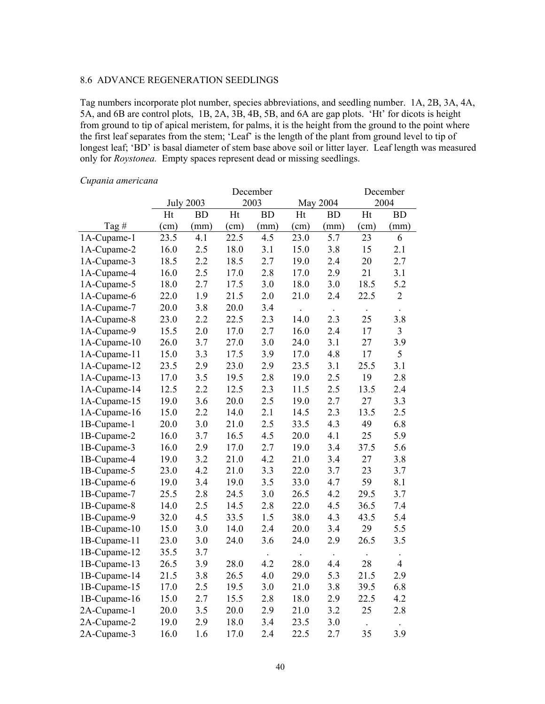#### 8.6 ADVANCE REGENERATION SEEDLINGS

Tag numbers incorporate plot number, species abbreviations, and seedling number. 1A, 2B, 3A, 4A, 5A, and 6B are control plots, 1B, 2A, 3B, 4B, 5B, and 6A are gap plots. 'Ht' for dicots is height from ground to tip of apical meristem, for palms, it is the height from the ground to the point where the first leaf separates from the stem; 'Leaf' is the length of the plant from ground level to tip of longest leaf; 'BD' is basal diameter of stem base above soil or litter layer. Leaf length was measured only for *Roystonea.* Empty spaces represent dead or missing seedlings.

#### July 2003 December 2003 May 2004 December 2004 Tag # Ht (cm) BD (mm) Ht (cm) BD (mm) Ht (cm) BD (mm) Ht (cm) BD (mm) 1A-Cupame-1 23.5 4.1 22.5 4.5 23.0 5.7 23 6 1A-Cupame-2 16.0 2.5 18.0 3.1 15.0 3.8 15 2.1 1A-Cupame-3 18.5 2.2 18.5 2.7 19.0 2.4 20 2.7 1A-Cupame-4 16.0 2.5 17.0 2.8 17.0 2.9 21 3.1 1A-Cupame-5 18.0 2.7 17.5 3.0 18.0 3.0 18.5 5.2 1A-Cupame-6 22.0 1.9 21.5 2.0 21.0 2.4 22.5 2 1A-Cupame-7 20.0 3.8 20.0 3.4 . 1A-Cupame-8 23.0 2.2 22.5 2.3 14.0 2.3 25 3.8 1A-Cupame-9 15.5 2.0 17.0 2.7 16.0 2.4 17 3 1A-Cupame-10 26.0 3.7 27.0 3.0 24.0 3.1 27 3.9 1A-Cupame-11 15.0 3.3 17.5 3.9 17.0 4.8 17 5 1A-Cupame-12 23.5 2.9 23.0 2.9 23.5 3.1 25.5 3.1 1A-Cupame-13 17.0 3.5 19.5 2.8 19.0 2.5 19 2.8 1A-Cupame-14 12.5 2.2 12.5 2.3 11.5 2.5 13.5 2.4 1A-Cupame-15 19.0 3.6 20.0 2.5 19.0 2.7 27 3.3 1A-Cupame-16 15.0 2.2 14.0 2.1 14.5 2.3 13.5 2.5 1B-Cupame-1 20.0 3.0 21.0 2.5 33.5 4.3 49 6.8 1B-Cupame-2 16.0 3.7 16.5 4.5 20.0 4.1 25 5.9 1B-Cupame-3 16.0 2.9 17.0 2.7 19.0 3.4 37.5 5.6 1B-Cupame-4 19.0 3.2 21.0 4.2 21.0 3.4 27 3.8 1B-Cupame-5 23.0 4.2 21.0 3.3 22.0 3.7 23 3.7 1B-Cupame-6 19.0 3.4 19.0 3.5 33.0 4.7 59 8.1 1B-Cupame-7 25.5 2.8 24.5 3.0 26.5 4.2 29.5 3.7 1B-Cupame-8 14.0 2.5 14.5 2.8 22.0 4.5 36.5 7.4 1B-Cupame-9 32.0 4.5 33.5 1.5 38.0 4.3 43.5 5.4 1B-Cupame-10 15.0 3.0 14.0 2.4 20.0 3.4 29 5.5 1B-Cupame-11 23.0 3.0 24.0 3.6 24.0 2.9 26.5 3.5 1B-Cupame-12 35.5 3.7 1B-Cupame-13 26.5 3.9 28.0 4.2 28.0 4.4 28 4 1B-Cupame-14 21.5 3.8 26.5 4.0 29.0 5.3 21.5 2.9 1B-Cupame-15 17.0 2.5 19.5 3.0 21.0 3.8 39.5 6.8 1B-Cupame-16 15.0 2.7 15.5 2.8 18.0 2.9 22.5 4.2 2A-Cupame-1 20.0 3.5 20.0 2.9 21.0 3.2 25 2.8 2A-Cupame-2 19.0 2.9 18.0 3.4 23.5 3.0 . 2A-Cupame-3 16.0 1.6 17.0 2.4 22.5 2.7 35 3.9

#### *Cupania americana*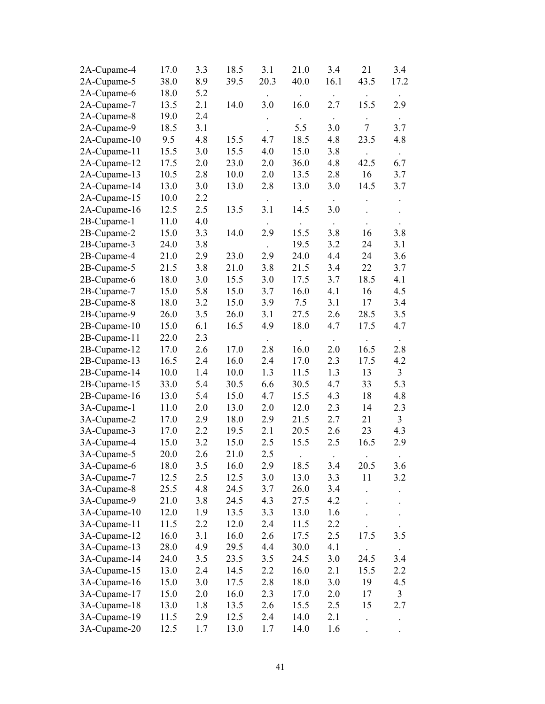| 2A-Cupame-4  | 17.0 | 3.3 | 18.5 | 3.1       | 21.0 | 3.4         | 21     | 3.4                  |
|--------------|------|-----|------|-----------|------|-------------|--------|----------------------|
| 2A-Cupame-5  | 38.0 | 8.9 | 39.5 | 20.3      | 40.0 | 16.1        | 43.5   | 17.2                 |
| 2A-Cupame-6  | 18.0 | 5.2 |      |           |      |             |        |                      |
| 2A-Cupame-7  | 13.5 | 2.1 | 14.0 | 3.0       | 16.0 | 2.7         | 15.5   | 2.9                  |
| 2A-Cupame-8  | 19.0 | 2.4 |      |           |      | $\bullet$ . |        | $\bullet$            |
| 2A-Cupame-9  | 18.5 | 3.1 |      |           | 5.5  | 3.0         | $\tau$ | 3.7                  |
| 2A-Cupame-10 | 9.5  | 4.8 | 15.5 | 4.7       | 18.5 | 4.8         | 23.5   | 4.8                  |
| 2A-Cupame-11 | 15.5 | 3.0 | 15.5 | 4.0       | 15.0 | 3.8         |        | $\ddot{\phantom{0}}$ |
| 2A-Cupame-12 | 17.5 | 2.0 | 23.0 | 2.0       | 36.0 | 4.8         | 42.5   | 6.7                  |
| 2A-Cupame-13 | 10.5 | 2.8 | 10.0 | 2.0       | 13.5 | 2.8         | 16     | 3.7                  |
| 2A-Cupame-14 | 13.0 | 3.0 | 13.0 | 2.8       | 13.0 | 3.0         | 14.5   | 3.7                  |
| 2A-Cupame-15 | 10.0 | 2.2 |      |           |      |             |        |                      |
| 2A-Cupame-16 | 12.5 | 2.5 | 13.5 | 3.1       | 14.5 | 3.0         |        |                      |
| 2B-Cupame-1  | 11.0 | 4.0 |      |           |      | $\bullet$   |        |                      |
| 2B-Cupame-2  | 15.0 | 3.3 | 14.0 | 2.9       | 15.5 | 3.8         | 16     | 3.8                  |
| 2B-Cupame-3  | 24.0 | 3.8 |      | $\bullet$ | 19.5 | 3.2         | 24     | 3.1                  |
| 2B-Cupame-4  | 21.0 | 2.9 | 23.0 | 2.9       | 24.0 | 4.4         | 24     | 3.6                  |
| 2B-Cupame-5  | 21.5 | 3.8 | 21.0 | 3.8       | 21.5 | 3.4         | 22     | 3.7                  |
| 2B-Cupame-6  | 18.0 | 3.0 | 15.5 | 3.0       | 17.5 | 3.7         | 18.5   | 4.1                  |
| 2B-Cupame-7  | 15.0 | 5.8 | 15.0 | 3.7       | 16.0 | 4.1         | 16     | 4.5                  |
| 2B-Cupame-8  | 18.0 | 3.2 | 15.0 | 3.9       | 7.5  | 3.1         | 17     | 3.4                  |
| 2B-Cupame-9  | 26.0 | 3.5 | 26.0 | 3.1       | 27.5 | 2.6         | 28.5   | 3.5                  |
| 2B-Cupame-10 | 15.0 | 6.1 | 16.5 | 4.9       | 18.0 | 4.7         | 17.5   | 4.7                  |
| 2B-Cupame-11 | 22.0 | 2.3 |      |           |      | $\bullet$   |        | $\bullet$            |
| 2B-Cupame-12 | 17.0 | 2.6 | 17.0 | 2.8       | 16.0 | 2.0         | 16.5   | 2.8                  |
| 2B-Cupame-13 | 16.5 | 2.4 | 16.0 | 2.4       | 17.0 | 2.3         | 17.5   | 4.2                  |
| 2B-Cupame-14 | 10.0 | 1.4 | 10.0 | 1.3       | 11.5 | 1.3         | 13     | $\overline{3}$       |
| 2B-Cupame-15 | 33.0 | 5.4 | 30.5 | 6.6       | 30.5 | 4.7         | 33     | 5.3                  |
| 2B-Cupame-16 | 13.0 | 5.4 | 15.0 | 4.7       | 15.5 | 4.3         | 18     | 4.8                  |
| 3A-Cupame-1  | 11.0 | 2.0 | 13.0 | 2.0       | 12.0 | 2.3         | 14     | 2.3                  |
| 3A-Cupame-2  | 17.0 | 2.9 | 18.0 | 2.9       | 21.5 | 2.7         | 21     | $\mathfrak{Z}$       |
| 3A-Cupame-3  | 17.0 | 2.2 | 19.5 | 2.1       | 20.5 | 2.6         | 23     | 4.3                  |
| 3A-Cupame-4  | 15.0 | 3.2 | 15.0 | 2.5       | 15.5 | 2.5         | 16.5   | 2.9                  |
| 3A-Cupame-5  | 20.0 | 2.6 | 21.0 | 2.5       |      |             |        |                      |
| 3A-Cupame-6  | 18.0 | 3.5 | 16.0 | 2.9       | 18.5 | 3.4         | 20.5   | 3.6                  |
| 3A-Cupame-7  | 12.5 | 2.5 | 12.5 | 3.0       | 13.0 | 3.3         | 11     | 3.2                  |
| 3A-Cupame-8  | 25.5 | 4.8 | 24.5 | 3.7       | 26.0 | 3.4         |        |                      |
| 3A-Cupame-9  | 21.0 | 3.8 | 24.5 | 4.3       | 27.5 | 4.2         |        |                      |
| 3A-Cupame-10 | 12.0 | 1.9 | 13.5 | 3.3       | 13.0 | 1.6         |        |                      |
| 3A-Cupame-11 | 11.5 | 2.2 | 12.0 | 2.4       | 11.5 | 2.2         |        |                      |
| 3A-Cupame-12 | 16.0 | 3.1 | 16.0 | 2.6       | 17.5 | 2.5         | 17.5   | 3.5                  |
| 3A-Cupame-13 | 28.0 | 4.9 | 29.5 | 4.4       | 30.0 | 4.1         |        |                      |
| 3A-Cupame-14 | 24.0 | 3.5 | 23.5 | 3.5       | 24.5 | 3.0         | 24.5   | 3.4                  |
| 3A-Cupame-15 | 13.0 | 2.4 | 14.5 | 2.2       | 16.0 | 2.1         | 15.5   | 2.2                  |
| 3A-Cupame-16 | 15.0 | 3.0 | 17.5 | 2.8       | 18.0 | 3.0         | 19     | 4.5                  |
| 3A-Cupame-17 | 15.0 | 2.0 | 16.0 | 2.3       | 17.0 | 2.0         | 17     | 3                    |
| 3A-Cupame-18 | 13.0 | 1.8 | 13.5 | 2.6       | 15.5 | 2.5         | 15     | 2.7                  |
| 3A-Cupame-19 | 11.5 | 2.9 | 12.5 | 2.4       | 14.0 | 2.1         |        | $\ddot{\phantom{0}}$ |
| 3A-Cupame-20 | 12.5 | 1.7 | 13.0 | 1.7       | 14.0 | 1.6         |        |                      |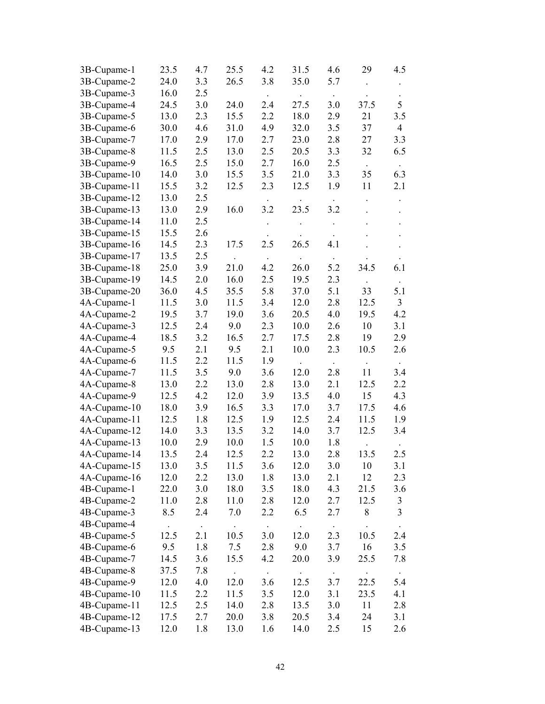| 3B-Cupame-1  | 23.5 | 4.7       | 25.5 | 4.2           | 31.5                 | 4.6                  | 29        | 4.5                  |
|--------------|------|-----------|------|---------------|----------------------|----------------------|-----------|----------------------|
| 3B-Cupame-2  | 24.0 | 3.3       | 26.5 | 3.8           | 35.0                 | 5.7                  |           |                      |
| 3B-Cupame-3  | 16.0 | 2.5       |      |               |                      | $\bullet$            |           |                      |
| 3B-Cupame-4  | 24.5 | 3.0       | 24.0 | 2.4           | 27.5                 | 3.0                  | 37.5      | 5                    |
| 3B-Cupame-5  | 13.0 | 2.3       | 15.5 | 2.2           | 18.0                 | 2.9                  | 21        | 3.5                  |
| 3B-Cupame-6  | 30.0 | 4.6       | 31.0 | 4.9           | 32.0                 | 3.5                  | 37        | $\overline{4}$       |
| 3B-Cupame-7  | 17.0 | 2.9       | 17.0 | 2.7           | 23.0                 | 2.8                  | 27        | 3.3                  |
| 3B-Cupame-8  | 11.5 | 2.5       | 13.0 | 2.5           | 20.5                 | 3.3                  | 32        | 6.5                  |
| 3B-Cupame-9  | 16.5 | 2.5       | 15.0 | 2.7           | 16.0                 | 2.5                  |           | $\bullet$            |
| 3B-Cupame-10 | 14.0 | 3.0       | 15.5 | 3.5           | 21.0                 | 3.3                  | 35        | 6.3                  |
| 3B-Cupame-11 | 15.5 | 3.2       | 12.5 | 2.3           | 12.5                 | 1.9                  | 11        | 2.1                  |
| 3B-Cupame-12 | 13.0 | 2.5       |      |               |                      |                      |           |                      |
| 3B-Cupame-13 | 13.0 | 2.9       | 16.0 | 3.2           | 23.5                 | 3.2                  |           | $\ddot{\phantom{0}}$ |
| 3B-Cupame-14 | 11.0 | 2.5       |      |               |                      |                      |           |                      |
| 3B-Cupame-15 | 15.5 | 2.6       |      |               |                      | $\ddot{\phantom{0}}$ |           | $\ddot{\phantom{0}}$ |
| 3B-Cupame-16 | 14.5 | 2.3       | 17.5 | 2.5           | 26.5                 | $\bullet$<br>4.1     |           | $\ddot{\phantom{0}}$ |
| 3B-Cupame-17 | 13.5 | 2.5       |      |               |                      |                      |           |                      |
| 3B-Cupame-18 | 25.0 | 3.9       | 21.0 | $\sim$<br>4.2 | 26.0                 | $\bullet$<br>5.2     | 34.5      | 6.1                  |
| 3B-Cupame-19 | 14.5 | 2.0       | 16.0 | 2.5           | 19.5                 | 2.3                  |           |                      |
|              | 36.0 | 4.5       | 35.5 | 5.8           | 37.0                 | 5.1                  | 33        | 5.1                  |
| 3B-Cupame-20 |      |           |      | 3.4           | 12.0                 | 2.8                  | 12.5      | $\overline{3}$       |
| 4A-Cupame-1  | 11.5 | 3.0       | 11.5 |               |                      |                      | 19.5      |                      |
| 4A-Cupame-2  | 19.5 | 3.7       | 19.0 | 3.6           | 20.5                 | 4.0                  |           | 4.2                  |
| 4A-Cupame-3  | 12.5 | 2.4       | 9.0  | 2.3           | 10.0                 | 2.6                  | 10        | 3.1                  |
| 4A-Cupame-4  | 18.5 | 3.2       | 16.5 | 2.7           | 17.5                 | 2.8                  | 19        | 2.9                  |
| 4A-Cupame-5  | 9.5  | 2.1       | 9.5  | 2.1           | 10.0                 | 2.3                  | 10.5      | 2.6                  |
| 4A-Cupame-6  | 11.5 | 2.2       | 11.5 | 1.9           | $\ddot{\phantom{a}}$ | $\star$ .            | $\bullet$ | $\sim$               |
| 4A-Cupame-7  | 11.5 | 3.5       | 9.0  | 3.6           | 12.0                 | 2.8                  | 11        | 3.4                  |
| 4A-Cupame-8  | 13.0 | 2.2       | 13.0 | 2.8           | 13.0                 | 2.1                  | 12.5      | 2.2                  |
| 4A-Cupame-9  | 12.5 | 4.2       | 12.0 | 3.9           | 13.5                 | 4.0                  | 15        | 4.3                  |
| 4A-Cupame-10 | 18.0 | 3.9       | 16.5 | 3.3           | 17.0                 | 3.7                  | 17.5      | 4.6                  |
| 4A-Cupame-11 | 12.5 | 1.8       | 12.5 | 1.9           | 12.5                 | 2.4                  | 11.5      | 1.9                  |
| 4A-Cupame-12 | 14.0 | 3.3       | 13.5 | 3.2           | 14.0                 | 3.7                  | 12.5      | 3.4                  |
| 4A-Cupame-13 | 10.0 | 2.9       | 10.0 | 1.5           | 10.0                 | 1.8                  |           |                      |
| 4A-Cupame-14 | 13.5 | 2.4       | 12.5 | 2.2           | 13.0                 | 2.8                  | 13.5      | 2.5                  |
| 4A-Cupame-15 | 13.0 | 3.5       | 11.5 | 3.6           | 12.0                 | 3.0                  | 10        | 3.1                  |
| 4A-Cupame-16 | 12.0 | 2.2       | 13.0 | 1.8           | 13.0                 | 2.1                  | 12        | 2.3                  |
| 4B-Cupame-1  | 22.0 | 3.0       | 18.0 | 3.5           | 18.0                 | 4.3                  | 21.5      | 3.6                  |
| 4B-Cupame-2  | 11.0 | 2.8       | 11.0 | 2.8           | 12.0                 | 2.7                  | 12.5      | $\mathfrak{Z}$       |
| 4B-Cupame-3  | 8.5  | 2.4       | 7.0  | 2.2           | 6.5                  | 2.7                  | 8         | $\mathfrak{Z}$       |
| 4B-Cupame-4  |      | $\bullet$ |      |               |                      | $\bullet$            |           |                      |
| 4B-Cupame-5  | 12.5 | 2.1       | 10.5 | 3.0           | 12.0                 | 2.3                  | 10.5      | 2.4                  |
| 4B-Cupame-6  | 9.5  | 1.8       | 7.5  | 2.8           | 9.0                  | 3.7                  | 16        | 3.5                  |
| 4B-Cupame-7  | 14.5 | 3.6       | 15.5 | 4.2           | 20.0                 | 3.9                  | 25.5      | 7.8                  |
| 4B-Cupame-8  | 37.5 | 7.8       |      |               |                      | $\bullet$            |           |                      |
| 4B-Cupame-9  | 12.0 | 4.0       | 12.0 | 3.6           | 12.5                 | 3.7                  | 22.5      | 5.4                  |
| 4B-Cupame-10 | 11.5 | 2.2       | 11.5 | 3.5           | 12.0                 | 3.1                  | 23.5      | 4.1                  |
| 4B-Cupame-11 | 12.5 | 2.5       | 14.0 | 2.8           | 13.5                 | 3.0                  | 11        | 2.8                  |
| 4B-Cupame-12 | 17.5 | 2.7       | 20.0 | 3.8           | 20.5                 | 3.4                  | 24        | 3.1                  |
| 4B-Cupame-13 | 12.0 | 1.8       | 13.0 | 1.6           | 14.0                 | 2.5                  | 15        | 2.6                  |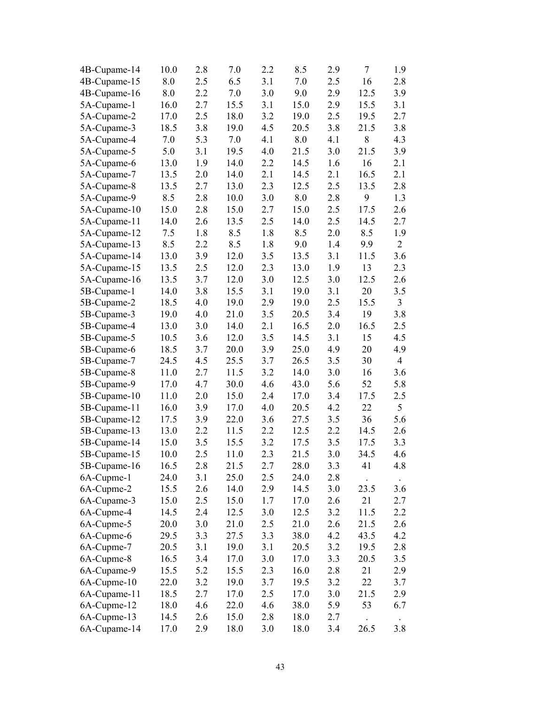| 4B-Cupame-14 | 10.0 | 2.8 | 7.0  | 2.2 | 8.5         | 2.9 | 7    | 1.9            |
|--------------|------|-----|------|-----|-------------|-----|------|----------------|
| 4B-Cupame-15 | 8.0  | 2.5 | 6.5  | 3.1 | 7.0         | 2.5 | 16   | 2.8            |
| 4B-Cupame-16 | 8.0  | 2.2 | 7.0  | 3.0 | 9.0         | 2.9 | 12.5 | 3.9            |
| 5A-Cupame-1  | 16.0 | 2.7 | 15.5 | 3.1 | 15.0        | 2.9 | 15.5 | 3.1            |
| 5A-Cupame-2  | 17.0 | 2.5 | 18.0 | 3.2 | 19.0        | 2.5 | 19.5 | 2.7            |
| 5A-Cupame-3  | 18.5 | 3.8 | 19.0 | 4.5 | 20.5        | 3.8 | 21.5 | 3.8            |
| 5A-Cupame-4  | 7.0  | 5.3 | 7.0  | 4.1 | 8.0         | 4.1 | 8    | 4.3            |
| 5A-Cupame-5  | 5.0  | 3.1 | 19.5 | 4.0 | 21.5        | 3.0 | 21.5 | 3.9            |
| 5A-Cupame-6  | 13.0 | 1.9 | 14.0 | 2.2 | 14.5        | 1.6 | 16   | 2.1            |
| 5A-Cupame-7  | 13.5 | 2.0 | 14.0 | 2.1 | 14.5        | 2.1 | 16.5 | 2.1            |
| 5A-Cupame-8  | 13.5 | 2.7 | 13.0 | 2.3 | 12.5        | 2.5 | 13.5 | 2.8            |
| 5A-Cupame-9  | 8.5  | 2.8 | 10.0 | 3.0 | 8.0         | 2.8 | 9    | 1.3            |
| 5A-Cupame-10 | 15.0 | 2.8 | 15.0 | 2.7 | 15.0        | 2.5 | 17.5 | 2.6            |
| 5A-Cupame-11 | 14.0 | 2.6 | 13.5 | 2.5 | 14.0        | 2.5 | 14.5 | 2.7            |
| 5A-Cupame-12 | 7.5  | 1.8 | 8.5  | 1.8 | 8.5         | 2.0 | 8.5  | 1.9            |
| 5A-Cupame-13 | 8.5  | 2.2 | 8.5  | 1.8 | 9.0         | 1.4 | 9.9  | $\overline{2}$ |
| 5A-Cupame-14 | 13.0 | 3.9 | 12.0 | 3.5 | 13.5        | 3.1 | 11.5 | 3.6            |
| 5A-Cupame-15 | 13.5 | 2.5 | 12.0 | 2.3 | 13.0        | 1.9 | 13   | 2.3            |
| 5A-Cupame-16 | 13.5 | 3.7 | 12.0 | 3.0 | 12.5        | 3.0 | 12.5 | 2.6            |
| 5B-Cupame-1  | 14.0 | 3.8 | 15.5 | 3.1 | 19.0        | 3.1 | 20   | 3.5            |
| 5B-Cupame-2  | 18.5 | 4.0 | 19.0 | 2.9 | 19.0        | 2.5 | 15.5 | 3              |
| 5B-Cupame-3  | 19.0 | 4.0 | 21.0 | 3.5 | 20.5        | 3.4 | 19   | 3.8            |
| 5B-Cupame-4  | 13.0 | 3.0 | 14.0 | 2.1 | 16.5        | 2.0 | 16.5 | 2.5            |
| 5B-Cupame-5  | 10.5 | 3.6 | 12.0 | 3.5 | 14.5        | 3.1 | 15   | 4.5            |
| 5B-Cupame-6  | 18.5 | 3.7 | 20.0 | 3.9 | 25.0        | 4.9 | 20   | 4.9            |
| 5B-Cupame-7  | 24.5 | 4.5 | 25.5 | 3.7 | 26.5        | 3.5 | 30   | $\overline{4}$ |
| 5B-Cupame-8  | 11.0 | 2.7 | 11.5 | 3.2 | 14.0        | 3.0 | 16   | 3.6            |
| 5B-Cupame-9  | 17.0 | 4.7 | 30.0 | 4.6 | 43.0        | 5.6 | 52   | 5.8            |
| 5B-Cupame-10 | 11.0 | 2.0 | 15.0 | 2.4 | 17.0        | 3.4 | 17.5 | 2.5            |
| 5B-Cupame-11 | 16.0 | 3.9 | 17.0 | 4.0 | 20.5        | 4.2 | 22   | 5              |
| 5B-Cupame-12 | 17.5 | 3.9 | 22.0 | 3.6 | 27.5        | 3.5 | 36   | 5.6            |
| 5B-Cupame-13 | 13.0 | 2.2 | 11.5 | 2.2 | 12.5        | 2.2 | 14.5 | 2.6            |
| 5B-Cupame-14 | 15.0 | 3.5 | 15.5 | 3.2 | 17.5        | 3.5 | 17.5 | 3.3            |
| 5B-Cupame-15 | 10.0 | 2.5 | 11.0 | 2.3 | 21.5        | 3.0 | 34.5 | 4.6            |
| 5B-Cupame-16 | 16.5 | 2.8 | 21.5 | 2.7 | <b>28.0</b> | 3.3 | 41   | 4.8            |
| 6A-Cupme-1   | 24.0 | 3.1 | 25.0 | 2.5 | 24.0        | 2.8 |      |                |
| 6A-Cupme-2   | 15.5 | 2.6 | 14.0 | 2.9 | 14.5        | 3.0 | 23.5 | 3.6            |
| 6A-Cupame-3  | 15.0 | 2.5 | 15.0 | 1.7 | 17.0        | 2.6 | 21   | 2.7            |
| 6A-Cupme-4   | 14.5 | 2.4 | 12.5 | 3.0 | 12.5        | 3.2 | 11.5 | 2.2            |
| 6A-Cupme-5   | 20.0 | 3.0 | 21.0 | 2.5 | 21.0        | 2.6 | 21.5 | 2.6            |
| 6A-Cupme-6   | 29.5 | 3.3 | 27.5 | 3.3 | 38.0        | 4.2 | 43.5 | 4.2            |
| 6A-Cupme-7   | 20.5 | 3.1 | 19.0 | 3.1 | 20.5        | 3.2 | 19.5 | 2.8            |
| 6A-Cupme-8   | 16.5 | 3.4 | 17.0 | 3.0 | 17.0        | 3.3 | 20.5 | 3.5            |
| 6A-Cupame-9  | 15.5 | 5.2 | 15.5 | 2.3 | 16.0        | 2.8 | 21   | 2.9            |
| 6A-Cupme-10  | 22.0 | 3.2 | 19.0 | 3.7 | 19.5        | 3.2 | 22   | 3.7            |
| 6A-Cupame-11 | 18.5 | 2.7 | 17.0 | 2.5 | 17.0        | 3.0 | 21.5 | 2.9            |
| 6A-Cupme-12  | 18.0 | 4.6 | 22.0 | 4.6 | 38.0        | 5.9 | 53   | 6.7            |
| 6A-Cupme-13  | 14.5 | 2.6 | 15.0 | 2.8 | 18.0        | 2.7 |      |                |
| 6A-Cupame-14 | 17.0 | 2.9 | 18.0 | 3.0 | 18.0        | 3.4 | 26.5 | 3.8            |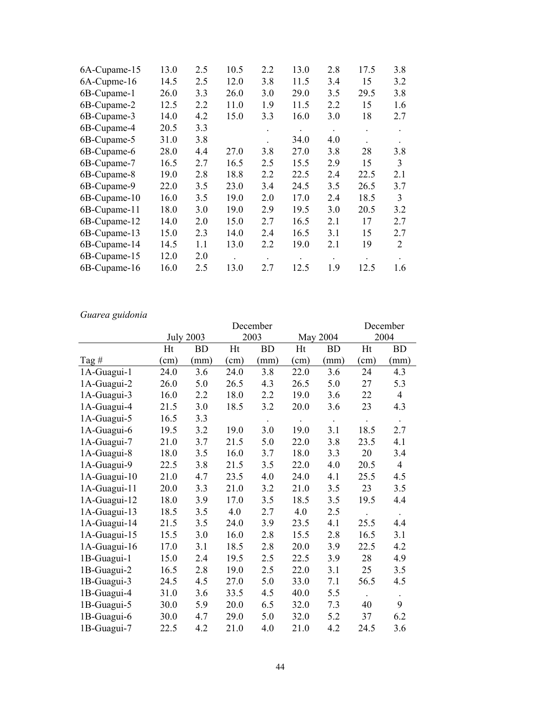| 6A-Cupame-15 | 13.0 | 2.5 | 10.5 | 2.2 | 13.0      | 2.8       | 17.5 | 3.8            |
|--------------|------|-----|------|-----|-----------|-----------|------|----------------|
| 6A-Cupme-16  | 14.5 | 2.5 | 12.0 | 3.8 | 11.5      | 3.4       | 15   | 3.2            |
| 6B-Cupame-1  | 26.0 | 3.3 | 26.0 | 3.0 | 29.0      | 3.5       | 29.5 | 3.8            |
| 6B-Cupame-2  | 12.5 | 2.2 | 11.0 | 1.9 | 11.5      | 2.2       | 15   | 1.6            |
| 6B-Cupame-3  | 14.0 | 4.2 | 15.0 | 3.3 | 16.0      | 3.0       | 18   | 2.7            |
| 6B-Cupame-4  | 20.5 | 3.3 |      |     | $\bullet$ | $\bullet$ |      | $\bullet$      |
| 6B-Cupame-5  | 31.0 | 3.8 |      |     | 34.0      | 4.0       |      |                |
| 6B-Cupame-6  | 28.0 | 4.4 | 27.0 | 3.8 | 27.0      | 3.8       | 28   | 3.8            |
| 6B-Cupame-7  | 16.5 | 2.7 | 16.5 | 2.5 | 15.5      | 2.9       | 15   | 3              |
| 6B-Cupame-8  | 19.0 | 2.8 | 18.8 | 2.2 | 22.5      | 2.4       | 22.5 | 2.1            |
| 6B-Cupame-9  | 22.0 | 3.5 | 23.0 | 3.4 | 24.5      | 3.5       | 26.5 | 3.7            |
| 6B-Cupame-10 | 16.0 | 3.5 | 19.0 | 2.0 | 17.0      | 2.4       | 18.5 | 3              |
| 6B-Cupame-11 | 18.0 | 3.0 | 19.0 | 2.9 | 19.5      | 3.0       | 20.5 | 3.2            |
| 6B-Cupame-12 | 14.0 | 2.0 | 15.0 | 2.7 | 16.5      | 2.1       | 17   | 2.7            |
| 6B-Cupame-13 | 15.0 | 2.3 | 14.0 | 2.4 | 16.5      | 3.1       | 15   | 2.7            |
| 6B-Cupame-14 | 14.5 | 1.1 | 13.0 | 2.2 | 19.0      | 2.1       | 19   | $\overline{2}$ |
| 6B-Cupame-15 | 12.0 | 2.0 |      |     |           |           |      |                |
| 6B-Cupame-16 | 16.0 | 2.5 | 13.0 | 2.7 | 12.5      | 1.9       | 12.5 | 1.6            |
|              |      |     |      |     |           |           |      |                |

# *Guarea guidonia*

|              | December      |                  |      |           |      |           |                      | December       |
|--------------|---------------|------------------|------|-----------|------|-----------|----------------------|----------------|
|              |               | <b>July 2003</b> |      | 2003      |      | May 2004  |                      | 2004           |
|              | Ht            | <b>BD</b>        | Ht   | <b>BD</b> | Ht   | <b>BD</b> | Ht                   | <b>BD</b>      |
| Tag#         | $\text{cm}$ ) | (mm)             | (cm) | (mm)      | (cm) | (mm)      | $\text{cm})$         | (mm)           |
| 1A-Guagui-1  | 24.0          | 3.6              | 24.0 | 3.8       | 22.0 | 3.6       | 24                   | 4.3            |
| 1A-Guagui-2  | 26.0          | 5.0              | 26.5 | 4.3       | 26.5 | 5.0       | 27                   | 5.3            |
| 1A-Guagui-3  | 16.0          | 2.2              | 18.0 | 2.2       | 19.0 | 3.6       | 22                   | $\overline{4}$ |
| 1A-Guagui-4  | 21.5          | 3.0              | 18.5 | 3.2       | 20.0 | 3.6       | 23                   | 4.3            |
| 1A-Guagui-5  | 16.5          | 3.3              |      |           |      | $\Box$    |                      |                |
| 1A-Guagui-6  | 19.5          | 3.2              | 19.0 | 3.0       | 19.0 | 3.1       | 18.5                 | 2.7            |
| 1A-Guagui-7  | 21.0          | 3.7              | 21.5 | 5.0       | 22.0 | 3.8       | 23.5                 | 4.1            |
| 1A-Guagui-8  | 18.0          | 3.5              | 16.0 | 3.7       | 18.0 | 3.3       | 20                   | 3.4            |
| 1A-Guagui-9  | 22.5          | 3.8              | 21.5 | 3.5       | 22.0 | 4.0       | 20.5                 | $\overline{4}$ |
| 1A-Guagui-10 | 21.0          | 4.7              | 23.5 | 4.0       | 24.0 | 4.1       | 25.5                 | 4.5            |
| 1A-Guagui-11 | 20.0          | 3.3              | 21.0 | 3.2       | 21.0 | 3.5       | 23                   | 3.5            |
| 1A-Guagui-12 | 18.0          | 3.9              | 17.0 | 3.5       | 18.5 | 3.5       | 19.5                 | 4.4            |
| 1A-Guagui-13 | 18.5          | 3.5              | 4.0  | 2.7       | 4.0  | 2.5       | $\bullet$            | $\bullet$      |
| 1A-Guagui-14 | 21.5          | 3.5              | 24.0 | 3.9       | 23.5 | 4.1       | 25.5                 | 4.4            |
| 1A-Guagui-15 | 15.5          | 3.0              | 16.0 | 2.8       | 15.5 | 2.8       | 16.5                 | 3.1            |
| 1A-Guagui-16 | 17.0          | 3.1              | 18.5 | 2.8       | 20.0 | 3.9       | 22.5                 | 4.2            |
| 1B-Guagui-1  | 15.0          | 2.4              | 19.5 | 2.5       | 22.5 | 3.9       | 28                   | 4.9            |
| 1B-Guagui-2  | 16.5          | 2.8              | 19.0 | 2.5       | 22.0 | 3.1       | 25                   | 3.5            |
| 1B-Guagui-3  | 24.5          | 4.5              | 27.0 | 5.0       | 33.0 | 7.1       | 56.5                 | 4.5            |
| 1B-Guagui-4  | 31.0          | 3.6              | 33.5 | 4.5       | 40.0 | 5.5       | $\ddot{\phantom{0}}$ |                |
| 1B-Guagui-5  | 30.0          | 5.9              | 20.0 | 6.5       | 32.0 | 7.3       | 40                   | 9              |
| 1B-Guagui-6  | 30.0          | 4.7              | 29.0 | 5.0       | 32.0 | 5.2       | 37                   | 6.2            |
| 1B-Guagui-7  | 22.5          | 4.2              | 21.0 | 4.0       | 21.0 | 4.2       | 24.5                 | 3.6            |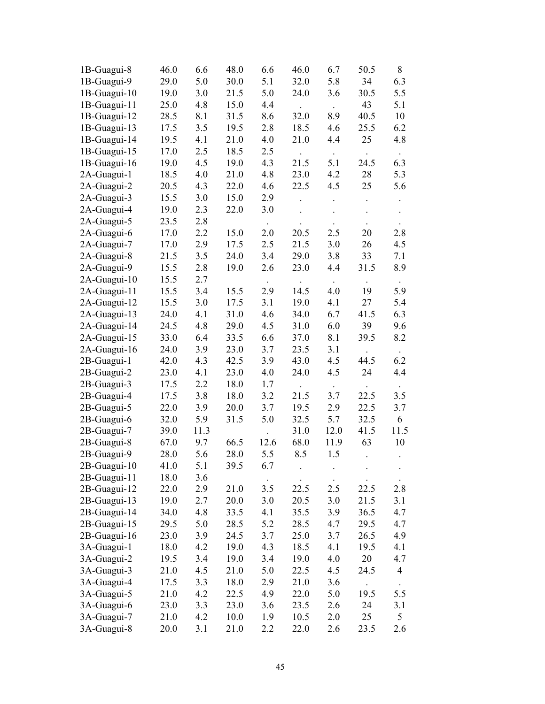| 1B-Guagui-8  | 46.0 | 6.6  | 48.0 | 6.6       | 46.0   | 6.7            | 50.5 | 8         |
|--------------|------|------|------|-----------|--------|----------------|------|-----------|
| 1B-Guagui-9  | 29.0 | 5.0  | 30.0 | 5.1       | 32.0   | 5.8            | 34   | 6.3       |
| 1B-Guagui-10 | 19.0 | 3.0  | 21.5 | 5.0       | 24.0   | 3.6            | 30.5 | 5.5       |
| 1B-Guagui-11 | 25.0 | 4.8  | 15.0 | 4.4       | $\sim$ | $\mathbb{Z}^2$ | 43   | 5.1       |
| 1B-Guagui-12 | 28.5 | 8.1  | 31.5 | 8.6       | 32.0   | 8.9            | 40.5 | 10        |
| 1B-Guagui-13 | 17.5 | 3.5  | 19.5 | 2.8       | 18.5   | 4.6            | 25.5 | 6.2       |
| 1B-Guagui-14 | 19.5 | 4.1  | 21.0 | 4.0       | 21.0   | 4.4            | 25   | 4.8       |
| 1B-Guagui-15 | 17.0 | 2.5  | 18.5 | 2.5       |        | $\bullet$      |      | $\Box$    |
| 1B-Guagui-16 | 19.0 | 4.5  | 19.0 | 4.3       | 21.5   | 5.1            | 24.5 | 6.3       |
| 2A-Guagui-1  | 18.5 | 4.0  | 21.0 | 4.8       | 23.0   | 4.2            | 28   | 5.3       |
| 2A-Guagui-2  | 20.5 | 4.3  | 22.0 | 4.6       | 22.5   | 4.5            | 25   | 5.6       |
| 2A-Guagui-3  | 15.5 | 3.0  | 15.0 | 2.9       |        |                |      |           |
| 2A-Guagui-4  | 19.0 | 2.3  | 22.0 | 3.0       |        |                |      |           |
| 2A-Guagui-5  | 23.5 | 2.8  |      | $\bullet$ |        |                |      |           |
| 2A-Guagui-6  | 17.0 | 2.2  | 15.0 | 2.0       | 20.5   | 2.5            | 20   | 2.8       |
| 2A-Guagui-7  | 17.0 | 2.9  | 17.5 | 2.5       | 21.5   | 3.0            | 26   | 4.5       |
| 2A-Guagui-8  | 21.5 | 3.5  | 24.0 | 3.4       | 29.0   | 3.8            | 33   | 7.1       |
| 2A-Guagui-9  | 15.5 | 2.8  | 19.0 | 2.6       | 23.0   | 4.4            | 31.5 | 8.9       |
| 2A-Guagui-10 | 15.5 | 2.7  |      |           |        |                |      |           |
| 2A-Guagui-11 | 15.5 | 3.4  | 15.5 | 2.9       | 14.5   | 4.0            | 19   | 5.9       |
| 2A-Guagui-12 | 15.5 | 3.0  | 17.5 | 3.1       | 19.0   | 4.1            | 27   | 5.4       |
| 2A-Guagui-13 | 24.0 | 4.1  | 31.0 | 4.6       | 34.0   | 6.7            | 41.5 | 6.3       |
| 2A-Guagui-14 | 24.5 | 4.8  | 29.0 | 4.5       | 31.0   | 6.0            | 39   | 9.6       |
| 2A-Guagui-15 | 33.0 | 6.4  | 33.5 | 6.6       | 37.0   | 8.1            | 39.5 | 8.2       |
| 2A-Guagui-16 | 24.0 | 3.9  | 23.0 | 3.7       | 23.5   | 3.1            |      | $\bullet$ |
| 2B-Guagui-1  | 42.0 | 4.3  | 42.5 | 3.9       | 43.0   | 4.5            | 44.5 | 6.2       |
| 2B-Guagui-2  | 23.0 | 4.1  | 23.0 | 4.0       | 24.0   | 4.5            | 24   | 4.4       |
| 2B-Guagui-3  | 17.5 | 2.2  | 18.0 | 1.7       |        | $\Box$         |      | $\bullet$ |
| 2B-Guagui-4  | 17.5 | 3.8  | 18.0 | 3.2       | 21.5   | 3.7            | 22.5 | 3.5       |
| 2B-Guagui-5  | 22.0 | 3.9  | 20.0 | 3.7       | 19.5   | 2.9            | 22.5 | 3.7       |
| 2B-Guagui-6  | 32.0 | 5.9  | 31.5 | 5.0       | 32.5   | 5.7            | 32.5 | 6         |
| 2B-Guagui-7  | 39.0 | 11.3 |      |           | 31.0   | 12.0           | 41.5 | 11.5      |
| 2B-Guagui-8  | 67.0 | 9.7  | 66.5 | 12.6      | 68.0   | 11.9           | 63   | 10        |
| 2B-Guagui-9  | 28.0 | 5.6  | 28.0 | 5.5       | 8.5    | 1.5            |      |           |
| 2B-Guagui-10 | 41.0 | 5.1  | 39.5 | 6.7       |        |                |      |           |
| 2B-Guagui-11 | 18.0 | 3.6  |      |           |        |                |      |           |
| 2B-Guagui-12 | 22.0 | 2.9  | 21.0 | 3.5       | 22.5   | 2.5            | 22.5 | 2.8       |
| 2B-Guagui-13 | 19.0 | 2.7  | 20.0 | 3.0       | 20.5   | 3.0            | 21.5 | 3.1       |
| 2B-Guagui-14 | 34.0 | 4.8  | 33.5 | 4.1       | 35.5   | 3.9            | 36.5 | 4.7       |
| 2B-Guagui-15 | 29.5 | 5.0  | 28.5 | 5.2       | 28.5   | 4.7            | 29.5 | 4.7       |
| 2B-Guagui-16 | 23.0 | 3.9  | 24.5 | 3.7       | 25.0   | 3.7            | 26.5 | 4.9       |
| 3A-Guagui-1  | 18.0 | 4.2  | 19.0 | 4.3       | 18.5   | 4.1            | 19.5 | 4.1       |
| 3A-Guagui-2  | 19.5 | 3.4  | 19.0 | 3.4       | 19.0   | 4.0            | 20   | 4.7       |
| 3A-Guagui-3  | 21.0 | 4.5  | 21.0 | 5.0       | 22.5   | 4.5            | 24.5 | 4         |
| 3A-Guagui-4  | 17.5 | 3.3  | 18.0 | 2.9       | 21.0   | 3.6            |      |           |
| 3A-Guagui-5  | 21.0 | 4.2  | 22.5 | 4.9       | 22.0   | 5.0            | 19.5 | 5.5       |
| 3A-Guagui-6  | 23.0 | 3.3  | 23.0 | 3.6       | 23.5   | 2.6            | 24   | 3.1       |
| 3A-Guagui-7  | 21.0 | 4.2  | 10.0 | 1.9       | 10.5   | 2.0            | 25   | 5         |
| 3A-Guagui-8  | 20.0 | 3.1  | 21.0 | 2.2       | 22.0   | 2.6            | 23.5 | 2.6       |
|              |      |      |      |           |        |                |      |           |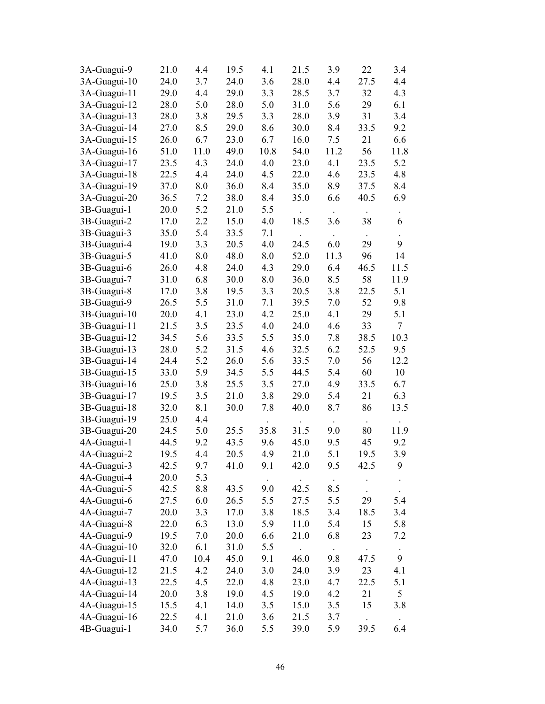| 3A-Guagui-9  | 21.0 | 4.4  | 19.5 | 4.1  | 21.5   | 3.9         | 22          | 3.4            |
|--------------|------|------|------|------|--------|-------------|-------------|----------------|
| 3A-Guagui-10 | 24.0 | 3.7  | 24.0 | 3.6  | 28.0   | 4.4         | 27.5        | 4.4            |
| 3A-Guagui-11 | 29.0 | 4.4  | 29.0 | 3.3  | 28.5   | 3.7         | 32          | 4.3            |
| 3A-Guagui-12 | 28.0 | 5.0  | 28.0 | 5.0  | 31.0   | 5.6         | 29          | 6.1            |
| 3A-Guagui-13 | 28.0 | 3.8  | 29.5 | 3.3  | 28.0   | 3.9         | 31          | 3.4            |
| 3A-Guagui-14 | 27.0 | 8.5  | 29.0 | 8.6  | 30.0   | 8.4         | 33.5        | 9.2            |
| 3A-Guagui-15 | 26.0 | 6.7  | 23.0 | 6.7  | 16.0   | 7.5         | 21          | 6.6            |
| 3A-Guagui-16 | 51.0 | 11.0 | 49.0 | 10.8 | 54.0   | 11.2        | 56          | 11.8           |
| 3A-Guagui-17 | 23.5 | 4.3  | 24.0 | 4.0  | 23.0   | 4.1         | 23.5        | 5.2            |
| 3A-Guagui-18 | 22.5 | 4.4  | 24.0 | 4.5  | 22.0   | 4.6         | 23.5        | 4.8            |
| 3A-Guagui-19 | 37.0 | 8.0  | 36.0 | 8.4  | 35.0   | 8.9         | 37.5        | 8.4            |
| 3A-Guagui-20 | 36.5 | 7.2  | 38.0 | 8.4  | 35.0   | 6.6         | 40.5        | 6.9            |
| 3B-Guagui-1  | 20.0 | 5.2  | 21.0 | 5.5  |        |             |             |                |
| 3B-Guagui-2  | 17.0 | 2.2  | 15.0 | 4.0  | 18.5   | 3.6         | 38          | 6              |
| 3B-Guagui-3  | 35.0 | 5.4  | 33.5 | 7.1  | $\Box$ | $\sim$      | $\bullet$ . |                |
| 3B-Guagui-4  | 19.0 | 3.3  | 20.5 | 4.0  | 24.5   | 6.0         | 29          | 9              |
| 3B-Guagui-5  | 41.0 | 8.0  | 48.0 | 8.0  | 52.0   | 11.3        | 96          | 14             |
| 3B-Guagui-6  | 26.0 | 4.8  | 24.0 | 4.3  | 29.0   | 6.4         | 46.5        | 11.5           |
| 3B-Guagui-7  | 31.0 | 6.8  | 30.0 | 8.0  | 36.0   | 8.5         | 58          | 11.9           |
| 3B-Guagui-8  | 17.0 | 3.8  | 19.5 | 3.3  | 20.5   | 3.8         | 22.5        | 5.1            |
| 3B-Guagui-9  | 26.5 | 5.5  | 31.0 | 7.1  | 39.5   | 7.0         | 52          | 9.8            |
| 3B-Guagui-10 | 20.0 | 4.1  | 23.0 | 4.2  | 25.0   | 4.1         | 29          | 5.1            |
| 3B-Guagui-11 | 21.5 | 3.5  | 23.5 | 4.0  | 24.0   | 4.6         | 33          | $\overline{7}$ |
| 3B-Guagui-12 | 34.5 | 5.6  | 33.5 | 5.5  | 35.0   | 7.8         | 38.5        | 10.3           |
| 3B-Guagui-13 | 28.0 | 5.2  | 31.5 | 4.6  | 32.5   | 6.2         | 52.5        | 9.5            |
| 3B-Guagui-14 | 24.4 | 5.2  | 26.0 | 5.6  | 33.5   | 7.0         | 56          | 12.2           |
| 3B-Guagui-15 | 33.0 | 5.9  | 34.5 | 5.5  | 44.5   | 5.4         | 60          | 10             |
| 3B-Guagui-16 | 25.0 | 3.8  | 25.5 | 3.5  | 27.0   | 4.9         | 33.5        | 6.7            |
| 3B-Guagui-17 | 19.5 | 3.5  | 21.0 | 3.8  | 29.0   | 5.4         | 21          | 6.3            |
| 3B-Guagui-18 | 32.0 | 8.1  | 30.0 | 7.8  | 40.0   | 8.7         | 86          | 13.5           |
| 3B-Guagui-19 | 25.0 | 4.4  |      |      |        |             |             |                |
| 3B-Guagui-20 | 24.5 | 5.0  | 25.5 | 35.8 | 31.5   | 9.0         | 80          | 11.9           |
| 4A-Guagui-1  | 44.5 | 9.2  | 43.5 | 9.6  | 45.0   | 9.5         | 45          | 9.2            |
| 4A-Guagui-2  | 19.5 | 4.4  | 20.5 | 4.9  | 21.0   | 5.1         | 19.5        | 3.9            |
| 4A-Guagui-3  | 42.5 | 9.7  | 41.0 | 9.1  | 42.0   | 9.5         | 42.5        | 9              |
| 4A-Guagui-4  | 20.0 | 5.3  |      |      |        |             |             |                |
| 4A-Guagui-5  | 42.5 | 8.8  | 43.5 | 9.0  | 42.5   | 8.5         |             |                |
| 4A-Guagui-6  | 27.5 | 6.0  | 26.5 | 5.5  | 27.5   | 5.5         | 29          | 5.4            |
| 4A-Guagui-7  | 20.0 | 3.3  | 17.0 | 3.8  | 18.5   | 3.4         | 18.5        | 3.4            |
| 4A-Guagui-8  | 22.0 | 6.3  | 13.0 | 5.9  | 11.0   | 5.4         | 15          | 5.8            |
| 4A-Guagui-9  | 19.5 | 7.0  | 20.0 | 6.6  | 21.0   | 6.8         | 23          | 7.2            |
| 4A-Guagui-10 | 32.0 | 6.1  | 31.0 | 5.5  |        | $\bullet$ . |             |                |
| 4A-Guagui-11 | 47.0 | 10.4 | 45.0 | 9.1  | 46.0   | 9.8         | 47.5        | 9              |
| 4A-Guagui-12 | 21.5 | 4.2  | 24.0 | 3.0  | 24.0   | 3.9         | 23          | 4.1            |
| 4A-Guagui-13 | 22.5 | 4.5  | 22.0 | 4.8  | 23.0   | 4.7         | 22.5        | 5.1            |
| 4A-Guagui-14 | 20.0 | 3.8  | 19.0 | 4.5  | 19.0   | 4.2         | 21          | 5              |
| 4A-Guagui-15 | 15.5 | 4.1  | 14.0 | 3.5  | 15.0   | 3.5         | 15          | 3.8            |
| 4A-Guagui-16 | 22.5 | 4.1  | 21.0 | 3.6  | 21.5   | 3.7         |             |                |
| 4B-Guagui-1  | 34.0 | 5.7  | 36.0 | 5.5  | 39.0   | 5.9         | 39.5        | 6.4            |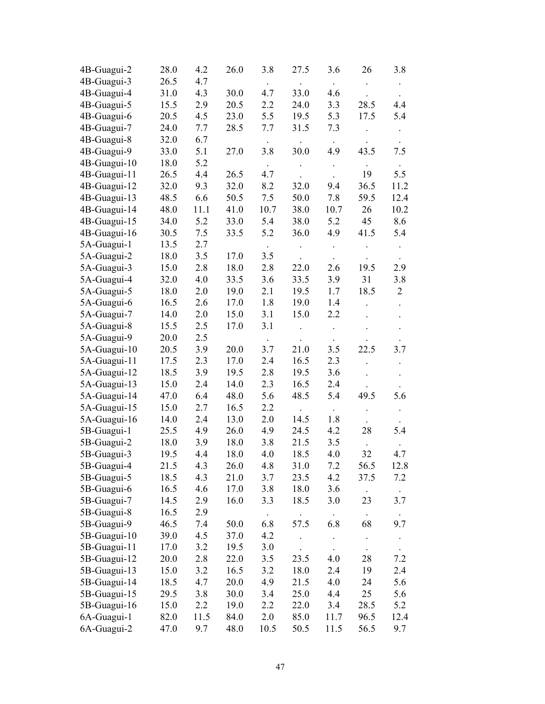| 4B-Guagui-2  | 28.0 | 4.2  | 26.0 | 3.8  | 27.5                | 3.6       | 26   | 3.8            |
|--------------|------|------|------|------|---------------------|-----------|------|----------------|
| 4B-Guagui-3  | 26.5 | 4.7  |      |      |                     |           |      |                |
| 4B-Guagui-4  | 31.0 | 4.3  | 30.0 | 4.7  | 33.0                | 4.6       |      |                |
| 4B-Guagui-5  | 15.5 | 2.9  | 20.5 | 2.2  | 24.0                | 3.3       | 28.5 | 4.4            |
| 4B-Guagui-6  | 20.5 | 4.5  | 23.0 | 5.5  | 19.5                | 5.3       | 17.5 | 5.4            |
| 4B-Guagui-7  | 24.0 | 7.7  | 28.5 | 7.7  | 31.5                | 7.3       |      |                |
| 4B-Guagui-8  | 32.0 | 6.7  |      |      |                     | $\Box$    |      |                |
| 4B-Guagui-9  | 33.0 | 5.1  | 27.0 | 3.8  | 30.0                | 4.9       | 43.5 | 7.5            |
| 4B-Guagui-10 | 18.0 | 5.2  |      |      |                     |           |      |                |
| 4B-Guagui-11 | 26.5 | 4.4  | 26.5 | 4.7  |                     |           | 19   | 5.5            |
| 4B-Guagui-12 | 32.0 | 9.3  | 32.0 | 8.2  | 32.0                | 9.4       | 36.5 | 11.2           |
| 4B-Guagui-13 | 48.5 | 6.6  | 50.5 | 7.5  | 50.0                | 7.8       | 59.5 | 12.4           |
| 4B-Guagui-14 | 48.0 | 11.1 | 41.0 | 10.7 | 38.0                | 10.7      | 26   | 10.2           |
| 4B-Guagui-15 | 34.0 | 5.2  | 33.0 | 5.4  | 38.0                | 5.2       | 45   | 8.6            |
| 4B-Guagui-16 | 30.5 | 7.5  | 33.5 | 5.2  | 36.0                | 4.9       | 41.5 | 5.4            |
| 5A-Guagui-1  | 13.5 | 2.7  |      |      |                     |           |      |                |
| 5A-Guagui-2  | 18.0 | 3.5  | 17.0 | 3.5  |                     | $\bullet$ |      |                |
| 5A-Guagui-3  | 15.0 | 2.8  | 18.0 | 2.8  | 22.0                | 2.6       | 19.5 | 2.9            |
| 5A-Guagui-4  | 32.0 | 4.0  | 33.5 | 3.6  | 33.5                | 3.9       | 31   | 3.8            |
| 5A-Guagui-5  | 18.0 | 2.0  | 19.0 | 2.1  | 19.5                | 1.7       | 18.5 | $\overline{2}$ |
| 5A-Guagui-6  | 16.5 | 2.6  | 17.0 | 1.8  | 19.0                | 1.4       |      |                |
| 5A-Guagui-7  | 14.0 | 2.0  | 15.0 | 3.1  | 15.0                | 2.2       |      |                |
| 5A-Guagui-8  | 15.5 | 2.5  | 17.0 | 3.1  |                     |           |      |                |
| 5A-Guagui-9  | 20.0 | 2.5  |      |      |                     |           |      |                |
| 5A-Guagui-10 | 20.5 | 3.9  | 20.0 | 3.7  | 21.0                | 3.5       | 22.5 | 3.7            |
| 5A-Guagui-11 | 17.5 | 2.3  | 17.0 | 2.4  | 16.5                | 2.3       |      |                |
| 5A-Guagui-12 | 18.5 | 3.9  | 19.5 | 2.8  | 19.5                | 3.6       |      |                |
| 5A-Guagui-13 | 15.0 | 2.4  | 14.0 | 2.3  | 16.5                | 2.4       |      |                |
| 5A-Guagui-14 | 47.0 | 6.4  | 48.0 | 5.6  | 48.5                | 5.4       | 49.5 | 5.6            |
| 5A-Guagui-15 | 15.0 | 2.7  | 16.5 | 2.2  |                     |           |      |                |
| 5A-Guagui-16 | 14.0 | 2.4  | 13.0 | 2.0  | 14.5                | 1.8       |      |                |
| 5B-Guagui-1  | 25.5 | 4.9  | 26.0 | 4.9  | 24.5                | 4.2       | 28   | 5.4            |
| 5B-Guagui-2  | 18.0 | 3.9  | 18.0 | 3.8  | 21.5                | 3.5       |      |                |
| 5B-Guagui-3  | 19.5 | 4.4  | 18.0 | 4.0  | 18.5                | 4.0       | 32   | 4.7            |
| 5B-Guagui-4  | 21.5 | 4.3  | 26.0 | 4.8  | 31.0                | 7.2       | 56.5 | 12.8           |
| 5B-Guagui-5  | 18.5 | 4.3  | 21.0 | 3.7  | 23.5                | 4.2       | 37.5 | 7.2            |
| 5B-Guagui-6  | 16.5 | 4.6  | 17.0 | 3.8  | 18.0                | 3.6       |      |                |
| 5B-Guagui-7  | 14.5 | 2.9  | 16.0 | 3.3  | 18.5                | 3.0       | 23   | 3.7            |
| 5B-Guagui-8  | 16.5 | 2.9  |      |      |                     |           |      |                |
| 5B-Guagui-9  | 46.5 | 7.4  | 50.0 | 6.8  | 57.5                | 6.8       | 68   | 9.7            |
| 5B-Guagui-10 | 39.0 | 4.5  | 37.0 | 4.2  | $\hat{\phantom{a}}$ |           |      | $\bullet$      |
| 5B-Guagui-11 | 17.0 | 3.2  | 19.5 | 3.0  |                     |           |      |                |
| 5B-Guagui-12 | 20.0 | 2.8  | 22.0 | 3.5  | 23.5                | 4.0       | 28   | 7.2            |
| 5B-Guagui-13 | 15.0 | 3.2  | 16.5 | 3.2  | 18.0                | 2.4       | 19   | 2.4            |
| 5B-Guagui-14 | 18.5 | 4.7  | 20.0 | 4.9  | 21.5                | 4.0       | 24   | 5.6            |
| 5B-Guagui-15 | 29.5 | 3.8  | 30.0 | 3.4  | 25.0                | 4.4       | 25   | 5.6            |
| 5B-Guagui-16 | 15.0 | 2.2  | 19.0 | 2.2  | 22.0                | 3.4       | 28.5 | 5.2            |
| 6A-Guagui-1  | 82.0 | 11.5 | 84.0 | 2.0  | 85.0                | 11.7      | 96.5 | 12.4           |
| 6A-Guagui-2  | 47.0 | 9.7  | 48.0 | 10.5 | 50.5                | 11.5      | 56.5 | 9.7            |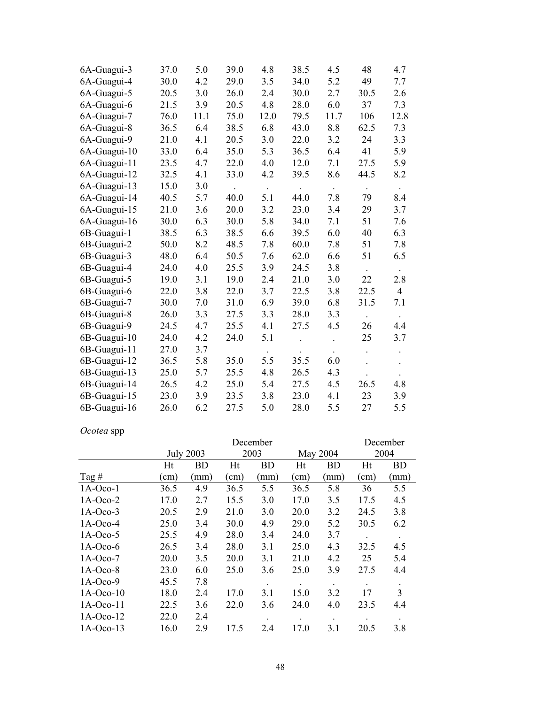| 6A-Guagui-3  | 37.0 | 5.0  | 39.0 | 4.8  | 38.5 | 4.5  | 48                  | 4.7            |
|--------------|------|------|------|------|------|------|---------------------|----------------|
| 6A-Guagui-4  | 30.0 | 4.2  | 29.0 | 3.5  | 34.0 | 5.2  | 49                  | 7.7            |
| 6A-Guagui-5  | 20.5 | 3.0  | 26.0 | 2.4  | 30.0 | 2.7  | 30.5                | 2.6            |
| 6A-Guagui-6  | 21.5 | 3.9  | 20.5 | 4.8  | 28.0 | 6.0  | 37                  | 7.3            |
| 6A-Guagui-7  | 76.0 | 11.1 | 75.0 | 12.0 | 79.5 | 11.7 | 106                 | 12.8           |
| 6A-Guagui-8  | 36.5 | 6.4  | 38.5 | 6.8  | 43.0 | 8.8  | 62.5                | 7.3            |
| 6A-Guagui-9  | 21.0 | 4.1  | 20.5 | 3.0  | 22.0 | 3.2  | 24                  | 3.3            |
| 6A-Guagui-10 | 33.0 | 6.4  | 35.0 | 5.3  | 36.5 | 6.4  | 41                  | 5.9            |
| 6A-Guagui-11 | 23.5 | 4.7  | 22.0 | 4.0  | 12.0 | 7.1  | 27.5                | 5.9            |
| 6A-Guagui-12 | 32.5 | 4.1  | 33.0 | 4.2  | 39.5 | 8.6  | 44.5                | 8.2            |
| 6A-Guagui-13 | 15.0 | 3.0  |      |      |      |      |                     |                |
| 6A-Guagui-14 | 40.5 | 5.7  | 40.0 | 5.1  | 44.0 | 7.8  | 79                  | 8.4            |
| 6A-Guagui-15 | 21.0 | 3.6  | 20.0 | 3.2  | 23.0 | 3.4  | 29                  | 3.7            |
| 6A-Guagui-16 | 30.0 | 6.3  | 30.0 | 5.8  | 34.0 | 7.1  | 51                  | 7.6            |
| 6B-Guagui-1  | 38.5 | 6.3  | 38.5 | 6.6  | 39.5 | 6.0  | 40                  | 6.3            |
| 6B-Guagui-2  | 50.0 | 8.2  | 48.5 | 7.8  | 60.0 | 7.8  | 51                  | 7.8            |
| 6B-Guagui-3  | 48.0 | 6.4  | 50.5 | 7.6  | 62.0 | 6.6  | 51                  | 6.5            |
| 6B-Guagui-4  | 24.0 | 4.0  | 25.5 | 3.9  | 24.5 | 3.8  | $\mathcal{L}^{\pm}$ | $\bullet$      |
| 6B-Guagui-5  | 19.0 | 3.1  | 19.0 | 2.4  | 21.0 | 3.0  | 22                  | 2.8            |
| 6B-Guagui-6  | 22.0 | 3.8  | 22.0 | 3.7  | 22.5 | 3.8  | 22.5                | $\overline{4}$ |
| 6B-Guagui-7  | 30.0 | 7.0  | 31.0 | 6.9  | 39.0 | 6.8  | 31.5                | 7.1            |
| 6B-Guagui-8  | 26.0 | 3.3  | 27.5 | 3.3  | 28.0 | 3.3  | $\Box$              |                |
| 6B-Guagui-9  | 24.5 | 4.7  | 25.5 | 4.1  | 27.5 | 4.5  | 26                  | 4.4            |
| 6B-Guagui-10 | 24.0 | 4.2  | 24.0 | 5.1  |      |      | 25                  | 3.7            |
| 6B-Guagui-11 | 27.0 | 3.7  |      |      |      |      |                     |                |
| 6B-Guagui-12 | 36.5 | 5.8  | 35.0 | 5.5  | 35.5 | 6.0  |                     |                |
| 6B-Guagui-13 | 25.0 | 5.7  | 25.5 | 4.8  | 26.5 | 4.3  |                     |                |
| 6B-Guagui-14 | 26.5 | 4.2  | 25.0 | 5.4  | 27.5 | 4.5  | 26.5                | 4.8            |
| 6B-Guagui-15 | 23.0 | 3.9  | 23.5 | 3.8  | 23.0 | 4.1  | 23                  | 3.9            |
| 6B-Guagui-16 | 26.0 | 6.2  | 27.5 | 5.0  | 28.0 | 5.5  | 27                  | 5.5            |

# *Ocotea* spp

| $\sim$ $\sim$ $\sim$ $\sim$ $\sim$ $\sim$ $\sim$ $\sim$ |           |                  |      | December  |              |           |               |           |
|---------------------------------------------------------|-----------|------------------|------|-----------|--------------|-----------|---------------|-----------|
|                                                         |           | <b>July 2003</b> |      | 2003      |              | May 2004  |               | 2004      |
|                                                         | Ht        | <b>BD</b>        | Ht   | <b>BD</b> | Ht           | <b>BD</b> | Ht            | <b>BD</b> |
| Tag $#$                                                 | $\rm cm)$ | (mm)             | (cm) | (mm)      | $\text{cm})$ | mm)       | $\text{cm}$ ) | mm)       |
| $1A-Oco-1$                                              | 36.5      | 4.9              | 36.5 | 5.5       | 36.5         | 5.8       | 36            | 5.5       |
| $1A-Oco-2$                                              | 17.0      | 2.7              | 15.5 | 3.0       | 17.0         | 3.5       | 17.5          | 4.5       |
| $1A-Oco-3$                                              | 20.5      | 2.9              | 21.0 | 3.0       | 20.0         | 3.2       | 24.5          | 3.8       |
| $1A-Oco-4$                                              | 25.0      | 3.4              | 30.0 | 4.9       | 29.0         | 5.2       | 30.5          | 6.2       |
| $1A-Oco-5$                                              | 25.5      | 4.9              | 28.0 | 3.4       | 24.0         | 3.7       | $\bullet$     |           |
| $1A-Oco-6$                                              | 26.5      | 3.4              | 28.0 | 3.1       | 25.0         | 4.3       | 32.5          | 4.5       |
| $1A-Oco-7$                                              | 20.0      | 3.5              | 20.0 | 3.1       | 21.0         | 4.2       | 25            | 5.4       |
| $1A-Oco-8$                                              | 23.0      | 6.0              | 25.0 | 3.6       | 25.0         | 3.9       | 27.5          | 4.4       |
| $1A-Oco-9$                                              | 45.5      | 7.8              |      | $\bullet$ | $\bullet$    |           |               |           |
| $1A-Oco-10$                                             | 18.0      | 2.4              | 17.0 | 3.1       | 15.0         | 3.2       | 17            | 3         |
| $1A-Oco-11$                                             | 22.5      | 3.6              | 22.0 | 3.6       | 24.0         | 4.0       | 23.5          | 4.4       |
| $1A-Oco-12$                                             | 22.0      | 2.4              |      |           |              |           |               |           |
| $1A-Oco-13$                                             | 16.0      | 2.9              | 17.5 | 2.4       | 17.0         | 3.1       | 20.5          | 3.8       |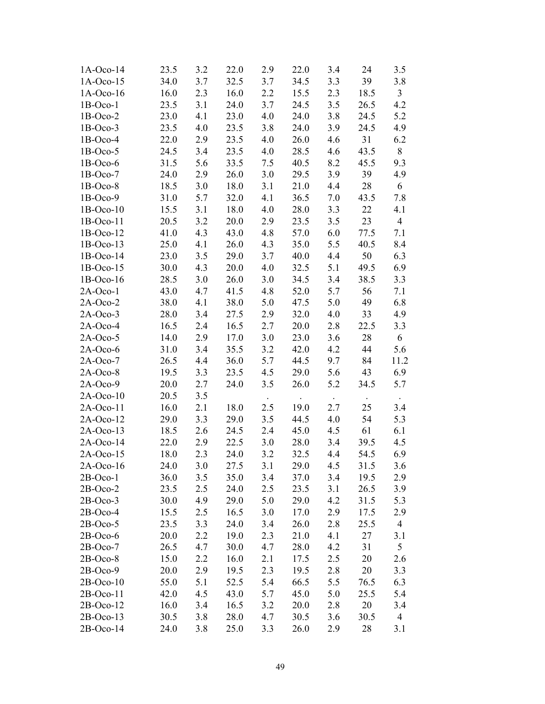| $1A-Oco-14$ | 23.5 | 3.2 | 22.0 | 2.9     | 22.0 | 3.4 | 24   | 3.5            |
|-------------|------|-----|------|---------|------|-----|------|----------------|
| $1A-Oco-15$ | 34.0 | 3.7 | 32.5 | 3.7     | 34.5 | 3.3 | 39   | 3.8            |
| $1A-Oco-16$ | 16.0 | 2.3 | 16.0 | 2.2     | 15.5 | 2.3 | 18.5 | $\mathfrak{Z}$ |
| $1B-Oco-1$  | 23.5 | 3.1 | 24.0 | 3.7     | 24.5 | 3.5 | 26.5 | 4.2            |
| $1B-Oco-2$  | 23.0 | 4.1 | 23.0 | 4.0     | 24.0 | 3.8 | 24.5 | 5.2            |
| $1B-Oco-3$  | 23.5 | 4.0 | 23.5 | 3.8     | 24.0 | 3.9 | 24.5 | 4.9            |
| $1B-Oco-4$  | 22.0 | 2.9 | 23.5 | 4.0     | 26.0 | 4.6 | 31   | 6.2            |
| $1B-Oco-5$  | 24.5 | 3.4 | 23.5 | 4.0     | 28.5 | 4.6 | 43.5 | 8              |
| $1B-Oco-6$  | 31.5 | 5.6 | 33.5 | 7.5     | 40.5 | 8.2 | 45.5 | 9.3            |
| $1B-Oco-7$  | 24.0 | 2.9 | 26.0 | 3.0     | 29.5 | 3.9 | 39   | 4.9            |
| $1B-Oco-8$  | 18.5 | 3.0 | 18.0 | 3.1     | 21.0 | 4.4 | 28   | 6              |
| $1B-Oco-9$  | 31.0 | 5.7 | 32.0 | 4.1     | 36.5 | 7.0 | 43.5 | 7.8            |
| $1B-Oco-10$ | 15.5 | 3.1 | 18.0 | 4.0     | 28.0 | 3.3 | 22   | 4.1            |
| $1B-Oco-11$ | 20.5 | 3.2 | 20.0 | 2.9     | 23.5 | 3.5 | 23   | $\overline{4}$ |
| $1B-Oco-12$ | 41.0 | 4.3 | 43.0 | 4.8     | 57.0 | 6.0 | 77.5 | 7.1            |
| $1B-Oco-13$ | 25.0 | 4.1 | 26.0 | 4.3     | 35.0 | 5.5 | 40.5 | 8.4            |
| $1B-Oco-14$ | 23.0 | 3.5 | 29.0 | 3.7     | 40.0 | 4.4 | 50   | 6.3            |
| $1B-Oco-15$ | 30.0 | 4.3 | 20.0 | 4.0     | 32.5 | 5.1 | 49.5 | 6.9            |
| $1B-Oco-16$ | 28.5 | 3.0 | 26.0 | 3.0     | 34.5 | 3.4 | 38.5 | 3.3            |
| $2A-Oco-1$  | 43.0 | 4.7 | 41.5 | 4.8     | 52.0 | 5.7 | 56   | 7.1            |
| $2A-Oco-2$  | 38.0 | 4.1 | 38.0 | 5.0     | 47.5 | 5.0 | 49   | 6.8            |
| $2A-Oco-3$  | 28.0 | 3.4 | 27.5 | 2.9     | 32.0 | 4.0 | 33   | 4.9            |
| $2A-Oco-4$  | 16.5 | 2.4 | 16.5 | 2.7     | 20.0 | 2.8 | 22.5 | 3.3            |
| $2A-Oco-5$  | 14.0 | 2.9 | 17.0 | 3.0     | 23.0 | 3.6 | 28   | 6              |
| $2A-Oco-6$  | 31.0 | 3.4 | 35.5 | 3.2     | 42.0 | 4.2 | 44   | 5.6            |
| $2A-Oco-7$  | 26.5 | 4.4 | 36.0 | 5.7     | 44.5 | 9.7 | 84   | 11.2           |
| $2A-Oco-8$  | 19.5 | 3.3 | 23.5 | 4.5     | 29.0 | 5.6 | 43   | 6.9            |
| $2A-Oco-9$  | 20.0 | 2.7 | 24.0 | 3.5     | 26.0 | 5.2 | 34.5 | 5.7            |
| $2A-Oco-10$ | 20.5 | 3.5 |      |         |      |     |      |                |
| $2A-Oco-11$ | 16.0 | 2.1 | 18.0 | 2.5     | 19.0 | 2.7 | 25   | 3.4            |
| $2A-Oco-12$ | 29.0 | 3.3 | 29.0 | 3.5     | 44.5 | 4.0 | 54   | 5.3            |
| $2A-Oco-13$ | 18.5 | 2.6 | 24.5 | 2.4     | 45.0 | 4.5 | 61   | 6.1            |
| $2A-Oco-14$ | 22.0 | 2.9 | 22.5 | 3.0     | 28.0 | 3.4 | 39.5 | 4.5            |
| $2A-Oco-15$ | 18.0 | 2.3 | 24.0 | 3.2     | 32.5 | 4.4 | 54.5 | 6.9            |
| 2A-Oco-16   | 24.0 | 3.0 | 27.5 | 3.1     | 29.0 | 4.5 | 31.5 | 3.6            |
| $2B-Oco-1$  | 36.0 | 3.5 | 35.0 | 3.4     | 37.0 | 3.4 | 19.5 | 2.9            |
| $2B-Oco-2$  | 23.5 | 2.5 | 24.0 | 2.5     | 23.5 | 3.1 | 26.5 | 3.9            |
| $2B-Oco-3$  | 30.0 | 4.9 | 29.0 | $5.0\,$ | 29.0 | 4.2 | 31.5 | 5.3            |
| $2B-Oco-4$  | 15.5 | 2.5 | 16.5 | 3.0     | 17.0 | 2.9 | 17.5 | 2.9            |
| $2B-Oco-5$  | 23.5 | 3.3 | 24.0 | 3.4     | 26.0 | 2.8 | 25.5 | $\overline{4}$ |
| $2B-Oco-6$  | 20.0 | 2.2 | 19.0 | 2.3     | 21.0 | 4.1 | 27   | 3.1            |
| $2B-Oco-7$  | 26.5 | 4.7 | 30.0 | 4.7     | 28.0 | 4.2 | 31   | 5              |
| $2B-Oco-8$  | 15.0 | 2.2 | 16.0 | 2.1     | 17.5 | 2.5 | 20   | 2.6            |
| $2B-Oco-9$  | 20.0 | 2.9 | 19.5 | 2.3     | 19.5 | 2.8 | 20   | 3.3            |
| $2B-Oco-10$ | 55.0 | 5.1 | 52.5 | 5.4     | 66.5 | 5.5 | 76.5 | 6.3            |
| $2B-Oco-11$ | 42.0 | 4.5 | 43.0 | 5.7     | 45.0 | 5.0 | 25.5 | 5.4            |
| $2B-Oco-12$ | 16.0 | 3.4 | 16.5 | 3.2     | 20.0 | 2.8 | 20   | 3.4            |
| $2B-Oco-13$ | 30.5 | 3.8 | 28.0 | 4.7     | 30.5 | 3.6 | 30.5 | $\overline{4}$ |
| $2B-Oco-14$ | 24.0 | 3.8 | 25.0 | 3.3     | 26.0 | 2.9 | 28   | 3.1            |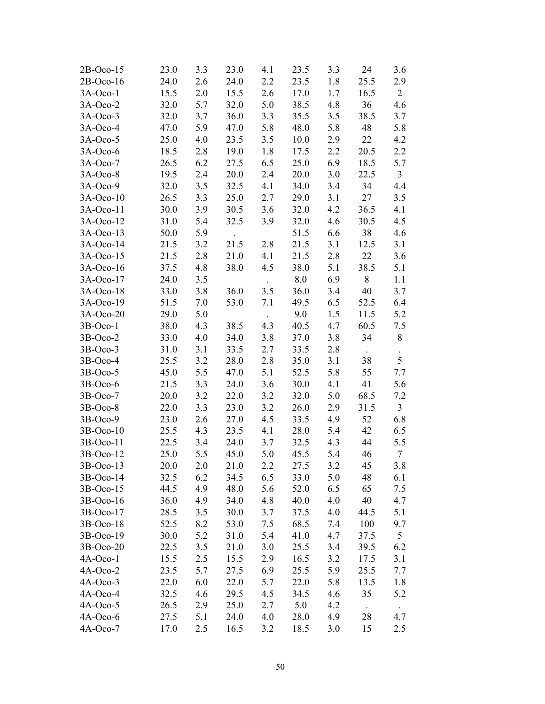| $2B-Oco-15$ | 23.0 | 3.3 | 23.0 | 4.1 | 23.5 | 3.3 | 24        | 3.6            |
|-------------|------|-----|------|-----|------|-----|-----------|----------------|
| $2B-Oco-16$ | 24.0 | 2.6 | 24.0 | 2.2 | 23.5 | 1.8 | 25.5      | 2.9            |
| $3A-Oco-1$  | 15.5 | 2.0 | 15.5 | 2.6 | 17.0 | 1.7 | 16.5      | $\overline{2}$ |
| $3A-Oco-2$  | 32.0 | 5.7 | 32.0 | 5.0 | 38.5 | 4.8 | 36        | 4.6            |
| $3A-Oco-3$  | 32.0 | 3.7 | 36.0 | 3.3 | 35.5 | 3.5 | 38.5      | 3.7            |
| $3A-Oco-4$  | 47.0 | 5.9 | 47.0 | 5.8 | 48.0 | 5.8 | 48        | 5.8            |
| $3A-Oco-5$  | 25.0 | 4.0 | 23.5 | 3.5 | 10.0 | 2.9 | 22        | 4.2            |
| $3A-Oco-6$  | 18.5 | 2.8 | 19.0 | 1.8 | 17.5 | 2.2 | 20.5      | 2.2            |
| $3A-Oco-7$  | 26.5 | 6.2 | 27.5 | 6.5 | 25.0 | 6.9 | 18.5      | 5.7            |
| $3A-Oco-8$  | 19.5 | 2.4 | 20.0 | 2.4 | 20.0 | 3.0 | 22.5      | $\overline{3}$ |
| $3A-Oco-9$  | 32.0 | 3.5 | 32.5 | 4.1 | 34.0 | 3.4 | 34        | 4.4            |
| $3A-Oco-10$ | 26.5 | 3.3 | 25.0 | 2.7 | 29.0 | 3.1 | 27        | 3.5            |
| 3A-Oco-11   | 30.0 | 3.9 | 30.5 | 3.6 | 32.0 | 4.2 | 36.5      | 4.1            |
| $3A-Oco-12$ | 31.0 | 5.4 | 32.5 | 3.9 | 32.0 | 4.6 | 30.5      | 4.5            |
| $3A-Oco-13$ | 50.0 | 5.9 |      |     | 51.5 | 6.6 | 38        | 4.6            |
| 3A-Oco-14   | 21.5 | 3.2 | 21.5 | 2.8 | 21.5 | 3.1 | 12.5      | 3.1            |
| $3A-Oco-15$ | 21.5 | 2.8 | 21.0 | 4.1 | 21.5 | 2.8 | 22        | 3.6            |
| 3A-Oco-16   | 37.5 | 4.8 | 38.0 | 4.5 | 38.0 | 5.1 | 38.5      | 5.1            |
| 3A-Oco-17   | 24.0 | 3.5 |      |     | 8.0  | 6.9 | $8\,$     | 1.1            |
| 3A-Oco-18   | 33.0 | 3.8 | 36.0 | 3.5 | 36.0 | 3.4 | 40        | 3.7            |
| 3A-Oco-19   | 51.5 | 7.0 | 53.0 | 7.1 | 49.5 | 6.5 | 52.5      | 6.4            |
| 3A-Oco-20   | 29.0 | 5.0 |      |     | 9.0  | 1.5 | 11.5      | 5.2            |
| $3B-Oco-1$  | 38.0 | 4.3 | 38.5 | 4.3 | 40.5 | 4.7 | 60.5      | 7.5            |
| $3B-Oco-2$  | 33.0 | 4.0 | 34.0 | 3.8 | 37.0 | 3.8 | 34        | 8              |
| $3B-Oco-3$  | 31.0 | 3.1 | 33.5 | 2.7 | 33.5 | 2.8 | $\bullet$ | $\bullet$      |
| 3B-Oco-4    | 25.5 | 3.2 | 28.0 | 2.8 | 35.0 | 3.1 | 38        | 5              |
| $3B-Oco-5$  | 45.0 | 5.5 | 47.0 | 5.1 | 52.5 | 5.8 | 55        | 7.7            |
| 3B-Oco-6    | 21.5 | 3.3 | 24.0 | 3.6 | 30.0 | 4.1 | 41        | 5.6            |
| $3B-Oco-7$  | 20.0 | 3.2 | 22.0 | 3.2 | 32.0 | 5.0 | 68.5      | 7.2            |
| $3B-Oco-8$  | 22.0 | 3.3 | 23.0 | 3.2 | 26.0 | 2.9 | 31.5      | $\mathfrak{Z}$ |
| $3B-Oco-9$  | 23.0 | 2.6 | 27.0 | 4.5 | 33.5 | 4.9 | 52        | 6.8            |
| 3B-Oco-10   | 25.5 | 4.3 | 23.5 | 4.1 | 28.0 | 5.4 | 42        | 6.5            |
| 3B-Oco-11   | 22.5 | 3.4 | 24.0 | 3.7 | 32.5 | 4.3 | 44        | 5.5            |
| 3B-Oco-12   | 25.0 | 5.5 | 45.0 | 5.0 | 45.5 | 5.4 | 46        | $\overline{7}$ |
| $3B-Oco-13$ | 20.0 | 2.0 | 21.0 | 2.2 | 27.5 | 3.2 | 45        | 3.8            |
| 3B-Oco-14   | 32.5 | 6.2 | 34.5 | 6.5 | 33.0 | 5.0 | 48        | 6.1            |
| 3B-Oco-15   | 44.5 | 4.9 | 48.0 | 5.6 | 52.0 | 6.5 | 65        | 7.5            |
| 3B-Oco-16   | 36.0 | 4.9 | 34.0 | 4.8 | 40.0 | 4.0 | 40        | 4.7            |
| 3B-Oco-17   | 28.5 | 3.5 | 30.0 | 3.7 | 37.5 | 4.0 | 44.5      | 5.1            |
| 3B-Oco-18   | 52.5 | 8.2 | 53.0 | 7.5 | 68.5 | 7.4 | 100       | 9.7            |
| 3B-Oco-19   | 30.0 | 5.2 | 31.0 | 5.4 | 41.0 | 4.7 | 37.5      | 5              |
| 3B-Oco-20   | 22.5 | 3.5 | 21.0 | 3.0 | 25.5 | 3.4 | 39.5      | 6.2            |
| 4A-Oco-1    | 15.5 | 2.5 | 15.5 | 2.9 | 16.5 | 3.2 | 17.5      | 3.1            |
| 4A-Oco-2    | 23.5 | 5.7 | 27.5 | 6.9 | 25.5 | 5.9 | 25.5      | 7.7            |
| $4A-Oco-3$  | 22.0 | 6.0 | 22.0 | 5.7 | 22.0 | 5.8 | 13.5      | 1.8            |
| 4A-Oco-4    | 32.5 | 4.6 | 29.5 | 4.5 | 34.5 | 4.6 | 35        | 5.2            |
| $4A-Oco-5$  | 26.5 | 2.9 | 25.0 | 2.7 | 5.0  | 4.2 |           | $\Box$         |
| 4A-Oco-6    | 27.5 | 5.1 | 24.0 | 4.0 | 28.0 | 4.9 | 28        | 4.7            |
| 4A-Oco-7    | 17.0 | 2.5 | 16.5 | 3.2 | 18.5 | 3.0 | 15        | 2.5            |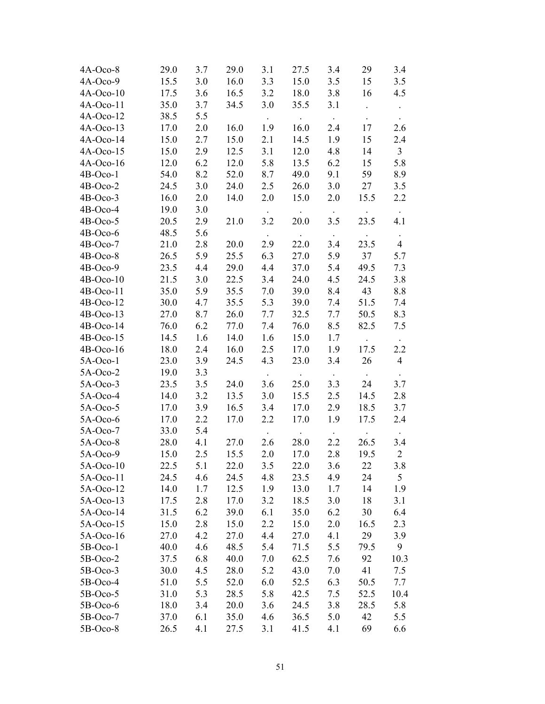| 4A-Oco-8    | 29.0 | 3.7     | 29.0 | 3.1    | 27.5       | 3.4                       | 29              | 3.4            |
|-------------|------|---------|------|--------|------------|---------------------------|-----------------|----------------|
| $4A-Oco-9$  | 15.5 | 3.0     | 16.0 | 3.3    | 15.0       | 3.5                       | 15              | 3.5            |
| $4A-Oco-10$ | 17.5 | 3.6     | 16.5 | 3.2    | 18.0       | 3.8                       | 16              | 4.5            |
| $4A-Oco-11$ | 35.0 | 3.7     | 34.5 | 3.0    | 35.5       | 3.1                       | $\Box$          |                |
| $4A-Oco-12$ | 38.5 | 5.5     |      |        | $\bullet$  | $\sim$                    |                 | $\bullet$      |
| $4A-Oco-13$ | 17.0 | $2.0\,$ | 16.0 | 1.9    | 16.0       | 2.4                       | 17              | 2.6            |
| 4A-Oco-14   | 15.0 | 2.7     | 15.0 | 2.1    | 14.5       | 1.9                       | 15              | 2.4            |
| $4A-Oco-15$ | 15.0 | 2.9     | 12.5 | 3.1    | 12.0       | 4.8                       | 14              | $\mathfrak{Z}$ |
| $4A-Oco-16$ | 12.0 | 6.2     | 12.0 | 5.8    | 13.5       | 6.2                       | 15              | 5.8            |
| 4B-Oco-1    | 54.0 | 8.2     | 52.0 | 8.7    | 49.0       | 9.1                       | 59              | 8.9            |
| $4B-Oco-2$  | 24.5 | 3.0     | 24.0 | 2.5    | 26.0       | $3.0\,$                   | 27              | 3.5            |
| 4B-Oco-3    | 16.0 | 2.0     | 14.0 | 2.0    | 15.0       | 2.0                       | 15.5            | 2.2            |
| 4B-Oco-4    | 19.0 | 3.0     |      |        |            |                           |                 | $\sim$         |
| $4B-Oco-5$  | 20.5 | 2.9     | 21.0 | 3.2    | 20.0       | 3.5                       | 23.5            | 4.1            |
| $4B-Oco-6$  | 48.5 | 5.6     |      | $\sim$ | $\sim 100$ | $\langle \bullet \rangle$ | $\bullet$       | $\bullet$      |
| $4B-Oco-7$  | 21.0 | 2.8     | 20.0 | 2.9    | 22.0       | 3.4                       | 23.5            | $\overline{4}$ |
| 4B-Oco-8    | 26.5 | 5.9     | 25.5 | 6.3    | 27.0       | 5.9                       | 37              | 5.7            |
| 4B-Oco-9    | 23.5 | 4.4     | 29.0 | 4.4    | 37.0       | 5.4                       | 49.5            | 7.3            |
| $4B-Oco-10$ | 21.5 | 3.0     | 22.5 | 3.4    | 24.0       | 4.5                       | 24.5            | 3.8            |
| 4B-Oco-11   | 35.0 | 5.9     | 35.5 | 7.0    | 39.0       | 8.4                       | 43              | 8.8            |
| 4B-Oco-12   | 30.0 | 4.7     | 35.5 | 5.3    | 39.0       | 7.4                       | 51.5            | 7.4            |
| $4B-Oco-13$ | 27.0 | 8.7     | 26.0 | 7.7    | 32.5       | 7.7                       | 50.5            | 8.3            |
| 4B-Oco-14   | 76.0 | 6.2     | 77.0 | 7.4    | 76.0       | 8.5                       | 82.5            | 7.5            |
| $4B-Oco-15$ | 14.5 | 1.6     | 14.0 | 1.6    | 15.0       | 1.7                       | $\Box$          | $\sim$         |
| $4B-Oco-16$ | 18.0 | 2.4     | 16.0 | 2.5    | 17.0       | 1.9                       | 17.5            | 2.2            |
| $5A-Oco-1$  | 23.0 | 3.9     | 24.5 | 4.3    | 23.0       | 3.4                       | 26              | $\overline{4}$ |
| $5A-Oco-2$  | 19.0 | 3.3     |      |        |            |                           |                 |                |
| $5A-Oco-3$  | 23.5 | 3.5     | 24.0 | 3.6    | 25.0       | $\bullet$<br>3.3          | $\bullet$<br>24 | 3.7            |
| $5A-Oco-4$  | 14.0 | 3.2     | 13.5 | 3.0    | 15.5       | 2.5                       | 14.5            | 2.8            |
| $5A-Oco-5$  | 17.0 | 3.9     | 16.5 | 3.4    | 17.0       | 2.9                       | 18.5            | 3.7            |
| $5A-Oco-6$  | 17.0 | 2.2     | 17.0 | 2.2    | 17.0       | 1.9                       | 17.5            | 2.4            |
| $5A-Oco-7$  | 33.0 | 5.4     |      |        |            |                           |                 |                |
| 5A-Oco-8    | 28.0 | 4.1     | 27.0 | 2.6    | 28.0       | 2.2                       | 26.5            | 3.4            |
| $5A-Oco-9$  | 15.0 | 2.5     | 15.5 | 2.0    | 17.0       | 2.8                       | 19.5            | $\sqrt{2}$     |
| $5A-Oco-10$ | 22.5 | 5.1     | 22.0 | 3.5    | 22.0       | 3.6                       | 22              | 3.8            |
| 5A-Oco-11   | 24.5 | 4.6     | 24.5 | 4.8    | 23.5       | 4.9                       | 24              | 5              |
| 5A-Oco-12   | 14.0 | 1.7     | 12.5 | 1.9    | 13.0       | 1.7                       | 14              | 1.9            |
| $5A-Oco-13$ | 17.5 | 2.8     | 17.0 | 3.2    | 18.5       | 3.0                       | 18              | 3.1            |
| 5A-Oco-14   | 31.5 | 6.2     | 39.0 | 6.1    | 35.0       | 6.2                       | 30              | 6.4            |
| 5A-Oco-15   | 15.0 | 2.8     | 15.0 | 2.2    | 15.0       | 2.0                       | 16.5            | 2.3            |
| 5A-Oco-16   | 27.0 | 4.2     | 27.0 | 4.4    | 27.0       | 4.1                       | 29              | 3.9            |
| $5B-Oco-1$  | 40.0 | 4.6     | 48.5 | 5.4    | 71.5       | 5.5                       | 79.5            | 9              |
| $5B-Oco-2$  | 37.5 | 6.8     | 40.0 | 7.0    | 62.5       | 7.6                       | 92              | 10.3           |
| $5B-Oco-3$  | 30.0 | 4.5     | 28.0 | 5.2    | 43.0       | 7.0                       | 41              | 7.5            |
| $5B-Oco-4$  | 51.0 | 5.5     | 52.0 | 6.0    | 52.5       | 6.3                       | 50.5            | 7.7            |
| $5B-Oco-5$  | 31.0 | 5.3     | 28.5 | 5.8    | 42.5       | 7.5                       | 52.5            | 10.4           |
| 5B-Oco-6    | 18.0 | 3.4     | 20.0 | 3.6    | 24.5       | 3.8                       | 28.5            | 5.8            |
| 5B-Oco-7    | 37.0 | 6.1     | 35.0 | 4.6    | 36.5       | 5.0                       | 42              | 5.5            |
| $5B-Oco-8$  | 26.5 | 4.1     | 27.5 | 3.1    | 41.5       | 4.1                       | 69              | 6.6            |
|             |      |         |      |        |            |                           |                 |                |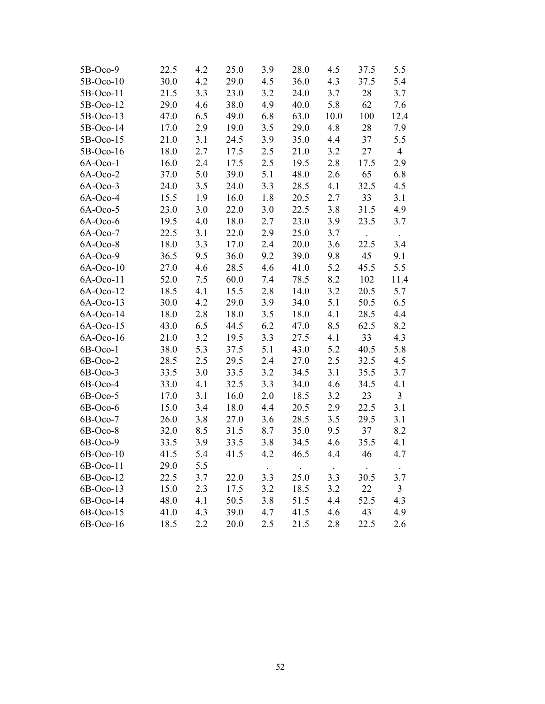| 5B-Oco-9    | 22.5 | 4.2 | 25.0 | 3.9 | 28.0 | 4.5  | 37.5 | 5.5            |
|-------------|------|-----|------|-----|------|------|------|----------------|
| 5B-Oco-10   | 30.0 | 4.2 | 29.0 | 4.5 | 36.0 | 4.3  | 37.5 | 5.4            |
| 5B-Oco-11   | 21.5 | 3.3 | 23.0 | 3.2 | 24.0 | 3.7  | 28   | 3.7            |
| 5B-Oco-12   | 29.0 | 4.6 | 38.0 | 4.9 | 40.0 | 5.8  | 62   | 7.6            |
| 5B-Oco-13   | 47.0 | 6.5 | 49.0 | 6.8 | 63.0 | 10.0 | 100  | 12.4           |
| 5B-Oco-14   | 17.0 | 2.9 | 19.0 | 3.5 | 29.0 | 4.8  | 28   | 7.9            |
| 5B-Oco-15   | 21.0 | 3.1 | 24.5 | 3.9 | 35.0 | 4.4  | 37   | 5.5            |
| 5B-Oco-16   | 18.0 | 2.7 | 17.5 | 2.5 | 21.0 | 3.2  | 27   | $\overline{4}$ |
| 6A-Oco-1    | 16.0 | 2.4 | 17.5 | 2.5 | 19.5 | 2.8  | 17.5 | 2.9            |
| $6A-Oco-2$  | 37.0 | 5.0 | 39.0 | 5.1 | 48.0 | 2.6  | 65   | 6.8            |
| $6A-Oco-3$  | 24.0 | 3.5 | 24.0 | 3.3 | 28.5 | 4.1  | 32.5 | 4.5            |
| 6A-Oco-4    | 15.5 | 1.9 | 16.0 | 1.8 | 20.5 | 2.7  | 33   | 3.1            |
| 6A-Oco-5    | 23.0 | 3.0 | 22.0 | 3.0 | 22.5 | 3.8  | 31.5 | 4.9            |
| 6A-Oco-6    | 19.5 | 4.0 | 18.0 | 2.7 | 23.0 | 3.9  | 23.5 | 3.7            |
| 6A-Oco-7    | 22.5 | 3.1 | 22.0 | 2.9 | 25.0 | 3.7  |      |                |
| 6A-Oco-8    | 18.0 | 3.3 | 17.0 | 2.4 | 20.0 | 3.6  | 22.5 | 3.4            |
| $6A-Oco-9$  | 36.5 | 9.5 | 36.0 | 9.2 | 39.0 | 9.8  | 45   | 9.1            |
| $6A-Oco-10$ | 27.0 | 4.6 | 28.5 | 4.6 | 41.0 | 5.2  | 45.5 | 5.5            |
| 6A-Oco-11   | 52.0 | 7.5 | 60.0 | 7.4 | 78.5 | 8.2  | 102  | 11.4           |
| 6A-Oco-12   | 18.5 | 4.1 | 15.5 | 2.8 | 14.0 | 3.2  | 20.5 | 5.7            |
| $6A-Oco-13$ | 30.0 | 4.2 | 29.0 | 3.9 | 34.0 | 5.1  | 50.5 | 6.5            |
| 6A-Oco-14   | 18.0 | 2.8 | 18.0 | 3.5 | 18.0 | 4.1  | 28.5 | 4.4            |
| 6A-Oco-15   | 43.0 | 6.5 | 44.5 | 6.2 | 47.0 | 8.5  | 62.5 | 8.2            |
| 6A-Oco-16   | 21.0 | 3.2 | 19.5 | 3.3 | 27.5 | 4.1  | 33   | 4.3            |
| 6B-Oco-1    | 38.0 | 5.3 | 37.5 | 5.1 | 43.0 | 5.2  | 40.5 | 5.8            |
| 6B-Oco-2    | 28.5 | 2.5 | 29.5 | 2.4 | 27.0 | 2.5  | 32.5 | 4.5            |
| 6B-Oco-3    | 33.5 | 3.0 | 33.5 | 3.2 | 34.5 | 3.1  | 35.5 | 3.7            |
| 6B-Oco-4    | 33.0 | 4.1 | 32.5 | 3.3 | 34.0 | 4.6  | 34.5 | 4.1            |
| 6B-Oco-5    | 17.0 | 3.1 | 16.0 | 2.0 | 18.5 | 3.2  | 23   | $\overline{3}$ |
| 6B-Oco-6    | 15.0 | 3.4 | 18.0 | 4.4 | 20.5 | 2.9  | 22.5 | 3.1            |
| 6B-Oco-7    | 26.0 | 3.8 | 27.0 | 3.6 | 28.5 | 3.5  | 29.5 | 3.1            |
| 6B-Oco-8    | 32.0 | 8.5 | 31.5 | 8.7 | 35.0 | 9.5  | 37   | 8.2            |
| 6B-Oco-9    | 33.5 | 3.9 | 33.5 | 3.8 | 34.5 | 4.6  | 35.5 | 4.1            |
| 6B-Oco-10   | 41.5 | 5.4 | 41.5 | 4.2 | 46.5 | 4.4  | 46   | 4.7            |
| 6B-Oco-11   | 29.0 | 5.5 |      |     |      |      |      |                |
| 6B-Oco-12   | 22.5 | 3.7 | 22.0 | 3.3 | 25.0 | 3.3  | 30.5 | 3.7            |
| 6B-Oco-13   | 15.0 | 2.3 | 17.5 | 3.2 | 18.5 | 3.2  | 22   | $\overline{3}$ |
| 6B-Oco-14   | 48.0 | 4.1 | 50.5 | 3.8 | 51.5 | 4.4  | 52.5 | 4.3            |
| 6B-Oco-15   | 41.0 | 4.3 | 39.0 | 4.7 | 41.5 | 4.6  | 43   | 4.9            |
| 6B-Oco-16   | 18.5 | 2.2 | 20.0 | 2.5 | 21.5 | 2.8  | 22.5 | 2.6            |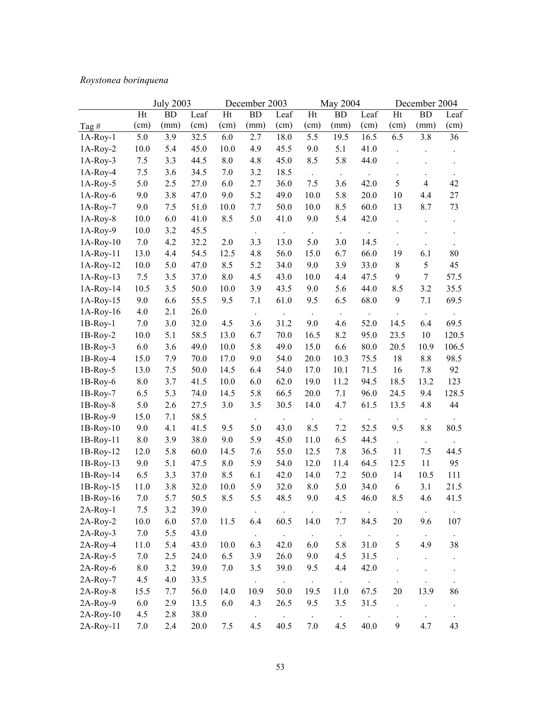# *Roystonea borinquena*

| Ht<br><b>BD</b><br>Leaf<br>Ht<br><b>BD</b><br>Ht<br><b>BD</b><br>Leaf<br>Ht<br><b>BD</b><br>Leaf<br>Leaf<br>(mm)<br>(cm)<br>(cm)<br>(mm)<br>(cm)<br>(cm)<br>(cm)<br>(cm)<br>(mm)<br>(cm)<br>(mm)<br>(cm)<br>Tag $#$<br>3.8<br>3.9<br>32.5<br>2.7<br>18.0<br>5.5<br>19.5<br>16.5<br>6.5<br>36<br>5.0<br>6.0<br>$1A-Roy-1$<br>45.0<br>10.0<br>4.9<br>10.0<br>5.4<br>45.5<br>9.0<br>5.1<br>41.0<br>$1A-Roy-2$<br>3.3<br>5.8<br>$1A-Roy-3$<br>7.5<br>44.5<br>8.0<br>4.8<br>45.0<br>8.5<br>44.0<br>1A-Roy-4<br>7.5<br>3.6<br>34.5<br>7.0<br>3.2<br>18.5<br>$\ddot{\phantom{0}}$<br>$\cdot$<br>$\bullet$<br>5<br>42<br>6.0<br>7.5<br>42.0<br>$\overline{4}$<br>$1A-Roy-5$<br>5.0<br>2.5<br>27.0<br>2.7<br>36.0<br>3.6<br>3.8<br>5.2<br>10.0<br>5.8<br>27<br>9.0<br>47.0<br>9.0<br>49.0<br>20.0<br>10<br>4.4<br>$1A-Roy-6$<br>60.0<br>73<br>$1A-Roy-7$<br>9.0<br>7.5<br>51.0<br>10.0<br>7.7<br>50.0<br>10.0<br>8.5<br>13<br>8.7<br>$1A-Roy-8$<br>10.0<br>6.0<br>41.0<br>8.5<br>5.0<br>41.0<br>9.0<br>5.4<br>42.0<br>$\ddot{\phantom{0}}$<br>$\ddot{\phantom{1}}$<br>$1A-Roy-9$<br>3.2<br>45.5<br>10.0<br>$\bullet$<br>4.2<br>32.2<br>3.3<br>5.0<br>$1A-Roy-10$<br>7.0<br>2.0<br>13.0<br>3.0<br>14.5<br>15.0<br>66.0<br>19<br>80<br>13.0<br>4.4<br>54.5<br>12.5<br>4.8<br>56.0<br>6.7<br>6.1<br>$1A-Roy-11$<br>5<br>45<br>5.0<br>47.0<br>8.5<br>5.2<br>9.0<br>3.9<br>33.0<br>$\,$ 8 $\,$<br>$1A-Roy-12$<br>10.0<br>34.0<br>$8.0\,$<br>47.5<br>9<br>$\overline{7}$<br>57.5<br>7.5<br>3.5<br>37.0<br>4.5<br>43.0<br>10.0<br>4.4<br>$1A-Roy-13$<br>44.0<br>$1A-Roy-14$<br>10.5<br>3.5<br>50.0<br>10.0<br>3.9<br>43.5<br>5.6<br>8.5<br>3.2<br>35.5<br>9.0<br>6.5<br>68.0<br>9<br>69.5<br>$1A-Roy-15$<br>9.0<br>6.6<br>55.5<br>9.5<br>7.1<br>61.0<br>9.5<br>7.1<br>$1A-Roy-16$<br>4.0<br>2.1<br>26.0<br>$\Box$<br>$\ddot{\phantom{0}}$<br>$\cdot$<br>$\cdot$<br>3.0<br>52.0<br>7.0<br>32.0<br>4.5<br>3.6<br>31.2<br>9.0<br>4.6<br>14.5<br>6.4<br>69.5<br>$1B-Roy-1$<br>23.5<br>120.5<br>10.0<br>5.1<br>58.5<br>13.0<br>6.7<br>70.0<br>16.5<br>8.2<br>95.0<br>10<br>$1B-Roy-2$<br>6.0<br>3.6<br>49.0<br>10.0<br>5.8<br>49.0<br>15.0<br>6.6<br>80.0<br>20.5<br>10.9<br>106.5<br>$1B-Roy-3$<br>10.3<br>18<br>8.8<br>98.5<br>1B-Roy-4<br>15.0<br>7.9<br>70.0<br>9.0<br>54.0<br>20.0<br>75.5<br>17.0<br>50.0<br>16<br>92<br>$1B-Roy-5$<br>13.0<br>7.5<br>14.5<br>6.4<br>54.0<br>17.0<br>10.1<br>71.5<br>7.8<br>18.5<br>123<br>1B-Roy-6<br>8.0<br>3.7<br>41.5<br>10.0<br>6.0<br>62.0<br>19.0<br>11.2<br>94.5<br>13.2<br>128.5<br>6.5<br>5.3<br>5.8<br>66.5<br>20.0<br>7.1<br>96.0<br>24.5<br>9.4<br>1B-Roy-7<br>74.0<br>14.5<br>44<br>27.5<br>3.5<br>30.5<br>4.7<br>5.0<br>2.6<br>3.0<br>14.0<br>61.5<br>13.5<br>4.8<br>$1B-Roy-8$<br>1B-Roy-9<br>15.0<br>7.1<br>58.5 |
|----------------------------------------------------------------------------------------------------------------------------------------------------------------------------------------------------------------------------------------------------------------------------------------------------------------------------------------------------------------------------------------------------------------------------------------------------------------------------------------------------------------------------------------------------------------------------------------------------------------------------------------------------------------------------------------------------------------------------------------------------------------------------------------------------------------------------------------------------------------------------------------------------------------------------------------------------------------------------------------------------------------------------------------------------------------------------------------------------------------------------------------------------------------------------------------------------------------------------------------------------------------------------------------------------------------------------------------------------------------------------------------------------------------------------------------------------------------------------------------------------------------------------------------------------------------------------------------------------------------------------------------------------------------------------------------------------------------------------------------------------------------------------------------------------------------------------------------------------------------------------------------------------------------------------------------------------------------------------------------------------------------------------------------------------------------------------------------------------------------------------------------------------------------------------------------------------------------------------------------------------------------------------------------------------------------------------------------------------------------------------------------------------------------------------------------------------------------------------------------------------------------------------------------------------------------------------------------------------------------------------------------------------------------------------------------------------------------------------------------------------|
|                                                                                                                                                                                                                                                                                                                                                                                                                                                                                                                                                                                                                                                                                                                                                                                                                                                                                                                                                                                                                                                                                                                                                                                                                                                                                                                                                                                                                                                                                                                                                                                                                                                                                                                                                                                                                                                                                                                                                                                                                                                                                                                                                                                                                                                                                                                                                                                                                                                                                                                                                                                                                                                                                                                                                    |
|                                                                                                                                                                                                                                                                                                                                                                                                                                                                                                                                                                                                                                                                                                                                                                                                                                                                                                                                                                                                                                                                                                                                                                                                                                                                                                                                                                                                                                                                                                                                                                                                                                                                                                                                                                                                                                                                                                                                                                                                                                                                                                                                                                                                                                                                                                                                                                                                                                                                                                                                                                                                                                                                                                                                                    |
|                                                                                                                                                                                                                                                                                                                                                                                                                                                                                                                                                                                                                                                                                                                                                                                                                                                                                                                                                                                                                                                                                                                                                                                                                                                                                                                                                                                                                                                                                                                                                                                                                                                                                                                                                                                                                                                                                                                                                                                                                                                                                                                                                                                                                                                                                                                                                                                                                                                                                                                                                                                                                                                                                                                                                    |
|                                                                                                                                                                                                                                                                                                                                                                                                                                                                                                                                                                                                                                                                                                                                                                                                                                                                                                                                                                                                                                                                                                                                                                                                                                                                                                                                                                                                                                                                                                                                                                                                                                                                                                                                                                                                                                                                                                                                                                                                                                                                                                                                                                                                                                                                                                                                                                                                                                                                                                                                                                                                                                                                                                                                                    |
|                                                                                                                                                                                                                                                                                                                                                                                                                                                                                                                                                                                                                                                                                                                                                                                                                                                                                                                                                                                                                                                                                                                                                                                                                                                                                                                                                                                                                                                                                                                                                                                                                                                                                                                                                                                                                                                                                                                                                                                                                                                                                                                                                                                                                                                                                                                                                                                                                                                                                                                                                                                                                                                                                                                                                    |
|                                                                                                                                                                                                                                                                                                                                                                                                                                                                                                                                                                                                                                                                                                                                                                                                                                                                                                                                                                                                                                                                                                                                                                                                                                                                                                                                                                                                                                                                                                                                                                                                                                                                                                                                                                                                                                                                                                                                                                                                                                                                                                                                                                                                                                                                                                                                                                                                                                                                                                                                                                                                                                                                                                                                                    |
|                                                                                                                                                                                                                                                                                                                                                                                                                                                                                                                                                                                                                                                                                                                                                                                                                                                                                                                                                                                                                                                                                                                                                                                                                                                                                                                                                                                                                                                                                                                                                                                                                                                                                                                                                                                                                                                                                                                                                                                                                                                                                                                                                                                                                                                                                                                                                                                                                                                                                                                                                                                                                                                                                                                                                    |
|                                                                                                                                                                                                                                                                                                                                                                                                                                                                                                                                                                                                                                                                                                                                                                                                                                                                                                                                                                                                                                                                                                                                                                                                                                                                                                                                                                                                                                                                                                                                                                                                                                                                                                                                                                                                                                                                                                                                                                                                                                                                                                                                                                                                                                                                                                                                                                                                                                                                                                                                                                                                                                                                                                                                                    |
|                                                                                                                                                                                                                                                                                                                                                                                                                                                                                                                                                                                                                                                                                                                                                                                                                                                                                                                                                                                                                                                                                                                                                                                                                                                                                                                                                                                                                                                                                                                                                                                                                                                                                                                                                                                                                                                                                                                                                                                                                                                                                                                                                                                                                                                                                                                                                                                                                                                                                                                                                                                                                                                                                                                                                    |
|                                                                                                                                                                                                                                                                                                                                                                                                                                                                                                                                                                                                                                                                                                                                                                                                                                                                                                                                                                                                                                                                                                                                                                                                                                                                                                                                                                                                                                                                                                                                                                                                                                                                                                                                                                                                                                                                                                                                                                                                                                                                                                                                                                                                                                                                                                                                                                                                                                                                                                                                                                                                                                                                                                                                                    |
|                                                                                                                                                                                                                                                                                                                                                                                                                                                                                                                                                                                                                                                                                                                                                                                                                                                                                                                                                                                                                                                                                                                                                                                                                                                                                                                                                                                                                                                                                                                                                                                                                                                                                                                                                                                                                                                                                                                                                                                                                                                                                                                                                                                                                                                                                                                                                                                                                                                                                                                                                                                                                                                                                                                                                    |
|                                                                                                                                                                                                                                                                                                                                                                                                                                                                                                                                                                                                                                                                                                                                                                                                                                                                                                                                                                                                                                                                                                                                                                                                                                                                                                                                                                                                                                                                                                                                                                                                                                                                                                                                                                                                                                                                                                                                                                                                                                                                                                                                                                                                                                                                                                                                                                                                                                                                                                                                                                                                                                                                                                                                                    |
|                                                                                                                                                                                                                                                                                                                                                                                                                                                                                                                                                                                                                                                                                                                                                                                                                                                                                                                                                                                                                                                                                                                                                                                                                                                                                                                                                                                                                                                                                                                                                                                                                                                                                                                                                                                                                                                                                                                                                                                                                                                                                                                                                                                                                                                                                                                                                                                                                                                                                                                                                                                                                                                                                                                                                    |
|                                                                                                                                                                                                                                                                                                                                                                                                                                                                                                                                                                                                                                                                                                                                                                                                                                                                                                                                                                                                                                                                                                                                                                                                                                                                                                                                                                                                                                                                                                                                                                                                                                                                                                                                                                                                                                                                                                                                                                                                                                                                                                                                                                                                                                                                                                                                                                                                                                                                                                                                                                                                                                                                                                                                                    |
|                                                                                                                                                                                                                                                                                                                                                                                                                                                                                                                                                                                                                                                                                                                                                                                                                                                                                                                                                                                                                                                                                                                                                                                                                                                                                                                                                                                                                                                                                                                                                                                                                                                                                                                                                                                                                                                                                                                                                                                                                                                                                                                                                                                                                                                                                                                                                                                                                                                                                                                                                                                                                                                                                                                                                    |
|                                                                                                                                                                                                                                                                                                                                                                                                                                                                                                                                                                                                                                                                                                                                                                                                                                                                                                                                                                                                                                                                                                                                                                                                                                                                                                                                                                                                                                                                                                                                                                                                                                                                                                                                                                                                                                                                                                                                                                                                                                                                                                                                                                                                                                                                                                                                                                                                                                                                                                                                                                                                                                                                                                                                                    |
|                                                                                                                                                                                                                                                                                                                                                                                                                                                                                                                                                                                                                                                                                                                                                                                                                                                                                                                                                                                                                                                                                                                                                                                                                                                                                                                                                                                                                                                                                                                                                                                                                                                                                                                                                                                                                                                                                                                                                                                                                                                                                                                                                                                                                                                                                                                                                                                                                                                                                                                                                                                                                                                                                                                                                    |
|                                                                                                                                                                                                                                                                                                                                                                                                                                                                                                                                                                                                                                                                                                                                                                                                                                                                                                                                                                                                                                                                                                                                                                                                                                                                                                                                                                                                                                                                                                                                                                                                                                                                                                                                                                                                                                                                                                                                                                                                                                                                                                                                                                                                                                                                                                                                                                                                                                                                                                                                                                                                                                                                                                                                                    |
|                                                                                                                                                                                                                                                                                                                                                                                                                                                                                                                                                                                                                                                                                                                                                                                                                                                                                                                                                                                                                                                                                                                                                                                                                                                                                                                                                                                                                                                                                                                                                                                                                                                                                                                                                                                                                                                                                                                                                                                                                                                                                                                                                                                                                                                                                                                                                                                                                                                                                                                                                                                                                                                                                                                                                    |
|                                                                                                                                                                                                                                                                                                                                                                                                                                                                                                                                                                                                                                                                                                                                                                                                                                                                                                                                                                                                                                                                                                                                                                                                                                                                                                                                                                                                                                                                                                                                                                                                                                                                                                                                                                                                                                                                                                                                                                                                                                                                                                                                                                                                                                                                                                                                                                                                                                                                                                                                                                                                                                                                                                                                                    |
|                                                                                                                                                                                                                                                                                                                                                                                                                                                                                                                                                                                                                                                                                                                                                                                                                                                                                                                                                                                                                                                                                                                                                                                                                                                                                                                                                                                                                                                                                                                                                                                                                                                                                                                                                                                                                                                                                                                                                                                                                                                                                                                                                                                                                                                                                                                                                                                                                                                                                                                                                                                                                                                                                                                                                    |
|                                                                                                                                                                                                                                                                                                                                                                                                                                                                                                                                                                                                                                                                                                                                                                                                                                                                                                                                                                                                                                                                                                                                                                                                                                                                                                                                                                                                                                                                                                                                                                                                                                                                                                                                                                                                                                                                                                                                                                                                                                                                                                                                                                                                                                                                                                                                                                                                                                                                                                                                                                                                                                                                                                                                                    |
|                                                                                                                                                                                                                                                                                                                                                                                                                                                                                                                                                                                                                                                                                                                                                                                                                                                                                                                                                                                                                                                                                                                                                                                                                                                                                                                                                                                                                                                                                                                                                                                                                                                                                                                                                                                                                                                                                                                                                                                                                                                                                                                                                                                                                                                                                                                                                                                                                                                                                                                                                                                                                                                                                                                                                    |
|                                                                                                                                                                                                                                                                                                                                                                                                                                                                                                                                                                                                                                                                                                                                                                                                                                                                                                                                                                                                                                                                                                                                                                                                                                                                                                                                                                                                                                                                                                                                                                                                                                                                                                                                                                                                                                                                                                                                                                                                                                                                                                                                                                                                                                                                                                                                                                                                                                                                                                                                                                                                                                                                                                                                                    |
|                                                                                                                                                                                                                                                                                                                                                                                                                                                                                                                                                                                                                                                                                                                                                                                                                                                                                                                                                                                                                                                                                                                                                                                                                                                                                                                                                                                                                                                                                                                                                                                                                                                                                                                                                                                                                                                                                                                                                                                                                                                                                                                                                                                                                                                                                                                                                                                                                                                                                                                                                                                                                                                                                                                                                    |
|                                                                                                                                                                                                                                                                                                                                                                                                                                                                                                                                                                                                                                                                                                                                                                                                                                                                                                                                                                                                                                                                                                                                                                                                                                                                                                                                                                                                                                                                                                                                                                                                                                                                                                                                                                                                                                                                                                                                                                                                                                                                                                                                                                                                                                                                                                                                                                                                                                                                                                                                                                                                                                                                                                                                                    |
| $\Box$<br>$\Box$<br>$\star$<br>$\sim$<br>$\sim$                                                                                                                                                                                                                                                                                                                                                                                                                                                                                                                                                                                                                                                                                                                                                                                                                                                                                                                                                                                                                                                                                                                                                                                                                                                                                                                                                                                                                                                                                                                                                                                                                                                                                                                                                                                                                                                                                                                                                                                                                                                                                                                                                                                                                                                                                                                                                                                                                                                                                                                                                                                                                                                                                                    |
| 5.0<br>9.5<br>80.5<br>9.0<br>4.1<br>41.5<br>9.5<br>43.0<br>8.5<br>7.2<br>52.5<br>8.8<br>$1B-Roy-10$                                                                                                                                                                                                                                                                                                                                                                                                                                                                                                                                                                                                                                                                                                                                                                                                                                                                                                                                                                                                                                                                                                                                                                                                                                                                                                                                                                                                                                                                                                                                                                                                                                                                                                                                                                                                                                                                                                                                                                                                                                                                                                                                                                                                                                                                                                                                                                                                                                                                                                                                                                                                                                                |
| 6.5<br>8.0<br>3.9<br>38.0<br>9.0<br>5.9<br>45.0<br>11.0<br>44.5<br>1B-Roy-11<br>$\ddot{\phantom{a}}$<br>$\sim$<br>$\ddot{\phantom{1}}$                                                                                                                                                                                                                                                                                                                                                                                                                                                                                                                                                                                                                                                                                                                                                                                                                                                                                                                                                                                                                                                                                                                                                                                                                                                                                                                                                                                                                                                                                                                                                                                                                                                                                                                                                                                                                                                                                                                                                                                                                                                                                                                                                                                                                                                                                                                                                                                                                                                                                                                                                                                                             |
| 5.8<br>7.8<br>12.0<br>14.5<br>7.6<br>55.0<br>12.5<br>36.5<br>11<br>7.5<br>44.5<br>$1B-Roy-12$<br>60.0                                                                                                                                                                                                                                                                                                                                                                                                                                                                                                                                                                                                                                                                                                                                                                                                                                                                                                                                                                                                                                                                                                                                                                                                                                                                                                                                                                                                                                                                                                                                                                                                                                                                                                                                                                                                                                                                                                                                                                                                                                                                                                                                                                                                                                                                                                                                                                                                                                                                                                                                                                                                                                              |
| 12.0<br>64.5<br>11<br>95<br>9.0<br>5.1<br>47.5<br>8.0<br>5.9<br>54.0<br>11.4<br>12.5<br>$1B-Roy-13$                                                                                                                                                                                                                                                                                                                                                                                                                                                                                                                                                                                                                                                                                                                                                                                                                                                                                                                                                                                                                                                                                                                                                                                                                                                                                                                                                                                                                                                                                                                                                                                                                                                                                                                                                                                                                                                                                                                                                                                                                                                                                                                                                                                                                                                                                                                                                                                                                                                                                                                                                                                                                                                |
| 3.3<br>7.2<br>50.0<br>14<br>$1B-Roy-14$<br>6.5<br>37.0<br>8.5<br>6.1<br>42.0<br>14.0<br>10.5<br>111                                                                                                                                                                                                                                                                                                                                                                                                                                                                                                                                                                                                                                                                                                                                                                                                                                                                                                                                                                                                                                                                                                                                                                                                                                                                                                                                                                                                                                                                                                                                                                                                                                                                                                                                                                                                                                                                                                                                                                                                                                                                                                                                                                                                                                                                                                                                                                                                                                                                                                                                                                                                                                                |
| 6<br>3.8<br>32.0<br>5.9<br>5.0<br>34.0<br>3.1<br>10.0<br>32.0<br>8.0<br>21.5<br>1B-Roy-15<br>11.0                                                                                                                                                                                                                                                                                                                                                                                                                                                                                                                                                                                                                                                                                                                                                                                                                                                                                                                                                                                                                                                                                                                                                                                                                                                                                                                                                                                                                                                                                                                                                                                                                                                                                                                                                                                                                                                                                                                                                                                                                                                                                                                                                                                                                                                                                                                                                                                                                                                                                                                                                                                                                                                  |
| 8.5<br>1B-Roy-16<br>$7.0\,$<br>5.7<br>50.5<br>8.5<br>5.5<br>48.5<br>9.0<br>4.5<br>46.0<br>4.6<br>41.5                                                                                                                                                                                                                                                                                                                                                                                                                                                                                                                                                                                                                                                                                                                                                                                                                                                                                                                                                                                                                                                                                                                                                                                                                                                                                                                                                                                                                                                                                                                                                                                                                                                                                                                                                                                                                                                                                                                                                                                                                                                                                                                                                                                                                                                                                                                                                                                                                                                                                                                                                                                                                                              |
| 7.5<br>3.2<br>39.0<br>$2A-Roy-1$<br>$\bullet$<br>$\ddot{\phantom{a}}$<br>$\ddot{\phantom{a}}$<br>$\ddot{\phantom{0}}$<br>$\ddot{\phantom{0}}$<br>$\cdot$<br>$\bullet$<br>$\ddot{\phantom{0}}$                                                                                                                                                                                                                                                                                                                                                                                                                                                                                                                                                                                                                                                                                                                                                                                                                                                                                                                                                                                                                                                                                                                                                                                                                                                                                                                                                                                                                                                                                                                                                                                                                                                                                                                                                                                                                                                                                                                                                                                                                                                                                                                                                                                                                                                                                                                                                                                                                                                                                                                                                      |
| 10.0<br>6.4<br>60.5<br>14.0<br>84.5<br>20<br>107<br>2A-Roy-2<br>6.0<br>57.0<br>11.5<br>7.7<br>9.6                                                                                                                                                                                                                                                                                                                                                                                                                                                                                                                                                                                                                                                                                                                                                                                                                                                                                                                                                                                                                                                                                                                                                                                                                                                                                                                                                                                                                                                                                                                                                                                                                                                                                                                                                                                                                                                                                                                                                                                                                                                                                                                                                                                                                                                                                                                                                                                                                                                                                                                                                                                                                                                  |
| $2A-Roy-3$<br>7.0<br>5.5<br>43.0<br>$\langle \cdot \rangle$<br>$\sim$<br>$\sim$<br>$\sim$<br>$\bullet$<br>$\bullet$<br>$\bullet$                                                                                                                                                                                                                                                                                                                                                                                                                                                                                                                                                                                                                                                                                                                                                                                                                                                                                                                                                                                                                                                                                                                                                                                                                                                                                                                                                                                                                                                                                                                                                                                                                                                                                                                                                                                                                                                                                                                                                                                                                                                                                                                                                                                                                                                                                                                                                                                                                                                                                                                                                                                                                   |
| 10.0<br>6.3<br>6.0<br>5.8<br>31.0<br>5<br>38<br>2A-Roy-4<br>11.0<br>5.4<br>43.0<br>42.0<br>4.9                                                                                                                                                                                                                                                                                                                                                                                                                                                                                                                                                                                                                                                                                                                                                                                                                                                                                                                                                                                                                                                                                                                                                                                                                                                                                                                                                                                                                                                                                                                                                                                                                                                                                                                                                                                                                                                                                                                                                                                                                                                                                                                                                                                                                                                                                                                                                                                                                                                                                                                                                                                                                                                     |
| 6.5<br>$2A-Roy-5$<br>7.0<br>2.5<br>24.0<br>3.9<br>26.0<br>9.0<br>4.5<br>31.5<br>$\ddot{\phantom{0}}$<br>$\ddot{\phantom{0}}$                                                                                                                                                                                                                                                                                                                                                                                                                                                                                                                                                                                                                                                                                                                                                                                                                                                                                                                                                                                                                                                                                                                                                                                                                                                                                                                                                                                                                                                                                                                                                                                                                                                                                                                                                                                                                                                                                                                                                                                                                                                                                                                                                                                                                                                                                                                                                                                                                                                                                                                                                                                                                       |
| 2A-Roy-6<br>8.0<br>3.2<br>39.0<br>7.0<br>39.0<br>9.5<br>4.4<br>42.0<br>3.5<br>$\ddot{\phantom{0}}$<br>$\ddot{\phantom{0}}$                                                                                                                                                                                                                                                                                                                                                                                                                                                                                                                                                                                                                                                                                                                                                                                                                                                                                                                                                                                                                                                                                                                                                                                                                                                                                                                                                                                                                                                                                                                                                                                                                                                                                                                                                                                                                                                                                                                                                                                                                                                                                                                                                                                                                                                                                                                                                                                                                                                                                                                                                                                                                         |
| $2A-Roy-7$<br>4.5<br>4.0<br>33.5<br>$\Box$<br>$\ddot{\phantom{0}}$<br>$\ddot{\phantom{a}}$<br>$\ddot{\phantom{a}}$                                                                                                                                                                                                                                                                                                                                                                                                                                                                                                                                                                                                                                                                                                                                                                                                                                                                                                                                                                                                                                                                                                                                                                                                                                                                                                                                                                                                                                                                                                                                                                                                                                                                                                                                                                                                                                                                                                                                                                                                                                                                                                                                                                                                                                                                                                                                                                                                                                                                                                                                                                                                                                 |
| $2A-Roy-8$<br>15.5<br>56.0<br>14.0<br>10.9<br>19.5<br>20<br>13.9<br>86<br>7.7<br>50.0<br>11.0<br>67.5                                                                                                                                                                                                                                                                                                                                                                                                                                                                                                                                                                                                                                                                                                                                                                                                                                                                                                                                                                                                                                                                                                                                                                                                                                                                                                                                                                                                                                                                                                                                                                                                                                                                                                                                                                                                                                                                                                                                                                                                                                                                                                                                                                                                                                                                                                                                                                                                                                                                                                                                                                                                                                              |
| 6.0<br>2.9<br>4.3<br>$2A-Roy-9$<br>13.5<br>6.0<br>26.5<br>9.5<br>3.5<br>31.5<br>$\ddot{\phantom{0}}$                                                                                                                                                                                                                                                                                                                                                                                                                                                                                                                                                                                                                                                                                                                                                                                                                                                                                                                                                                                                                                                                                                                                                                                                                                                                                                                                                                                                                                                                                                                                                                                                                                                                                                                                                                                                                                                                                                                                                                                                                                                                                                                                                                                                                                                                                                                                                                                                                                                                                                                                                                                                                                               |
| $\ddot{\phantom{0}}$<br>$2A-Roy-10$<br>4.5<br>2.8<br>38.0                                                                                                                                                                                                                                                                                                                                                                                                                                                                                                                                                                                                                                                                                                                                                                                                                                                                                                                                                                                                                                                                                                                                                                                                                                                                                                                                                                                                                                                                                                                                                                                                                                                                                                                                                                                                                                                                                                                                                                                                                                                                                                                                                                                                                                                                                                                                                                                                                                                                                                                                                                                                                                                                                          |
| $\cdot$<br>$\bullet$<br>$\ddot{\phantom{0}}$<br>$\bullet$<br>2A-Roy-11<br>4.5<br>4.5<br>9<br>43<br>7.0<br>2.4<br>20.0<br>7.5<br>40.5<br>7.0<br>40.0<br>4.7                                                                                                                                                                                                                                                                                                                                                                                                                                                                                                                                                                                                                                                                                                                                                                                                                                                                                                                                                                                                                                                                                                                                                                                                                                                                                                                                                                                                                                                                                                                                                                                                                                                                                                                                                                                                                                                                                                                                                                                                                                                                                                                                                                                                                                                                                                                                                                                                                                                                                                                                                                                         |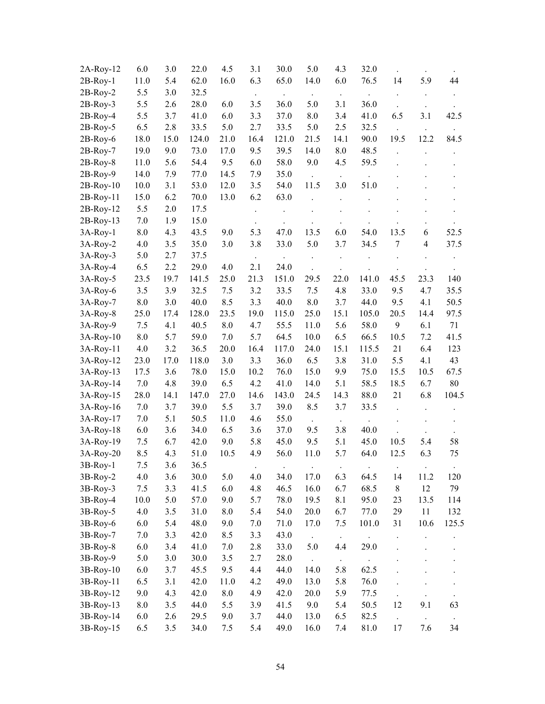| $2A-Roy-12$ | 6.0        | 3.0        | 22.0         | 4.5        | 3.1              | 30.0           | 5.0                               | 4.3              | 32.0                         |                      |                      |       |
|-------------|------------|------------|--------------|------------|------------------|----------------|-----------------------------------|------------------|------------------------------|----------------------|----------------------|-------|
| $2B-Roy-1$  | 11.0       | 5.4        | 62.0         | 16.0       | 6.3              | 65.0           | 14.0                              | 6.0              | 76.5                         | 14                   | 5.9                  | 44    |
| $2B-Roy-2$  | 5.5        | 3.0        | 32.5         |            |                  |                |                                   |                  |                              |                      |                      |       |
| $2B-Roy-3$  | 5.5        | 2.6        | 28.0         | 6.0        | 3.5              | 36.0           | 5.0                               | 3.1              | 36.0                         |                      |                      |       |
| $2B-Roy-4$  | 5.5        | 3.7        | 41.0         | 6.0        | 3.3              | 37.0           | 8.0                               | 3.4              | 41.0                         | 6.5                  | 3.1                  | 42.5  |
| 2B-Roy-5    | 6.5        | 2.8        | 33.5         | 5.0        | 2.7              | 33.5           | 5.0                               | 2.5              | 32.5                         |                      |                      |       |
| $2B-Roy-6$  | 18.0       | 15.0       | 124.0        | 21.0       | 16.4             | 121.0          | 21.5                              | 14.1             | 90.0                         | 19.5                 | 12.2                 | 84.5  |
| $2B-Roy-7$  | 19.0       | 9.0        | 73.0         | 17.0       | 9.5              | 39.5           | 14.0                              | 8.0              | 48.5                         |                      |                      |       |
| $2B-Roy-8$  | 11.0       | 5.6        | 54.4         | 9.5        | 6.0              | 58.0           | 9.0                               | 4.5              | 59.5                         |                      |                      |       |
| $2B-Roy-9$  | 14.0       | 7.9        | 77.0         | 14.5       | 7.9              | 35.0           |                                   |                  |                              |                      |                      |       |
| $2B-Roy-10$ | 10.0       | 3.1        | 53.0         | 12.0       | 3.5              | 54.0           | 11.5                              | 3.0              | 51.0                         |                      |                      |       |
| 2B-Roy-11   | 15.0       | 6.2        | 70.0         | 13.0       | 6.2              | 63.0           |                                   |                  |                              |                      |                      |       |
| $2B-Roy-12$ | 5.5        | 2.0        | 17.5         |            |                  |                |                                   |                  |                              |                      |                      |       |
| $2B-Roy-13$ | 7.0        | 1.9        | 15.0         |            |                  |                |                                   |                  |                              |                      |                      |       |
| $3A-Roy-1$  | 8.0        | 4.3        | 43.5         | 9.0        | 5.3              | 47.0           | 13.5                              | 6.0              | 54.0                         | 13.5                 | 6                    | 52.5  |
| 3A-Roy-2    | 4.0        | 3.5        | 35.0         | 3.0        | 3.8              | 33.0           | 5.0                               | 3.7              | 34.5                         | 7                    | $\overline{4}$       | 37.5  |
| 3A-Roy-3    | 5.0        | 2.7        | 37.5         |            |                  |                |                                   |                  |                              |                      |                      |       |
| 3A-Roy-4    | 6.5        | 2.2        | 29.0         | 4.0        | 2.1              | 24.0           |                                   |                  |                              |                      |                      |       |
| 3A-Roy-5    | 23.5       | 19.7       | 141.5        | 25.0       | 21.3             | 151.0          | 29.5                              | 22.0             | 141.0                        | 45.5                 | 23.3                 | 140   |
| 3A-Roy-6    | 3.5        | 3.9        | 32.5         | 7.5        | 3.2              | 33.5           | 7.5                               | 4.8              | 33.0                         | 9.5                  | 4.7                  | 35.5  |
| 3A-Roy-7    | 8.0        | 3.0        | 40.0         | 8.5        | 3.3              | 40.0           | 8.0                               | 3.7              | 44.0                         | 9.5                  | 4.1                  | 50.5  |
| 3A-Roy-8    | 25.0       | 17.4       | 128.0        | 23.5       | 19.0             | 115.0          | 25.0                              | 15.1             | 105.0                        | 20.5                 | 14.4                 | 97.5  |
| 3A-Roy-9    | 7.5        | 4.1        | 40.5         | $8.0\,$    | 4.7              | 55.5           | 11.0                              | 5.6              | 58.0                         | 9                    | 6.1                  | 71    |
| 3A-Roy-10   | 8.0        | 5.7        | 59.0         | 7.0        | 5.7              | 64.5           | 10.0                              | 6.5              | 66.5                         | 10.5                 | 7.2                  | 41.5  |
| 3A-Roy-11   | 4.0        | 3.2        | 36.5         | 20.0       | 16.4             | 117.0          | 24.0                              | 15.1             | 115.5                        | 21                   | 6.4                  | 123   |
| 3A-Roy-12   | 23.0       | 17.0       | 118.0        | 3.0        | 3.3              | 36.0           | 6.5                               | 3.8              | 31.0                         | 5.5                  | 4.1                  | 43    |
| 3A-Roy-13   | 17.5       | 3.6        | 78.0         | 15.0       | 10.2             | 76.0           | 15.0                              | 9.9              | 75.0                         | 15.5                 | 10.5                 | 67.5  |
| 3A-Roy-14   | 7.0        | 4.8        | 39.0         | 6.5        | 4.2              | 41.0           | 14.0                              | 5.1              | 58.5                         | 18.5                 | 6.7                  | 80    |
| 3A-Roy-15   | 28.0       | 14.1       | 147.0        | 27.0       | 14.6             | 143.0          | 24.5                              | 14.3             | 88.0                         | 21                   | 6.8                  | 104.5 |
| 3A-Roy-16   | 7.0        | 3.7        | 39.0         | 5.5        | 3.7              | 39.0           | 8.5                               | 3.7              | 33.5                         |                      |                      |       |
| 3A-Roy-17   | 7.0        | 5.1        | 50.5         | 11.0       | 4.6              | 55.0           |                                   |                  |                              |                      |                      |       |
| 3A-Roy-18   | 6.0        | 3.6        | 34.0         | 6.5        | 3.6              | 37.0           | 9.5                               | 3.8              | 40.0                         |                      |                      |       |
| 3A-Roy-19   | 7.5        | 6.7        | 42.0         | 9.0        | 5.8              | 45.0           | 9.5                               | 5.1              | 45.0                         | 10.5                 | 5.4                  | 58    |
| 3A-Roy-20   | 8.5        | 4.3        | 51.0         | 10.5       | 4.9              | 56.0           | 11.0                              | 5.7              | 64.0                         | 12.5                 | 6.3                  | 75    |
| 3B-Roy-1    | 7.5        | 3.6        | 36.5         |            |                  |                |                                   |                  |                              |                      |                      |       |
| $3B-Roy-2$  | 4.0        | 3.6        | 30.0         | 5.0        | $\bullet$<br>4.0 | $\Box$<br>34.0 | $\bullet$<br>17.0                 | $\bullet$<br>6.3 | $\ddot{\phantom{0}}$<br>64.5 | $\bullet$<br>14      | $\bullet$<br>11.2    | 120   |
| $3B-Roy-3$  | 7.5        | 3.3        | 41.5         | 6.0        | 4.8              | 46.5           | 16.0                              | 6.7              | 68.5                         | $\,$ 8 $\,$          | 12                   | 79    |
| 3B-Roy-4    | 10.0       | 5.0        | 57.0         | 9.0        | 5.7              | 78.0           | 19.5                              | 8.1              | 95.0                         | 23                   | 13.5                 | 114   |
| $3B-Roy-5$  | 4.0        | 3.5        | 31.0         | 8.0        | 5.4              | 54.0           | 20.0                              | 6.7              | 77.0                         | 29                   | 11                   | 132   |
| 3B-Roy-6    | 6.0        | 5.4        | 48.0         | 9.0        | 7.0              | 71.0           | 17.0                              | 7.5              | 101.0                        | 31                   | 10.6                 | 125.5 |
| 3B-Roy-7    | 7.0        | 3.3        | 42.0         | 8.5        | 3.3              | 43.0           |                                   |                  |                              |                      |                      |       |
| $3B-Roy-8$  | 6.0        | 3.4        | 41.0         | 7.0        | 2.8              | 33.0           | $\ddot{\phantom{a}}$<br>5.0       | 4.4              | 29.0                         |                      |                      |       |
| 3B-Roy-9    | 5.0        | 3.0        | 30.0         | 3.5        | 2.7              | 28.0           |                                   |                  |                              |                      |                      |       |
|             | 6.0        | 3.7        | 45.5         | 9.5        | 4.4              | 44.0           | $\mathbb{Z}^{\mathbb{Z}}$<br>14.0 | $\sim$<br>5.8    | 62.5                         |                      |                      |       |
| 3B-Roy-10   |            |            |              |            |                  |                |                                   |                  |                              |                      |                      |       |
| 3B-Roy-11   | 6.5        | 3.1        | 42.0         | 11.0       | 4.2              | 49.0<br>42.0   | 13.0                              | 5.8<br>5.9       | 76.0                         |                      |                      |       |
| 3B-Roy-12   | 9.0        | 4.3        | 42.0         | 8.0<br>5.5 | 4.9              | 41.5           | 20.0                              |                  | 77.5                         |                      | $\ddot{\phantom{0}}$ |       |
| 3B-Roy-13   | 8.0<br>6.0 | 3.5<br>2.6 | 44.0<br>29.5 | 9.0        | 3.9<br>3.7       | 44.0           | 9.0<br>13.0                       | 5.4<br>6.5       | 50.5<br>82.5                 | 12                   | 9.1                  | 63    |
| 3B-Roy-14   |            |            |              |            |                  | 49.0           |                                   |                  |                              | $\ddot{\phantom{0}}$ | $\Box$               | 34    |
| 3B-Roy-15   | 6.5        | 3.5        | 34.0         | 7.5        | 5.4              |                | 16.0                              | 7.4              | 81.0                         | 17                   | 7.6                  |       |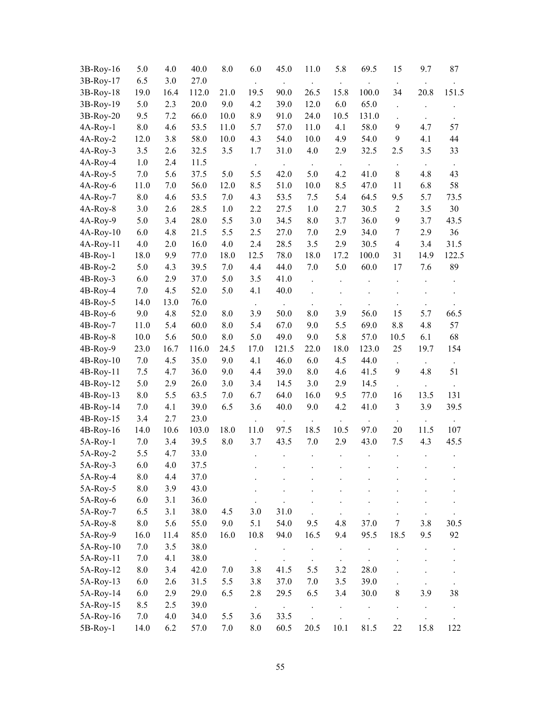| 3B-Roy-16   | 5.0                | 4.0  | 40.0  | 8.0  | 6.0  | 45.0  | 11.0                 | 5.8                  | 69.5  | 15                   | 9.7                  | 87    |
|-------------|--------------------|------|-------|------|------|-------|----------------------|----------------------|-------|----------------------|----------------------|-------|
| 3B-Roy-17   | 6.5                | 3.0  | 27.0  |      |      |       |                      |                      |       |                      |                      |       |
| 3B-Roy-18   | 19.0               | 16.4 | 112.0 | 21.0 | 19.5 | 90.0  | 26.5                 | 15.8                 | 100.0 | 34                   | 20.8                 | 151.5 |
| 3B-Roy-19   | 5.0                | 2.3  | 20.0  | 9.0  | 4.2  | 39.0  | 12.0                 | 6.0                  | 65.0  |                      |                      |       |
| 3B-Roy-20   | 9.5                | 7.2  | 66.0  | 10.0 | 8.9  | 91.0  | 24.0                 | 10.5                 | 131.0 |                      |                      |       |
| 4A-Roy-1    | 8.0                | 4.6  | 53.5  | 11.0 | 5.7  | 57.0  | 11.0                 | 4.1                  | 58.0  | 9                    | 4.7                  | 57    |
| 4A-Roy-2    | 12.0               | 3.8  | 58.0  | 10.0 | 4.3  | 54.0  | 10.0                 | 4.9                  | 54.0  | 9                    | 4.1                  | 44    |
| $4A-Roy-3$  | 3.5                | 2.6  | 32.5  | 3.5  | 1.7  | 31.0  | 4.0                  | 2.9                  | 32.5  | 2.5                  | 3.5                  | 33    |
| 4A-Roy-4    | 1.0                | 2.4  | 11.5  |      |      |       | $\ddot{\phantom{a}}$ |                      |       |                      |                      |       |
| 4A-Roy-5    | 7.0                | 5.6  | 37.5  | 5.0  | 5.5  | 42.0  | 5.0                  | 4.2                  | 41.0  | $\,8\,$              | 4.8                  | 43    |
| 4A-Roy-6    | 11.0               | 7.0  | 56.0  | 12.0 | 8.5  | 51.0  | 10.0                 | 8.5                  | 47.0  | 11                   | 6.8                  | 58    |
| 4A-Roy-7    | 8.0                | 4.6  | 53.5  | 7.0  | 4.3  | 53.5  | 7.5                  | 5.4                  | 64.5  | 9.5                  | 5.7                  | 73.5  |
| 4A-Roy-8    | 3.0                | 2.6  | 28.5  | 1.0  | 2.2  | 27.5  | 1.0                  | 2.7                  | 30.5  | $\overline{2}$       | 3.5                  | 30    |
| 4A-Roy-9    | 5.0                | 3.4  | 28.0  | 5.5  | 3.0  | 34.5  | 8.0                  | 3.7                  | 36.0  | 9                    | 3.7                  | 43.5  |
| $4A-Roy-10$ | 6.0                | 4.8  | 21.5  | 5.5  | 2.5  | 27.0  | 7.0                  | 2.9                  | 34.0  | $\overline{7}$       | 2.9                  | 36    |
| 4A-Roy-11   | 4.0                | 2.0  | 16.0  | 4.0  | 2.4  | 28.5  | 3.5                  | 2.9                  | 30.5  | $\overline{4}$       | 3.4                  | 31.5  |
| $4B-Roy-1$  | 18.0               | 9.9  | 77.0  | 18.0 | 12.5 | 78.0  | 18.0                 | 17.2                 | 100.0 | 31                   | 14.9                 | 122.5 |
| 4B-Roy-2    | 5.0                | 4.3  | 39.5  | 7.0  | 4.4  | 44.0  | 7.0                  | 5.0                  | 60.0  | 17                   | 7.6                  | 89    |
| $4B-Roy-3$  | 6.0                | 2.9  | 37.0  | 5.0  | 3.5  | 41.0  |                      |                      |       |                      |                      |       |
| 4B-Roy-4    | 7.0                | 4.5  | 52.0  | 5.0  | 4.1  | 40.0  |                      |                      |       |                      |                      |       |
| $4B-Roy-5$  | 14.0               | 13.0 | 76.0  |      |      |       |                      |                      |       |                      |                      |       |
| 4B-Roy-6    | 9.0                | 4.8  | 52.0  | 8.0  | 3.9  | 50.0  | 8.0                  | 3.9                  | 56.0  | 15                   | 5.7                  | 66.5  |
| 4B-Roy-7    | 11.0               | 5.4  | 60.0  | 8.0  | 5.4  | 67.0  | 9.0                  | 5.5                  | 69.0  | 8.8                  | 4.8                  | 57    |
| $4B-Roy-8$  | 10.0               | 5.6  | 50.0  | 8.0  | 5.0  | 49.0  | 9.0                  | 5.8                  | 57.0  | 10.5                 | 6.1                  | 68    |
| 4B-Roy-9    | 23.0               | 16.7 | 116.0 | 24.5 | 17.0 | 121.5 | 22.0                 | 18.0                 | 123.0 | 25                   | 19.7                 | 154   |
| $4B-Roy-10$ | 7.0                | 4.5  | 35.0  | 9.0  | 4.1  | 46.0  | 6.0                  | 4.5                  | 44.0  | $\Box$               | $\ddot{\phantom{a}}$ |       |
| 4B-Roy-11   | 7.5                | 4.7  | 36.0  | 9.0  | 4.4  | 39.0  | 8.0                  | 4.6                  | 41.5  | 9                    | 4.8                  | 51    |
| 4B-Roy-12   | 5.0                | 2.9  | 26.0  | 3.0  | 3.4  | 14.5  | 3.0                  | 2.9                  | 14.5  |                      |                      |       |
| 4B-Roy-13   | 8.0                | 5.5  | 63.5  | 7.0  | 6.7  | 64.0  | 16.0                 | 9.5                  | 77.0  | 16                   | 13.5                 | 131   |
| 4B-Roy-14   | 7.0                | 4.1  | 39.0  | 6.5  | 3.6  | 40.0  | 9.0                  | 4.2                  | 41.0  | 3                    | 3.9                  | 39.5  |
| 4B-Roy-15   | 3.4                | 2.7  | 23.0  |      |      |       |                      |                      |       |                      |                      |       |
| 4B-Roy-16   | 14.0               | 10.6 | 103.0 | 18.0 | 11.0 | 97.5  | 18.5                 | 10.5                 | 97.0  | 20                   | 11.5                 | 107   |
| 5A-Roy-1    | 7.0                | 3.4  | 39.5  | 8.0  | 3.7  | 43.5  | 7.0                  | 2.9                  | 43.0  | 7.5                  | 4.3                  | 45.5  |
| 5A-Roy-2    | 5.5                | 4.7  | 33.0  |      |      |       |                      |                      |       |                      |                      |       |
| 5A-Roy-3    | 6.0                | 4.0  | 37.5  |      |      |       |                      |                      |       |                      |                      |       |
| 5A-Roy-4    | $\boldsymbol{8.0}$ | 4.4  | 37.0  |      |      |       |                      |                      |       |                      |                      |       |
| 5A-Roy-5    | $8.0\,$            | 3.9  | 43.0  |      |      |       |                      |                      |       |                      |                      |       |
| 5A-Roy-6    | 6.0                | 3.1  | 36.0  |      |      |       |                      |                      |       |                      |                      |       |
| 5A-Roy-7    | 6.5                | 3.1  | 38.0  | 4.5  | 3.0  | 31.0  |                      |                      |       |                      |                      |       |
| 5A-Roy-8    | $8.0\,$            | 5.6  | 55.0  | 9.0  | 5.1  | 54.0  | 9.5                  | 4.8                  | 37.0  | 7                    | 3.8                  | 30.5  |
| 5A-Roy-9    | 16.0               | 11.4 | 85.0  | 16.0 | 10.8 | 94.0  | 16.5                 | 9.4                  | 95.5  | 18.5                 | 9.5                  | 92    |
| 5A-Roy-10   | 7.0                | 3.5  | 38.0  |      |      |       |                      |                      |       |                      |                      |       |
| 5A-Roy-11   | 7.0                | 4.1  | 38.0  |      |      |       | $\ddot{\phantom{0}}$ | $\ddot{\phantom{a}}$ |       |                      |                      |       |
| 5A-Roy-12   | 8.0                | 3.4  | 42.0  | 7.0  | 3.8  | 41.5  | 5.5                  | 3.2                  | 28.0  |                      |                      |       |
| 5A-Roy-13   | 6.0                | 2.6  | 31.5  | 5.5  | 3.8  | 37.0  | 7.0                  | 3.5                  | 39.0  |                      | $\ddot{\phantom{0}}$ |       |
| 5A-Roy-14   | 6.0                | 2.9  | 29.0  | 6.5  | 2.8  | 29.5  | 6.5                  | 3.4                  | 30.0  | $\,8\,$              | 3.9                  | 38    |
| 5A-Roy-15   | 8.5                | 2.5  | 39.0  |      |      |       | $\ddot{\phantom{a}}$ |                      |       | $\ddot{\phantom{0}}$ |                      |       |
| 5A-Roy-16   | 7.0                | 4.0  | 34.0  | 5.5  | 3.6  | 33.5  |                      |                      |       |                      |                      |       |
| 5B-Roy-1    | 14.0               | 6.2  | 57.0  | 7.0  | 8.0  | 60.5  | 20.5                 | 10.1                 | 81.5  | 22                   | 15.8                 | 122   |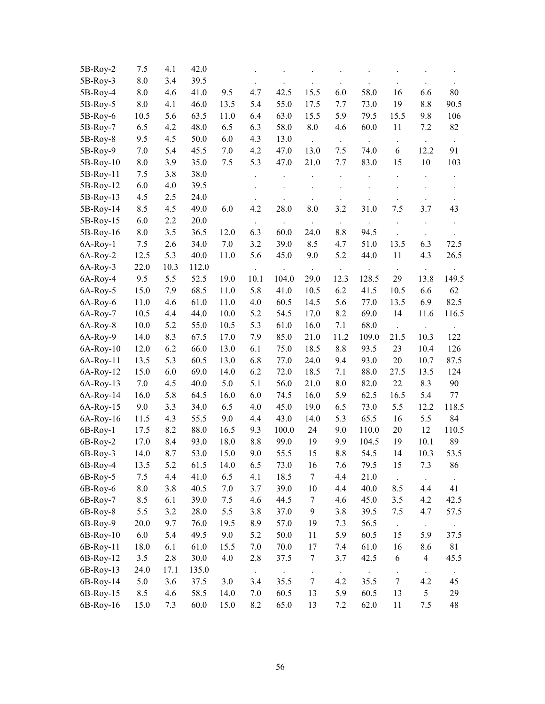| 5B-Roy-2    | 7.5  | 4.1  | 42.0  |      |      |       |                  |      |       |        |                         |       |
|-------------|------|------|-------|------|------|-------|------------------|------|-------|--------|-------------------------|-------|
| 5B-Roy-3    | 8.0  | 3.4  | 39.5  |      |      |       |                  |      |       |        |                         |       |
| 5B-Roy-4    | 8.0  | 4.6  | 41.0  | 9.5  | 4.7  | 42.5  | 15.5             | 6.0  | 58.0  | 16     | 6.6                     | 80    |
| 5B-Roy-5    | 8.0  | 4.1  | 46.0  | 13.5 | 5.4  | 55.0  | 17.5             | 7.7  | 73.0  | 19     | 8.8                     | 90.5  |
| 5B-Roy-6    | 10.5 | 5.6  | 63.5  | 11.0 | 6.4  | 63.0  | 15.5             | 5.9  | 79.5  | 15.5   | 9.8                     | 106   |
| 5B-Roy-7    | 6.5  | 4.2  | 48.0  | 6.5  | 6.3  | 58.0  | $8.0\,$          | 4.6  | 60.0  | 11     | 7.2                     | 82    |
| 5B-Roy-8    | 9.5  | 4.5  | 50.0  | 6.0  | 4.3  | 13.0  |                  |      |       |        |                         |       |
| 5B-Roy-9    | 7.0  | 5.4  | 45.5  | 7.0  | 4.2  | 47.0  | 13.0             | 7.5  | 74.0  | 6      | 12.2                    | 91    |
| 5B-Roy-10   | 8.0  | 3.9  | 35.0  | 7.5  | 5.3  | 47.0  | 21.0             | 7.7  | 83.0  | 15     | 10                      | 103   |
| 5B-Roy-11   | 7.5  | 3.8  | 38.0  |      |      |       |                  |      |       |        |                         |       |
| 5B-Roy-12   | 6.0  | 4.0  | 39.5  |      |      |       |                  |      |       |        |                         |       |
| 5B-Roy-13   | 4.5  | 2.5  | 24.0  |      |      |       |                  |      |       |        |                         |       |
| 5B-Roy-14   | 8.5  | 4.5  | 49.0  | 6.0  | 4.2  | 28.0  | 8.0              | 3.2  | 31.0  | 7.5    | 3.7                     | 43    |
| 5B-Roy-15   | 6.0  | 2.2  | 20.0  |      |      |       |                  |      |       |        |                         |       |
| 5B-Roy-16   | 8.0  | 3.5  | 36.5  | 12.0 | 6.3  | 60.0  | 24.0             | 8.8  | 94.5  |        |                         |       |
| 6A-Roy-1    | 7.5  | 2.6  | 34.0  | 7.0  | 3.2  | 39.0  | 8.5              | 4.7  | 51.0  | 13.5   | 6.3                     | 72.5  |
| 6A-Roy-2    | 12.5 | 5.3  | 40.0  | 11.0 | 5.6  | 45.0  | 9.0              | 5.2  | 44.0  | 11     | 4.3                     | 26.5  |
| 6A-Roy-3    | 22.0 | 10.3 | 112.0 |      |      |       |                  |      |       |        |                         |       |
| 6A-Roy-4    | 9.5  | 5.5  | 52.5  | 19.0 | 10.1 | 104.0 | 29.0             | 12.3 | 128.5 | 29     | 13.8                    | 149.5 |
| 6A-Roy-5    | 15.0 | 7.9  | 68.5  | 11.0 | 5.8  | 41.0  | 10.5             | 6.2  | 41.5  | 10.5   | 6.6                     | 62    |
| 6A-Roy-6    | 11.0 | 4.6  | 61.0  | 11.0 | 4.0  | 60.5  | 14.5             | 5.6  | 77.0  | 13.5   | 6.9                     | 82.5  |
| 6A-Roy-7    | 10.5 | 4.4  | 44.0  | 10.0 | 5.2  | 54.5  | 17.0             | 8.2  | 69.0  | 14     | 11.6                    | 116.5 |
| 6A-Roy-8    | 10.0 | 5.2  | 55.0  | 10.5 | 5.3  | 61.0  | 16.0             | 7.1  | 68.0  |        |                         |       |
| 6A-Roy-9    | 14.0 | 8.3  | 67.5  | 17.0 | 7.9  | 85.0  | 21.0             | 11.2 | 109.0 | 21.5   | 10.3                    | 122   |
| $6A-Roy-10$ | 12.0 | 6.2  | 66.0  | 13.0 | 6.1  | 75.0  | 18.5             | 8.8  | 93.5  | 23     | 10.4                    | 126   |
| 6A-Roy-11   | 13.5 | 5.3  | 60.5  | 13.0 | 6.8  | 77.0  | 24.0             | 9.4  | 93.0  | $20\,$ | 10.7                    | 87.5  |
| $6A-Roy-12$ | 15.0 | 6.0  | 69.0  | 14.0 | 6.2  | 72.0  | 18.5             | 7.1  | 88.0  | 27.5   | 13.5                    | 124   |
| $6A-Roy-13$ | 7.0  | 4.5  | 40.0  | 5.0  | 5.1  | 56.0  | 21.0             | 8.0  | 82.0  | $22\,$ | 8.3                     | 90    |
| 6A-Roy-14   | 16.0 | 5.8  | 64.5  | 16.0 | 6.0  | 74.5  | 16.0             | 5.9  | 62.5  | 16.5   | 5.4                     | 77    |
| 6A-Roy-15   | 9.0  | 3.3  | 34.0  | 6.5  | 4.0  | 45.0  | 19.0             | 6.5  | 73.0  | 5.5    | 12.2                    | 118.5 |
| $6A-Roy-16$ | 11.5 | 4.3  | 55.5  | 9.0  | 4.4  | 43.0  | 14.0             | 5.3  | 65.5  | 16     | 5.5                     | 84    |
| 6B-Roy-1    | 17.5 | 8.2  | 88.0  | 16.5 | 9.3  | 100.0 | 24               | 9.0  | 110.0 | $20\,$ | 12                      | 110.5 |
| 6B-Roy-2    | 17.0 | 8.4  | 93.0  | 18.0 | 8.8  | 99.0  | 19               | 9.9  | 104.5 | 19     | 10.1                    | 89    |
| 6B-Roy-3    | 14.0 | 8.7  | 53.0  | 15.0 | 9.0  | 55.5  | 15               | 8.8  | 54.5  | 14     | 10.3                    | 53.5  |
| 6B-Roy-4    | 13.5 | 5.2  | 61.5  | 14.0 | 6.5  | 73.0  | 16               | 7.6  | 79.5  | 15     | $7.3\,$                 | 86    |
| $6B-Roy-5$  | 7.5  | 4.4  | 41.0  | 6.5  | 4.1  | 18.5  | 7                | 4.4  | 21.0  |        |                         |       |
| 6B-Roy-6    | 8.0  | 3.8  | 40.5  | 7.0  | 3.7  | 39.0  | 10               | 4.4  | 40.0  | 8.5    | 4.4                     | 41    |
| 6B-Roy-7    | 8.5  | 6.1  | 39.0  | 7.5  | 4.6  | 44.5  | $\boldsymbol{7}$ | 4.6  | 45.0  | 3.5    | 4.2                     | 42.5  |
| 6B-Roy-8    | 5.5  | 3.2  | 28.0  | 5.5  | 3.8  | 37.0  | $\mathbf{9}$     | 3.8  | 39.5  | 7.5    | 4.7                     | 57.5  |
| 6B-Roy-9    | 20.0 | 9.7  | 76.0  | 19.5 | 8.9  | 57.0  | 19               | 7.3  | 56.5  |        | $\ddot{\phantom{a}}$    |       |
| 6B-Roy-10   | 6.0  | 5.4  | 49.5  | 9.0  | 5.2  | 50.0  | 11               | 5.9  | 60.5  | 15     | 5.9                     | 37.5  |
| 6B-Roy-11   | 18.0 | 6.1  | 61.0  | 15.5 | 7.0  | 70.0  | 17               | 7.4  | 61.0  | 16     | 8.6                     | 81    |
| 6B-Roy-12   | 3.5  | 2.8  | 30.0  | 4.0  | 2.8  | 37.5  | $\boldsymbol{7}$ | 3.7  | 42.5  | 6      | $\overline{\mathbf{4}}$ | 45.5  |
| 6B-Roy-13   | 24.0 | 17.1 | 135.0 |      |      |       |                  |      |       |        |                         |       |
| 6B-Roy-14   | 5.0  | 3.6  | 37.5  | 3.0  | 3.4  | 35.5  | $\boldsymbol{7}$ | 4.2  | 35.5  | 7      | 4.2                     | 45    |
| 6B-Roy-15   | 8.5  | 4.6  | 58.5  | 14.0 | 7.0  | 60.5  | 13               | 5.9  | 60.5  | 13     | 5                       | 29    |
| 6B-Roy-16   | 15.0 | 7.3  | 60.0  | 15.0 | 8.2  | 65.0  | 13               | 7.2  | 62.0  | 11     | 7.5                     | 48    |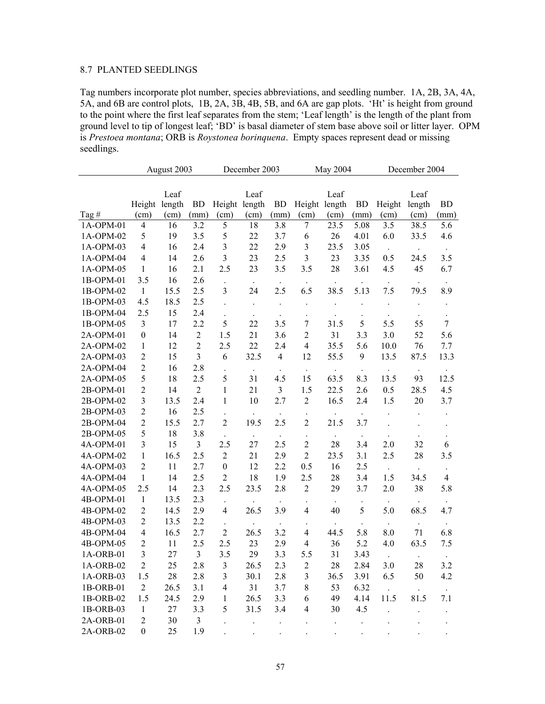# 8.7 PLANTED SEEDLINGS

Tag numbers incorporate plot number, species abbreviations, and seedling number. 1A, 2B, 3A, 4A, 5A, and 6B are control plots, 1B, 2A, 3B, 4B, 5B, and 6A are gap plots. 'Ht' is height from ground to the point where the first leaf separates from the stem; 'Leaf length' is the length of the plant from ground level to tip of longest leaf; 'BD' is basal diameter of stem base above soil or litter layer. OPM is *Prestoea montana*; ORB is *Roystonea borinquena*. Empty spaces represent dead or missing seedlings.

|           |                         | August 2003 |                |                         | December 2003 |                      |                      | May 2004             |           |                      | December 2004 |                      |
|-----------|-------------------------|-------------|----------------|-------------------------|---------------|----------------------|----------------------|----------------------|-----------|----------------------|---------------|----------------------|
|           |                         |             |                |                         |               |                      |                      |                      |           |                      |               |                      |
|           |                         | Leaf        |                |                         | Leaf          |                      |                      | Leaf                 |           |                      | Leaf          |                      |
|           | Height length           |             | <b>BD</b>      | Height length           |               | <b>BD</b>            | Height length        |                      | <b>BD</b> | Height               | length        | <b>BD</b>            |
| Tag#      | (cm)                    | (cm)        | (mm)           | (cm)                    | (cm)          | (mm)                 | (cm)                 | (cm)                 | (mm)      | (cm)                 | (cm)          | (mm)                 |
| 1A-OPM-01 | $\overline{4}$          | 16          | 3.2            | 5                       | 18            | 3.8                  | 7                    | 23.5                 | 5.08      | 3.5                  | 38.5          | 5.6                  |
| 1A-OPM-02 | 5                       | 19          | 3.5            | 5                       | 22            | 3.7                  | 6                    | 26                   | 4.01      | 6.0                  | 33.5          | 4.6                  |
| 1A-OPM-03 | $\overline{4}$          | 16          | 2.4            | 3                       | 22            | 2.9                  | $\mathfrak{Z}$       | 23.5                 | 3.05      | $\sim$               |               |                      |
| 1A-OPM-04 | $\overline{4}$          | 14          | 2.6            | $\overline{3}$          | 23            | 2.5                  | $\mathfrak{Z}$       | 23                   | 3.35      | 0.5                  | 24.5          | 3.5                  |
| 1A-OPM-05 | 1                       | 16          | 2.1            | 2.5                     | 23            | 3.5                  | 3.5                  | 28                   | 3.61      | 4.5                  | 45            | 6.7                  |
| 1B-OPM-01 | 3.5                     | 16          | 2.6            |                         | $\bullet$     |                      |                      |                      |           | $\cdot$              |               |                      |
| 1B-OPM-02 | $\mathbf{1}$            | 15.5        | 2.5            | 3                       | 24            | 2.5                  | 6.5                  | 38.5                 | 5.13      | 7.5                  | 79.5          | 8.9                  |
| 1B-OPM-03 | 4.5                     | 18.5        | 2.5            |                         |               |                      |                      |                      |           |                      |               |                      |
| 1B-OPM-04 | 2.5                     | 15          | 2.4            |                         |               | $\ddot{\phantom{0}}$ |                      |                      |           |                      |               |                      |
| 1B-OPM-05 | 3                       | 17          | 2.2            | 5                       | 22            | 3.5                  | 7                    | 31.5                 | 5         | 5.5                  | 55            | $\overline{7}$       |
| 2A-OPM-01 | $\boldsymbol{0}$        | 14          | $\sqrt{2}$     | 1.5                     | 21            | 3.6                  | $\overline{2}$       | 31                   | 3.3       | 3.0                  | 52            | 5.6                  |
| 2A-OPM-02 | $\mathbf{1}$            | 12          | $\overline{2}$ | 2.5                     | 22            | 2.4                  | $\overline{4}$       | 35.5                 | 5.6       | 10.0                 | 76            | 7.7                  |
| 2A-OPM-03 | $\overline{c}$          | 15          | 3              | 6                       | 32.5          | $\overline{4}$       | 12                   | 55.5                 | 9         | 13.5                 | 87.5          | 13.3                 |
| 2A-OPM-04 | $\overline{c}$          | 16          | 2.8            |                         | $\bullet$     |                      | $\bullet$            |                      |           |                      | $\cdot$       |                      |
| 2A-OPM-05 | 5                       | 18          | 2.5            | 5                       | 31            | 4.5                  | 15                   | 63.5                 | 8.3       | 13.5                 | 93            | 12.5                 |
| 2B-OPM-01 | $\overline{2}$          | 14          | $\overline{2}$ | $\mathbf{1}$            | 21            | $\mathfrak{Z}$       | 1.5                  | 22.5                 | 2.6       | 0.5                  | 28.5          | 4.5                  |
| 2B-OPM-02 | $\mathfrak{Z}$          | 13.5        | 2.4            | $\mathbf{1}$            | 10            | 2.7                  | $\overline{2}$       | 16.5                 | 2.4       | 1.5                  | 20            | 3.7                  |
| 2B-OPM-03 | $\overline{c}$          | 16          | 2.5            |                         |               | $\bullet$            | $\ddot{\phantom{0}}$ |                      | $\cdot$   |                      |               |                      |
| 2B-OPM-04 | $\overline{2}$          | 15.5        | 2.7            | $\overline{c}$          | 19.5          | 2.5                  | $\overline{2}$       | 21.5                 | 3.7       |                      |               |                      |
| 2B-OPM-05 | 5                       | 18          | 3.8            | $\ddot{\phantom{0}}$    | $\cdot$       | $\sim$               | $\ddot{\phantom{0}}$ | $\cdot$              | $\cdot$   | $\ddot{\phantom{a}}$ | $\cdot$       |                      |
| 4A-OPM-01 | 3                       | 15          | $\overline{3}$ | 2.5                     | 27            | 2.5                  | $\sqrt{2}$           | 28                   | 3.4       | 2.0                  | 32            | 6                    |
| 4A-OPM-02 | 1                       | 16.5        | 2.5            | $\overline{2}$          | 21            | 2.9                  | $\overline{2}$       | 23.5                 | 3.1       | 2.5                  | 28            | 3.5                  |
| 4A-OPM-03 | $\overline{2}$          | 11          | 2.7            | $\boldsymbol{0}$        | 12            | 2.2                  | 0.5                  | 16                   | 2.5       | $\ddot{\phantom{0}}$ |               |                      |
| 4A-OPM-04 | $\mathbf{1}$            | 14          | 2.5            | $\overline{2}$          | 18            | 1.9                  | 2.5                  | 28                   | 3.4       | 1.5                  | 34.5          | $\overline{4}$       |
| 4A-OPM-05 | 2.5                     | 14          | 2.3            | 2.5                     | 23.5          | 2.8                  | $\overline{2}$       | 29                   | 3.7       | 2.0                  | 38            | 5.8                  |
| 4B-OPM-01 | $\mathbf{1}$            | 13.5        | 2.3            |                         |               |                      |                      |                      |           |                      |               |                      |
| 4B-OPM-02 | $\overline{2}$          | 14.5        | 2.9            | $\overline{4}$          | 26.5          | 3.9                  | $\overline{4}$       | 40                   | 5         | 5.0                  | 68.5          | 4.7                  |
| 4B-OPM-03 | $\overline{2}$          | 13.5        | 2.2            |                         |               |                      |                      |                      |           | $\bullet$            |               |                      |
| 4B-OPM-04 | $\overline{4}$          | 16.5        | 2.7            | $\overline{2}$          | 26.5          | 3.2                  | $\overline{4}$       | 44.5                 | 5.8       | 8.0                  | 71            | 6.8                  |
| 4B-OPM-05 | $\overline{c}$          | 11          | 2.5            | 2.5                     | 23            | 2.9                  | $\overline{4}$       | 36                   | 5.2       | 4.0                  | 63.5          | 7.5                  |
| 1A-ORB-01 | $\overline{\mathbf{3}}$ | 27          | 3              | 3.5                     | 29            | 3.3                  | 5.5                  | 31                   | 3.43      |                      |               |                      |
| 1A-ORB-02 | $\overline{c}$          | 25          | 2.8            | $\mathfrak{Z}$          | 26.5          | 2.3                  | $\overline{2}$       | $28\,$               | 2.84      | 3.0                  | $28\,$        | 3.2                  |
| 1A-ORB-03 | 1.5                     | 28          | 2.8            | $\overline{\mathbf{3}}$ | 30.1          | 2.8                  | 3                    | 36.5                 | 3.91      | 6.5                  | 50            | 4.2                  |
| 1B-ORB-01 | $\overline{2}$          | 26.5        | 3.1            | $\overline{\mathbf{4}}$ | 31            | 3.7                  | $8\,$                | 53                   | 6.32      |                      |               | $\ddot{\phantom{0}}$ |
| 1B-ORB-02 | 1.5                     | 24.5        | 2.9            | 1                       | 26.5          | 3.3                  | 6                    | 49                   | 4.14      | 11.5                 | 81.5          | 7.1                  |
| 1B-ORB-03 | $\mathbf{1}$            | 27          | 3.3            | 5                       | 31.5          | 3.4                  | $\overline{4}$       | 30                   | 4.5       |                      |               | $\ddot{\phantom{0}}$ |
| 2A-ORB-01 | $\boldsymbol{2}$        | 30          | $\mathfrak{Z}$ |                         |               | $\ddot{\phantom{a}}$ | $\ddot{\phantom{0}}$ | $\ddot{\phantom{0}}$ | $\cdot$   |                      |               | $\ddot{\phantom{0}}$ |
| 2A-ORB-02 | $\boldsymbol{0}$        | 25          | 1.9            |                         |               |                      |                      |                      |           |                      |               |                      |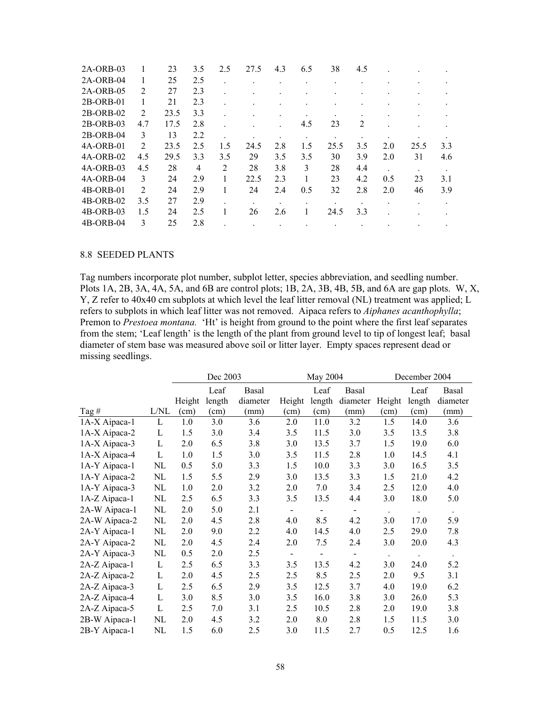| $2A-ORB-03$ |                | 23   | 3.5 | 2.5 | 27.5 | 4.3 | 6.5 | 38   | 4.5 |     |      |     |
|-------------|----------------|------|-----|-----|------|-----|-----|------|-----|-----|------|-----|
| $2A-ORB-04$ |                | 25   | 2.5 |     |      |     |     |      |     |     |      |     |
| 2A-ORB-05   | $\overline{2}$ | 27   | 2.3 |     |      |     |     |      |     |     |      |     |
| $2B-ORB-01$ |                | 21   | 2.3 |     |      |     |     |      |     |     |      |     |
| $2B-ORB-02$ | 2              | 23.5 | 3.3 |     |      |     |     |      |     |     |      |     |
| 2B-ORB-03   | 4.7            | 17.5 | 2.8 |     |      |     | 4.5 | 23   | 2   |     |      |     |
| $2B-ORB-04$ | 3              | 13   | 2.2 |     |      |     |     |      |     |     |      |     |
| 4A-ORB-01   | 2              | 23.5 | 2.5 | 1.5 | 24.5 | 2.8 | 1.5 | 25.5 | 3.5 | 2.0 | 25.5 | 3.3 |
| $4A-ORB-02$ | 4.5            | 29.5 | 3.3 | 3.5 | 29   | 3.5 | 3.5 | 30   | 3.9 | 2.0 | 31   | 4.6 |
| $4A-ORB-03$ | 4.5            | 28   | 4   | 2   | 28   | 3.8 | 3   | 28   | 4.4 |     |      |     |
| $4A-ORB-04$ | 3              | 24   | 2.9 |     | 22.5 | 2.3 |     | 23   | 4.2 | 0.5 | 23   | 3.1 |
| $4B-ORB-01$ | 2              | 24   | 2.9 |     | 24   | 2.4 | 0.5 | 32   | 2.8 | 2.0 | 46   | 3.9 |
| 4B-ORB-02   | 3.5            | 27   | 2.9 |     |      |     |     |      |     |     |      |     |
| $4B-ORB-03$ | 1.5            | 24   | 2.5 |     | 26   | 2.6 |     | 24.5 | 3.3 |     |      |     |
| 4B-ORB-04   | 3              | 25   | 2.8 |     |      |     |     |      |     |     |      |     |

### 8.8 SEEDED PLANTS

Tag numbers incorporate plot number, subplot letter, species abbreviation, and seedling number. Plots 1A, 2B, 3A, 4A, 5A, and 6B are control plots; 1B, 2A, 3B, 4B, 5B, and 6A are gap plots. W, X, Y, Z refer to 40x40 cm subplots at which level the leaf litter removal (NL) treatment was applied; L refers to subplots in which leaf litter was not removed. Aipaca refers to *Aiphanes acanthophylla*; Premon to *Prestoea montana.* 'Ht' is height from ground to the point where the first leaf separates from the stem; 'Leaf length' is the length of the plant from ground level to tip of longest leaf; basal diameter of stem base was measured above soil or litter layer. Empty spaces represent dead or missing seedlings.

|               |             |        | Dec 2003 |          |                              | May 2004                 |                | December 2004        |        |                      |  |
|---------------|-------------|--------|----------|----------|------------------------------|--------------------------|----------------|----------------------|--------|----------------------|--|
|               |             |        | Leaf     | Basal    |                              | Leaf                     | Basal          |                      | Leaf   | Basal                |  |
|               |             | Height | length   | diameter | Height                       | length                   | diameter       | Height               | length | diameter             |  |
| Tag $#$       | L/NL        | (cm)   | (cm)     | (mm)     | (cm)                         | (cm)                     | (mm)           | (cm)                 | (cm)   | (mm)                 |  |
| 1A-X Aipaca-1 | L           | 1.0    | 3.0      | 3.6      | 2.0                          | 11.0                     | 3.2            | 1.5                  | 14.0   | 3.6                  |  |
| 1A-X Aipaca-2 | L           | 1.5    | 3.0      | 3.4      | 3.5                          | 11.5                     | 3.0            | 3.5                  | 13.5   | 3.8                  |  |
| 1A-X Aipaca-3 | L           | 2.0    | 6.5      | 3.8      | 3.0                          | 13.5                     | 3.7            | 1.5                  | 19.0   | 6.0                  |  |
| 1A-X Aipaca-4 | L           | 1.0    | 1.5      | 3.0      | 3.5                          | 11.5                     | 2.8            | 1.0                  | 14.5   | 4.1                  |  |
| 1A-Y Aipaca-1 | NL          | 0.5    | 5.0      | 3.3      | 1.5                          | 10.0                     | 3.3            | 3.0                  | 16.5   | 3.5                  |  |
| 1A-Y Aipaca-2 | NL          | 1.5    | 5.5      | 2.9      | 3.0                          | 13.5                     | 3.3            | 1.5                  | 21.0   | 4.2                  |  |
| 1A-Y Aipaca-3 | NL          | 1.0    | 2.0      | 3.2      | 2.0                          | 7.0                      | 3.4            | 2.5                  | 12.0   | 4.0                  |  |
| 1A-Z Aipaca-1 | NL          | 2.5    | 6.5      | 3.3      | 3.5                          | 13.5                     | 4.4            | 3.0                  | 18.0   | 5.0                  |  |
| 2A-W Aipaca-1 | NL          | 2.0    | 5.0      | 2.1      |                              | $\overline{\phantom{a}}$ | $\blacksquare$ | $\ddot{\phantom{a}}$ |        | $\ddot{\phantom{0}}$ |  |
| 2A-W Aipaca-2 | NL          | 2.0    | 4.5      | 2.8      | 4.0                          | 8.5                      | 4.2            | 3.0                  | 17.0   | 5.9                  |  |
| 2A-Y Aipaca-1 | NL          | 2.0    | 9.0      | 2.2      | 4.0                          | 14.5                     | 4.0            | 2.5                  | 29.0   | 7.8                  |  |
| 2A-Y Aipaca-2 | NL          | 2.0    | 4.5      | 2.4      | 2.0                          | 7.5                      | 2.4            | 3.0                  | 20.0   | 4.3                  |  |
| 2A-Y Aipaca-3 | NL          | 0.5    | 2.0      | 2.5      | $\qquad \qquad \blacksquare$ | $\overline{\phantom{a}}$ | $\blacksquare$ | $\bullet$            |        | $\bullet$            |  |
| 2A-Z Aipaca-1 | L           | 2.5    | 6.5      | 3.3      | 3.5                          | 13.5                     | 4.2            | 3.0                  | 24.0   | 5.2                  |  |
| 2A-Z Aipaca-2 | L           | 2.0    | 4.5      | 2.5      | 2.5                          | 8.5                      | 2.5            | 2.0                  | 9.5    | 3.1                  |  |
| 2A-Z Aipaca-3 | L           | 2.5    | 6.5      | 2.9      | 3.5                          | 12.5                     | 3.7            | 4.0                  | 19.0   | 6.2                  |  |
| 2A-Z Aipaca-4 | $\mathbf L$ | 3.0    | 8.5      | 3.0      | 3.5                          | 16.0                     | 3.8            | 3.0                  | 26.0   | 5.3                  |  |
| 2A-Z Aipaca-5 | L           | 2.5    | 7.0      | 3.1      | 2.5                          | 10.5                     | 2.8            | 2.0                  | 19.0   | 3.8                  |  |
| 2B-W Aipaca-1 | NL          | 2.0    | 4.5      | 3.2      | 2.0                          | 8.0                      | 2.8            | 1.5                  | 11.5   | 3.0                  |  |
| 2B-Y Aipaca-1 | NL          | 1.5    | 6.0      | 2.5      | 3.0                          | 11.5                     | 2.7            | 0.5                  | 12.5   | 1.6                  |  |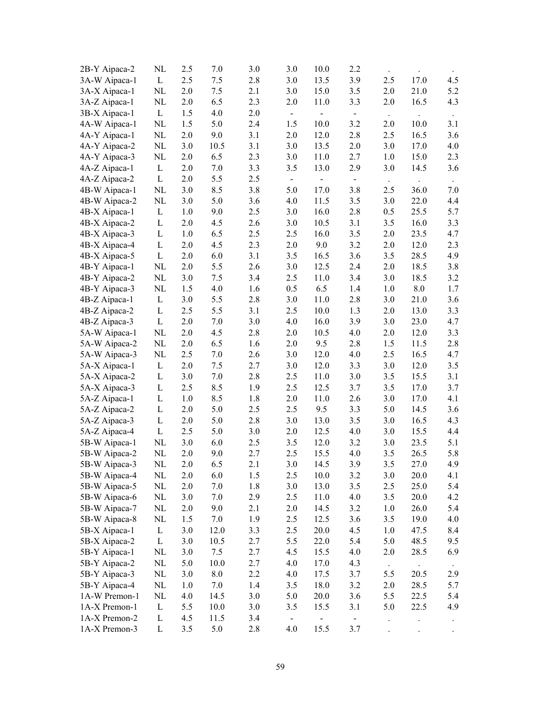| 2B-Y Aipaca-2 | NL           | 2.5     | 7.0     | 3.0 | 3.0            | 10.0                     | 2.2            |                  |          |                      |
|---------------|--------------|---------|---------|-----|----------------|--------------------------|----------------|------------------|----------|----------------------|
| 3A-W Aipaca-1 | $\mathbf{L}$ | 2.5     | 7.5     | 2.8 | 3.0            | 13.5                     | 3.9            | 2.5              | 17.0     | 4.5                  |
| 3A-X Aipaca-1 | NL           | 2.0     | 7.5     | 2.1 | 3.0            | 15.0                     | 3.5            | 2.0              | 21.0     | 5.2                  |
| 3A-Z Aipaca-1 | NL           | 2.0     | 6.5     | 2.3 | 2.0            | 11.0                     | 3.3            | 2.0              | 16.5     | 4.3                  |
| 3B-X Aipaca-1 | $\mathbf{L}$ | 1.5     | 4.0     | 2.0 | $\blacksquare$ | $\overline{a}$           | $\blacksquare$ | $\sim$           |          |                      |
| 4A-W Aipaca-1 | NL           | 1.5     | 5.0     | 2.4 | 1.5            | 10.0                     | 3.2            | 2.0              | $10.0\,$ | 3.1                  |
| 4A-Y Aipaca-1 | NL           | 2.0     | 9.0     | 3.1 | 2.0            | 12.0                     | 2.8            | 2.5              | 16.5     | 3.6                  |
| 4A-Y Aipaca-2 | NL           | 3.0     | 10.5    | 3.1 | 3.0            | 13.5                     | 2.0            | 3.0              | 17.0     | 4.0                  |
| 4A-Y Aipaca-3 | NL           | 2.0     | 6.5     | 2.3 | 3.0            | 11.0                     | 2.7            | 1.0              | 15.0     | 2.3                  |
| 4A-Z Aipaca-1 | L            | 2.0     | 7.0     | 3.3 | 3.5            | 13.0                     | 2.9            | 3.0              | 14.5     | 3.6                  |
| 4A-Z Aipaca-2 | L            | 2.0     | 5.5     | 2.5 | $\blacksquare$ | $\overline{\phantom{0}}$ | $\blacksquare$ |                  |          |                      |
| 4B-W Aipaca-1 | NL           | 3.0     | 8.5     | 3.8 | 5.0            | 17.0                     | 3.8            | 2.5              | 36.0     | 7.0                  |
| 4B-W Aipaca-2 | NL           | 3.0     | 5.0     | 3.6 | 4.0            | 11.5                     | 3.5            | 3.0              | 22.0     | 4.4                  |
| 4B-X Aipaca-1 | L            | 1.0     | 9.0     | 2.5 | 3.0            | 16.0                     | 2.8            | 0.5              | 25.5     | 5.7                  |
| 4B-X Aipaca-2 | L            | 2.0     | 4.5     | 2.6 | 3.0            | 10.5                     | 3.1            | 3.5              | 16.0     | 3.3                  |
| 4B-X Aipaca-3 | L            | 1.0     | 6.5     | 2.5 | 2.5            | 16.0                     | 3.5            | 2.0              | 23.5     | 4.7                  |
| 4B-X Aipaca-4 | L            | 2.0     | 4.5     | 2.3 | 2.0            | 9.0                      | 3.2            | 2.0              | 12.0     | 2.3                  |
| 4B-X Aipaca-5 | L            | 2.0     | 6.0     | 3.1 | 3.5            | 16.5                     | 3.6            | 3.5              | 28.5     | 4.9                  |
| 4B-Y Aipaca-1 | NL           | 2.0     | 5.5     | 2.6 | 3.0            | 12.5                     | 2.4            | 2.0              | 18.5     | 3.8                  |
| 4B-Y Aipaca-2 | $\rm NL$     | 3.0     | 7.5     | 3.4 | 2.5            | 11.0                     | 3.4            | 3.0              | 18.5     | 3.2                  |
| 4B-Y Aipaca-3 | NL           | 1.5     | 4.0     | 1.6 | 0.5            | 6.5                      | 1.4            | 1.0              | 8.0      | 1.7                  |
| 4B-Z Aipaca-1 | L            | 3.0     | 5.5     | 2.8 | 3.0            | 11.0                     | 2.8            | 3.0              | 21.0     | 3.6                  |
| 4B-Z Aipaca-2 | L            | 2.5     | 5.5     | 3.1 | 2.5            | 10.0                     | 1.3            | 2.0              | 13.0     | 3.3                  |
| 4B-Z Aipaca-3 | L            | 2.0     | 7.0     | 3.0 | 4.0            | 16.0                     | 3.9            | 3.0              | 23.0     | 4.7                  |
| 5A-W Aipaca-1 | NL           | 2.0     | 4.5     | 2.8 | 2.0            | 10.5                     | 4.0            | 2.0              | 12.0     | 3.3                  |
| 5A-W Aipaca-2 | NL           | 2.0     | 6.5     | 1.6 | 2.0            | 9.5                      | 2.8            | 1.5              | 11.5     | 2.8                  |
| 5A-W Aipaca-3 | NL           | 2.5     | 7.0     | 2.6 | 3.0            | 12.0                     | 4.0            | 2.5              | 16.5     | 4.7                  |
| 5A-X Aipaca-1 | $\mathbf{L}$ | 2.0     | 7.5     | 2.7 | 3.0            | 12.0                     | 3.3            | 3.0              | 12.0     | 3.5                  |
| 5A-X Aipaca-2 | L            | 3.0     | $7.0\,$ | 2.8 | 2.5            | 11.0                     | 3.0            | 3.5              | 15.5     | 3.1                  |
| 5A-X Aipaca-3 | L            | 2.5     | 8.5     | 1.9 | 2.5            | 12.5                     | 3.7            | 3.5              | 17.0     | 3.7                  |
| 5A-Z Aipaca-1 | L            | 1.0     | 8.5     | 1.8 | 2.0            | 11.0                     | 2.6            | 3.0              | 17.0     | 4.1                  |
| 5A-Z Aipaca-2 | $\Gamma$     | 2.0     | 5.0     | 2.5 | 2.5            | 9.5                      | 3.3            | 5.0              | 14.5     | 3.6                  |
| 5A-Z Aipaca-3 | L            | 2.0     | 5.0     | 2.8 | 3.0            | 13.0                     | 3.5            | 3.0              | 16.5     | 4.3                  |
| 5A-Z Aipaca-4 | $\mathbf{L}$ | 2.5     | 5.0     | 3.0 | 2.0            | 12.5                     | 4.0            | 3.0              | 15.5     | 4.4                  |
| 5B-W Aipaca-1 | NL           | 3.0     | 6.0     | 2.5 | 3.5            | 12.0                     | 3.2            | 3.0              | 23.5     | 5.1                  |
| 5B-W Aipaca-2 | NL           | 2.0     | 9.0     | 2.7 | 2.5            | 15.5                     | 4.0            | 3.5              | 26.5     | 5.8                  |
| 5B-W Aipaca-3 | NL           | $2.0\,$ | 6.5     | 2.1 | 3.0            | 14.5                     | 3.9            | 3.5              | 27.0     | 4.9                  |
| 5B-W Aipaca-4 | NL           | 2.0     | 6.0     | 1.5 | 2.5            | 10.0                     | 3.2            | 3.0              | 20.0     | 4.1                  |
| 5B-W Aipaca-5 | NL           | 2.0     | 7.0     | 1.8 | 3.0            | 13.0                     | 3.5            | 2.5              | 25.0     | 5.4                  |
| 5B-W Aipaca-6 | NL           | 3.0     | 7.0     | 2.9 | 2.5            | 11.0                     | 4.0            | 3.5              | 20.0     | 4.2                  |
| 5B-W Aipaca-7 | NL           | 2.0     | 9.0     | 2.1 | 2.0            | 14.5                     | 3.2            | 1.0              | 26.0     | 5.4                  |
| 5B-W Aipaca-8 | NL           | 1.5     | 7.0     | 1.9 | 2.5            | 12.5                     | 3.6            | 3.5              | 19.0     | 4.0                  |
| 5B-X Aipaca-1 | $\mathbf{L}$ | 3.0     | 12.0    | 3.3 | 2.5            | 20.0                     | 4.5            | 1.0              | 47.5     | 8.4                  |
| 5B-X Aipaca-2 | $\mathbf L$  | 3.0     | 10.5    | 2.7 | 5.5            | 22.0                     | 5.4            | 5.0              | 48.5     | 9.5                  |
| 5B-Y Aipaca-1 | NL           | 3.0     | 7.5     | 2.7 | 4.5            | 15.5                     | 4.0            | 2.0              | 28.5     | 6.9                  |
| 5B-Y Aipaca-2 | NL           | 5.0     | 10.0    | 2.7 | 4.0            | 17.0                     | 4.3            |                  |          |                      |
| 5B-Y Aipaca-3 | NL           | 3.0     | 8.0     | 2.2 | 4.0            | 17.5                     | 3.7            | $\bullet$<br>5.5 | 20.5     | 2.9                  |
| 5B-Y Aipaca-4 | NL           | 1.0     | 7.0     | 1.4 | 3.5            | 18.0                     | 3.2            | 2.0              | 28.5     | 5.7                  |
| 1A-W Premon-1 | NL           | 4.0     | 14.5    | 3.0 | 5.0            | 20.0                     | 3.6            | 5.5              | 22.5     | 5.4                  |
| 1A-X Premon-1 | L            | 5.5     | 10.0    | 3.0 | 3.5            | 15.5                     | 3.1            | 5.0              | 22.5     | 4.9                  |
| 1A-X Premon-2 | L            | 4.5     | 11.5    | 3.4 | $\blacksquare$ |                          | $\blacksquare$ |                  |          |                      |
| 1A-X Premon-3 | L            | 3.5     | 5.0     | 2.8 | 4.0            | 15.5                     | 3.7            |                  |          | $\ddot{\phantom{0}}$ |
|               |              |         |         |     |                |                          |                |                  |          |                      |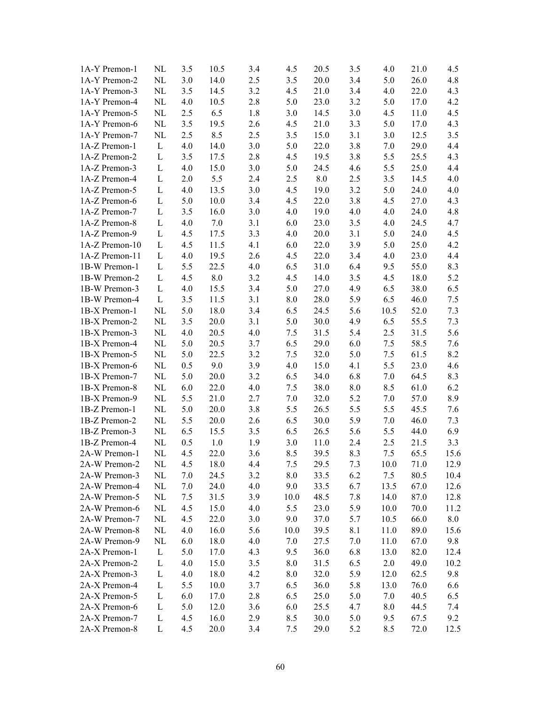| 1A-Y Premon-1  | NL           | 3.5 | 10.5               | 3.4 | 4.5     | 20.5    | 3.5     | 4.0  | 21.0 | 4.5  |
|----------------|--------------|-----|--------------------|-----|---------|---------|---------|------|------|------|
| 1A-Y Premon-2  | $\rm NL$     | 3.0 | 14.0               | 2.5 | 3.5     | 20.0    | 3.4     | 5.0  | 26.0 | 4.8  |
| 1A-Y Premon-3  | NL           | 3.5 | 14.5               | 3.2 | 4.5     | 21.0    | 3.4     | 4.0  | 22.0 | 4.3  |
| 1A-Y Premon-4  | NL           | 4.0 | 10.5               | 2.8 | 5.0     | 23.0    | 3.2     | 5.0  | 17.0 | 4.2  |
| 1A-Y Premon-5  | NL           | 2.5 | 6.5                | 1.8 | 3.0     | 14.5    | 3.0     | 4.5  | 11.0 | 4.5  |
| 1A-Y Premon-6  | NL           | 3.5 | 19.5               | 2.6 | 4.5     | 21.0    | 3.3     | 5.0  | 17.0 | 4.3  |
| 1A-Y Premon-7  | NL           | 2.5 | 8.5                | 2.5 | 3.5     | 15.0    | 3.1     | 3.0  | 12.5 | 3.5  |
| 1A-Z Premon-1  | L            | 4.0 | 14.0               | 3.0 | 5.0     | 22.0    | 3.8     | 7.0  | 29.0 | 4.4  |
| 1A-Z Premon-2  | L            | 3.5 | 17.5               | 2.8 | 4.5     | 19.5    | 3.8     | 5.5  | 25.5 | 4.3  |
| 1A-Z Premon-3  | L            | 4.0 | 15.0               | 3.0 | 5.0     | 24.5    | 4.6     | 5.5  | 25.0 | 4.4  |
| 1A-Z Premon-4  | L            | 2.0 | 5.5                | 2.4 | 2.5     | $8.0\,$ | 2.5     | 3.5  | 14.5 | 4.0  |
| 1A-Z Premon-5  | L            | 4.0 | 13.5               | 3.0 | 4.5     | 19.0    | 3.2     | 5.0  | 24.0 | 4.0  |
| 1A-Z Premon-6  | L            | 5.0 | 10.0               | 3.4 | 4.5     | 22.0    | 3.8     | 4.5  | 27.0 | 4.3  |
| 1A-Z Premon-7  | L            | 3.5 | 16.0               | 3.0 | 4.0     | 19.0    | 4.0     | 4.0  | 24.0 | 4.8  |
| 1A-Z Premon-8  | L            | 4.0 | 7.0                | 3.1 | 6.0     | 23.0    | 3.5     | 4.0  | 24.5 | 4.7  |
| 1A-Z Premon-9  | L            | 4.5 | 17.5               | 3.3 | 4.0     | 20.0    | 3.1     | 5.0  | 24.0 | 4.5  |
| 1A-Z Premon-10 | L            | 4.5 | 11.5               | 4.1 | 6.0     | 22.0    | 3.9     | 5.0  | 25.0 | 4.2  |
| 1A-Z Premon-11 | $\mathbf{L}$ | 4.0 | 19.5               | 2.6 | 4.5     | 22.0    | 3.4     | 4.0  | 23.0 | 4.4  |
| 1B-W Premon-1  | L            | 5.5 | 22.5               | 4.0 | 6.5     | 31.0    | 6.4     | 9.5  | 55.0 | 8.3  |
| 1B-W Premon-2  | L            | 4.5 | $\boldsymbol{8.0}$ | 3.2 | 4.5     | 14.0    | 3.5     | 4.5  | 18.0 | 5.2  |
| 1B-W Premon-3  | L            | 4.0 | 15.5               | 3.4 | 5.0     | 27.0    | 4.9     | 6.5  | 38.0 | 6.5  |
| 1B-W Premon-4  | L            | 3.5 | 11.5               | 3.1 | 8.0     | 28.0    | 5.9     | 6.5  | 46.0 | 7.5  |
| 1B-X Premon-1  | NL           | 5.0 | 18.0               | 3.4 | 6.5     | 24.5    | 5.6     | 10.5 | 52.0 | 7.3  |
| 1B-X Premon-2  | NL           | 3.5 | 20.0               | 3.1 | 5.0     | 30.0    | 4.9     | 6.5  | 55.5 | 7.3  |
| 1B-X Premon-3  | NL           | 4.0 | 20.5               | 4.0 | 7.5     | 31.5    | 5.4     | 2.5  | 31.5 | 5.6  |
| 1B-X Premon-4  | $\rm NL$     | 5.0 | 20.5               | 3.7 | 6.5     | 29.0    | 6.0     | 7.5  | 58.5 | 7.6  |
| 1B-X Premon-5  | $\rm NL$     | 5.0 | 22.5               | 3.2 | 7.5     | 32.0    | 5.0     | 7.5  | 61.5 | 8.2  |
| 1B-X Premon-6  | $\rm NL$     | 0.5 | 9.0                | 3.9 | 4.0     | 15.0    | 4.1     | 5.5  | 23.0 | 4.6  |
| 1B-X Premon-7  | NL           | 5.0 | 20.0               | 3.2 | 6.5     | 34.0    | 6.8     | 7.0  | 64.5 | 8.3  |
| 1B-X Premon-8  | NL           | 6.0 | 22.0               | 4.0 | 7.5     | 38.0    | 8.0     | 8.5  | 61.0 | 6.2  |
| 1B-X Premon-9  | NL           | 5.5 | 21.0               | 2.7 | $7.0\,$ | 32.0    | 5.2     | 7.0  | 57.0 | 8.9  |
| 1B-Z Premon-1  | NL           | 5.0 | 20.0               | 3.8 | 5.5     | 26.5    | 5.5     | 5.5  | 45.5 | 7.6  |
| 1B-Z Premon-2  | NL           | 5.5 | 20.0               | 2.6 | 6.5     | 30.0    | 5.9     | 7.0  | 46.0 | 7.3  |
| 1B-Z Premon-3  | NL           | 6.5 | 15.5               | 3.5 | 6.5     | 26.5    | 5.6     | 5.5  | 44.0 | 6.9  |
| 1B-Z Premon-4  | $\rm NL$     | 0.5 | $1.0\,$            | 1.9 | 3.0     | 11.0    | 2.4     | 2.5  | 21.5 | 3.3  |
| 2A-W Premon-1  | NL           | 4.5 | 22.0               | 3.6 | 8.5     | 39.5    | 8.3     | 7.5  | 65.5 | 15.6 |
| 2A-W Premon-2  | $\rm NL$     | 4.5 | $18.0\,$           | 4.4 | $7.5\,$ | 29.5    | $7.3\,$ | 10.0 | 71.0 | 12.9 |
| 2A-W Premon-3  | NL           | 7.0 | 24.5               | 3.2 | 8.0     | 33.5    | 6.2     | 7.5  | 80.5 | 10.4 |
| 2A-W Premon-4  | NL           | 7.0 | 24.0               | 4.0 | 9.0     | 33.5    | 6.7     | 13.5 | 67.0 | 12.6 |
| 2A-W Premon-5  | NL           | 7.5 | 31.5               | 3.9 | 10.0    | 48.5    | 7.8     | 14.0 | 87.0 | 12.8 |
| 2A-W Premon-6  | NL           | 4.5 | 15.0               | 4.0 | 5.5     | 23.0    | 5.9     | 10.0 | 70.0 | 11.2 |
| 2A-W Premon-7  | NL           | 4.5 | 22.0               | 3.0 | 9.0     | 37.0    | 5.7     | 10.5 | 66.0 | 8.0  |
| 2A-W Premon-8  | NL           | 4.0 | 16.0               | 5.6 | 10.0    | 39.5    | 8.1     | 11.0 | 89.0 | 15.6 |
| 2A-W Premon-9  | $\rm NL$     | 6.0 | 18.0               | 4.0 | 7.0     | 27.5    | 7.0     | 11.0 | 67.0 | 9.8  |
| 2A-X Premon-1  | L            | 5.0 | 17.0               | 4.3 | 9.5     | 36.0    | 6.8     | 13.0 | 82.0 | 12.4 |
| 2A-X Premon-2  | L            | 4.0 | 15.0               | 3.5 | 8.0     | 31.5    | 6.5     | 2.0  | 49.0 | 10.2 |
| 2A-X Premon-3  | L            | 4.0 | 18.0               | 4.2 | 8.0     | 32.0    | 5.9     | 12.0 | 62.5 | 9.8  |
| 2A-X Premon-4  | L            | 5.5 | 10.0               | 3.7 | 6.5     | 36.0    | 5.8     | 13.0 | 76.0 | 6.6  |
| 2A-X Premon-5  | L            | 6.0 | 17.0               | 2.8 | 6.5     | 25.0    | 5.0     | 7.0  | 40.5 | 6.5  |
| 2A-X Premon-6  | L            | 5.0 | 12.0               | 3.6 | 6.0     | 25.5    | 4.7     | 8.0  | 44.5 | 7.4  |
| 2A-X Premon-7  | L            | 4.5 | 16.0               | 2.9 | 8.5     | 30.0    | 5.0     | 9.5  | 67.5 | 9.2  |
| 2A-X Premon-8  | L            | 4.5 | 20.0               | 3.4 | 7.5     | 29.0    | 5.2     | 8.5  | 72.0 | 12.5 |
|                |              |     |                    |     |         |         |         |      |      |      |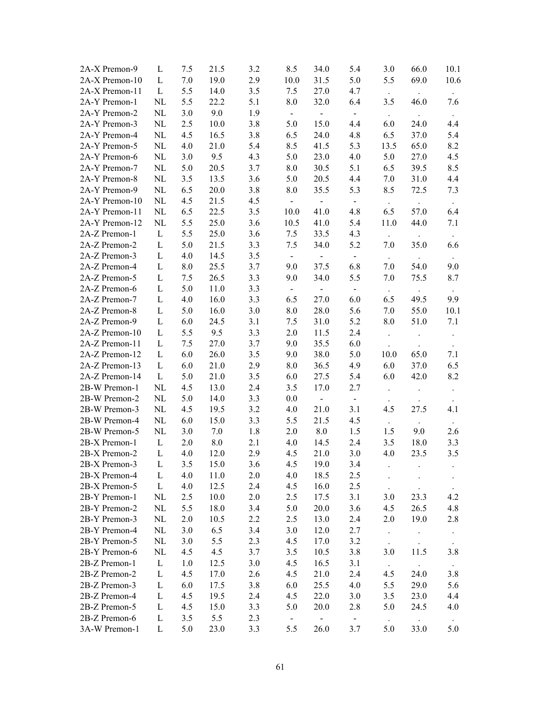| 2A-X Premon-9  | L            | 7.5   | 21.5 | 3.2 | 8.5                  | 34.0                     | 5.4                         | 3.0                         | 66.0                | 10.1                        |
|----------------|--------------|-------|------|-----|----------------------|--------------------------|-----------------------------|-----------------------------|---------------------|-----------------------------|
| 2A-X Premon-10 | L            | 7.0   | 19.0 | 2.9 | 10.0                 | 31.5                     | 5.0                         | 5.5                         | 69.0                | 10.6                        |
| 2A-X Premon-11 | $\mathbf{L}$ | 5.5   | 14.0 | 3.5 | 7.5                  | 27.0                     | 4.7                         | $\mathcal{L}_{\mathcal{A}}$ |                     | $\mathcal{L}_{\mathcal{A}}$ |
| 2A-Y Premon-1  | NL           | 5.5   | 22.2 | 5.1 | $8.0\,$              | 32.0                     | 6.4                         | 3.5                         | 46.0                | 7.6                         |
| 2A-Y Premon-2  | NL           | 3.0   | 9.0  | 1.9 | $\pm$                | ÷.                       | $\mathbb{Z}^2$              | $\sim$                      |                     |                             |
| 2A-Y Premon-3  | NL           | 2.5   | 10.0 | 3.8 | 5.0                  | 15.0                     | 4.4                         | 6.0                         | 24.0                | 4.4                         |
| 2A-Y Premon-4  | $\rm NL$     | 4.5   | 16.5 | 3.8 | 6.5                  | 24.0                     | 4.8                         | 6.5                         | 37.0                | 5.4                         |
| 2A-Y Premon-5  | $\rm NL$     | 4.0   | 21.0 | 5.4 | 8.5                  | 41.5                     | 5.3                         | 13.5                        | 65.0                | 8.2                         |
| 2A-Y Premon-6  | $\rm NL$     | 3.0   | 9.5  | 4.3 | 5.0                  | 23.0                     | 4.0                         | 5.0                         | 27.0                | 4.5                         |
| 2A-Y Premon-7  | $\rm NL$     | 5.0   | 20.5 | 3.7 | $8.0\,$              | 30.5                     | 5.1                         | 6.5                         | 39.5                | 8.5                         |
| 2A-Y Premon-8  | $\rm NL$     | 3.5   | 13.5 | 3.6 | 5.0                  | 20.5                     | 4.4                         | 7.0                         | 31.0                | 4.4                         |
| 2A-Y Premon-9  | NL           | 6.5   | 20.0 | 3.8 | 8.0                  | 35.5                     | 5.3                         | 8.5                         | 72.5                | 7.3                         |
| 2A-Y Premon-10 | NL           | 4.5   | 21.5 | 4.5 | $\omega_{\rm c}$     | $\sim$                   | $\mathcal{L}_{\mathcal{C}}$ | $\sim$                      | $\sim$              | $\sim$                      |
| 2A-Y Premon-11 | NL           | 6.5   | 22.5 | 3.5 | 10.0                 | 41.0                     | 4.8                         | 6.5                         | 57.0                | 6.4                         |
| 2A-Y Premon-12 | NL           | 5.5   | 25.0 | 3.6 | 10.5                 | 41.0                     | 5.4                         | 11.0                        | 44.0                | 7.1                         |
| 2A-Z Premon-1  | $\mathbf{L}$ | 5.5   | 25.0 | 3.6 | 7.5                  | 33.5                     | 4.3                         | $\mathcal{L}^{\pm}$         |                     | $\ddot{\phantom{1}}$        |
| 2A-Z Premon-2  | $\mathbf L$  | 5.0   | 21.5 | 3.3 | 7.5                  | 34.0                     | 5.2                         | 7.0                         | 35.0                | 6.6                         |
| 2A-Z Premon-3  | $\mathbf L$  | 4.0   | 14.5 | 3.5 | $\frac{1}{\sqrt{2}}$ | $\sim$ .                 | $\blacksquare$              | $\sim$                      |                     | $\sim$                      |
| 2A-Z Premon-4  | L            | 8.0   | 25.5 | 3.7 | 9.0                  | 37.5                     | 6.8                         | 7.0                         | 54.0                | 9.0                         |
| 2A-Z Premon-5  | L            | 7.5   | 26.5 | 3.3 | 9.0                  | 34.0                     | 5.5                         | 7.0                         | 75.5                | 8.7                         |
| 2A-Z Premon-6  | L            | 5.0   | 11.0 | 3.3 | $\blacksquare$       | $\overline{\phantom{0}}$ | $\blacksquare$              | $\sim$                      | $\sim$ $\sim$       | $\sim$                      |
| 2A-Z Premon-7  | L            | 4.0   | 16.0 | 3.3 | 6.5                  | 27.0                     | 6.0                         | 6.5                         | 49.5                | 9.9                         |
| 2A-Z Premon-8  | L            | 5.0   | 16.0 | 3.0 | 8.0                  | 28.0                     | 5.6                         | 7.0                         | 55.0                | 10.1                        |
| 2A-Z Premon-9  | L            | 6.0   | 24.5 | 3.1 | 7.5                  | 31.0                     | 5.2                         | 8.0                         | 51.0                | 7.1                         |
| 2A-Z Premon-10 | L            | 5.5   | 9.5  | 3.3 | 2.0                  | 11.5                     | 2.4                         | $\ddot{\phantom{0}}$        |                     | $\bullet$                   |
| 2A-Z Premon-11 | L            | 7.5   | 27.0 | 3.7 | 9.0                  | 35.5                     | 6.0                         |                             |                     |                             |
| 2A-Z Premon-12 | $\mathbf L$  | 6.0   | 26.0 | 3.5 | 9.0                  | 38.0                     | 5.0                         | 10.0                        | 65.0                | 7.1                         |
| 2A-Z Premon-13 | $\mathbf{L}$ | 6.0   | 21.0 | 2.9 | $8.0\,$              | 36.5                     | 4.9                         | 6.0                         | 37.0                | 6.5                         |
| 2A-Z Premon-14 | $\mathbf{L}$ | 5.0   | 21.0 | 3.5 | 6.0                  | 27.5                     | 5.4                         | 6.0                         | 42.0                | 8.2                         |
| 2B-W Premon-1  | NL           | 4.5   | 13.0 | 2.4 | 3.5                  | 17.0                     | 2.7                         | $\Box$                      | $\hat{\phantom{a}}$ |                             |
| 2B-W Premon-2  | $\rm NL$     | 5.0   | 14.0 | 3.3 | $0.0\,$              | $\blacksquare$           | $\blacksquare$              |                             |                     |                             |
| 2B-W Premon-3  | $\rm NL$     | 4.5   | 19.5 | 3.2 | 4.0                  | 21.0                     | 3.1                         | 4.5                         | 27.5                | 4.1                         |
| 2B-W Premon-4  | $\rm NL$     | 6.0   | 15.0 | 3.3 | 5.5                  | 21.5                     | 4.5                         |                             |                     |                             |
| 2B-W Premon-5  | NL           | $3.0$ | 7.0  | 1.8 | 2.0                  | $8.0\,$                  | 1.5                         | 1.5                         | 9.0                 | 2.6                         |
| 2B-X Premon-1  | $\mathbf{L}$ | 2.0   | 8.0  | 2.1 | 4.0                  | 14.5                     | 2.4                         | 3.5                         | 18.0                | 3.3                         |
| 2B-X Premon-2  | L            | 4.0   | 12.0 | 2.9 | 4.5                  | 21.0                     | 3.0                         | 4.0                         | 23.5                | 3.5                         |
| 2B-X Premon-3  | $\mathbf L$  | 3.5   | 15.0 | 3.6 | 4.5                  | 19.0                     | 3.4                         |                             |                     | $\ddot{\phantom{0}}$        |
| 2B-X Premon-4  | L            | 4.0   | 11.0 | 2.0 | 4.0                  | 18.5                     | 2.5                         |                             |                     | $\bullet$                   |
| 2B-X Premon-5  | L            | 4.0   | 12.5 | 2.4 | 4.5                  | 16.0                     | 2.5                         | $\ddot{\phantom{a}}$        |                     |                             |
| 2B-Y Premon-1  | NL           | 2.5   | 10.0 | 2.0 | 2.5                  | 17.5                     | 3.1                         | 3.0                         | 23.3                | 4.2                         |
| 2B-Y Premon-2  | NL           | 5.5   | 18.0 | 3.4 | 5.0                  | 20.0                     | 3.6                         | 4.5                         | 26.5                | 4.8                         |
| 2B-Y Premon-3  | NL           | 2.0   | 10.5 | 2.2 | 2.5                  | 13.0                     | 2.4                         | 2.0                         | 19.0                | 2.8                         |
| 2B-Y Premon-4  | NL           | 3.0   | 6.5  | 3.4 | 3.0                  | 12.0                     | 2.7                         | $\ddot{\phantom{0}}$        |                     |                             |
| 2B-Y Premon-5  | NL           | 3.0   | 5.5  | 2.3 | 4.5                  | 17.0                     | 3.2                         |                             |                     |                             |
| 2B-Y Premon-6  | NL           | 4.5   | 4.5  | 3.7 | 3.5                  | 10.5                     | 3.8                         | 3.0                         | 11.5                | 3.8                         |
| 2B-Z Premon-1  | L            | 1.0   | 12.5 | 3.0 | 4.5                  | 16.5                     | 3.1                         | $\Box$                      | $\sim$              | $\bullet$                   |
| 2B-Z Premon-2  | L            | 4.5   | 17.0 | 2.6 | 4.5                  | 21.0                     | 2.4                         | 4.5                         | 24.0                | 3.8                         |
| 2B-Z Premon-3  | L            | 6.0   | 17.5 | 3.8 | 6.0                  | 25.5                     | 4.0                         | 5.5                         | 29.0                | 5.6                         |
| 2B-Z Premon-4  | L            | 4.5   | 19.5 | 2.4 | 4.5                  | 22.0                     | 3.0                         | 3.5                         | 23.0                | 4.4                         |
| 2B-Z Premon-5  | L            | 4.5   | 15.0 | 3.3 | 5.0                  | 20.0                     | 2.8                         | 5.0                         | 24.5                | 4.0                         |
| 2B-Z Premon-6  | L            | 3.5   | 5.5  | 2.3 | $\blacksquare$       | $\overline{\phantom{0}}$ | $\blacksquare$              |                             |                     |                             |
| 3A-W Premon-1  | L            | 5.0   | 23.0 | 3.3 | 5.5                  | 26.0                     | 3.7                         | 5.0                         | 33.0                | 5.0                         |
|                |              |       |      |     |                      |                          |                             |                             |                     |                             |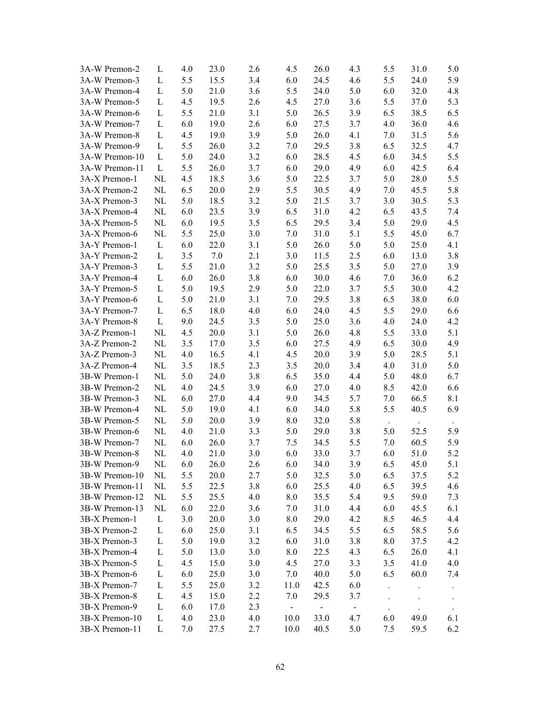| 3A-W Premon-2  | L            | 4.0 | 23.0 | 2.6 | 4.5                         | 26.0           | 4.3            | 5.5                  | 31.0 | 5.0                  |
|----------------|--------------|-----|------|-----|-----------------------------|----------------|----------------|----------------------|------|----------------------|
| 3A-W Premon-3  | L            | 5.5 | 15.5 | 3.4 | 6.0                         | 24.5           | 4.6            | 5.5                  | 24.0 | 5.9                  |
| 3A-W Premon-4  | L            | 5.0 | 21.0 | 3.6 | 5.5                         | 24.0           | 5.0            | 6.0                  | 32.0 | 4.8                  |
| 3A-W Premon-5  | L            | 4.5 | 19.5 | 2.6 | 4.5                         | 27.0           | 3.6            | 5.5                  | 37.0 | 5.3                  |
| 3A-W Premon-6  | L            | 5.5 | 21.0 | 3.1 | 5.0                         | 26.5           | 3.9            | 6.5                  | 38.5 | 6.5                  |
| 3A-W Premon-7  | L            | 6.0 | 19.0 | 2.6 | 6.0                         | 27.5           | 3.7            | 4.0                  | 36.0 | 4.6                  |
| 3A-W Premon-8  | L            | 4.5 | 19.0 | 3.9 | 5.0                         | 26.0           | 4.1            | 7.0                  | 31.5 | 5.6                  |
| 3A-W Premon-9  | L            | 5.5 | 26.0 | 3.2 | 7.0                         | 29.5           | 3.8            | 6.5                  | 32.5 | 4.7                  |
| 3A-W Premon-10 | L            | 5.0 | 24.0 | 3.2 | 6.0                         | 28.5           | 4.5            | 6.0                  | 34.5 | 5.5                  |
| 3A-W Premon-11 | L            | 5.5 | 26.0 | 3.7 | 6.0                         | 29.0           | 4.9            | 6.0                  | 42.5 | 6.4                  |
| 3A-X Premon-1  | NL           | 4.5 | 18.5 | 3.6 | 5.0                         | 22.5           | 3.7            | 5.0                  | 28.0 | 5.5                  |
| 3A-X Premon-2  | NL           | 6.5 | 20.0 | 2.9 | 5.5                         | 30.5           | 4.9            | 7.0                  | 45.5 | 5.8                  |
| 3A-X Premon-3  | NL           | 5.0 | 18.5 | 3.2 | 5.0                         | 21.5           | 3.7            | 3.0                  | 30.5 | 5.3                  |
| 3A-X Premon-4  | $\rm NL$     | 6.0 | 23.5 | 3.9 | 6.5                         | 31.0           | 4.2            | 6.5                  | 43.5 | 7.4                  |
| 3A-X Premon-5  | $\rm NL$     | 6.0 | 19.5 | 3.5 | 6.5                         | 29.5           | 3.4            | 5.0                  | 29.0 | 4.5                  |
| 3A-X Premon-6  | NL           | 5.5 | 25.0 | 3.0 | 7.0                         | 31.0           | 5.1            | 5.5                  | 45.0 | 6.7                  |
| 3A-Y Premon-1  | L            | 6.0 | 22.0 | 3.1 | 5.0                         | 26.0           | 5.0            | 5.0                  | 25.0 | 4.1                  |
| 3A-Y Premon-2  | $\Gamma$     | 3.5 | 7.0  | 2.1 | 3.0                         | 11.5           | 2.5            | 6.0                  | 13.0 | 3.8                  |
| 3A-Y Premon-3  | L            | 5.5 | 21.0 | 3.2 | 5.0                         | 25.5           | 3.5            | 5.0                  | 27.0 | 3.9                  |
| 3A-Y Premon-4  | L            | 6.0 | 26.0 | 3.8 | 6.0                         | 30.0           | 4.6            | 7.0                  | 36.0 | 6.2                  |
| 3A-Y Premon-5  | L            | 5.0 | 19.5 | 2.9 | 5.0                         | 22.0           | 3.7            | 5.5                  | 30.0 | 4.2                  |
| 3A-Y Premon-6  | $\mathbf{L}$ | 5.0 | 21.0 | 3.1 | 7.0                         | 29.5           | 3.8            | 6.5                  | 38.0 | 6.0                  |
| 3A-Y Premon-7  | L            | 6.5 | 18.0 | 4.0 | 6.0                         | 24.0           | 4.5            | 5.5                  | 29.0 | 6.6                  |
| 3A-Y Premon-8  | L            | 9.0 | 24.5 | 3.5 | 5.0                         | 25.0           | 3.6            | 4.0                  | 24.0 | 4.2                  |
| 3A-Z Premon-1  | NL           | 4.5 | 20.0 | 3.1 | 5.0                         | 26.0           | 4.8            | 5.5                  | 33.0 | 5.1                  |
| 3A-Z Premon-2  | $\rm NL$     | 3.5 | 17.0 | 3.5 | 6.0                         | 27.5           | 4.9            | 6.5                  | 30.0 | 4.9                  |
| 3A-Z Premon-3  | $\rm NL$     | 4.0 | 16.5 | 4.1 | 4.5                         | 20.0           | 3.9            | 5.0                  | 28.5 | 5.1                  |
| 3A-Z Premon-4  | $\rm NL$     | 3.5 | 18.5 | 2.3 | 3.5                         | 20.0           | 3.4            | 4.0                  | 31.0 | 5.0                  |
| 3B-W Premon-1  | NL           | 5.0 | 24.0 | 3.8 | 6.5                         | 35.0           | 4.4            | 5.0                  | 48.0 | 6.7                  |
| 3B-W Premon-2  | NL           | 4.0 | 24.5 | 3.9 | 6.0                         | 27.0           | 4.0            | 8.5                  | 42.0 | 6.6                  |
| 3B-W Premon-3  | NL           | 6.0 | 27.0 | 4.4 | 9.0                         | 34.5           | 5.7            | 7.0                  | 66.5 | 8.1                  |
| 3B-W Premon-4  | $\rm NL$     | 5.0 | 19.0 | 4.1 | 6.0                         | 34.0           | 5.8            | 5.5                  | 40.5 | 6.9                  |
| 3B-W Premon-5  | $\rm NL$     | 5.0 | 20.0 | 3.9 | 8.0                         | 32.0           | 5.8            |                      |      |                      |
| 3B-W Premon-6  | NL           | 4.0 | 21.0 | 3.3 | 5.0                         | 29.0           | 3.8            | 5.0                  | 52.5 | 5.9                  |
| 3B-W Premon-7  | NL           | 6.0 | 26.0 | 3.7 | 7.5                         | 34.5           | 5.5            | 7.0                  | 60.5 | 5.9                  |
| 3B-W Premon-8  | NL           | 4.0 | 21.0 | 3.0 | 6.0                         | 33.0           | 3.7            | 6.0                  | 51.0 | 5.2                  |
| 3B-W Premon-9  | NL           | 6.0 | 26.0 | 2.6 | $6.0\,$                     | 34.0           | 3.9            | 6.5                  | 45.0 | 5.1                  |
| 3B-W Premon-10 | NL           | 5.5 | 20.0 | 2.7 | 5.0                         | 32.5           | 5.0            | 6.5                  | 37.5 | 5.2                  |
| 3B-W Premon-11 | NL           | 5.5 | 22.5 | 3.8 | 6.0                         | 25.5           | 4.0            | 6.5                  | 39.5 | 4.6                  |
| 3B-W Premon-12 | NL           | 5.5 | 25.5 | 4.0 | 8.0                         | 35.5           | 5.4            | 9.5                  | 59.0 | 7.3                  |
| 3B-W Premon-13 | NL           | 6.0 | 22.0 | 3.6 | 7.0                         | 31.0           | 4.4            | 6.0                  | 45.5 | 6.1                  |
| 3B-X Premon-1  | L            | 3.0 | 20.0 | 3.0 | 8.0                         | 29.0           | 4.2            | 8.5                  | 46.5 | 4.4                  |
| 3B-X Premon-2  | L            | 6.0 | 25.0 | 3.1 | 6.5                         | 34.5           | 5.5            | 6.5                  | 58.5 | 5.6                  |
| 3B-X Premon-3  | L            | 5.0 | 19.0 | 3.2 | 6.0                         | 31.0           | 3.8            | 8.0                  | 37.5 | 4.2                  |
| 3B-X Premon-4  | L            | 5.0 | 13.0 | 3.0 | 8.0                         | 22.5           | 4.3            | 6.5                  | 26.0 | 4.1                  |
| 3B-X Premon-5  | L            | 4.5 | 15.0 | 3.0 | 4.5                         | 27.0           | 3.3            | 3.5                  | 41.0 | 4.0                  |
| 3B-X Premon-6  | L            | 6.0 | 25.0 | 3.0 | 7.0                         | 40.0           | 5.0            | 6.5                  | 60.0 | 7.4                  |
| 3B-X Premon-7  | L            | 5.5 | 25.0 | 3.2 | 11.0                        | 42.5           | 6.0            |                      |      |                      |
| 3B-X Premon-8  | L            | 4.5 | 15.0 | 2.2 | 7.0                         | 29.5           | 3.7            | $\ddot{\phantom{0}}$ |      |                      |
| 3B-X Premon-9  | L            | 6.0 | 17.0 | 2.3 | $\mathcal{L}_{\mathcal{A}}$ | $\blacksquare$ | $\blacksquare$ |                      |      | $\ddot{\phantom{a}}$ |
| 3B-X Premon-10 | L            | 4.0 | 23.0 | 4.0 | 10.0                        | 33.0           | 4.7            | 6.0                  | 49.0 | 6.1                  |
| 3B-X Premon-11 | L            | 7.0 | 27.5 | 2.7 | 10.0                        | 40.5           | 5.0            | 7.5                  | 59.5 | 6.2                  |
|                |              |     |      |     |                             |                |                |                      |      |                      |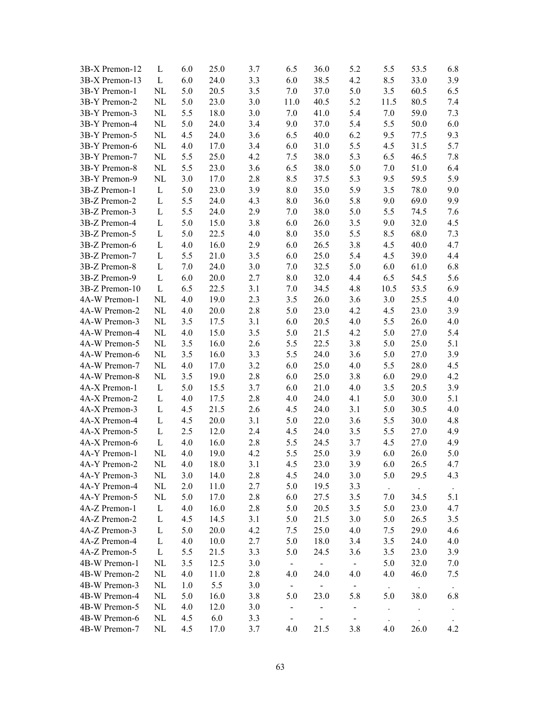| 3B-X Premon-12 | L            | 6.0     | 25.0 | 3.7 | 6.5                       | 36.0                        | 5.2            | 5.5                  | 53.5 | 6.8       |
|----------------|--------------|---------|------|-----|---------------------------|-----------------------------|----------------|----------------------|------|-----------|
| 3B-X Premon-13 | L            | 6.0     | 24.0 | 3.3 | 6.0                       | 38.5                        | 4.2            | 8.5                  | 33.0 | 3.9       |
| 3B-Y Premon-1  | NL           | 5.0     | 20.5 | 3.5 | 7.0                       | 37.0                        | 5.0            | 3.5                  | 60.5 | 6.5       |
| 3B-Y Premon-2  | NL           | 5.0     | 23.0 | 3.0 | 11.0                      | 40.5                        | 5.2            | 11.5                 | 80.5 | 7.4       |
| 3B-Y Premon-3  | NL           | 5.5     | 18.0 | 3.0 | 7.0                       | 41.0                        | 5.4            | 7.0                  | 59.0 | 7.3       |
| 3B-Y Premon-4  | NL           | 5.0     | 24.0 | 3.4 | 9.0                       | 37.0                        | 5.4            | 5.5                  | 50.0 | 6.0       |
| 3B-Y Premon-5  | NL           | 4.5     | 24.0 | 3.6 | 6.5                       | 40.0                        | 6.2            | 9.5                  | 77.5 | 9.3       |
| 3B-Y Premon-6  | NL           | 4.0     | 17.0 | 3.4 | 6.0                       | 31.0                        | 5.5            | 4.5                  | 31.5 | 5.7       |
| 3B-Y Premon-7  | NL           | 5.5     | 25.0 | 4.2 | 7.5                       | 38.0                        | 5.3            | 6.5                  | 46.5 | 7.8       |
| 3B-Y Premon-8  | NL           | 5.5     | 23.0 | 3.6 | 6.5                       | 38.0                        | 5.0            | 7.0                  | 51.0 | 6.4       |
| 3B-Y Premon-9  | NL           | 3.0     | 17.0 | 2.8 | 8.5                       | 37.5                        | 5.3            | 9.5                  | 59.5 | 5.9       |
| 3B-Z Premon-1  | L            | 5.0     | 23.0 | 3.9 | 8.0                       | 35.0                        | 5.9            | 3.5                  | 78.0 | 9.0       |
| 3B-Z Premon-2  | L            | 5.5     | 24.0 | 4.3 | 8.0                       | 36.0                        | 5.8            | 9.0                  | 69.0 | 9.9       |
| 3B-Z Premon-3  | L            | 5.5     | 24.0 | 2.9 | 7.0                       | 38.0                        | 5.0            | 5.5                  | 74.5 | 7.6       |
| 3B-Z Premon-4  | L            | 5.0     | 15.0 | 3.8 | 6.0                       | 26.0                        | 3.5            | 9.0                  | 32.0 | 4.5       |
| 3B-Z Premon-5  | L            | 5.0     | 22.5 | 4.0 | 8.0                       | 35.0                        | 5.5            | 8.5                  | 68.0 | 7.3       |
| 3B-Z Premon-6  | $\mathbf{L}$ | 4.0     | 16.0 | 2.9 | 6.0                       | 26.5                        | 3.8            | 4.5                  | 40.0 | 4.7       |
| 3B-Z Premon-7  | $\mathbf{L}$ | 5.5     | 21.0 | 3.5 | 6.0                       | 25.0                        | 5.4            | 4.5                  | 39.0 | 4.4       |
| 3B-Z Premon-8  | $\mathbf{L}$ | 7.0     | 24.0 | 3.0 | 7.0                       | 32.5                        | 5.0            | 6.0                  | 61.0 | 6.8       |
| 3B-Z Premon-9  | $\mathbf{L}$ | 6.0     | 20.0 | 2.7 | 8.0                       | 32.0                        | 4.4            | 6.5                  | 54.5 | 5.6       |
| 3B-Z Premon-10 | L            | 6.5     | 22.5 | 3.1 | 7.0                       | 34.5                        | 4.8            | 10.5                 | 53.5 | 6.9       |
| 4A-W Premon-1  | NL           | 4.0     | 19.0 | 2.3 | 3.5                       | 26.0                        | 3.6            | 3.0                  | 25.5 | 4.0       |
| 4A-W Premon-2  | NL           | 4.0     | 20.0 | 2.8 | 5.0                       | 23.0                        | 4.2            | 4.5                  | 23.0 | 3.9       |
| 4A-W Premon-3  | NL           | 3.5     | 17.5 | 3.1 | 6.0                       | 20.5                        | 4.0            | 5.5                  | 26.0 | 4.0       |
| 4A-W Premon-4  | NL           | 4.0     | 15.0 | 3.5 | 5.0                       | 21.5                        | 4.2            | 5.0                  | 27.0 | 5.4       |
| 4A-W Premon-5  | NL           | 3.5     | 16.0 | 2.6 | 5.5                       | 22.5                        | 3.8            | 5.0                  | 25.0 | 5.1       |
| 4A-W Premon-6  | NL           | 3.5     | 16.0 | 3.3 | 5.5                       | 24.0                        | 3.6            | 5.0                  | 27.0 | 3.9       |
| 4A-W Premon-7  | NL           | 4.0     | 17.0 | 3.2 | 6.0                       | 25.0                        | 4.0            | 5.5                  | 28.0 | 4.5       |
| 4A-W Premon-8  | NL           | 3.5     | 19.0 | 2.8 | 6.0                       | 25.0                        | 3.8            | 6.0                  | 29.0 | 4.2       |
| 4A-X Premon-1  | L            | 5.0     | 15.5 | 3.7 | 6.0                       | 21.0                        | 4.0            | 3.5                  | 20.5 | 3.9       |
| 4A-X Premon-2  | L            | 4.0     | 17.5 | 2.8 | 4.0                       | 24.0                        | 4.1            | 5.0                  | 30.0 | 5.1       |
| 4A-X Premon-3  | L            | 4.5     | 21.5 | 2.6 | 4.5                       | 24.0                        | 3.1            | 5.0                  | 30.5 | 4.0       |
| 4A-X Premon-4  | $\mathbf{L}$ | 4.5     | 20.0 | 3.1 | 5.0                       | 22.0                        | 3.6            | 5.5                  | 30.0 | 4.8       |
| 4A-X Premon-5  | L            | 2.5     | 12.0 | 2.4 | 4.5                       | 24.0                        | 3.5            | 5.5                  | 27.0 | 4.9       |
| 4A-X Premon-6  | $\Gamma$     | 4.0     | 16.0 | 2.8 | 5.5                       | 24.5                        | 3.7            | 4.5                  | 27.0 | 4.9       |
| 4A-Y Premon-1  | NL           | 4.0     | 19.0 | 4.2 | 5.5                       | 25.0                        | 3.9            | 6.0                  | 26.0 | 5.0       |
| 4A-Y Premon-2  | NL           | $4.0\,$ | 18.0 | 3.1 | 4.5                       | 23.0                        | 3.9            | $6.0\,$              | 26.5 | 4.7       |
| 4A-Y Premon-3  | NL           | 3.0     | 14.0 | 2.8 | 4.5                       | 24.0                        | 3.0            | 5.0                  | 29.5 | 4.3       |
| 4A-Y Premon-4  | NL           | 2.0     | 11.0 | 2.7 | 5.0                       | 19.5                        | 3.3            | $\Box$               |      | $\bullet$ |
| 4A-Y Premon-5  | NL           | 5.0     | 17.0 | 2.8 | 6.0                       | 27.5                        | 3.5            | 7.0                  | 34.5 | 5.1       |
| 4A-Z Premon-1  | L            | 4.0     | 16.0 | 2.8 | 5.0                       | 20.5                        | 3.5            | 5.0                  | 23.0 | 4.7       |
| 4A-Z Premon-2  | L            | 4.5     | 14.5 | 3.1 | 5.0                       | 21.5                        | 3.0            | 5.0                  | 26.5 | 3.5       |
| 4A-Z Premon-3  | L            | 5.0     | 20.0 | 4.2 | 7.5                       | 25.0                        | 4.0            | 7.5                  | 29.0 | 4.6       |
| 4A-Z Premon-4  | L            | 4.0     | 10.0 | 2.7 | 5.0                       | 18.0                        | 3.4            | 3.5                  | 24.0 | 4.0       |
| 4A-Z Premon-5  | L            | 5.5     | 21.5 | 3.3 | 5.0                       | 24.5                        | 3.6            | 3.5                  | 23.0 | 3.9       |
| 4B-W Premon-1  | NL           | 3.5     | 12.5 | 3.0 | $\equiv$                  | $\mathcal{L}_{\mathcal{A}}$ | $\blacksquare$ | 5.0                  | 32.0 | 7.0       |
| 4B-W Premon-2  | NL           | 4.0     | 11.0 | 2.8 | 4.0                       | 24.0                        | 4.0            | 4.0                  | 46.0 | 7.5       |
| 4B-W Premon-3  | NL           | 1.0     | 5.5  | 3.0 | $\mathbb{Z}^{\mathbb{Z}}$ | $\mathbb{Z}^{\mathbb{Z}}$   | $\blacksquare$ | $\star$              |      |           |
| 4B-W Premon-4  | NL           | 5.0     | 16.0 | 3.8 | 5.0                       | 23.0                        | 5.8            | 5.0                  | 38.0 | 6.8       |
| 4B-W Premon-5  | NL           | 4.0     | 12.0 | 3.0 | $\blacksquare$            | $\overline{\phantom{0}}$    | $\blacksquare$ | $\ddot{\phantom{1}}$ |      |           |
| 4B-W Premon-6  | NL           | 4.5     | 6.0  | 3.3 | $\blacksquare$            |                             | $\blacksquare$ |                      |      |           |
| 4B-W Premon-7  | NL           | 4.5     | 17.0 | 3.7 | 4.0                       | 21.5                        | 3.8            | 4.0                  | 26.0 | 4.2       |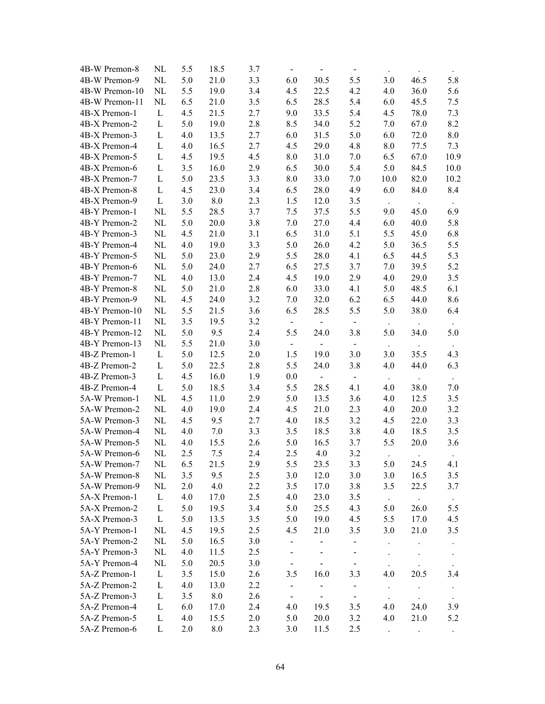| 4B-W Premon-8  | NL           | 5.5 | 18.5    | 3.7 | $\blacksquare$           | $\frac{1}{2}$            | $\blacksquare$ | $\bullet$ | $\cdot$              |               |
|----------------|--------------|-----|---------|-----|--------------------------|--------------------------|----------------|-----------|----------------------|---------------|
| 4B-W Premon-9  | NL           | 5.0 | 21.0    | 3.3 | 6.0                      | 30.5                     | 5.5            | 3.0       | 46.5                 | 5.8           |
| 4B-W Premon-10 | NL           | 5.5 | 19.0    | 3.4 | 4.5                      | 22.5                     | 4.2            | 4.0       | 36.0                 | 5.6           |
| 4B-W Premon-11 | NL           | 6.5 | 21.0    | 3.5 | 6.5                      | 28.5                     | 5.4            | 6.0       | 45.5                 | 7.5           |
| 4B-X Premon-1  | $\mathbf{L}$ | 4.5 | 21.5    | 2.7 | 9.0                      | 33.5                     | 5.4            | 4.5       | 78.0                 | 7.3           |
| 4B-X Premon-2  | $\mathbf{L}$ | 5.0 | 19.0    | 2.8 | 8.5                      | 34.0                     | 5.2            | 7.0       | 67.0                 | 8.2           |
| 4B-X Premon-3  | L            | 4.0 | 13.5    | 2.7 | 6.0                      | 31.5                     | 5.0            | 6.0       | 72.0                 | 8.0           |
| 4B-X Premon-4  | L            | 4.0 | 16.5    | 2.7 | 4.5                      | 29.0                     | 4.8            | 8.0       | 77.5                 | 7.3           |
| 4B-X Premon-5  | L            | 4.5 | 19.5    | 4.5 | 8.0                      | 31.0                     | 7.0            | 6.5       | 67.0                 | 10.9          |
| 4B-X Premon-6  | L            | 3.5 | 16.0    | 2.9 | 6.5                      | 30.0                     | 5.4            | 5.0       | 84.5                 | 10.0          |
| 4B-X Premon-7  | L            | 5.0 | 23.5    | 3.3 | 8.0                      | 33.0                     | 7.0            | 10.0      | 82.0                 | 10.2          |
| 4B-X Premon-8  | L            | 4.5 | 23.0    | 3.4 | 6.5                      | 28.0                     | 4.9            | 6.0       | 84.0                 | 8.4           |
| 4B-X Premon-9  | L            | 3.0 | $8.0\,$ | 2.3 | 1.5                      | 12.0                     | 3.5            |           |                      |               |
| 4B-Y Premon-1  | NL           | 5.5 | 28.5    | 3.7 | 7.5                      | 37.5                     | 5.5            | 9.0       | 45.0                 | 6.9           |
| 4B-Y Premon-2  | NL           | 5.0 | 20.0    | 3.8 | 7.0                      | 27.0                     | 4.4            | 6.0       | 40.0                 | 5.8           |
| 4B-Y Premon-3  | $\rm NL$     | 4.5 | 21.0    | 3.1 | 6.5                      | 31.0                     | 5.1            | 5.5       | 45.0                 | 6.8           |
| 4B-Y Premon-4  | NL           | 4.0 | 19.0    | 3.3 | 5.0                      | 26.0                     | 4.2            | 5.0       | 36.5                 | 5.5           |
| 4B-Y Premon-5  | NL           | 5.0 | 23.0    | 2.9 | 5.5                      | 28.0                     | 4.1            | 6.5       | 44.5                 | 5.3           |
| 4B-Y Premon-6  | NL           | 5.0 | 24.0    | 2.7 | 6.5                      | 27.5                     | 3.7            | 7.0       | 39.5                 | 5.2           |
| 4B-Y Premon-7  | NL           | 4.0 | 13.0    | 2.4 | 4.5                      | 19.0                     | 2.9            | 4.0       | 29.0                 | 3.5           |
| 4B-Y Premon-8  | NL           | 5.0 | 21.0    | 2.8 | 6.0                      | 33.0                     | 4.1            | 5.0       | 48.5                 | 6.1           |
| 4B-Y Premon-9  | NL           | 4.5 | 24.0    | 3.2 | 7.0                      | 32.0                     | 6.2            | 6.5       | 44.0                 | 8.6           |
| 4B-Y Premon-10 | NL           | 5.5 | 21.5    | 3.6 | 6.5                      | 28.5                     | 5.5            | 5.0       | 38.0                 | 6.4           |
| 4B-Y Premon-11 | NL           | 3.5 | 19.5    | 3.2 | $\blacksquare$           | $\blacksquare$           | $\blacksquare$ | $\sim$    | $\ddot{\phantom{0}}$ | $\sim$        |
| 4B-Y Premon-12 | NL           | 5.0 | 9.5     | 2.4 | 5.5                      | 24.0                     | 3.8            | 5.0       | 34.0                 | 5.0           |
| 4B-Y Premon-13 | NL           | 5.5 | 21.0    | 3.0 | $\blacksquare$           | $\overline{\phantom{0}}$ | $\blacksquare$ | $\sim$    | $\bullet$            | $\sim$        |
| 4B-Z Premon-1  | L            | 5.0 | 12.5    | 2.0 | 1.5                      | 19.0                     | 3.0            | 3.0       | 35.5                 | 4.3           |
| 4B-Z Premon-2  | L            | 5.0 | 22.5    | 2.8 | 5.5                      | 24.0                     | 3.8            | 4.0       | 44.0                 | 6.3           |
| 4B-Z Premon-3  | L            | 4.5 | 16.0    | 1.9 | 0.0                      |                          | $\blacksquare$ | $\Box$    |                      |               |
| 4B-Z Premon-4  | L            | 5.0 | 18.5    | 3.4 | 5.5                      | 28.5                     | 4.1            | 4.0       | 38.0                 | 7.0           |
| 5A-W Premon-1  | NL           | 4.5 | 11.0    | 2.9 | 5.0                      | 13.5                     | 3.6            | 4.0       | 12.5                 | 3.5           |
| 5A-W Premon-2  | NL           | 4.0 | 19.0    | 2.4 | 4.5                      | 21.0                     | 2.3            | 4.0       | 20.0                 | 3.2           |
| 5A-W Premon-3  | NL           | 4.5 | 9.5     | 2.7 | 4.0                      | 18.5                     | 3.2            | 4.5       | 22.0                 | 3.3           |
| 5A-W Premon-4  | $\rm NL$     | 4.0 | 7.0     | 3.3 | 3.5                      | 18.5                     | 3.8            | 4.0       | 18.5                 | 3.5           |
| 5A-W Premon-5  | NL           | 4.0 | 15.5    | 2.6 | 5.0                      | 16.5                     | 3.7            | 5.5       | 20.0                 | 3.6           |
| 5A-W Premon-6  | NL           | 2.5 | 7.5     | 2.4 | 2.5                      | 4.0                      | 3.2            |           |                      |               |
| 5A-W Premon-7  | NL           | 6.5 | 21.5    | 2.9 | 5.5                      | 23.5                     | 3.3            | 5.0       | 24.5                 | 4.1           |
| 5A-W Premon-8  | NL           | 3.5 | 9.5     | 2.5 | 3.0                      | 12.0                     | 3.0            | 3.0       | 16.5                 | 3.5           |
| 5A-W Premon-9  | NL           | 2.0 | 4.0     | 2.2 | 3.5                      | 17.0                     | 3.8            | 3.5       | 22.5                 | 3.7           |
| 5A-X Premon-1  | $\mathbf{L}$ | 4.0 | 17.0    | 2.5 | 4.0                      | 23.0                     | 3.5            | $\sim$    | $\bullet$            |               |
| 5A-X Premon-2  | $\Gamma$     | 5.0 | 19.5    | 3.4 | 5.0                      | 25.5                     | 4.3            | 5.0       | 26.0                 | $\sim$<br>5.5 |
| 5A-X Premon-3  | $\Gamma$     | 5.0 | 13.5    | 3.5 | 5.0                      | 19.0                     | 4.5            | 5.5       | 17.0                 | 4.5           |
| 5A-Y Premon-1  | NL           | 4.5 | 19.5    | 2.5 | 4.5                      | 21.0                     | 3.5            | 3.0       | 21.0                 | 3.5           |
| 5A-Y Premon-2  | NL           | 5.0 | 16.5    | 3.0 | $\blacksquare$           |                          |                |           |                      |               |
| 5A-Y Premon-3  | NL           | 4.0 | 11.5    | 2.5 | $\overline{\phantom{0}}$ |                          | $\blacksquare$ |           |                      | $\bullet$ .   |
| 5A-Y Premon-4  | NL           | 5.0 | 20.5    | 3.0 | $\blacksquare$           |                          | $\blacksquare$ |           |                      | $\sim$        |
| 5A-Z Premon-1  | L            | 3.5 | 15.0    | 2.6 | 3.5                      | 16.0                     | 3.3            | 4.0       | 20.5                 | 3.4           |
| 5A-Z Premon-2  | L            | 4.0 | 13.0    | 2.2 | $\blacksquare$           |                          | $\blacksquare$ |           | $\ddot{\phantom{0}}$ |               |
| 5A-Z Premon-3  | L            | 3.5 | 8.0     | 2.6 | $\blacksquare$           | $\blacksquare$           | $\blacksquare$ |           |                      |               |
| 5A-Z Premon-4  | L            | 6.0 | 17.0    | 2.4 | 4.0                      | 19.5                     | 3.5            | 4.0       | 24.0                 | 3.9           |
| 5A-Z Premon-5  | L            | 4.0 | 15.5    | 2.0 | 5.0                      | 20.0                     | 3.2            | 4.0       | 21.0                 | 5.2           |
| 5A-Z Premon-6  | L            | 2.0 | 8.0     | 2.3 | 3.0                      | 11.5                     | 2.5            |           |                      |               |
|                |              |     |         |     |                          |                          |                |           |                      |               |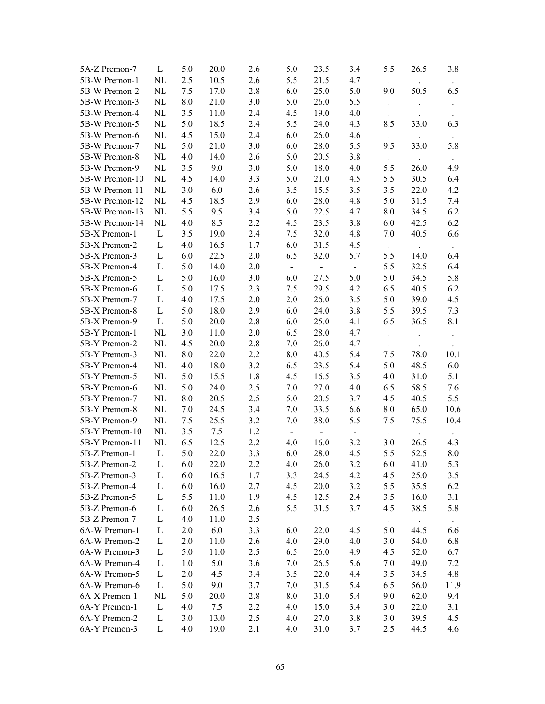| 5A-Z Premon-7  | L            | 5.0                | 20.0 | 2.6 | 5.0            | 23.5           | 3.4                      | 5.5                  | 26.5 | 3.8       |
|----------------|--------------|--------------------|------|-----|----------------|----------------|--------------------------|----------------------|------|-----------|
| 5B-W Premon-1  | NL           | 2.5                | 10.5 | 2.6 | 5.5            | 21.5           | 4.7                      | $\Box$               |      |           |
| 5B-W Premon-2  | NL           | 7.5                | 17.0 | 2.8 | 6.0            | 25.0           | 5.0                      | 9.0                  | 50.5 | 6.5       |
| 5B-W Premon-3  | NL           | 8.0                | 21.0 | 3.0 | 5.0            | 26.0           | 5.5                      |                      |      |           |
| 5B-W Premon-4  | NL           | 3.5                | 11.0 | 2.4 | 4.5            | 19.0           | 4.0                      |                      |      |           |
| 5B-W Premon-5  | $\rm NL$     | 5.0                | 18.5 | 2.4 | 5.5            | 24.0           | 4.3                      | 8.5                  | 33.0 | 6.3       |
| 5B-W Premon-6  | NL           | 4.5                | 15.0 | 2.4 | 6.0            | 26.0           | 4.6                      |                      |      |           |
| 5B-W Premon-7  | $\rm NL$     | 5.0                | 21.0 | 3.0 | 6.0            | 28.0           | 5.5                      | 9.5                  | 33.0 | 5.8       |
| 5B-W Premon-8  | $\rm NL$     | 4.0                | 14.0 | 2.6 | 5.0            | 20.5           | 3.8                      |                      |      |           |
| 5B-W Premon-9  | $\rm NL$     | 3.5                | 9.0  | 3.0 | 5.0            | 18.0           | 4.0                      | 5.5                  | 26.0 | 4.9       |
| 5B-W Premon-10 | NL           | 4.5                | 14.0 | 3.3 | 5.0            | 21.0           | 4.5                      | 5.5                  | 30.5 | 6.4       |
| 5B-W Premon-11 | NL           | 3.0                | 6.0  | 2.6 | 3.5            | 15.5           | 3.5                      | 3.5                  | 22.0 | 4.2       |
| 5B-W Premon-12 | NL           | 4.5                | 18.5 | 2.9 | 6.0            | 28.0           | 4.8                      | 5.0                  | 31.5 | 7.4       |
| 5B-W Premon-13 | NL           | 5.5                | 9.5  | 3.4 | 5.0            | 22.5           | 4.7                      | 8.0                  | 34.5 | 6.2       |
| 5B-W Premon-14 | NL           | 4.0                | 8.5  | 2.2 | 4.5            | 23.5           | 3.8                      | 6.0                  | 42.5 | 6.2       |
| 5B-X Premon-1  | $\mathbf{L}$ | 3.5                | 19.0 | 2.4 | 7.5            | 32.0           | 4.8                      | 7.0                  | 40.5 | 6.6       |
| 5B-X Premon-2  | $\mathbf L$  | 4.0                | 16.5 | 1.7 | 6.0            | 31.5           | 4.5                      | $\Box$               |      | $\sim$    |
| 5B-X Premon-3  | $\mathbf{L}$ | 6.0                | 22.5 | 2.0 | 6.5            | 32.0           | 5.7                      | 5.5                  | 14.0 | 6.4       |
| 5B-X Premon-4  | $\mathbf{L}$ | 5.0                | 14.0 | 2.0 | $\mathbf{L}$   | $\blacksquare$ | $\overline{\phantom{a}}$ | 5.5                  | 32.5 | 6.4       |
| 5B-X Premon-5  | $\mathbf{L}$ | 5.0                | 16.0 | 3.0 | 6.0            | 27.5           | 5.0                      | 5.0                  | 34.5 | 5.8       |
| 5B-X Premon-6  | L            | 5.0                | 17.5 | 2.3 | 7.5            | 29.5           | 4.2                      | 6.5                  | 40.5 | 6.2       |
| 5B-X Premon-7  | L            | 4.0                | 17.5 | 2.0 | 2.0            | 26.0           | 3.5                      | 5.0                  | 39.0 | 4.5       |
| 5B-X Premon-8  | $\mathbf{L}$ | 5.0                | 18.0 | 2.9 | 6.0            | 24.0           | 3.8                      | 5.5                  | 39.5 | 7.3       |
| 5B-X Premon-9  | $\mathbf{L}$ | 5.0                | 20.0 | 2.8 | 6.0            | 25.0           | 4.1                      | 6.5                  | 36.5 | 8.1       |
| 5B-Y Premon-1  | NL           | 3.0                | 11.0 | 2.0 | 6.5            | 28.0           | 4.7                      | $\ddot{\phantom{0}}$ |      |           |
| 5B-Y Premon-2  | NL           | 4.5                | 20.0 | 2.8 | 7.0            | 26.0           | 4.7                      |                      |      |           |
| 5B-Y Premon-3  | $\rm NL$     | $\boldsymbol{8.0}$ | 22.0 | 2.2 | $8.0\,$        | 40.5           | 5.4                      | 7.5                  | 78.0 | 10.1      |
| 5B-Y Premon-4  | NL           | 4.0                | 18.0 | 3.2 | 6.5            | 23.5           | 5.4                      | 5.0                  | 48.5 | 6.0       |
| 5B-Y Premon-5  | $\rm NL$     | 5.0                | 15.5 | 1.8 | 4.5            | 16.5           | 3.5                      | 4.0                  | 31.0 | 5.1       |
| 5B-Y Premon-6  | $\rm NL$     | 5.0                | 24.0 | 2.5 | 7.0            | 27.0           | $4.0\,$                  | 6.5                  | 58.5 | 7.6       |
| 5B-Y Premon-7  | $\rm NL$     | $8.0\,$            | 20.5 | 2.5 | 5.0            | 20.5           | 3.7                      | 4.5                  | 40.5 | 5.5       |
| 5B-Y Premon-8  | NL           | 7.0                | 24.5 | 3.4 | 7.0            | 33.5           | 6.6                      | 8.0                  | 65.0 | 10.6      |
| 5B-Y Premon-9  | $\rm NL$     | 7.5                | 25.5 | 3.2 | 7.0            | 38.0           | 5.5                      | 7.5                  | 75.5 | 10.4      |
| 5B-Y Premon-10 | NL           | 3.5                | 7.5  | 1.2 | $\blacksquare$ | $\blacksquare$ | $\sim$                   |                      |      |           |
| 5B-Y Premon-11 | $\rm NL$     | 6.5                | 12.5 | 2.2 | 4.0            | 16.0           | 3.2                      | 3.0                  | 26.5 | 4.3       |
| 5B-Z Premon-1  | L            | 5.0                | 22.0 | 3.3 | 6.0            | 28.0           | 4.5                      | 5.5                  | 52.5 | 8.0       |
| 5B-Z Premon-2  | $\mathbf L$  | 6.0                | 22.0 | 2.2 | 4.0            | 26.0           | 3.2                      | $6.0\,$              | 41.0 | 5.3       |
| 5B-Z Premon-3  | L            | 6.0                | 16.5 | 1.7 | 3.3            | 24.5           | 4.2                      | 4.5                  | 25.0 | 3.5       |
| 5B-Z Premon-4  | L            | 6.0                | 16.0 | 2.7 | 4.5            | 20.0           | 3.2                      | 5.5                  | 35.5 | 6.2       |
| 5B-Z Premon-5  | L            | 5.5                | 11.0 | 1.9 | 4.5            | 12.5           | 2.4                      | 3.5                  | 16.0 | 3.1       |
| 5B-Z Premon-6  | L            | 6.0                | 26.5 | 2.6 | 5.5            | 31.5           | 3.7                      | 4.5                  | 38.5 | 5.8       |
| 5B-Z Premon-7  | L            | 4.0                | 11.0 | 2.5 | $\mathbb{Z}^+$ |                | $\blacksquare$           | $\bullet$            |      | $\bullet$ |
| 6A-W Premon-1  | L            | 2.0                | 6.0  | 3.3 | 6.0            | 22.0           | 4.5                      | 5.0                  | 44.5 | 6.6       |
| 6A-W Premon-2  | L            | 2.0                | 11.0 | 2.6 | 4.0            | 29.0           | 4.0                      | 3.0                  | 54.0 | 6.8       |
| 6A-W Premon-3  | L            | 5.0                | 11.0 | 2.5 | 6.5            | 26.0           | 4.9                      | 4.5                  | 52.0 | 6.7       |
| 6A-W Premon-4  | L            | 1.0                | 5.0  | 3.6 | 7.0            | 26.5           | 5.6                      | 7.0                  | 49.0 | 7.2       |
| 6A-W Premon-5  | L            | 2.0                | 4.5  | 3.4 | 3.5            | 22.0           | 4.4                      | 3.5                  | 34.5 | 4.8       |
| 6A-W Premon-6  | $\mathbf{L}$ | 5.0                | 9.0  | 3.7 | 7.0            | 31.5           | 5.4                      | 6.5                  | 56.0 | 11.9      |
| 6A-X Premon-1  | NL           | 5.0                | 20.0 | 2.8 | 8.0            | 31.0           | 5.4                      | 9.0                  | 62.0 | 9.4       |
| 6A-Y Premon-1  | L            | 4.0                | 7.5  | 2.2 | 4.0            | 15.0           | 3.4                      | 3.0                  | 22.0 | 3.1       |
| 6A-Y Premon-2  | $\mathbf L$  | 3.0                | 13.0 | 2.5 | 4.0            | 27.0           | 3.8                      | 3.0                  | 39.5 | 4.5       |
| 6A-Y Premon-3  | L            | 4.0                | 19.0 | 2.1 | 4.0            | 31.0           | 3.7                      | 2.5                  | 44.5 | 4.6       |
|                |              |                    |      |     |                |                |                          |                      |      |           |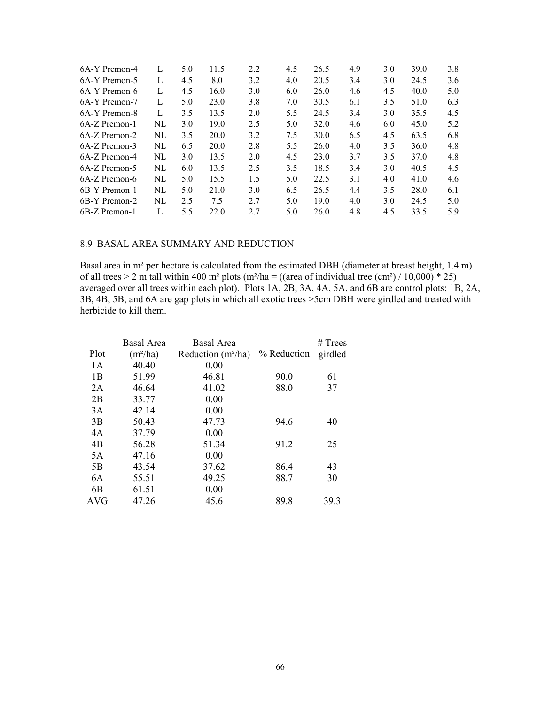| 6A-Y Premon-4 | L   | 5.0 | 11.5 | 2.2 | 4.5 | 26.5 | 4.9 | 3.0 | 39.0 | 3.8 |
|---------------|-----|-----|------|-----|-----|------|-----|-----|------|-----|
| 6A-Y Premon-5 | L   | 4.5 | 8.0  | 3.2 | 4.0 | 20.5 | 3.4 | 3.0 | 24.5 | 3.6 |
| 6A-Y Premon-6 | L   | 4.5 | 16.0 | 3.0 | 6.0 | 26.0 | 4.6 | 4.5 | 40.0 | 5.0 |
| 6A-Y Premon-7 | L   | 5.0 | 23.0 | 3.8 | 7.0 | 30.5 | 6.1 | 3.5 | 51.0 | 6.3 |
| 6A-Y Premon-8 | L   | 3.5 | 13.5 | 2.0 | 5.5 | 24.5 | 3.4 | 3.0 | 35.5 | 4.5 |
| 6A-Z Premon-1 | NL  | 3.0 | 19.0 | 2.5 | 5.0 | 32.0 | 4.6 | 6.0 | 45.0 | 5.2 |
| 6A-Z Premon-2 | NL  | 3.5 | 20.0 | 3.2 | 7.5 | 30.0 | 6.5 | 4.5 | 63.5 | 6.8 |
| 6A-Z Premon-3 | NI. | 6.5 | 20.0 | 2.8 | 5.5 | 26.0 | 4.0 | 3.5 | 36.0 | 4.8 |
| 6A-Z Premon-4 | NI. | 3.0 | 13.5 | 2.0 | 4.5 | 23.0 | 3.7 | 3.5 | 37.0 | 4.8 |
| 6A-Z Premon-5 | NL  | 6.0 | 13.5 | 2.5 | 3.5 | 18.5 | 3.4 | 3.0 | 40.5 | 4.5 |
| 6A-Z Premon-6 | NL  | 5.0 | 15.5 | 1.5 | 5.0 | 22.5 | 3.1 | 4.0 | 41.0 | 4.6 |
| 6B-Y Premon-1 | NI. | 5.0 | 21.0 | 3.0 | 6.5 | 26.5 | 4.4 | 3.5 | 28.0 | 6.1 |
| 6B-Y Premon-2 | NL  | 2.5 | 7.5  | 2.7 | 5.0 | 19.0 | 4.0 | 3.0 | 24.5 | 5.0 |
| 6B-Z Premon-1 | L   | 5.5 | 22.0 | 2.7 | 5.0 | 26.0 | 4.8 | 4.5 | 33.5 | 5.9 |
|               |     |     |      |     |     |      |     |     |      |     |

### 8.9 BASAL AREA SUMMARY AND REDUCTION

Basal area in m² per hectare is calculated from the estimated DBH (diameter at breast height, 1.4 m) of all trees > 2 m tall within 400 m<sup>2</sup> plots (m<sup>2</sup>/ha = ((area of individual tree (cm<sup>2</sup>) / 10,000) \* 25) averaged over all trees within each plot). Plots 1A, 2B, 3A, 4A, 5A, and 6B are control plots; 1B, 2A, 3B, 4B, 5B, and 6A are gap plots in which all exotic trees >5cm DBH were girdled and treated with herbicide to kill them.

|                | Basal Area | Basal Area           |             | $#$ Trees |
|----------------|------------|----------------------|-------------|-----------|
| Plot           | $(m^2/ha)$ | Reduction $(m^2/ha)$ | % Reduction | girdled   |
| 1A             | 40.40      | 0.00                 |             |           |
| 1B             | 51.99      | 46.81                | 90.0        | 61        |
| 2A             | 46.64      | 41.02                | 88.0        | 37        |
| 2B             | 33.77      | 0.00                 |             |           |
| 3A             | 42.14      | 0.00                 |             |           |
| 3B             | 50.43      | 47.73                | 94.6        | 40        |
| 4A             | 37.79      | 0.00                 |             |           |
| 4B             | 56.28      | 51.34                | 91.2        | 25        |
| 5A             | 47.16      | 0.00                 |             |           |
| 5B             | 43.54      | 37.62                | 86.4        | 43        |
| 6A             | 55.51      | 49.25                | 88.7        | 30        |
| 6 <sub>B</sub> | 61.51      | 0.00                 |             |           |
| <b>AVG</b>     | 47.26      | 45.6                 | 89.8        | 39.3      |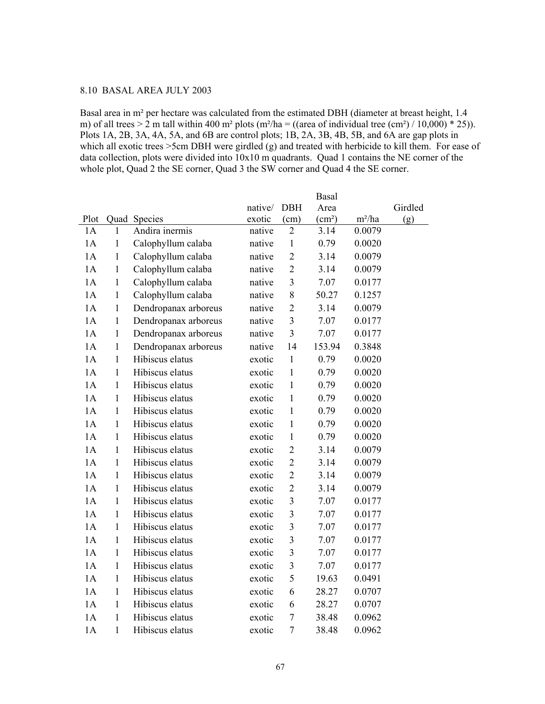## 8.10 BASAL AREA JULY 2003

Basal area in m² per hectare was calculated from the estimated DBH (diameter at breast height, 1.4 m) of all trees > 2 m tall within 400 m<sup>2</sup> plots (m<sup>2</sup>/ha = ((area of individual tree (cm<sup>2</sup>) / 10,000) \* 25)). Plots 1A, 2B, 3A, 4A, 5A, and 6B are control plots; 1B, 2A, 3B, 4B, 5B, and 6A are gap plots in which all exotic trees >5cm DBH were girdled (g) and treated with herbicide to kill them. For ease of data collection, plots were divided into 10x10 m quadrants. Quad 1 contains the NE corner of the whole plot, Quad 2 the SE corner, Quad 3 the SW corner and Quad 4 the SE corner.

|      |              |                      |         |                | <b>Basal</b>       |          |         |
|------|--------------|----------------------|---------|----------------|--------------------|----------|---------|
|      |              |                      | native/ | <b>DBH</b>     | Area               |          | Girdled |
| Plot |              | Quad Species         | exotic  | (cm)           | (cm <sup>2</sup> ) | $m^2/ha$ | (g)     |
| 1A   | 1            | Andira inermis       | native  | $\overline{2}$ | 3.14               | 0.0079   |         |
| 1A   | $\mathbf{1}$ | Calophyllum calaba   | native  | $\mathbf{1}$   | 0.79               | 0.0020   |         |
| 1A   | $\mathbf{1}$ | Calophyllum calaba   | native  | $\overline{2}$ | 3.14               | 0.0079   |         |
| 1A   | $\mathbf{1}$ | Calophyllum calaba   | native  | $\overline{2}$ | 3.14               | 0.0079   |         |
| 1A   | $\mathbf{1}$ | Calophyllum calaba   | native  | $\overline{3}$ | 7.07               | 0.0177   |         |
| 1A   | $\mathbf{1}$ | Calophyllum calaba   | native  | 8              | 50.27              | 0.1257   |         |
| 1A   | $\mathbf{1}$ | Dendropanax arboreus | native  | $\overline{2}$ | 3.14               | 0.0079   |         |
| 1A   | $\mathbf{1}$ | Dendropanax arboreus | native  | $\overline{3}$ | 7.07               | 0.0177   |         |
| 1A   | $\mathbf{1}$ | Dendropanax arboreus | native  | 3              | 7.07               | 0.0177   |         |
| 1A   | $\mathbf{1}$ | Dendropanax arboreus | native  | 14             | 153.94             | 0.3848   |         |
| 1A   | $\mathbf{1}$ | Hibiscus elatus      | exotic  | $\mathbf{1}$   | 0.79               | 0.0020   |         |
| 1A   | $\mathbf{1}$ | Hibiscus elatus      | exotic  | $\mathbf{1}$   | 0.79               | 0.0020   |         |
| 1A   | $\mathbf{1}$ | Hibiscus elatus      | exotic  | $\mathbf{1}$   | 0.79               | 0.0020   |         |
| 1A   | $\mathbf{1}$ | Hibiscus elatus      | exotic  | $\mathbf{1}$   | 0.79               | 0.0020   |         |
| 1A   | $\mathbf{1}$ | Hibiscus elatus      | exotic  | $\mathbf{1}$   | 0.79               | 0.0020   |         |
| 1A   | $\mathbf{1}$ | Hibiscus elatus      | exotic  | $\mathbf{1}$   | 0.79               | 0.0020   |         |
| 1A   | $\mathbf{1}$ | Hibiscus elatus      | exotic  | $\mathbf{1}$   | 0.79               | 0.0020   |         |
| 1A   | $\mathbf{1}$ | Hibiscus elatus      | exotic  | $\overline{2}$ | 3.14               | 0.0079   |         |
| 1A   | $\mathbf{1}$ | Hibiscus elatus      | exotic  | $\overline{2}$ | 3.14               | 0.0079   |         |
| 1A   | $\mathbf{1}$ | Hibiscus elatus      | exotic  | $\overline{2}$ | 3.14               | 0.0079   |         |
| 1A   | $\mathbf{1}$ | Hibiscus elatus      | exotic  | $\overline{2}$ | 3.14               | 0.0079   |         |
| 1A   | $\mathbf{1}$ | Hibiscus elatus      | exotic  | $\overline{3}$ | 7.07               | 0.0177   |         |
| 1A   | $\mathbf{1}$ | Hibiscus elatus      | exotic  | 3              | 7.07               | 0.0177   |         |
| 1A   | $\mathbf{1}$ | Hibiscus elatus      | exotic  | $\overline{3}$ | 7.07               | 0.0177   |         |
| 1A   | $\mathbf{1}$ | Hibiscus elatus      | exotic  | $\overline{3}$ | 7.07               | 0.0177   |         |
| 1A   | $\mathbf{1}$ | Hibiscus elatus      | exotic  | 3              | 7.07               | 0.0177   |         |
| 1A   | $\mathbf{1}$ | Hibiscus elatus      | exotic  | $\overline{3}$ | 7.07               | 0.0177   |         |
| 1A   | $\mathbf{1}$ | Hibiscus elatus      | exotic  | 5              | 19.63              | 0.0491   |         |
| 1A   | $\mathbf{1}$ | Hibiscus elatus      | exotic  | 6              | 28.27              | 0.0707   |         |
| 1A   | $\mathbf{1}$ | Hibiscus elatus      | exotic  | 6              | 28.27              | 0.0707   |         |
| 1A   | $\mathbf{1}$ | Hibiscus elatus      | exotic  | $\overline{7}$ | 38.48              | 0.0962   |         |
| 1A   | $\mathbf{1}$ | Hibiscus elatus      | exotic  | $\overline{7}$ | 38.48              | 0.0962   |         |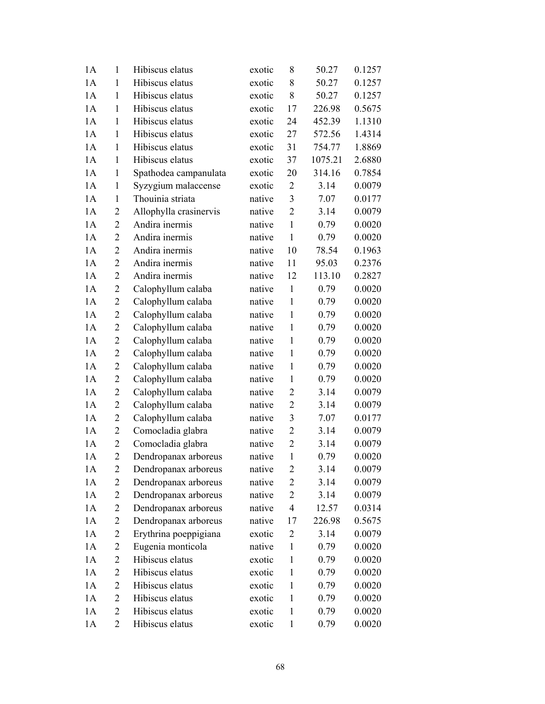| 1A | $\mathbf{1}$   | Hibiscus elatus        | exotic | 8              | 50.27   | 0.1257 |
|----|----------------|------------------------|--------|----------------|---------|--------|
| 1A | $\mathbf{1}$   | Hibiscus elatus        | exotic | 8              | 50.27   | 0.1257 |
| 1A | $\mathbf{1}$   | Hibiscus elatus        | exotic | 8              | 50.27   | 0.1257 |
| 1A | $\mathbf{1}$   | Hibiscus elatus        | exotic | 17             | 226.98  | 0.5675 |
| 1A | $\mathbf{1}$   | Hibiscus elatus        | exotic | 24             | 452.39  | 1.1310 |
| 1A | $\mathbf{1}$   | Hibiscus elatus        | exotic | 27             | 572.56  | 1.4314 |
| 1A | 1              | Hibiscus elatus        | exotic | 31             | 754.77  | 1.8869 |
| 1A | $\mathbf{1}$   | Hibiscus elatus        | exotic | 37             | 1075.21 | 2.6880 |
| 1A | $\mathbf{1}$   | Spathodea campanulata  | exotic | 20             | 314.16  | 0.7854 |
| 1A | $\mathbf{1}$   | Syzygium malaccense    | exotic | $\overline{2}$ | 3.14    | 0.0079 |
| 1A | 1              | Thouinia striata       | native | 3              | 7.07    | 0.0177 |
| 1A | $\overline{2}$ | Allophylla crasinervis | native | $\overline{2}$ | 3.14    | 0.0079 |
| 1A | $\overline{2}$ | Andira inermis         | native | $\mathbf{1}$   | 0.79    | 0.0020 |
| 1A | $\overline{2}$ | Andira inermis         | native | $\mathbf{1}$   | 0.79    | 0.0020 |
| 1A | $\overline{2}$ | Andira inermis         | native | 10             | 78.54   | 0.1963 |
| 1A | $\overline{2}$ | Andira inermis         | native | 11             | 95.03   | 0.2376 |
| 1A | $\overline{2}$ | Andira inermis         | native | 12             | 113.10  | 0.2827 |
| 1A | $\overline{2}$ | Calophyllum calaba     | native | $\mathbf{1}$   | 0.79    | 0.0020 |
| 1A | $\overline{2}$ | Calophyllum calaba     | native | $\mathbf{1}$   | 0.79    | 0.0020 |
| 1A | $\overline{2}$ | Calophyllum calaba     | native | $\mathbf{1}$   | 0.79    | 0.0020 |
| 1A | $\overline{2}$ | Calophyllum calaba     | native | $\mathbf{1}$   | 0.79    | 0.0020 |
| 1A | $\overline{c}$ | Calophyllum calaba     | native | $\mathbf{1}$   | 0.79    | 0.0020 |
| 1A | $\overline{2}$ | Calophyllum calaba     | native | $\mathbf{1}$   | 0.79    | 0.0020 |
| 1A | $\overline{2}$ | Calophyllum calaba     | native | $\mathbf{1}$   | 0.79    | 0.0020 |
| 1A | $\overline{c}$ | Calophyllum calaba     | native | $\mathbf{1}$   | 0.79    | 0.0020 |
| 1A | $\overline{2}$ | Calophyllum calaba     | native | $\overline{2}$ | 3.14    | 0.0079 |
| 1A | $\overline{2}$ | Calophyllum calaba     | native | $\overline{2}$ | 3.14    | 0.0079 |
| 1A | $\overline{2}$ | Calophyllum calaba     | native | 3              | 7.07    | 0.0177 |
| 1A | $\overline{2}$ | Comocladia glabra      | native | $\overline{2}$ | 3.14    | 0.0079 |
| 1A | $\overline{2}$ | Comocladia glabra      | native | $\overline{2}$ | 3.14    | 0.0079 |
| 1A | $\overline{2}$ | Dendropanax arboreus   | native | $\mathbf 1$    | 0.79    | 0.0020 |
| 1A | 2              | Dendropanax arboreus   | native | 2              | 3.14    | 0.0079 |
| 1A | 2              | Dendropanax arboreus   | native | $\overline{2}$ | 3.14    | 0.0079 |
| 1A | 2              | Dendropanax arboreus   | native | $\overline{c}$ | 3.14    | 0.0079 |
| 1A | 2              | Dendropanax arboreus   | native | $\overline{4}$ | 12.57   | 0.0314 |
| 1A | $\overline{2}$ | Dendropanax arboreus   | native | 17             | 226.98  | 0.5675 |
| 1A | 2              | Erythrina poeppigiana  | exotic | 2              | 3.14    | 0.0079 |
| 1A | 2              | Eugenia monticola      | native | $\mathbf{1}$   | 0.79    | 0.0020 |
| 1A | 2              | Hibiscus elatus        | exotic | $\mathbf{1}$   | 0.79    | 0.0020 |
| 1A | 2              | Hibiscus elatus        | exotic | $\mathbf{1}$   | 0.79    | 0.0020 |
| 1A | $\overline{c}$ | Hibiscus elatus        | exotic | $\mathbf{1}$   | 0.79    | 0.0020 |
| 1A | 2              | Hibiscus elatus        | exotic | 1              | 0.79    | 0.0020 |
| 1A | $\overline{2}$ | Hibiscus elatus        | exotic | $\mathbf{1}$   | 0.79    | 0.0020 |
| 1A | $\overline{2}$ | Hibiscus elatus        | exotic | $\mathbf{1}$   | 0.79    | 0.0020 |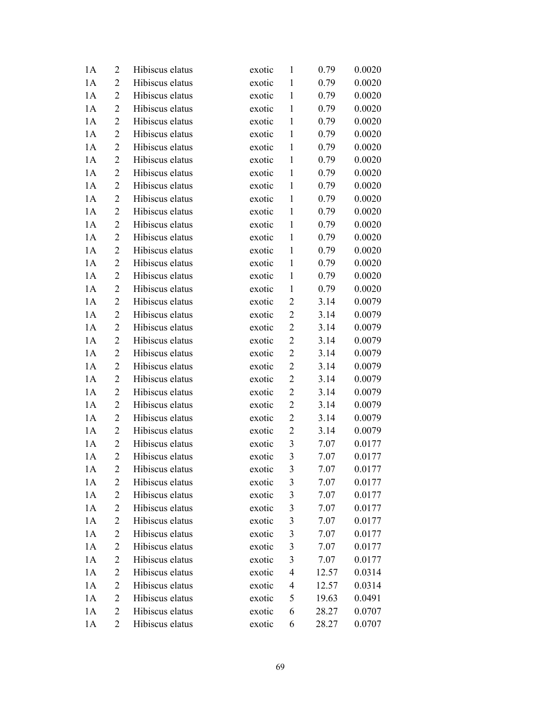| 1A | $\overline{2}$ | Hibiscus elatus | exotic | $\mathbf{1}$     | 0.79  | 0.0020 |
|----|----------------|-----------------|--------|------------------|-------|--------|
| 1A | 2              | Hibiscus elatus | exotic | $\mathbf{1}$     | 0.79  | 0.0020 |
| 1A | 2              | Hibiscus elatus | exotic | $\mathbf{1}$     | 0.79  | 0.0020 |
| 1A | 2              | Hibiscus elatus | exotic | $\mathbf{1}$     | 0.79  | 0.0020 |
| 1A | $\overline{c}$ | Hibiscus elatus | exotic | $\mathbf{1}$     | 0.79  | 0.0020 |
| 1A | $\overline{c}$ | Hibiscus elatus | exotic | $\mathbf{1}$     | 0.79  | 0.0020 |
| 1A | $\overline{2}$ | Hibiscus elatus | exotic | $\mathbf{1}$     | 0.79  | 0.0020 |
| 1A | 2              | Hibiscus elatus | exotic | $\mathbf{1}$     | 0.79  | 0.0020 |
| 1A | 2              | Hibiscus elatus | exotic | $\mathbf{1}$     | 0.79  | 0.0020 |
| 1A | $\overline{2}$ | Hibiscus elatus | exotic | $\mathbf{1}$     | 0.79  | 0.0020 |
| 1A | 2              | Hibiscus elatus | exotic | $\mathbf{1}$     | 0.79  | 0.0020 |
| 1A | $\overline{2}$ | Hibiscus elatus | exotic | $\mathbf{1}$     | 0.79  | 0.0020 |
| 1A | 2              | Hibiscus elatus | exotic | $\mathbf{1}$     | 0.79  | 0.0020 |
| 1A | $\overline{2}$ | Hibiscus elatus | exotic | $\mathbf{1}$     | 0.79  | 0.0020 |
| 1A | $\overline{2}$ | Hibiscus elatus | exotic | $\mathbf{1}$     | 0.79  | 0.0020 |
| 1A | 2              | Hibiscus elatus | exotic | $\mathbf{1}$     | 0.79  | 0.0020 |
| 1A | $\overline{c}$ | Hibiscus elatus | exotic | $\mathbf{1}$     | 0.79  | 0.0020 |
| 1A | $\overline{2}$ | Hibiscus elatus | exotic | $\mathbf{1}$     | 0.79  | 0.0020 |
| 1A | $\overline{2}$ | Hibiscus elatus | exotic | $\overline{2}$   | 3.14  | 0.0079 |
| 1A | $\overline{c}$ | Hibiscus elatus | exotic | $\boldsymbol{2}$ | 3.14  | 0.0079 |
| 1A | 2              | Hibiscus elatus | exotic | $\overline{c}$   | 3.14  | 0.0079 |
| 1A | 2              | Hibiscus elatus | exotic | $\overline{2}$   | 3.14  | 0.0079 |
| 1A | 2              | Hibiscus elatus | exotic | $\overline{2}$   | 3.14  | 0.0079 |
| 1A | $\overline{2}$ | Hibiscus elatus | exotic | $\boldsymbol{2}$ | 3.14  | 0.0079 |
| 1A | $\overline{2}$ | Hibiscus elatus | exotic | $\overline{c}$   | 3.14  | 0.0079 |
| 1A | 2              | Hibiscus elatus | exotic | $\overline{c}$   | 3.14  | 0.0079 |
| 1A | $\overline{2}$ | Hibiscus elatus | exotic | $\overline{c}$   | 3.14  | 0.0079 |
| 1A | 2              | Hibiscus elatus | exotic | $\overline{2}$   | 3.14  | 0.0079 |
| 1A | $\overline{c}$ | Hibiscus elatus | exotic | $\overline{2}$   | 3.14  | 0.0079 |
| 1A | $\overline{c}$ | Hibiscus elatus | exotic | $\mathfrak{Z}$   | 7.07  | 0.0177 |
| 1A | $\overline{2}$ | Hibiscus elatus | exotic | 3                | 7.07  | 0.0177 |
| 1A | 2              | Hibiscus elatus | exotic | 3                | 7.07  | 0.0177 |
| 1A | 2              | Hibiscus elatus | exotic | 3                | 7.07  | 0.0177 |
| 1A | 2              | Hibiscus elatus | exotic | 3                | 7.07  | 0.0177 |
| 1A | 2              | Hibiscus elatus | exotic | 3                | 7.07  | 0.0177 |
| 1A | $\overline{c}$ | Hibiscus elatus | exotic | 3                | 7.07  | 0.0177 |
| 1A | 2              | Hibiscus elatus | exotic | $\mathfrak{Z}$   | 7.07  | 0.0177 |
| 1A | $\overline{2}$ | Hibiscus elatus | exotic | $\mathfrak{Z}$   | 7.07  | 0.0177 |
| 1A | 2              | Hibiscus elatus | exotic | $\mathfrak{Z}$   | 7.07  | 0.0177 |
| 1A | 2              | Hibiscus elatus | exotic | $\overline{4}$   | 12.57 | 0.0314 |
| 1A | $\overline{c}$ | Hibiscus elatus | exotic | 4                | 12.57 | 0.0314 |
| 1A | 2              | Hibiscus elatus | exotic | 5                | 19.63 | 0.0491 |
| 1A | $\overline{2}$ | Hibiscus elatus | exotic | 6                | 28.27 | 0.0707 |
| 1A | 2              | Hibiscus elatus | exotic | 6                | 28.27 | 0.0707 |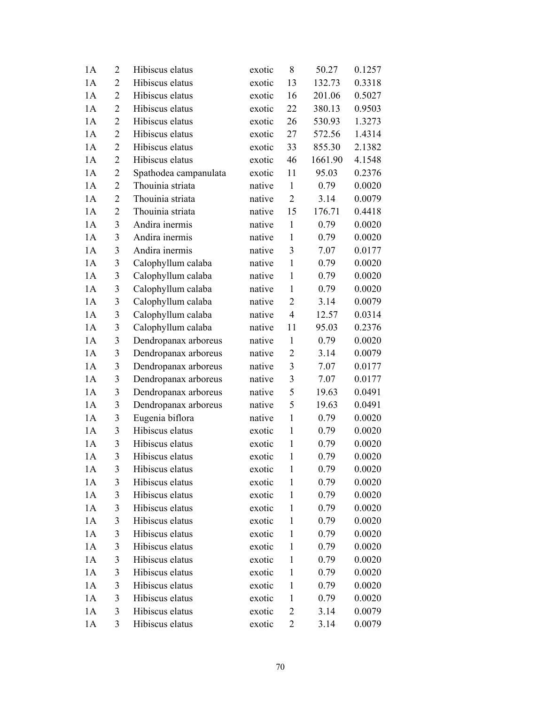| 1A | $\overline{2}$ | Hibiscus elatus       | exotic | 8              | 50.27   | 0.1257 |
|----|----------------|-----------------------|--------|----------------|---------|--------|
| 1A | $\overline{2}$ | Hibiscus elatus       | exotic | 13             | 132.73  | 0.3318 |
| 1A | $\overline{2}$ | Hibiscus elatus       | exotic | 16             | 201.06  | 0.5027 |
| 1A | $\overline{2}$ | Hibiscus elatus       | exotic | 22             | 380.13  | 0.9503 |
| 1A | $\overline{2}$ | Hibiscus elatus       | exotic | 26             | 530.93  | 1.3273 |
| 1A | $\overline{2}$ | Hibiscus elatus       | exotic | 27             | 572.56  | 1.4314 |
| 1A | $\overline{2}$ | Hibiscus elatus       | exotic | 33             | 855.30  | 2.1382 |
| 1A | $\overline{2}$ | Hibiscus elatus       | exotic | 46             | 1661.90 | 4.1548 |
| 1A | $\overline{2}$ | Spathodea campanulata | exotic | 11             | 95.03   | 0.2376 |
| 1A | $\overline{c}$ | Thouinia striata      | native | $\mathbf{1}$   | 0.79    | 0.0020 |
| 1A | $\overline{2}$ | Thouinia striata      | native | $\overline{2}$ | 3.14    | 0.0079 |
| 1A | $\overline{2}$ | Thouinia striata      | native | 15             | 176.71  | 0.4418 |
| 1A | 3              | Andira inermis        | native | $\mathbf{1}$   | 0.79    | 0.0020 |
| 1A | 3              | Andira inermis        | native | $\mathbf{1}$   | 0.79    | 0.0020 |
| 1A | 3              | Andira inermis        | native | 3              | 7.07    | 0.0177 |
| 1A | 3              | Calophyllum calaba    | native | $\mathbf{1}$   | 0.79    | 0.0020 |
| 1A | 3              | Calophyllum calaba    | native | $\mathbf{1}$   | 0.79    | 0.0020 |
| 1A | 3              | Calophyllum calaba    | native | $\mathbf{1}$   | 0.79    | 0.0020 |
| 1A | 3              | Calophyllum calaba    | native | $\overline{2}$ | 3.14    | 0.0079 |
| 1A | 3              | Calophyllum calaba    | native | $\overline{4}$ | 12.57   | 0.0314 |
| 1A | 3              | Calophyllum calaba    | native | 11             | 95.03   | 0.2376 |
| 1A | 3              | Dendropanax arboreus  | native | $\mathbf{1}$   | 0.79    | 0.0020 |
| 1A | 3              | Dendropanax arboreus  | native | $\overline{2}$ | 3.14    | 0.0079 |
| 1A | 3              | Dendropanax arboreus  | native | 3              | 7.07    | 0.0177 |
| 1A | 3              | Dendropanax arboreus  | native | 3              | 7.07    | 0.0177 |
| 1A | 3              | Dendropanax arboreus  | native | 5              | 19.63   | 0.0491 |
| 1A | 3              | Dendropanax arboreus  | native | 5              | 19.63   | 0.0491 |
| 1A | 3              | Eugenia biflora       | native | $\mathbf{1}$   | 0.79    | 0.0020 |
| 1A | 3              | Hibiscus elatus       | exotic | $\mathbf{1}$   | 0.79    | 0.0020 |
| 1A | 3              | Hibiscus elatus       | exotic | $\mathbf{1}$   | 0.79    | 0.0020 |
| 1A | 3              | Hibiscus elatus       | exotic | 1              | 0.79    | 0.0020 |
| 1A | 3              | Hibiscus elatus       | exotic | $\mathbf{1}$   | 0.79    | 0.0020 |
| 1A | 3              | Hibiscus elatus       | exotic | $\mathbf{1}$   | 0.79    | 0.0020 |
| 1A | 3              | Hibiscus elatus       | exotic | $\mathbf{1}$   | 0.79    | 0.0020 |
| 1A | 3              | Hibiscus elatus       | exotic | $\mathbf{1}$   | 0.79    | 0.0020 |
| 1A | 3              | Hibiscus elatus       | exotic | $\mathbf{1}$   | 0.79    | 0.0020 |
| 1A | 3              | Hibiscus elatus       | exotic | $\mathbf{1}$   | 0.79    | 0.0020 |
| 1A | 3              | Hibiscus elatus       | exotic | $\mathbf{1}$   | 0.79    | 0.0020 |
| 1A | 3              | Hibiscus elatus       | exotic | $\mathbf{1}$   | 0.79    | 0.0020 |
| 1A | 3              | Hibiscus elatus       | exotic | $\mathbf{1}$   | 0.79    | 0.0020 |
| 1A | 3              | Hibiscus elatus       | exotic | $\mathbf{1}$   | 0.79    | 0.0020 |
| 1A | 3              | Hibiscus elatus       | exotic | $\mathbf{1}$   | 0.79    | 0.0020 |
| 1A | 3              | Hibiscus elatus       | exotic | 2              | 3.14    | 0.0079 |
| 1A | 3              | Hibiscus elatus       | exotic | $\overline{2}$ | 3.14    | 0.0079 |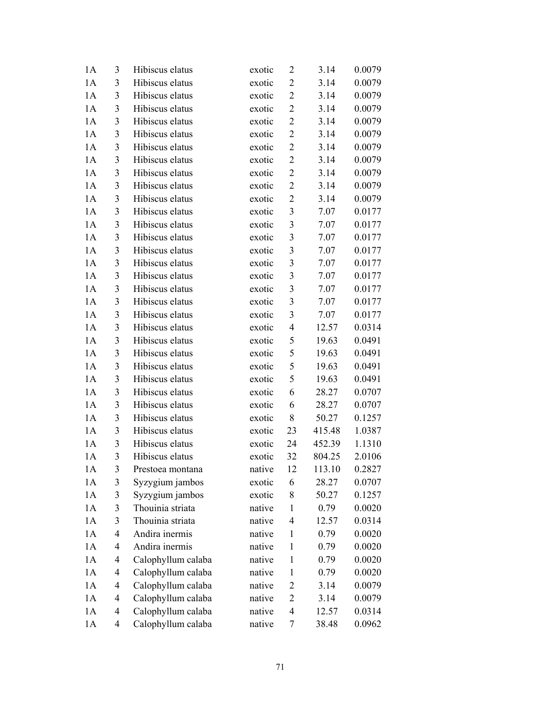| 1A | 3              | Hibiscus elatus    | exotic | 2                | 3.14   | 0.0079 |
|----|----------------|--------------------|--------|------------------|--------|--------|
| 1A | 3              | Hibiscus elatus    | exotic | $\overline{2}$   | 3.14   | 0.0079 |
| 1A | 3              | Hibiscus elatus    | exotic | $\overline{2}$   | 3.14   | 0.0079 |
| 1A | 3              | Hibiscus elatus    | exotic | $\overline{2}$   | 3.14   | 0.0079 |
| 1A | $\mathfrak{Z}$ | Hibiscus elatus    | exotic | $\overline{2}$   | 3.14   | 0.0079 |
| 1A | 3              | Hibiscus elatus    | exotic | $\overline{2}$   | 3.14   | 0.0079 |
| 1A | 3              | Hibiscus elatus    | exotic | $\boldsymbol{2}$ | 3.14   | 0.0079 |
| 1A | 3              | Hibiscus elatus    | exotic | $\overline{2}$   | 3.14   | 0.0079 |
| 1A | 3              | Hibiscus elatus    | exotic | $\overline{2}$   | 3.14   | 0.0079 |
| 1A | 3              | Hibiscus elatus    | exotic | $\boldsymbol{2}$ | 3.14   | 0.0079 |
| 1A | 3              | Hibiscus elatus    | exotic | $\overline{2}$   | 3.14   | 0.0079 |
| 1A | 3              | Hibiscus elatus    | exotic | 3                | 7.07   | 0.0177 |
| 1A | 3              | Hibiscus elatus    | exotic | $\mathfrak{Z}$   | 7.07   | 0.0177 |
| 1A | 3              | Hibiscus elatus    | exotic | $\mathfrak{Z}$   | 7.07   | 0.0177 |
| 1A | 3              | Hibiscus elatus    | exotic | $\mathfrak{Z}$   | 7.07   | 0.0177 |
| 1A | 3              | Hibiscus elatus    | exotic | $\mathfrak{Z}$   | 7.07   | 0.0177 |
| 1A | 3              | Hibiscus elatus    | exotic | $\mathfrak{Z}$   | 7.07   | 0.0177 |
| 1A | 3              | Hibiscus elatus    | exotic | $\mathfrak{Z}$   | 7.07   | 0.0177 |
| 1A | 3              | Hibiscus elatus    | exotic | 3                | 7.07   | 0.0177 |
| 1A | 3              | Hibiscus elatus    | exotic | $\mathfrak{Z}$   | 7.07   | 0.0177 |
| 1A | 3              | Hibiscus elatus    | exotic | 4                | 12.57  | 0.0314 |
| 1A | 3              | Hibiscus elatus    | exotic | 5                | 19.63  | 0.0491 |
| 1A | 3              | Hibiscus elatus    | exotic | 5                | 19.63  | 0.0491 |
| 1A | 3              | Hibiscus elatus    | exotic | 5                | 19.63  | 0.0491 |
| 1A | 3              | Hibiscus elatus    | exotic | 5                | 19.63  | 0.0491 |
| 1A | 3              | Hibiscus elatus    | exotic | 6                | 28.27  | 0.0707 |
| 1A | 3              | Hibiscus elatus    | exotic | 6                | 28.27  | 0.0707 |
| 1A | 3              | Hibiscus elatus    | exotic | 8                | 50.27  | 0.1257 |
| 1A | 3              | Hibiscus elatus    | exotic | 23               | 415.48 | 1.0387 |
| 1A | 3              | Hibiscus elatus    | exotic | 24               | 452.39 | 1.1310 |
| 1A | 3              | Hibiscus elatus    | exotic | 32               | 804.25 | 2.0106 |
| 1A | 3              | Prestoea montana   | native | 12               | 113.10 | 0.2827 |
| 1A | 3              | Syzygium jambos    | exotic | 6                | 28.27  | 0.0707 |
| 1A | 3              | Syzygium jambos    | exotic | 8                | 50.27  | 0.1257 |
| 1A | 3              | Thouinia striata   | native | 1                | 0.79   | 0.0020 |
| 1A | 3              | Thouinia striata   | native | $\overline{4}$   | 12.57  | 0.0314 |
| 1A | 4              | Andira inermis     | native | $\mathbf{1}$     | 0.79   | 0.0020 |
| 1A | 4              | Andira inermis     | native | $\mathbf{1}$     | 0.79   | 0.0020 |
| 1A | 4              | Calophyllum calaba | native | $\mathbf{1}$     | 0.79   | 0.0020 |
| 1A | 4              | Calophyllum calaba | native | 1                | 0.79   | 0.0020 |
| 1A | 4              | Calophyllum calaba | native | $\overline{c}$   | 3.14   | 0.0079 |
| 1A | 4              | Calophyllum calaba | native | $\overline{2}$   | 3.14   | 0.0079 |
| 1A | 4              | Calophyllum calaba | native | 4                | 12.57  | 0.0314 |
| 1A | 4              | Calophyllum calaba | native | 7                | 38.48  | 0.0962 |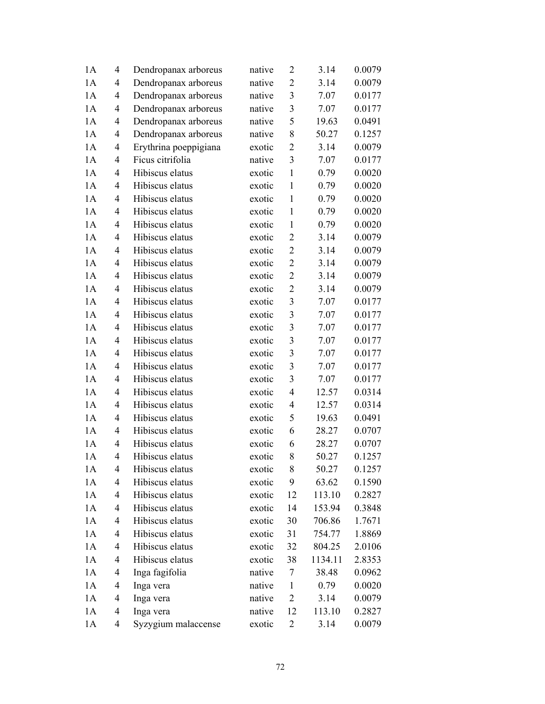| 1A | $\overline{4}$ | Dendropanax arboreus  | native | $\overline{2}$ | 3.14    | 0.0079 |
|----|----------------|-----------------------|--------|----------------|---------|--------|
| 1A | $\overline{4}$ | Dendropanax arboreus  | native | $\overline{2}$ | 3.14    | 0.0079 |
| 1A | 4              | Dendropanax arboreus  | native | $\mathfrak{Z}$ | 7.07    | 0.0177 |
| 1A | $\overline{4}$ | Dendropanax arboreus  | native | $\mathfrak{Z}$ | 7.07    | 0.0177 |
| 1A | 4              | Dendropanax arboreus  | native | 5              | 19.63   | 0.0491 |
| 1A | 4              | Dendropanax arboreus  | native | 8              | 50.27   | 0.1257 |
| 1A | 4              | Erythrina poeppigiana | exotic | $\overline{2}$ | 3.14    | 0.0079 |
| 1A | $\overline{4}$ | Ficus citrifolia      | native | $\overline{3}$ | 7.07    | 0.0177 |
| 1A | $\overline{4}$ | Hibiscus elatus       | exotic | $\mathbf{1}$   | 0.79    | 0.0020 |
| 1A | 4              | Hibiscus elatus       | exotic | $\mathbf{1}$   | 0.79    | 0.0020 |
| 1A | 4              | Hibiscus elatus       | exotic | $\mathbf{1}$   | 0.79    | 0.0020 |
| 1A | 4              | Hibiscus elatus       | exotic | $\mathbf{1}$   | 0.79    | 0.0020 |
| 1A | $\overline{4}$ | Hibiscus elatus       | exotic | $\mathbf{1}$   | 0.79    | 0.0020 |
| 1A | $\overline{4}$ | Hibiscus elatus       | exotic | $\overline{2}$ | 3.14    | 0.0079 |
| 1A | $\overline{4}$ | Hibiscus elatus       | exotic | $\overline{2}$ | 3.14    | 0.0079 |
| 1A | $\overline{4}$ | Hibiscus elatus       | exotic | $\overline{2}$ | 3.14    | 0.0079 |
| 1A | 4              | Hibiscus elatus       | exotic | $\overline{2}$ | 3.14    | 0.0079 |
| 1A | 4              | Hibiscus elatus       | exotic | $\overline{2}$ | 3.14    | 0.0079 |
| 1A | $\overline{4}$ | Hibiscus elatus       | exotic | 3              | 7.07    | 0.0177 |
| 1A | $\overline{4}$ | Hibiscus elatus       | exotic | $\mathfrak{Z}$ | 7.07    | 0.0177 |
| 1A | 4              | Hibiscus elatus       | exotic | 3              | 7.07    | 0.0177 |
| 1A | 4              | Hibiscus elatus       | exotic | 3              | 7.07    | 0.0177 |
| 1A | 4              | Hibiscus elatus       | exotic | 3              | 7.07    | 0.0177 |
| 1A | $\overline{4}$ | Hibiscus elatus       | exotic | 3              | 7.07    | 0.0177 |
| 1A | $\overline{4}$ | Hibiscus elatus       | exotic | 3              | 7.07    | 0.0177 |
| 1A | 4              | Hibiscus elatus       | exotic | $\overline{4}$ | 12.57   | 0.0314 |
| 1A | 4              | Hibiscus elatus       | exotic | $\overline{4}$ | 12.57   | 0.0314 |
| 1A | $\overline{4}$ | Hibiscus elatus       | exotic | 5              | 19.63   | 0.0491 |
| 1A | 4              | Hibiscus elatus       | exotic | 6              | 28.27   | 0.0707 |
| 1A | 4              | Hibiscus elatus       | exotic | 6              | 28.27   | 0.0707 |
| 1A | 4              | Hibiscus elatus       | exotic | 8              | 50.27   | 0.1257 |
| 1A | $\overline{4}$ | Hibiscus elatus       | exotic | 8              | 50.27   | 0.1257 |
| 1A | 4              | Hibiscus elatus       | exotic | 9              | 63.62   | 0.1590 |
| 1A | 4              | Hibiscus elatus       | exotic | 12             | 113.10  | 0.2827 |
| 1A | 4              | Hibiscus elatus       | exotic | 14             | 153.94  | 0.3848 |
| 1A | 4              | Hibiscus elatus       | exotic | 30             | 706.86  | 1.7671 |
| 1A | 4              | Hibiscus elatus       | exotic | 31             | 754.77  | 1.8869 |
| 1A | 4              | Hibiscus elatus       | exotic | 32             | 804.25  | 2.0106 |
| 1A | 4              | Hibiscus elatus       | exotic | 38             | 1134.11 | 2.8353 |
| 1A | 4              | Inga fagifolia        | native | 7              | 38.48   | 0.0962 |
| 1A | 4              | Inga vera             | native | $\mathbf{1}$   | 0.79    | 0.0020 |
| 1A | 4              | Inga vera             | native | $\overline{c}$ | 3.14    | 0.0079 |
| 1A | 4              | Inga vera             | native | 12             | 113.10  | 0.2827 |
| 1A | 4              | Syzygium malaccense   | exotic | $\overline{c}$ | 3.14    | 0.0079 |
|    |                |                       |        |                |         |        |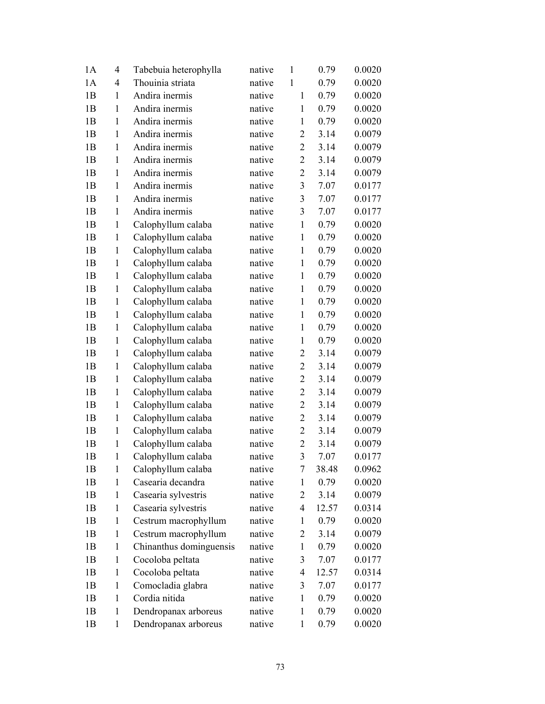| 1A             | 4            | Tabebuia heterophylla   | native | $\mathbf{1}$            | 0.79  | 0.0020 |
|----------------|--------------|-------------------------|--------|-------------------------|-------|--------|
| 1A             | 4            | Thouinia striata        | native | $\mathbf{1}$            | 0.79  | 0.0020 |
| 1B             | $\mathbf{1}$ | Andira inermis          | native | $\mathbf{1}$            | 0.79  | 0.0020 |
| 1B             | $\mathbf{1}$ | Andira inermis          | native | $\mathbf{1}$            | 0.79  | 0.0020 |
| 1B             | $\mathbf{1}$ | Andira inermis          | native | $\mathbf{1}$            | 0.79  | 0.0020 |
| 1B             | 1            | Andira inermis          | native | $\overline{2}$          | 3.14  | 0.0079 |
| 1B             | 1            | Andira inermis          | native | $\overline{2}$          | 3.14  | 0.0079 |
| 1B             | $\mathbf{1}$ | Andira inermis          | native | $\overline{2}$          | 3.14  | 0.0079 |
| 1B             | $\mathbf{1}$ | Andira inermis          | native | $\overline{2}$          | 3.14  | 0.0079 |
| 1B             | $\mathbf{1}$ | Andira inermis          | native | $\overline{\mathbf{3}}$ | 7.07  | 0.0177 |
| 1B             | 1            | Andira inermis          | native | 3                       | 7.07  | 0.0177 |
| 1B             | $\mathbf{1}$ | Andira inermis          | native | 3                       | 7.07  | 0.0177 |
| 1B             | $\mathbf{1}$ | Calophyllum calaba      | native | $\mathbf{1}$            | 0.79  | 0.0020 |
| 1B             | $\mathbf{1}$ | Calophyllum calaba      | native | $\mathbf{1}$            | 0.79  | 0.0020 |
| 1B             | $\mathbf{1}$ | Calophyllum calaba      | native | $\mathbf{1}$            | 0.79  | 0.0020 |
| 1B             | 1            | Calophyllum calaba      | native | $\mathbf{1}$            | 0.79  | 0.0020 |
| 1B             | $\mathbf{1}$ | Calophyllum calaba      | native | $\mathbf{1}$            | 0.79  | 0.0020 |
| 1B             | $\mathbf{1}$ | Calophyllum calaba      | native | $\mathbf{1}$            | 0.79  | 0.0020 |
| 1B             | $\mathbf{1}$ | Calophyllum calaba      | native | $\mathbf{1}$            | 0.79  | 0.0020 |
| 1B             | $\mathbf{1}$ | Calophyllum calaba      | native | $\mathbf{1}$            | 0.79  | 0.0020 |
| 1B             | 1            | Calophyllum calaba      | native | $\mathbf{1}$            | 0.79  | 0.0020 |
| 1B             | $\mathbf{1}$ | Calophyllum calaba      | native | $\mathbf{1}$            | 0.79  | 0.0020 |
| 1B             | $\mathbf{1}$ | Calophyllum calaba      | native | $\overline{2}$          | 3.14  | 0.0079 |
| 1B             | $\mathbf{1}$ | Calophyllum calaba      | native | $\overline{2}$          | 3.14  | 0.0079 |
| 1B             | $\mathbf{1}$ | Calophyllum calaba      | native | $\overline{2}$          | 3.14  | 0.0079 |
| 1B             | 1            | Calophyllum calaba      | native | $\overline{2}$          | 3.14  | 0.0079 |
| 1B             | $\mathbf{1}$ | Calophyllum calaba      | native | $\overline{2}$          | 3.14  | 0.0079 |
| 1B             | $\mathbf{1}$ | Calophyllum calaba      | native | $\overline{2}$          | 3.14  | 0.0079 |
| 1B             | $\mathbf{1}$ | Calophyllum calaba      | native | $\overline{2}$          | 3.14  | 0.0079 |
| 1B             | 1            | Calophyllum calaba      | native | $\overline{2}$          | 3.14  | 0.0079 |
| 1B             | 1            | Calophyllum calaba      | native | 3                       | 7.07  | 0.0177 |
| 1B             | 1            | Calophyllum calaba      | native | 7                       | 38.48 | 0.0962 |
| 1B             | 1            | Casearia decandra       | native | 1                       | 0.79  | 0.0020 |
| 1B             | 1            | Casearia sylvestris     | native | 2                       | 3.14  | 0.0079 |
| 1B             | 1            | Casearia sylvestris     | native | 4                       | 12.57 | 0.0314 |
| 1B             | 1            | Cestrum macrophyllum    | native | $\mathbf{1}$            | 0.79  | 0.0020 |
| 1 <sub>B</sub> | 1            | Cestrum macrophyllum    | native | 2                       | 3.14  | 0.0079 |
| 1B             | 1            | Chinanthus dominguensis | native | 1                       | 0.79  | 0.0020 |
| 1B             | 1            | Cocoloba peltata        | native | 3                       | 7.07  | 0.0177 |
| 1B             | 1            | Cocoloba peltata        | native | 4                       | 12.57 | 0.0314 |
| 1B             | $\mathbf{1}$ | Comocladia glabra       | native | 3                       | 7.07  | 0.0177 |
| 1B             | 1            | Cordia nitida           | native | 1                       | 0.79  | 0.0020 |
| 1B             | 1            | Dendropanax arboreus    | native | 1                       | 0.79  | 0.0020 |
| 1B             | $\mathbf{1}$ | Dendropanax arboreus    | native | $\mathbf{1}$            | 0.79  | 0.0020 |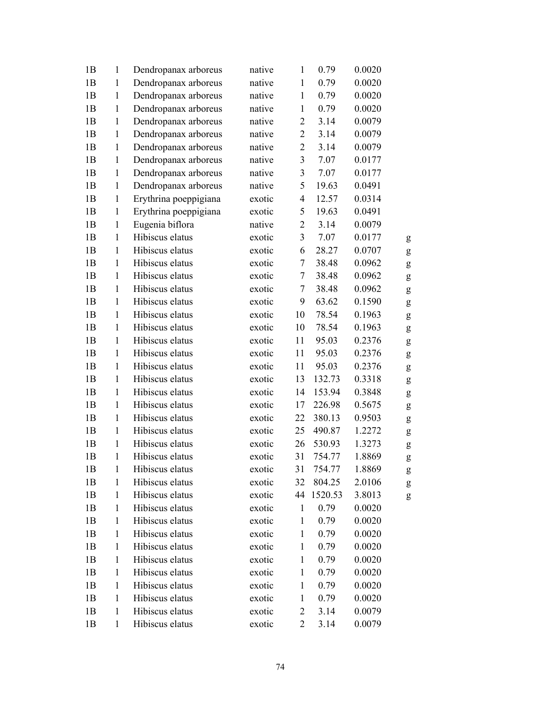| 1B             | $\mathbf{1}$ | Dendropanax arboreus  | native | $\mathbf{1}$   | 0.79    | 0.0020 |   |
|----------------|--------------|-----------------------|--------|----------------|---------|--------|---|
| 1B             | $\mathbf{1}$ | Dendropanax arboreus  | native | $\mathbf{1}$   | 0.79    | 0.0020 |   |
| 1B             | $\mathbf{1}$ | Dendropanax arboreus  | native | $\mathbf{1}$   | 0.79    | 0.0020 |   |
| 1B             | $\mathbf{1}$ | Dendropanax arboreus  | native | $\mathbf{1}$   | 0.79    | 0.0020 |   |
| 1B             | $\mathbf{1}$ | Dendropanax arboreus  | native | $\overline{2}$ | 3.14    | 0.0079 |   |
| 1B             | $\mathbf{1}$ | Dendropanax arboreus  | native | $\overline{2}$ | 3.14    | 0.0079 |   |
| 1B             | $\mathbf{1}$ | Dendropanax arboreus  | native | $\overline{2}$ | 3.14    | 0.0079 |   |
| 1B             | $\mathbf{1}$ | Dendropanax arboreus  | native | 3              | 7.07    | 0.0177 |   |
| 1B             | $\mathbf{1}$ | Dendropanax arboreus  | native | 3              | 7.07    | 0.0177 |   |
| 1B             | $\mathbf{1}$ | Dendropanax arboreus  | native | 5              | 19.63   | 0.0491 |   |
| 1B             | $\mathbf{1}$ | Erythrina poeppigiana | exotic | $\overline{4}$ | 12.57   | 0.0314 |   |
| 1B             | $\mathbf{1}$ | Erythrina poeppigiana | exotic | 5              | 19.63   | 0.0491 |   |
| 1B             | $\mathbf{1}$ | Eugenia biflora       | native | $\overline{2}$ | 3.14    | 0.0079 |   |
| 1B             | $\mathbf{1}$ | Hibiscus elatus       | exotic | 3              | 7.07    | 0.0177 | g |
| 1B             | $\mathbf{1}$ | Hibiscus elatus       | exotic | 6              | 28.27   | 0.0707 | g |
| 1B             | $\mathbf{1}$ | Hibiscus elatus       | exotic | 7              | 38.48   | 0.0962 | g |
| 1B             | $\mathbf{1}$ | Hibiscus elatus       | exotic | 7              | 38.48   | 0.0962 | g |
| 1B             | $\mathbf{1}$ | Hibiscus elatus       | exotic | 7              | 38.48   | 0.0962 | g |
| 1B             | $\mathbf{1}$ | Hibiscus elatus       | exotic | 9              | 63.62   | 0.1590 | g |
| 1B             | $\mathbf{1}$ | Hibiscus elatus       | exotic | 10             | 78.54   | 0.1963 | g |
| 1B             | $\mathbf{1}$ | Hibiscus elatus       | exotic | 10             | 78.54   | 0.1963 | g |
| 1B             | $\mathbf{1}$ | Hibiscus elatus       | exotic | 11             | 95.03   | 0.2376 | g |
| 1B             | $\mathbf{1}$ | Hibiscus elatus       | exotic | 11             | 95.03   | 0.2376 | g |
| 1B             | $\mathbf{1}$ | Hibiscus elatus       | exotic | 11             | 95.03   | 0.2376 | g |
| 1B             | $\mathbf{1}$ | Hibiscus elatus       | exotic | 13             | 132.73  | 0.3318 | g |
| 1B             | $\mathbf{1}$ | Hibiscus elatus       | exotic | 14             | 153.94  | 0.3848 | g |
| 1B             | $\mathbf{1}$ | Hibiscus elatus       | exotic | 17             | 226.98  | 0.5675 | g |
| 1B             | $\mathbf{1}$ | Hibiscus elatus       | exotic | 22             | 380.13  | 0.9503 | g |
| 1B             | $\mathbf{1}$ | Hibiscus elatus       | exotic | 25             | 490.87  | 1.2272 | g |
| 1B             | 1            | Hibiscus elatus       | exotic | 26             | 530.93  | 1.3273 | g |
| 1B             | $\mathbf{1}$ | Hibiscus elatus       | exotic | 31             | 754.77  | 1.8869 | g |
| 1 <sub>B</sub> | $\mathbf{1}$ | Hibiscus elatus       | exotic | 31             | 754.77  | 1.8869 | g |
| 1B             | $\mathbf{1}$ | Hibiscus elatus       | exotic | 32             | 804.25  | 2.0106 | g |
| 1B             | $\mathbf{1}$ | Hibiscus elatus       | exotic | 44             | 1520.53 | 3.8013 | g |
| 1B             | $\mathbf{1}$ | Hibiscus elatus       | exotic | $\mathbf{1}$   | 0.79    | 0.0020 |   |
| 1B             | $\mathbf{1}$ | Hibiscus elatus       | exotic | $\mathbf{1}$   | 0.79    | 0.0020 |   |
| 1B             | $\mathbf{1}$ | Hibiscus elatus       | exotic | $\mathbf{1}$   | 0.79    | 0.0020 |   |
| 1B             | $\mathbf{1}$ | Hibiscus elatus       | exotic | $\mathbf{1}$   | 0.79    | 0.0020 |   |
| 1B             | $\mathbf{1}$ | Hibiscus elatus       | exotic | $\mathbf{1}$   | 0.79    | 0.0020 |   |
| 1B             | $\mathbf{1}$ | Hibiscus elatus       | exotic | $\mathbf{1}$   | 0.79    | 0.0020 |   |
| 1B             | $\mathbf{1}$ | Hibiscus elatus       | exotic | $\mathbf{1}$   | 0.79    | 0.0020 |   |
| 1B             | $\mathbf{1}$ | Hibiscus elatus       | exotic | $\mathbf{1}$   | 0.79    | 0.0020 |   |
| 1B             | $\mathbf{1}$ | Hibiscus elatus       | exotic | $\overline{c}$ | 3.14    | 0.0079 |   |
| 1B             | $\mathbf{1}$ | Hibiscus elatus       | exotic | $\mathbf{2}$   | 3.14    | 0.0079 |   |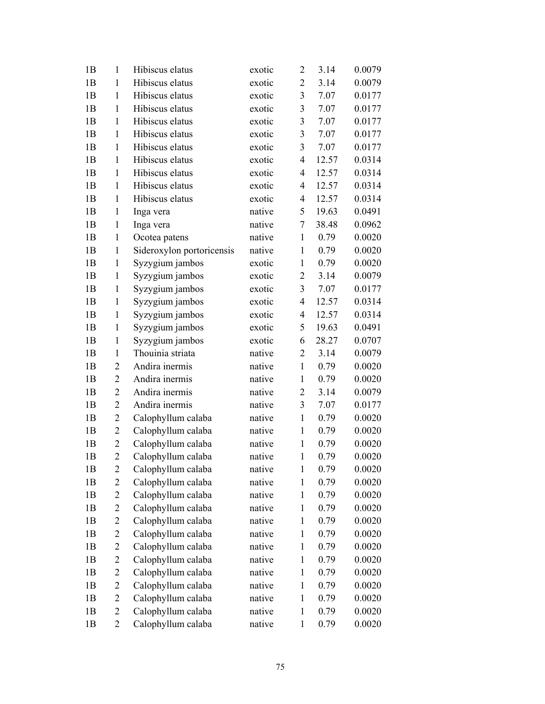| 1B | $\mathbf{1}$   | Hibiscus elatus           | exotic | $\overline{2}$          | 3.14  | 0.0079 |
|----|----------------|---------------------------|--------|-------------------------|-------|--------|
| 1B | 1              | Hibiscus elatus           | exotic | $\overline{2}$          | 3.14  | 0.0079 |
| 1B | $\mathbf{1}$   | Hibiscus elatus           | exotic | $\mathfrak{Z}$          | 7.07  | 0.0177 |
| 1B | $\mathbf{1}$   | Hibiscus elatus           | exotic | 3                       | 7.07  | 0.0177 |
| 1B | $\mathbf{1}$   | Hibiscus elatus           | exotic | 3                       | 7.07  | 0.0177 |
| 1B | $\mathbf{1}$   | Hibiscus elatus           | exotic | 3                       | 7.07  | 0.0177 |
| 1B | $\mathbf{1}$   | Hibiscus elatus           | exotic | 3                       | 7.07  | 0.0177 |
| 1B | $\mathbf{1}$   | Hibiscus elatus           | exotic | 4                       | 12.57 | 0.0314 |
| 1B | $\mathbf{1}$   | Hibiscus elatus           | exotic | 4                       | 12.57 | 0.0314 |
| 1B | $\mathbf{1}$   | Hibiscus elatus           | exotic | 4                       | 12.57 | 0.0314 |
| 1B | $\mathbf{1}$   | Hibiscus elatus           | exotic | 4                       | 12.57 | 0.0314 |
| 1B | 1              | Inga vera                 | native | 5                       | 19.63 | 0.0491 |
| 1B | $\mathbf{1}$   | Inga vera                 | native | 7                       | 38.48 | 0.0962 |
| 1B | $\mathbf{1}$   | Ocotea patens             | native | $\mathbf{1}$            | 0.79  | 0.0020 |
| 1B | $\mathbf{1}$   | Sideroxylon portoricensis | native | $\mathbf{1}$            | 0.79  | 0.0020 |
| 1B | 1              | Syzygium jambos           | exotic | $\mathbf{1}$            | 0.79  | 0.0020 |
| 1B | 1              | Syzygium jambos           | exotic | $\overline{2}$          | 3.14  | 0.0079 |
| 1B | 1              | Syzygium jambos           | exotic | $\overline{\mathbf{3}}$ | 7.07  | 0.0177 |
| 1B | $\mathbf{1}$   | Syzygium jambos           | exotic | 4                       | 12.57 | 0.0314 |
| 1B | $\mathbf{1}$   | Syzygium jambos           | exotic | 4                       | 12.57 | 0.0314 |
| 1B | 1              | Syzygium jambos           | exotic | 5                       | 19.63 | 0.0491 |
| 1B | $\mathbf{1}$   | Syzygium jambos           | exotic | 6                       | 28.27 | 0.0707 |
| 1B | 1              | Thouinia striata          | native | $\overline{2}$          | 3.14  | 0.0079 |
| 1B | $\overline{2}$ | Andira inermis            | native | $\mathbf{1}$            | 0.79  | 0.0020 |
| 1B | $\overline{2}$ | Andira inermis            | native | $\mathbf{1}$            | 0.79  | 0.0020 |
| 1B | $\overline{2}$ | Andira inermis            | native | $\overline{2}$          | 3.14  | 0.0079 |
| 1B | $\overline{2}$ | Andira inermis            | native | 3                       | 7.07  | 0.0177 |
| 1B | $\overline{2}$ | Calophyllum calaba        | native | $\mathbf{1}$            | 0.79  | 0.0020 |
| 1B | $\overline{2}$ | Calophyllum calaba        | native | $\mathbf{1}$            | 0.79  | 0.0020 |
| 1B | $\overline{2}$ | Calophyllum calaba        | native | $\mathbf{1}$            | 0.79  | 0.0020 |
| 1B | $\overline{2}$ | Calophyllum calaba        | native | $\mathbf{1}$            | 0.79  | 0.0020 |
| 1B | 2              | Calophyllum calaba        | native | $\mathbf{1}$            | 0.79  | 0.0020 |
| 1B | $\overline{c}$ | Calophyllum calaba        | native | 1                       | 0.79  | 0.0020 |
| 1B | $\overline{c}$ | Calophyllum calaba        | native | $\mathbf{1}$            | 0.79  | 0.0020 |
| 1B | $\overline{c}$ | Calophyllum calaba        | native | $\mathbf{1}$            | 0.79  | 0.0020 |
| 1B | $\overline{c}$ | Calophyllum calaba        | native | $\mathbf{1}$            | 0.79  | 0.0020 |
| 1B | 2              | Calophyllum calaba        | native | $\mathbf{1}$            | 0.79  | 0.0020 |
| 1B | $\overline{c}$ | Calophyllum calaba        | native | $\mathbf{1}$            | 0.79  | 0.0020 |
| 1B | $\overline{c}$ | Calophyllum calaba        | native | $\mathbf{1}$            | 0.79  | 0.0020 |
| 1B | $\overline{c}$ | Calophyllum calaba        | native | $\mathbf{1}$            | 0.79  | 0.0020 |
| 1B | $\overline{c}$ | Calophyllum calaba        | native | $\mathbf{1}$            | 0.79  | 0.0020 |
| 1B | $\overline{c}$ | Calophyllum calaba        | native | 1                       | 0.79  | 0.0020 |
| 1B | 2              | Calophyllum calaba        | native | $\mathbf{1}$            | 0.79  | 0.0020 |
| 1B | $\overline{c}$ | Calophyllum calaba        | native | $\mathbf{1}$            | 0.79  | 0.0020 |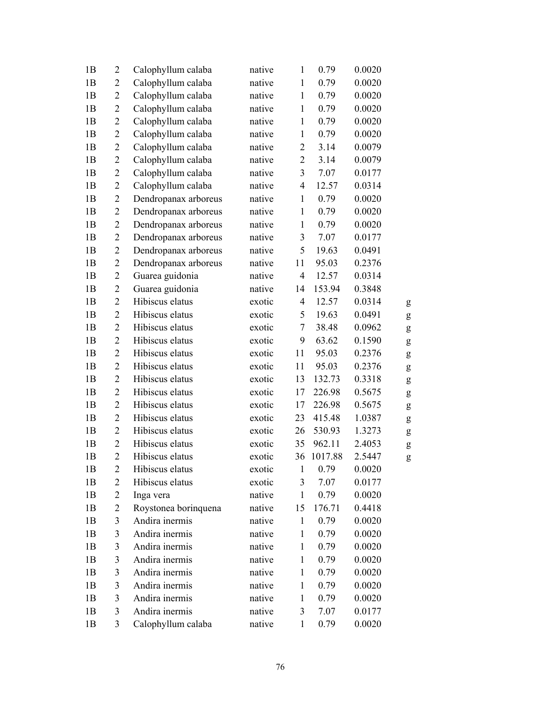| 1B            | $\overline{c}$ | Calophyllum calaba   | native | $\mathbf{1}$     | 0.79    | 0.0020 |   |
|---------------|----------------|----------------------|--------|------------------|---------|--------|---|
| 1B            | $\overline{2}$ | Calophyllum calaba   | native | $\mathbf{1}$     | 0.79    | 0.0020 |   |
| 1B            | $\overline{2}$ | Calophyllum calaba   | native | $\mathbf{1}$     | 0.79    | 0.0020 |   |
| 1B            | $\overline{2}$ | Calophyllum calaba   | native | $\mathbf{1}$     | 0.79    | 0.0020 |   |
| 1B            | $\overline{2}$ | Calophyllum calaba   | native | $\mathbf{1}$     | 0.79    | 0.0020 |   |
| 1B            | $\overline{c}$ | Calophyllum calaba   | native | $\mathbf{1}$     | 0.79    | 0.0020 |   |
| 1B            | $\overline{c}$ | Calophyllum calaba   | native | $\boldsymbol{2}$ | 3.14    | 0.0079 |   |
| 1B            | $\overline{2}$ | Calophyllum calaba   | native | $\overline{2}$   | 3.14    | 0.0079 |   |
| 1B            | $\overline{2}$ | Calophyllum calaba   | native | 3                | 7.07    | 0.0177 |   |
| 1B            | $\overline{2}$ | Calophyllum calaba   | native | $\overline{4}$   | 12.57   | 0.0314 |   |
| 1B            | $\overline{2}$ | Dendropanax arboreus | native | $\mathbf{1}$     | 0.79    | 0.0020 |   |
| 1B            | $\mathbf{2}$   | Dendropanax arboreus | native | $\mathbf{1}$     | 0.79    | 0.0020 |   |
| 1B            | $\overline{2}$ | Dendropanax arboreus | native | $\mathbf{1}$     | 0.79    | 0.0020 |   |
| 1B            | $\overline{2}$ | Dendropanax arboreus | native | $\mathfrak{Z}$   | 7.07    | 0.0177 |   |
| 1B            | $\overline{2}$ | Dendropanax arboreus | native | 5                | 19.63   | 0.0491 |   |
| 1B            | $\overline{2}$ | Dendropanax arboreus | native | 11               | 95.03   | 0.2376 |   |
| 1B            | $\overline{2}$ | Guarea guidonia      | native | $\overline{4}$   | 12.57   | 0.0314 |   |
| 1B            | $\overline{2}$ | Guarea guidonia      | native | 14               | 153.94  | 0.3848 |   |
| 1B            | $\overline{2}$ | Hibiscus elatus      | exotic | $\overline{4}$   | 12.57   | 0.0314 | g |
| 1B            | $\overline{2}$ | Hibiscus elatus      | exotic | 5                | 19.63   | 0.0491 | g |
| 1B            | $\overline{2}$ | Hibiscus elatus      | exotic | 7                | 38.48   | 0.0962 | g |
| 1B            | $\overline{2}$ | Hibiscus elatus      | exotic | 9                | 63.62   | 0.1590 | g |
| 1B            | $\overline{2}$ | Hibiscus elatus      | exotic | 11               | 95.03   | 0.2376 | g |
| 1B            | $\overline{2}$ | Hibiscus elatus      | exotic | 11               | 95.03   | 0.2376 | g |
| 1B            | $\overline{2}$ | Hibiscus elatus      | exotic | 13               | 132.73  | 0.3318 | g |
| 1B            | $\overline{2}$ | Hibiscus elatus      | exotic | 17               | 226.98  | 0.5675 | g |
| 1B            | $\overline{c}$ | Hibiscus elatus      | exotic | 17               | 226.98  | 0.5675 | g |
| 1B            | $\overline{c}$ | Hibiscus elatus      | exotic | 23               | 415.48  | 1.0387 | g |
| 1B            | $\overline{2}$ | Hibiscus elatus      | exotic | 26               | 530.93  | 1.3273 | g |
| 1B            | $\overline{2}$ | Hibiscus elatus      | exotic | 35               | 962.11  | 2.4053 | g |
| 1B            | $\overline{2}$ | Hibiscus elatus      | exotic | 36               | 1017.88 | 2.5447 | g |
| 1B            | 2              | Hibiscus elatus      | exotic | 1                | 0.79    | 0.0020 |   |
| 1B            | 2              | Hibiscus elatus      | exotic | 3                | 7.07    | 0.0177 |   |
| 1B            | $\overline{c}$ | Inga vera            | native | $\mathbf{1}$     | 0.79    | 0.0020 |   |
| 1B            | $\overline{2}$ | Roystonea borinquena | native | 15               | 176.71  | 0.4418 |   |
| 1B            | 3              | Andira inermis       | native | $\mathbf{1}$     | 0.79    | 0.0020 |   |
| 1B            | 3              | Andira inermis       | native | 1                | 0.79    | 0.0020 |   |
| 1B            | 3              | Andira inermis       | native | $\mathbf{1}$     | 0.79    | 0.0020 |   |
| 1B            | 3              | Andira inermis       | native | $\mathbf{1}$     | 0.79    | 0.0020 |   |
| 1B            | 3              | Andira inermis       | native | $\mathbf{1}$     | 0.79    | 0.0020 |   |
| 1B            | 3              | Andira inermis       | native | $\mathbf{1}$     | 0.79    | 0.0020 |   |
| 1B            | 3              | Andira inermis       | native | $\mathbf{1}$     | 0.79    | 0.0020 |   |
| $1\mathrm{B}$ | 3              | Andira inermis       | native | $\mathfrak{Z}$   | 7.07    | 0.0177 |   |
| 1B            | 3              | Calophyllum calaba   | native | 1                | 0.79    | 0.0020 |   |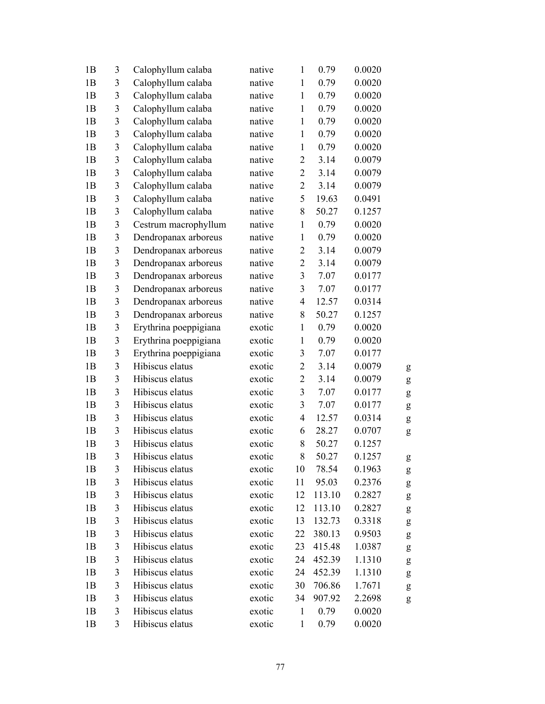| 1B             | 3                       | Calophyllum calaba    | native | $\mathbf{1}$             | 0.79   | 0.0020 |   |
|----------------|-------------------------|-----------------------|--------|--------------------------|--------|--------|---|
| 1B             | 3                       | Calophyllum calaba    | native | $\mathbf{1}$             | 0.79   | 0.0020 |   |
| 1B             | 3                       | Calophyllum calaba    | native | $\mathbf{1}$             | 0.79   | 0.0020 |   |
| 1B             | 3                       | Calophyllum calaba    | native | $\mathbf{1}$             | 0.79   | 0.0020 |   |
| 1B             | $\overline{\mathbf{3}}$ | Calophyllum calaba    | native | $\mathbf{1}$             | 0.79   | 0.0020 |   |
| 1B             | 3                       | Calophyllum calaba    | native | $\mathbf{1}$             | 0.79   | 0.0020 |   |
| 1B             | $\mathfrak{Z}$          | Calophyllum calaba    | native | $\mathbf{1}$             | 0.79   | 0.0020 |   |
| 1B             | $\mathfrak{Z}$          | Calophyllum calaba    | native | $\overline{c}$           | 3.14   | 0.0079 |   |
| 1B             | 3                       | Calophyllum calaba    | native | $\overline{2}$           | 3.14   | 0.0079 |   |
| 1B             | $\mathfrak{Z}$          | Calophyllum calaba    | native | $\mathbf{2}$             | 3.14   | 0.0079 |   |
| 1B             | 3                       | Calophyllum calaba    | native | 5                        | 19.63  | 0.0491 |   |
| 1B             | $\overline{3}$          | Calophyllum calaba    | native | 8                        | 50.27  | 0.1257 |   |
| 1B             | $\mathfrak{Z}$          | Cestrum macrophyllum  | native | $\mathbf{1}$             | 0.79   | 0.0020 |   |
| 1B             | 3                       | Dendropanax arboreus  | native | $\mathbf{1}$             | 0.79   | 0.0020 |   |
| 1B             | $\mathfrak{Z}$          | Dendropanax arboreus  | native | $\overline{2}$           | 3.14   | 0.0079 |   |
| 1B             | 3                       | Dendropanax arboreus  | native | $\overline{2}$           | 3.14   | 0.0079 |   |
| 1B             | $\mathfrak{Z}$          | Dendropanax arboreus  | native | $\mathfrak{Z}$           | 7.07   | 0.0177 |   |
| 1B             | 3                       | Dendropanax arboreus  | native | 3                        | 7.07   | 0.0177 |   |
| 1B             | 3                       | Dendropanax arboreus  | native | $\overline{\mathcal{L}}$ | 12.57  | 0.0314 |   |
| 1B             | 3                       | Dendropanax arboreus  | native | 8                        | 50.27  | 0.1257 |   |
| 1B             | 3                       | Erythrina poeppigiana | exotic | $\mathbf{1}$             | 0.79   | 0.0020 |   |
| 1B             | $\mathfrak{Z}$          | Erythrina poeppigiana | exotic | $\mathbf{1}$             | 0.79   | 0.0020 |   |
| 1B             | 3                       | Erythrina poeppigiana | exotic | 3                        | 7.07   | 0.0177 |   |
| 1B             | 3                       | Hibiscus elatus       | exotic | $\overline{c}$           | 3.14   | 0.0079 | g |
| 1B             | 3                       | Hibiscus elatus       | exotic | $\overline{2}$           | 3.14   | 0.0079 | g |
| 1B             | 3                       | Hibiscus elatus       | exotic | $\mathfrak{Z}$           | 7.07   | 0.0177 | g |
| 1B             | $\mathfrak{Z}$          | Hibiscus elatus       | exotic | $\overline{\mathbf{3}}$  | 7.07   | 0.0177 | g |
| 1B             | 3                       | Hibiscus elatus       | exotic | $\overline{4}$           | 12.57  | 0.0314 | g |
| 1B             | $\mathfrak{Z}$          | Hibiscus elatus       | exotic | 6                        | 28.27  | 0.0707 | g |
| 1B             | 3                       | Hibiscus elatus       | exotic | 8                        | 50.27  | 0.1257 |   |
| 1B             | $\overline{3}$          | Hibiscus elatus       | exotic | 8                        | 50.27  | 0.1257 | g |
| 1B             | 3                       | Hibiscus elatus       | exotic | 10                       | 78.54  | 0.1963 | g |
| 1B             | 3                       | Hibiscus elatus       | exotic | 11                       | 95.03  | 0.2376 | g |
| 1B             | 3                       | Hibiscus elatus       | exotic | 12                       | 113.10 | 0.2827 | g |
| 1B             | 3                       | Hibiscus elatus       | exotic | 12                       | 113.10 | 0.2827 | g |
| 1B             | 3                       | Hibiscus elatus       | exotic | 13                       | 132.73 | 0.3318 | g |
| 1 <sub>B</sub> | 3                       | Hibiscus elatus       | exotic | 22                       | 380.13 | 0.9503 | g |
| 1B             | 3                       | Hibiscus elatus       | exotic | 23                       | 415.48 | 1.0387 | g |
| 1B             | 3                       | Hibiscus elatus       | exotic | 24                       | 452.39 | 1.1310 | g |
| 1B             | 3                       | Hibiscus elatus       | exotic | 24                       | 452.39 | 1.1310 | g |
| 1B             | $\mathfrak{Z}$          | Hibiscus elatus       | exotic | 30                       | 706.86 | 1.7671 | g |
| 1 <sub>B</sub> | 3                       | Hibiscus elatus       | exotic | 34                       | 907.92 | 2.2698 | g |
| 1B             | 3                       | Hibiscus elatus       | exotic | $\mathbf{1}$             | 0.79   | 0.0020 |   |
| 1B             | 3                       | Hibiscus elatus       | exotic | $\mathbf{1}$             | 0.79   | 0.0020 |   |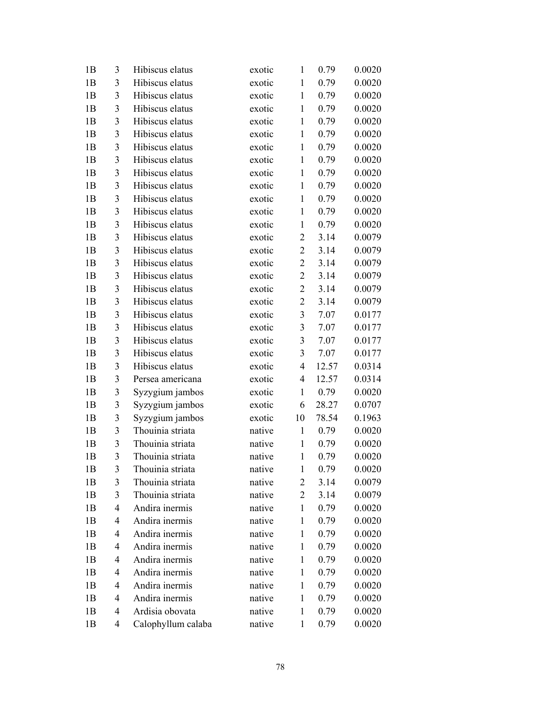| 1B | 3 | Hibiscus elatus    | exotic | $\mathbf{1}$   | 0.79  | 0.0020 |
|----|---|--------------------|--------|----------------|-------|--------|
| 1B | 3 | Hibiscus elatus    | exotic | $\mathbf{1}$   | 0.79  | 0.0020 |
| 1B | 3 | Hibiscus elatus    | exotic | $\mathbf{1}$   | 0.79  | 0.0020 |
| 1B | 3 | Hibiscus elatus    | exotic | $\mathbf{1}$   | 0.79  | 0.0020 |
| 1B | 3 | Hibiscus elatus    | exotic | $\mathbf{1}$   | 0.79  | 0.0020 |
| 1B | 3 | Hibiscus elatus    | exotic | $\mathbf{1}$   | 0.79  | 0.0020 |
| 1B | 3 | Hibiscus elatus    | exotic | $\mathbf{1}$   | 0.79  | 0.0020 |
| 1B | 3 | Hibiscus elatus    | exotic | $\mathbf{1}$   | 0.79  | 0.0020 |
| 1B | 3 | Hibiscus elatus    | exotic | $\mathbf{1}$   | 0.79  | 0.0020 |
| 1B | 3 | Hibiscus elatus    | exotic | $\mathbf{1}$   | 0.79  | 0.0020 |
| 1B | 3 | Hibiscus elatus    | exotic | $\mathbf{1}$   | 0.79  | 0.0020 |
| 1B | 3 | Hibiscus elatus    | exotic | $\mathbf{1}$   | 0.79  | 0.0020 |
| 1B | 3 | Hibiscus elatus    | exotic | $\mathbf{1}$   | 0.79  | 0.0020 |
| 1B | 3 | Hibiscus elatus    | exotic | $\overline{2}$ | 3.14  | 0.0079 |
| 1B | 3 | Hibiscus elatus    | exotic | $\overline{2}$ | 3.14  | 0.0079 |
| 1B | 3 | Hibiscus elatus    | exotic | $\overline{2}$ | 3.14  | 0.0079 |
| 1B | 3 | Hibiscus elatus    | exotic | $\mathbf{2}$   | 3.14  | 0.0079 |
| 1B | 3 | Hibiscus elatus    | exotic | $\overline{c}$ | 3.14  | 0.0079 |
| 1B | 3 | Hibiscus elatus    | exotic | $\overline{2}$ | 3.14  | 0.0079 |
| 1B | 3 | Hibiscus elatus    | exotic | 3              | 7.07  | 0.0177 |
| 1B | 3 | Hibiscus elatus    | exotic | $\mathfrak{Z}$ | 7.07  | 0.0177 |
| 1B | 3 | Hibiscus elatus    | exotic | $\mathfrak{Z}$ | 7.07  | 0.0177 |
| 1B | 3 | Hibiscus elatus    | exotic | 3              | 7.07  | 0.0177 |
| 1B | 3 | Hibiscus elatus    | exotic | 4              | 12.57 | 0.0314 |
| 1B | 3 | Persea americana   | exotic | $\overline{4}$ | 12.57 | 0.0314 |
| 1B | 3 | Syzygium jambos    | exotic | $\mathbf{1}$   | 0.79  | 0.0020 |
| 1B | 3 | Syzygium jambos    | exotic | 6              | 28.27 | 0.0707 |
| 1B | 3 | Syzygium jambos    | exotic | 10             | 78.54 | 0.1963 |
| 1B | 3 | Thouinia striata   | native | $\mathbf{1}$   | 0.79  | 0.0020 |
| 1B | 3 | Thouinia striata   | native | $\mathbf{1}$   | 0.79  | 0.0020 |
| 1B | 3 | Thouinia striata   | native | $\mathbf{1}$   | 0.79  | 0.0020 |
| 1B | 3 | Thouinia striata   | native | $\mathbf{1}$   | 0.79  | 0.0020 |
| 1B | 3 | Thouinia striata   | native | 2              | 3.14  | 0.0079 |
| 1B | 3 | Thouinia striata   | native | $\overline{2}$ | 3.14  | 0.0079 |
| 1B | 4 | Andira inermis     | native | 1              | 0.79  | 0.0020 |
| 1B | 4 | Andira inermis     | native | 1              | 0.79  | 0.0020 |
| 1B | 4 | Andira inermis     | native | $\mathbf{1}$   | 0.79  | 0.0020 |
| 1B | 4 | Andira inermis     | native | 1              | 0.79  | 0.0020 |
| 1B | 4 | Andira inermis     | native | 1              | 0.79  | 0.0020 |
| 1B | 4 | Andira inermis     | native | $\mathbf{1}$   | 0.79  | 0.0020 |
| 1B | 4 | Andira inermis     | native | $\mathbf{1}$   | 0.79  | 0.0020 |
| 1B | 4 | Andira inermis     | native | 1              | 0.79  | 0.0020 |
| 1B | 4 | Ardisia obovata    | native | $\mathbf{1}$   | 0.79  | 0.0020 |
| 1B | 4 | Calophyllum calaba | native | $\mathbf{1}$   | 0.79  | 0.0020 |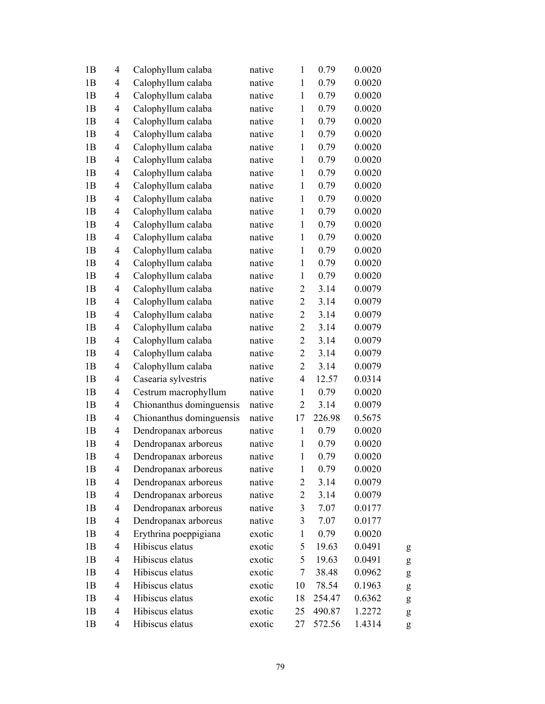| 1B             | $\overline{4}$           | Calophyllum calaba       | native | $\mathbf{1}$   | 0.79   | 0.0020 |   |
|----------------|--------------------------|--------------------------|--------|----------------|--------|--------|---|
| 1B             | $\overline{\mathcal{L}}$ | Calophyllum calaba       | native | $\mathbf{1}$   | 0.79   | 0.0020 |   |
| 1B             | 4                        | Calophyllum calaba       | native | $\mathbf{1}$   | 0.79   | 0.0020 |   |
| 1B             | $\overline{4}$           | Calophyllum calaba       | native | $\mathbf{1}$   | 0.79   | 0.0020 |   |
| 1B             | $\overline{4}$           | Calophyllum calaba       | native | $\mathbf{1}$   | 0.79   | 0.0020 |   |
| 1B             | 4                        | Calophyllum calaba       | native | $\mathbf{1}$   | 0.79   | 0.0020 |   |
| 1B             | $\overline{\mathcal{L}}$ | Calophyllum calaba       | native | $\mathbf{1}$   | 0.79   | 0.0020 |   |
| 1B             | $\overline{\mathcal{L}}$ | Calophyllum calaba       | native | $\mathbf{1}$   | 0.79   | 0.0020 |   |
| 1B             | $\overline{\mathcal{L}}$ | Calophyllum calaba       | native | $\mathbf{1}$   | 0.79   | 0.0020 |   |
| 1B             | $\overline{4}$           | Calophyllum calaba       | native | $\mathbf{1}$   | 0.79   | 0.0020 |   |
| 1B             | $\overline{4}$           | Calophyllum calaba       | native | $\mathbf{1}$   | 0.79   | 0.0020 |   |
| 1B             | 4                        | Calophyllum calaba       | native | $\mathbf{1}$   | 0.79   | 0.0020 |   |
| 1B             | $\overline{4}$           | Calophyllum calaba       | native | $\mathbf{1}$   | 0.79   | 0.0020 |   |
| 1B             | 4                        | Calophyllum calaba       | native | $\mathbf{1}$   | 0.79   | 0.0020 |   |
| 1B             | $\overline{\mathcal{L}}$ | Calophyllum calaba       | native | $\mathbf{1}$   | 0.79   | 0.0020 |   |
| 1B             | $\overline{4}$           | Calophyllum calaba       | native | $\mathbf{1}$   | 0.79   | 0.0020 |   |
| 1B             | $\overline{4}$           | Calophyllum calaba       | native | $\mathbf{1}$   | 0.79   | 0.0020 |   |
| 1B             | 4                        | Calophyllum calaba       | native | $\overline{c}$ | 3.14   | 0.0079 |   |
| 1B             | $\overline{4}$           | Calophyllum calaba       | native | $\sqrt{2}$     | 3.14   | 0.0079 |   |
| 1B             | $\overline{\mathcal{L}}$ | Calophyllum calaba       | native | $\mathbf{2}$   | 3.14   | 0.0079 |   |
| 1B             | 4                        | Calophyllum calaba       | native | $\overline{2}$ | 3.14   | 0.0079 |   |
| 1B             | $\overline{4}$           | Calophyllum calaba       | native | $\overline{2}$ | 3.14   | 0.0079 |   |
| 1B             | $\overline{4}$           | Calophyllum calaba       | native | $\overline{2}$ | 3.14   | 0.0079 |   |
| 1B             | $\overline{4}$           | Calophyllum calaba       | native | $\sqrt{2}$     | 3.14   | 0.0079 |   |
| 1B             | $\overline{4}$           | Casearia sylvestris      | native | $\overline{4}$ | 12.57  | 0.0314 |   |
| 1B             | $\overline{\mathcal{L}}$ | Cestrum macrophyllum     | native | $\mathbf{1}$   | 0.79   | 0.0020 |   |
| 1B             | $\overline{\mathcal{L}}$ | Chionanthus dominguensis | native | $\overline{2}$ | 3.14   | 0.0079 |   |
| 1B             | $\overline{4}$           | Chionanthus dominguensis | native | 17             | 226.98 | 0.5675 |   |
| 1B             | $\overline{4}$           | Dendropanax arboreus     | native | $\mathbf{1}$   | 0.79   | 0.0020 |   |
| 1B             | 4                        | Dendropanax arboreus     | native | $\mathbf{1}$   | 0.79   | 0.0020 |   |
| 1B             | 4                        | Dendropanax arboreus     | native | $\mathbf{1}$   | 0.79   | 0.0020 |   |
| 1B             | 4                        | Dendropanax arboreus     | native | $\mathbf{1}$   | 0.79   | 0.0020 |   |
| 1B             | 4                        | Dendropanax arboreus     | native | $\overline{c}$ | 3.14   | 0.0079 |   |
| 1B             | $\overline{4}$           | Dendropanax arboreus     | native | $\overline{2}$ | 3.14   | 0.0079 |   |
| 1B             | $\overline{4}$           | Dendropanax arboreus     | native | $\mathfrak{Z}$ | 7.07   | 0.0177 |   |
| 1B             | $\overline{4}$           | Dendropanax arboreus     | native | $\mathfrak{Z}$ | 7.07   | 0.0177 |   |
| 1 <sub>B</sub> | 4                        | Erythrina poeppigiana    | exotic | $\mathbf{1}$   | 0.79   | 0.0020 |   |
| 1B             | $\overline{\mathcal{L}}$ | Hibiscus elatus          | exotic | 5              | 19.63  | 0.0491 | g |
| 1B             | 4                        | Hibiscus elatus          | exotic | 5              | 19.63  | 0.0491 | g |
| 1B             | 4                        | Hibiscus elatus          | exotic | $\overline{7}$ | 38.48  | 0.0962 | g |
| 1B             | $\overline{4}$           | Hibiscus elatus          | exotic | 10             | 78.54  | 0.1963 | g |
| 1B             | 4                        | Hibiscus elatus          | exotic | 18             | 254.47 | 0.6362 | g |
| 1B             | $\overline{4}$           | Hibiscus elatus          | exotic | 25             | 490.87 | 1.2272 | g |
| 1B             | 4                        | Hibiscus elatus          | exotic | 27             | 572.56 | 1.4314 | g |
|                |                          |                          |        |                |        |        |   |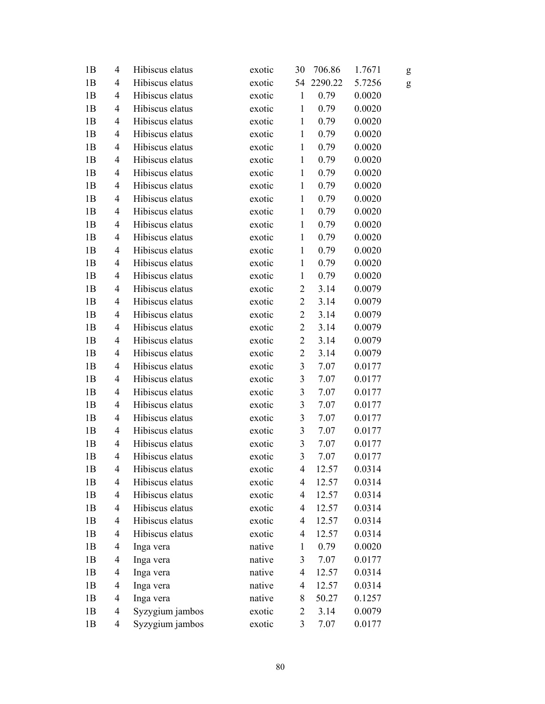| 1B             | $\overline{4}$           | Hibiscus elatus | exotic | 30                      | 706.86  | 1.7671 | g |
|----------------|--------------------------|-----------------|--------|-------------------------|---------|--------|---|
| 1B             | 4                        | Hibiscus elatus | exotic | 54                      | 2290.22 | 5.7256 | g |
| 1B             | 4                        | Hibiscus elatus | exotic | $\mathbf{1}$            | 0.79    | 0.0020 |   |
| 1B             | 4                        | Hibiscus elatus | exotic | $\mathbf{1}$            | 0.79    | 0.0020 |   |
| 1B             | $\overline{4}$           | Hibiscus elatus | exotic | $\mathbf{1}$            | 0.79    | 0.0020 |   |
| 1B             | 4                        | Hibiscus elatus | exotic | $\mathbf{1}$            | 0.79    | 0.0020 |   |
| 1B             | 4                        | Hibiscus elatus | exotic | $\mathbf{1}$            | 0.79    | 0.0020 |   |
| 1B             | 4                        | Hibiscus elatus | exotic | $\mathbf{1}$            | 0.79    | 0.0020 |   |
| 1B             | 4                        | Hibiscus elatus | exotic | $\mathbf{1}$            | 0.79    | 0.0020 |   |
| 1B             | $\overline{4}$           | Hibiscus elatus | exotic | $\mathbf{1}$            | 0.79    | 0.0020 |   |
| 1B             | 4                        | Hibiscus elatus | exotic | $\mathbf{1}$            | 0.79    | 0.0020 |   |
| 1B             | 4                        | Hibiscus elatus | exotic | $\mathbf{1}$            | 0.79    | 0.0020 |   |
| 1B             | 4                        | Hibiscus elatus | exotic | $\mathbf{1}$            | 0.79    | 0.0020 |   |
| 1B             | 4                        | Hibiscus elatus | exotic | $\mathbf{1}$            | 0.79    | 0.0020 |   |
| 1B             | 4                        | Hibiscus elatus | exotic | $\mathbf{1}$            | 0.79    | 0.0020 |   |
| 1B             | 4                        | Hibiscus elatus | exotic | $\mathbf{1}$            | 0.79    | 0.0020 |   |
| 1B             | 4                        | Hibiscus elatus | exotic | $\mathbf{1}$            | 0.79    | 0.0020 |   |
| 1B             | 4                        | Hibiscus elatus | exotic | $\overline{c}$          | 3.14    | 0.0079 |   |
| 1B             | 4                        | Hibiscus elatus | exotic | $\overline{2}$          | 3.14    | 0.0079 |   |
| 1B             | 4                        | Hibiscus elatus | exotic | $\overline{2}$          | 3.14    | 0.0079 |   |
| 1B             | 4                        | Hibiscus elatus | exotic | $\overline{2}$          | 3.14    | 0.0079 |   |
| 1B             | 4                        | Hibiscus elatus | exotic | $\overline{2}$          | 3.14    | 0.0079 |   |
| 1B             | 4                        | Hibiscus elatus | exotic | $\overline{2}$          | 3.14    | 0.0079 |   |
| 1B             | 4                        | Hibiscus elatus | exotic | $\mathfrak{Z}$          | 7.07    | 0.0177 |   |
| 1B             | 4                        | Hibiscus elatus | exotic | $\mathfrak{Z}$          | 7.07    | 0.0177 |   |
| 1B             | 4                        | Hibiscus elatus | exotic | $\mathfrak{Z}$          | 7.07    | 0.0177 |   |
| 1B             | 4                        | Hibiscus elatus | exotic | $\mathfrak{Z}$          | 7.07    | 0.0177 |   |
| 1B             | 4                        | Hibiscus elatus | exotic | $\mathfrak{Z}$          | 7.07    | 0.0177 |   |
| 1B             | 4                        | Hibiscus elatus | exotic | $\mathfrak{Z}$          | 7.07    | 0.0177 |   |
| 1B             | 4                        | Hibiscus elatus | exotic | $\mathfrak{Z}$          | 7.07    | 0.0177 |   |
| 1B             | 4                        | Hibiscus elatus | exotic | 3                       | 7.07    | 0.0177 |   |
| 1B             | $\overline{4}$           | Hibiscus elatus | exotic | 4                       | 12.57   | 0.0314 |   |
| 1B             | 4                        | Hibiscus elatus | exotic | $\overline{4}$          | 12.57   | 0.0314 |   |
| 1B             | $\overline{\mathcal{A}}$ | Hibiscus elatus | exotic | 4                       | 12.57   | 0.0314 |   |
| 1B             | $\overline{4}$           | Hibiscus elatus | exotic | 4                       | 12.57   | 0.0314 |   |
| 1B             | $\overline{4}$           | Hibiscus elatus | exotic | $\overline{4}$          | 12.57   | 0.0314 |   |
| 1B             | $\overline{\mathcal{A}}$ | Hibiscus elatus | exotic | 4                       | 12.57   | 0.0314 |   |
| 1B             | 4                        | Inga vera       | native | $\mathbf{1}$            | 0.79    | 0.0020 |   |
| 1B             | $\overline{\mathcal{A}}$ | Inga vera       | native | $\overline{\mathbf{3}}$ | 7.07    | 0.0177 |   |
| 1B             | 4                        | Inga vera       | native | 4                       | 12.57   | 0.0314 |   |
| 1B             | $\overline{\mathcal{L}}$ | Inga vera       | native | $\overline{4}$          | 12.57   | 0.0314 |   |
| 1B             | 4                        | Inga vera       | native | 8                       | 50.27   | 0.1257 |   |
| 1B             | 4                        | Syzygium jambos | exotic | $\mathbf{2}$            | 3.14    | 0.0079 |   |
| 1 <sub>B</sub> | $\overline{\mathcal{A}}$ | Syzygium jambos | exotic | 3                       | 7.07    | 0.0177 |   |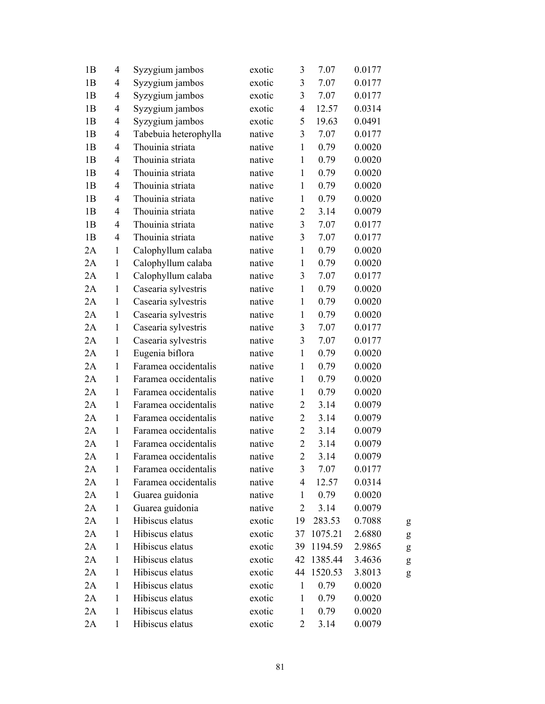| 1B | $\overline{4}$           | Syzygium jambos       | exotic | 3                       | 7.07    | 0.0177 |   |
|----|--------------------------|-----------------------|--------|-------------------------|---------|--------|---|
| 1B | 4                        | Syzygium jambos       | exotic | $\mathfrak{Z}$          | 7.07    | 0.0177 |   |
| 1B | 4                        | Syzygium jambos       | exotic | $\overline{\mathbf{3}}$ | 7.07    | 0.0177 |   |
| 1B | 4                        | Syzygium jambos       | exotic | $\overline{4}$          | 12.57   | 0.0314 |   |
| 1B | $\overline{\mathcal{L}}$ | Syzygium jambos       | exotic | 5                       | 19.63   | 0.0491 |   |
| 1B | 4                        | Tabebuia heterophylla | native | 3                       | 7.07    | 0.0177 |   |
| 1B | $\overline{4}$           | Thouinia striata      | native | $\mathbf{1}$            | 0.79    | 0.0020 |   |
| 1B | $\overline{4}$           | Thouinia striata      | native | $\mathbf{1}$            | 0.79    | 0.0020 |   |
| 1B | 4                        | Thouinia striata      | native | $\mathbf{1}$            | 0.79    | 0.0020 |   |
| 1B | $\overline{4}$           | Thouinia striata      | native | $\mathbf{1}$            | 0.79    | 0.0020 |   |
| 1B | $\overline{4}$           | Thouinia striata      | native | $\mathbf{1}$            | 0.79    | 0.0020 |   |
| 1B | $\overline{4}$           | Thouinia striata      | native | $\overline{2}$          | 3.14    | 0.0079 |   |
| 1B | $\overline{4}$           | Thouinia striata      | native | $\overline{3}$          | 7.07    | 0.0177 |   |
| 1B | $\overline{4}$           | Thouinia striata      | native | 3                       | 7.07    | 0.0177 |   |
| 2A | $\mathbf{1}$             | Calophyllum calaba    | native | $\mathbf{1}$            | 0.79    | 0.0020 |   |
| 2A | $\mathbf{1}$             | Calophyllum calaba    | native | $\mathbf{1}$            | 0.79    | 0.0020 |   |
| 2A | $\mathbf{1}$             | Calophyllum calaba    | native | 3                       | 7.07    | 0.0177 |   |
| 2A | $\mathbf{1}$             | Casearia sylvestris   | native | $\mathbf{1}$            | 0.79    | 0.0020 |   |
| 2A | $\mathbf{1}$             | Casearia sylvestris   | native | $\mathbf{1}$            | 0.79    | 0.0020 |   |
| 2A | $\mathbf{1}$             | Casearia sylvestris   | native | $\mathbf{1}$            | 0.79    | 0.0020 |   |
| 2A | $\mathbf{1}$             | Casearia sylvestris   | native | 3                       | 7.07    | 0.0177 |   |
| 2A | $\mathbf{1}$             | Casearia sylvestris   | native | 3                       | 7.07    | 0.0177 |   |
| 2A | $\mathbf{1}$             | Eugenia biflora       | native | $\mathbf{1}$            | 0.79    | 0.0020 |   |
| 2A | $\mathbf{1}$             | Faramea occidentalis  | native | $\mathbf{1}$            | 0.79    | 0.0020 |   |
| 2A | $\mathbf{1}$             | Faramea occidentalis  | native | $\mathbf{1}$            | 0.79    | 0.0020 |   |
| 2A | $\mathbf{1}$             | Faramea occidentalis  | native | $\mathbf{1}$            | 0.79    | 0.0020 |   |
| 2A | $\mathbf{1}$             | Faramea occidentalis  | native | $\overline{c}$          | 3.14    | 0.0079 |   |
| 2A | $\mathbf{1}$             | Faramea occidentalis  | native | $\overline{2}$          | 3.14    | 0.0079 |   |
| 2A | $\mathbf{1}$             | Faramea occidentalis  | native | $\overline{c}$          | 3.14    | 0.0079 |   |
| 2A | 1                        | Faramea occidentalis  | native | $\overline{2}$          | 3.14    | 0.0079 |   |
| 2A | $\mathbf{1}$             | Faramea occidentalis  | native | $\overline{2}$          | 3.14    | 0.0079 |   |
| 2A | $\mathbf{1}$             | Faramea occidentalis  | native | 3                       | 7.07    | 0.0177 |   |
| 2A | 1                        | Faramea occidentalis  | native | 4                       | 12.57   | 0.0314 |   |
| 2A | $\mathbf{1}$             | Guarea guidonia       | native | $\mathbf{1}$            | 0.79    | 0.0020 |   |
| 2A | $\mathbf{1}$             | Guarea guidonia       | native | $\overline{c}$          | 3.14    | 0.0079 |   |
| 2A | $\mathbf{1}$             | Hibiscus elatus       | exotic | 19                      | 283.53  | 0.7088 | g |
| 2A | 1                        | Hibiscus elatus       | exotic | 37                      | 1075.21 | 2.6880 | g |
| 2A | $\mathbf{1}$             | Hibiscus elatus       | exotic | 39                      | 1194.59 | 2.9865 | g |
| 2A | $\mathbf{1}$             | Hibiscus elatus       | exotic | 42                      | 1385.44 | 3.4636 | g |
| 2A | $\mathbf{1}$             | Hibiscus elatus       | exotic | 44                      | 1520.53 | 3.8013 | g |
| 2A | $\mathbf{1}$             | Hibiscus elatus       | exotic | $\mathbf{1}$            | 0.79    | 0.0020 |   |
| 2A | 1                        | Hibiscus elatus       | exotic | $\mathbf{1}$            | 0.79    | 0.0020 |   |
| 2A | $\mathbf{1}$             | Hibiscus elatus       | exotic | 1                       | 0.79    | 0.0020 |   |
| 2A | $\mathbf{1}$             | Hibiscus elatus       | exotic | $\overline{c}$          | 3.14    | 0.0079 |   |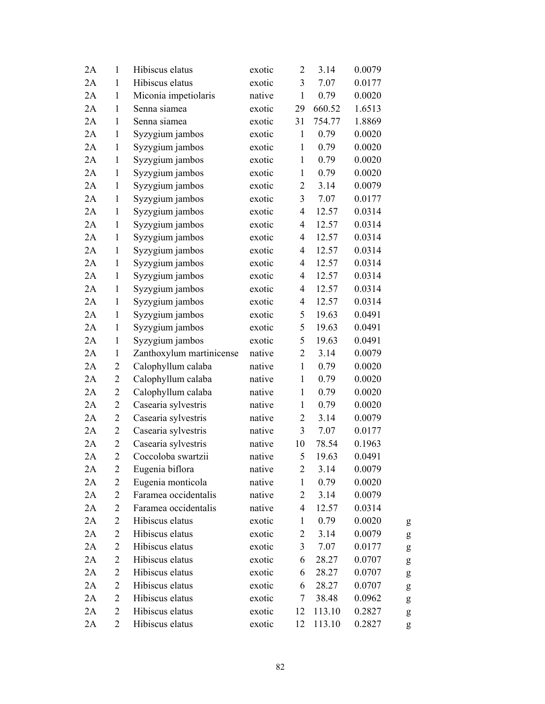| 2A | $\mathbf{1}$     | Hibiscus elatus          | exotic | $\overline{c}$          | 3.14   | 0.0079 |   |
|----|------------------|--------------------------|--------|-------------------------|--------|--------|---|
| 2A | $\mathbf{1}$     | Hibiscus elatus          | exotic | $\mathfrak{Z}$          | 7.07   | 0.0177 |   |
| 2A | $\mathbf{1}$     | Miconia impetiolaris     | native | $\mathbf{1}$            | 0.79   | 0.0020 |   |
| 2A | $\mathbf{1}$     | Senna siamea             | exotic | 29                      | 660.52 | 1.6513 |   |
| 2A | $\mathbf{1}$     | Senna siamea             | exotic | 31                      | 754.77 | 1.8869 |   |
| 2A | $\mathbf{1}$     | Syzygium jambos          | exotic | $\mathbf{1}$            | 0.79   | 0.0020 |   |
| 2A | $\mathbf{1}$     | Syzygium jambos          | exotic | $\mathbf{1}$            | 0.79   | 0.0020 |   |
| 2A | $\mathbf{1}$     | Syzygium jambos          | exotic | $\mathbf{1}$            | 0.79   | 0.0020 |   |
| 2A | $\mathbf{1}$     | Syzygium jambos          | exotic | $\mathbf{1}$            | 0.79   | 0.0020 |   |
| 2A | $\mathbf{1}$     | Syzygium jambos          | exotic | $\overline{2}$          | 3.14   | 0.0079 |   |
| 2A | $\mathbf{1}$     | Syzygium jambos          | exotic | $\mathfrak{Z}$          | 7.07   | 0.0177 |   |
| 2A | $\mathbf{1}$     | Syzygium jambos          | exotic | $\overline{\mathbf{4}}$ | 12.57  | 0.0314 |   |
| 2A | $\mathbf{1}$     | Syzygium jambos          | exotic | $\overline{\mathbf{4}}$ | 12.57  | 0.0314 |   |
| 2A | $\mathbf{1}$     | Syzygium jambos          | exotic | $\overline{4}$          | 12.57  | 0.0314 |   |
| 2A | $\mathbf{1}$     | Syzygium jambos          | exotic | $\overline{4}$          | 12.57  | 0.0314 |   |
| 2A | $\mathbf{1}$     | Syzygium jambos          | exotic | $\overline{4}$          | 12.57  | 0.0314 |   |
| 2A | $\mathbf{1}$     | Syzygium jambos          | exotic | $\overline{4}$          | 12.57  | 0.0314 |   |
| 2A | $\mathbf{1}$     | Syzygium jambos          | exotic | 4                       | 12.57  | 0.0314 |   |
| 2A | $\mathbf{1}$     | Syzygium jambos          | exotic | $\overline{4}$          | 12.57  | 0.0314 |   |
| 2A | $\mathbf{1}$     | Syzygium jambos          | exotic | 5                       | 19.63  | 0.0491 |   |
| 2A | $\mathbf{1}$     | Syzygium jambos          | exotic | 5                       | 19.63  | 0.0491 |   |
| 2A | $\mathbf{1}$     | Syzygium jambos          | exotic | 5                       | 19.63  | 0.0491 |   |
| 2A | $\mathbf{1}$     | Zanthoxylum martinicense | native | 2                       | 3.14   | 0.0079 |   |
| 2A | $\overline{c}$   | Calophyllum calaba       | native | $\mathbf{1}$            | 0.79   | 0.0020 |   |
| 2A | $\overline{2}$   | Calophyllum calaba       | native | $\mathbf{1}$            | 0.79   | 0.0020 |   |
| 2A | $\overline{2}$   | Calophyllum calaba       | native | $\mathbf{1}$            | 0.79   | 0.0020 |   |
| 2A | $\boldsymbol{2}$ | Casearia sylvestris      | native | $\mathbf{1}$            | 0.79   | 0.0020 |   |
| 2A | $\overline{2}$   | Casearia sylvestris      | native | 2                       | 3.14   | 0.0079 |   |
| 2A | $\overline{c}$   | Casearia sylvestris      | native | 3                       | 7.07   | 0.0177 |   |
| 2A | $\boldsymbol{2}$ | Casearia sylvestris      | native | 10                      | 78.54  | 0.1963 |   |
| 2A | $\overline{2}$   | Coccoloba swartzii       | native | 5                       | 19.63  | 0.0491 |   |
| 2A | 2                | Eugenia biflora          | native | $\overline{c}$          | 3.14   | 0.0079 |   |
| 2A | $\overline{2}$   | Eugenia monticola        | native | $\mathbf{1}$            | 0.79   | 0.0020 |   |
| 2A | $\overline{2}$   | Faramea occidentalis     | native | $\overline{2}$          | 3.14   | 0.0079 |   |
| 2A | 2                | Faramea occidentalis     | native | $\overline{4}$          | 12.57  | 0.0314 |   |
| 2A | $\overline{2}$   | Hibiscus elatus          | exotic | $\mathbf{1}$            | 0.79   | 0.0020 | g |
| 2A | $\overline{c}$   | Hibiscus elatus          | exotic | $\overline{c}$          | 3.14   | 0.0079 | g |
| 2A | $\overline{2}$   | Hibiscus elatus          | exotic | 3                       | 7.07   | 0.0177 | g |
| 2A | $\overline{2}$   | Hibiscus elatus          | exotic | 6                       | 28.27  | 0.0707 | g |
| 2A | $\overline{2}$   | Hibiscus elatus          | exotic | 6                       | 28.27  | 0.0707 | g |
| 2A | $\overline{2}$   | Hibiscus elatus          | exotic | 6                       | 28.27  | 0.0707 | g |
| 2A | $\overline{2}$   | Hibiscus elatus          | exotic | 7                       | 38.48  | 0.0962 | g |
| 2A | $\overline{2}$   | Hibiscus elatus          | exotic | 12                      | 113.10 | 0.2827 | g |
| 2A | $\overline{2}$   | Hibiscus elatus          | exotic | 12                      | 113.10 | 0.2827 | g |
|    |                  |                          |        |                         |        |        |   |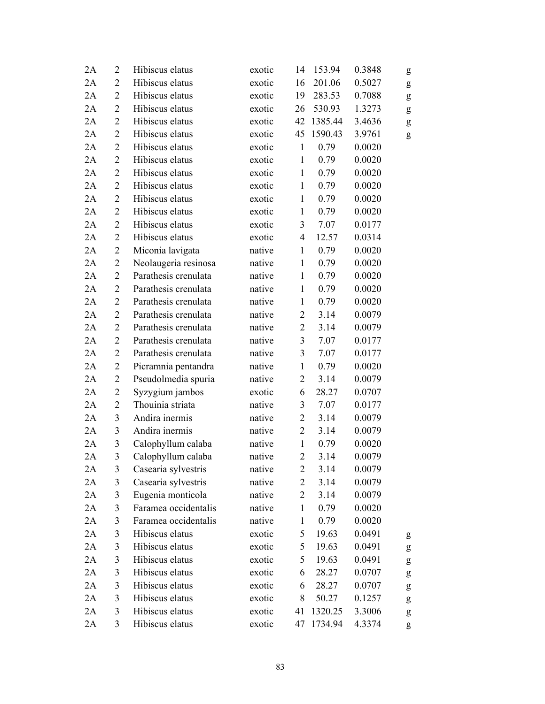| 2A | 2              | Hibiscus elatus      | exotic | 14             | 153.94  | 0.3848 | g                                                                                                                                                                                                                                                                                                                                                                                                                              |
|----|----------------|----------------------|--------|----------------|---------|--------|--------------------------------------------------------------------------------------------------------------------------------------------------------------------------------------------------------------------------------------------------------------------------------------------------------------------------------------------------------------------------------------------------------------------------------|
| 2A | $\overline{2}$ | Hibiscus elatus      | exotic | 16             | 201.06  | 0.5027 | ${\sf g}$                                                                                                                                                                                                                                                                                                                                                                                                                      |
| 2A | $\overline{2}$ | Hibiscus elatus      | exotic | 19             | 283.53  | 0.7088 | $\mathbf{g}% _{T}=\mathbf{g}_{T}=\mathbf{g}_{T}=\mathbf{g}_{T}=\mathbf{g}_{T}=\mathbf{g}_{T}=\mathbf{g}_{T}=\mathbf{g}_{T}=\mathbf{g}_{T}=\mathbf{g}_{T}=\mathbf{g}_{T}=\mathbf{g}_{T}=\mathbf{g}_{T}=\mathbf{g}_{T}=\mathbf{g}_{T}=\mathbf{g}_{T}=\mathbf{g}_{T}=\mathbf{g}_{T}=\mathbf{g}_{T}=\mathbf{g}_{T}=\mathbf{g}_{T}=\mathbf{g}_{T}=\mathbf{g}_{T}=\mathbf{g}_{T}=\mathbf{g}_{T}=\mathbf{g}_{T}=\mathbf{g}_{T}=\math$ |
| 2A | $\overline{2}$ | Hibiscus elatus      | exotic | 26             | 530.93  | 1.3273 | $\mathbf{g}% _{T}=\mathbf{g}_{T}=\mathbf{g}_{T}=\mathbf{g}_{T}=\mathbf{g}_{T}=\mathbf{g}_{T}=\mathbf{g}_{T}=\mathbf{g}_{T}=\mathbf{g}_{T}=\mathbf{g}_{T}=\mathbf{g}_{T}=\mathbf{g}_{T}=\mathbf{g}_{T}=\mathbf{g}_{T}=\mathbf{g}_{T}=\mathbf{g}_{T}=\mathbf{g}_{T}=\mathbf{g}_{T}=\mathbf{g}_{T}=\mathbf{g}_{T}=\mathbf{g}_{T}=\mathbf{g}_{T}=\mathbf{g}_{T}=\mathbf{g}_{T}=\mathbf{g}_{T}=\mathbf{g}_{T}=\mathbf{g}_{T}=\math$ |
| 2A | $\overline{2}$ | Hibiscus elatus      | exotic | 42             | 1385.44 | 3.4636 | g                                                                                                                                                                                                                                                                                                                                                                                                                              |
| 2A | $\overline{2}$ | Hibiscus elatus      | exotic | 45             | 1590.43 | 3.9761 | g                                                                                                                                                                                                                                                                                                                                                                                                                              |
| 2A | $\overline{2}$ | Hibiscus elatus      | exotic | $\mathbf{1}$   | 0.79    | 0.0020 |                                                                                                                                                                                                                                                                                                                                                                                                                                |
| 2A | $\overline{c}$ | Hibiscus elatus      | exotic | $\mathbf{1}$   | 0.79    | 0.0020 |                                                                                                                                                                                                                                                                                                                                                                                                                                |
| 2A | $\overline{2}$ | Hibiscus elatus      | exotic | $\mathbf{1}$   | 0.79    | 0.0020 |                                                                                                                                                                                                                                                                                                                                                                                                                                |
| 2A | $\overline{2}$ | Hibiscus elatus      | exotic | $\mathbf{1}$   | 0.79    | 0.0020 |                                                                                                                                                                                                                                                                                                                                                                                                                                |
| 2A | $\overline{2}$ | Hibiscus elatus      | exotic | $\mathbf{1}$   | 0.79    | 0.0020 |                                                                                                                                                                                                                                                                                                                                                                                                                                |
| 2A | $\overline{2}$ | Hibiscus elatus      | exotic | $\mathbf{1}$   | 0.79    | 0.0020 |                                                                                                                                                                                                                                                                                                                                                                                                                                |
| 2A | $\overline{2}$ | Hibiscus elatus      | exotic | 3              | 7.07    | 0.0177 |                                                                                                                                                                                                                                                                                                                                                                                                                                |
| 2A | $\overline{2}$ | Hibiscus elatus      | exotic | $\overline{4}$ | 12.57   | 0.0314 |                                                                                                                                                                                                                                                                                                                                                                                                                                |
| 2A | $\overline{2}$ | Miconia lavigata     | native | $\mathbf{1}$   | 0.79    | 0.0020 |                                                                                                                                                                                                                                                                                                                                                                                                                                |
| 2A | $\overline{2}$ | Neolaugeria resinosa | native | $\mathbf{1}$   | 0.79    | 0.0020 |                                                                                                                                                                                                                                                                                                                                                                                                                                |
| 2A | $\overline{2}$ | Parathesis crenulata | native | $\mathbf{1}$   | 0.79    | 0.0020 |                                                                                                                                                                                                                                                                                                                                                                                                                                |
| 2A | $\overline{2}$ | Parathesis crenulata | native | $\mathbf{1}$   | 0.79    | 0.0020 |                                                                                                                                                                                                                                                                                                                                                                                                                                |
| 2A | $\overline{2}$ | Parathesis crenulata | native | $\mathbf{1}$   | 0.79    | 0.0020 |                                                                                                                                                                                                                                                                                                                                                                                                                                |
| 2A | $\overline{2}$ | Parathesis crenulata | native | $\overline{2}$ | 3.14    | 0.0079 |                                                                                                                                                                                                                                                                                                                                                                                                                                |
| 2A | 2              | Parathesis crenulata | native | $\overline{2}$ | 3.14    | 0.0079 |                                                                                                                                                                                                                                                                                                                                                                                                                                |
| 2A | $\overline{2}$ | Parathesis crenulata | native | 3              | 7.07    | 0.0177 |                                                                                                                                                                                                                                                                                                                                                                                                                                |
| 2A | $\overline{2}$ | Parathesis crenulata | native | 3              | 7.07    | 0.0177 |                                                                                                                                                                                                                                                                                                                                                                                                                                |
| 2A | $\overline{2}$ | Picramnia pentandra  | native | $\mathbf{1}$   | 0.79    | 0.0020 |                                                                                                                                                                                                                                                                                                                                                                                                                                |
| 2A | $\overline{2}$ | Pseudolmedia spuria  | native | $\overline{2}$ | 3.14    | 0.0079 |                                                                                                                                                                                                                                                                                                                                                                                                                                |
| 2A | $\overline{2}$ | Syzygium jambos      | exotic | 6              | 28.27   | 0.0707 |                                                                                                                                                                                                                                                                                                                                                                                                                                |
| 2A | $\overline{c}$ | Thouinia striata     | native | $\mathfrak{Z}$ | 7.07    | 0.0177 |                                                                                                                                                                                                                                                                                                                                                                                                                                |
| 2A | 3              | Andira inermis       | native | $\overline{2}$ | 3.14    | 0.0079 |                                                                                                                                                                                                                                                                                                                                                                                                                                |
| 2A | $\overline{3}$ | Andira inermis       | native | $\overline{2}$ | 3.14    | 0.0079 |                                                                                                                                                                                                                                                                                                                                                                                                                                |
| 2A | 3              | Calophyllum calaba   | native | $\mathbf{1}$   | 0.79    | 0.0020 |                                                                                                                                                                                                                                                                                                                                                                                                                                |
| 2A | 3              | Calophyllum calaba   | native | $\overline{2}$ | 3.14    | 0.0079 |                                                                                                                                                                                                                                                                                                                                                                                                                                |
| 2A | 3              | Casearia sylvestris  | native | 2              | 3.14    | 0.0079 |                                                                                                                                                                                                                                                                                                                                                                                                                                |
| 2A | 3              | Casearia sylvestris  | native | 2              | 3.14    | 0.0079 |                                                                                                                                                                                                                                                                                                                                                                                                                                |
| 2A | $\mathfrak{Z}$ | Eugenia monticola    | native | $\overline{2}$ | 3.14    | 0.0079 |                                                                                                                                                                                                                                                                                                                                                                                                                                |
| 2A | 3              | Faramea occidentalis | native | $\mathbf{1}$   | 0.79    | 0.0020 |                                                                                                                                                                                                                                                                                                                                                                                                                                |
| 2A | 3              | Faramea occidentalis | native | $\mathbf{1}$   | 0.79    | 0.0020 |                                                                                                                                                                                                                                                                                                                                                                                                                                |
| 2A | 3              | Hibiscus elatus      | exotic | 5              | 19.63   | 0.0491 | g                                                                                                                                                                                                                                                                                                                                                                                                                              |
| 2A | 3              | Hibiscus elatus      | exotic | 5              | 19.63   | 0.0491 | g                                                                                                                                                                                                                                                                                                                                                                                                                              |
| 2A | $\mathfrak{Z}$ | Hibiscus elatus      | exotic | 5              | 19.63   | 0.0491 | g                                                                                                                                                                                                                                                                                                                                                                                                                              |
| 2A | 3              | Hibiscus elatus      | exotic | 6              | 28.27   | 0.0707 | g                                                                                                                                                                                                                                                                                                                                                                                                                              |
| 2A | $\overline{3}$ | Hibiscus elatus      | exotic | 6              | 28.27   | 0.0707 | g                                                                                                                                                                                                                                                                                                                                                                                                                              |
| 2A | 3              | Hibiscus elatus      | exotic | 8              | 50.27   | 0.1257 | $\mathbf{g}% _{T}=\mathbf{g}_{T}=\mathbf{g}_{T}=\mathbf{g}_{T}=\mathbf{g}_{T}=\mathbf{g}_{T}=\mathbf{g}_{T}=\mathbf{g}_{T}=\mathbf{g}_{T}=\mathbf{g}_{T}=\mathbf{g}_{T}=\mathbf{g}_{T}=\mathbf{g}_{T}=\mathbf{g}_{T}=\mathbf{g}_{T}=\mathbf{g}_{T}=\mathbf{g}_{T}=\mathbf{g}_{T}=\mathbf{g}_{T}=\mathbf{g}_{T}=\mathbf{g}_{T}=\mathbf{g}_{T}=\mathbf{g}_{T}=\mathbf{g}_{T}=\mathbf{g}_{T}=\mathbf{g}_{T}=\mathbf{g}_{T}=\math$ |
| 2A | 3              | Hibiscus elatus      | exotic | 41             | 1320.25 | 3.3006 | $\mathbf{g}% _{T}=\mathbf{g}_{T}=\mathbf{g}_{T}=\mathbf{g}_{T}=\mathbf{g}_{T}=\mathbf{g}_{T}=\mathbf{g}_{T}=\mathbf{g}_{T}=\mathbf{g}_{T}=\mathbf{g}_{T}=\mathbf{g}_{T}=\mathbf{g}_{T}=\mathbf{g}_{T}=\mathbf{g}_{T}=\mathbf{g}_{T}=\mathbf{g}_{T}=\mathbf{g}_{T}=\mathbf{g}_{T}=\mathbf{g}_{T}=\mathbf{g}_{T}=\mathbf{g}_{T}=\mathbf{g}_{T}=\mathbf{g}_{T}=\mathbf{g}_{T}=\mathbf{g}_{T}=\mathbf{g}_{T}=\mathbf{g}_{T}=\math$ |
| 2A | 3              | Hibiscus elatus      | exotic | 47             | 1734.94 | 4.3374 | ${\sf g}$                                                                                                                                                                                                                                                                                                                                                                                                                      |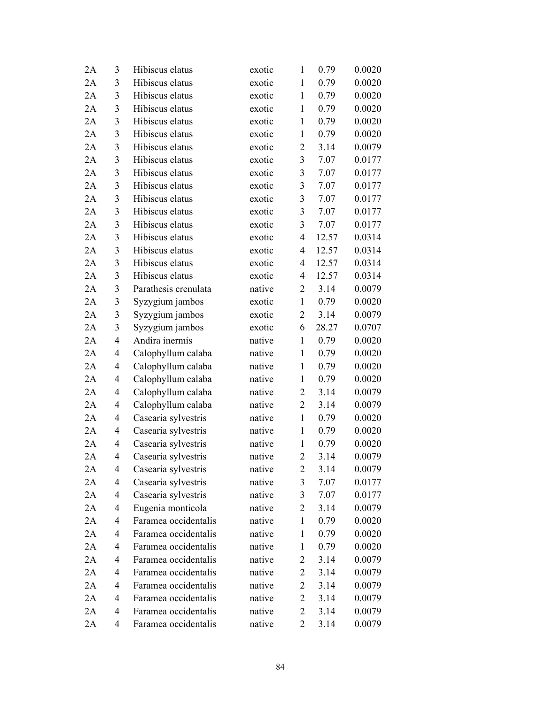| 2A | 3              | Hibiscus elatus      | exotic | $\mathbf{1}$   | 0.79  | 0.0020 |
|----|----------------|----------------------|--------|----------------|-------|--------|
| 2A | 3              | Hibiscus elatus      | exotic | 1              | 0.79  | 0.0020 |
| 2A | 3              | Hibiscus elatus      | exotic | $\mathbf{1}$   | 0.79  | 0.0020 |
| 2A | 3              | Hibiscus elatus      | exotic | $\mathbf{1}$   | 0.79  | 0.0020 |
| 2A | 3              | Hibiscus elatus      | exotic | $\mathbf{1}$   | 0.79  | 0.0020 |
| 2A | 3              | Hibiscus elatus      | exotic | $\mathbf{1}$   | 0.79  | 0.0020 |
| 2A | 3              | Hibiscus elatus      | exotic | $\overline{c}$ | 3.14  | 0.0079 |
| 2A | 3              | Hibiscus elatus      | exotic | 3              | 7.07  | 0.0177 |
| 2A | 3              | Hibiscus elatus      | exotic | 3              | 7.07  | 0.0177 |
| 2A | $\mathfrak{Z}$ | Hibiscus elatus      | exotic | $\mathfrak{Z}$ | 7.07  | 0.0177 |
| 2A | 3              | Hibiscus elatus      | exotic | 3              | 7.07  | 0.0177 |
| 2A | 3              | Hibiscus elatus      | exotic | 3              | 7.07  | 0.0177 |
| 2A | 3              | Hibiscus elatus      | exotic | 3              | 7.07  | 0.0177 |
| 2A | 3              | Hibiscus elatus      | exotic | 4              | 12.57 | 0.0314 |
| 2A | $\mathfrak{Z}$ | Hibiscus elatus      | exotic | $\overline{4}$ | 12.57 | 0.0314 |
| 2A | 3              | Hibiscus elatus      | exotic | $\overline{4}$ | 12.57 | 0.0314 |
| 2A | 3              | Hibiscus elatus      | exotic | 4              | 12.57 | 0.0314 |
| 2A | 3              | Parathesis crenulata | native | $\overline{2}$ | 3.14  | 0.0079 |
| 2A | 3              | Syzygium jambos      | exotic | $\mathbf{1}$   | 0.79  | 0.0020 |
| 2A | 3              | Syzygium jambos      | exotic | $\overline{2}$ | 3.14  | 0.0079 |
| 2A | 3              | Syzygium jambos      | exotic | 6              | 28.27 | 0.0707 |
| 2A | 4              | Andira inermis       | native | $\mathbf{1}$   | 0.79  | 0.0020 |
| 2A | 4              | Calophyllum calaba   | native | $\mathbf{1}$   | 0.79  | 0.0020 |
| 2A | 4              | Calophyllum calaba   | native | $\mathbf{1}$   | 0.79  | 0.0020 |
| 2A | 4              | Calophyllum calaba   | native | $\mathbf{1}$   | 0.79  | 0.0020 |
| 2A | 4              | Calophyllum calaba   | native | $\overline{2}$ | 3.14  | 0.0079 |
| 2A | 4              | Calophyllum calaba   | native | $\overline{2}$ | 3.14  | 0.0079 |
| 2A | 4              | Casearia sylvestris  | native | $\mathbf{1}$   | 0.79  | 0.0020 |
| 2A | 4              | Casearia sylvestris  | native | $\mathbf{1}$   | 0.79  | 0.0020 |
| 2A | 4              | Casearia sylvestris  | native | $\mathbf{1}$   | 0.79  | 0.0020 |
| 2A | 4              | Casearia sylvestris  | native | $\overline{2}$ | 3.14  | 0.0079 |
| 2A | 4              | Casearia sylvestris  | native | 2              | 3.14  | 0.0079 |
| 2A | 4              | Casearia sylvestris  | native | 3              | 7.07  | 0.0177 |
| 2A | 4              | Casearia sylvestris  | native | 3              | 7.07  | 0.0177 |
| 2A | 4              | Eugenia monticola    | native | $\overline{2}$ | 3.14  | 0.0079 |
| 2A | 4              | Faramea occidentalis | native | $\mathbf{1}$   | 0.79  | 0.0020 |
| 2A | 4              | Faramea occidentalis | native | $\mathbf{1}$   | 0.79  | 0.0020 |
| 2A | 4              | Faramea occidentalis | native | 1              | 0.79  | 0.0020 |
| 2A | 4              | Faramea occidentalis | native | $\overline{2}$ | 3.14  | 0.0079 |
| 2A | 4              | Faramea occidentalis | native | $\overline{c}$ | 3.14  | 0.0079 |
| 2A | 4              | Faramea occidentalis | native | $\overline{c}$ | 3.14  | 0.0079 |
| 2A | 4              | Faramea occidentalis | native | $\overline{c}$ | 3.14  | 0.0079 |
| 2A | 4              | Faramea occidentalis | native | 2              | 3.14  | 0.0079 |
| 2A | 4              | Faramea occidentalis | native | 2              | 3.14  | 0.0079 |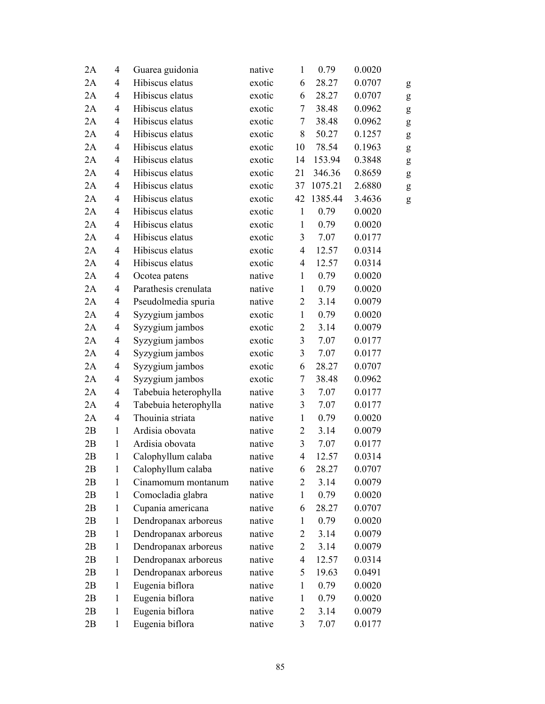| 2A | 4              | Guarea guidonia       | native | $\mathbf{1}$   | 0.79    | 0.0020 |   |
|----|----------------|-----------------------|--------|----------------|---------|--------|---|
| 2A | 4              | Hibiscus elatus       | exotic | 6              | 28.27   | 0.0707 | g |
| 2A | $\overline{4}$ | Hibiscus elatus       | exotic | 6              | 28.27   | 0.0707 | g |
| 2A | 4              | Hibiscus elatus       | exotic | 7              | 38.48   | 0.0962 | g |
| 2A | 4              | Hibiscus elatus       | exotic | $\tau$         | 38.48   | 0.0962 | g |
| 2A | 4              | Hibiscus elatus       | exotic | 8              | 50.27   | 0.1257 | g |
| 2A | 4              | Hibiscus elatus       | exotic | 10             | 78.54   | 0.1963 | g |
| 2A | 4              | Hibiscus elatus       | exotic | 14             | 153.94  | 0.3848 | g |
| 2A | $\overline{4}$ | Hibiscus elatus       | exotic | 21             | 346.36  | 0.8659 | g |
| 2A | 4              | Hibiscus elatus       | exotic | 37             | 1075.21 | 2.6880 | g |
| 2A | 4              | Hibiscus elatus       | exotic | 42             | 1385.44 | 3.4636 | g |
| 2A | 4              | Hibiscus elatus       | exotic | $\mathbf{1}$   | 0.79    | 0.0020 |   |
| 2A | 4              | Hibiscus elatus       | exotic | $\mathbf{1}$   | 0.79    | 0.0020 |   |
| 2A | 4              | Hibiscus elatus       | exotic | 3              | 7.07    | 0.0177 |   |
| 2A | $\overline{4}$ | Hibiscus elatus       | exotic | $\overline{4}$ | 12.57   | 0.0314 |   |
| 2A | 4              | Hibiscus elatus       | exotic | $\overline{4}$ | 12.57   | 0.0314 |   |
| 2A | 4              | Ocotea patens         | native | $\mathbf{1}$   | 0.79    | 0.0020 |   |
| 2A | 4              | Parathesis crenulata  | native | $\mathbf{1}$   | 0.79    | 0.0020 |   |
| 2A | 4              | Pseudolmedia spuria   | native | $\overline{c}$ | 3.14    | 0.0079 |   |
| 2A | 4              | Syzygium jambos       | exotic | $\mathbf{1}$   | 0.79    | 0.0020 |   |
| 2A | 4              | Syzygium jambos       | exotic | $\overline{c}$ | 3.14    | 0.0079 |   |
| 2A | 4              | Syzygium jambos       | exotic | $\mathfrak{Z}$ | 7.07    | 0.0177 |   |
| 2A | 4              | Syzygium jambos       | exotic | 3              | 7.07    | 0.0177 |   |
| 2A | 4              | Syzygium jambos       | exotic | 6              | 28.27   | 0.0707 |   |
| 2A | 4              | Syzygium jambos       | exotic | $\tau$         | 38.48   | 0.0962 |   |
| 2A | 4              | Tabebuia heterophylla | native | 3              | 7.07    | 0.0177 |   |
| 2A | $\overline{4}$ | Tabebuia heterophylla | native | $\mathfrak{Z}$ | 7.07    | 0.0177 |   |
| 2A | 4              | Thouinia striata      | native | $\mathbf{1}$   | 0.79    | 0.0020 |   |
| 2B | $\mathbf{1}$   | Ardisia obovata       | native | $\sqrt{2}$     | 3.14    | 0.0079 |   |
| 2B | $\mathbf{1}$   | Ardisia obovata       | native | $\mathfrak{Z}$ | 7.07    | 0.0177 |   |
| 2B | $\mathbf{1}$   | Calophyllum calaba    | native | 4              | 12.57   | 0.0314 |   |
| 2B | $\mathbf{1}$   | Calophyllum calaba    | native | 6              | 28.27   | 0.0707 |   |
| 2B | 1              | Cinamomum montanum    | native | 2              | 3.14    | 0.0079 |   |
| 2B | $\mathbf{1}$   | Comocladia glabra     | native | $\mathbf{1}$   | 0.79    | 0.0020 |   |
| 2B | $\mathbf{1}$   | Cupania americana     | native | 6              | 28.27   | 0.0707 |   |
| 2B | $\mathbf{1}$   | Dendropanax arboreus  | native | $\mathbf{1}$   | 0.79    | 0.0020 |   |
| 2B | $\mathbf{1}$   | Dendropanax arboreus  | native | $\overline{2}$ | 3.14    | 0.0079 |   |
| 2B | $\mathbf{1}$   | Dendropanax arboreus  | native | $\overline{c}$ | 3.14    | 0.0079 |   |
| 2B | $\mathbf{1}$   | Dendropanax arboreus  | native | 4              | 12.57   | 0.0314 |   |
| 2B | $\mathbf{1}$   | Dendropanax arboreus  | native | 5              | 19.63   | 0.0491 |   |
| 2B | $\mathbf{1}$   | Eugenia biflora       | native | $\mathbf{1}$   | 0.79    | 0.0020 |   |
| 2B | $\mathbf{1}$   | Eugenia biflora       | native | $\mathbf{1}$   | 0.79    | 0.0020 |   |
| 2B | $\mathbf{1}$   | Eugenia biflora       | native | 2              | 3.14    | 0.0079 |   |
| 2B | $\mathbf{1}$   | Eugenia biflora       | native | 3              | 7.07    | 0.0177 |   |
|    |                |                       |        |                |         |        |   |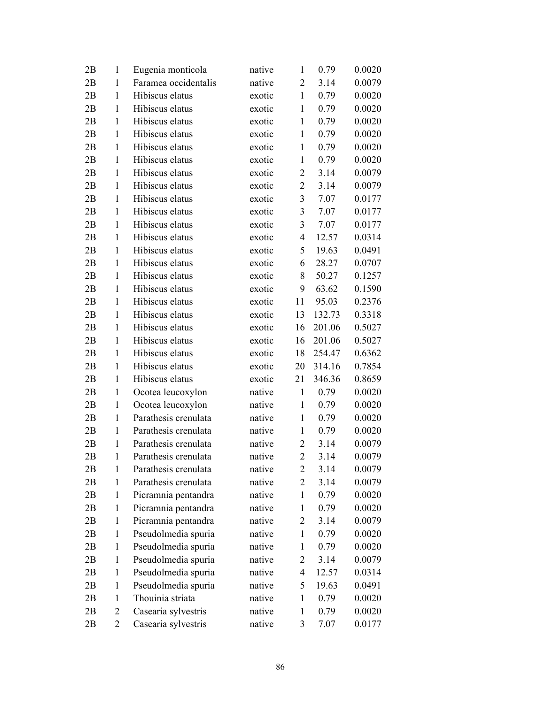| 2B | 1            | Eugenia monticola    | native | $\mathbf{1}$   | 0.79   | 0.0020 |
|----|--------------|----------------------|--------|----------------|--------|--------|
| 2B | 1            | Faramea occidentalis | native | $\overline{2}$ | 3.14   | 0.0079 |
| 2B | $\mathbf{1}$ | Hibiscus elatus      | exotic | $\mathbf{1}$   | 0.79   | 0.0020 |
| 2B | 1            | Hibiscus elatus      | exotic | $\mathbf{1}$   | 0.79   | 0.0020 |
| 2B | $\mathbf{1}$ | Hibiscus elatus      | exotic | $\mathbf{1}$   | 0.79   | 0.0020 |
| 2B | 1            | Hibiscus elatus      | exotic | $\mathbf{1}$   | 0.79   | 0.0020 |
| 2B | 1            | Hibiscus elatus      | exotic | $\mathbf{1}$   | 0.79   | 0.0020 |
| 2B | 1            | Hibiscus elatus      | exotic | $\mathbf{1}$   | 0.79   | 0.0020 |
| 2B | 1            | Hibiscus elatus      | exotic | $\overline{2}$ | 3.14   | 0.0079 |
| 2B | $\mathbf{1}$ | Hibiscus elatus      | exotic | $\mathbf{2}$   | 3.14   | 0.0079 |
| 2B | 1            | Hibiscus elatus      | exotic | 3              | 7.07   | 0.0177 |
| 2B | 1            | Hibiscus elatus      | exotic | 3              | 7.07   | 0.0177 |
| 2B | 1            | Hibiscus elatus      | exotic | 3              | 7.07   | 0.0177 |
| 2B | $\mathbf{1}$ | Hibiscus elatus      | exotic | 4              | 12.57  | 0.0314 |
| 2B | $\mathbf{1}$ | Hibiscus elatus      | exotic | 5              | 19.63  | 0.0491 |
| 2B | 1            | Hibiscus elatus      | exotic | 6              | 28.27  | 0.0707 |
| 2B | $\mathbf{1}$ | Hibiscus elatus      | exotic | 8              | 50.27  | 0.1257 |
| 2B | 1            | Hibiscus elatus      | exotic | 9              | 63.62  | 0.1590 |
| 2B | $\mathbf{1}$ | Hibiscus elatus      | exotic | 11             | 95.03  | 0.2376 |
| 2B | $\mathbf{1}$ | Hibiscus elatus      | exotic | 13             | 132.73 | 0.3318 |
| 2B | 1            | Hibiscus elatus      | exotic | 16             | 201.06 | 0.5027 |
| 2B | $\mathbf{1}$ | Hibiscus elatus      | exotic | 16             | 201.06 | 0.5027 |
| 2B | 1            | Hibiscus elatus      | exotic | 18             | 254.47 | 0.6362 |
| 2B | $\mathbf{1}$ | Hibiscus elatus      | exotic | 20             | 314.16 | 0.7854 |
| 2B | 1            | Hibiscus elatus      | exotic | 21             | 346.36 | 0.8659 |
| 2B | $\mathbf{1}$ | Ocotea leucoxylon    | native | $\mathbf{1}$   | 0.79   | 0.0020 |
| 2B | $\mathbf{1}$ | Ocotea leucoxylon    | native | $\mathbf{1}$   | 0.79   | 0.0020 |
| 2B | 1            | Parathesis crenulata | native | $\mathbf{1}$   | 0.79   | 0.0020 |
| 2B | $\mathbf{1}$ | Parathesis crenulata | native | $\mathbf{1}$   | 0.79   | 0.0020 |
| 2B | 1            | Parathesis crenulata | native | $\overline{c}$ | 3.14   | 0.0079 |
| 2B | $\mathbf{1}$ | Parathesis crenulata | native | $\overline{2}$ | 3.14   | 0.0079 |
| 2B | $\mathbf{1}$ | Parathesis crenulata | native | 2              | 3.14   | 0.0079 |
| 2B | 1            | Parathesis crenulata | native | 2              | 3.14   | 0.0079 |
| 2B | 1            | Picramnia pentandra  | native | $\mathbf{1}$   | 0.79   | 0.0020 |
| 2B | 1            | Picramnia pentandra  | native | 1              | 0.79   | 0.0020 |
| 2B | 1            | Picramnia pentandra  | native | $\overline{2}$ | 3.14   | 0.0079 |
| 2B | 1            | Pseudolmedia spuria  | native | $\mathbf{1}$   | 0.79   | 0.0020 |
| 2B | 1            | Pseudolmedia spuria  | native | $\mathbf{1}$   | 0.79   | 0.0020 |
| 2B | $\mathbf{1}$ | Pseudolmedia spuria  | native | 2              | 3.14   | 0.0079 |
| 2B | 1            | Pseudolmedia spuria  | native | 4              | 12.57  | 0.0314 |
| 2B | 1            | Pseudolmedia spuria  | native | 5              | 19.63  | 0.0491 |
| 2B | 1            | Thouinia striata     | native | $\mathbf{1}$   | 0.79   | 0.0020 |
| 2B | 2            | Casearia sylvestris  | native | $\mathbf{1}$   | 0.79   | 0.0020 |
| 2B | 2            | Casearia sylvestris  | native | 3              | 7.07   | 0.0177 |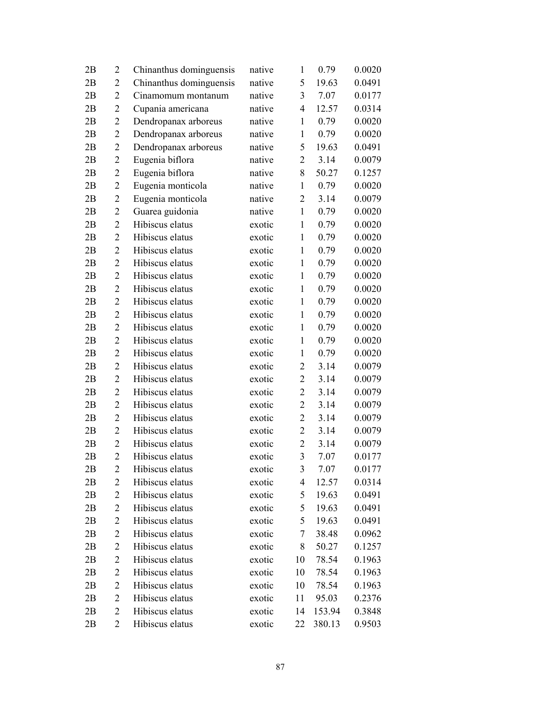| 2B | 2              | Chinanthus dominguensis | native | 1              | 0.79   | 0.0020 |
|----|----------------|-------------------------|--------|----------------|--------|--------|
| 2B | 2              | Chinanthus dominguensis | native | 5              | 19.63  | 0.0491 |
| 2B | $\overline{2}$ | Cinamomum montanum      | native | 3              | 7.07   | 0.0177 |
| 2B | 2              | Cupania americana       | native | 4              | 12.57  | 0.0314 |
| 2B | $\overline{2}$ | Dendropanax arboreus    | native | $\mathbf{1}$   | 0.79   | 0.0020 |
| 2B | 2              | Dendropanax arboreus    | native | $\mathbf{1}$   | 0.79   | 0.0020 |
| 2B | 2              | Dendropanax arboreus    | native | 5              | 19.63  | 0.0491 |
| 2B | $\overline{2}$ | Eugenia biflora         | native | 2              | 3.14   | 0.0079 |
| 2B | $\overline{2}$ | Eugenia biflora         | native | 8              | 50.27  | 0.1257 |
| 2B | $\overline{2}$ | Eugenia monticola       | native | $\mathbf{1}$   | 0.79   | 0.0020 |
| 2B | 2              | Eugenia monticola       | native | $\overline{2}$ | 3.14   | 0.0079 |
| 2B | $\overline{2}$ | Guarea guidonia         | native | $\mathbf{1}$   | 0.79   | 0.0020 |
| 2B | $\overline{2}$ | Hibiscus elatus         | exotic | $\mathbf{1}$   | 0.79   | 0.0020 |
| 2B | $\overline{2}$ | Hibiscus elatus         | exotic | $\mathbf{1}$   | 0.79   | 0.0020 |
| 2B | $\overline{2}$ | Hibiscus elatus         | exotic | $\mathbf{1}$   | 0.79   | 0.0020 |
| 2B | 2              | Hibiscus elatus         | exotic | $\mathbf{1}$   | 0.79   | 0.0020 |
| 2B | $\overline{2}$ | Hibiscus elatus         | exotic | $\mathbf{1}$   | 0.79   | 0.0020 |
| 2B | $\overline{2}$ | Hibiscus elatus         | exotic | $\mathbf{1}$   | 0.79   | 0.0020 |
| 2B | $\overline{2}$ | Hibiscus elatus         | exotic | $\mathbf{1}$   | 0.79   | 0.0020 |
| 2B | $\overline{2}$ | Hibiscus elatus         | exotic | $\mathbf{1}$   | 0.79   | 0.0020 |
| 2B | 2              | Hibiscus elatus         | exotic | $\mathbf{1}$   | 0.79   | 0.0020 |
| 2B | $\overline{2}$ | Hibiscus elatus         | exotic | $\mathbf{1}$   | 0.79   | 0.0020 |
| 2B | $\overline{2}$ | Hibiscus elatus         | exotic | $\mathbf{1}$   | 0.79   | 0.0020 |
| 2B | $\overline{2}$ | Hibiscus elatus         | exotic | $\overline{2}$ | 3.14   | 0.0079 |
| 2B | $\overline{2}$ | Hibiscus elatus         | exotic | $\mathbf{2}$   | 3.14   | 0.0079 |
| 2B | 2              | Hibiscus elatus         | exotic | $\overline{2}$ | 3.14   | 0.0079 |
| 2B | $\overline{2}$ | Hibiscus elatus         | exotic | $\overline{2}$ | 3.14   | 0.0079 |
| 2B | $\overline{2}$ | Hibiscus elatus         | exotic | $\overline{c}$ | 3.14   | 0.0079 |
| 2B | $\overline{2}$ | Hibiscus elatus         | exotic | $\overline{2}$ | 3.14   | 0.0079 |
| 2B | $\overline{2}$ | Hibiscus elatus         | exotic | $\overline{2}$ | 3.14   | 0.0079 |
| 2B | $\overline{2}$ | Hibiscus elatus         | exotic | 3              | 7.07   | 0.0177 |
| 2В | 2              | Hibiscus elatus         | exotic | 3              | 7.07   | 0.0177 |
| 2B | 2              | Hibiscus elatus         | exotic | 4              | 12.57  | 0.0314 |
| 2B | $\overline{2}$ | Hibiscus elatus         | exotic | 5              | 19.63  | 0.0491 |
| 2B | 2              | Hibiscus elatus         | exotic | 5              | 19.63  | 0.0491 |
| 2B | 2              | Hibiscus elatus         | exotic | 5              | 19.63  | 0.0491 |
| 2B | 2              | Hibiscus elatus         | exotic | 7              | 38.48  | 0.0962 |
| 2B | 2              | Hibiscus elatus         | exotic | 8              | 50.27  | 0.1257 |
| 2B | 2              | Hibiscus elatus         | exotic | 10             | 78.54  | 0.1963 |
| 2B | 2              | Hibiscus elatus         | exotic | 10             | 78.54  | 0.1963 |
| 2B | $\overline{2}$ | Hibiscus elatus         | exotic | 10             | 78.54  | 0.1963 |
| 2B | 2              | Hibiscus elatus         | exotic | 11             | 95.03  | 0.2376 |
| 2B | 2              | Hibiscus elatus         | exotic | 14             | 153.94 | 0.3848 |
| 2B | 2              | Hibiscus elatus         | exotic | 22             | 380.13 | 0.9503 |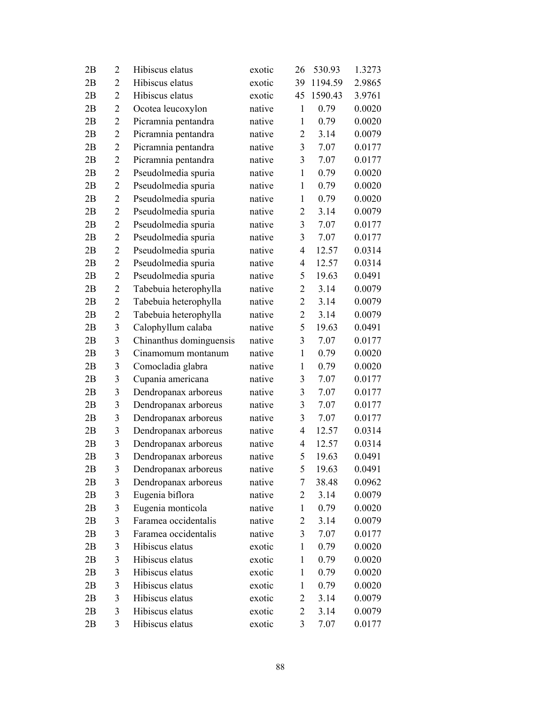| 2B | $\overline{2}$ | Hibiscus elatus         | exotic | 26             | 530.93  | 1.3273 |
|----|----------------|-------------------------|--------|----------------|---------|--------|
| 2B | 2              | Hibiscus elatus         | exotic | 39             | 1194.59 | 2.9865 |
| 2B | $\overline{2}$ | Hibiscus elatus         | exotic | 45             | 1590.43 | 3.9761 |
| 2B | $\overline{2}$ | Ocotea leucoxylon       | native | $\mathbf{1}$   | 0.79    | 0.0020 |
| 2B | $\overline{2}$ | Picramnia pentandra     | native | $\mathbf{1}$   | 0.79    | 0.0020 |
| 2B | $\overline{2}$ | Picramnia pentandra     | native | $\overline{2}$ | 3.14    | 0.0079 |
| 2B | $\overline{2}$ | Picramnia pentandra     | native | 3              | 7.07    | 0.0177 |
| 2B | $\overline{2}$ | Picramnia pentandra     | native | 3              | 7.07    | 0.0177 |
| 2B | $\overline{2}$ | Pseudolmedia spuria     | native | $\mathbf{1}$   | 0.79    | 0.0020 |
| 2B | $\overline{2}$ | Pseudolmedia spuria     | native | $\mathbf{1}$   | 0.79    | 0.0020 |
| 2B | $\overline{2}$ | Pseudolmedia spuria     | native | $\mathbf{1}$   | 0.79    | 0.0020 |
| 2B | $\overline{2}$ | Pseudolmedia spuria     | native | $\overline{2}$ | 3.14    | 0.0079 |
| 2B | $\overline{2}$ | Pseudolmedia spuria     | native | 3              | 7.07    | 0.0177 |
| 2B | $\overline{2}$ | Pseudolmedia spuria     | native | 3              | 7.07    | 0.0177 |
| 2B | $\overline{2}$ | Pseudolmedia spuria     | native | $\overline{4}$ | 12.57   | 0.0314 |
| 2B | $\overline{2}$ | Pseudolmedia spuria     | native | 4              | 12.57   | 0.0314 |
| 2B | $\overline{2}$ | Pseudolmedia spuria     | native | 5              | 19.63   | 0.0491 |
| 2B | $\overline{2}$ | Tabebuia heterophylla   | native | $\overline{2}$ | 3.14    | 0.0079 |
| 2B | $\overline{2}$ | Tabebuia heterophylla   | native | $\overline{2}$ | 3.14    | 0.0079 |
| 2B | $\overline{2}$ | Tabebuia heterophylla   | native | $\overline{2}$ | 3.14    | 0.0079 |
| 2B | 3              | Calophyllum calaba      | native | 5              | 19.63   | 0.0491 |
| 2B | 3              | Chinanthus dominguensis | native | 3              | 7.07    | 0.0177 |
| 2B | 3              | Cinamomum montanum      | native | $\mathbf{1}$   | 0.79    | 0.0020 |
| 2B | 3              | Comocladia glabra       | native | $\mathbf{1}$   | 0.79    | 0.0020 |
| 2B | 3              | Cupania americana       | native | 3              | 7.07    | 0.0177 |
| 2B | 3              | Dendropanax arboreus    | native | 3              | 7.07    | 0.0177 |
| 2B | 3              | Dendropanax arboreus    | native | 3              | 7.07    | 0.0177 |
| 2B | 3              | Dendropanax arboreus    | native | 3              | 7.07    | 0.0177 |
| 2B | 3              | Dendropanax arboreus    | native | 4              | 12.57   | 0.0314 |
| 2B | 3              | Dendropanax arboreus    | native | 4              | 12.57   | 0.0314 |
| 2B | 3              | Dendropanax arboreus    | native | 5              | 19.63   | 0.0491 |
| 2В | 3              | Dendropanax arboreus    | native | 5              | 19.63   | 0.0491 |
| 2B | 3              | Dendropanax arboreus    | native | 7              | 38.48   | 0.0962 |
| 2B | 3              | Eugenia biflora         | native | 2              | 3.14    | 0.0079 |
| 2B | 3              | Eugenia monticola       | native | 1              | 0.79    | 0.0020 |
| 2B | 3              | Faramea occidentalis    | native | $\overline{c}$ | 3.14    | 0.0079 |
| 2B | 3              | Faramea occidentalis    | native | 3              | 7.07    | 0.0177 |
| 2B | 3              | Hibiscus elatus         | exotic | 1              | 0.79    | 0.0020 |
| 2B | 3              | Hibiscus elatus         | exotic | $\mathbf{1}$   | 0.79    | 0.0020 |
| 2B | 3              | Hibiscus elatus         | exotic | $\mathbf{1}$   | 0.79    | 0.0020 |
| 2B | 3              | Hibiscus elatus         | exotic | $\mathbf{1}$   | 0.79    | 0.0020 |
| 2B | 3              | Hibiscus elatus         | exotic | 2              | 3.14    | 0.0079 |
| 2B | 3              | Hibiscus elatus         | exotic | $\overline{2}$ | 3.14    | 0.0079 |
| 2B | 3              | Hibiscus elatus         | exotic | 3              | 7.07    | 0.0177 |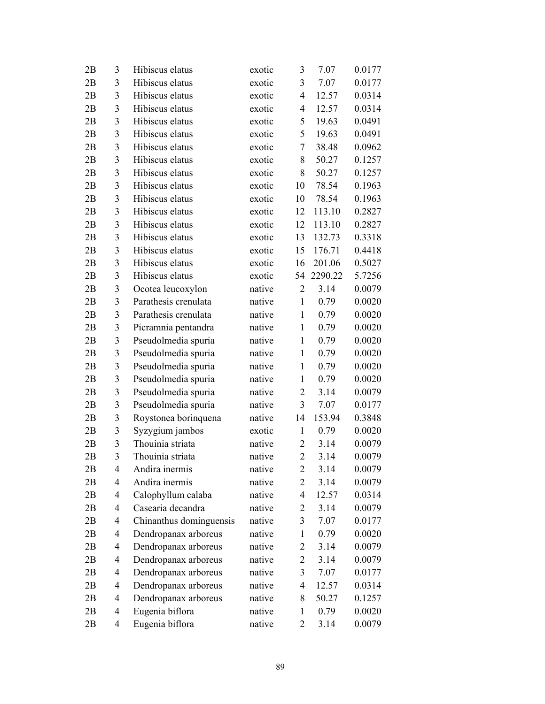| 2B | 3              | Hibiscus elatus         | exotic | 3              | 7.07    | 0.0177 |
|----|----------------|-------------------------|--------|----------------|---------|--------|
| 2B | 3              | Hibiscus elatus         | exotic | 3              | 7.07    | 0.0177 |
| 2B | 3              | Hibiscus elatus         | exotic | 4              | 12.57   | 0.0314 |
| 2B | 3              | Hibiscus elatus         | exotic | 4              | 12.57   | 0.0314 |
| 2B | 3              | Hibiscus elatus         | exotic | 5              | 19.63   | 0.0491 |
| 2B | 3              | Hibiscus elatus         | exotic | 5              | 19.63   | 0.0491 |
| 2B | 3              | Hibiscus elatus         | exotic | 7              | 38.48   | 0.0962 |
| 2B | 3              | Hibiscus elatus         | exotic | 8              | 50.27   | 0.1257 |
| 2B | 3              | Hibiscus elatus         | exotic | 8              | 50.27   | 0.1257 |
| 2B | 3              | Hibiscus elatus         | exotic | 10             | 78.54   | 0.1963 |
| 2B | 3              | Hibiscus elatus         | exotic | 10             | 78.54   | 0.1963 |
| 2B | 3              | Hibiscus elatus         | exotic | 12             | 113.10  | 0.2827 |
| 2B | 3              | Hibiscus elatus         | exotic | 12             | 113.10  | 0.2827 |
| 2B | 3              | Hibiscus elatus         | exotic | 13             | 132.73  | 0.3318 |
| 2B | 3              | Hibiscus elatus         | exotic | 15             | 176.71  | 0.4418 |
| 2B | 3              | Hibiscus elatus         | exotic | 16             | 201.06  | 0.5027 |
| 2B | 3              | Hibiscus elatus         | exotic | 54             | 2290.22 | 5.7256 |
| 2B | 3              | Ocotea leucoxylon       | native | $\overline{2}$ | 3.14    | 0.0079 |
| 2B | 3              | Parathesis crenulata    | native | $\mathbf{1}$   | 0.79    | 0.0020 |
| 2B | 3              | Parathesis crenulata    | native | $\mathbf{1}$   | 0.79    | 0.0020 |
| 2B | 3              | Picramnia pentandra     | native | $\mathbf{1}$   | 0.79    | 0.0020 |
| 2B | 3              | Pseudolmedia spuria     | native | $\mathbf{1}$   | 0.79    | 0.0020 |
| 2B | 3              | Pseudolmedia spuria     | native | $\mathbf{1}$   | 0.79    | 0.0020 |
| 2B | 3              | Pseudolmedia spuria     | native | $\mathbf{1}$   | 0.79    | 0.0020 |
| 2B | 3              | Pseudolmedia spuria     | native | $\mathbf{1}$   | 0.79    | 0.0020 |
| 2B | 3              | Pseudolmedia spuria     | native | $\overline{2}$ | 3.14    | 0.0079 |
| 2B | 3              | Pseudolmedia spuria     | native | $\mathfrak{Z}$ | 7.07    | 0.0177 |
| 2B | 3              | Roystonea borinquena    | native | 14             | 153.94  | 0.3848 |
| 2B | $\mathfrak{Z}$ | Syzygium jambos         | exotic | $\mathbf{1}$   | 0.79    | 0.0020 |
| 2B | 3              | Thouinia striata        | native | $\overline{2}$ | 3.14    | 0.0079 |
| 2B | 3              | Thouinia striata        | native | $\overline{2}$ | 3.14    | 0.0079 |
| 2Β | $\overline{4}$ | Andira inermis          | native | 2              | 3.14    | 0.0079 |
| 2B | 4              | Andira inermis          | native | 2              | 3.14    | 0.0079 |
| 2B | 4              | Calophyllum calaba      | native | 4              | 12.57   | 0.0314 |
| 2B | 4              | Casearia decandra       | native | $\overline{2}$ | 3.14    | 0.0079 |
| 2B | 4              | Chinanthus dominguensis | native | 3              | 7.07    | 0.0177 |
| 2Β | 4              | Dendropanax arboreus    | native | 1              | 0.79    | 0.0020 |
| 2B | 4              | Dendropanax arboreus    | native | 2              | 3.14    | 0.0079 |
| 2B | 4              | Dendropanax arboreus    | native | $\overline{2}$ | 3.14    | 0.0079 |
| 2B | 4              | Dendropanax arboreus    | native | 3              | 7.07    | 0.0177 |
| 2B | 4              | Dendropanax arboreus    | native | 4              | 12.57   | 0.0314 |
| 2B | 4              | Dendropanax arboreus    | native | 8              | 50.27   | 0.1257 |
| 2B | 4              | Eugenia biflora         | native | 1              | 0.79    | 0.0020 |
| 2B | $\overline{4}$ | Eugenia biflora         | native | 2              | 3.14    | 0.0079 |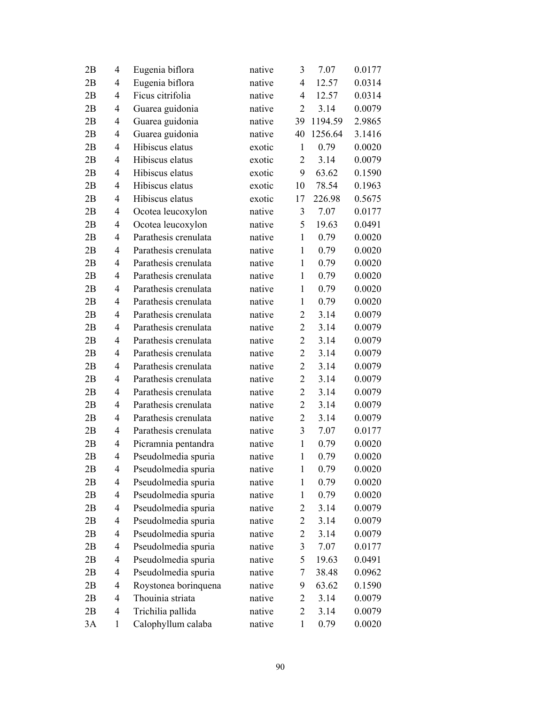| 2B | 4              | Eugenia biflora      | native | 3              | 7.07    | 0.0177 |
|----|----------------|----------------------|--------|----------------|---------|--------|
| 2B | 4              | Eugenia biflora      | native | $\overline{4}$ | 12.57   | 0.0314 |
| 2B | 4              | Ficus citrifolia     | native | 4              | 12.57   | 0.0314 |
| 2B | 4              | Guarea guidonia      | native | $\overline{2}$ | 3.14    | 0.0079 |
| 2B | 4              | Guarea guidonia      | native | 39             | 1194.59 | 2.9865 |
| 2B | 4              | Guarea guidonia      | native | 40             | 1256.64 | 3.1416 |
| 2B | 4              | Hibiscus elatus      | exotic | $\mathbf{1}$   | 0.79    | 0.0020 |
| 2B | 4              | Hibiscus elatus      | exotic | 2              | 3.14    | 0.0079 |
| 2B | 4              | Hibiscus elatus      | exotic | 9              | 63.62   | 0.1590 |
| 2B | 4              | Hibiscus elatus      | exotic | 10             | 78.54   | 0.1963 |
| 2B | 4              | Hibiscus elatus      | exotic | 17             | 226.98  | 0.5675 |
| 2B | 4              | Ocotea leucoxylon    | native | 3              | 7.07    | 0.0177 |
| 2B | 4              | Ocotea leucoxylon    | native | 5              | 19.63   | 0.0491 |
| 2B | 4              | Parathesis crenulata | native | $\mathbf{1}$   | 0.79    | 0.0020 |
| 2B | 4              | Parathesis crenulata | native | $\mathbf{1}$   | 0.79    | 0.0020 |
| 2B | 4              | Parathesis crenulata | native | $\mathbf{1}$   | 0.79    | 0.0020 |
| 2B | 4              | Parathesis crenulata | native | $\mathbf{1}$   | 0.79    | 0.0020 |
| 2B | 4              | Parathesis crenulata | native | $\mathbf{1}$   | 0.79    | 0.0020 |
| 2B | 4              | Parathesis crenulata | native | $\mathbf{1}$   | 0.79    | 0.0020 |
| 2B | 4              | Parathesis crenulata | native | $\overline{2}$ | 3.14    | 0.0079 |
| 2B | 4              | Parathesis crenulata | native | $\overline{2}$ | 3.14    | 0.0079 |
| 2B | 4              | Parathesis crenulata | native | $\overline{2}$ | 3.14    | 0.0079 |
| 2B | 4              | Parathesis crenulata | native | $\overline{2}$ | 3.14    | 0.0079 |
| 2B | 4              | Parathesis crenulata | native | $\overline{2}$ | 3.14    | 0.0079 |
| 2B | 4              | Parathesis crenulata | native | $\overline{2}$ | 3.14    | 0.0079 |
| 2B | 4              | Parathesis crenulata | native | $\overline{2}$ | 3.14    | 0.0079 |
| 2B | $\overline{4}$ | Parathesis crenulata | native | $\overline{2}$ | 3.14    | 0.0079 |
| 2B | 4              | Parathesis crenulata | native | $\overline{2}$ | 3.14    | 0.0079 |
| 2B | 4              | Parathesis crenulata | native | 3              | 7.07    | 0.0177 |
| 2B | 4              | Picramnia pentandra  | native | $\mathbf{1}$   | 0.79    | 0.0020 |
| 2B | 4              | Pseudolmedia spuria  | native | $\mathbf{1}$   | 0.79    | 0.0020 |
| 2B | 4              | Pseudolmedia spuria  | native | $\mathbf{1}$   | 0.79    | 0.0020 |
| 2B | 4              | Pseudolmedia spuria  | native | 1              | 0.79    | 0.0020 |
| 2B | 4              | Pseudolmedia spuria  | native | 1              | 0.79    | 0.0020 |
| 2B | 4              | Pseudolmedia spuria  | native | $\overline{2}$ | 3.14    | 0.0079 |
| 2B | 4              | Pseudolmedia spuria  | native | $\overline{2}$ | 3.14    | 0.0079 |
| 2В | 4              | Pseudolmedia spuria  | native | $\overline{2}$ | 3.14    | 0.0079 |
| 2B | 4              | Pseudolmedia spuria  | native | 3              | 7.07    | 0.0177 |
| 2B | 4              | Pseudolmedia spuria  | native | 5              | 19.63   | 0.0491 |
| 2B | 4              | Pseudolmedia spuria  | native | 7              | 38.48   | 0.0962 |
| 2B | 4              | Roystonea borinquena | native | 9              | 63.62   | 0.1590 |
| 2B | 4              | Thouinia striata     | native | $\overline{2}$ | 3.14    | 0.0079 |
| 2B | 4              | Trichilia pallida    | native | $\overline{2}$ | 3.14    | 0.0079 |
| 3A | $\mathbf{1}$   | Calophyllum calaba   | native | $\mathbf{1}$   | 0.79    | 0.0020 |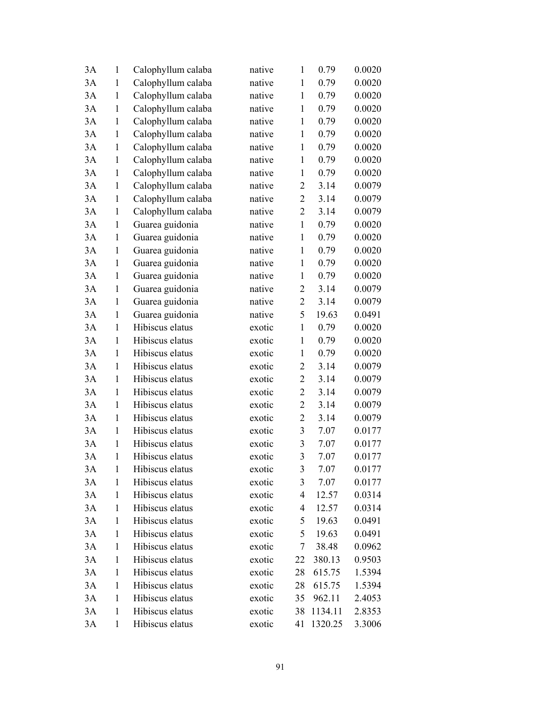| 3A | 1            | Calophyllum calaba | native | 1                       | 0.79    | 0.0020 |
|----|--------------|--------------------|--------|-------------------------|---------|--------|
| 3A | $\mathbf{1}$ | Calophyllum calaba | native | $\mathbf{1}$            | 0.79    | 0.0020 |
| 3A | $\mathbf{1}$ | Calophyllum calaba | native | $\mathbf{1}$            | 0.79    | 0.0020 |
| 3A | $\mathbf{1}$ | Calophyllum calaba | native | $\mathbf{1}$            | 0.79    | 0.0020 |
| 3A | $\mathbf{1}$ | Calophyllum calaba | native | $\mathbf{1}$            | 0.79    | 0.0020 |
| 3A | $\mathbf{1}$ | Calophyllum calaba | native | $\mathbf{1}$            | 0.79    | 0.0020 |
| 3A | $\mathbf{1}$ | Calophyllum calaba | native | $\mathbf{1}$            | 0.79    | 0.0020 |
| 3A | $\mathbf{1}$ | Calophyllum calaba | native | $\mathbf{1}$            | 0.79    | 0.0020 |
| 3A | $\mathbf{1}$ | Calophyllum calaba | native | $\mathbf{1}$            | 0.79    | 0.0020 |
| 3A | $\mathbf{1}$ | Calophyllum calaba | native | $\overline{2}$          | 3.14    | 0.0079 |
| 3A | $\mathbf{1}$ | Calophyllum calaba | native | $\overline{2}$          | 3.14    | 0.0079 |
| 3A | $\mathbf{1}$ | Calophyllum calaba | native | $\overline{2}$          | 3.14    | 0.0079 |
| 3A | $\mathbf{1}$ | Guarea guidonia    | native | $\mathbf{1}$            | 0.79    | 0.0020 |
| 3A | $\mathbf{1}$ | Guarea guidonia    | native | $\mathbf{1}$            | 0.79    | 0.0020 |
| 3A | $\mathbf{1}$ | Guarea guidonia    | native | $\mathbf{1}$            | 0.79    | 0.0020 |
| 3A | $\mathbf{1}$ | Guarea guidonia    | native | $\mathbf{1}$            | 0.79    | 0.0020 |
| 3A | $\mathbf{1}$ | Guarea guidonia    | native | $\mathbf{1}$            | 0.79    | 0.0020 |
| 3A | $\mathbf{1}$ | Guarea guidonia    | native | $\overline{c}$          | 3.14    | 0.0079 |
| 3A | $\mathbf{1}$ | Guarea guidonia    | native | $\overline{2}$          | 3.14    | 0.0079 |
| 3A | $\mathbf{1}$ | Guarea guidonia    | native | 5                       | 19.63   | 0.0491 |
| 3A | 1            | Hibiscus elatus    | exotic | $\mathbf{1}$            | 0.79    | 0.0020 |
| 3A | $\mathbf{1}$ | Hibiscus elatus    | exotic | $\mathbf{1}$            | 0.79    | 0.0020 |
| 3A | 1            | Hibiscus elatus    | exotic | $\mathbf{1}$            | 0.79    | 0.0020 |
| 3A | $\mathbf{1}$ | Hibiscus elatus    | exotic | $\overline{2}$          | 3.14    | 0.0079 |
| 3A | 1            | Hibiscus elatus    | exotic | $\mathbf{2}$            | 3.14    | 0.0079 |
| 3A | $\mathbf{1}$ | Hibiscus elatus    | exotic | $\overline{2}$          | 3.14    | 0.0079 |
| 3A | $\mathbf{1}$ | Hibiscus elatus    | exotic | $\overline{2}$          | 3.14    | 0.0079 |
| 3A | $\mathbf{1}$ | Hibiscus elatus    | exotic | $\overline{2}$          | 3.14    | 0.0079 |
| 3A | $\mathbf{1}$ | Hibiscus elatus    | exotic | $\overline{\mathbf{3}}$ | 7.07    | 0.0177 |
| 3A | 1            | Hibiscus elatus    | exotic | 3                       | 7.07    | 0.0177 |
| 3A | $\mathbf{1}$ | Hibiscus elatus    | exotic | 3                       | 7.07    | 0.0177 |
| 3A | 1            | Hibiscus elatus    | exotic | 3                       | 7.07    | 0.0177 |
| 3A | $\mathbf{1}$ | Hibiscus elatus    | exotic | 3                       | 7.07    | 0.0177 |
| 3A | $\mathbf{1}$ | Hibiscus elatus    | exotic | 4                       | 12.57   | 0.0314 |
| 3A | $\mathbf{1}$ | Hibiscus elatus    | exotic | 4                       | 12.57   | 0.0314 |
| 3A | $\mathbf{1}$ | Hibiscus elatus    | exotic | 5                       | 19.63   | 0.0491 |
| 3A | $\mathbf{1}$ | Hibiscus elatus    | exotic | 5                       | 19.63   | 0.0491 |
| 3A | $\mathbf{1}$ | Hibiscus elatus    | exotic | 7                       | 38.48   | 0.0962 |
| 3A | $\mathbf{1}$ | Hibiscus elatus    | exotic | 22                      | 380.13  | 0.9503 |
| 3A | $\mathbf{1}$ | Hibiscus elatus    | exotic | 28                      | 615.75  | 1.5394 |
| 3A | $\mathbf{1}$ | Hibiscus elatus    | exotic | 28                      | 615.75  | 1.5394 |
| 3A | $\mathbf{1}$ | Hibiscus elatus    | exotic | 35                      | 962.11  | 2.4053 |
| 3A | $\mathbf{1}$ | Hibiscus elatus    | exotic | 38                      | 1134.11 | 2.8353 |
| 3A | $\mathbf{1}$ | Hibiscus elatus    | exotic | 41                      | 1320.25 | 3.3006 |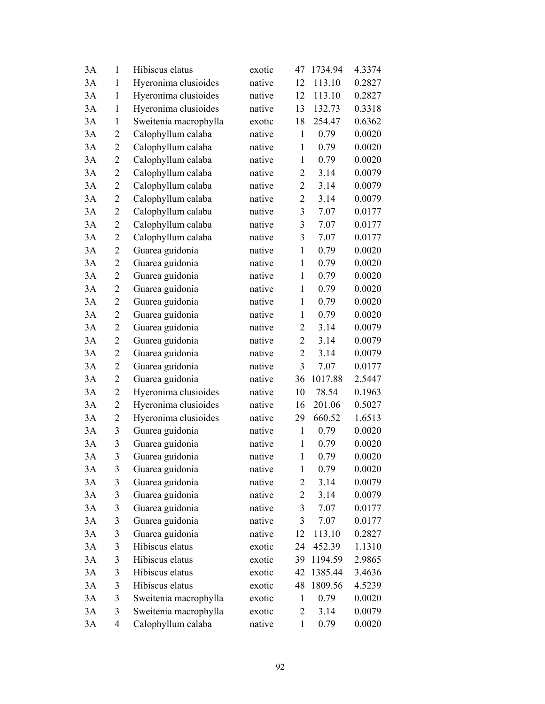| 3A | 1              | Hibiscus elatus       | exotic | 47             | 1734.94 | 4.3374 |
|----|----------------|-----------------------|--------|----------------|---------|--------|
| 3A | $\mathbf{1}$   | Hyeronima clusioides  | native | 12             | 113.10  | 0.2827 |
| 3A | $\mathbf{1}$   | Hyeronima clusioides  | native | 12             | 113.10  | 0.2827 |
| 3A | $\mathbf{1}$   | Hyeronima clusioides  | native | 13             | 132.73  | 0.3318 |
| 3A | $\mathbf{1}$   | Sweitenia macrophylla | exotic | 18             | 254.47  | 0.6362 |
| 3A | 2              | Calophyllum calaba    | native | $\mathbf{1}$   | 0.79    | 0.0020 |
| 3A | 2              | Calophyllum calaba    | native | $\mathbf{1}$   | 0.79    | 0.0020 |
| 3A | 2              | Calophyllum calaba    | native | $\mathbf{1}$   | 0.79    | 0.0020 |
| 3A | 2              | Calophyllum calaba    | native | $\overline{2}$ | 3.14    | 0.0079 |
| 3A | 2              | Calophyllum calaba    | native | $\overline{2}$ | 3.14    | 0.0079 |
| 3A | 2              | Calophyllum calaba    | native | $\overline{2}$ | 3.14    | 0.0079 |
| 3A | 2              | Calophyllum calaba    | native | $\mathfrak{Z}$ | 7.07    | 0.0177 |
| 3A | 2              | Calophyllum calaba    | native | 3              | 7.07    | 0.0177 |
| 3A | $\overline{2}$ | Calophyllum calaba    | native | 3              | 7.07    | 0.0177 |
| 3A | 2              | Guarea guidonia       | native | $\mathbf{1}$   | 0.79    | 0.0020 |
| 3A | 2              | Guarea guidonia       | native | $\mathbf{1}$   | 0.79    | 0.0020 |
| 3A | $\overline{2}$ | Guarea guidonia       | native | $\mathbf{1}$   | 0.79    | 0.0020 |
| 3A | $\overline{c}$ | Guarea guidonia       | native | $\mathbf{1}$   | 0.79    | 0.0020 |
| 3A | $\overline{2}$ | Guarea guidonia       | native | $\mathbf{1}$   | 0.79    | 0.0020 |
| 3A | 2              | Guarea guidonia       | native | $\mathbf{1}$   | 0.79    | 0.0020 |
| 3A | 2              | Guarea guidonia       | native | 2              | 3.14    | 0.0079 |
| 3A | 2              | Guarea guidonia       | native | $\overline{2}$ | 3.14    | 0.0079 |
| 3A | 2              | Guarea guidonia       | native | $\overline{c}$ | 3.14    | 0.0079 |
| 3A | $\overline{2}$ | Guarea guidonia       | native | 3              | 7.07    | 0.0177 |
| 3A | 2              | Guarea guidonia       | native | 36             | 1017.88 | 2.5447 |
| 3A | 2              | Hyeronima clusioides  | native | 10             | 78.54   | 0.1963 |
| 3A | 2              | Hyeronima clusioides  | native | 16             | 201.06  | 0.5027 |
| 3A | $\overline{2}$ | Hyeronima clusioides  | native | 29             | 660.52  | 1.6513 |
| 3A | 3              | Guarea guidonia       | native | $\mathbf{1}$   | 0.79    | 0.0020 |
| 3A | 3              | Guarea guidonia       | native | $\mathbf{1}$   | 0.79    | 0.0020 |
| 3A | 3              | Guarea guidonia       | native | $\mathbf{1}$   | 0.79    | 0.0020 |
| 3A | 3              | Guarea guidonia       | native | $\mathbf{1}$   | 0.79    | 0.0020 |
| 3A | 3              | Guarea guidonia       | native | 2              | 3.14    | 0.0079 |
| 3A | 3              | Guarea guidonia       | native | 2              | 3.14    | 0.0079 |
| 3A | 3              | Guarea guidonia       | native | 3              | 7.07    | 0.0177 |
| 3A | 3              | Guarea guidonia       | native | $\mathfrak{Z}$ | 7.07    | 0.0177 |
| 3A | 3              | Guarea guidonia       | native | 12             | 113.10  | 0.2827 |
| 3A | 3              | Hibiscus elatus       | exotic | 24             | 452.39  | 1.1310 |
| 3A | 3              | Hibiscus elatus       | exotic | 39             | 1194.59 | 2.9865 |
| 3A | 3              | Hibiscus elatus       | exotic | 42             | 1385.44 | 3.4636 |
| 3A | 3              | Hibiscus elatus       | exotic | 48             | 1809.56 | 4.5239 |
| 3A | 3              | Sweitenia macrophylla | exotic | $\mathbf{1}$   | 0.79    | 0.0020 |
| 3A | 3              | Sweitenia macrophylla | exotic | $\overline{2}$ | 3.14    | 0.0079 |
| 3A | 4              | Calophyllum calaba    | native | $\mathbf{1}$   | 0.79    | 0.0020 |
|    |                |                       |        |                |         |        |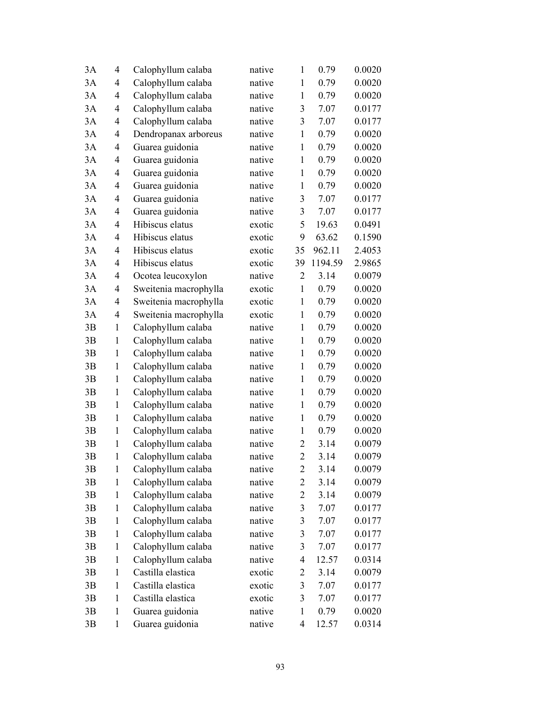| 3A | 4            | Calophyllum calaba    | native | $\mathbf{1}$   | 0.79    | 0.0020 |
|----|--------------|-----------------------|--------|----------------|---------|--------|
| 3A | 4            | Calophyllum calaba    | native | $\mathbf{1}$   | 0.79    | 0.0020 |
| 3A | 4            | Calophyllum calaba    | native | $\mathbf{1}$   | 0.79    | 0.0020 |
| 3A | 4            | Calophyllum calaba    | native | 3              | 7.07    | 0.0177 |
| 3A | 4            | Calophyllum calaba    | native | 3              | 7.07    | 0.0177 |
| 3A | 4            | Dendropanax arboreus  | native | $\mathbf{1}$   | 0.79    | 0.0020 |
| 3A | 4            | Guarea guidonia       | native | $\mathbf{1}$   | 0.79    | 0.0020 |
| 3A | 4            | Guarea guidonia       | native | $\mathbf{1}$   | 0.79    | 0.0020 |
| 3A | 4            | Guarea guidonia       | native | $\mathbf{1}$   | 0.79    | 0.0020 |
| 3A | 4            | Guarea guidonia       | native | $\mathbf{1}$   | 0.79    | 0.0020 |
| 3A | 4            | Guarea guidonia       | native | 3              | 7.07    | 0.0177 |
| 3A | 4            | Guarea guidonia       | native | 3              | 7.07    | 0.0177 |
| 3A | 4            | Hibiscus elatus       | exotic | 5              | 19.63   | 0.0491 |
| 3A | 4            | Hibiscus elatus       | exotic | 9              | 63.62   | 0.1590 |
| 3A | 4            | Hibiscus elatus       | exotic | 35             | 962.11  | 2.4053 |
| 3A | 4            | Hibiscus elatus       | exotic | 39             | 1194.59 | 2.9865 |
| 3A | 4            | Ocotea leucoxylon     | native | $\overline{2}$ | 3.14    | 0.0079 |
| 3A | 4            | Sweitenia macrophylla | exotic | $\mathbf{1}$   | 0.79    | 0.0020 |
| 3A | 4            | Sweitenia macrophylla | exotic | $\mathbf{1}$   | 0.79    | 0.0020 |
| 3A | 4            | Sweitenia macrophylla | exotic | $\mathbf{1}$   | 0.79    | 0.0020 |
| 3B | $\mathbf{1}$ | Calophyllum calaba    | native | $\mathbf{1}$   | 0.79    | 0.0020 |
| 3B | 1            | Calophyllum calaba    | native | $\mathbf{1}$   | 0.79    | 0.0020 |
| 3B | 1            | Calophyllum calaba    | native | $\mathbf{1}$   | 0.79    | 0.0020 |
| 3B | $\mathbf{1}$ | Calophyllum calaba    | native | $\mathbf{1}$   | 0.79    | 0.0020 |
| 3B | 1            | Calophyllum calaba    | native | $\mathbf{1}$   | 0.79    | 0.0020 |
| 3B | $\mathbf{1}$ | Calophyllum calaba    | native | $\mathbf{1}$   | 0.79    | 0.0020 |
| 3B | $\mathbf{1}$ | Calophyllum calaba    | native | $\mathbf{1}$   | 0.79    | 0.0020 |
| 3B | 1            | Calophyllum calaba    | native | $\mathbf{1}$   | 0.79    | 0.0020 |
| 3B | $\mathbf{1}$ | Calophyllum calaba    | native | $\mathbf{1}$   | 0.79    | 0.0020 |
| 3B | 1            | Calophyllum calaba    | native | $\overline{2}$ | 3.14    | 0.0079 |
| 3B | $\mathbf{1}$ | Calophyllum calaba    | native | $\overline{2}$ | 3.14    | 0.0079 |
| 3B | $\mathbf{1}$ | Calophyllum calaba    | native | $\overline{2}$ | 3.14    | 0.0079 |
| 3B | 1            | Calophyllum calaba    | native | $\overline{2}$ | 3.14    | 0.0079 |
| 3B | $\mathbf{1}$ | Calophyllum calaba    | native | $\overline{2}$ | 3.14    | 0.0079 |
| 3B | $\mathbf{1}$ | Calophyllum calaba    | native | $\mathfrak{Z}$ | 7.07    | 0.0177 |
| 3B | $\mathbf{1}$ | Calophyllum calaba    | native | $\mathfrak{Z}$ | 7.07    | 0.0177 |
| 3B | $\mathbf{1}$ | Calophyllum calaba    | native | $\mathfrak{Z}$ | 7.07    | 0.0177 |
| 3B | 1            | Calophyllum calaba    | native | 3              | 7.07    | 0.0177 |
| 3B | $\mathbf{1}$ | Calophyllum calaba    | native | 4              | 12.57   | 0.0314 |
| 3B | $\mathbf{1}$ | Castilla elastica     | exotic | 2              | 3.14    | 0.0079 |
| 3B | $\mathbf{1}$ | Castilla elastica     | exotic | $\mathfrak{Z}$ | 7.07    | 0.0177 |
| 3B | 1            | Castilla elastica     | exotic | 3              | 7.07    | 0.0177 |
| 3B | $\mathbf{1}$ | Guarea guidonia       | native | $\mathbf{1}$   | 0.79    | 0.0020 |
| 3B | $\mathbf{1}$ | Guarea guidonia       | native | 4              | 12.57   | 0.0314 |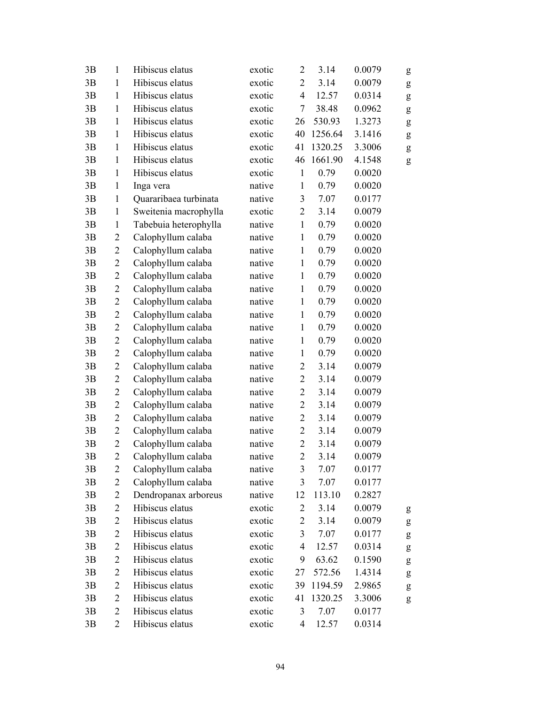| 3B | $\mathbf{1}$   | Hibiscus elatus       | exotic | $\overline{2}$ | 3.14    | 0.0079 | g                                                                                                                                                                                                                                                                                                                                                                                                                              |
|----|----------------|-----------------------|--------|----------------|---------|--------|--------------------------------------------------------------------------------------------------------------------------------------------------------------------------------------------------------------------------------------------------------------------------------------------------------------------------------------------------------------------------------------------------------------------------------|
| 3B | $\mathbf{1}$   | Hibiscus elatus       | exotic | $\overline{2}$ | 3.14    | 0.0079 | g                                                                                                                                                                                                                                                                                                                                                                                                                              |
| 3B | $\mathbf{1}$   | Hibiscus elatus       | exotic | $\overline{4}$ | 12.57   | 0.0314 | g                                                                                                                                                                                                                                                                                                                                                                                                                              |
| 3B | $\mathbf{1}$   | Hibiscus elatus       | exotic | $\tau$         | 38.48   | 0.0962 | g                                                                                                                                                                                                                                                                                                                                                                                                                              |
| 3B | $\mathbf{1}$   | Hibiscus elatus       | exotic | 26             | 530.93  | 1.3273 | $\mathbf{g}% _{T}=\mathbf{g}_{T}=\mathbf{g}_{T}=\mathbf{g}_{T}=\mathbf{g}_{T}=\mathbf{g}_{T}=\mathbf{g}_{T}=\mathbf{g}_{T}=\mathbf{g}_{T}=\mathbf{g}_{T}=\mathbf{g}_{T}=\mathbf{g}_{T}=\mathbf{g}_{T}=\mathbf{g}_{T}=\mathbf{g}_{T}=\mathbf{g}_{T}=\mathbf{g}_{T}=\mathbf{g}_{T}=\mathbf{g}_{T}=\mathbf{g}_{T}=\mathbf{g}_{T}=\mathbf{g}_{T}=\mathbf{g}_{T}=\mathbf{g}_{T}=\mathbf{g}_{T}=\mathbf{g}_{T}=\mathbf{g}_{T}=\math$ |
| 3B | $\mathbf{1}$   | Hibiscus elatus       | exotic | 40             | 1256.64 | 3.1416 | g                                                                                                                                                                                                                                                                                                                                                                                                                              |
| 3B | $\mathbf{1}$   | Hibiscus elatus       | exotic | 41             | 1320.25 | 3.3006 | $\mathbf{g}% _{T}=\mathbf{g}_{T}=\mathbf{g}_{T}=\mathbf{g}_{T}=\mathbf{g}_{T}=\mathbf{g}_{T}=\mathbf{g}_{T}=\mathbf{g}_{T}=\mathbf{g}_{T}=\mathbf{g}_{T}=\mathbf{g}_{T}=\mathbf{g}_{T}=\mathbf{g}_{T}=\mathbf{g}_{T}=\mathbf{g}_{T}=\mathbf{g}_{T}=\mathbf{g}_{T}=\mathbf{g}_{T}=\mathbf{g}_{T}=\mathbf{g}_{T}=\mathbf{g}_{T}=\mathbf{g}_{T}=\mathbf{g}_{T}=\mathbf{g}_{T}=\mathbf{g}_{T}=\mathbf{g}_{T}=\mathbf{g}_{T}=\math$ |
| 3B | $\mathbf{1}$   | Hibiscus elatus       | exotic | 46             | 1661.90 | 4.1548 | ${\sf g}$                                                                                                                                                                                                                                                                                                                                                                                                                      |
| 3B | $\mathbf{1}$   | Hibiscus elatus       | exotic | $\mathbf{1}$   | 0.79    | 0.0020 |                                                                                                                                                                                                                                                                                                                                                                                                                                |
| 3B | $\mathbf{1}$   | Inga vera             | native | $\mathbf{1}$   | 0.79    | 0.0020 |                                                                                                                                                                                                                                                                                                                                                                                                                                |
| 3B | $\mathbf{1}$   | Quararibaea turbinata | native | 3              | 7.07    | 0.0177 |                                                                                                                                                                                                                                                                                                                                                                                                                                |
| 3B | $\mathbf{1}$   | Sweitenia macrophylla | exotic | $\overline{2}$ | 3.14    | 0.0079 |                                                                                                                                                                                                                                                                                                                                                                                                                                |
| 3B | $\mathbf{1}$   | Tabebuia heterophylla | native | $\mathbf{1}$   | 0.79    | 0.0020 |                                                                                                                                                                                                                                                                                                                                                                                                                                |
| 3B | $\overline{2}$ | Calophyllum calaba    | native | $\mathbf{1}$   | 0.79    | 0.0020 |                                                                                                                                                                                                                                                                                                                                                                                                                                |
| 3B | $\overline{2}$ | Calophyllum calaba    | native | $\mathbf{1}$   | 0.79    | 0.0020 |                                                                                                                                                                                                                                                                                                                                                                                                                                |
| 3B | $\overline{2}$ | Calophyllum calaba    | native | $\mathbf{1}$   | 0.79    | 0.0020 |                                                                                                                                                                                                                                                                                                                                                                                                                                |
| 3B | $\overline{2}$ | Calophyllum calaba    | native | $\mathbf{1}$   | 0.79    | 0.0020 |                                                                                                                                                                                                                                                                                                                                                                                                                                |
| 3B | $\overline{c}$ | Calophyllum calaba    | native | $\mathbf{1}$   | 0.79    | 0.0020 |                                                                                                                                                                                                                                                                                                                                                                                                                                |
| 3B | $\overline{2}$ | Calophyllum calaba    | native | $\mathbf{1}$   | 0.79    | 0.0020 |                                                                                                                                                                                                                                                                                                                                                                                                                                |
| 3B | $\overline{c}$ | Calophyllum calaba    | native | $\mathbf{1}$   | 0.79    | 0.0020 |                                                                                                                                                                                                                                                                                                                                                                                                                                |
| 3B | $\overline{2}$ | Calophyllum calaba    | native | $\mathbf{1}$   | 0.79    | 0.0020 |                                                                                                                                                                                                                                                                                                                                                                                                                                |
| 3B | $\overline{2}$ | Calophyllum calaba    | native | $\mathbf{1}$   | 0.79    | 0.0020 |                                                                                                                                                                                                                                                                                                                                                                                                                                |
| 3B | $\overline{2}$ | Calophyllum calaba    | native | $\mathbf{1}$   | 0.79    | 0.0020 |                                                                                                                                                                                                                                                                                                                                                                                                                                |
| 3B | $\overline{2}$ | Calophyllum calaba    | native | $\overline{2}$ | 3.14    | 0.0079 |                                                                                                                                                                                                                                                                                                                                                                                                                                |
| 3B | $\overline{2}$ | Calophyllum calaba    | native | $\overline{2}$ | 3.14    | 0.0079 |                                                                                                                                                                                                                                                                                                                                                                                                                                |
| 3B | $\overline{2}$ | Calophyllum calaba    | native | $\overline{2}$ | 3.14    | 0.0079 |                                                                                                                                                                                                                                                                                                                                                                                                                                |
| 3B | $\overline{2}$ | Calophyllum calaba    | native | $\overline{2}$ | 3.14    | 0.0079 |                                                                                                                                                                                                                                                                                                                                                                                                                                |
| 3B | $\overline{2}$ | Calophyllum calaba    | native | $\overline{2}$ | 3.14    | 0.0079 |                                                                                                                                                                                                                                                                                                                                                                                                                                |
| 3B | $\overline{2}$ | Calophyllum calaba    | native | $\overline{2}$ | 3.14    | 0.0079 |                                                                                                                                                                                                                                                                                                                                                                                                                                |
| 3B | $\overline{c}$ | Calophyllum calaba    | native | $\overline{c}$ | 3.14    | 0.0079 |                                                                                                                                                                                                                                                                                                                                                                                                                                |
| 3B | $\overline{2}$ | Calophyllum calaba    | native | $\overline{2}$ | 3.14    | 0.0079 |                                                                                                                                                                                                                                                                                                                                                                                                                                |
| 3B | 2              | Calophyllum calaba    | native | 3              | 7.07    | 0.0177 |                                                                                                                                                                                                                                                                                                                                                                                                                                |
| 3B | 2              | Calophyllum calaba    | native | 3              | 7.07    | 0.0177 |                                                                                                                                                                                                                                                                                                                                                                                                                                |
| 3B | $\overline{2}$ | Dendropanax arboreus  | native | 12             | 113.10  | 0.2827 |                                                                                                                                                                                                                                                                                                                                                                                                                                |
| 3B | $\overline{c}$ | Hibiscus elatus       | exotic | $\overline{2}$ | 3.14    | 0.0079 | g                                                                                                                                                                                                                                                                                                                                                                                                                              |
| 3B | $\mathbf{2}$   | Hibiscus elatus       | exotic | $\overline{2}$ | 3.14    | 0.0079 | g                                                                                                                                                                                                                                                                                                                                                                                                                              |
| 3B | $\overline{2}$ | Hibiscus elatus       | exotic | 3              | 7.07    | 0.0177 | g                                                                                                                                                                                                                                                                                                                                                                                                                              |
| 3B | 2              | Hibiscus elatus       | exotic | $\overline{4}$ | 12.57   | 0.0314 | g                                                                                                                                                                                                                                                                                                                                                                                                                              |
| 3B | $\overline{2}$ | Hibiscus elatus       | exotic | 9              | 63.62   | 0.1590 | g                                                                                                                                                                                                                                                                                                                                                                                                                              |
| 3B | $\overline{c}$ | Hibiscus elatus       | exotic | 27             | 572.56  | 1.4314 | g                                                                                                                                                                                                                                                                                                                                                                                                                              |
| 3B | $\overline{2}$ | Hibiscus elatus       | exotic | 39             | 1194.59 | 2.9865 | g                                                                                                                                                                                                                                                                                                                                                                                                                              |
| 3B | 2              | Hibiscus elatus       | exotic | 41             | 1320.25 | 3.3006 | ${\sf g}$                                                                                                                                                                                                                                                                                                                                                                                                                      |
| 3B | 2              | Hibiscus elatus       | exotic | 3              | 7.07    | 0.0177 |                                                                                                                                                                                                                                                                                                                                                                                                                                |
| 3B | $\overline{2}$ | Hibiscus elatus       | exotic | 4              | 12.57   | 0.0314 |                                                                                                                                                                                                                                                                                                                                                                                                                                |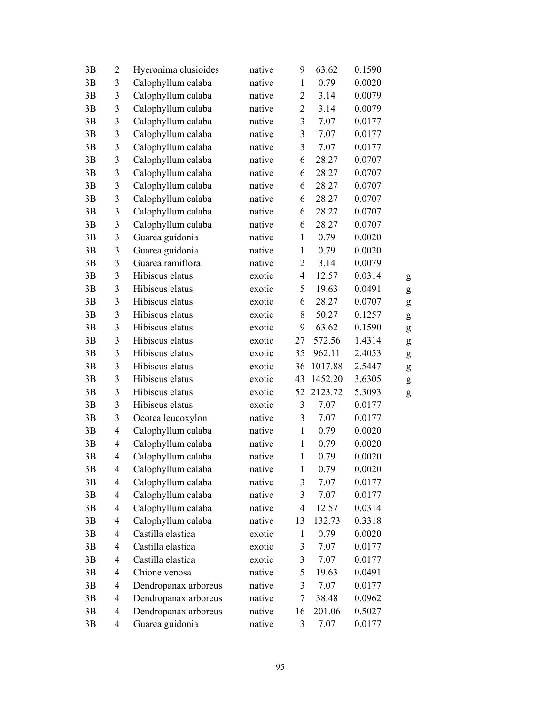| 3B | 2                        | Hyeronima clusioides | native | 9                       | 63.62   | 0.1590 |   |
|----|--------------------------|----------------------|--------|-------------------------|---------|--------|---|
| 3B | 3                        | Calophyllum calaba   | native | $\mathbf{1}$            | 0.79    | 0.0020 |   |
| 3B | 3                        | Calophyllum calaba   | native | $\overline{2}$          | 3.14    | 0.0079 |   |
| 3B | $\mathfrak{Z}$           | Calophyllum calaba   | native | $\overline{2}$          | 3.14    | 0.0079 |   |
| 3B | 3                        | Calophyllum calaba   | native | $\mathfrak{Z}$          | 7.07    | 0.0177 |   |
| 3B | 3                        | Calophyllum calaba   | native | $\mathfrak{Z}$          | 7.07    | 0.0177 |   |
| 3B | 3                        | Calophyllum calaba   | native | $\mathfrak{Z}$          | 7.07    | 0.0177 |   |
| 3B | 3                        | Calophyllum calaba   | native | 6                       | 28.27   | 0.0707 |   |
| 3B | 3                        | Calophyllum calaba   | native | 6                       | 28.27   | 0.0707 |   |
| 3B | 3                        | Calophyllum calaba   | native | 6                       | 28.27   | 0.0707 |   |
| 3B | 3                        | Calophyllum calaba   | native | 6                       | 28.27   | 0.0707 |   |
| 3B | $\overline{\mathbf{3}}$  | Calophyllum calaba   | native | 6                       | 28.27   | 0.0707 |   |
| 3B | 3                        | Calophyllum calaba   | native | 6                       | 28.27   | 0.0707 |   |
| 3B | 3                        | Guarea guidonia      | native | $\mathbf{1}$            | 0.79    | 0.0020 |   |
| 3B | 3                        | Guarea guidonia      | native | $\mathbf{1}$            | 0.79    | 0.0020 |   |
| 3B | 3                        | Guarea ramiflora     | native | 2                       | 3.14    | 0.0079 |   |
| 3B | 3                        | Hibiscus elatus      | exotic | $\overline{4}$          | 12.57   | 0.0314 | g |
| 3B | 3                        | Hibiscus elatus      | exotic | 5                       | 19.63   | 0.0491 | g |
| 3B | 3                        | Hibiscus elatus      | exotic | 6                       | 28.27   | 0.0707 | g |
| 3B | 3                        | Hibiscus elatus      | exotic | 8                       | 50.27   | 0.1257 | g |
| 3B | 3                        | Hibiscus elatus      | exotic | 9                       | 63.62   | 0.1590 | g |
| 3B | 3                        | Hibiscus elatus      | exotic | 27                      | 572.56  | 1.4314 | g |
| 3B | $\mathfrak{Z}$           | Hibiscus elatus      | exotic | 35                      | 962.11  | 2.4053 | g |
| 3B | $\overline{3}$           | Hibiscus elatus      | exotic | 36                      | 1017.88 | 2.5447 | g |
| 3B | 3                        | Hibiscus elatus      | exotic | 43                      | 1452.20 | 3.6305 | g |
| 3B | $\mathfrak{Z}$           | Hibiscus elatus      | exotic | 52                      | 2123.72 | 5.3093 | g |
| 3B | 3                        | Hibiscus elatus      | exotic | $\mathfrak{Z}$          | 7.07    | 0.0177 |   |
| 3B | 3                        | Ocotea leucoxylon    | native | 3                       | 7.07    | 0.0177 |   |
| 3B | $\overline{4}$           | Calophyllum calaba   | native | $\mathbf{1}$            | 0.79    | 0.0020 |   |
| 3B | 4                        | Calophyllum calaba   | native | $\mathbf{1}$            | 0.79    | 0.0020 |   |
| 3B | 4                        | Calophyllum calaba   | native | $\mathbf{1}$            | 0.79    | 0.0020 |   |
| 3B | 4                        | Calophyllum calaba   | native | $\mathbf{1}$            | 0.79    | 0.0020 |   |
| 3B | 4                        | Calophyllum calaba   | native | $\mathfrak{Z}$          | 7.07    | 0.0177 |   |
| 3B | 4                        | Calophyllum calaba   | native | 3                       | 7.07    | 0.0177 |   |
| 3B | $\overline{4}$           | Calophyllum calaba   | native | $\overline{4}$          | 12.57   | 0.0314 |   |
| 3B | 4                        | Calophyllum calaba   | native | 13                      | 132.73  | 0.3318 |   |
| 3B | $\overline{\mathcal{L}}$ | Castilla elastica    | exotic | $\mathbf{1}$            | 0.79    | 0.0020 |   |
| 3B | 4                        | Castilla elastica    | exotic | 3                       | 7.07    | 0.0177 |   |
| 3B | 4                        | Castilla elastica    | exotic | $\overline{\mathbf{3}}$ | 7.07    | 0.0177 |   |
| 3B | 4                        | Chione venosa        | native | 5                       | 19.63   | 0.0491 |   |
| 3B | $\overline{4}$           | Dendropanax arboreus | native | 3                       | 7.07    | 0.0177 |   |
| 3B | 4                        | Dendropanax arboreus | native | 7                       | 38.48   | 0.0962 |   |
| 3B | 4                        | Dendropanax arboreus | native | 16                      | 201.06  | 0.5027 |   |
| 3B | 4                        | Guarea guidonia      | native | 3                       | 7.07    | 0.0177 |   |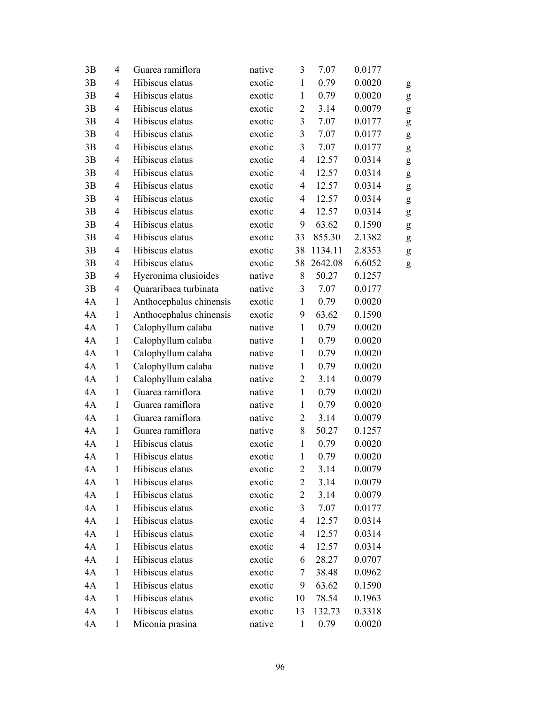| 3B | $\overline{4}$ | Guarea ramiflora        | native | 3              | 7.07    | 0.0177 |   |
|----|----------------|-------------------------|--------|----------------|---------|--------|---|
| 3B | 4              | Hibiscus elatus         | exotic | $\mathbf{1}$   | 0.79    | 0.0020 | g |
| 3B | 4              | Hibiscus elatus         | exotic | $\mathbf{1}$   | 0.79    | 0.0020 | g |
| 3B | 4              | Hibiscus elatus         | exotic | $\overline{2}$ | 3.14    | 0.0079 | g |
| 3B | $\overline{4}$ | Hibiscus elatus         | exotic | $\mathfrak{Z}$ | 7.07    | 0.0177 | g |
| 3B | $\overline{4}$ | Hibiscus elatus         | exotic | $\mathfrak{Z}$ | 7.07    | 0.0177 | g |
| 3B | 4              | Hibiscus elatus         | exotic | 3              | 7.07    | 0.0177 | g |
| 3B | $\overline{4}$ | Hibiscus elatus         | exotic | $\overline{4}$ | 12.57   | 0.0314 | g |
| 3B | 4              | Hibiscus elatus         | exotic | 4              | 12.57   | 0.0314 | g |
| 3B | $\overline{4}$ | Hibiscus elatus         | exotic | $\overline{4}$ | 12.57   | 0.0314 | g |
| 3B | $\overline{4}$ | Hibiscus elatus         | exotic | $\overline{4}$ | 12.57   | 0.0314 | g |
| 3B | 4              | Hibiscus elatus         | exotic | $\overline{4}$ | 12.57   | 0.0314 | g |
| 3B | 4              | Hibiscus elatus         | exotic | 9              | 63.62   | 0.1590 | g |
| 3B | $\overline{4}$ | Hibiscus elatus         | exotic | 33             | 855.30  | 2.1382 | g |
| 3B | $\overline{4}$ | Hibiscus elatus         | exotic | 38             | 1134.11 | 2.8353 | g |
| 3B | 4              | Hibiscus elatus         | exotic | 58             | 2642.08 | 6.6052 | g |
| 3B | 4              | Hyeronima clusioides    | native | 8              | 50.27   | 0.1257 |   |
| 3B | 4              | Quararibaea turbinata   | native | 3              | 7.07    | 0.0177 |   |
| 4A | $\mathbf{1}$   | Anthocephalus chinensis | exotic | $\mathbf{1}$   | 0.79    | 0.0020 |   |
| 4A | $\mathbf{1}$   | Anthocephalus chinensis | exotic | 9              | 63.62   | 0.1590 |   |
| 4A | $\mathbf{1}$   | Calophyllum calaba      | native | $\mathbf{1}$   | 0.79    | 0.0020 |   |
| 4A | $\mathbf{1}$   | Calophyllum calaba      | native | $\mathbf{1}$   | 0.79    | 0.0020 |   |
| 4A | $\mathbf{1}$   | Calophyllum calaba      | native | $\mathbf{1}$   | 0.79    | 0.0020 |   |
| 4A | $\mathbf{1}$   | Calophyllum calaba      | native | $\mathbf{1}$   | 0.79    | 0.0020 |   |
| 4A | $\mathbf{1}$   | Calophyllum calaba      | native | $\overline{2}$ | 3.14    | 0.0079 |   |
| 4A | $\mathbf{1}$   | Guarea ramiflora        | native | $\mathbf{1}$   | 0.79    | 0.0020 |   |
| 4A | $\mathbf{1}$   | Guarea ramiflora        | native | $\mathbf{1}$   | 0.79    | 0.0020 |   |
| 4A | $\mathbf{1}$   | Guarea ramiflora        | native | $\overline{c}$ | 3.14    | 0.0079 |   |
| 4A | $\mathbf{1}$   | Guarea ramiflora        | native | 8              | 50.27   | 0.1257 |   |
| 4A | $\mathbf{1}$   | Hibiscus elatus         | exotic | $\mathbf{1}$   | 0.79    | 0.0020 |   |
| 4A | 1              | Hibiscus elatus         | exotic | $\mathbf{1}$   | 0.79    | 0.0020 |   |
| 4A | $\mathbf{1}$   | Hibiscus elatus         | exotic | 2              | 3.14    | 0.0079 |   |
| 4A | 1              | Hibiscus elatus         | exotic | $\overline{c}$ | 3.14    | 0.0079 |   |
| 4A | $\mathbf{1}$   | Hibiscus elatus         | exotic | $\overline{2}$ | 3.14    | 0.0079 |   |
| 4A | 1              | Hibiscus elatus         | exotic | $\mathfrak{Z}$ | 7.07    | 0.0177 |   |
| 4A | $\mathbf{1}$   | Hibiscus elatus         | exotic | 4              | 12.57   | 0.0314 |   |
| 4A | $\mathbf{1}$   | Hibiscus elatus         | exotic | 4              | 12.57   | 0.0314 |   |
| 4A | $\mathbf{1}$   | Hibiscus elatus         | exotic | 4              | 12.57   | 0.0314 |   |
| 4A | $\mathbf{1}$   | Hibiscus elatus         | exotic | 6              | 28.27   | 0.0707 |   |
| 4A | 1              | Hibiscus elatus         | exotic | 7              | 38.48   | 0.0962 |   |
| 4A | $\mathbf{1}$   | Hibiscus elatus         | exotic | 9              | 63.62   | 0.1590 |   |
| 4A | $\mathbf{1}$   | Hibiscus elatus         | exotic | 10             | 78.54   | 0.1963 |   |
| 4A | $\mathbf{1}$   | Hibiscus elatus         | exotic | 13             | 132.73  | 0.3318 |   |
| 4A | $\mathbf{1}$   | Miconia prasina         | native | $\mathbf{1}$   | 0.79    | 0.0020 |   |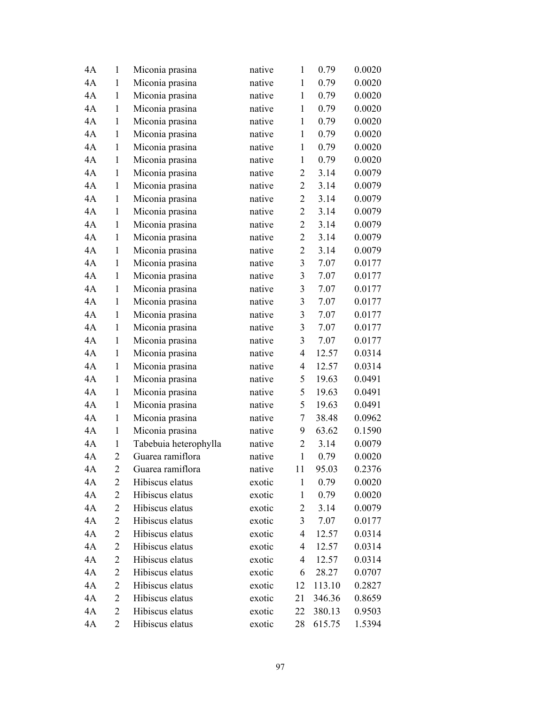| 4A | 1              | Miconia prasina       | native | $\mathbf{1}$   | 0.79   | 0.0020 |
|----|----------------|-----------------------|--------|----------------|--------|--------|
| 4A | $\mathbf{1}$   | Miconia prasina       | native | $\mathbf{1}$   | 0.79   | 0.0020 |
| 4A | $\mathbf{1}$   | Miconia prasina       | native | $\mathbf{1}$   | 0.79   | 0.0020 |
| 4A | $\mathbf{1}$   | Miconia prasina       | native | $\mathbf{1}$   | 0.79   | 0.0020 |
| 4A | $\mathbf{1}$   | Miconia prasina       | native | $\mathbf{1}$   | 0.79   | 0.0020 |
| 4A | 1              | Miconia prasina       | native | $\mathbf{1}$   | 0.79   | 0.0020 |
| 4A | 1              | Miconia prasina       | native | $\mathbf{1}$   | 0.79   | 0.0020 |
| 4A | 1              | Miconia prasina       | native | $\mathbf{1}$   | 0.79   | 0.0020 |
| 4A | $\mathbf{1}$   | Miconia prasina       | native | $\overline{2}$ | 3.14   | 0.0079 |
| 4A | $\mathbf{1}$   | Miconia prasina       | native | $\overline{2}$ | 3.14   | 0.0079 |
| 4A | 1              | Miconia prasina       | native | $\overline{2}$ | 3.14   | 0.0079 |
| 4A | $\mathbf{1}$   | Miconia prasina       | native | $\overline{2}$ | 3.14   | 0.0079 |
| 4A | $\mathbf{1}$   | Miconia prasina       | native | $\overline{2}$ | 3.14   | 0.0079 |
| 4A | $\mathbf{1}$   | Miconia prasina       | native | $\overline{2}$ | 3.14   | 0.0079 |
| 4A | $\mathbf{1}$   | Miconia prasina       | native | $\overline{2}$ | 3.14   | 0.0079 |
| 4A | 1              | Miconia prasina       | native | 3              | 7.07   | 0.0177 |
| 4A | $\mathbf{1}$   | Miconia prasina       | native | $\mathfrak{Z}$ | 7.07   | 0.0177 |
| 4A | $\mathbf{1}$   | Miconia prasina       | native | 3              | 7.07   | 0.0177 |
| 4A | $\mathbf{1}$   | Miconia prasina       | native | 3              | 7.07   | 0.0177 |
| 4A | $\mathbf{1}$   | Miconia prasina       | native | 3              | 7.07   | 0.0177 |
| 4A | $\mathbf{1}$   | Miconia prasina       | native | 3              | 7.07   | 0.0177 |
| 4A | $\mathbf{1}$   | Miconia prasina       | native | 3              | 7.07   | 0.0177 |
| 4A | 1              | Miconia prasina       | native | 4              | 12.57  | 0.0314 |
| 4A | $\mathbf{1}$   | Miconia prasina       | native | 4              | 12.57  | 0.0314 |
| 4A | $\mathbf{1}$   | Miconia prasina       | native | 5              | 19.63  | 0.0491 |
| 4A | $\mathbf{1}$   | Miconia prasina       | native | 5              | 19.63  | 0.0491 |
| 4A | $\mathbf{1}$   | Miconia prasina       | native | 5              | 19.63  | 0.0491 |
| 4A | $\mathbf{1}$   | Miconia prasina       | native | $\overline{7}$ | 38.48  | 0.0962 |
| 4A | $\mathbf{1}$   | Miconia prasina       | native | 9              | 63.62  | 0.1590 |
| 4A | 1              | Tabebuia heterophylla | native | $\overline{2}$ | 3.14   | 0.0079 |
| 4A | $\overline{2}$ | Guarea ramiflora      | native | $\mathbf{1}$   | 0.79   | 0.0020 |
| 4A | 2              | Guarea ramiflora      | native | 11             | 95.03  | 0.2376 |
| 4A | 2              | Hibiscus elatus       | exotic | $\mathbf{1}$   | 0.79   | 0.0020 |
| 4A | 2              | Hibiscus elatus       | exotic | 1              | 0.79   | 0.0020 |
| 4A | 2              | Hibiscus elatus       | exotic | $\overline{c}$ | 3.14   | 0.0079 |
| 4A | $\overline{c}$ | Hibiscus elatus       | exotic | 3              | 7.07   | 0.0177 |
| 4A | 2              | Hibiscus elatus       | exotic | 4              | 12.57  | 0.0314 |
| 4A | 2              | Hibiscus elatus       | exotic | 4              | 12.57  | 0.0314 |
| 4A | 2              | Hibiscus elatus       | exotic | 4              | 12.57  | 0.0314 |
| 4A | 2              | Hibiscus elatus       | exotic | 6              | 28.27  | 0.0707 |
| 4A | 2              | Hibiscus elatus       | exotic | 12             | 113.10 | 0.2827 |
| 4A | 2              | Hibiscus elatus       | exotic | 21             | 346.36 | 0.8659 |
| 4A | $\overline{2}$ | Hibiscus elatus       | exotic | 22             | 380.13 | 0.9503 |
| 4A | 2              | Hibiscus elatus       | exotic | 28             | 615.75 | 1.5394 |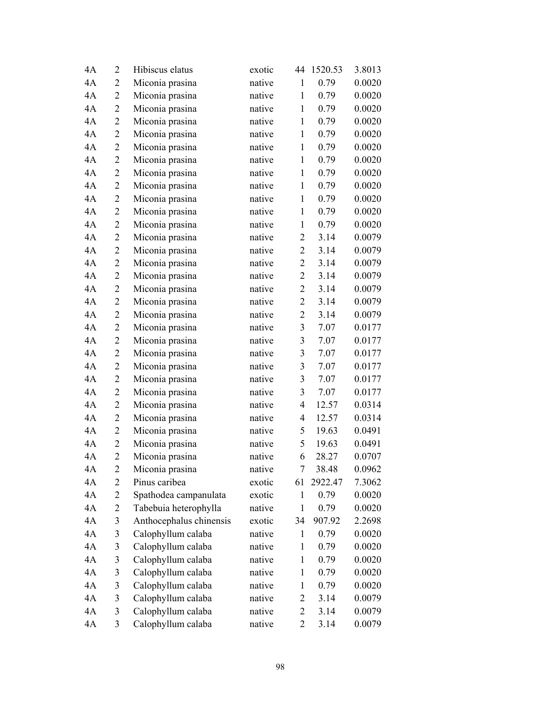| 4A | $\overline{2}$ | Hibiscus elatus         | exotic | 44               | 1520.53 | 3.8013 |
|----|----------------|-------------------------|--------|------------------|---------|--------|
| 4A | $\overline{2}$ | Miconia prasina         | native | $\mathbf{1}$     | 0.79    | 0.0020 |
| 4A | 2              | Miconia prasina         | native | $\mathbf{1}$     | 0.79    | 0.0020 |
| 4A | 2              | Miconia prasina         | native | $\mathbf{1}$     | 0.79    | 0.0020 |
| 4A | $\overline{2}$ | Miconia prasina         | native | $\mathbf{1}$     | 0.79    | 0.0020 |
| 4A | $\overline{c}$ | Miconia prasina         | native | $\mathbf{1}$     | 0.79    | 0.0020 |
| 4A | $\overline{2}$ | Miconia prasina         | native | $\mathbf{1}$     | 0.79    | 0.0020 |
| 4A | $\overline{c}$ | Miconia prasina         | native | $\mathbf{1}$     | 0.79    | 0.0020 |
| 4A | $\overline{2}$ | Miconia prasina         | native | $\mathbf{1}$     | 0.79    | 0.0020 |
| 4A | $\overline{2}$ | Miconia prasina         | native | $\mathbf{1}$     | 0.79    | 0.0020 |
| 4A | 2              | Miconia prasina         | native | $\mathbf{1}$     | 0.79    | 0.0020 |
| 4A | $\overline{c}$ | Miconia prasina         | native | $\mathbf{1}$     | 0.79    | 0.0020 |
| 4A | $\overline{2}$ | Miconia prasina         | native | $\mathbf{1}$     | 0.79    | 0.0020 |
| 4A | $\overline{2}$ | Miconia prasina         | native | $\overline{2}$   | 3.14    | 0.0079 |
| 4A | $\overline{2}$ | Miconia prasina         | native | $\overline{2}$   | 3.14    | 0.0079 |
| 4A | 2              | Miconia prasina         | native | $\overline{2}$   | 3.14    | 0.0079 |
| 4A | $\overline{2}$ | Miconia prasina         | native | $\overline{2}$   | 3.14    | 0.0079 |
| 4A | $\overline{c}$ | Miconia prasina         | native | $\overline{2}$   | 3.14    | 0.0079 |
| 4A | $\overline{2}$ | Miconia prasina         | native | $\overline{2}$   | 3.14    | 0.0079 |
| 4A | $\overline{c}$ | Miconia prasina         | native | $\overline{2}$   | 3.14    | 0.0079 |
| 4A | 2              | Miconia prasina         | native | 3                | 7.07    | 0.0177 |
| 4A | 2              | Miconia prasina         | native | 3                | 7.07    | 0.0177 |
| 4A | $\overline{2}$ | Miconia prasina         | native | $\mathfrak{Z}$   | 7.07    | 0.0177 |
| 4A | $\overline{2}$ | Miconia prasina         | native | 3                | 7.07    | 0.0177 |
| 4A | $\overline{2}$ | Miconia prasina         | native | 3                | 7.07    | 0.0177 |
| 4A | $\overline{2}$ | Miconia prasina         | native | 3                | 7.07    | 0.0177 |
| 4A | $\overline{2}$ | Miconia prasina         | native | 4                | 12.57   | 0.0314 |
| 4A | 2              | Miconia prasina         | native | 4                | 12.57   | 0.0314 |
| 4A | $\overline{c}$ | Miconia prasina         | native | 5                | 19.63   | 0.0491 |
| 4A | $\overline{c}$ | Miconia prasina         | native | 5                | 19.63   | 0.0491 |
| 4A | $\overline{2}$ | Miconia prasina         | native | 6                | 28.27   | 0.0707 |
| 4A | $\overline{2}$ | Miconia prasina         | native | $\boldsymbol{7}$ | 38.48   | 0.0962 |
| 4A | 2              | Pinus caribea           | exotic | 61               | 2922.47 | 7.3062 |
| 4A | 2              | Spathodea campanulata   | exotic | $\mathbf{1}$     | 0.79    | 0.0020 |
| 4A | 2              | Tabebuia heterophylla   | native | $\mathbf{1}$     | 0.79    | 0.0020 |
| 4A | 3              | Anthocephalus chinensis | exotic | 34               | 907.92  | 2.2698 |
| 4A | 3              | Calophyllum calaba      | native | $\mathbf{1}$     | 0.79    | 0.0020 |
| 4A | 3              | Calophyllum calaba      | native | 1                | 0.79    | 0.0020 |
| 4A | 3              | Calophyllum calaba      | native | $\mathbf{1}$     | 0.79    | 0.0020 |
| 4A | 3              | Calophyllum calaba      | native | $\mathbf{1}$     | 0.79    | 0.0020 |
| 4A | 3              | Calophyllum calaba      | native | $\mathbf{1}$     | 0.79    | 0.0020 |
| 4A | 3              | Calophyllum calaba      | native | 2                | 3.14    | 0.0079 |
| 4A | 3              | Calophyllum calaba      | native | $\overline{2}$   | 3.14    | 0.0079 |
| 4A | 3              | Calophyllum calaba      | native | 2                | 3.14    | 0.0079 |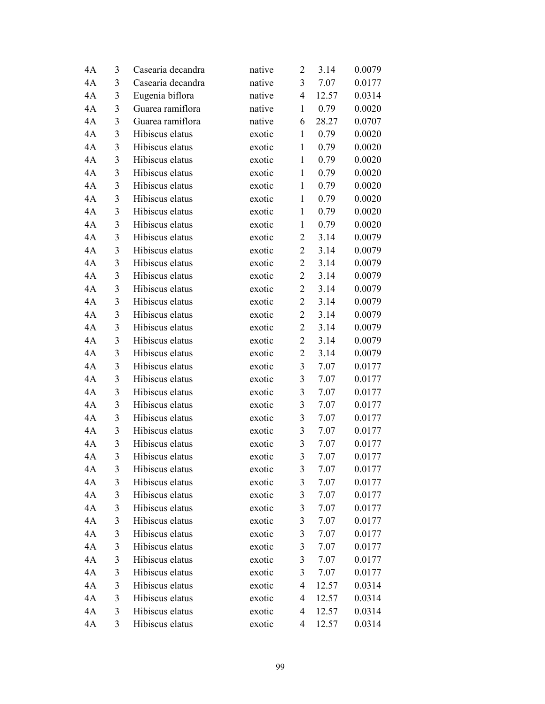| 4A | 3 | Casearia decandra | native | $\overline{2}$          | 3.14  | 0.0079 |
|----|---|-------------------|--------|-------------------------|-------|--------|
| 4A | 3 | Casearia decandra | native | $\overline{3}$          | 7.07  | 0.0177 |
| 4A | 3 | Eugenia biflora   | native | $\overline{4}$          | 12.57 | 0.0314 |
| 4A | 3 | Guarea ramiflora  | native | $\mathbf{1}$            | 0.79  | 0.0020 |
| 4A | 3 | Guarea ramiflora  | native | 6                       | 28.27 | 0.0707 |
| 4A | 3 | Hibiscus elatus   | exotic | $\mathbf{1}$            | 0.79  | 0.0020 |
| 4A | 3 | Hibiscus elatus   | exotic | $\mathbf{1}$            | 0.79  | 0.0020 |
| 4A | 3 | Hibiscus elatus   | exotic | $\mathbf{1}$            | 0.79  | 0.0020 |
| 4A | 3 | Hibiscus elatus   | exotic | $\mathbf{1}$            | 0.79  | 0.0020 |
| 4A | 3 | Hibiscus elatus   | exotic | $\mathbf{1}$            | 0.79  | 0.0020 |
| 4A | 3 | Hibiscus elatus   | exotic | $\mathbf{1}$            | 0.79  | 0.0020 |
| 4A | 3 | Hibiscus elatus   | exotic | $\mathbf{1}$            | 0.79  | 0.0020 |
| 4A | 3 | Hibiscus elatus   | exotic | $\mathbf{1}$            | 0.79  | 0.0020 |
| 4A | 3 | Hibiscus elatus   | exotic | $\overline{2}$          | 3.14  | 0.0079 |
| 4A | 3 | Hibiscus elatus   | exotic | $\overline{2}$          | 3.14  | 0.0079 |
| 4A | 3 | Hibiscus elatus   | exotic | $\overline{2}$          | 3.14  | 0.0079 |
| 4A | 3 | Hibiscus elatus   | exotic | $\overline{2}$          | 3.14  | 0.0079 |
| 4A | 3 | Hibiscus elatus   | exotic | $\overline{c}$          | 3.14  | 0.0079 |
| 4A | 3 | Hibiscus elatus   | exotic | $\overline{2}$          | 3.14  | 0.0079 |
| 4A | 3 | Hibiscus elatus   | exotic | $\mathbf{2}$            | 3.14  | 0.0079 |
| 4A | 3 | Hibiscus elatus   | exotic | $\overline{2}$          | 3.14  | 0.0079 |
| 4A | 3 | Hibiscus elatus   | exotic | $\overline{2}$          | 3.14  | 0.0079 |
| 4A | 3 | Hibiscus elatus   | exotic | $\overline{2}$          | 3.14  | 0.0079 |
| 4A | 3 | Hibiscus elatus   | exotic | 3                       | 7.07  | 0.0177 |
| 4A | 3 | Hibiscus elatus   | exotic | $\mathfrak{Z}$          | 7.07  | 0.0177 |
| 4A | 3 | Hibiscus elatus   | exotic | $\mathfrak{Z}$          | 7.07  | 0.0177 |
| 4A | 3 | Hibiscus elatus   | exotic | $\mathfrak{Z}$          | 7.07  | 0.0177 |
| 4A | 3 | Hibiscus elatus   | exotic | $\mathfrak{Z}$          | 7.07  | 0.0177 |
| 4A | 3 | Hibiscus elatus   | exotic | $\overline{\mathbf{3}}$ | 7.07  | 0.0177 |
| 4A | 3 | Hibiscus elatus   | exotic | 3                       | 7.07  | 0.0177 |
| 4A | 3 | Hibiscus elatus   | exotic | 3                       | 7.07  | 0.0177 |
| 4A | 3 | Hibiscus elatus   | exotic | 3                       | 7.07  | 0.0177 |
| 4A | 3 | Hibiscus elatus   | exotic | 3                       | 7.07  | 0.0177 |
| 4A | 3 | Hibiscus elatus   | exotic | 3                       | 7.07  | 0.0177 |
| 4A | 3 | Hibiscus elatus   | exotic | $\mathfrak{Z}$          | 7.07  | 0.0177 |
| 4A | 3 | Hibiscus elatus   | exotic | $\mathfrak{Z}$          | 7.07  | 0.0177 |
| 4A | 3 | Hibiscus elatus   | exotic | 3                       | 7.07  | 0.0177 |
| 4A | 3 | Hibiscus elatus   | exotic | 3                       | 7.07  | 0.0177 |
| 4A | 3 | Hibiscus elatus   | exotic | 3                       | 7.07  | 0.0177 |
| 4A | 3 | Hibiscus elatus   | exotic | 3                       | 7.07  | 0.0177 |
| 4A | 3 | Hibiscus elatus   | exotic | 4                       | 12.57 | 0.0314 |
| 4A | 3 | Hibiscus elatus   | exotic | 4                       | 12.57 | 0.0314 |
| 4A | 3 | Hibiscus elatus   | exotic | 4                       | 12.57 | 0.0314 |
| 4A | 3 | Hibiscus elatus   | exotic | 4                       | 12.57 | 0.0314 |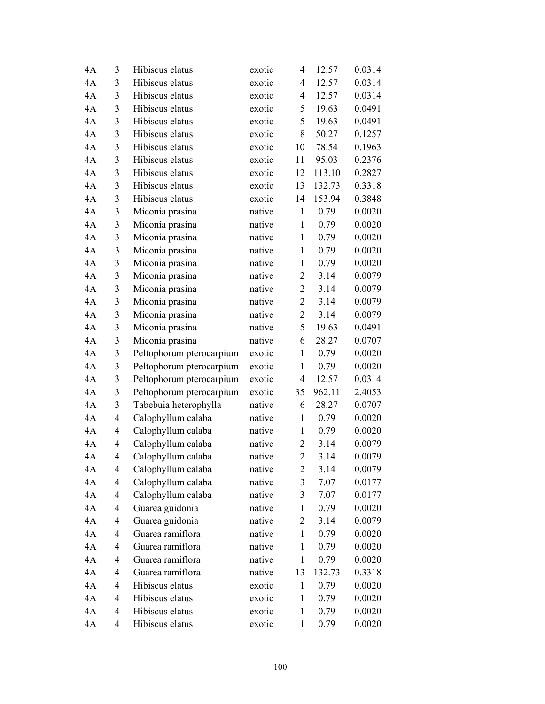| 4A | 3 | Hibiscus elatus          | exotic | 4              | 12.57  | 0.0314 |
|----|---|--------------------------|--------|----------------|--------|--------|
| 4A | 3 | Hibiscus elatus          | exotic | 4              | 12.57  | 0.0314 |
| 4A | 3 | Hibiscus elatus          | exotic | 4              | 12.57  | 0.0314 |
| 4A | 3 | Hibiscus elatus          | exotic | 5              | 19.63  | 0.0491 |
| 4A | 3 | Hibiscus elatus          | exotic | 5              | 19.63  | 0.0491 |
| 4A | 3 | Hibiscus elatus          | exotic | 8              | 50.27  | 0.1257 |
| 4A | 3 | Hibiscus elatus          | exotic | 10             | 78.54  | 0.1963 |
| 4A | 3 | Hibiscus elatus          | exotic | 11             | 95.03  | 0.2376 |
| 4A | 3 | Hibiscus elatus          | exotic | 12             | 113.10 | 0.2827 |
| 4A | 3 | Hibiscus elatus          | exotic | 13             | 132.73 | 0.3318 |
| 4A | 3 | Hibiscus elatus          | exotic | 14             | 153.94 | 0.3848 |
| 4A | 3 | Miconia prasina          | native | $\mathbf{1}$   | 0.79   | 0.0020 |
| 4A | 3 | Miconia prasina          | native | $\mathbf{1}$   | 0.79   | 0.0020 |
| 4A | 3 | Miconia prasina          | native | $\mathbf{1}$   | 0.79   | 0.0020 |
| 4A | 3 | Miconia prasina          | native | $\mathbf{1}$   | 0.79   | 0.0020 |
| 4A | 3 | Miconia prasina          | native | 1              | 0.79   | 0.0020 |
| 4A | 3 | Miconia prasina          | native | $\overline{2}$ | 3.14   | 0.0079 |
| 4A | 3 | Miconia prasina          | native | $\overline{2}$ | 3.14   | 0.0079 |
| 4A | 3 | Miconia prasina          | native | $\overline{2}$ | 3.14   | 0.0079 |
| 4A | 3 | Miconia prasina          | native | $\overline{2}$ | 3.14   | 0.0079 |
| 4A | 3 | Miconia prasina          | native | 5              | 19.63  | 0.0491 |
| 4A | 3 | Miconia prasina          | native | 6              | 28.27  | 0.0707 |
| 4A | 3 | Peltophorum pterocarpium | exotic | $\mathbf{1}$   | 0.79   | 0.0020 |
| 4A | 3 | Peltophorum pterocarpium | exotic | $\mathbf{1}$   | 0.79   | 0.0020 |
| 4A | 3 | Peltophorum pterocarpium | exotic | 4              | 12.57  | 0.0314 |
| 4A | 3 | Peltophorum pterocarpium | exotic | 35             | 962.11 | 2.4053 |
| 4A | 3 | Tabebuia heterophylla    | native | 6              | 28.27  | 0.0707 |
| 4A | 4 | Calophyllum calaba       | native | $\mathbf{1}$   | 0.79   | 0.0020 |
| 4A | 4 | Calophyllum calaba       | native | $\mathbf{1}$   | 0.79   | 0.0020 |
| 4A | 4 | Calophyllum calaba       | native | $\overline{2}$ | 3.14   | 0.0079 |
| 4A | 4 | Calophyllum calaba       | native | $\overline{2}$ | 3.14   | 0.0079 |
| 4Α | 4 | Calophyllum calaba       | native | 2              | 3.14   | 0.0079 |
| 4A | 4 | Calophyllum calaba       | native | 3              | 7.07   | 0.0177 |
| 4A | 4 | Calophyllum calaba       | native | 3              | 7.07   | 0.0177 |
| 4A | 4 | Guarea guidonia          | native | 1              | 0.79   | 0.0020 |
| 4A | 4 | Guarea guidonia          | native | $\overline{2}$ | 3.14   | 0.0079 |
| 4A | 4 | Guarea ramiflora         | native | $\mathbf{1}$   | 0.79   | 0.0020 |
| 4A | 4 | Guarea ramiflora         | native | $\mathbf{1}$   | 0.79   | 0.0020 |
| 4A | 4 | Guarea ramiflora         | native | $\mathbf{1}$   | 0.79   | 0.0020 |
| 4A | 4 | Guarea ramiflora         | native | 13             | 132.73 | 0.3318 |
| 4A | 4 | Hibiscus elatus          | exotic | $\mathbf{1}$   | 0.79   | 0.0020 |
| 4A | 4 | Hibiscus elatus          | exotic | 1              | 0.79   | 0.0020 |
| 4A | 4 | Hibiscus elatus          | exotic | 1              | 0.79   | 0.0020 |
| 4A | 4 | Hibiscus elatus          | exotic | 1              | 0.79   | 0.0020 |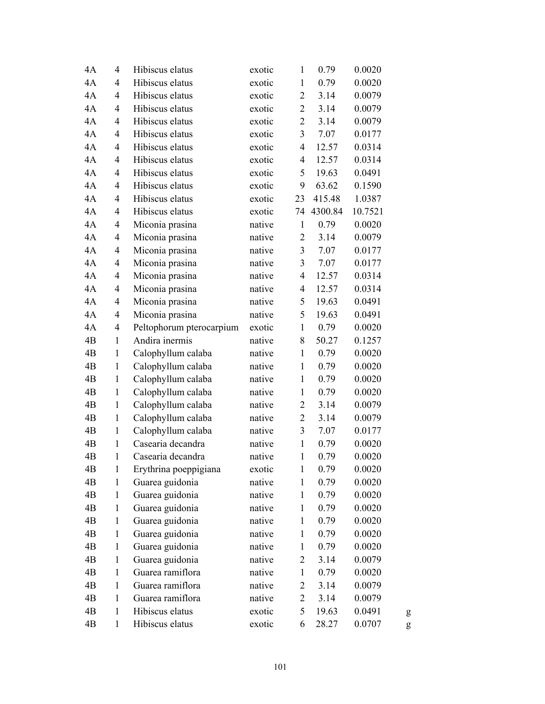| 4A             | 4              | Hibiscus elatus          | exotic | $\mathbf{1}$             | 0.79    | 0.0020  |   |
|----------------|----------------|--------------------------|--------|--------------------------|---------|---------|---|
| 4A             | 4              | Hibiscus elatus          | exotic | $\mathbf{1}$             | 0.79    | 0.0020  |   |
| 4A             | $\overline{4}$ | Hibiscus elatus          | exotic | $\overline{2}$           | 3.14    | 0.0079  |   |
| 4A             | 4              | Hibiscus elatus          | exotic | $\overline{c}$           | 3.14    | 0.0079  |   |
| 4A             | 4              | Hibiscus elatus          | exotic | $\overline{2}$           | 3.14    | 0.0079  |   |
| 4A             | 4              | Hibiscus elatus          | exotic | 3                        | 7.07    | 0.0177  |   |
| 4A             | 4              | Hibiscus elatus          | exotic | 4                        | 12.57   | 0.0314  |   |
| 4A             | 4              | Hibiscus elatus          | exotic | 4                        | 12.57   | 0.0314  |   |
| 4A             | $\overline{4}$ | Hibiscus elatus          | exotic | 5                        | 19.63   | 0.0491  |   |
| 4A             | 4              | Hibiscus elatus          | exotic | 9                        | 63.62   | 0.1590  |   |
| 4A             | 4              | Hibiscus elatus          | exotic | 23                       | 415.48  | 1.0387  |   |
| 4A             | 4              | Hibiscus elatus          | exotic | 74                       | 4300.84 | 10.7521 |   |
| 4A             | 4              | Miconia prasina          | native | $\mathbf{1}$             | 0.79    | 0.0020  |   |
| 4A             | 4              | Miconia prasina          | native | $\overline{c}$           | 3.14    | 0.0079  |   |
| 4A             | $\overline{4}$ | Miconia prasina          | native | $\mathfrak{Z}$           | 7.07    | 0.0177  |   |
| 4A             | 4              | Miconia prasina          | native | 3                        | 7.07    | 0.0177  |   |
| 4A             | 4              | Miconia prasina          | native | $\overline{4}$           | 12.57   | 0.0314  |   |
| 4A             | 4              | Miconia prasina          | native | $\overline{\mathcal{L}}$ | 12.57   | 0.0314  |   |
| 4A             | 4              | Miconia prasina          | native | 5                        | 19.63   | 0.0491  |   |
| 4A             | 4              | Miconia prasina          | native | 5                        | 19.63   | 0.0491  |   |
| 4A             | 4              | Peltophorum pterocarpium | exotic | $\mathbf{1}$             | 0.79    | 0.0020  |   |
| 4B             | $\mathbf{1}$   | Andira inermis           | native | 8                        | 50.27   | 0.1257  |   |
| 4B             | $\mathbf{1}$   | Calophyllum calaba       | native | $\mathbf{1}$             | 0.79    | 0.0020  |   |
| 4 <sub>B</sub> | $\mathbf{1}$   | Calophyllum calaba       | native | $\mathbf{1}$             | 0.79    | 0.0020  |   |
| 4B             | $\mathbf{1}$   | Calophyllum calaba       | native | $\mathbf{1}$             | 0.79    | 0.0020  |   |
| 4B             | $\mathbf{1}$   | Calophyllum calaba       | native | $\mathbf{1}$             | 0.79    | 0.0020  |   |
| 4B             | $\mathbf{1}$   | Calophyllum calaba       | native | $\overline{2}$           | 3.14    | 0.0079  |   |
| 4B             | $\mathbf{1}$   | Calophyllum calaba       | native | $\overline{c}$           | 3.14    | 0.0079  |   |
| 4B             | $\mathbf{1}$   | Calophyllum calaba       | native | $\mathfrak{Z}$           | 7.07    | 0.0177  |   |
| 4B             | $\mathbf{1}$   | Casearia decandra        | native | $\mathbf{1}$             | 0.79    | 0.0020  |   |
| 4B             | $\mathbf{1}$   | Casearia decandra        | native | $\mathbf{1}$             | 0.79    | 0.0020  |   |
| 4B             | $\mathbf{1}$   | Erythrina poeppigiana    | exotic | $\mathbf{1}$             | 0.79    | 0.0020  |   |
| 4B             | $\mathbf{1}$   | Guarea guidonia          | native | $\mathbf{1}$             | 0.79    | 0.0020  |   |
| 4B             | $\mathbf{1}$   | Guarea guidonia          | native | $\mathbf{1}$             | 0.79    | 0.0020  |   |
| 4B             | 1              | Guarea guidonia          | native | $\mathbf{1}$             | 0.79    | 0.0020  |   |
| 4B             | $\mathbf{1}$   | Guarea guidonia          | native | $\mathbf{1}$             | 0.79    | 0.0020  |   |
| 4B             | $\mathbf{1}$   | Guarea guidonia          | native | $\mathbf{1}$             | 0.79    | 0.0020  |   |
| 4B             | $\mathbf{1}$   | Guarea guidonia          | native | $\mathbf{1}$             | 0.79    | 0.0020  |   |
| 4B             | $\mathbf{1}$   | Guarea guidonia          | native | $\overline{c}$           | 3.14    | 0.0079  |   |
| 4B             | $\mathbf{1}$   | Guarea ramiflora         | native | $\mathbf{1}$             | 0.79    | 0.0020  |   |
| 4B             | $\mathbf{1}$   | Guarea ramiflora         | native | $\overline{c}$           | 3.14    | 0.0079  |   |
| 4B             | 1              | Guarea ramiflora         | native | $\overline{c}$           | 3.14    | 0.0079  |   |
| 4B             | 1              | Hibiscus elatus          | exotic | 5                        | 19.63   | 0.0491  | g |
| 4B             | 1              | Hibiscus elatus          | exotic | 6                        | 28.27   | 0.0707  | g |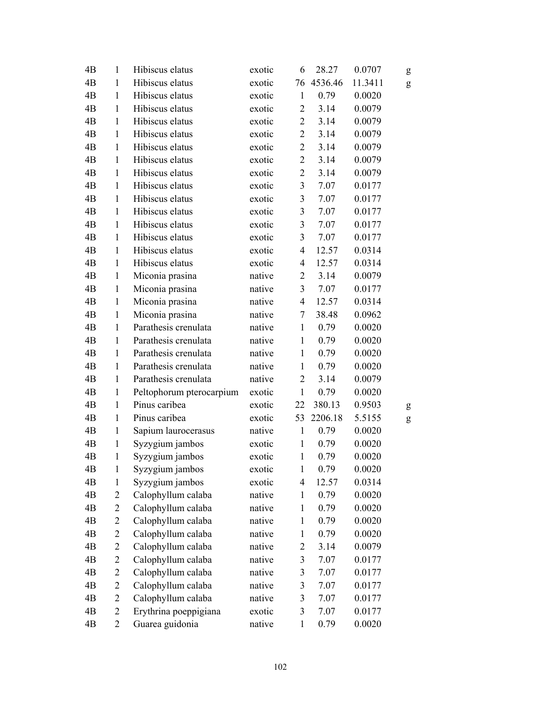| 4B             | $\mathbf{1}$   | Hibiscus elatus          | exotic | 6              | 28.27   | 0.0707  | g |
|----------------|----------------|--------------------------|--------|----------------|---------|---------|---|
| 4 <sub>B</sub> | $\mathbf{1}$   | Hibiscus elatus          | exotic | 76             | 4536.46 | 11.3411 | g |
| 4B             | $\mathbf{1}$   | Hibiscus elatus          | exotic | $\mathbf{1}$   | 0.79    | 0.0020  |   |
| 4B             | $\mathbf{1}$   | Hibiscus elatus          | exotic | $\overline{c}$ | 3.14    | 0.0079  |   |
| 4B             | $\mathbf{1}$   | Hibiscus elatus          | exotic | $\sqrt{2}$     | 3.14    | 0.0079  |   |
| 4B             | $\mathbf{1}$   | Hibiscus elatus          | exotic | $\sqrt{2}$     | 3.14    | 0.0079  |   |
| 4B             | $\mathbf{1}$   | Hibiscus elatus          | exotic | $\overline{2}$ | 3.14    | 0.0079  |   |
| 4B             | $\mathbf{1}$   | Hibiscus elatus          | exotic | $\overline{2}$ | 3.14    | 0.0079  |   |
| 4B             | $\mathbf{1}$   | Hibiscus elatus          | exotic | $\mathbf{2}$   | 3.14    | 0.0079  |   |
| 4B             | $\mathbf{1}$   | Hibiscus elatus          | exotic | $\mathfrak{Z}$ | 7.07    | 0.0177  |   |
| 4B             | $\mathbf{1}$   | Hibiscus elatus          | exotic | 3              | 7.07    | 0.0177  |   |
| 4B             | $\mathbf{1}$   | Hibiscus elatus          | exotic | $\mathfrak{Z}$ | 7.07    | 0.0177  |   |
| 4B             | $\mathbf{1}$   | Hibiscus elatus          | exotic | $\mathfrak{Z}$ | 7.07    | 0.0177  |   |
| 4 <sub>B</sub> | $\mathbf{1}$   | Hibiscus elatus          | exotic | 3              | 7.07    | 0.0177  |   |
| 4B             | $\mathbf{1}$   | Hibiscus elatus          | exotic | $\overline{4}$ | 12.57   | 0.0314  |   |
| 4B             | $\mathbf{1}$   | Hibiscus elatus          | exotic | $\overline{4}$ | 12.57   | 0.0314  |   |
| 4B             | $\mathbf{1}$   | Miconia prasina          | native | $\overline{2}$ | 3.14    | 0.0079  |   |
| 4B             | $\mathbf{1}$   | Miconia prasina          | native | 3              | 7.07    | 0.0177  |   |
| 4B             | $\mathbf{1}$   | Miconia prasina          | native | $\overline{4}$ | 12.57   | 0.0314  |   |
| 4B             | $\mathbf{1}$   | Miconia prasina          | native | $\overline{7}$ | 38.48   | 0.0962  |   |
| 4B             | $\mathbf{1}$   | Parathesis crenulata     | native | $\mathbf{1}$   | 0.79    | 0.0020  |   |
| 4B             | $\mathbf{1}$   | Parathesis crenulata     | native | $\mathbf{1}$   | 0.79    | 0.0020  |   |
| 4B             | $\mathbf{1}$   | Parathesis crenulata     | native | $\mathbf{1}$   | 0.79    | 0.0020  |   |
| 4B             | $\mathbf{1}$   | Parathesis crenulata     | native | $\mathbf{1}$   | 0.79    | 0.0020  |   |
| 4B             | $\mathbf{1}$   | Parathesis crenulata     | native | $\overline{2}$ | 3.14    | 0.0079  |   |
| 4B             | $\mathbf{1}$   | Peltophorum pterocarpium | exotic | $\mathbf{1}$   | 0.79    | 0.0020  |   |
| 4B             | $\mathbf{1}$   | Pinus caribea            | exotic | 22             | 380.13  | 0.9503  | g |
| 4B             | $\mathbf{1}$   | Pinus caribea            | exotic | 53             | 2206.18 | 5.5155  | g |
| 4B             | $\mathbf{1}$   | Sapium laurocerasus      | native | $\mathbf{1}$   | 0.79    | 0.0020  |   |
| 4B             | $\mathbf{1}$   | Syzygium jambos          | exotic | $\mathbf{1}$   | 0.79    | 0.0020  |   |
| 4B             | $\mathbf{1}$   | Syzygium jambos          | exotic | $\mathbf{1}$   | 0.79    | 0.0020  |   |
| 4B             | $\mathbf{1}$   | Syzygium jambos          | exotic | $\mathbf{1}$   | 0.79    | 0.0020  |   |
| 4B             | $\mathbf{1}$   | Syzygium jambos          | exotic | $\overline{4}$ | 12.57   | 0.0314  |   |
| 4B             | $\overline{c}$ | Calophyllum calaba       | native | $\mathbf{1}$   | 0.79    | 0.0020  |   |
| 4B             | $\overline{c}$ | Calophyllum calaba       | native | $\mathbf{1}$   | 0.79    | 0.0020  |   |
| 4B             | $\overline{c}$ | Calophyllum calaba       | native | $\mathbf{1}$   | 0.79    | 0.0020  |   |
| 4B             | $\overline{c}$ | Calophyllum calaba       | native | $\mathbf{1}$   | 0.79    | 0.0020  |   |
| 4B             | $\overline{2}$ | Calophyllum calaba       | native | $\overline{c}$ | 3.14    | 0.0079  |   |
| 4B             | $\overline{c}$ | Calophyllum calaba       | native | 3              | 7.07    | 0.0177  |   |
| 4B             | $\overline{c}$ | Calophyllum calaba       | native | $\mathfrak{Z}$ | 7.07    | 0.0177  |   |
| 4B             | $\overline{c}$ | Calophyllum calaba       | native | 3              | 7.07    | 0.0177  |   |
| 4B             | 2              | Calophyllum calaba       | native | 3              | 7.07    | 0.0177  |   |
| 4B             | $\overline{2}$ | Erythrina poeppigiana    | exotic | $\mathfrak{Z}$ | 7.07    | 0.0177  |   |
| 4B             | $\overline{2}$ | Guarea guidonia          | native | $\mathbf{1}$   | 0.79    | 0.0020  |   |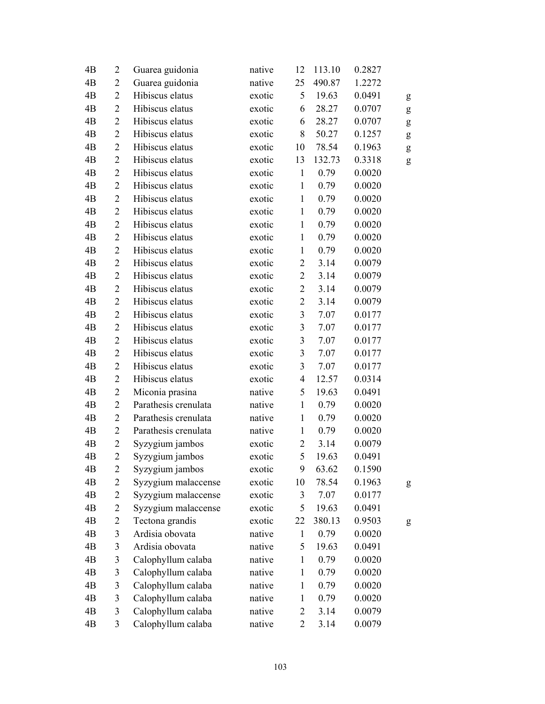| 4B             | $\overline{2}$ | Guarea guidonia      | native | 12                      | 113.10 | 0.2827 |           |
|----------------|----------------|----------------------|--------|-------------------------|--------|--------|-----------|
| 4 <sub>B</sub> | $\overline{2}$ | Guarea guidonia      | native | 25                      | 490.87 | 1.2272 |           |
| 4B             | $\overline{2}$ | Hibiscus elatus      | exotic | 5                       | 19.63  | 0.0491 | g         |
| 4B             | $\overline{2}$ | Hibiscus elatus      | exotic | 6                       | 28.27  | 0.0707 | ${\sf g}$ |
| 4B             | $\overline{2}$ | Hibiscus elatus      | exotic | 6                       | 28.27  | 0.0707 | g         |
| 4B             | $\overline{2}$ | Hibiscus elatus      | exotic | 8                       | 50.27  | 0.1257 | g         |
| 4B             | $\overline{2}$ | Hibiscus elatus      | exotic | 10                      | 78.54  | 0.1963 | g         |
| 4B             | $\overline{2}$ | Hibiscus elatus      | exotic | 13                      | 132.73 | 0.3318 | ${\sf g}$ |
| 4B             | $\overline{2}$ | Hibiscus elatus      | exotic | $\mathbf{1}$            | 0.79   | 0.0020 |           |
| 4B             | $\overline{2}$ | Hibiscus elatus      | exotic | $\mathbf{1}$            | 0.79   | 0.0020 |           |
| 4B             | $\overline{2}$ | Hibiscus elatus      | exotic | $\mathbf{1}$            | 0.79   | 0.0020 |           |
| 4 <sub>B</sub> | $\overline{2}$ | Hibiscus elatus      | exotic | $\mathbf{1}$            | 0.79   | 0.0020 |           |
| 4B             | $\overline{2}$ | Hibiscus elatus      | exotic | $\mathbf{1}$            | 0.79   | 0.0020 |           |
| 4B             | $\overline{2}$ | Hibiscus elatus      | exotic | $\mathbf{1}$            | 0.79   | 0.0020 |           |
| 4B             | $\overline{2}$ | Hibiscus elatus      | exotic | $\mathbf{1}$            | 0.79   | 0.0020 |           |
| 4B             | $\overline{c}$ | Hibiscus elatus      | exotic | $\overline{c}$          | 3.14   | 0.0079 |           |
| 4B             | $\overline{2}$ | Hibiscus elatus      | exotic | $\overline{2}$          | 3.14   | 0.0079 |           |
| 4B             | $\overline{2}$ | Hibiscus elatus      | exotic | $\overline{2}$          | 3.14   | 0.0079 |           |
| 4B             | $\overline{2}$ | Hibiscus elatus      | exotic | $\overline{2}$          | 3.14   | 0.0079 |           |
| 4B             | $\overline{2}$ | Hibiscus elatus      | exotic | 3                       | 7.07   | 0.0177 |           |
| 4B             | $\overline{2}$ | Hibiscus elatus      | exotic | $\mathfrak{Z}$          | 7.07   | 0.0177 |           |
| 4B             | $\overline{2}$ | Hibiscus elatus      | exotic | $\overline{\mathbf{3}}$ | 7.07   | 0.0177 |           |
| 4B             | $\overline{2}$ | Hibiscus elatus      | exotic | 3                       | 7.07   | 0.0177 |           |
| 4B             | $\overline{2}$ | Hibiscus elatus      | exotic | 3                       | 7.07   | 0.0177 |           |
| 4B             | $\overline{2}$ | Hibiscus elatus      | exotic | $\overline{4}$          | 12.57  | 0.0314 |           |
| 4B             | $\mathbf{2}$   | Miconia prasina      | native | 5                       | 19.63  | 0.0491 |           |
| 4B             | $\overline{2}$ | Parathesis crenulata | native | $\mathbf{1}$            | 0.79   | 0.0020 |           |
| 4B             | $\overline{2}$ | Parathesis crenulata | native | $\mathbf{1}$            | 0.79   | 0.0020 |           |
| 4B             | $\overline{2}$ | Parathesis crenulata | native | $\mathbf{1}$            | 0.79   | 0.0020 |           |
| 4B             | $\overline{c}$ | Syzygium jambos      | exotic | $\overline{c}$          | 3.14   | 0.0079 |           |
| 4B             | $\overline{2}$ | Syzygium jambos      | exotic | 5                       | 19.63  | 0.0491 |           |
| 4B             | 2              | Syzygium jambos      | exotic | 9                       | 63.62  | 0.1590 |           |
| 4B             | 2              | Syzygium malaccense  | exotic | 10                      | 78.54  | 0.1963 | g         |
| 4B             | $\overline{c}$ | Syzygium malaccense  | exotic | 3                       | 7.07   | 0.0177 |           |
| 4B             | $\overline{c}$ | Syzygium malaccense  | exotic | 5                       | 19.63  | 0.0491 |           |
| 4B             | $\overline{c}$ | Tectona grandis      | exotic | 22                      | 380.13 | 0.9503 | g         |
| 4B             | 3              | Ardisia obovata      | native | $\mathbf{1}$            | 0.79   | 0.0020 |           |
| 4B             | $\mathfrak{Z}$ | Ardisia obovata      | native | 5                       | 19.63  | 0.0491 |           |
| 4B             | $\mathfrak{Z}$ | Calophyllum calaba   | native | $\mathbf{1}$            | 0.79   | 0.0020 |           |
| 4B             | $\mathfrak{Z}$ | Calophyllum calaba   | native | $\mathbf{1}$            | 0.79   | 0.0020 |           |
| 4B             | 3              | Calophyllum calaba   | native | $\mathbf{1}$            | 0.79   | 0.0020 |           |
| 4B             | 3              | Calophyllum calaba   | native | $\mathbf{1}$            | 0.79   | 0.0020 |           |
| 4B             | $\mathfrak{Z}$ | Calophyllum calaba   | native | $\overline{c}$          | 3.14   | 0.0079 |           |
| 4B             | $\mathfrak{Z}$ | Calophyllum calaba   | native | $\overline{2}$          | 3.14   | 0.0079 |           |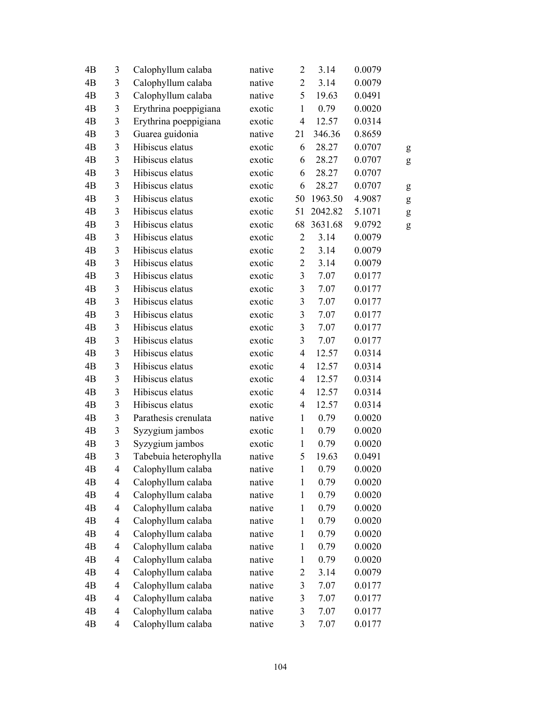| 4B             | 3                        | Calophyllum calaba    | native | $\overline{c}$          | 3.14    | 0.0079 |   |
|----------------|--------------------------|-----------------------|--------|-------------------------|---------|--------|---|
| 4 <sub>B</sub> | $\mathfrak{Z}$           | Calophyllum calaba    | native | $\mathbf{2}$            | 3.14    | 0.0079 |   |
| 4B             | $\mathfrak{Z}$           | Calophyllum calaba    | native | 5                       | 19.63   | 0.0491 |   |
| 4B             | $\mathfrak{Z}$           | Erythrina poeppigiana | exotic | $\mathbf{1}$            | 0.79    | 0.0020 |   |
| 4 <sub>B</sub> | $\mathfrak{Z}$           | Erythrina poeppigiana | exotic | $\overline{4}$          | 12.57   | 0.0314 |   |
| 4B             | $\mathfrak{Z}$           | Guarea guidonia       | native | 21                      | 346.36  | 0.8659 |   |
| 4 <sub>B</sub> | $\mathfrak{Z}$           | Hibiscus elatus       | exotic | 6                       | 28.27   | 0.0707 | g |
| 4B             | $\mathfrak{Z}$           | Hibiscus elatus       | exotic | 6                       | 28.27   | 0.0707 | g |
| 4B             | 3                        | Hibiscus elatus       | exotic | 6                       | 28.27   | 0.0707 |   |
| 4 <sub>B</sub> | $\mathfrak{Z}$           | Hibiscus elatus       | exotic | 6                       | 28.27   | 0.0707 | g |
| 4B             | 3                        | Hibiscus elatus       | exotic | 50                      | 1963.50 | 4.9087 | g |
| 4B             | $\mathfrak{Z}$           | Hibiscus elatus       | exotic | 51                      | 2042.82 | 5.1071 | g |
| 4B             | $\mathfrak{Z}$           | Hibiscus elatus       | exotic | 68                      | 3631.68 | 9.0792 | g |
| 4B             | 3                        | Hibiscus elatus       | exotic | $\overline{2}$          | 3.14    | 0.0079 |   |
| 4B             | $\mathfrak{Z}$           | Hibiscus elatus       | exotic | $\overline{2}$          | 3.14    | 0.0079 |   |
| 4B             | $\mathfrak{Z}$           | Hibiscus elatus       | exotic | $\overline{2}$          | 3.14    | 0.0079 |   |
| 4B             | $\mathfrak{Z}$           | Hibiscus elatus       | exotic | $\overline{\mathbf{3}}$ | 7.07    | 0.0177 |   |
| 4B             | 3                        | Hibiscus elatus       | exotic | $\overline{\mathbf{3}}$ | 7.07    | 0.0177 |   |
| 4 <sub>B</sub> | 3                        | Hibiscus elatus       | exotic | $\overline{\mathbf{3}}$ | 7.07    | 0.0177 |   |
| 4B             | $\mathfrak{Z}$           | Hibiscus elatus       | exotic | $\overline{\mathbf{3}}$ | 7.07    | 0.0177 |   |
| 4B             | $\mathfrak{Z}$           | Hibiscus elatus       | exotic | $\mathfrak{Z}$          | 7.07    | 0.0177 |   |
| 4 <sub>B</sub> | $\mathfrak{Z}$           | Hibiscus elatus       | exotic | $\mathfrak{Z}$          | 7.07    | 0.0177 |   |
| 4B             | $\mathfrak{Z}$           | Hibiscus elatus       | exotic | $\overline{4}$          | 12.57   | 0.0314 |   |
| 4B             | $\overline{3}$           | Hibiscus elatus       | exotic | $\overline{4}$          | 12.57   | 0.0314 |   |
| 4B             | $\mathfrak{Z}$           | Hibiscus elatus       | exotic | $\overline{4}$          | 12.57   | 0.0314 |   |
| 4B             | $\mathfrak{Z}$           | Hibiscus elatus       | exotic | 4                       | 12.57   | 0.0314 |   |
| 4B             | $\mathfrak{Z}$           | Hibiscus elatus       | exotic | $\overline{4}$          | 12.57   | 0.0314 |   |
| 4B             | 3                        | Parathesis crenulata  | native | $\mathbf{1}$            | 0.79    | 0.0020 |   |
| 4 <sub>B</sub> | $\mathfrak{Z}$           | Syzygium jambos       | exotic | $\mathbf{1}$            | 0.79    | 0.0020 |   |
| 4B             | 3                        | Syzygium jambos       | exotic | $\mathbf{1}$            | 0.79    | 0.0020 |   |
| 4 <sub>B</sub> | 3                        | Tabebuia heterophylla | native | 5                       | 19.63   | 0.0491 |   |
| 4B             | $\overline{4}$           | Calophyllum calaba    | native | $\mathbf{1}$            | 0.79    | 0.0020 |   |
| 4B             | $\overline{\mathcal{A}}$ | Calophyllum calaba    | native | $\mathbf{1}$            | 0.79    | 0.0020 |   |
| 4B             | $\overline{\mathcal{L}}$ | Calophyllum calaba    | native | $\mathbf{1}$            | 0.79    | 0.0020 |   |
| 4B             | $\overline{\mathcal{L}}$ | Calophyllum calaba    | native | $\mathbf{1}$            | 0.79    | 0.0020 |   |
| 4B             | $\overline{4}$           | Calophyllum calaba    | native | $\mathbf{1}$            | 0.79    | 0.0020 |   |
| 4B             | $\overline{\mathcal{A}}$ | Calophyllum calaba    | native | $\mathbf{1}$            | 0.79    | 0.0020 |   |
| 4B             | $\overline{\mathcal{A}}$ | Calophyllum calaba    | native | $\mathbf{1}$            | 0.79    | 0.0020 |   |
| 4B             | $\overline{\mathcal{A}}$ | Calophyllum calaba    | native | $\mathbf{1}$            | 0.79    | 0.0020 |   |
| 4B             | $\overline{\mathcal{L}}$ | Calophyllum calaba    | native | $\overline{c}$          | 3.14    | 0.0079 |   |
| 4B             | $\overline{4}$           | Calophyllum calaba    | native | 3                       | 7.07    | 0.0177 |   |
| 4B             | 4                        | Calophyllum calaba    | native | $\mathfrak{Z}$          | 7.07    | 0.0177 |   |
| 4B             | $\overline{\mathcal{A}}$ | Calophyllum calaba    | native | $\mathfrak{Z}$          | 7.07    | 0.0177 |   |
| 4B             | $\overline{4}$           | Calophyllum calaba    | native | $\mathfrak{Z}$          | 7.07    | 0.0177 |   |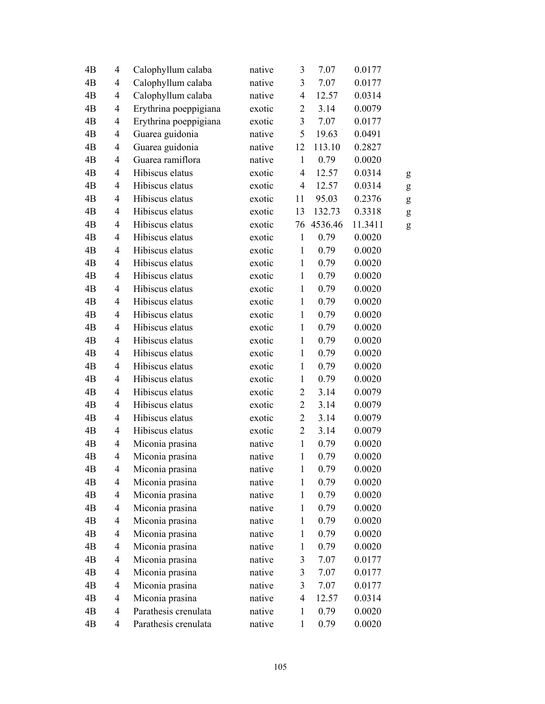| 4B             | $\overline{4}$           | Calophyllum calaba    | native | 3                        | 7.07    | 0.0177  |   |
|----------------|--------------------------|-----------------------|--------|--------------------------|---------|---------|---|
| 4B             | $\overline{4}$           | Calophyllum calaba    | native | 3                        | 7.07    | 0.0177  |   |
| 4B             | 4                        | Calophyllum calaba    | native | $\overline{4}$           | 12.57   | 0.0314  |   |
| 4B             | $\overline{4}$           | Erythrina poeppigiana | exotic | $\overline{c}$           | 3.14    | 0.0079  |   |
| 4B             | $\overline{4}$           | Erythrina poeppigiana | exotic | $\overline{3}$           | 7.07    | 0.0177  |   |
| 4B             | 4                        | Guarea guidonia       | native | 5                        | 19.63   | 0.0491  |   |
| 4B             | 4                        | Guarea guidonia       | native | 12                       | 113.10  | 0.2827  |   |
| 4B             | $\overline{4}$           | Guarea ramiflora      | native | $\mathbf{1}$             | 0.79    | 0.0020  |   |
| 4B             | 4                        | Hibiscus elatus       | exotic | 4                        | 12.57   | 0.0314  | g |
| 4B             | $\overline{4}$           | Hibiscus elatus       | exotic | $\overline{4}$           | 12.57   | 0.0314  | g |
| 4B             | $\overline{4}$           | Hibiscus elatus       | exotic | 11                       | 95.03   | 0.2376  | g |
| 4B             | $\overline{4}$           | Hibiscus elatus       | exotic | 13                       | 132.73  | 0.3318  | g |
| 4B             | $\overline{4}$           | Hibiscus elatus       | exotic | 76                       | 4536.46 | 11.3411 | g |
| 4B             | $\overline{4}$           | Hibiscus elatus       | exotic | $\mathbf{1}$             | 0.79    | 0.0020  |   |
| 4B             | $\overline{4}$           | Hibiscus elatus       | exotic | $\mathbf{1}$             | 0.79    | 0.0020  |   |
| 4B             | $\overline{4}$           | Hibiscus elatus       | exotic | $\mathbf{1}$             | 0.79    | 0.0020  |   |
| 4B             | $\overline{4}$           | Hibiscus elatus       | exotic | $\mathbf{1}$             | 0.79    | 0.0020  |   |
| 4B             | 4                        | Hibiscus elatus       | exotic | $\mathbf{1}$             | 0.79    | 0.0020  |   |
| 4 <sub>B</sub> | $\overline{4}$           | Hibiscus elatus       | exotic | $\mathbf{1}$             | 0.79    | 0.0020  |   |
| 4B             | $\overline{4}$           | Hibiscus elatus       | exotic | $\mathbf{1}$             | 0.79    | 0.0020  |   |
| 4B             | 4                        | Hibiscus elatus       | exotic | $\mathbf{1}$             | 0.79    | 0.0020  |   |
| 4B             | $\overline{4}$           | Hibiscus elatus       | exotic | $\mathbf{1}$             | 0.79    | 0.0020  |   |
| 4B             | $\overline{4}$           | Hibiscus elatus       | exotic | $\mathbf{1}$             | 0.79    | 0.0020  |   |
| 4B             | $\overline{4}$           | Hibiscus elatus       | exotic | $\mathbf{1}$             | 0.79    | 0.0020  |   |
| 4B             | $\overline{4}$           | Hibiscus elatus       | exotic | $\mathbf{1}$             | 0.79    | 0.0020  |   |
| 4B             | 4                        | Hibiscus elatus       | exotic | 2                        | 3.14    | 0.0079  |   |
| 4B             | $\overline{4}$           | Hibiscus elatus       | exotic | $\overline{2}$           | 3.14    | 0.0079  |   |
| 4B             | $\overline{4}$           | Hibiscus elatus       | exotic | $\overline{2}$           | 3.14    | 0.0079  |   |
| 4B             | $\overline{4}$           | Hibiscus elatus       | exotic | $\overline{2}$           | 3.14    | 0.0079  |   |
| 4B             | 4                        | Miconia prasina       | native | $\mathbf{1}$             | 0.79    | 0.0020  |   |
| 4 <sub>B</sub> | $\overline{4}$           | Miconia prasina       | native | $\mathbf 1$              | 0.79    | 0.0020  |   |
| 4B             | $\overline{4}$           | Miconia prasina       | native | $\mathbf{1}$             | 0.79    | 0.0020  |   |
| 4B             | 4                        | Miconia prasina       | native | $\mathbf{1}$             | 0.79    | 0.0020  |   |
| 4B             | $\overline{\mathcal{A}}$ | Miconia prasina       | native | $\mathbf{1}$             | 0.79    | 0.0020  |   |
| 4B             | $\overline{\mathcal{A}}$ | Miconia prasina       | native | $\mathbf{1}$             | 0.79    | 0.0020  |   |
| 4B             | $\overline{\mathcal{A}}$ | Miconia prasina       | native | $\mathbf{1}$             | 0.79    | 0.0020  |   |
| 4B             | $\overline{\mathcal{A}}$ | Miconia prasina       | native | $\mathbf{1}$             | 0.79    | 0.0020  |   |
| 4B             | $\overline{\mathcal{A}}$ | Miconia prasina       | native | $\mathbf{1}$             | 0.79    | 0.0020  |   |
| 4B             | $\overline{\mathcal{A}}$ | Miconia prasina       | native | 3                        | 7.07    | 0.0177  |   |
| 4B             | $\overline{\mathcal{A}}$ | Miconia prasina       | native | 3                        | 7.07    | 0.0177  |   |
| 4B             | $\overline{\mathcal{A}}$ | Miconia prasina       | native | $\overline{\mathbf{3}}$  | 7.07    | 0.0177  |   |
| 4B             | 4                        | Miconia prasina       | native | $\overline{\mathcal{A}}$ | 12.57   | 0.0314  |   |
| 4B             | $\overline{4}$           | Parathesis crenulata  | native | $\mathbf{1}$             | 0.79    | 0.0020  |   |
| 4B             | $\overline{4}$           | Parathesis crenulata  | native | $\mathbf{1}$             | 0.79    | 0.0020  |   |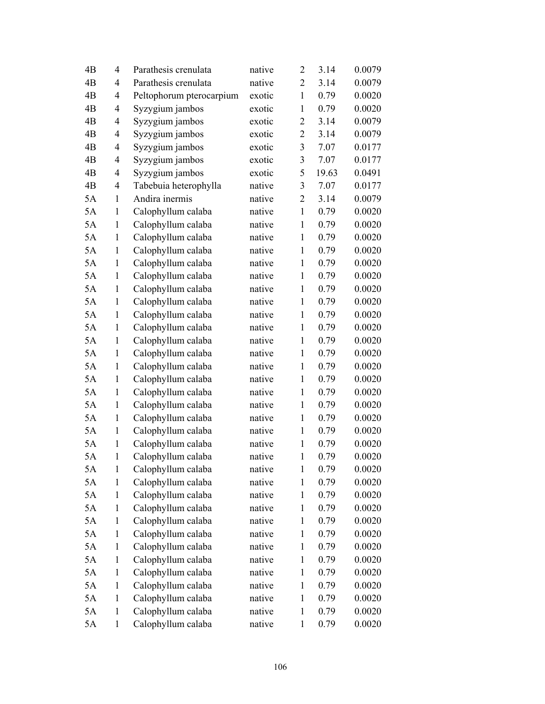| 4B             | 4            | Parathesis crenulata     | native | $\overline{2}$ | 3.14  | 0.0079 |
|----------------|--------------|--------------------------|--------|----------------|-------|--------|
| 4B             | 4            | Parathesis crenulata     | native | $\overline{2}$ | 3.14  | 0.0079 |
| 4B             | 4            | Peltophorum pterocarpium | exotic | $\mathbf{1}$   | 0.79  | 0.0020 |
| 4B             | 4            | Syzygium jambos          | exotic | $\mathbf{1}$   | 0.79  | 0.0020 |
| 4B             | 4            | Syzygium jambos          | exotic | $\overline{c}$ | 3.14  | 0.0079 |
| 4B             | 4            | Syzygium jambos          | exotic | $\overline{2}$ | 3.14  | 0.0079 |
| 4 <sub>B</sub> | 4            | Syzygium jambos          | exotic | 3              | 7.07  | 0.0177 |
| 4B             | 4            | Syzygium jambos          | exotic | 3              | 7.07  | 0.0177 |
| 4B             | 4            | Syzygium jambos          | exotic | 5              | 19.63 | 0.0491 |
| 4B             | 4            | Tabebuia heterophylla    | native | 3              | 7.07  | 0.0177 |
| 5A             | 1            | Andira inermis           | native | $\overline{2}$ | 3.14  | 0.0079 |
| 5A             | 1            | Calophyllum calaba       | native | $\mathbf{1}$   | 0.79  | 0.0020 |
| 5A             | 1            | Calophyllum calaba       | native | $\mathbf{1}$   | 0.79  | 0.0020 |
| 5A             | $\mathbf{1}$ | Calophyllum calaba       | native | $\mathbf{1}$   | 0.79  | 0.0020 |
| 5A             | $\mathbf{1}$ | Calophyllum calaba       | native | $\mathbf{1}$   | 0.79  | 0.0020 |
| 5A             | 1            | Calophyllum calaba       | native | $\mathbf{1}$   | 0.79  | 0.0020 |
| 5A             | $\mathbf{1}$ | Calophyllum calaba       | native | $\mathbf{1}$   | 0.79  | 0.0020 |
| 5A             | 1            | Calophyllum calaba       | native | $\mathbf{1}$   | 0.79  | 0.0020 |
| 5A             | $\mathbf{1}$ | Calophyllum calaba       | native | $\mathbf{1}$   | 0.79  | 0.0020 |
| 5A             | $\mathbf{1}$ | Calophyllum calaba       | native | $\mathbf{1}$   | 0.79  | 0.0020 |
| 5A             | $\mathbf{1}$ | Calophyllum calaba       | native | $\mathbf{1}$   | 0.79  | 0.0020 |
| 5A             | $\mathbf{1}$ | Calophyllum calaba       | native | $\mathbf{1}$   | 0.79  | 0.0020 |
| 5A             | 1            | Calophyllum calaba       | native | $\mathbf{1}$   | 0.79  | 0.0020 |
| 5A             | $\mathbf{1}$ | Calophyllum calaba       | native | $\mathbf{1}$   | 0.79  | 0.0020 |
| 5A             | 1            | Calophyllum calaba       | native | $\mathbf{1}$   | 0.79  | 0.0020 |
| 5A             | $\mathbf{1}$ | Calophyllum calaba       | native | $\mathbf{1}$   | 0.79  | 0.0020 |
| 5A             | $\mathbf{1}$ | Calophyllum calaba       | native | $\mathbf{1}$   | 0.79  | 0.0020 |
| 5A             | $\mathbf{1}$ | Calophyllum calaba       | native | $\mathbf{1}$   | 0.79  | 0.0020 |
| 5A             | $\mathbf{1}$ | Calophyllum calaba       | native | $\mathbf{1}$   | 0.79  | 0.0020 |
| 5A             | 1            | Calophyllum calaba       | native | $\mathbf{1}$   | 0.79  | 0.0020 |
| 5A             | $\mathbf{1}$ | Calophyllum calaba       | native | 1              | 0.79  | 0.0020 |
| 5A             | $\mathbf{1}$ | Calophyllum calaba       | native | $\mathbf{1}$   | 0.79  | 0.0020 |
| 5A             | 1            | Calophyllum calaba       | native | 1              | 0.79  | 0.0020 |
| 5A             | $\mathbf{1}$ | Calophyllum calaba       | native | 1              | 0.79  | 0.0020 |
| 5A             | $\mathbf{1}$ | Calophyllum calaba       | native | 1              | 0.79  | 0.0020 |
| 5A             | $\mathbf{1}$ | Calophyllum calaba       | native | $\mathbf{1}$   | 0.79  | 0.0020 |
| 5A             | $\mathbf{1}$ | Calophyllum calaba       | native | 1              | 0.79  | 0.0020 |
| 5A             | 1            | Calophyllum calaba       | native | 1              | 0.79  | 0.0020 |
| 5A             | $\mathbf{1}$ | Calophyllum calaba       | native | $\mathbf{1}$   | 0.79  | 0.0020 |
| 5A             | $\mathbf{1}$ | Calophyllum calaba       | native | 1              | 0.79  | 0.0020 |
| 5A             | $\mathbf{1}$ | Calophyllum calaba       | native | $\mathbf{1}$   | 0.79  | 0.0020 |
| 5A             | $\mathbf{1}$ | Calophyllum calaba       | native | 1              | 0.79  | 0.0020 |
| 5A             | 1            | Calophyllum calaba       | native | 1              | 0.79  | 0.0020 |
| 5A             | $\mathbf{1}$ | Calophyllum calaba       | native | $\mathbf{1}$   | 0.79  | 0.0020 |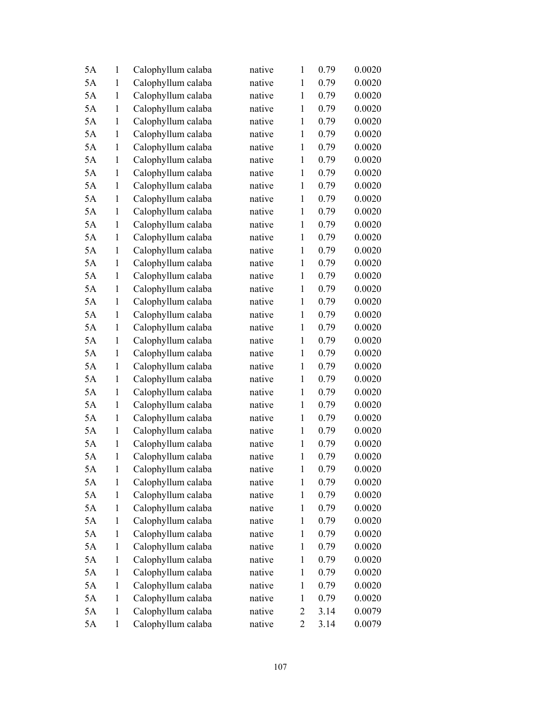| 5A | 1            | Calophyllum calaba | native | 1              | 0.79 | 0.0020 |
|----|--------------|--------------------|--------|----------------|------|--------|
| 5A | $\mathbf{1}$ | Calophyllum calaba | native | $\mathbf{1}$   | 0.79 | 0.0020 |
| 5A | $\mathbf{1}$ | Calophyllum calaba | native | $\mathbf{1}$   | 0.79 | 0.0020 |
| 5A | 1            | Calophyllum calaba | native | $\mathbf{1}$   | 0.79 | 0.0020 |
| 5A | $\mathbf{1}$ | Calophyllum calaba | native | $\mathbf{1}$   | 0.79 | 0.0020 |
| 5A | 1            | Calophyllum calaba | native | $\mathbf{1}$   | 0.79 | 0.0020 |
| 5A | 1            | Calophyllum calaba | native | $\mathbf{1}$   | 0.79 | 0.0020 |
| 5A | 1            | Calophyllum calaba | native | $\mathbf{1}$   | 0.79 | 0.0020 |
| 5A | $\mathbf{1}$ | Calophyllum calaba | native | $\mathbf{1}$   | 0.79 | 0.0020 |
| 5A | $\mathbf{1}$ | Calophyllum calaba | native | $\mathbf{1}$   | 0.79 | 0.0020 |
| 5A | 1            | Calophyllum calaba | native | $\mathbf{1}$   | 0.79 | 0.0020 |
| 5A | $\mathbf{1}$ | Calophyllum calaba | native | $\mathbf{1}$   | 0.79 | 0.0020 |
| 5A | 1            | Calophyllum calaba | native | $\mathbf{1}$   | 0.79 | 0.0020 |
| 5A | $\mathbf{1}$ | Calophyllum calaba | native | $\mathbf{1}$   | 0.79 | 0.0020 |
| 5A | $\mathbf{1}$ | Calophyllum calaba | native | $\mathbf{1}$   | 0.79 | 0.0020 |
| 5A | $\mathbf{1}$ | Calophyllum calaba | native | $\mathbf{1}$   | 0.79 | 0.0020 |
| 5A | $\mathbf{1}$ | Calophyllum calaba | native | $\mathbf{1}$   | 0.79 | 0.0020 |
| 5A | $\mathbf{1}$ | Calophyllum calaba | native | $\mathbf{1}$   | 0.79 | 0.0020 |
| 5A | $\mathbf{1}$ | Calophyllum calaba | native | $\mathbf{1}$   | 0.79 | 0.0020 |
| 5A | $\mathbf{1}$ | Calophyllum calaba | native | $\mathbf{1}$   | 0.79 | 0.0020 |
| 5A | $\mathbf{1}$ | Calophyllum calaba | native | $\mathbf{1}$   | 0.79 | 0.0020 |
| 5A | $\mathbf{1}$ | Calophyllum calaba | native | $\mathbf{1}$   | 0.79 | 0.0020 |
| 5A | 1            | Calophyllum calaba | native | $\mathbf{1}$   | 0.79 | 0.0020 |
| 5A | $\mathbf{1}$ | Calophyllum calaba | native | $\mathbf{1}$   | 0.79 | 0.0020 |
| 5A | 1            | Calophyllum calaba | native | 1              | 0.79 | 0.0020 |
| 5A | 1            | Calophyllum calaba | native | $\mathbf{1}$   | 0.79 | 0.0020 |
| 5A | $\mathbf{1}$ | Calophyllum calaba | native | $\mathbf{1}$   | 0.79 | 0.0020 |
| 5A | $\mathbf{1}$ | Calophyllum calaba | native | $\mathbf{1}$   | 0.79 | 0.0020 |
| 5A | $\mathbf{1}$ | Calophyllum calaba | native | $\mathbf{1}$   | 0.79 | 0.0020 |
| 5A | 1            | Calophyllum calaba | native | $\mathbf{1}$   | 0.79 | 0.0020 |
| 5A | $\mathbf{1}$ | Calophyllum calaba | native | 1              | 0.79 | 0.0020 |
| 5A | $\mathbf{1}$ | Calophyllum calaba | native | $\mathbf{1}$   | 0.79 | 0.0020 |
| 5A | 1            | Calophyllum calaba | native | $\mathbf{1}$   | 0.79 | 0.0020 |
| 5A | $\mathbf{1}$ | Calophyllum calaba | native | $\mathbf{1}$   | 0.79 | 0.0020 |
| 5A | $\mathbf{1}$ | Calophyllum calaba | native | $\mathbf{1}$   | 0.79 | 0.0020 |
| 5A | $\mathbf{1}$ | Calophyllum calaba | native | $\mathbf{1}$   | 0.79 | 0.0020 |
| 5A | $\mathbf{1}$ | Calophyllum calaba | native | 1              | 0.79 | 0.0020 |
| 5A | $\mathbf{1}$ | Calophyllum calaba | native | $\mathbf{1}$   | 0.79 | 0.0020 |
| 5A | $\mathbf{1}$ | Calophyllum calaba | native | $\mathbf{1}$   | 0.79 | 0.0020 |
| 5A | $\mathbf{1}$ | Calophyllum calaba | native | $\mathbf{1}$   | 0.79 | 0.0020 |
| 5A | $\mathbf{1}$ | Calophyllum calaba | native | $\mathbf{1}$   | 0.79 | 0.0020 |
| 5A | 1            | Calophyllum calaba | native | $\mathbf{1}$   | 0.79 | 0.0020 |
| 5A | $\mathbf{1}$ | Calophyllum calaba | native | $\overline{c}$ | 3.14 | 0.0079 |
| 5A | $\mathbf{1}$ | Calophyllum calaba | native | $\overline{2}$ | 3.14 | 0.0079 |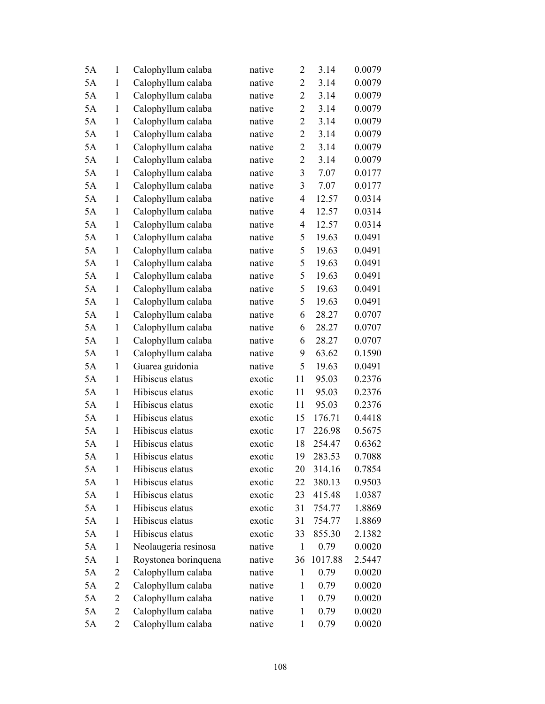| 5A | 1              | Calophyllum calaba   | native | $\overline{2}$ | 3.14    | 0.0079 |
|----|----------------|----------------------|--------|----------------|---------|--------|
| 5A | $\mathbf{1}$   | Calophyllum calaba   | native | $\overline{2}$ | 3.14    | 0.0079 |
| 5A | $\mathbf{1}$   | Calophyllum calaba   | native | $\overline{2}$ | 3.14    | 0.0079 |
| 5A | $\mathbf{1}$   | Calophyllum calaba   | native | $\overline{2}$ | 3.14    | 0.0079 |
| 5A | $\mathbf{1}$   | Calophyllum calaba   | native | $\overline{2}$ | 3.14    | 0.0079 |
| 5A | $\mathbf{1}$   | Calophyllum calaba   | native | $\overline{2}$ | 3.14    | 0.0079 |
| 5A | $\mathbf{1}$   | Calophyllum calaba   | native | $\overline{2}$ | 3.14    | 0.0079 |
| 5A | $\mathbf{1}$   | Calophyllum calaba   | native | $\overline{2}$ | 3.14    | 0.0079 |
| 5A | $\mathbf{1}$   | Calophyllum calaba   | native | 3              | 7.07    | 0.0177 |
| 5A | $\mathbf{1}$   | Calophyllum calaba   | native | 3              | 7.07    | 0.0177 |
| 5A | $\mathbf{1}$   | Calophyllum calaba   | native | $\overline{4}$ | 12.57   | 0.0314 |
| 5A | $\mathbf{1}$   | Calophyllum calaba   | native | 4              | 12.57   | 0.0314 |
| 5A | $\mathbf{1}$   | Calophyllum calaba   | native | $\overline{4}$ | 12.57   | 0.0314 |
| 5A | $\mathbf{1}$   | Calophyllum calaba   | native | 5              | 19.63   | 0.0491 |
| 5A | $\mathbf{1}$   | Calophyllum calaba   | native | 5              | 19.63   | 0.0491 |
| 5A | $\mathbf{1}$   | Calophyllum calaba   | native | 5              | 19.63   | 0.0491 |
| 5A | $\mathbf{1}$   | Calophyllum calaba   | native | 5              | 19.63   | 0.0491 |
| 5A | $\mathbf{1}$   | Calophyllum calaba   | native | 5              | 19.63   | 0.0491 |
| 5A | $\mathbf{1}$   | Calophyllum calaba   | native | 5              | 19.63   | 0.0491 |
| 5A | $\mathbf{1}$   | Calophyllum calaba   | native | 6              | 28.27   | 0.0707 |
| 5A | $\mathbf{1}$   | Calophyllum calaba   | native | 6              | 28.27   | 0.0707 |
| 5A | $\mathbf{1}$   | Calophyllum calaba   | native | 6              | 28.27   | 0.0707 |
| 5A | $\mathbf{1}$   | Calophyllum calaba   | native | 9              | 63.62   | 0.1590 |
| 5A | $\mathbf{1}$   | Guarea guidonia      | native | 5              | 19.63   | 0.0491 |
| 5A | 1              | Hibiscus elatus      | exotic | 11             | 95.03   | 0.2376 |
| 5A | $\mathbf{1}$   | Hibiscus elatus      | exotic | 11             | 95.03   | 0.2376 |
| 5A | $\mathbf{1}$   | Hibiscus elatus      | exotic | 11             | 95.03   | 0.2376 |
| 5A | $\mathbf{1}$   | Hibiscus elatus      | exotic | 15             | 176.71  | 0.4418 |
| 5A | $\mathbf{1}$   | Hibiscus elatus      | exotic | 17             | 226.98  | 0.5675 |
| 5A | 1              | Hibiscus elatus      | exotic | 18             | 254.47  | 0.6362 |
| 5A | $\mathbf{1}$   | Hibiscus elatus      | exotic | 19             | 283.53  | 0.7088 |
| 5A | 1              | Hibiscus elatus      | exotic | 20             | 314.16  | 0.7854 |
| 5A | 1              | Hibiscus elatus      | exotic | 22             | 380.13  | 0.9503 |
| 5A | 1              | Hibiscus elatus      | exotic | 23             | 415.48  | 1.0387 |
| 5A | 1              | Hibiscus elatus      | exotic | 31             | 754.77  | 1.8869 |
| 5A | $\mathbf{1}$   | Hibiscus elatus      | exotic | 31             | 754.77  | 1.8869 |
| 5A | 1              | Hibiscus elatus      | exotic | 33             | 855.30  | 2.1382 |
| 5A | 1              | Neolaugeria resinosa | native | $\mathbf{1}$   | 0.79    | 0.0020 |
| 5A | 1              | Roystonea borinquena | native | 36             | 1017.88 | 2.5447 |
| 5A | 2              | Calophyllum calaba   | native | $\mathbf{1}$   | 0.79    | 0.0020 |
| 5A | 2              | Calophyllum calaba   | native | $\mathbf{1}$   | 0.79    | 0.0020 |
| 5A | 2              | Calophyllum calaba   | native | 1              | 0.79    | 0.0020 |
| 5A | $\overline{2}$ | Calophyllum calaba   | native | 1              | 0.79    | 0.0020 |
| 5A | $\overline{2}$ | Calophyllum calaba   | native | $\mathbf{1}$   | 0.79    | 0.0020 |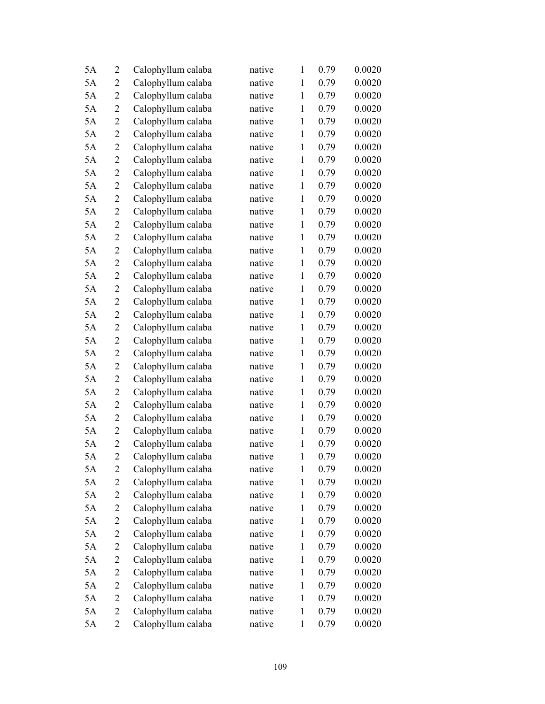| 5A | $\overline{2}$ | Calophyllum calaba | native | $\mathbf{1}$ | 0.79 | 0.0020 |
|----|----------------|--------------------|--------|--------------|------|--------|
| 5A | $\overline{2}$ | Calophyllum calaba | native | $\mathbf{1}$ | 0.79 | 0.0020 |
| 5A | $\overline{2}$ | Calophyllum calaba | native | $\mathbf{1}$ | 0.79 | 0.0020 |
| 5A | 2              | Calophyllum calaba | native | $\mathbf{1}$ | 0.79 | 0.0020 |
| 5A | $\overline{2}$ | Calophyllum calaba | native | $\mathbf{1}$ | 0.79 | 0.0020 |
| 5A | $\overline{2}$ | Calophyllum calaba | native | $\mathbf{1}$ | 0.79 | 0.0020 |
| 5A | $\overline{c}$ | Calophyllum calaba | native | $\mathbf{1}$ | 0.79 | 0.0020 |
| 5A | $\overline{2}$ | Calophyllum calaba | native | $\mathbf{1}$ | 0.79 | 0.0020 |
| 5A | $\overline{2}$ | Calophyllum calaba | native | $\mathbf{1}$ | 0.79 | 0.0020 |
| 5A | $\overline{c}$ | Calophyllum calaba | native | $\mathbf{1}$ | 0.79 | 0.0020 |
| 5A | 2              | Calophyllum calaba | native | $\mathbf{1}$ | 0.79 | 0.0020 |
| 5A | $\overline{c}$ | Calophyllum calaba | native | $\mathbf{1}$ | 0.79 | 0.0020 |
| 5A | $\overline{c}$ | Calophyllum calaba | native | $\mathbf{1}$ | 0.79 | 0.0020 |
| 5A | $\overline{2}$ | Calophyllum calaba | native | $\mathbf{1}$ | 0.79 | 0.0020 |
| 5A | $\overline{c}$ | Calophyllum calaba | native | $\mathbf{1}$ | 0.79 | 0.0020 |
| 5A | 2              | Calophyllum calaba | native | $\mathbf{1}$ | 0.79 | 0.0020 |
| 5A | $\overline{2}$ | Calophyllum calaba | native | $\mathbf{1}$ | 0.79 | 0.0020 |
| 5A | $\overline{2}$ | Calophyllum calaba | native | $\mathbf{1}$ | 0.79 | 0.0020 |
| 5A | $\overline{2}$ | Calophyllum calaba | native | $\mathbf{1}$ | 0.79 | 0.0020 |
| 5A | $\overline{2}$ | Calophyllum calaba | native | $\mathbf{1}$ | 0.79 | 0.0020 |
| 5A | 2              | Calophyllum calaba | native | $\mathbf{1}$ | 0.79 | 0.0020 |
| 5A | $\overline{c}$ | Calophyllum calaba | native | $\mathbf{1}$ | 0.79 | 0.0020 |
| 5A | $\overline{2}$ | Calophyllum calaba | native | $\mathbf{1}$ | 0.79 | 0.0020 |
| 5A | $\overline{2}$ | Calophyllum calaba | native | $\mathbf{1}$ | 0.79 | 0.0020 |
| 5A | $\overline{c}$ | Calophyllum calaba | native | 1            | 0.79 | 0.0020 |
| 5A | $\overline{2}$ | Calophyllum calaba | native | $\mathbf{1}$ | 0.79 | 0.0020 |
| 5A | $\overline{c}$ | Calophyllum calaba | native | $\mathbf{1}$ | 0.79 | 0.0020 |
| 5A | 2              | Calophyllum calaba | native | $\mathbf{1}$ | 0.79 | 0.0020 |
| 5A | $\overline{2}$ | Calophyllum calaba | native | $\mathbf{1}$ | 0.79 | 0.0020 |
| 5A | $\overline{2}$ | Calophyllum calaba | native | $\mathbf{1}$ | 0.79 | 0.0020 |
| 5A | $\overline{2}$ | Calophyllum calaba | native | 1            | 0.79 | 0.0020 |
| 5A | 2              | Calophyllum calaba | native | $\mathbf{1}$ | 0.79 | 0.0020 |
| 5A | 2              | Calophyllum calaba | native | $\mathbf{1}$ | 0.79 | 0.0020 |
| 5A | 2              | Calophyllum calaba | native | $\mathbf{1}$ | 0.79 | 0.0020 |
| 5A | 2              | Calophyllum calaba | native | $\mathbf{1}$ | 0.79 | 0.0020 |
| 5A | $\overline{c}$ | Calophyllum calaba | native | $\mathbf{1}$ | 0.79 | 0.0020 |
| 5A | 2              | Calophyllum calaba | native | 1            | 0.79 | 0.0020 |
| 5A | 2              | Calophyllum calaba | native | $\mathbf{1}$ | 0.79 | 0.0020 |
| 5A | 2              | Calophyllum calaba | native | $\mathbf{1}$ | 0.79 | 0.0020 |
| 5A | 2              | Calophyllum calaba | native | $\mathbf{1}$ | 0.79 | 0.0020 |
| 5A | 2              | Calophyllum calaba | native | $\mathbf{1}$ | 0.79 | 0.0020 |
| 5A | 2              | Calophyllum calaba | native | 1            | 0.79 | 0.0020 |
| 5A | $\overline{c}$ | Calophyllum calaba | native | $\mathbf{1}$ | 0.79 | 0.0020 |
| 5A | $\overline{c}$ | Calophyllum calaba | native | $\mathbf{1}$ | 0.79 | 0.0020 |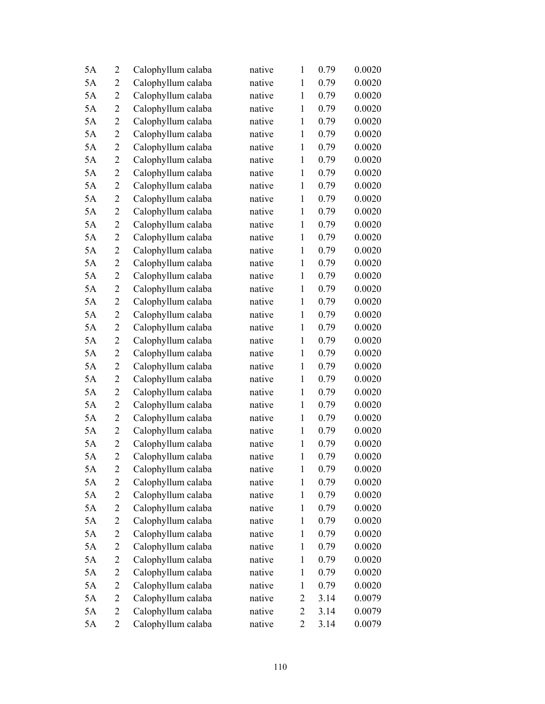| 5A | $\overline{2}$ | Calophyllum calaba | native | $\mathbf{1}$   | 0.79 | 0.0020 |
|----|----------------|--------------------|--------|----------------|------|--------|
| 5A | $\overline{2}$ | Calophyllum calaba | native | $\mathbf{1}$   | 0.79 | 0.0020 |
| 5A | $\overline{2}$ | Calophyllum calaba | native | $\mathbf{1}$   | 0.79 | 0.0020 |
| 5A | 2              | Calophyllum calaba | native | $\mathbf{1}$   | 0.79 | 0.0020 |
| 5A | $\overline{2}$ | Calophyllum calaba | native | $\mathbf{1}$   | 0.79 | 0.0020 |
| 5A | $\overline{2}$ | Calophyllum calaba | native | $\mathbf{1}$   | 0.79 | 0.0020 |
| 5A | $\overline{c}$ | Calophyllum calaba | native | $\mathbf{1}$   | 0.79 | 0.0020 |
| 5A | $\overline{2}$ | Calophyllum calaba | native | $\mathbf{1}$   | 0.79 | 0.0020 |
| 5A | $\overline{2}$ | Calophyllum calaba | native | $\mathbf{1}$   | 0.79 | 0.0020 |
| 5A | $\overline{2}$ | Calophyllum calaba | native | $\mathbf{1}$   | 0.79 | 0.0020 |
| 5A | 2              | Calophyllum calaba | native | $\mathbf{1}$   | 0.79 | 0.0020 |
| 5A | $\overline{c}$ | Calophyllum calaba | native | $\mathbf{1}$   | 0.79 | 0.0020 |
| 5A | $\overline{c}$ | Calophyllum calaba | native | $\mathbf{1}$   | 0.79 | 0.0020 |
| 5A | $\overline{2}$ | Calophyllum calaba | native | $\mathbf{1}$   | 0.79 | 0.0020 |
| 5A | $\overline{2}$ | Calophyllum calaba | native | $\mathbf{1}$   | 0.79 | 0.0020 |
| 5A | 2              | Calophyllum calaba | native | $\mathbf{1}$   | 0.79 | 0.0020 |
| 5A | $\overline{2}$ | Calophyllum calaba | native | $\mathbf{1}$   | 0.79 | 0.0020 |
| 5A | $\overline{2}$ | Calophyllum calaba | native | $\mathbf{1}$   | 0.79 | 0.0020 |
| 5A | $\overline{2}$ | Calophyllum calaba | native | $\mathbf{1}$   | 0.79 | 0.0020 |
| 5A | $\overline{2}$ | Calophyllum calaba | native | $\mathbf{1}$   | 0.79 | 0.0020 |
| 5A | 2              | Calophyllum calaba | native | $\mathbf{1}$   | 0.79 | 0.0020 |
| 5A | $\overline{2}$ | Calophyllum calaba | native | $\mathbf{1}$   | 0.79 | 0.0020 |
| 5A | $\overline{2}$ | Calophyllum calaba | native | $\mathbf{1}$   | 0.79 | 0.0020 |
| 5A | $\overline{2}$ | Calophyllum calaba | native | $\mathbf{1}$   | 0.79 | 0.0020 |
| 5A | $\overline{c}$ | Calophyllum calaba | native | 1              | 0.79 | 0.0020 |
| 5A | $\overline{2}$ | Calophyllum calaba | native | $\mathbf{1}$   | 0.79 | 0.0020 |
| 5A | $\overline{2}$ | Calophyllum calaba | native | $\mathbf{1}$   | 0.79 | 0.0020 |
| 5A | 2              | Calophyllum calaba | native | $\mathbf{1}$   | 0.79 | 0.0020 |
| 5A | $\overline{2}$ | Calophyllum calaba | native | $\mathbf{1}$   | 0.79 | 0.0020 |
| 5A | $\overline{2}$ | Calophyllum calaba | native | $\mathbf{1}$   | 0.79 | 0.0020 |
| 5A | $\overline{2}$ | Calophyllum calaba | native | 1              | 0.79 | 0.0020 |
| 5A | 2              | Calophyllum calaba | native | $\mathbf{1}$   | 0.79 | 0.0020 |
| 5A | 2              | Calophyllum calaba | native | $\mathbf{1}$   | 0.79 | 0.0020 |
| 5A | 2              | Calophyllum calaba | native | $\mathbf{1}$   | 0.79 | 0.0020 |
| 5A | 2              | Calophyllum calaba | native | $\mathbf{1}$   | 0.79 | 0.0020 |
| 5A | $\overline{2}$ | Calophyllum calaba | native | $\mathbf{1}$   | 0.79 | 0.0020 |
| 5A | 2              | Calophyllum calaba | native | 1              | 0.79 | 0.0020 |
| 5A | 2              | Calophyllum calaba | native | $\mathbf{1}$   | 0.79 | 0.0020 |
| 5A | 2              | Calophyllum calaba | native | $\mathbf{1}$   | 0.79 | 0.0020 |
| 5A | 2              | Calophyllum calaba | native | $\mathbf{1}$   | 0.79 | 0.0020 |
| 5A | $\overline{2}$ | Calophyllum calaba | native | $\mathbf{1}$   | 0.79 | 0.0020 |
| 5A | 2              | Calophyllum calaba | native | 2              | 3.14 | 0.0079 |
| 5A | $\overline{c}$ | Calophyllum calaba | native | $\overline{2}$ | 3.14 | 0.0079 |
| 5A | $\overline{c}$ | Calophyllum calaba | native | $\overline{2}$ | 3.14 | 0.0079 |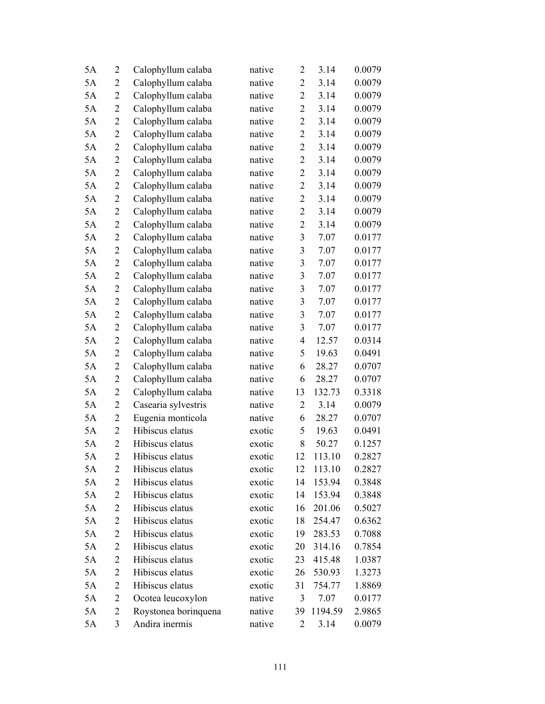| 5A | $\overline{2}$ | Calophyllum calaba   | native | $\overline{2}$ | 3.14    | 0.0079 |
|----|----------------|----------------------|--------|----------------|---------|--------|
| 5A | 2              | Calophyllum calaba   | native | $\overline{2}$ | 3.14    | 0.0079 |
| 5A | $\overline{2}$ | Calophyllum calaba   | native | $\overline{2}$ | 3.14    | 0.0079 |
| 5A | $\overline{2}$ | Calophyllum calaba   | native | $\overline{2}$ | 3.14    | 0.0079 |
| 5A | $\overline{2}$ | Calophyllum calaba   | native | $\overline{c}$ | 3.14    | 0.0079 |
| 5A | $\overline{2}$ | Calophyllum calaba   | native | $\overline{c}$ | 3.14    | 0.0079 |
| 5A | $\overline{2}$ | Calophyllum calaba   | native | $\overline{2}$ | 3.14    | 0.0079 |
| 5A | $\overline{2}$ | Calophyllum calaba   | native | $\overline{c}$ | 3.14    | 0.0079 |
| 5A | $\overline{2}$ | Calophyllum calaba   | native | $\overline{2}$ | 3.14    | 0.0079 |
| 5A | $\overline{2}$ | Calophyllum calaba   | native | $\overline{2}$ | 3.14    | 0.0079 |
| 5A | $\overline{2}$ | Calophyllum calaba   | native | $\overline{2}$ | 3.14    | 0.0079 |
| 5A | $\overline{c}$ | Calophyllum calaba   | native | $\overline{2}$ | 3.14    | 0.0079 |
| 5A | $\overline{2}$ | Calophyllum calaba   | native | $\overline{2}$ | 3.14    | 0.0079 |
| 5A | $\overline{2}$ | Calophyllum calaba   | native | 3              | 7.07    | 0.0177 |
| 5A | $\overline{2}$ | Calophyllum calaba   | native | 3              | 7.07    | 0.0177 |
| 5A | $\overline{2}$ | Calophyllum calaba   | native | 3              | 7.07    | 0.0177 |
| 5A | $\overline{2}$ | Calophyllum calaba   | native | $\mathfrak{Z}$ | 7.07    | 0.0177 |
| 5A | $\overline{c}$ | Calophyllum calaba   | native | 3              | 7.07    | 0.0177 |
| 5A | $\overline{2}$ | Calophyllum calaba   | native | 3              | 7.07    | 0.0177 |
| 5A | $\overline{2}$ | Calophyllum calaba   | native | 3              | 7.07    | 0.0177 |
| 5A | 2              | Calophyllum calaba   | native | 3              | 7.07    | 0.0177 |
| 5A | $\overline{2}$ | Calophyllum calaba   | native | $\overline{4}$ | 12.57   | 0.0314 |
| 5A | $\overline{2}$ | Calophyllum calaba   | native | 5              | 19.63   | 0.0491 |
| 5A | $\overline{2}$ | Calophyllum calaba   | native | 6              | 28.27   | 0.0707 |
| 5A | $\overline{2}$ | Calophyllum calaba   | native | 6              | 28.27   | 0.0707 |
| 5A | $\overline{2}$ | Calophyllum calaba   | native | 13             | 132.73  | 0.3318 |
| 5A | $\overline{2}$ | Casearia sylvestris  | native | $\overline{2}$ | 3.14    | 0.0079 |
| 5A | $\overline{2}$ | Eugenia monticola    | native | 6              | 28.27   | 0.0707 |
| 5A | $\overline{2}$ | Hibiscus elatus      | exotic | 5              | 19.63   | 0.0491 |
| 5A | $\overline{2}$ | Hibiscus elatus      | exotic | 8              | 50.27   | 0.1257 |
| 5A | $\overline{2}$ | Hibiscus elatus      | exotic | 12             | 113.10  | 0.2827 |
| 5A | 2              | Hibiscus elatus      | exotic | 12             | 113.10  | 0.2827 |
| 5A | 2              | Hibiscus elatus      | exotic | 14             | 153.94  | 0.3848 |
| 5A | 2              | Hibiscus elatus      | exotic | 14             | 153.94  | 0.3848 |
| 5A | 2              | Hibiscus elatus      | exotic | 16             | 201.06  | 0.5027 |
| 5A | $\overline{2}$ | Hibiscus elatus      | exotic | 18             | 254.47  | 0.6362 |
| 5A | 2              | Hibiscus elatus      | exotic | 19             | 283.53  | 0.7088 |
| 5A | 2              | Hibiscus elatus      | exotic | 20             | 314.16  | 0.7854 |
| 5A | 2              | Hibiscus elatus      | exotic | 23             | 415.48  | 1.0387 |
| 5A | 2              | Hibiscus elatus      | exotic | 26             | 530.93  | 1.3273 |
| 5A | 2              | Hibiscus elatus      | exotic | 31             | 754.77  | 1.8869 |
| 5A | 2              | Ocotea leucoxylon    | native | 3              | 7.07    | 0.0177 |
| 5A | $\overline{c}$ | Roystonea borinquena | native | 39             | 1194.59 | 2.9865 |
| 5A | 3              | Andira inermis       | native | 2              | 3.14    | 0.0079 |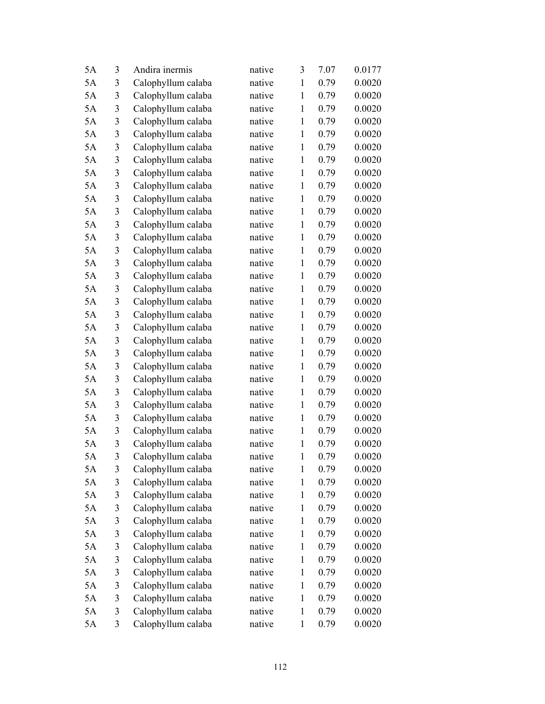| 5A | 3              | Andira inermis     | native | 3            | 7.07 | 0.0177 |
|----|----------------|--------------------|--------|--------------|------|--------|
| 5A | 3              | Calophyllum calaba | native | $\mathbf{1}$ | 0.79 | 0.0020 |
| 5A | 3              | Calophyllum calaba | native | $\mathbf{1}$ | 0.79 | 0.0020 |
| 5A | 3              | Calophyllum calaba | native | $\mathbf{1}$ | 0.79 | 0.0020 |
| 5A | 3              | Calophyllum calaba | native | $\mathbf{1}$ | 0.79 | 0.0020 |
| 5A | 3              | Calophyllum calaba | native | 1            | 0.79 | 0.0020 |
| 5A | $\mathfrak{Z}$ | Calophyllum calaba | native | $\mathbf{1}$ | 0.79 | 0.0020 |
| 5A | 3              | Calophyllum calaba | native | $\mathbf{1}$ | 0.79 | 0.0020 |
| 5A | 3              | Calophyllum calaba | native | $\mathbf{1}$ | 0.79 | 0.0020 |
| 5A | 3              | Calophyllum calaba | native | $\mathbf{1}$ | 0.79 | 0.0020 |
| 5A | 3              | Calophyllum calaba | native | $\mathbf{1}$ | 0.79 | 0.0020 |
| 5A | $\mathfrak{Z}$ | Calophyllum calaba | native | $\mathbf{1}$ | 0.79 | 0.0020 |
| 5A | 3              | Calophyllum calaba | native | $\mathbf{1}$ | 0.79 | 0.0020 |
| 5A | 3              | Calophyllum calaba | native | $\mathbf{1}$ | 0.79 | 0.0020 |
| 5A | 3              | Calophyllum calaba | native | $\mathbf{1}$ | 0.79 | 0.0020 |
| 5A | 3              | Calophyllum calaba | native | $\mathbf{1}$ | 0.79 | 0.0020 |
| 5A | 3              | Calophyllum calaba | native | $\mathbf{1}$ | 0.79 | 0.0020 |
| 5A | 3              | Calophyllum calaba | native | $\mathbf{1}$ | 0.79 | 0.0020 |
| 5A | 3              | Calophyllum calaba | native | $\mathbf{1}$ | 0.79 | 0.0020 |
| 5A | 3              | Calophyllum calaba | native | $\mathbf{1}$ | 0.79 | 0.0020 |
| 5A | 3              | Calophyllum calaba | native | $\mathbf{1}$ | 0.79 | 0.0020 |
| 5A | 3              | Calophyllum calaba | native | $\mathbf{1}$ | 0.79 | 0.0020 |
| 5A | 3              | Calophyllum calaba | native | $\mathbf{1}$ | 0.79 | 0.0020 |
| 5A | $\mathfrak{Z}$ | Calophyllum calaba | native | $\mathbf{1}$ | 0.79 | 0.0020 |
| 5A | 3              | Calophyllum calaba | native | $\mathbf{1}$ | 0.79 | 0.0020 |
| 5A | 3              | Calophyllum calaba | native | $\mathbf{1}$ | 0.79 | 0.0020 |
| 5A | 3              | Calophyllum calaba | native | $\mathbf{1}$ | 0.79 | 0.0020 |
| 5A | 3              | Calophyllum calaba | native | $\mathbf{1}$ | 0.79 | 0.0020 |
| 5A | $\mathfrak{Z}$ | Calophyllum calaba | native | $\mathbf{1}$ | 0.79 | 0.0020 |
| 5A | 3              | Calophyllum calaba | native | 1            | 0.79 | 0.0020 |
| 5A | 3              | Calophyllum calaba | native | 1            | 0.79 | 0.0020 |
| 5A | 3              | Calophyllum calaba | native | $\mathbf{1}$ | 0.79 | 0.0020 |
| 5A | 3              | Calophyllum calaba | native | $\mathbf{1}$ | 0.79 | 0.0020 |
| 5A | 3              | Calophyllum calaba | native | $\mathbf{1}$ | 0.79 | 0.0020 |
| 5A | 3              | Calophyllum calaba | native | 1            | 0.79 | 0.0020 |
| 5A | $\mathfrak{Z}$ | Calophyllum calaba | native | $\mathbf{1}$ | 0.79 | 0.0020 |
| 5A | 3              | Calophyllum calaba | native | 1            | 0.79 | 0.0020 |
| 5A | 3              | Calophyllum calaba | native | 1            | 0.79 | 0.0020 |
| 5A | 3              | Calophyllum calaba | native | $\mathbf{1}$ | 0.79 | 0.0020 |
| 5A | 3              | Calophyllum calaba | native | $\mathbf{1}$ | 0.79 | 0.0020 |
| 5A | 3              | Calophyllum calaba | native | $\mathbf{1}$ | 0.79 | 0.0020 |
| 5A | 3              | Calophyllum calaba | native | 1            | 0.79 | 0.0020 |
| 5A | 3              | Calophyllum calaba | native | $\mathbf{1}$ | 0.79 | 0.0020 |
| 5A | 3              | Calophyllum calaba | native | $\mathbf{1}$ | 0.79 | 0.0020 |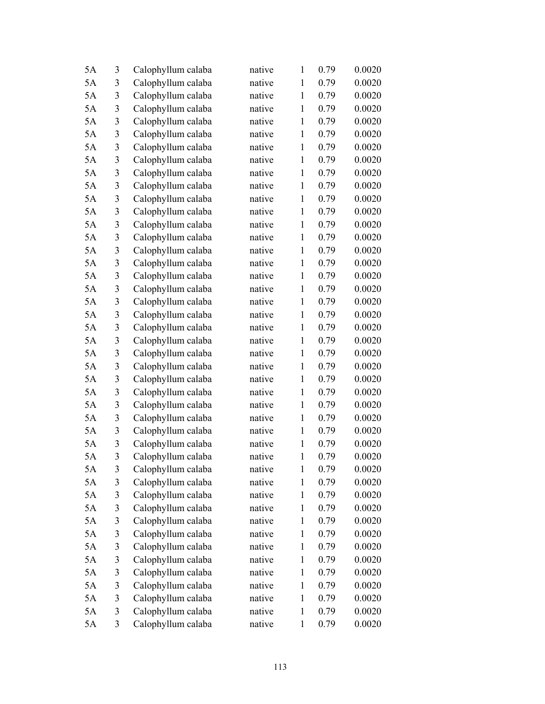| 5A | 3              | Calophyllum calaba | native | $\mathbf{1}$ | 0.79 | 0.0020 |
|----|----------------|--------------------|--------|--------------|------|--------|
| 5A | 3              | Calophyllum calaba | native | $\mathbf{1}$ | 0.79 | 0.0020 |
| 5A | 3              | Calophyllum calaba | native | $\mathbf{1}$ | 0.79 | 0.0020 |
| 5A | 3              | Calophyllum calaba | native | $\mathbf{1}$ | 0.79 | 0.0020 |
| 5A | $\mathfrak{Z}$ | Calophyllum calaba | native | $\mathbf{1}$ | 0.79 | 0.0020 |
| 5A | 3              | Calophyllum calaba | native | $\mathbf{1}$ | 0.79 | 0.0020 |
| 5A | 3              | Calophyllum calaba | native | $\mathbf{1}$ | 0.79 | 0.0020 |
| 5A | 3              | Calophyllum calaba | native | $\mathbf{1}$ | 0.79 | 0.0020 |
| 5A | 3              | Calophyllum calaba | native | $\mathbf{1}$ | 0.79 | 0.0020 |
| 5A | 3              | Calophyllum calaba | native | $\mathbf{1}$ | 0.79 | 0.0020 |
| 5A | 3              | Calophyllum calaba | native | $\mathbf{1}$ | 0.79 | 0.0020 |
| 5A | 3              | Calophyllum calaba | native | $\mathbf{1}$ | 0.79 | 0.0020 |
| 5A | 3              | Calophyllum calaba | native | $\mathbf{1}$ | 0.79 | 0.0020 |
| 5A | 3              | Calophyllum calaba | native | $\mathbf{1}$ | 0.79 | 0.0020 |
| 5A | 3              | Calophyllum calaba | native | $\mathbf{1}$ | 0.79 | 0.0020 |
| 5A | 3              | Calophyllum calaba | native | $\mathbf{1}$ | 0.79 | 0.0020 |
| 5A | 3              | Calophyllum calaba | native | $\mathbf{1}$ | 0.79 | 0.0020 |
| 5A | 3              | Calophyllum calaba | native | $\mathbf{1}$ | 0.79 | 0.0020 |
| 5A | 3              | Calophyllum calaba | native | $\mathbf{1}$ | 0.79 | 0.0020 |
| 5A | 3              | Calophyllum calaba | native | $\mathbf{1}$ | 0.79 | 0.0020 |
| 5A | 3              | Calophyllum calaba | native | $\mathbf{1}$ | 0.79 | 0.0020 |
| 5A | 3              | Calophyllum calaba | native | $\mathbf{1}$ | 0.79 | 0.0020 |
| 5A | 3              | Calophyllum calaba | native | $\mathbf{1}$ | 0.79 | 0.0020 |
| 5A | 3              | Calophyllum calaba | native | $\mathbf{1}$ | 0.79 | 0.0020 |
| 5A | 3              | Calophyllum calaba | native | $\mathbf{1}$ | 0.79 | 0.0020 |
| 5A | 3              | Calophyllum calaba | native | $\mathbf{1}$ | 0.79 | 0.0020 |
| 5A | 3              | Calophyllum calaba | native | $\mathbf{1}$ | 0.79 | 0.0020 |
| 5A | 3              | Calophyllum calaba | native | $\mathbf{1}$ | 0.79 | 0.0020 |
| 5A | $\mathfrak{Z}$ | Calophyllum calaba | native | $\mathbf{1}$ | 0.79 | 0.0020 |
| 5A | 3              | Calophyllum calaba | native | 1            | 0.79 | 0.0020 |
| 5A | 3              | Calophyllum calaba | native | $\mathbf{1}$ | 0.79 | 0.0020 |
| 5A | 3              | Calophyllum calaba | native | $\mathbf{1}$ | 0.79 | 0.0020 |
| 5A | 3              | Calophyllum calaba | native | $\mathbf{1}$ | 0.79 | 0.0020 |
| 5A | 3              | Calophyllum calaba | native | $\mathbf{1}$ | 0.79 | 0.0020 |
| 5A | 3              | Calophyllum calaba | native | $\mathbf{1}$ | 0.79 | 0.0020 |
| 5A | $\mathfrak{Z}$ | Calophyllum calaba | native | $\mathbf{1}$ | 0.79 | 0.0020 |
| 5A | 3              | Calophyllum calaba | native | $\mathbf{1}$ | 0.79 | 0.0020 |
| 5A | 3              | Calophyllum calaba | native | $\mathbf{1}$ | 0.79 | 0.0020 |
| 5A | 3              | Calophyllum calaba | native | $\mathbf{1}$ | 0.79 | 0.0020 |
| 5A | 3              | Calophyllum calaba | native | $\mathbf{1}$ | 0.79 | 0.0020 |
| 5A | 3              | Calophyllum calaba | native | $\mathbf{1}$ | 0.79 | 0.0020 |
| 5A | 3              | Calophyllum calaba | native | $\mathbf{1}$ | 0.79 | 0.0020 |
| 5A | 3              | Calophyllum calaba | native | $\mathbf{1}$ | 0.79 | 0.0020 |
| 5A | 3              | Calophyllum calaba | native | $\mathbf{1}$ | 0.79 | 0.0020 |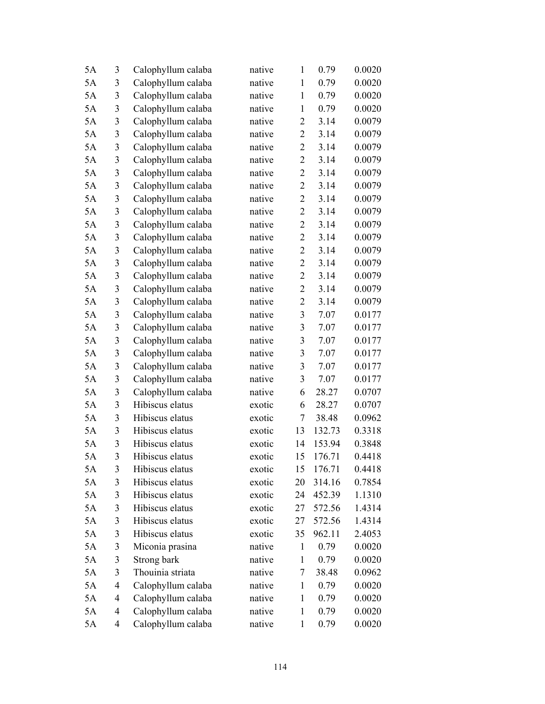| 5A | 3              | Calophyllum calaba | native | $\mathbf{1}$     | 0.79   | 0.0020 |
|----|----------------|--------------------|--------|------------------|--------|--------|
| 5A | 3              | Calophyllum calaba | native | $\mathbf{1}$     | 0.79   | 0.0020 |
| 5A | 3              | Calophyllum calaba | native | $\mathbf{1}$     | 0.79   | 0.0020 |
| 5A | 3              | Calophyllum calaba | native | $\mathbf{1}$     | 0.79   | 0.0020 |
| 5A | $\mathfrak{Z}$ | Calophyllum calaba | native | $\overline{2}$   | 3.14   | 0.0079 |
| 5A | 3              | Calophyllum calaba | native | $\overline{2}$   | 3.14   | 0.0079 |
| 5A | $\mathfrak{Z}$ | Calophyllum calaba | native | $\overline{2}$   | 3.14   | 0.0079 |
| 5A | 3              | Calophyllum calaba | native | $\overline{2}$   | 3.14   | 0.0079 |
| 5A | $\mathfrak{Z}$ | Calophyllum calaba | native | $\overline{2}$   | 3.14   | 0.0079 |
| 5A | $\mathfrak{Z}$ | Calophyllum calaba | native | $\overline{2}$   | 3.14   | 0.0079 |
| 5A | 3              | Calophyllum calaba | native | $\overline{2}$   | 3.14   | 0.0079 |
| 5A | $\mathfrak{Z}$ | Calophyllum calaba | native | $\overline{2}$   | 3.14   | 0.0079 |
| 5A | $\mathfrak{Z}$ | Calophyllum calaba | native | $\overline{2}$   | 3.14   | 0.0079 |
| 5A | 3              | Calophyllum calaba | native | $\overline{2}$   | 3.14   | 0.0079 |
| 5A | 3              | Calophyllum calaba | native | $\overline{2}$   | 3.14   | 0.0079 |
| 5A | 3              | Calophyllum calaba | native | $\overline{2}$   | 3.14   | 0.0079 |
| 5A | $\mathfrak{Z}$ | Calophyllum calaba | native | $\overline{2}$   | 3.14   | 0.0079 |
| 5A | 3              | Calophyllum calaba | native | $\overline{2}$   | 3.14   | 0.0079 |
| 5A | 3              | Calophyllum calaba | native | $\overline{2}$   | 3.14   | 0.0079 |
| 5A | 3              | Calophyllum calaba | native | 3                | 7.07   | 0.0177 |
| 5A | 3              | Calophyllum calaba | native | 3                | 7.07   | 0.0177 |
| 5A | $\mathfrak{Z}$ | Calophyllum calaba | native | 3                | 7.07   | 0.0177 |
| 5A | 3              | Calophyllum calaba | native | $\mathfrak{Z}$   | 7.07   | 0.0177 |
| 5A | $\mathfrak{Z}$ | Calophyllum calaba | native | 3                | 7.07   | 0.0177 |
| 5A | 3              | Calophyllum calaba | native | 3                | 7.07   | 0.0177 |
| 5A | 3              | Calophyllum calaba | native | 6                | 28.27  | 0.0707 |
| 5A | 3              | Hibiscus elatus    | exotic | 6                | 28.27  | 0.0707 |
| 5A | 3              | Hibiscus elatus    | exotic | $\boldsymbol{7}$ | 38.48  | 0.0962 |
| 5A | 3              | Hibiscus elatus    | exotic | 13               | 132.73 | 0.3318 |
| 5A | 3              | Hibiscus elatus    | exotic | 14               | 153.94 | 0.3848 |
| 5A | 3              | Hibiscus elatus    | exotic | 15               | 176.71 | 0.4418 |
| 5A | 3              | Hibiscus elatus    | exotic | 15               | 176.71 | 0.4418 |
| 5A | 3              | Hibiscus elatus    | exotic | 20               | 314.16 | 0.7854 |
| 5A | 3              | Hibiscus elatus    | exotic | 24               | 452.39 | 1.1310 |
| 5A | 3              | Hibiscus elatus    | exotic | 27               | 572.56 | 1.4314 |
| 5A | 3              | Hibiscus elatus    | exotic | 27               | 572.56 | 1.4314 |
| 5A | 3              | Hibiscus elatus    | exotic | 35               | 962.11 | 2.4053 |
| 5A | 3              | Miconia prasina    | native | $\mathbf{1}$     | 0.79   | 0.0020 |
| 5A | 3              | Strong bark        | native | $\mathbf{1}$     | 0.79   | 0.0020 |
| 5A | 3              | Thouinia striata   | native | 7                | 38.48  | 0.0962 |
| 5A | 4              | Calophyllum calaba | native | $\mathbf{1}$     | 0.79   | 0.0020 |
| 5A | 4              | Calophyllum calaba | native | 1                | 0.79   | 0.0020 |
| 5A | 4              | Calophyllum calaba | native | 1                | 0.79   | 0.0020 |
| 5A | 4              | Calophyllum calaba | native | $\mathbf{1}$     | 0.79   | 0.0020 |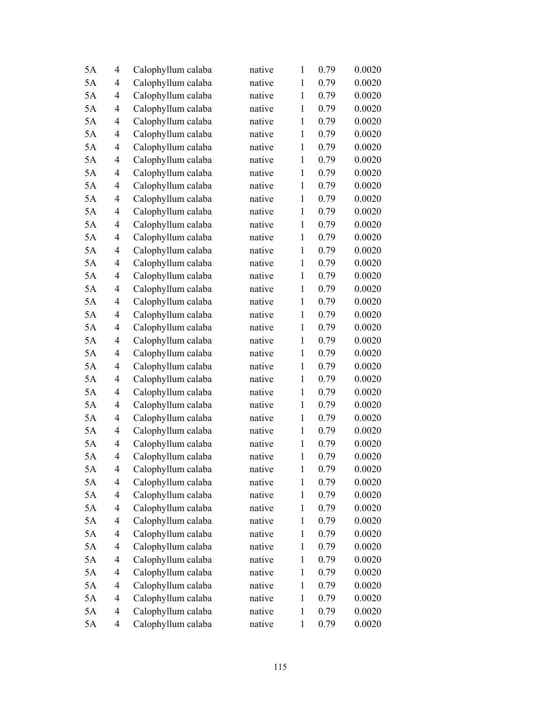| 5A | 4              | Calophyllum calaba | native | $\mathbf{1}$ | 0.79 | 0.0020 |
|----|----------------|--------------------|--------|--------------|------|--------|
| 5A | $\overline{4}$ | Calophyllum calaba | native | $\mathbf{1}$ | 0.79 | 0.0020 |
| 5A | 4              | Calophyllum calaba | native | $\mathbf{1}$ | 0.79 | 0.0020 |
| 5A | 4              | Calophyllum calaba | native | $\mathbf{1}$ | 0.79 | 0.0020 |
| 5A | $\overline{4}$ | Calophyllum calaba | native | $\mathbf{1}$ | 0.79 | 0.0020 |
| 5A | 4              | Calophyllum calaba | native | $\mathbf{1}$ | 0.79 | 0.0020 |
| 5A | 4              | Calophyllum calaba | native | $\mathbf{1}$ | 0.79 | 0.0020 |
| 5A | 4              | Calophyllum calaba | native | $\mathbf{1}$ | 0.79 | 0.0020 |
| 5A | 4              | Calophyllum calaba | native | $\mathbf{1}$ | 0.79 | 0.0020 |
| 5A | 4              | Calophyllum calaba | native | $\mathbf{1}$ | 0.79 | 0.0020 |
| 5A | 4              | Calophyllum calaba | native | $\mathbf{1}$ | 0.79 | 0.0020 |
| 5A | 4              | Calophyllum calaba | native | $\mathbf{1}$ | 0.79 | 0.0020 |
| 5A | 4              | Calophyllum calaba | native | $\mathbf{1}$ | 0.79 | 0.0020 |
| 5A | 4              | Calophyllum calaba | native | $\mathbf{1}$ | 0.79 | 0.0020 |
| 5A | 4              | Calophyllum calaba | native | $\mathbf{1}$ | 0.79 | 0.0020 |
| 5A | 4              | Calophyllum calaba | native | $\mathbf{1}$ | 0.79 | 0.0020 |
| 5A | $\overline{4}$ | Calophyllum calaba | native | $\mathbf{1}$ | 0.79 | 0.0020 |
| 5A | 4              | Calophyllum calaba | native | $\mathbf{1}$ | 0.79 | 0.0020 |
| 5A | 4              | Calophyllum calaba | native | $\mathbf{1}$ | 0.79 | 0.0020 |
| 5A | $\overline{4}$ | Calophyllum calaba | native | $\mathbf{1}$ | 0.79 | 0.0020 |
| 5A | 4              | Calophyllum calaba | native | $\mathbf{1}$ | 0.79 | 0.0020 |
| 5A | 4              | Calophyllum calaba | native | $\mathbf{1}$ | 0.79 | 0.0020 |
| 5A | 4              | Calophyllum calaba | native | $\mathbf{1}$ | 0.79 | 0.0020 |
| 5A | 4              | Calophyllum calaba | native | $\mathbf{1}$ | 0.79 | 0.0020 |
| 5A | 4              | Calophyllum calaba | native | $\mathbf{1}$ | 0.79 | 0.0020 |
| 5A | 4              | Calophyllum calaba | native | $\mathbf{1}$ | 0.79 | 0.0020 |
| 5A | 4              | Calophyllum calaba | native | $\mathbf 1$  | 0.79 | 0.0020 |
| 5A | 4              | Calophyllum calaba | native | $\mathbf{1}$ | 0.79 | 0.0020 |
| 5A | $\overline{4}$ | Calophyllum calaba | native | $\mathbf{1}$ | 0.79 | 0.0020 |
| 5A | 4              | Calophyllum calaba | native | $\mathbf{1}$ | 0.79 | 0.0020 |
| 5A | 4              | Calophyllum calaba | native | $\mathbf{1}$ | 0.79 | 0.0020 |
| 5A | 4              | Calophyllum calaba | native | $\mathbf{1}$ | 0.79 | 0.0020 |
| 5A | 4              | Calophyllum calaba | native | $\mathbf{1}$ | 0.79 | 0.0020 |
| 5A | 4              | Calophyllum calaba | native | $\mathbf{1}$ | 0.79 | 0.0020 |
| 5A | 4              | Calophyllum calaba | native | $\mathbf{1}$ | 0.79 | 0.0020 |
| 5A | 4              | Calophyllum calaba | native | $\mathbf{1}$ | 0.79 | 0.0020 |
| 5A | 4              | Calophyllum calaba | native | $\mathbf{1}$ | 0.79 | 0.0020 |
| 5A | 4              | Calophyllum calaba | native | $\mathbf{1}$ | 0.79 | 0.0020 |
| 5A | 4              | Calophyllum calaba | native | $\mathbf{1}$ | 0.79 | 0.0020 |
| 5A | 4              | Calophyllum calaba | native | $\mathbf{1}$ | 0.79 | 0.0020 |
| 5A | 4              | Calophyllum calaba | native | $\mathbf{1}$ | 0.79 | 0.0020 |
| 5A | 4              | Calophyllum calaba | native | $\mathbf{1}$ | 0.79 | 0.0020 |
| 5A | 4              | Calophyllum calaba | native | $\mathbf{1}$ | 0.79 | 0.0020 |
| 5A | 4              | Calophyllum calaba | native | $\mathbf{1}$ | 0.79 | 0.0020 |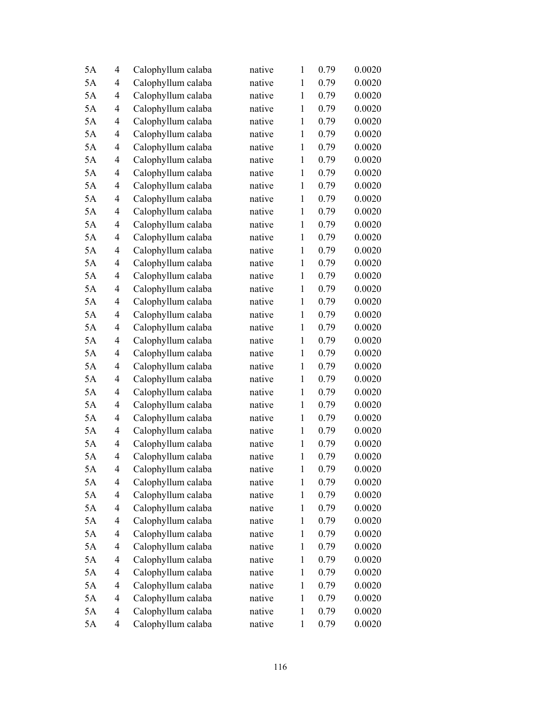| 5A | $\overline{4}$ | Calophyllum calaba | native | 1            | 0.79 | 0.0020 |
|----|----------------|--------------------|--------|--------------|------|--------|
| 5A | 4              | Calophyllum calaba | native | $\mathbf{1}$ | 0.79 | 0.0020 |
| 5A | 4              | Calophyllum calaba | native | $\mathbf{1}$ | 0.79 | 0.0020 |
| 5A | 4              | Calophyllum calaba | native | $\mathbf{1}$ | 0.79 | 0.0020 |
| 5A | 4              | Calophyllum calaba | native | $\mathbf{1}$ | 0.79 | 0.0020 |
| 5A | 4              | Calophyllum calaba | native | $\mathbf{1}$ | 0.79 | 0.0020 |
| 5A | 4              | Calophyllum calaba | native | $\mathbf{1}$ | 0.79 | 0.0020 |
| 5A | 4              | Calophyllum calaba | native | $\mathbf{1}$ | 0.79 | 0.0020 |
| 5A | 4              | Calophyllum calaba | native | $\mathbf{1}$ | 0.79 | 0.0020 |
| 5A | 4              | Calophyllum calaba | native | $\mathbf{1}$ | 0.79 | 0.0020 |
| 5A | 4              | Calophyllum calaba | native | $\mathbf{1}$ | 0.79 | 0.0020 |
| 5A | $\overline{4}$ | Calophyllum calaba | native | $\mathbf{1}$ | 0.79 | 0.0020 |
| 5A | 4              | Calophyllum calaba | native | $\mathbf{1}$ | 0.79 | 0.0020 |
| 5A | $\overline{4}$ | Calophyllum calaba | native | $\mathbf{1}$ | 0.79 | 0.0020 |
| 5A | 4              | Calophyllum calaba | native | $\mathbf{1}$ | 0.79 | 0.0020 |
| 5A | 4              | Calophyllum calaba | native | $\mathbf{1}$ | 0.79 | 0.0020 |
| 5A | 4              | Calophyllum calaba | native | $\mathbf{1}$ | 0.79 | 0.0020 |
| 5A | 4              | Calophyllum calaba | native | $\mathbf{1}$ | 0.79 | 0.0020 |
| 5A | 4              | Calophyllum calaba | native | $\mathbf{1}$ | 0.79 | 0.0020 |
| 5A | 4              | Calophyllum calaba | native | $\mathbf{1}$ | 0.79 | 0.0020 |
| 5A | 4              | Calophyllum calaba | native | $\mathbf{1}$ | 0.79 | 0.0020 |
| 5A | 4              | Calophyllum calaba | native | $\mathbf{1}$ | 0.79 | 0.0020 |
| 5A | 4              | Calophyllum calaba | native | $\mathbf{1}$ | 0.79 | 0.0020 |
| 5A | $\overline{4}$ | Calophyllum calaba | native | $\mathbf{1}$ | 0.79 | 0.0020 |
| 5A | 4              | Calophyllum calaba | native | $\mathbf{1}$ | 0.79 | 0.0020 |
| 5A | 4              | Calophyllum calaba | native | $\mathbf{1}$ | 0.79 | 0.0020 |
| 5A | 4              | Calophyllum calaba | native | $\mathbf{1}$ | 0.79 | 0.0020 |
| 5A | 4              | Calophyllum calaba | native | $\mathbf{1}$ | 0.79 | 0.0020 |
| 5A | 4              | Calophyllum calaba | native | $\mathbf{1}$ | 0.79 | 0.0020 |
| 5A | 4              | Calophyllum calaba | native | $\mathbf{1}$ | 0.79 | 0.0020 |
| 5A | $\overline{4}$ | Calophyllum calaba | native | $\mathbf{1}$ | 0.79 | 0.0020 |
| 5A | 4              | Calophyllum calaba | native | $\mathbf{1}$ | 0.79 | 0.0020 |
| 5A | 4              | Calophyllum calaba | native | $\mathbf{1}$ | 0.79 | 0.0020 |
| 5A | 4              | Calophyllum calaba | native | $\mathbf{1}$ | 0.79 | 0.0020 |
| 5A | 4              | Calophyllum calaba | native | $\mathbf{1}$ | 0.79 | 0.0020 |
| 5A | 4              | Calophyllum calaba | native | $\mathbf{1}$ | 0.79 | 0.0020 |
| 5A | 4              | Calophyllum calaba | native | $\mathbf{1}$ | 0.79 | 0.0020 |
| 5A | 4              | Calophyllum calaba | native | $\mathbf{1}$ | 0.79 | 0.0020 |
| 5A | 4              | Calophyllum calaba | native | $\mathbf{1}$ | 0.79 | 0.0020 |
| 5A | 4              | Calophyllum calaba | native | $\mathbf{1}$ | 0.79 | 0.0020 |
| 5A | 4              | Calophyllum calaba | native | $\mathbf{1}$ | 0.79 | 0.0020 |
| 5A | 4              | Calophyllum calaba | native | $\mathbf{1}$ | 0.79 | 0.0020 |
| 5A | 4              | Calophyllum calaba | native | $\mathbf{1}$ | 0.79 | 0.0020 |
| 5A | 4              | Calophyllum calaba | native | $\mathbf{1}$ | 0.79 | 0.0020 |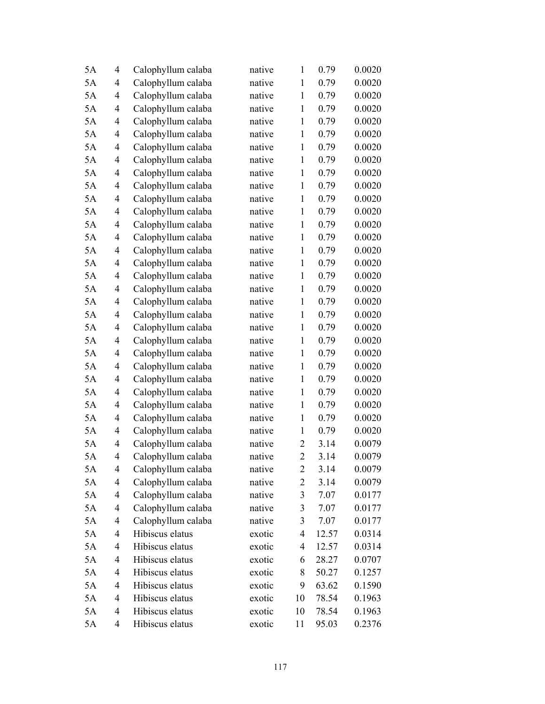| 5A | $\overline{4}$ | Calophyllum calaba | native | 1              | 0.79  | 0.0020 |
|----|----------------|--------------------|--------|----------------|-------|--------|
| 5A | 4              | Calophyllum calaba | native | $\mathbf{1}$   | 0.79  | 0.0020 |
| 5A | 4              | Calophyllum calaba | native | $\mathbf{1}$   | 0.79  | 0.0020 |
| 5A | 4              | Calophyllum calaba | native | $\mathbf{1}$   | 0.79  | 0.0020 |
| 5A | 4              | Calophyllum calaba | native | $\mathbf{1}$   | 0.79  | 0.0020 |
| 5A | 4              | Calophyllum calaba | native | $\mathbf{1}$   | 0.79  | 0.0020 |
| 5A | 4              | Calophyllum calaba | native | $\mathbf{1}$   | 0.79  | 0.0020 |
| 5A | 4              | Calophyllum calaba | native | $\mathbf{1}$   | 0.79  | 0.0020 |
| 5A | 4              | Calophyllum calaba | native | $\mathbf{1}$   | 0.79  | 0.0020 |
| 5A | 4              | Calophyllum calaba | native | $\mathbf{1}$   | 0.79  | 0.0020 |
| 5A | 4              | Calophyllum calaba | native | $\mathbf{1}$   | 0.79  | 0.0020 |
| 5A | $\overline{4}$ | Calophyllum calaba | native | $\mathbf{1}$   | 0.79  | 0.0020 |
| 5A | 4              | Calophyllum calaba | native | $\mathbf{1}$   | 0.79  | 0.0020 |
| 5A | 4              | Calophyllum calaba | native | $\mathbf{1}$   | 0.79  | 0.0020 |
| 5A | 4              | Calophyllum calaba | native | $\mathbf{1}$   | 0.79  | 0.0020 |
| 5A | 4              | Calophyllum calaba | native | $\mathbf{1}$   | 0.79  | 0.0020 |
| 5A | 4              | Calophyllum calaba | native | $\mathbf{1}$   | 0.79  | 0.0020 |
| 5A | 4              | Calophyllum calaba | native | $\mathbf{1}$   | 0.79  | 0.0020 |
| 5A | 4              | Calophyllum calaba | native | $\mathbf{1}$   | 0.79  | 0.0020 |
| 5A | 4              | Calophyllum calaba | native | $\mathbf{1}$   | 0.79  | 0.0020 |
| 5A | 4              | Calophyllum calaba | native | $\mathbf{1}$   | 0.79  | 0.0020 |
| 5A | 4              | Calophyllum calaba | native | $\mathbf{1}$   | 0.79  | 0.0020 |
| 5A | 4              | Calophyllum calaba | native | $\mathbf{1}$   | 0.79  | 0.0020 |
| 5A | $\overline{4}$ | Calophyllum calaba | native | $\mathbf{1}$   | 0.79  | 0.0020 |
| 5A | 4              | Calophyllum calaba | native | $\mathbf{1}$   | 0.79  | 0.0020 |
| 5A | 4              | Calophyllum calaba | native | $\mathbf{1}$   | 0.79  | 0.0020 |
| 5A | 4              | Calophyllum calaba | native | $\mathbf{1}$   | 0.79  | 0.0020 |
| 5A | 4              | Calophyllum calaba | native | $\mathbf{1}$   | 0.79  | 0.0020 |
| 5A | 4              | Calophyllum calaba | native | $\mathbf{1}$   | 0.79  | 0.0020 |
| 5A | 4              | Calophyllum calaba | native | $\overline{2}$ | 3.14  | 0.0079 |
| 5A | 4              | Calophyllum calaba | native | $\overline{2}$ | 3.14  | 0.0079 |
| 5A | 4              | Calophyllum calaba | native | 2              | 3.14  | 0.0079 |
| 5A | 4              | Calophyllum calaba | native | $\overline{c}$ | 3.14  | 0.0079 |
| 5A | 4              | Calophyllum calaba | native | $\mathfrak{Z}$ | 7.07  | 0.0177 |
| 5A | 4              | Calophyllum calaba | native | 3              | 7.07  | 0.0177 |
| 5A | 4              | Calophyllum calaba | native | $\mathfrak{Z}$ | 7.07  | 0.0177 |
| 5A | 4              | Hibiscus elatus    | exotic | 4              | 12.57 | 0.0314 |
| 5A | 4              | Hibiscus elatus    | exotic | 4              | 12.57 | 0.0314 |
| 5A | 4              | Hibiscus elatus    | exotic | 6              | 28.27 | 0.0707 |
| 5A | 4              | Hibiscus elatus    | exotic | 8              | 50.27 | 0.1257 |
| 5A | 4              | Hibiscus elatus    | exotic | 9              | 63.62 | 0.1590 |
| 5A | 4              | Hibiscus elatus    | exotic | 10             | 78.54 | 0.1963 |
| 5A | 4              | Hibiscus elatus    | exotic | 10             | 78.54 | 0.1963 |
| 5A | 4              | Hibiscus elatus    | exotic | 11             | 95.03 | 0.2376 |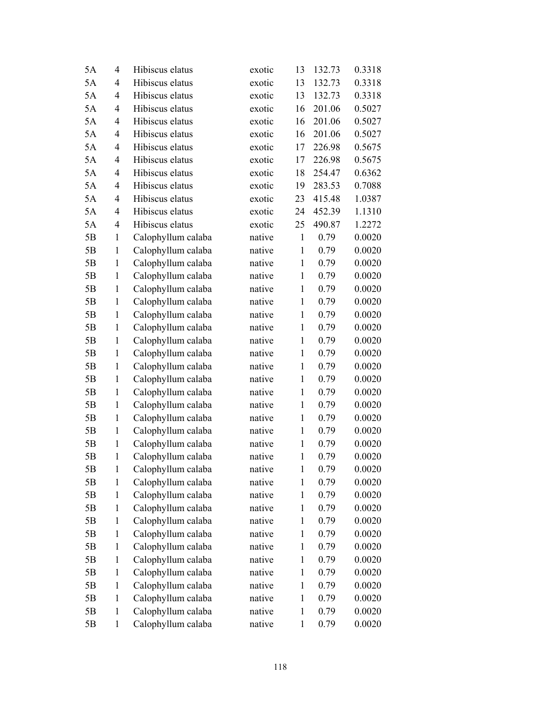| 5A | 4              | Hibiscus elatus    | exotic | 13           | 132.73 | 0.3318 |
|----|----------------|--------------------|--------|--------------|--------|--------|
| 5A | $\overline{4}$ | Hibiscus elatus    | exotic | 13           | 132.73 | 0.3318 |
| 5A | 4              | Hibiscus elatus    | exotic | 13           | 132.73 | 0.3318 |
| 5A | 4              | Hibiscus elatus    | exotic | 16           | 201.06 | 0.5027 |
| 5A | $\overline{4}$ | Hibiscus elatus    | exotic | 16           | 201.06 | 0.5027 |
| 5A | $\overline{4}$ | Hibiscus elatus    | exotic | 16           | 201.06 | 0.5027 |
| 5A | 4              | Hibiscus elatus    | exotic | 17           | 226.98 | 0.5675 |
| 5A | 4              | Hibiscus elatus    | exotic | 17           | 226.98 | 0.5675 |
| 5A | 4              | Hibiscus elatus    | exotic | 18           | 254.47 | 0.6362 |
| 5A | 4              | Hibiscus elatus    | exotic | 19           | 283.53 | 0.7088 |
| 5A | $\overline{4}$ | Hibiscus elatus    | exotic | 23           | 415.48 | 1.0387 |
| 5A | 4              | Hibiscus elatus    | exotic | 24           | 452.39 | 1.1310 |
| 5A | 4              | Hibiscus elatus    | exotic | 25           | 490.87 | 1.2272 |
| 5B | $\mathbf{1}$   | Calophyllum calaba | native | $\mathbf{1}$ | 0.79   | 0.0020 |
| 5B | $\mathbf{1}$   | Calophyllum calaba | native | $\mathbf{1}$ | 0.79   | 0.0020 |
| 5B | 1              | Calophyllum calaba | native | $\mathbf{1}$ | 0.79   | 0.0020 |
| 5B | 1              | Calophyllum calaba | native | $\mathbf{1}$ | 0.79   | 0.0020 |
| 5B | $\mathbf{1}$   | Calophyllum calaba | native | $\mathbf{1}$ | 0.79   | 0.0020 |
| 5B | 1              | Calophyllum calaba | native | $\mathbf{1}$ | 0.79   | 0.0020 |
| 5B | $\mathbf{1}$   | Calophyllum calaba | native | $\mathbf{1}$ | 0.79   | 0.0020 |
| 5B | 1              | Calophyllum calaba | native | $\mathbf{1}$ | 0.79   | 0.0020 |
| 5B | $\mathbf{1}$   | Calophyllum calaba | native | $\mathbf{1}$ | 0.79   | 0.0020 |
| 5B | 1              | Calophyllum calaba | native | $\mathbf{1}$ | 0.79   | 0.0020 |
| 5B | $\mathbf{1}$   | Calophyllum calaba | native | $\mathbf{1}$ | 0.79   | 0.0020 |
| 5B | $\mathbf{1}$   | Calophyllum calaba | native | $\mathbf{1}$ | 0.79   | 0.0020 |
| 5B | $\mathbf{1}$   | Calophyllum calaba | native | $\mathbf{1}$ | 0.79   | 0.0020 |
| 5B | $\mathbf{1}$   | Calophyllum calaba | native | $\mathbf{1}$ | 0.79   | 0.0020 |
| 5B | $\mathbf{1}$   | Calophyllum calaba | native | $\mathbf{1}$ | 0.79   | 0.0020 |
| 5B | $\mathbf{1}$   | Calophyllum calaba | native | $\mathbf{1}$ | 0.79   | 0.0020 |
| 5B | 1              | Calophyllum calaba | native | $\mathbf{1}$ | 0.79   | 0.0020 |
| 5B | $\mathbf{1}$   | Calophyllum calaba | native | $\mathbf{1}$ | 0.79   | 0.0020 |
| 5B | $\mathbf{1}$   | Calophyllum calaba | native | $\mathbf{1}$ | 0.79   | 0.0020 |
| 5Β | 1              | Calophyllum calaba | native | $\mathbf{1}$ | 0.79   | 0.0020 |
| 5B | $\mathbf{1}$   | Calophyllum calaba | native | $\mathbf{1}$ | 0.79   | 0.0020 |
| 5Β | $\mathbf{1}$   | Calophyllum calaba | native | $\mathbf{1}$ | 0.79   | 0.0020 |
| 5Β | $\mathbf{1}$   | Calophyllum calaba | native | $\mathbf{1}$ | 0.79   | 0.0020 |
| 5B | $\mathbf{1}$   | Calophyllum calaba | native | $\mathbf{1}$ | 0.79   | 0.0020 |
| 5Β | 1              | Calophyllum calaba | native | $\mathbf{1}$ | 0.79   | 0.0020 |
| 5Β | $\mathbf{1}$   | Calophyllum calaba | native | $\mathbf{1}$ | 0.79   | 0.0020 |
| 5Β | 1              | Calophyllum calaba | native | $\mathbf{1}$ | 0.79   | 0.0020 |
| 5B | $\mathbf{1}$   | Calophyllum calaba | native | $\mathbf{1}$ | 0.79   | 0.0020 |
| 5Β | $\mathbf{1}$   | Calophyllum calaba | native | $\mathbf{1}$ | 0.79   | 0.0020 |
| 5B | 1              | Calophyllum calaba | native | $\mathbf{1}$ | 0.79   | 0.0020 |
| 5B | $\mathbf{1}$   | Calophyllum calaba | native | $\mathbf{1}$ | 0.79   | 0.0020 |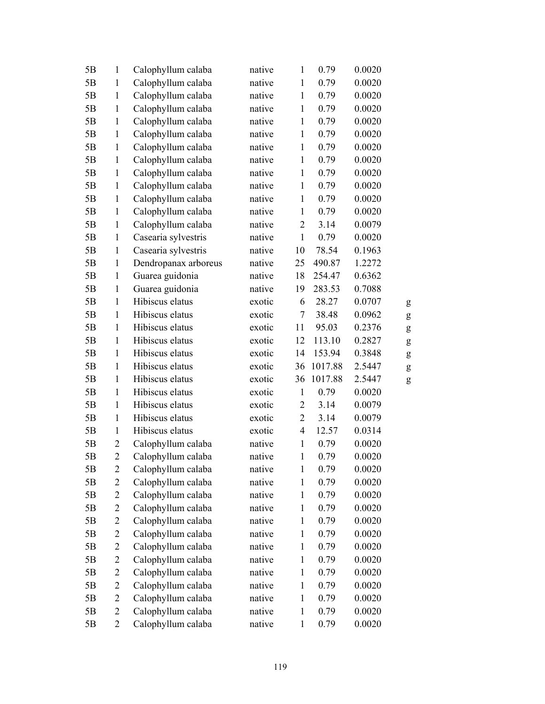| 5B | 1              | Calophyllum calaba   | native | $\mathbf{1}$   | 0.79    | 0.0020 |           |
|----|----------------|----------------------|--------|----------------|---------|--------|-----------|
| 5B | $\mathbf{1}$   | Calophyllum calaba   | native | $\mathbf{1}$   | 0.79    | 0.0020 |           |
| 5B | $\mathbf{1}$   | Calophyllum calaba   | native | $\mathbf{1}$   | 0.79    | 0.0020 |           |
| 5B | $\mathbf{1}$   | Calophyllum calaba   | native | $\mathbf{1}$   | 0.79    | 0.0020 |           |
| 5B | $\mathbf{1}$   | Calophyllum calaba   | native | $\mathbf{1}$   | 0.79    | 0.0020 |           |
| 5B | $\mathbf{1}$   | Calophyllum calaba   | native | $\mathbf{1}$   | 0.79    | 0.0020 |           |
| 5B | $\mathbf{1}$   | Calophyllum calaba   | native | $\mathbf{1}$   | 0.79    | 0.0020 |           |
| 5B | $\mathbf{1}$   | Calophyllum calaba   | native | $\mathbf{1}$   | 0.79    | 0.0020 |           |
| 5B | $\mathbf{1}$   | Calophyllum calaba   | native | $\mathbf{1}$   | 0.79    | 0.0020 |           |
| 5B | $\mathbf{1}$   | Calophyllum calaba   | native | $\mathbf{1}$   | 0.79    | 0.0020 |           |
| 5B | $\mathbf{1}$   | Calophyllum calaba   | native | $\mathbf{1}$   | 0.79    | 0.0020 |           |
| 5B | $\mathbf{1}$   | Calophyllum calaba   | native | $\mathbf{1}$   | 0.79    | 0.0020 |           |
| 5B | $\mathbf{1}$   | Calophyllum calaba   | native | $\overline{c}$ | 3.14    | 0.0079 |           |
| 5B | $\mathbf{1}$   | Casearia sylvestris  | native | $\mathbf{1}$   | 0.79    | 0.0020 |           |
| 5B | $\mathbf{1}$   | Casearia sylvestris  | native | 10             | 78.54   | 0.1963 |           |
| 5B | $\mathbf{1}$   | Dendropanax arboreus | native | 25             | 490.87  | 1.2272 |           |
| 5B | $\mathbf{1}$   | Guarea guidonia      | native | 18             | 254.47  | 0.6362 |           |
| 5B | $\mathbf{1}$   | Guarea guidonia      | native | 19             | 283.53  | 0.7088 |           |
| 5B | $\mathbf{1}$   | Hibiscus elatus      | exotic | 6              | 28.27   | 0.0707 | g         |
| 5B | $\mathbf{1}$   | Hibiscus elatus      | exotic | 7              | 38.48   | 0.0962 | ${\bf g}$ |
| 5B | $\mathbf{1}$   | Hibiscus elatus      | exotic | 11             | 95.03   | 0.2376 | ${\bf g}$ |
| 5B | $\mathbf{1}$   | Hibiscus elatus      | exotic | 12             | 113.10  | 0.2827 | ${\bf g}$ |
| 5B | $\mathbf{1}$   | Hibiscus elatus      | exotic | 14             | 153.94  | 0.3848 | ${\bf g}$ |
| 5B | $\mathbf{1}$   | Hibiscus elatus      | exotic | 36             | 1017.88 | 2.5447 | ${\bf g}$ |
| 5B | $\mathbf{1}$   | Hibiscus elatus      | exotic | 36             | 1017.88 | 2.5447 | ${\sf g}$ |
| 5B | $\mathbf{1}$   | Hibiscus elatus      | exotic | $\mathbf{1}$   | 0.79    | 0.0020 |           |
| 5B | $\mathbf{1}$   | Hibiscus elatus      | exotic | $\overline{c}$ | 3.14    | 0.0079 |           |
| 5B | $\mathbf{1}$   | Hibiscus elatus      | exotic | $\overline{2}$ | 3.14    | 0.0079 |           |
| 5B | $\mathbf{1}$   | Hibiscus elatus      | exotic | $\overline{4}$ | 12.57   | 0.0314 |           |
| 5B | $\overline{c}$ | Calophyllum calaba   | native | $\mathbf{1}$   | 0.79    | 0.0020 |           |
| 5B | $\overline{2}$ | Calophyllum calaba   | native | $\mathbf{1}$   | 0.79    | 0.0020 |           |
| 5B | $\overline{2}$ | Calophyllum calaba   | native | $\mathbf{1}$   | 0.79    | 0.0020 |           |
| 5B | $\overline{c}$ | Calophyllum calaba   | native | $\mathbf{1}$   | 0.79    | 0.0020 |           |
| 5B | $\overline{c}$ | Calophyllum calaba   | native | $\mathbf{1}$   | 0.79    | 0.0020 |           |
| 5B | $\overline{2}$ | Calophyllum calaba   | native | $\mathbf{1}$   | 0.79    | 0.0020 |           |
| 5B | $\overline{c}$ | Calophyllum calaba   | native | $\mathbf{1}$   | 0.79    | 0.0020 |           |
| 5B | $\overline{c}$ | Calophyllum calaba   | native | $\mathbf{1}$   | 0.79    | 0.0020 |           |
| 5B | $\overline{2}$ | Calophyllum calaba   | native | $\mathbf{1}$   | 0.79    | 0.0020 |           |
| 5B | $\overline{c}$ | Calophyllum calaba   | native | $\mathbf{1}$   | 0.79    | 0.0020 |           |
| 5B | $\overline{c}$ | Calophyllum calaba   | native | $\mathbf{1}$   | 0.79    | 0.0020 |           |
| 5B | $\overline{c}$ | Calophyllum calaba   | native | $\mathbf{1}$   | 0.79    | 0.0020 |           |
| 5B | $\overline{c}$ | Calophyllum calaba   | native | $\mathbf{1}$   | 0.79    | 0.0020 |           |
| 5B | $\overline{c}$ | Calophyllum calaba   | native | $\mathbf{1}$   | 0.79    | 0.0020 |           |
| 5B | $\overline{2}$ | Calophyllum calaba   | native | $\mathbf{1}$   | 0.79    | 0.0020 |           |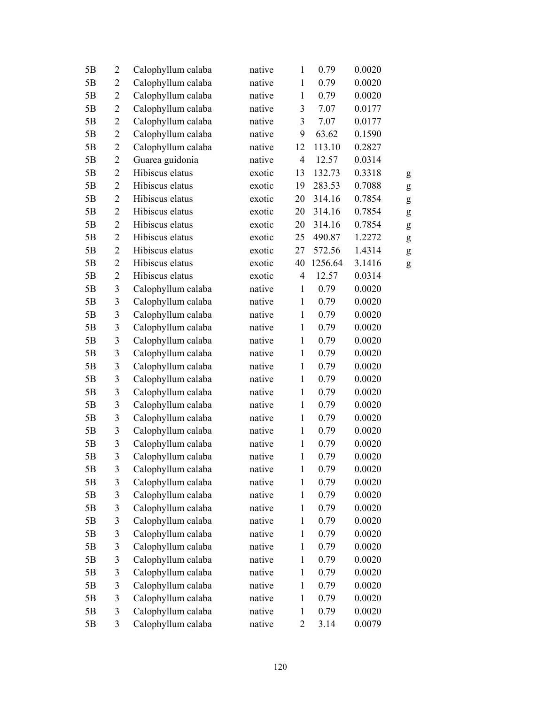| 5B | $\overline{2}$ | Calophyllum calaba | native | $\mathbf{1}$   | 0.79    | 0.0020 |   |
|----|----------------|--------------------|--------|----------------|---------|--------|---|
| 5B | $\overline{2}$ | Calophyllum calaba | native | $\mathbf{1}$   | 0.79    | 0.0020 |   |
| 5B | $\mathbf{2}$   | Calophyllum calaba | native | $\mathbf{1}$   | 0.79    | 0.0020 |   |
| 5B | $\overline{2}$ | Calophyllum calaba | native | 3              | 7.07    | 0.0177 |   |
| 5B | $\overline{2}$ | Calophyllum calaba | native | 3              | 7.07    | 0.0177 |   |
| 5B | $\mathbf{2}$   | Calophyllum calaba | native | 9              | 63.62   | 0.1590 |   |
| 5B | $\overline{2}$ | Calophyllum calaba | native | 12             | 113.10  | 0.2827 |   |
| 5B | $\mathbf{2}$   | Guarea guidonia    | native | $\overline{4}$ | 12.57   | 0.0314 |   |
| 5B | $\overline{2}$ | Hibiscus elatus    | exotic | 13             | 132.73  | 0.3318 | g |
| 5B | $\overline{2}$ | Hibiscus elatus    | exotic | 19             | 283.53  | 0.7088 | g |
| 5B | $\overline{2}$ | Hibiscus elatus    | exotic | 20             | 314.16  | 0.7854 | g |
| 5B | $\overline{2}$ | Hibiscus elatus    | exotic | 20             | 314.16  | 0.7854 | g |
| 5B | $\overline{2}$ | Hibiscus elatus    | exotic | 20             | 314.16  | 0.7854 | g |
| 5B | $\overline{2}$ | Hibiscus elatus    | exotic | 25             | 490.87  | 1.2272 | g |
| 5B | $\mathbf{2}$   | Hibiscus elatus    | exotic | 27             | 572.56  | 1.4314 | g |
| 5B | $\overline{2}$ | Hibiscus elatus    | exotic | 40             | 1256.64 | 3.1416 | g |
| 5B | $\overline{2}$ | Hibiscus elatus    | exotic | $\overline{4}$ | 12.57   | 0.0314 |   |
| 5B | $\mathfrak{Z}$ | Calophyllum calaba | native | $\mathbf{1}$   | 0.79    | 0.0020 |   |
| 5B | $\mathfrak{Z}$ | Calophyllum calaba | native | $\mathbf{1}$   | 0.79    | 0.0020 |   |
| 5B | $\mathfrak{Z}$ | Calophyllum calaba | native | $\mathbf{1}$   | 0.79    | 0.0020 |   |
| 5B | $\mathfrak{Z}$ | Calophyllum calaba | native | $\mathbf{1}$   | 0.79    | 0.0020 |   |
| 5B | $\mathfrak{Z}$ | Calophyllum calaba | native | $\mathbf{1}$   | 0.79    | 0.0020 |   |
| 5B | $\mathfrak{Z}$ | Calophyllum calaba | native | $\mathbf{1}$   | 0.79    | 0.0020 |   |
| 5B | $\mathfrak{Z}$ | Calophyllum calaba | native | $\mathbf{1}$   | 0.79    | 0.0020 |   |
| 5B | $\mathfrak{Z}$ | Calophyllum calaba | native | $\mathbf{1}$   | 0.79    | 0.0020 |   |
| 5B | $\mathfrak{Z}$ | Calophyllum calaba | native | $\mathbf{1}$   | 0.79    | 0.0020 |   |
| 5B | $\mathfrak{Z}$ | Calophyllum calaba | native | $\mathbf{1}$   | 0.79    | 0.0020 |   |
| 5B | $\mathfrak{Z}$ | Calophyllum calaba | native | $\mathbf{1}$   | 0.79    | 0.0020 |   |
| 5B | $\mathfrak{Z}$ | Calophyllum calaba | native | $\mathbf{1}$   | 0.79    | 0.0020 |   |
| 5B | $\mathfrak{Z}$ | Calophyllum calaba | native | $\mathbf{1}$   | 0.79    | 0.0020 |   |
| 5B | 3              | Calophyllum calaba | native | $\mathbf{1}$   | 0.79    | 0.0020 |   |
| 5B | $\mathfrak{Z}$ | Calophyllum calaba | native | $\mathbf{1}$   | 0.79    | 0.0020 |   |
| 5B | $\mathfrak{Z}$ | Calophyllum calaba | native | $\mathbf{1}$   | 0.79    | 0.0020 |   |
| 5B | $\mathfrak{Z}$ | Calophyllum calaba | native | $\mathbf{1}$   | 0.79    | 0.0020 |   |
| 5B | $\mathfrak{Z}$ | Calophyllum calaba | native | $\mathbf{1}$   | 0.79    | 0.0020 |   |
| 5B | $\mathfrak{Z}$ | Calophyllum calaba | native | $\mathbf{1}$   | 0.79    | 0.0020 |   |
| 5B | 3              | Calophyllum calaba | native | $\mathbf{1}$   | 0.79    | 0.0020 |   |
| 5B | $\mathfrak{Z}$ | Calophyllum calaba | native | $\mathbf{1}$   | 0.79    | 0.0020 |   |
| 5B | $\mathfrak{Z}$ | Calophyllum calaba | native | $\,1$          | 0.79    | 0.0020 |   |
| 5B | $\mathfrak{Z}$ | Calophyllum calaba | native | $\mathbf{1}$   | 0.79    | 0.0020 |   |
| 5B | $\mathfrak{Z}$ | Calophyllum calaba | native | $\mathbf{1}$   | 0.79    | 0.0020 |   |
| 5Β | $\mathfrak{Z}$ | Calophyllum calaba | native | $\mathbf{1}$   | 0.79    | 0.0020 |   |
| 5B | $\mathfrak{Z}$ | Calophyllum calaba | native | $\mathbf{1}$   | 0.79    | 0.0020 |   |
| 5B | 3              | Calophyllum calaba | native | $\overline{2}$ | 3.14    | 0.0079 |   |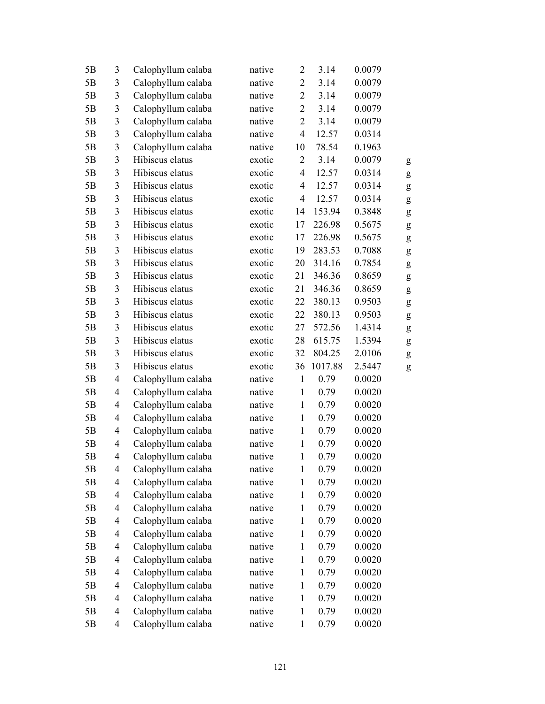| 5B | 3                        | Calophyllum calaba | native | $\overline{2}$ | 3.14    | 0.0079 |   |
|----|--------------------------|--------------------|--------|----------------|---------|--------|---|
| 5B | $\mathfrak{Z}$           | Calophyllum calaba | native | $\overline{2}$ | 3.14    | 0.0079 |   |
| 5B | $\mathfrak{Z}$           | Calophyllum calaba | native | $\overline{2}$ | 3.14    | 0.0079 |   |
| 5B | 3                        | Calophyllum calaba | native | $\overline{2}$ | 3.14    | 0.0079 |   |
| 5B | $\overline{\mathbf{3}}$  | Calophyllum calaba | native | $\overline{2}$ | 3.14    | 0.0079 |   |
| 5B | $\mathfrak{Z}$           | Calophyllum calaba | native | $\overline{4}$ | 12.57   | 0.0314 |   |
| 5B | $\mathfrak{Z}$           | Calophyllum calaba | native | 10             | 78.54   | 0.1963 |   |
| 5B | $\mathfrak{Z}$           | Hibiscus elatus    | exotic | $\overline{2}$ | 3.14    | 0.0079 | g |
| 5B | 3                        | Hibiscus elatus    | exotic | $\overline{4}$ | 12.57   | 0.0314 | g |
| 5B | $\mathfrak{Z}$           | Hibiscus elatus    | exotic | $\overline{4}$ | 12.57   | 0.0314 | g |
| 5B | 3                        | Hibiscus elatus    | exotic | $\overline{4}$ | 12.57   | 0.0314 | g |
| 5B | $\mathfrak{Z}$           | Hibiscus elatus    | exotic | 14             | 153.94  | 0.3848 | g |
| 5B | $\mathfrak{Z}$           | Hibiscus elatus    | exotic | 17             | 226.98  | 0.5675 | g |
| 5B | $\mathfrak{Z}$           | Hibiscus elatus    | exotic | 17             | 226.98  | 0.5675 | g |
| 5B | $\mathfrak{Z}$           | Hibiscus elatus    | exotic | 19             | 283.53  | 0.7088 | g |
| 5B | 3                        | Hibiscus elatus    | exotic | 20             | 314.16  | 0.7854 | g |
| 5B | $\mathfrak{Z}$           | Hibiscus elatus    | exotic | 21             | 346.36  | 0.8659 | g |
| 5B | $\mathfrak{Z}$           | Hibiscus elatus    | exotic | 21             | 346.36  | 0.8659 | g |
| 5B | $\mathfrak{Z}$           | Hibiscus elatus    | exotic | 22             | 380.13  | 0.9503 | g |
| 5B | $\mathfrak{Z}$           | Hibiscus elatus    | exotic | 22             | 380.13  | 0.9503 | g |
| 5B | 3                        | Hibiscus elatus    | exotic | 27             | 572.56  | 1.4314 | g |
| 5B | $\mathfrak{Z}$           | Hibiscus elatus    | exotic | 28             | 615.75  | 1.5394 | g |
| 5B | $\mathfrak{Z}$           | Hibiscus elatus    | exotic | 32             | 804.25  | 2.0106 | g |
| 5B | $\mathfrak{Z}$           | Hibiscus elatus    | exotic | 36             | 1017.88 | 2.5447 | g |
| 5B | $\overline{4}$           | Calophyllum calaba | native | $\mathbf{1}$   | 0.79    | 0.0020 |   |
| 5B | 4                        | Calophyllum calaba | native | $\mathbf{1}$   | 0.79    | 0.0020 |   |
| 5B | $\overline{\mathcal{L}}$ | Calophyllum calaba | native | $\mathbf{1}$   | 0.79    | 0.0020 |   |
| 5B | $\overline{4}$           | Calophyllum calaba | native | $\mathbf{1}$   | 0.79    | 0.0020 |   |
| 5B | $\overline{4}$           | Calophyllum calaba | native | $\mathbf{1}$   | 0.79    | 0.0020 |   |
| 5B | 4                        | Calophyllum calaba | native | $\mathbf{1}$   | 0.79    | 0.0020 |   |
| 5B | 4                        | Calophyllum calaba | native | $\mathbf{1}$   | 0.79    | 0.0020 |   |
| 5B | $\overline{\mathcal{A}}$ | Calophyllum calaba | native | $\mathbf{1}$   | 0.79    | 0.0020 |   |
| 5B | $\overline{\mathcal{A}}$ | Calophyllum calaba | native | $\mathbf{1}$   | 0.79    | 0.0020 |   |
| 5B | $\overline{\mathcal{A}}$ | Calophyllum calaba | native | $\mathbf{1}$   | 0.79    | 0.0020 |   |
| 5B | $\overline{\mathcal{A}}$ | Calophyllum calaba | native | $\mathbf{1}$   | 0.79    | 0.0020 |   |
| 5B | $\overline{\mathcal{L}}$ | Calophyllum calaba | native | $\mathbf{1}$   | 0.79    | 0.0020 |   |
| 5B | $\overline{\mathcal{A}}$ | Calophyllum calaba | native | $\mathbf{1}$   | 0.79    | 0.0020 |   |
| 5B | $\overline{\mathcal{A}}$ | Calophyllum calaba | native | $\mathbf{1}$   | 0.79    | 0.0020 |   |
| 5B | $\overline{\mathcal{A}}$ | Calophyllum calaba | native | $\,1$          | 0.79    | 0.0020 |   |
| 5B | $\overline{\mathcal{A}}$ | Calophyllum calaba | native | $\mathbf{1}$   | 0.79    | 0.0020 |   |
| 5B | $\overline{4}$           | Calophyllum calaba | native | $\mathbf{1}$   | 0.79    | 0.0020 |   |
| 5B | $\overline{\mathcal{A}}$ | Calophyllum calaba | native | $\mathbf{1}$   | 0.79    | 0.0020 |   |
| 5B | $\overline{\mathcal{A}}$ | Calophyllum calaba | native | $\mathbf{1}$   | 0.79    | 0.0020 |   |
| 5B | $\overline{\mathcal{A}}$ | Calophyllum calaba | native | $\mathbf{1}$   | 0.79    | 0.0020 |   |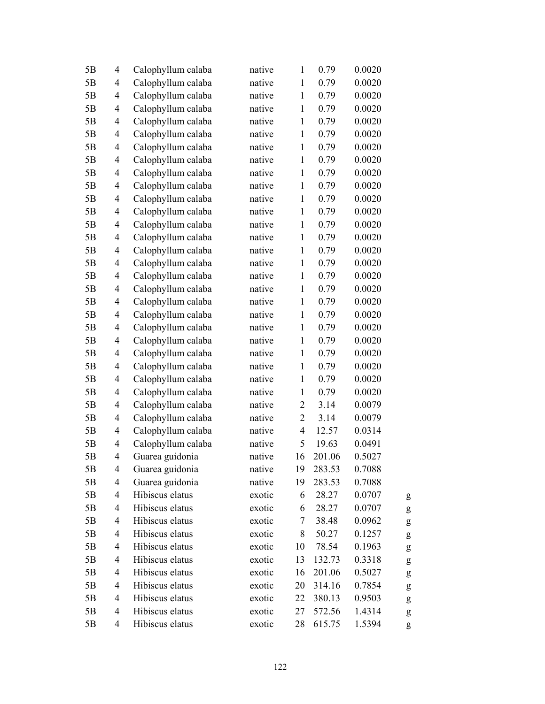| 5B | $\overline{\mathcal{L}}$ | Calophyllum calaba | native | $\mathbf{1}$             | 0.79   | 0.0020 |   |
|----|--------------------------|--------------------|--------|--------------------------|--------|--------|---|
| 5B | 4                        | Calophyllum calaba | native | $\mathbf{1}$             | 0.79   | 0.0020 |   |
| 5B | 4                        | Calophyllum calaba | native | $\mathbf{1}$             | 0.79   | 0.0020 |   |
| 5B | 4                        | Calophyllum calaba | native | $\mathbf{1}$             | 0.79   | 0.0020 |   |
| 5B | $\overline{4}$           | Calophyllum calaba | native | $\mathbf{1}$             | 0.79   | 0.0020 |   |
| 5B | 4                        | Calophyllum calaba | native | $\mathbf{1}$             | 0.79   | 0.0020 |   |
| 5B | 4                        | Calophyllum calaba | native | $\mathbf{1}$             | 0.79   | 0.0020 |   |
| 5B | 4                        | Calophyllum calaba | native | $\mathbf{1}$             | 0.79   | 0.0020 |   |
| 5B | 4                        | Calophyllum calaba | native | $\mathbf{1}$             | 0.79   | 0.0020 |   |
| 5B | $\overline{4}$           | Calophyllum calaba | native | $\mathbf{1}$             | 0.79   | 0.0020 |   |
| 5B | $\overline{4}$           | Calophyllum calaba | native | $\mathbf{1}$             | 0.79   | 0.0020 |   |
| 5B | 4                        | Calophyllum calaba | native | $\mathbf{1}$             | 0.79   | 0.0020 |   |
| 5B | 4                        | Calophyllum calaba | native | $\mathbf{1}$             | 0.79   | 0.0020 |   |
| 5B | 4                        | Calophyllum calaba | native | $\mathbf{1}$             | 0.79   | 0.0020 |   |
| 5B | 4                        | Calophyllum calaba | native | $\mathbf{1}$             | 0.79   | 0.0020 |   |
| 5B | 4                        | Calophyllum calaba | native | $\mathbf{1}$             | 0.79   | 0.0020 |   |
| 5B | $\overline{\mathcal{L}}$ | Calophyllum calaba | native | $\mathbf{1}$             | 0.79   | 0.0020 |   |
| 5B | 4                        | Calophyllum calaba | native | $\mathbf{1}$             | 0.79   | 0.0020 |   |
| 5B | $\overline{4}$           | Calophyllum calaba | native | $\mathbf{1}$             | 0.79   | 0.0020 |   |
| 5B | 4                        | Calophyllum calaba | native | $\mathbf{1}$             | 0.79   | 0.0020 |   |
| 5B | 4                        | Calophyllum calaba | native | $\mathbf{1}$             | 0.79   | 0.0020 |   |
| 5B | 4                        | Calophyllum calaba | native | $\mathbf{1}$             | 0.79   | 0.0020 |   |
| 5B | $\overline{4}$           | Calophyllum calaba | native | $\mathbf{1}$             | 0.79   | 0.0020 |   |
| 5B | 4                        | Calophyllum calaba | native | $\mathbf{1}$             | 0.79   | 0.0020 |   |
| 5B | 4                        | Calophyllum calaba | native | $\mathbf{1}$             | 0.79   | 0.0020 |   |
| 5B | 4                        | Calophyllum calaba | native | $\mathbf{1}$             | 0.79   | 0.0020 |   |
| 5B | 4                        | Calophyllum calaba | native | $\overline{c}$           | 3.14   | 0.0079 |   |
| 5B | $\overline{\mathcal{L}}$ | Calophyllum calaba | native | $\overline{c}$           | 3.14   | 0.0079 |   |
| 5B | $\overline{4}$           | Calophyllum calaba | native | $\overline{\mathcal{L}}$ | 12.57  | 0.0314 |   |
| 5B | 4                        | Calophyllum calaba | native | 5                        | 19.63  | 0.0491 |   |
| 5B | 4                        | Guarea guidonia    | native | 16                       | 201.06 | 0.5027 |   |
| 5B | 4                        | Guarea guidonia    | native | 19                       | 283.53 | 0.7088 |   |
| 5B | 4                        | Guarea guidonia    | native | 19                       | 283.53 | 0.7088 |   |
| 5B | $\overline{\mathcal{L}}$ | Hibiscus elatus    | exotic | 6                        | 28.27  | 0.0707 | g |
| 5B | 4                        | Hibiscus elatus    | exotic | 6                        | 28.27  | 0.0707 | g |
| 5B | $\overline{4}$           | Hibiscus elatus    | exotic | 7                        | 38.48  | 0.0962 | g |
| 5B | 4                        | Hibiscus elatus    | exotic | 8                        | 50.27  | 0.1257 | g |
| 5B | 4                        | Hibiscus elatus    | exotic | 10                       | 78.54  | 0.1963 | g |
| 5B | 4                        | Hibiscus elatus    | exotic | 13                       | 132.73 | 0.3318 | g |
| 5B | 4                        | Hibiscus elatus    | exotic | 16                       | 201.06 | 0.5027 | g |
| 5B | $\overline{4}$           | Hibiscus elatus    | exotic | 20                       | 314.16 | 0.7854 | g |
| 5B | 4                        | Hibiscus elatus    | exotic | 22                       | 380.13 | 0.9503 | g |
| 5B | 4                        | Hibiscus elatus    | exotic | 27                       | 572.56 | 1.4314 | g |
| 5B | 4                        | Hibiscus elatus    | exotic | 28                       | 615.75 | 1.5394 | g |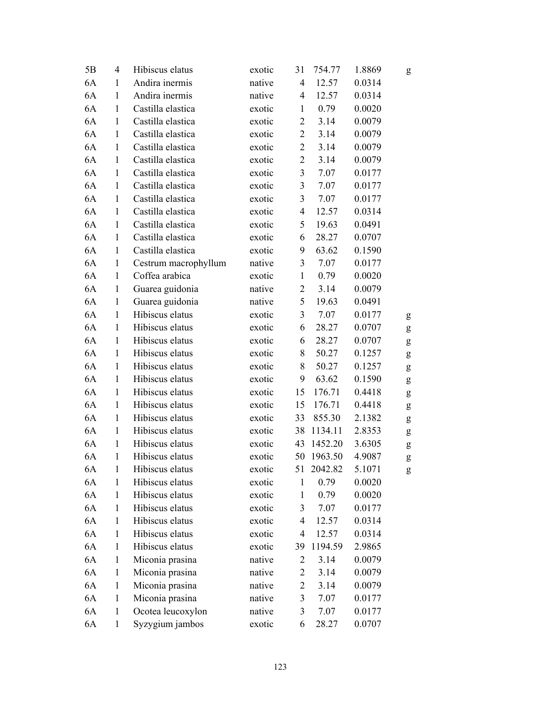| 5B | $\overline{4}$ | Hibiscus elatus      | exotic | 31             | 754.77  | 1.8869 | g         |
|----|----------------|----------------------|--------|----------------|---------|--------|-----------|
| 6A | $\mathbf{1}$   | Andira inermis       | native | $\overline{4}$ | 12.57   | 0.0314 |           |
| 6A | $\mathbf{1}$   | Andira inermis       | native | $\overline{4}$ | 12.57   | 0.0314 |           |
| 6A | $\mathbf{1}$   | Castilla elastica    | exotic | $\mathbf{1}$   | 0.79    | 0.0020 |           |
| 6A | $\mathbf{1}$   | Castilla elastica    | exotic | $\overline{2}$ | 3.14    | 0.0079 |           |
| 6A | $\mathbf{1}$   | Castilla elastica    | exotic | $\overline{2}$ | 3.14    | 0.0079 |           |
| 6A | $\mathbf{1}$   | Castilla elastica    | exotic | $\overline{2}$ | 3.14    | 0.0079 |           |
| 6A | $\mathbf{1}$   | Castilla elastica    | exotic | $\overline{2}$ | 3.14    | 0.0079 |           |
| 6A | $\mathbf{1}$   | Castilla elastica    | exotic | 3              | 7.07    | 0.0177 |           |
| 6A | $\mathbf{1}$   | Castilla elastica    | exotic | $\overline{3}$ | 7.07    | 0.0177 |           |
| 6A | $\mathbf{1}$   | Castilla elastica    | exotic | 3              | 7.07    | 0.0177 |           |
| 6A | $\mathbf{1}$   | Castilla elastica    | exotic | $\overline{4}$ | 12.57   | 0.0314 |           |
| 6A | $\mathbf{1}$   | Castilla elastica    | exotic | 5              | 19.63   | 0.0491 |           |
| 6A | $\mathbf{1}$   | Castilla elastica    | exotic | 6              | 28.27   | 0.0707 |           |
| 6A | $\mathbf{1}$   | Castilla elastica    | exotic | 9              | 63.62   | 0.1590 |           |
| 6A | $\mathbf{1}$   | Cestrum macrophyllum | native | 3              | 7.07    | 0.0177 |           |
| 6A | $\mathbf{1}$   | Coffea arabica       | exotic | $\mathbf{1}$   | 0.79    | 0.0020 |           |
| 6A | $\mathbf{1}$   | Guarea guidonia      | native | $\overline{c}$ | 3.14    | 0.0079 |           |
| 6A | $\mathbf{1}$   | Guarea guidonia      | native | 5              | 19.63   | 0.0491 |           |
| 6A | $\mathbf{1}$   | Hibiscus elatus      | exotic | 3              | 7.07    | 0.0177 | g         |
| 6A | $\mathbf{1}$   | Hibiscus elatus      | exotic | 6              | 28.27   | 0.0707 | ${\sf g}$ |
| 6A | $\mathbf{1}$   | Hibiscus elatus      | exotic | 6              | 28.27   | 0.0707 | g         |
| 6A | $\mathbf{1}$   | Hibiscus elatus      | exotic | 8              | 50.27   | 0.1257 | g         |
| 6A | $\mathbf{1}$   | Hibiscus elatus      | exotic | $8\,$          | 50.27   | 0.1257 | g         |
| 6A | $\mathbf{1}$   | Hibiscus elatus      | exotic | 9              | 63.62   | 0.1590 | g         |
| 6A | $\mathbf{1}$   | Hibiscus elatus      | exotic | 15             | 176.71  | 0.4418 | g         |
| 6A | $\mathbf{1}$   | Hibiscus elatus      | exotic | 15             | 176.71  | 0.4418 | g         |
| 6A | $\mathbf{1}$   | Hibiscus elatus      | exotic | 33             | 855.30  | 2.1382 | g         |
| 6A | $\mathbf{1}$   | Hibiscus elatus      | exotic | 38             | 1134.11 | 2.8353 | ${\bf g}$ |
| 6A | $\mathbf{1}$   | Hibiscus elatus      | exotic | 43             | 1452.20 | 3.6305 | g         |
| 6A | $\mathbf{1}$   | Hibiscus elatus      | exotic | 50             | 1963.50 | 4.9087 | g         |
| 6A | $\mathbf{1}$   | Hibiscus elatus      | exotic | 51             | 2042.82 | 5.1071 | g         |
| 6A | 1              | Hibiscus elatus      | exotic | 1              | 0.79    | 0.0020 |           |
| 6A | $\mathbf{1}$   | Hibiscus elatus      | exotic | $\mathbf{1}$   | 0.79    | 0.0020 |           |
| 6A | 1              | Hibiscus elatus      | exotic | 3              | 7.07    | 0.0177 |           |
| 6A | $\mathbf{1}$   | Hibiscus elatus      | exotic | $\overline{4}$ | 12.57   | 0.0314 |           |
| 6A | $\mathbf{1}$   | Hibiscus elatus      | exotic | $\overline{4}$ | 12.57   | 0.0314 |           |
| 6A | $\mathbf{1}$   | Hibiscus elatus      | exotic | 39             | 1194.59 | 2.9865 |           |
| 6A | $\mathbf{1}$   | Miconia prasina      | native | $\overline{2}$ | 3.14    | 0.0079 |           |
| 6A | $\mathbf{1}$   | Miconia prasina      | native | $\overline{c}$ | 3.14    | 0.0079 |           |
| 6A | $\mathbf{1}$   | Miconia prasina      | native | $\overline{2}$ | 3.14    | 0.0079 |           |
| 6A | $\mathbf{1}$   | Miconia prasina      | native | 3              | 7.07    | 0.0177 |           |
| 6A | 1              | Ocotea leucoxylon    | native | 3              | 7.07    | 0.0177 |           |
| 6A | $\mathbf{1}$   | Syzygium jambos      | exotic | 6              | 28.27   | 0.0707 |           |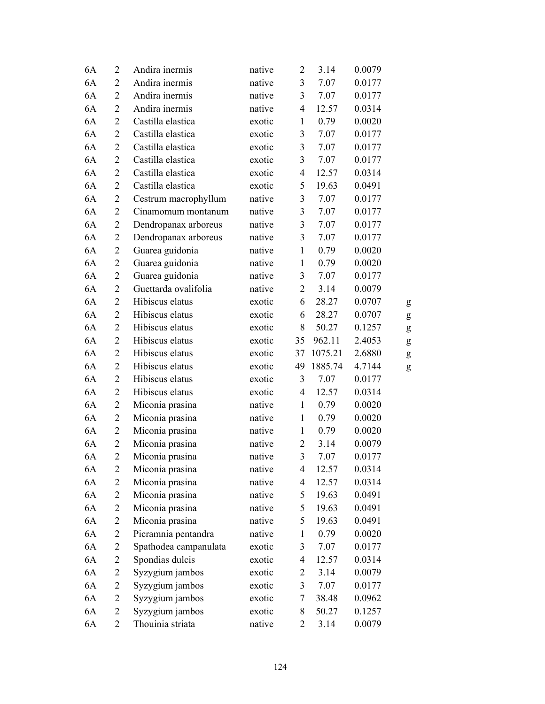| 6A | $\overline{2}$ | Andira inermis        | native | $\overline{2}$ | 3.14    | 0.0079 |           |
|----|----------------|-----------------------|--------|----------------|---------|--------|-----------|
| 6A | $\overline{2}$ | Andira inermis        | native | 3              | 7.07    | 0.0177 |           |
| 6A | $\overline{2}$ | Andira inermis        | native | 3              | 7.07    | 0.0177 |           |
| 6A | $\overline{2}$ | Andira inermis        | native | $\overline{4}$ | 12.57   | 0.0314 |           |
| 6A | $\overline{2}$ | Castilla elastica     | exotic | $\mathbf{1}$   | 0.79    | 0.0020 |           |
| 6A | $\overline{2}$ | Castilla elastica     | exotic | 3              | 7.07    | 0.0177 |           |
| 6A | $\overline{2}$ | Castilla elastica     | exotic | 3              | 7.07    | 0.0177 |           |
| 6A | $\overline{2}$ | Castilla elastica     | exotic | 3              | 7.07    | 0.0177 |           |
| 6A | $\overline{2}$ | Castilla elastica     | exotic | $\overline{4}$ | 12.57   | 0.0314 |           |
| 6A | $\overline{2}$ | Castilla elastica     | exotic | 5              | 19.63   | 0.0491 |           |
| 6A | $\overline{c}$ | Cestrum macrophyllum  | native | 3              | 7.07    | 0.0177 |           |
| 6A | $\overline{2}$ | Cinamomum montanum    | native | $\mathfrak{Z}$ | 7.07    | 0.0177 |           |
| 6A | $\overline{2}$ | Dendropanax arboreus  | native | 3              | 7.07    | 0.0177 |           |
| 6A | $\mathbf{2}$   | Dendropanax arboreus  | native | 3              | 7.07    | 0.0177 |           |
| 6A | $\overline{2}$ | Guarea guidonia       | native | $\mathbf{1}$   | 0.79    | 0.0020 |           |
| 6A | $\overline{c}$ | Guarea guidonia       | native | $\mathbf{1}$   | 0.79    | 0.0020 |           |
| 6A | $\overline{2}$ | Guarea guidonia       | native | 3              | 7.07    | 0.0177 |           |
| 6A | $\overline{2}$ | Guettarda ovalifolia  | native | $\overline{c}$ | 3.14    | 0.0079 |           |
| 6A | $\overline{2}$ | Hibiscus elatus       | exotic | 6              | 28.27   | 0.0707 | g         |
| 6A | $\mathbf{2}$   | Hibiscus elatus       | exotic | 6              | 28.27   | 0.0707 | ${\bf g}$ |
| 6A | $\overline{2}$ | Hibiscus elatus       | exotic | 8              | 50.27   | 0.1257 | ${\bf g}$ |
| 6A | $\overline{2}$ | Hibiscus elatus       | exotic | 35             | 962.11  | 2.4053 | g         |
| 6A | $\overline{2}$ | Hibiscus elatus       | exotic | 37             | 1075.21 | 2.6880 | ${\sf g}$ |
| 6A | $\overline{2}$ | Hibiscus elatus       | exotic | 49             | 1885.74 | 4.7144 | g         |
| 6A | $\overline{2}$ | Hibiscus elatus       | exotic | 3              | 7.07    | 0.0177 |           |
| 6A | $\overline{2}$ | Hibiscus elatus       | exotic | $\overline{4}$ | 12.57   | 0.0314 |           |
| 6A | $\overline{2}$ | Miconia prasina       | native | $\mathbf{1}$   | 0.79    | 0.0020 |           |
| 6A | $\overline{2}$ | Miconia prasina       | native | $\mathbf{1}$   | 0.79    | 0.0020 |           |
| 6A | $\mathbf{2}$   | Miconia prasina       | native | $\mathbf{1}$   | 0.79    | 0.0020 |           |
| 6A | $\overline{c}$ | Miconia prasina       | native | $\overline{c}$ | 3.14    | 0.0079 |           |
| 6A | $\overline{2}$ | Miconia prasina       | native | 3              | 7.07    | 0.0177 |           |
| 6A | $\overline{c}$ | Miconia prasina       | native | $\overline{4}$ | 12.57   | 0.0314 |           |
| 6A | $\overline{2}$ | Miconia prasina       | native | $\overline{4}$ | 12.57   | 0.0314 |           |
| 6A | $\overline{c}$ | Miconia prasina       | native | 5              | 19.63   | 0.0491 |           |
| 6A | 2              | Miconia prasina       | native | 5              | 19.63   | 0.0491 |           |
| 6A | $\overline{c}$ | Miconia prasina       | native | 5              | 19.63   | 0.0491 |           |
| 6A | $\overline{c}$ | Picramnia pentandra   | native | $\mathbf{1}$   | 0.79    | 0.0020 |           |
| 6A | $\overline{c}$ | Spathodea campanulata | exotic | 3              | 7.07    | 0.0177 |           |
| 6A | $\overline{c}$ | Spondias dulcis       | exotic | 4              | 12.57   | 0.0314 |           |
| 6A | 2              | Syzygium jambos       | exotic | $\overline{c}$ | 3.14    | 0.0079 |           |
| 6A | $\overline{c}$ | Syzygium jambos       | exotic | $\mathfrak{Z}$ | 7.07    | 0.0177 |           |
| 6A | $\overline{c}$ | Syzygium jambos       | exotic | 7              | 38.48   | 0.0962 |           |
| 6A | $\overline{2}$ | Syzygium jambos       | exotic | 8              | 50.27   | 0.1257 |           |
| 6A | $\overline{2}$ | Thouinia striata      | native | 2              | 3.14    | 0.0079 |           |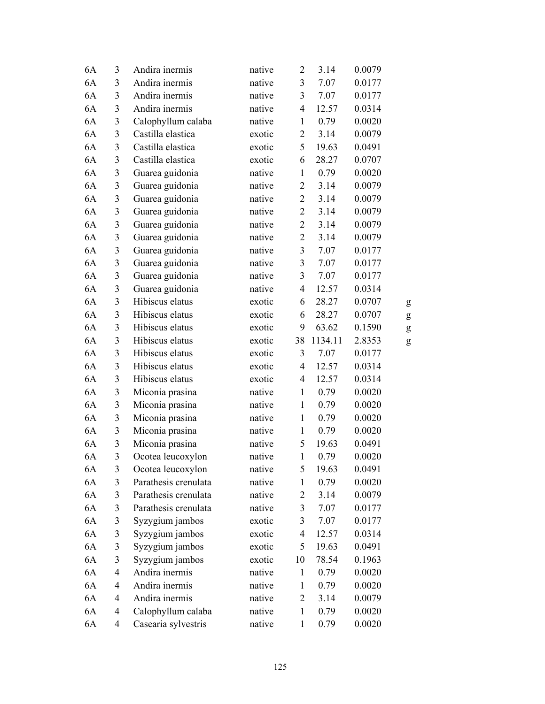| 6A | 3              | Andira inermis       | native | $\overline{2}$ | 3.14    | 0.0079 |           |
|----|----------------|----------------------|--------|----------------|---------|--------|-----------|
| 6A | 3              | Andira inermis       | native | 3              | 7.07    | 0.0177 |           |
| 6A | 3              | Andira inermis       | native | $\overline{3}$ | 7.07    | 0.0177 |           |
| 6A | 3              | Andira inermis       | native | $\overline{4}$ | 12.57   | 0.0314 |           |
| 6A | $\mathfrak{Z}$ | Calophyllum calaba   | native | $\mathbf{1}$   | 0.79    | 0.0020 |           |
| 6A | 3              | Castilla elastica    | exotic | $\mathbf{2}$   | 3.14    | 0.0079 |           |
| 6A | 3              | Castilla elastica    | exotic | 5              | 19.63   | 0.0491 |           |
| 6A | 3              | Castilla elastica    | exotic | 6              | 28.27   | 0.0707 |           |
| 6A | 3              | Guarea guidonia      | native | $\mathbf{1}$   | 0.79    | 0.0020 |           |
| 6A | $\mathfrak{Z}$ | Guarea guidonia      | native | $\overline{2}$ | 3.14    | 0.0079 |           |
| 6A | 3              | Guarea guidonia      | native | $\overline{c}$ | 3.14    | 0.0079 |           |
| 6A | $\mathfrak{Z}$ | Guarea guidonia      | native | $\overline{2}$ | 3.14    | 0.0079 |           |
| 6A | $\mathfrak{Z}$ | Guarea guidonia      | native | $\overline{2}$ | 3.14    | 0.0079 |           |
| 6A | 3              | Guarea guidonia      | native | $\overline{2}$ | 3.14    | 0.0079 |           |
| 6A | $\mathfrak{Z}$ | Guarea guidonia      | native | $\overline{3}$ | 7.07    | 0.0177 |           |
| 6A | 3              | Guarea guidonia      | native | 3              | 7.07    | 0.0177 |           |
| 6A | $\mathfrak{Z}$ | Guarea guidonia      | native | $\overline{3}$ | 7.07    | 0.0177 |           |
| 6A | 3              | Guarea guidonia      | native | $\overline{4}$ | 12.57   | 0.0314 |           |
| 6A | 3              | Hibiscus elatus      | exotic | 6              | 28.27   | 0.0707 | g         |
| 6A | 3              | Hibiscus elatus      | exotic | 6              | 28.27   | 0.0707 | ${\sf g}$ |
| 6A | 3              | Hibiscus elatus      | exotic | 9              | 63.62   | 0.1590 | g         |
| 6A | 3              | Hibiscus elatus      | exotic | 38             | 1134.11 | 2.8353 | g         |
| 6A | 3              | Hibiscus elatus      | exotic | 3              | 7.07    | 0.0177 |           |
| 6A | 3              | Hibiscus elatus      | exotic | $\overline{4}$ | 12.57   | 0.0314 |           |
| 6A | 3              | Hibiscus elatus      | exotic | $\overline{4}$ | 12.57   | 0.0314 |           |
| 6A | 3              | Miconia prasina      | native | $\mathbf{1}$   | 0.79    | 0.0020 |           |
| 6A | $\mathfrak{Z}$ | Miconia prasina      | native | $\mathbf{1}$   | 0.79    | 0.0020 |           |
| 6A | 3              | Miconia prasina      | native | $\mathbf{1}$   | 0.79    | 0.0020 |           |
| 6A | $\mathfrak{Z}$ | Miconia prasina      | native | $\mathbf{1}$   | 0.79    | 0.0020 |           |
| 6A | 3              | Miconia prasina      | native | 5              | 19.63   | 0.0491 |           |
| 6A | 3              | Ocotea leucoxylon    | native | $\mathbf{1}$   | 0.79    | 0.0020 |           |
| 6A | 3              | Ocotea leucoxylon    | native | 5              | 19.63   | 0.0491 |           |
| 6A | 3              | Parathesis crenulata | native | 1              | 0.79    | 0.0020 |           |
| 6A | 3              | Parathesis crenulata | native | $\overline{2}$ | 3.14    | 0.0079 |           |
| 6A | 3              | Parathesis crenulata | native | 3              | 7.07    | 0.0177 |           |
| 6A | $\mathfrak{Z}$ | Syzygium jambos      | exotic | 3              | 7.07    | 0.0177 |           |
| 6A | $\mathfrak{Z}$ | Syzygium jambos      | exotic | $\overline{4}$ | 12.57   | 0.0314 |           |
| 6A | $\mathfrak{Z}$ | Syzygium jambos      | exotic | 5              | 19.63   | 0.0491 |           |
| 6A | $\mathfrak{Z}$ | Syzygium jambos      | exotic | 10             | 78.54   | 0.1963 |           |
| 6A | $\overline{4}$ | Andira inermis       | native | $\mathbf{1}$   | 0.79    | 0.0020 |           |
| 6A | $\overline{4}$ | Andira inermis       | native | $\mathbf{1}$   | 0.79    | 0.0020 |           |
| 6A | 4              | Andira inermis       | native | $\overline{c}$ | 3.14    | 0.0079 |           |
| 6A | 4              | Calophyllum calaba   | native | $\mathbf{1}$   | 0.79    | 0.0020 |           |
| 6A | 4              | Casearia sylvestris  | native | $\mathbf{1}$   | 0.79    | 0.0020 |           |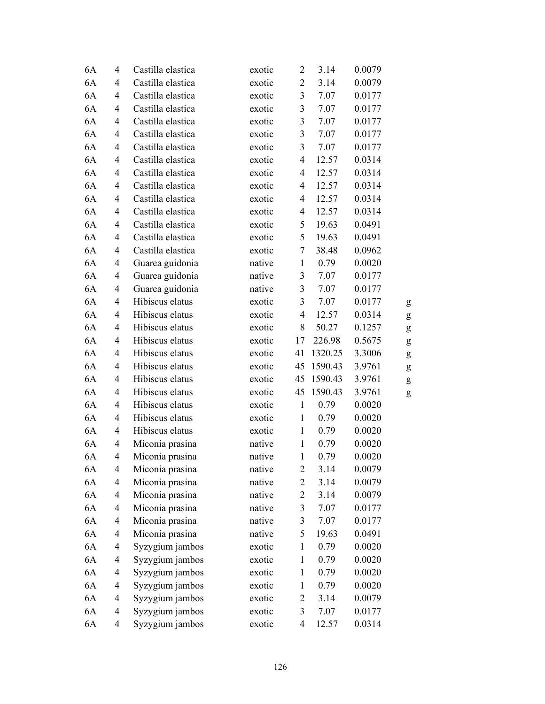| 6A | $\overline{4}$           | Castilla elastica | exotic | $\overline{2}$          | 3.14    | 0.0079 |   |
|----|--------------------------|-------------------|--------|-------------------------|---------|--------|---|
| 6A | 4                        | Castilla elastica | exotic | $\overline{2}$          | 3.14    | 0.0079 |   |
| 6A | 4                        | Castilla elastica | exotic | $\mathfrak{Z}$          | 7.07    | 0.0177 |   |
| 6A | 4                        | Castilla elastica | exotic | 3                       | 7.07    | 0.0177 |   |
| 6A | $\overline{4}$           | Castilla elastica | exotic | $\overline{\mathbf{3}}$ | 7.07    | 0.0177 |   |
| 6A | 4                        | Castilla elastica | exotic | $\mathfrak{Z}$          | 7.07    | 0.0177 |   |
| 6A | 4                        | Castilla elastica | exotic | $\mathfrak{Z}$          | 7.07    | 0.0177 |   |
| 6A | 4                        | Castilla elastica | exotic | $\overline{4}$          | 12.57   | 0.0314 |   |
| 6A | 4                        | Castilla elastica | exotic | $\overline{4}$          | 12.57   | 0.0314 |   |
| 6A | $\overline{4}$           | Castilla elastica | exotic | $\overline{4}$          | 12.57   | 0.0314 |   |
| 6A | 4                        | Castilla elastica | exotic | $\overline{4}$          | 12.57   | 0.0314 |   |
| 6A | 4                        | Castilla elastica | exotic | $\overline{4}$          | 12.57   | 0.0314 |   |
| 6A | 4                        | Castilla elastica | exotic | 5                       | 19.63   | 0.0491 |   |
| 6A | $\overline{4}$           | Castilla elastica | exotic | 5                       | 19.63   | 0.0491 |   |
| 6A | 4                        | Castilla elastica | exotic | 7                       | 38.48   | 0.0962 |   |
| 6A | 4                        | Guarea guidonia   | native | $\mathbf{1}$            | 0.79    | 0.0020 |   |
| 6A | 4                        | Guarea guidonia   | native | 3                       | 7.07    | 0.0177 |   |
| 6A | 4                        | Guarea guidonia   | native | 3                       | 7.07    | 0.0177 |   |
| 6A | $\overline{4}$           | Hibiscus elatus   | exotic | 3                       | 7.07    | 0.0177 | g |
| 6A | $\overline{4}$           | Hibiscus elatus   | exotic | $\overline{4}$          | 12.57   | 0.0314 | g |
| 6A | 4                        | Hibiscus elatus   | exotic | 8                       | 50.27   | 0.1257 | g |
| 6A | $\overline{4}$           | Hibiscus elatus   | exotic | 17                      | 226.98  | 0.5675 | g |
| 6A | 4                        | Hibiscus elatus   | exotic | 41                      | 1320.25 | 3.3006 | g |
| 6A | $\overline{4}$           | Hibiscus elatus   | exotic | 45                      | 1590.43 | 3.9761 | g |
| 6A | $\overline{4}$           | Hibiscus elatus   | exotic | 45                      | 1590.43 | 3.9761 | g |
| 6A | 4                        | Hibiscus elatus   | exotic | 45                      | 1590.43 | 3.9761 | g |
| 6A | $\overline{4}$           | Hibiscus elatus   | exotic | $\mathbf{1}$            | 0.79    | 0.0020 |   |
| 6A | 4                        | Hibiscus elatus   | exotic | $\mathbf{1}$            | 0.79    | 0.0020 |   |
| 6A | $\overline{4}$           | Hibiscus elatus   | exotic | $\mathbf{1}$            | 0.79    | 0.0020 |   |
| 6A | 4                        | Miconia prasina   | native | $\mathbf{1}$            | 0.79    | 0.0020 |   |
| 6A | $\overline{4}$           | Miconia prasina   | native | $\mathbf{1}$            | 0.79    | 0.0020 |   |
| 6A | $\overline{4}$           | Miconia prasina   | native | $\overline{c}$          | 3.14    | 0.0079 |   |
| 6A | 4                        | Miconia prasina   | native | $\overline{2}$          | 3.14    | 0.0079 |   |
| 6A | $\overline{\mathcal{A}}$ | Miconia prasina   | native | $\overline{2}$          | 3.14    | 0.0079 |   |
| 6A | $\overline{\mathcal{A}}$ | Miconia prasina   | native | $\mathfrak{Z}$          | 7.07    | 0.0177 |   |
| 6A | $\overline{\mathcal{A}}$ | Miconia prasina   | native | $\overline{\mathbf{3}}$ | 7.07    | 0.0177 |   |
| 6A | $\overline{\mathcal{A}}$ | Miconia prasina   | native | 5                       | 19.63   | 0.0491 |   |
| 6A | 4                        | Syzygium jambos   | exotic | $\mathbf{1}$            | 0.79    | 0.0020 |   |
| 6A | 4                        | Syzygium jambos   | exotic | $\mathbf{1}$            | 0.79    | 0.0020 |   |
| 6A | 4                        | Syzygium jambos   | exotic | $\mathbf{1}$            | 0.79    | 0.0020 |   |
| 6A | $\overline{\mathcal{A}}$ | Syzygium jambos   | exotic | $\mathbf{1}$            | 0.79    | 0.0020 |   |
| 6A | 4                        | Syzygium jambos   | exotic | $\overline{c}$          | 3.14    | 0.0079 |   |
| 6A | 4                        | Syzygium jambos   | exotic | 3                       | 7.07    | 0.0177 |   |
| 6A | $\overline{\mathcal{A}}$ | Syzygium jambos   | exotic | $\overline{\mathbf{4}}$ | 12.57   | 0.0314 |   |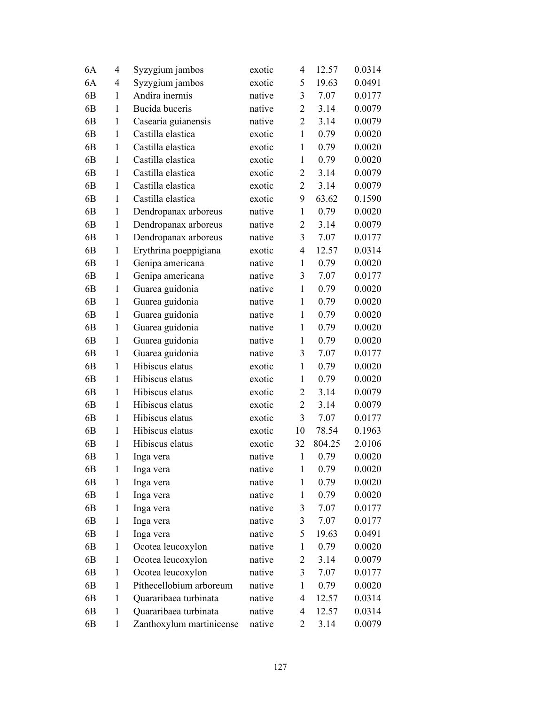| 6A             | 4            | Syzygium jambos          | exotic | 4              | 12.57  | 0.0314 |
|----------------|--------------|--------------------------|--------|----------------|--------|--------|
| 6A             | 4            | Syzygium jambos          | exotic | 5              | 19.63  | 0.0491 |
| 6 <sub>B</sub> | 1            | Andira inermis           | native | 3              | 7.07   | 0.0177 |
| 6 <sub>B</sub> | 1            | Bucida buceris           | native | $\overline{2}$ | 3.14   | 0.0079 |
| 6 <sub>B</sub> | $\mathbf{1}$ | Casearia guianensis      | native | $\overline{2}$ | 3.14   | 0.0079 |
| 6 <sub>B</sub> | $\mathbf{1}$ | Castilla elastica        | exotic | $\mathbf{1}$   | 0.79   | 0.0020 |
| 6 <sub>B</sub> | 1            | Castilla elastica        | exotic | $\mathbf{1}$   | 0.79   | 0.0020 |
| 6 <sub>B</sub> | 1            | Castilla elastica        | exotic | $\mathbf{1}$   | 0.79   | 0.0020 |
| 6 <sub>B</sub> | $\mathbf{1}$ | Castilla elastica        | exotic | $\overline{2}$ | 3.14   | 0.0079 |
| 6 <sub>B</sub> | $\mathbf{1}$ | Castilla elastica        | exotic | $\overline{2}$ | 3.14   | 0.0079 |
| 6 <sub>B</sub> | 1            | Castilla elastica        | exotic | 9              | 63.62  | 0.1590 |
| 6 <sub>B</sub> | 1            | Dendropanax arboreus     | native | 1              | 0.79   | 0.0020 |
| 6 <sub>B</sub> | 1            | Dendropanax arboreus     | native | $\overline{c}$ | 3.14   | 0.0079 |
| 6 <sub>B</sub> | $\mathbf{1}$ | Dendropanax arboreus     | native | 3              | 7.07   | 0.0177 |
| 6 <sub>B</sub> | $\mathbf{1}$ | Erythrina poeppigiana    | exotic | $\overline{4}$ | 12.57  | 0.0314 |
| 6 <sub>B</sub> | 1            | Genipa americana         | native | $\mathbf{1}$   | 0.79   | 0.0020 |
| 6 <sub>B</sub> | $\mathbf{1}$ | Genipa americana         | native | 3              | 7.07   | 0.0177 |
| 6 <sub>B</sub> | 1            | Guarea guidonia          | native | $\mathbf{1}$   | 0.79   | 0.0020 |
| 6 <sub>B</sub> | $\mathbf{1}$ | Guarea guidonia          | native | $\mathbf{1}$   | 0.79   | 0.0020 |
| 6 <sub>B</sub> | $\mathbf{1}$ | Guarea guidonia          | native | $\mathbf{1}$   | 0.79   | 0.0020 |
| 6 <sub>B</sub> | 1            | Guarea guidonia          | native | $\mathbf{1}$   | 0.79   | 0.0020 |
| 6 <sub>B</sub> | 1            | Guarea guidonia          | native | $\mathbf{1}$   | 0.79   | 0.0020 |
| 6 <sub>B</sub> | $\mathbf{1}$ | Guarea guidonia          | native | 3              | 7.07   | 0.0177 |
| 6 <sub>B</sub> | $\mathbf{1}$ | Hibiscus elatus          | exotic | $\mathbf{1}$   | 0.79   | 0.0020 |
| 6 <sub>B</sub> | $\mathbf{1}$ | Hibiscus elatus          | exotic | $\mathbf{1}$   | 0.79   | 0.0020 |
| 6 <sub>B</sub> | 1            | Hibiscus elatus          | exotic | $\overline{2}$ | 3.14   | 0.0079 |
| 6 <sub>B</sub> | $\mathbf{1}$ | Hibiscus elatus          | exotic | $\overline{2}$ | 3.14   | 0.0079 |
| 6 <sub>B</sub> | $\mathbf{1}$ | Hibiscus elatus          | exotic | 3              | 7.07   | 0.0177 |
| 6 <sub>B</sub> | $\mathbf{1}$ | Hibiscus elatus          | exotic | 10             | 78.54  | 0.1963 |
| 6 <sub>B</sub> | $\mathbf{1}$ | Hibiscus elatus          | exotic | 32             | 804.25 | 2.0106 |
| 6 <sub>B</sub> | $\mathbf{1}$ | Inga vera                | native | $\mathbf{1}$   | 0.79   | 0.0020 |
| 6B             | 1            | Inga vera                | native | $\mathbf{1}$   | 0.79   | 0.0020 |
| 6 <sub>B</sub> | 1            | Inga vera                | native | 1              | 0.79   | 0.0020 |
| 6B             | 1            | Inga vera                | native | 1              | 0.79   | 0.0020 |
| 6B             | 1            | Inga vera                | native | $\mathfrak{Z}$ | 7.07   | 0.0177 |
| 6B             | $\mathbf{1}$ | Inga vera                | native | $\mathfrak{Z}$ | 7.07   | 0.0177 |
| 6B             | 1            | Inga vera                | native | 5              | 19.63  | 0.0491 |
| 6 <sub>B</sub> | 1            | Ocotea leucoxylon        | native | 1              | 0.79   | 0.0020 |
| 6B             | 1            | Ocotea leucoxylon        | native | $\overline{2}$ | 3.14   | 0.0079 |
| 6B             | 1            | Ocotea leucoxylon        | native | 3              | 7.07   | 0.0177 |
| 6B             | 1            | Pithecellobium arboreum  | native | $\mathbf{1}$   | 0.79   | 0.0020 |
| 6B             | 1            | Quararibaea turbinata    | native | 4              | 12.57  | 0.0314 |
| 6B             | 1            | Quararibaea turbinata    | native | 4              | 12.57  | 0.0314 |
| 6 <sub>B</sub> | 1            | Zanthoxylum martinicense | native | 2              | 3.14   | 0.0079 |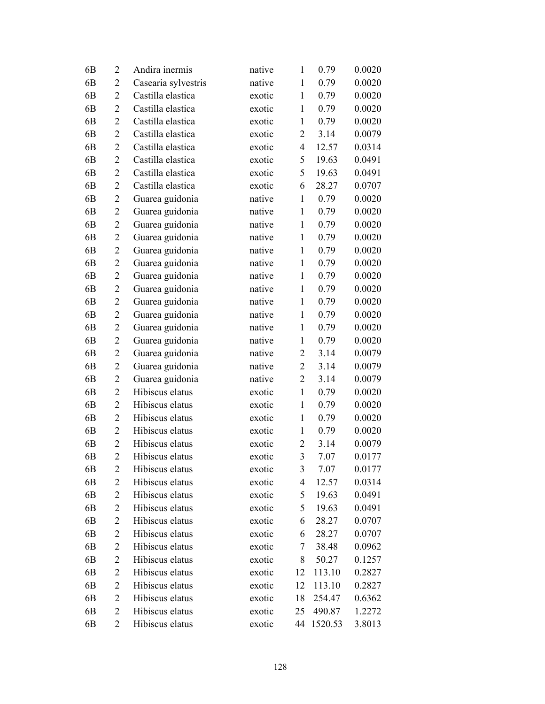| 6 <sub>B</sub> | 2              | Andira inermis      | native | $\mathbf{1}$   | 0.79    | 0.0020 |
|----------------|----------------|---------------------|--------|----------------|---------|--------|
| 6 <sub>B</sub> | 2              | Casearia sylvestris | native | 1              | 0.79    | 0.0020 |
| 6 <sub>B</sub> | 2              | Castilla elastica   | exotic | $\mathbf{1}$   | 0.79    | 0.0020 |
| 6 <sub>B</sub> | $\overline{2}$ | Castilla elastica   | exotic | $\mathbf{1}$   | 0.79    | 0.0020 |
| 6 <sub>B</sub> | $\overline{2}$ | Castilla elastica   | exotic | $\mathbf{1}$   | 0.79    | 0.0020 |
| 6 <sub>B</sub> | $\overline{2}$ | Castilla elastica   | exotic | $\overline{2}$ | 3.14    | 0.0079 |
| 6 <sub>B</sub> | $\overline{2}$ | Castilla elastica   | exotic | $\overline{4}$ | 12.57   | 0.0314 |
| 6 <sub>B</sub> | 2              | Castilla elastica   | exotic | 5              | 19.63   | 0.0491 |
| 6 <sub>B</sub> | $\overline{2}$ | Castilla elastica   | exotic | 5              | 19.63   | 0.0491 |
| 6 <sub>B</sub> | 2              | Castilla elastica   | exotic | 6              | 28.27   | 0.0707 |
| 6 <sub>B</sub> | $\overline{2}$ | Guarea guidonia     | native | $\mathbf{1}$   | 0.79    | 0.0020 |
| 6 <sub>B</sub> | $\overline{2}$ | Guarea guidonia     | native | $\mathbf{1}$   | 0.79    | 0.0020 |
| 6B             | $\overline{c}$ | Guarea guidonia     | native | $\mathbf{1}$   | 0.79    | 0.0020 |
| 6 <sub>B</sub> | $\overline{2}$ | Guarea guidonia     | native | $\mathbf{1}$   | 0.79    | 0.0020 |
| 6 <sub>B</sub> | 2              | Guarea guidonia     | native | $\mathbf{1}$   | 0.79    | 0.0020 |
| 6 <sub>B</sub> | 2              | Guarea guidonia     | native | $\mathbf{1}$   | 0.79    | 0.0020 |
| 6 <sub>B</sub> | $\overline{c}$ | Guarea guidonia     | native | $\mathbf{1}$   | 0.79    | 0.0020 |
| 6B             | $\overline{c}$ | Guarea guidonia     | native | $\mathbf{1}$   | 0.79    | 0.0020 |
| 6 <sub>B</sub> | $\mathbf{2}$   | Guarea guidonia     | native | $\mathbf{1}$   | 0.79    | 0.0020 |
| 6 <sub>B</sub> | 2              | Guarea guidonia     | native | $\mathbf{1}$   | 0.79    | 0.0020 |
| 6B             | 2              | Guarea guidonia     | native | $\mathbf{1}$   | 0.79    | 0.0020 |
| 6 <sub>B</sub> | 2              | Guarea guidonia     | native | $\mathbf{1}$   | 0.79    | 0.0020 |
| 6 <sub>B</sub> | $\overline{c}$ | Guarea guidonia     | native | $\overline{2}$ | 3.14    | 0.0079 |
| 6 <sub>B</sub> | $\overline{2}$ | Guarea guidonia     | native | $\overline{2}$ | 3.14    | 0.0079 |
| 6B             | $\overline{c}$ | Guarea guidonia     | native | $\overline{2}$ | 3.14    | 0.0079 |
| 6 <sub>B</sub> | 2              | Hibiscus elatus     | exotic | $\mathbf{1}$   | 0.79    | 0.0020 |
| 6 <sub>B</sub> | $\overline{2}$ | Hibiscus elatus     | exotic | $\mathbf{1}$   | 0.79    | 0.0020 |
| 6 <sub>B</sub> | $\overline{2}$ | Hibiscus elatus     | exotic | $\mathbf{1}$   | 0.79    | 0.0020 |
| 6 <sub>B</sub> | $\overline{2}$ | Hibiscus elatus     | exotic | $\mathbf{1}$   | 0.79    | 0.0020 |
| 6 <sub>B</sub> | $\overline{2}$ | Hibiscus elatus     | exotic | $\overline{2}$ | 3.14    | 0.0079 |
| 6 <sub>B</sub> | $\overline{2}$ | Hibiscus elatus     | exotic | 3              | 7.07    | 0.0177 |
| 6B             | 2              | Hibiscus elatus     | exotic | 3              | 7.07    | 0.0177 |
| 6B             | 2              | Hibiscus elatus     | exotic | 4              | 12.57   | 0.0314 |
| 6B             | 2              | Hibiscus elatus     | exotic | 5              | 19.63   | 0.0491 |
| 6B             | 2              | Hibiscus elatus     | exotic | 5              | 19.63   | 0.0491 |
| 6 <sub>B</sub> | $\overline{2}$ | Hibiscus elatus     | exotic | 6              | 28.27   | 0.0707 |
| 6B             | 2              | Hibiscus elatus     | exotic | 6              | 28.27   | 0.0707 |
| 6B             | 2              | Hibiscus elatus     | exotic | 7              | 38.48   | 0.0962 |
| 6B             | 2              | Hibiscus elatus     | exotic | 8              | 50.27   | 0.1257 |
| 6B             | 2              | Hibiscus elatus     | exotic | 12             | 113.10  | 0.2827 |
| 6B             | $\overline{c}$ | Hibiscus elatus     | exotic | 12             | 113.10  | 0.2827 |
| 6B             | 2              | Hibiscus elatus     | exotic | 18             | 254.47  | 0.6362 |
| 6B             | 2              | Hibiscus elatus     | exotic | 25             | 490.87  | 1.2272 |
| 6B             | 2              | Hibiscus elatus     | exotic | 44             | 1520.53 | 3.8013 |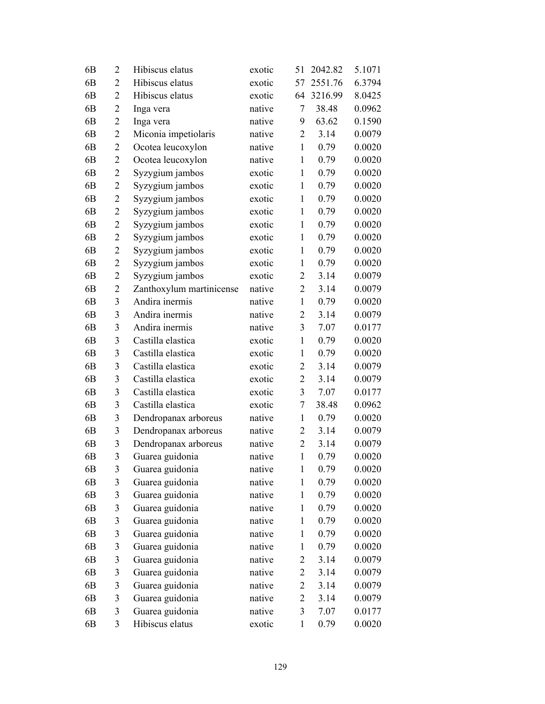| 6B             | $\overline{2}$ | Hibiscus elatus          | exotic | 51             | 2042.82 | 5.1071 |
|----------------|----------------|--------------------------|--------|----------------|---------|--------|
| 6 <sub>B</sub> | $\overline{2}$ | Hibiscus elatus          | exotic | 57             | 2551.76 | 6.3794 |
| 6 <sub>B</sub> | $\overline{2}$ | Hibiscus elatus          | exotic | 64             | 3216.99 | 8.0425 |
| 6 <sub>B</sub> | $\overline{2}$ | Inga vera                | native | 7              | 38.48   | 0.0962 |
| 6 <sub>B</sub> | $\overline{2}$ | Inga vera                | native | 9              | 63.62   | 0.1590 |
| 6 <sub>B</sub> | $\overline{2}$ | Miconia impetiolaris     | native | $\overline{2}$ | 3.14    | 0.0079 |
| 6 <sub>B</sub> | $\overline{c}$ | Ocotea leucoxylon        | native | $\mathbf{1}$   | 0.79    | 0.0020 |
| 6 <sub>B</sub> | $\overline{2}$ | Ocotea leucoxylon        | native | $\mathbf{1}$   | 0.79    | 0.0020 |
| 6 <sub>B</sub> | $\overline{2}$ | Syzygium jambos          | exotic | $\mathbf{1}$   | 0.79    | 0.0020 |
| 6 <sub>B</sub> | $\overline{c}$ | Syzygium jambos          | exotic | $\mathbf{1}$   | 0.79    | 0.0020 |
| 6 <sub>B</sub> | $\overline{c}$ | Syzygium jambos          | exotic | $\mathbf{1}$   | 0.79    | 0.0020 |
| 6 <sub>B</sub> | $\overline{c}$ | Syzygium jambos          | exotic | $\mathbf{1}$   | 0.79    | 0.0020 |
| 6 <sub>B</sub> | 2              | Syzygium jambos          | exotic | $\mathbf{1}$   | 0.79    | 0.0020 |
| 6 <sub>B</sub> | $\overline{2}$ | Syzygium jambos          | exotic | $\mathbf{1}$   | 0.79    | 0.0020 |
| 6 <sub>B</sub> | $\overline{2}$ | Syzygium jambos          | exotic | $\mathbf{1}$   | 0.79    | 0.0020 |
| 6 <sub>B</sub> | 2              | Syzygium jambos          | exotic | $\mathbf{1}$   | 0.79    | 0.0020 |
| 6 <sub>B</sub> | $\overline{c}$ | Syzygium jambos          | exotic | $\overline{2}$ | 3.14    | 0.0079 |
| 6 <sub>B</sub> | $\overline{c}$ | Zanthoxylum martinicense | native | $\overline{2}$ | 3.14    | 0.0079 |
| 6 <sub>B</sub> | 3              | Andira inermis           | native | $\mathbf{1}$   | 0.79    | 0.0020 |
| 6 <sub>B</sub> | 3              | Andira inermis           | native | $\overline{2}$ | 3.14    | 0.0079 |
| 6 <sub>B</sub> | 3              | Andira inermis           | native | 3              | 7.07    | 0.0177 |
| 6 <sub>B</sub> | 3              | Castilla elastica        | exotic | $\mathbf{1}$   | 0.79    | 0.0020 |
| 6 <sub>B</sub> | 3              | Castilla elastica        | exotic | $\mathbf{1}$   | 0.79    | 0.0020 |
| 6 <sub>B</sub> | 3              | Castilla elastica        | exotic | $\overline{2}$ | 3.14    | 0.0079 |
| 6 <sub>B</sub> | 3              | Castilla elastica        | exotic | $\mathbf{2}$   | 3.14    | 0.0079 |
| 6 <sub>B</sub> | 3              | Castilla elastica        | exotic | 3              | 7.07    | 0.0177 |
| 6 <sub>B</sub> | 3              | Castilla elastica        | exotic | 7              | 38.48   | 0.0962 |
| 6 <sub>B</sub> | 3              | Dendropanax arboreus     | native | $\mathbf{1}$   | 0.79    | 0.0020 |
| 6 <sub>B</sub> | 3              | Dendropanax arboreus     | native | $\overline{2}$ | 3.14    | 0.0079 |
| 6 <sub>B</sub> | 3              | Dendropanax arboreus     | native | $\overline{2}$ | 3.14    | 0.0079 |
| 6 <sub>B</sub> | 3              | Guarea guidonia          | native | $\mathbf{1}$   | 0.79    | 0.0020 |
| 6B             | 3              | Guarea guidonia          | native | $\mathbf{1}$   | 0.79    | 0.0020 |
| 6 <sub>B</sub> | 3              | Guarea guidonia          | native | 1              | 0.79    | 0.0020 |
| 6B             | 3              | Guarea guidonia          | native | 1              | 0.79    | 0.0020 |
| 6B             | 3              | Guarea guidonia          | native | $\mathbf{1}$   | 0.79    | 0.0020 |
| 6B             | 3              | Guarea guidonia          | native | $\mathbf{1}$   | 0.79    | 0.0020 |
| 6B             | 3              | Guarea guidonia          | native | $\mathbf{1}$   | 0.79    | 0.0020 |
| 6 <sub>B</sub> | 3              | Guarea guidonia          | native | 1              | 0.79    | 0.0020 |
| 6B             | 3              | Guarea guidonia          | native | $\overline{2}$ | 3.14    | 0.0079 |
| 6B             | 3              | Guarea guidonia          | native | $\overline{2}$ | 3.14    | 0.0079 |
| 6B             | 3              | Guarea guidonia          | native | $\mathbf{2}$   | 3.14    | 0.0079 |
| 6B             | 3              | Guarea guidonia          | native | $\overline{c}$ | 3.14    | 0.0079 |
| 6B             | 3              | Guarea guidonia          | native | 3              | 7.07    | 0.0177 |
| 6B             | 3              | Hibiscus elatus          | exotic | $\mathbf{1}$   | 0.79    | 0.0020 |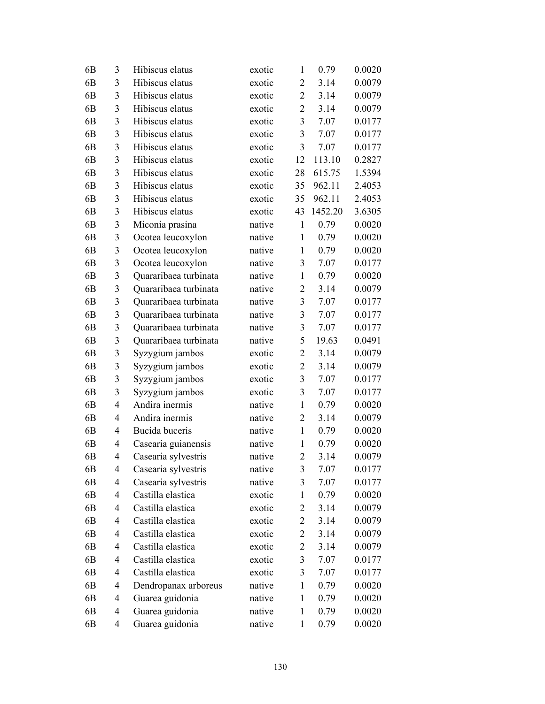| 6 <sub>B</sub> | 3              | Hibiscus elatus       | exotic | $\mathbf{1}$   | 0.79    | 0.0020 |
|----------------|----------------|-----------------------|--------|----------------|---------|--------|
| 6 <sub>B</sub> | 3              | Hibiscus elatus       | exotic | 2              | 3.14    | 0.0079 |
| 6 <sub>B</sub> | 3              | Hibiscus elatus       | exotic | $\overline{2}$ | 3.14    | 0.0079 |
| 6 <sub>B</sub> | 3              | Hibiscus elatus       | exotic | $\overline{2}$ | 3.14    | 0.0079 |
| 6 <sub>B</sub> | 3              | Hibiscus elatus       | exotic | 3              | 7.07    | 0.0177 |
| 6 <sub>B</sub> | 3              | Hibiscus elatus       | exotic | 3              | 7.07    | 0.0177 |
| 6 <sub>B</sub> | 3              | Hibiscus elatus       | exotic | 3              | 7.07    | 0.0177 |
| 6 <sub>B</sub> | 3              | Hibiscus elatus       | exotic | 12             | 113.10  | 0.2827 |
| 6 <sub>B</sub> | 3              | Hibiscus elatus       | exotic | 28             | 615.75  | 1.5394 |
| 6 <sub>B</sub> | 3              | Hibiscus elatus       | exotic | 35             | 962.11  | 2.4053 |
| 6 <sub>B</sub> | 3              | Hibiscus elatus       | exotic | 35             | 962.11  | 2.4053 |
| 6 <sub>B</sub> | 3              | Hibiscus elatus       | exotic | 43             | 1452.20 | 3.6305 |
| 6 <sub>B</sub> | 3              | Miconia prasina       | native | $\mathbf{1}$   | 0.79    | 0.0020 |
| 6 <sub>B</sub> | 3              | Ocotea leucoxylon     | native | $\mathbf{1}$   | 0.79    | 0.0020 |
| 6 <sub>B</sub> | $\mathfrak{Z}$ | Ocotea leucoxylon     | native | $\mathbf{1}$   | 0.79    | 0.0020 |
| 6 <sub>B</sub> | 3              | Ocotea leucoxylon     | native | 3              | 7.07    | 0.0177 |
| 6 <sub>B</sub> | $\mathfrak{Z}$ | Quararibaea turbinata | native | $\mathbf{1}$   | 0.79    | 0.0020 |
| 6 <sub>B</sub> | $\mathfrak{Z}$ | Quararibaea turbinata | native | $\overline{2}$ | 3.14    | 0.0079 |
| 6 <sub>B</sub> | 3              | Quararibaea turbinata | native | 3              | 7.07    | 0.0177 |
| 6 <sub>B</sub> | 3              | Quararibaea turbinata | native | 3              | 7.07    | 0.0177 |
| 6 <sub>B</sub> | 3              | Quararibaea turbinata | native | 3              | 7.07    | 0.0177 |
| 6 <sub>B</sub> | 3              | Quararibaea turbinata | native | 5              | 19.63   | 0.0491 |
| 6 <sub>B</sub> | 3              | Syzygium jambos       | exotic | $\overline{c}$ | 3.14    | 0.0079 |
| 6 <sub>B</sub> | $\mathfrak{Z}$ | Syzygium jambos       | exotic | $\overline{2}$ | 3.14    | 0.0079 |
| 6 <sub>B</sub> | 3              | Syzygium jambos       | exotic | $\overline{3}$ | 7.07    | 0.0177 |
| 6 <sub>B</sub> | 3              | Syzygium jambos       | exotic | 3              | 7.07    | 0.0177 |
| 6 <sub>B</sub> | 4              | Andira inermis        | native | $\mathbf{1}$   | 0.79    | 0.0020 |
| 6 <sub>B</sub> | $\overline{4}$ | Andira inermis        | native | $\overline{2}$ | 3.14    | 0.0079 |
| 6 <sub>B</sub> | $\overline{4}$ | Bucida buceris        | native | $\mathbf{1}$   | 0.79    | 0.0020 |
| 6 <sub>B</sub> | $\overline{4}$ | Casearia guianensis   | native | $\mathbf{1}$   | 0.79    | 0.0020 |
| 6 <sub>B</sub> | 4              | Casearia sylvestris   | native | $\overline{2}$ | 3.14    | 0.0079 |
| 6B             | 4              | Casearia sylvestris   | native | 3              | 7.07    | 0.0177 |
| 6B             | 4              | Casearia sylvestris   | native | 3              | 7.07    | 0.0177 |
| 6B             | 4              | Castilla elastica     | exotic | $\mathbf{1}$   | 0.79    | 0.0020 |
| 6B             | 4              | Castilla elastica     | exotic | $\overline{c}$ | 3.14    | 0.0079 |
| 6B             | 4              | Castilla elastica     | exotic | $\overline{2}$ | 3.14    | 0.0079 |
| 6B             | 4              | Castilla elastica     | exotic | 2              | 3.14    | 0.0079 |
| 6 <sub>B</sub> | 4              | Castilla elastica     | exotic | 2              | 3.14    | 0.0079 |
| 6 <sub>B</sub> | 4              | Castilla elastica     | exotic | $\mathfrak{Z}$ | 7.07    | 0.0177 |
| 6B             | 4              | Castilla elastica     | exotic | 3              | 7.07    | 0.0177 |
| 6B             | 4              | Dendropanax arboreus  | native | $\mathbf{1}$   | 0.79    | 0.0020 |
| 6B             | 4              | Guarea guidonia       | native | 1              | 0.79    | 0.0020 |
| 6B             | 4              | Guarea guidonia       | native | $\mathbf{1}$   | 0.79    | 0.0020 |
| 6B             | 4              | Guarea guidonia       | native | $\mathbf{1}$   | 0.79    | 0.0020 |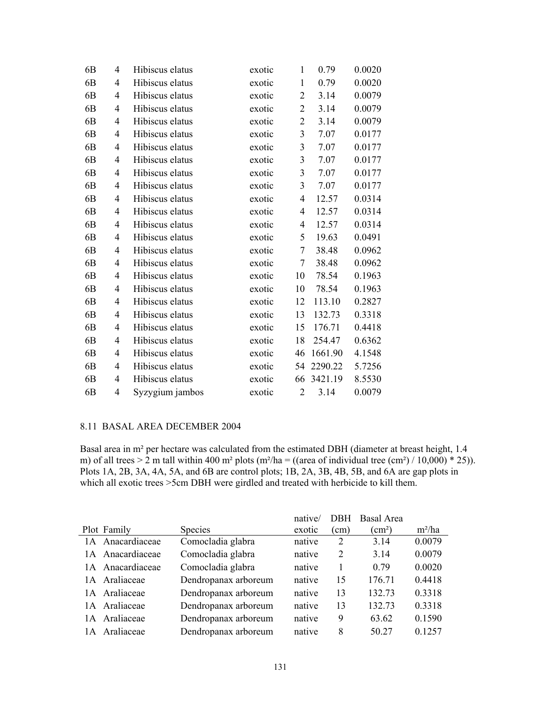| 6 <sub>B</sub> | 4              | Hibiscus elatus | exotic | 1                       | 0.79    | 0.0020 |
|----------------|----------------|-----------------|--------|-------------------------|---------|--------|
| 6 <sub>B</sub> | 4              | Hibiscus elatus | exotic | 1                       | 0.79    | 0.0020 |
| 6B             | 4              | Hibiscus elatus | exotic | $\overline{2}$          | 3.14    | 0.0079 |
| 6B             | 4              | Hibiscus elatus | exotic | $\overline{2}$          | 3.14    | 0.0079 |
| 6 <sub>B</sub> | $\overline{4}$ | Hibiscus elatus | exotic | $\overline{2}$          | 3.14    | 0.0079 |
| 6B             | 4              | Hibiscus elatus | exotic | 3                       | 7.07    | 0.0177 |
| 6 <sub>B</sub> | $\overline{4}$ | Hibiscus elatus | exotic | 3                       | 7.07    | 0.0177 |
| 6 <sub>B</sub> | $\overline{4}$ | Hibiscus elatus | exotic | 3                       | 7.07    | 0.0177 |
| 6 <sub>B</sub> | 4              | Hibiscus elatus | exotic | $\overline{\mathbf{3}}$ | 7.07    | 0.0177 |
| 6B             | 4              | Hibiscus elatus | exotic | 3                       | 7.07    | 0.0177 |
| 6 <sub>B</sub> | $\overline{4}$ | Hibiscus elatus | exotic | $\overline{4}$          | 12.57   | 0.0314 |
| 6 <sub>B</sub> | 4              | Hibiscus elatus | exotic | $\overline{4}$          | 12.57   | 0.0314 |
| 6B             | 4              | Hibiscus elatus | exotic | $\overline{4}$          | 12.57   | 0.0314 |
| 6 <sub>B</sub> | $\overline{4}$ | Hibiscus elatus | exotic | 5                       | 19.63   | 0.0491 |
| 6 <sub>B</sub> | 4              | Hibiscus elatus | exotic | $\tau$                  | 38.48   | 0.0962 |
| 6 <sub>B</sub> | 4              | Hibiscus elatus | exotic | $\tau$                  | 38.48   | 0.0962 |
| 6 <sub>B</sub> | 4              | Hibiscus elatus | exotic | 10                      | 78.54   | 0.1963 |
| 6 <sub>B</sub> | 4              | Hibiscus elatus | exotic | 10                      | 78.54   | 0.1963 |
| 6B             | 4              | Hibiscus elatus | exotic | 12                      | 113.10  | 0.2827 |
| 6 <sub>B</sub> | $\overline{4}$ | Hibiscus elatus | exotic | 13                      | 132.73  | 0.3318 |
| 6 <sub>B</sub> | 4              | Hibiscus elatus | exotic | 15                      | 176.71  | 0.4418 |
| 6B             | 4              | Hibiscus elatus | exotic | 18                      | 254.47  | 0.6362 |
| 6 <sub>B</sub> | $\overline{4}$ | Hibiscus elatus | exotic | 46                      | 1661.90 | 4.1548 |
| 6 <sub>B</sub> | 4              | Hibiscus elatus | exotic | 54                      | 2290.22 | 5.7256 |
| 6 <sub>B</sub> | 4              | Hibiscus elatus | exotic | 66                      | 3421.19 | 8.5530 |
| 6 <sub>B</sub> | 4              | Syzygium jambos | exotic | $\overline{2}$          | 3.14    | 0.0079 |

## 8.11 BASAL AREA DECEMBER 2004

Basal area in m² per hectare was calculated from the estimated DBH (diameter at breast height, 1.4 m) of all trees  $> 2$  m tall within 400 m<sup>2</sup> plots (m<sup>2</sup>/ha = ((area of individual tree (cm<sup>2</sup>) / 10,000) \* 25)). Plots 1A, 2B, 3A, 4A, 5A, and 6B are control plots; 1B, 2A, 3B, 4B, 5B, and 6A are gap plots in which all exotic trees >5cm DBH were girdled and treated with herbicide to kill them.

|    |                  |                      | native/ | <b>DBH</b> | <b>Basal Area</b>          |          |
|----|------------------|----------------------|---------|------------|----------------------------|----------|
|    | Plot Family      | <b>Species</b>       | exotic  | (cm)       | $\rm \langle cm^2 \rangle$ | $m^2/ha$ |
|    | 1A Anacardiaceae | Comocladia glabra    | native  | 2          | 3.14                       | 0.0079   |
|    | 1A Anacardiaceae | Comocladia glabra    | native  | 2          | 3.14                       | 0.0079   |
|    | 1A Anacardiaceae | Comocladia glabra    | native  |            | 0.79                       | 0.0020   |
|    | 1A Araliaceae    | Dendropanax arboreum | native  | 15         | 176.71                     | 0.4418   |
|    | 1A Araliaceae    | Dendropanax arboreum | native  | 13         | 132.73                     | 0.3318   |
|    | 1A Araliaceae    | Dendropanax arboreum | native  | 13         | 132.73                     | 0.3318   |
|    | 1A Araliaceae    | Dendropanax arboreum | native  | 9          | 63.62                      | 0.1590   |
| 1A | Araliaceae       | Dendropanax arboreum | native  | 8          | 50.27                      | 0.1257   |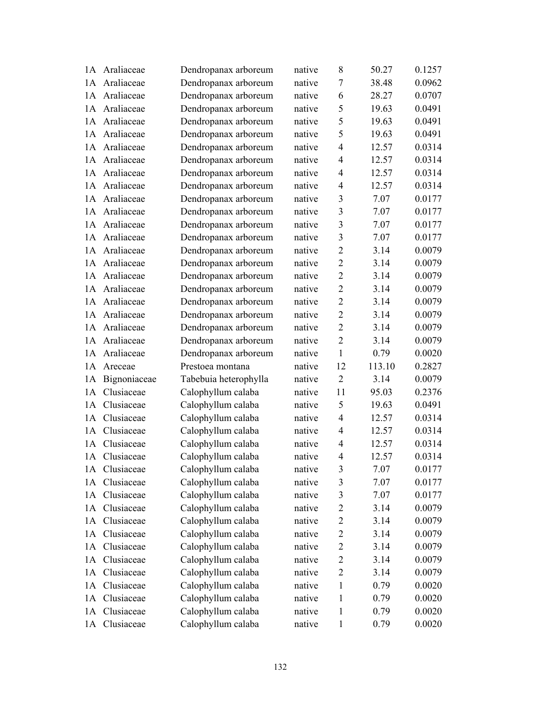|    | 1A Araliaceae | Dendropanax arboreum  | native | 8                       | 50.27  | 0.1257 |
|----|---------------|-----------------------|--------|-------------------------|--------|--------|
|    | 1A Araliaceae | Dendropanax arboreum  | native | $\overline{7}$          | 38.48  | 0.0962 |
| 1A | Araliaceae    | Dendropanax arboreum  | native | 6                       | 28.27  | 0.0707 |
| 1A | Araliaceae    | Dendropanax arboreum  | native | 5                       | 19.63  | 0.0491 |
| 1A | Araliaceae    | Dendropanax arboreum  | native | 5                       | 19.63  | 0.0491 |
|    | 1A Araliaceae | Dendropanax arboreum  | native | 5                       | 19.63  | 0.0491 |
| 1A | Araliaceae    | Dendropanax arboreum  | native | $\overline{4}$          | 12.57  | 0.0314 |
|    | 1A Araliaceae | Dendropanax arboreum  | native | $\overline{4}$          | 12.57  | 0.0314 |
| 1A | Araliaceae    | Dendropanax arboreum  | native | $\overline{4}$          | 12.57  | 0.0314 |
| 1A | Araliaceae    | Dendropanax arboreum  | native | $\overline{4}$          | 12.57  | 0.0314 |
| 1A | Araliaceae    | Dendropanax arboreum  | native | $\overline{3}$          | 7.07   | 0.0177 |
| 1A | Araliaceae    | Dendropanax arboreum  | native | 3                       | 7.07   | 0.0177 |
| 1A | Araliaceae    | Dendropanax arboreum  | native | 3                       | 7.07   | 0.0177 |
| 1A | Araliaceae    | Dendropanax arboreum  | native | 3                       | 7.07   | 0.0177 |
| 1A | Araliaceae    | Dendropanax arboreum  | native | $\overline{2}$          | 3.14   | 0.0079 |
|    | 1A Araliaceae | Dendropanax arboreum  | native | $\overline{2}$          | 3.14   | 0.0079 |
| 1A | Araliaceae    | Dendropanax arboreum  | native | $\overline{2}$          | 3.14   | 0.0079 |
| 1A | Araliaceae    | Dendropanax arboreum  | native | $\overline{2}$          | 3.14   | 0.0079 |
| 1A | Araliaceae    | Dendropanax arboreum  | native | $\overline{2}$          | 3.14   | 0.0079 |
|    | 1A Araliaceae | Dendropanax arboreum  | native | $\overline{2}$          | 3.14   | 0.0079 |
|    | 1A Araliaceae | Dendropanax arboreum  | native | $\overline{2}$          | 3.14   | 0.0079 |
| 1A | Araliaceae    | Dendropanax arboreum  | native | $\overline{2}$          | 3.14   | 0.0079 |
| 1A | Araliaceae    | Dendropanax arboreum  | native | $\mathbf{1}$            | 0.79   | 0.0020 |
| 1A | Areceae       | Prestoea montana      | native | 12                      | 113.10 | 0.2827 |
| 1A | Bignoniaceae  | Tabebuia heterophylla | native | $\overline{2}$          | 3.14   | 0.0079 |
| 1A | Clusiaceae    | Calophyllum calaba    | native | 11                      | 95.03  | 0.2376 |
| 1A | Clusiaceae    | Calophyllum calaba    | native | 5                       | 19.63  | 0.0491 |
| 1A | Clusiaceae    | Calophyllum calaba    | native | $\overline{4}$          | 12.57  | 0.0314 |
| 1A | Clusiaceae    | Calophyllum calaba    | native | $\overline{4}$          | 12.57  | 0.0314 |
| 1A | Clusiaceae    | Calophyllum calaba    | native | $\overline{4}$          | 12.57  | 0.0314 |
|    | 1A Clusiaceae | Calophyllum calaba    | native | 4                       | 12.57  | 0.0314 |
| 1А | Clusiaceae    | Calophyllum calaba    | native | 3                       | 7.07   | 0.0177 |
| 1А | Clusiaceae    | Calophyllum calaba    | native | $\mathfrak{Z}$          | 7.07   | 0.0177 |
| 1A | Clusiaceae    | Calophyllum calaba    | native | $\overline{\mathbf{3}}$ | 7.07   | 0.0177 |
| 1A | Clusiaceae    | Calophyllum calaba    | native | $\mathbf{2}$            | 3.14   | 0.0079 |
| 1A | Clusiaceae    | Calophyllum calaba    | native | $\overline{2}$          | 3.14   | 0.0079 |
| 1A | Clusiaceae    | Calophyllum calaba    | native | $\overline{2}$          | 3.14   | 0.0079 |
| 1A | Clusiaceae    | Calophyllum calaba    | native | $\overline{2}$          | 3.14   | 0.0079 |
| 1A | Clusiaceae    | Calophyllum calaba    | native | $\mathbf{2}$            | 3.14   | 0.0079 |
| 1A | Clusiaceae    | Calophyllum calaba    | native | $\mathbf{2}$            | 3.14   | 0.0079 |
| 1A | Clusiaceae    | Calophyllum calaba    | native | $\mathbf{1}$            | 0.79   | 0.0020 |
| 1A | Clusiaceae    | Calophyllum calaba    | native | 1                       | 0.79   | 0.0020 |
| 1A | Clusiaceae    | Calophyllum calaba    | native | 1                       | 0.79   | 0.0020 |
| 1A | Clusiaceae    | Calophyllum calaba    | native | $\mathbf{1}$            | 0.79   | 0.0020 |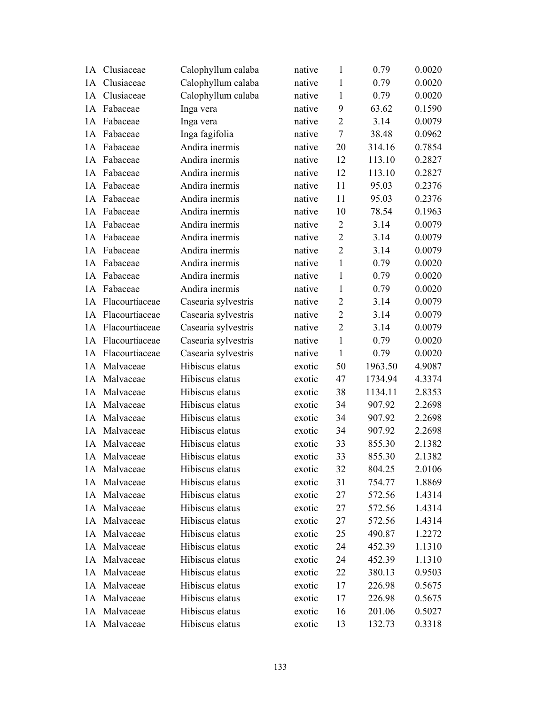| 1A | Clusiaceae        | Calophyllum calaba  | native | $\mathbf{1}$   | 0.79    | 0.0020 |
|----|-------------------|---------------------|--------|----------------|---------|--------|
| 1A | Clusiaceae        | Calophyllum calaba  | native | $\mathbf{1}$   | 0.79    | 0.0020 |
| 1A | Clusiaceae        | Calophyllum calaba  | native | $\mathbf{1}$   | 0.79    | 0.0020 |
| 1A | Fabaceae          | Inga vera           | native | 9              | 63.62   | 0.1590 |
| 1A | Fabaceae          | Inga vera           | native | $\overline{2}$ | 3.14    | 0.0079 |
| 1A | Fabaceae          | Inga fagifolia      | native | $\tau$         | 38.48   | 0.0962 |
| 1A | Fabaceae          | Andira inermis      | native | 20             | 314.16  | 0.7854 |
| 1A | Fabaceae          | Andira inermis      | native | 12             | 113.10  | 0.2827 |
| 1A | Fabaceae          | Andira inermis      | native | 12             | 113.10  | 0.2827 |
| 1A | Fabaceae          | Andira inermis      | native | 11             | 95.03   | 0.2376 |
| 1A | Fabaceae          | Andira inermis      | native | 11             | 95.03   | 0.2376 |
| 1A | Fabaceae          | Andira inermis      | native | 10             | 78.54   | 0.1963 |
| 1A | Fabaceae          | Andira inermis      | native | $\overline{2}$ | 3.14    | 0.0079 |
| 1A | Fabaceae          | Andira inermis      | native | $\overline{2}$ | 3.14    | 0.0079 |
| 1A | Fabaceae          | Andira inermis      | native | $\overline{2}$ | 3.14    | 0.0079 |
| 1A | Fabaceae          | Andira inermis      | native | $\mathbf{1}$   | 0.79    | 0.0020 |
| 1A | Fabaceae          | Andira inermis      | native | $\mathbf{1}$   | 0.79    | 0.0020 |
| 1A | Fabaceae          | Andira inermis      | native | $\mathbf{1}$   | 0.79    | 0.0020 |
| 1A | Flacourtiaceae    | Casearia sylvestris | native | $\overline{2}$ | 3.14    | 0.0079 |
|    | 1A Flacourtiaceae | Casearia sylvestris | native | $\overline{2}$ | 3.14    | 0.0079 |
|    | 1A Flacourtiaceae | Casearia sylvestris | native | $\overline{2}$ | 3.14    | 0.0079 |
| 1A | Flacourtiaceae    | Casearia sylvestris | native | $\mathbf{1}$   | 0.79    | 0.0020 |
| 1A | Flacourtiaceae    | Casearia sylvestris | native | $\mathbf{1}$   | 0.79    | 0.0020 |
| 1A | Malvaceae         | Hibiscus elatus     | exotic | 50             | 1963.50 | 4.9087 |
| 1A | Malvaceae         | Hibiscus elatus     | exotic | 47             | 1734.94 | 4.3374 |
| 1A | Malvaceae         | Hibiscus elatus     | exotic | 38             | 1134.11 | 2.8353 |
| 1A | Malvaceae         | Hibiscus elatus     | exotic | 34             | 907.92  | 2.2698 |
| 1A | Malvaceae         | Hibiscus elatus     | exotic | 34             | 907.92  | 2.2698 |
| 1A | Malvaceae         | Hibiscus elatus     | exotic | 34             | 907.92  | 2.2698 |
| 1A | Malvaceae         | Hibiscus elatus     | exotic | 33             | 855.30  | 2.1382 |
|    | 1A Malvaceae      | Hibiscus elatus     | exotic | 33             | 855.30  | 2.1382 |
|    | 1A Malvaceae      | Hibiscus elatus     | exotic | 32             | 804.25  | 2.0106 |
|    | 1A Malvaceae      | Hibiscus elatus     | exotic | 31             | 754.77  | 1.8869 |
| 1A | Malvaceae         | Hibiscus elatus     | exotic | 27             | 572.56  | 1.4314 |
| 1A | Malvaceae         | Hibiscus elatus     | exotic | 27             | 572.56  | 1.4314 |
| 1A | Malvaceae         | Hibiscus elatus     | exotic | 27             | 572.56  | 1.4314 |
|    | 1A Malvaceae      | Hibiscus elatus     | exotic | 25             | 490.87  | 1.2272 |
|    | 1A Malvaceae      | Hibiscus elatus     | exotic | 24             | 452.39  | 1.1310 |
| 1A | Malvaceae         | Hibiscus elatus     | exotic | 24             | 452.39  | 1.1310 |
| 1A | Malvaceae         | Hibiscus elatus     | exotic | 22             | 380.13  | 0.9503 |
| 1A | Malvaceae         | Hibiscus elatus     | exotic | 17             | 226.98  | 0.5675 |
| 1A | Malvaceae         | Hibiscus elatus     | exotic | 17             | 226.98  | 0.5675 |
|    | 1A Malvaceae      | Hibiscus elatus     | exotic | 16             | 201.06  | 0.5027 |
|    | 1A Malvaceae      | Hibiscus elatus     | exotic | 13             | 132.73  | 0.3318 |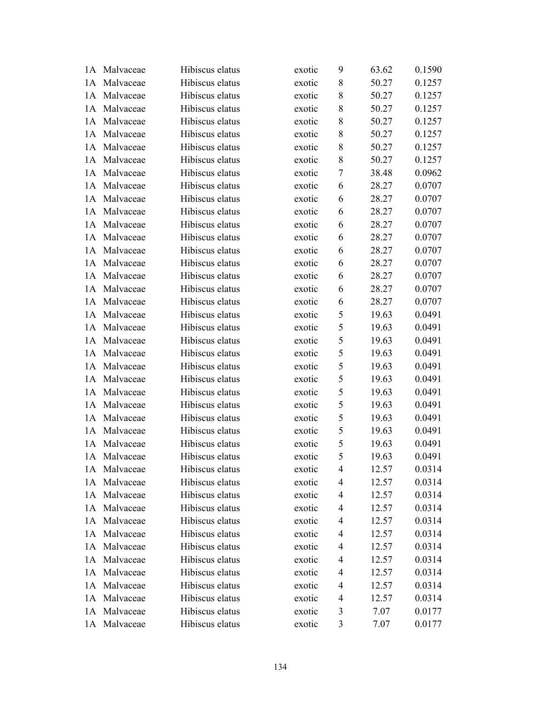|    | 1A Malvaceae | Hibiscus elatus | exotic | 9 | 63.62 | 0.1590 |
|----|--------------|-----------------|--------|---|-------|--------|
|    | 1A Malvaceae | Hibiscus elatus | exotic | 8 | 50.27 | 0.1257 |
| 1A | Malvaceae    | Hibiscus elatus | exotic | 8 | 50.27 | 0.1257 |
| 1A | Malvaceae    | Hibiscus elatus | exotic | 8 | 50.27 | 0.1257 |
| 1A | Malvaceae    | Hibiscus elatus | exotic | 8 | 50.27 | 0.1257 |
| 1A | Malvaceae    | Hibiscus elatus | exotic | 8 | 50.27 | 0.1257 |
|    | 1A Malvaceae | Hibiscus elatus | exotic | 8 | 50.27 | 0.1257 |
|    | 1A Malvaceae | Hibiscus elatus | exotic | 8 | 50.27 | 0.1257 |
| 1A | Malvaceae    | Hibiscus elatus | exotic | 7 | 38.48 | 0.0962 |
| 1A | Malvaceae    | Hibiscus elatus | exotic | 6 | 28.27 | 0.0707 |
| 1A | Malvaceae    | Hibiscus elatus | exotic | 6 | 28.27 | 0.0707 |
|    | 1A Malvaceae | Hibiscus elatus | exotic | 6 | 28.27 | 0.0707 |
| 1A | Malvaceae    | Hibiscus elatus | exotic | 6 | 28.27 | 0.0707 |
| 1A | Malvaceae    | Hibiscus elatus | exotic | 6 | 28.27 | 0.0707 |
| 1A | Malvaceae    | Hibiscus elatus | exotic | 6 | 28.27 | 0.0707 |
|    | 1A Malvaceae | Hibiscus elatus | exotic | 6 | 28.27 | 0.0707 |
| 1A | Malvaceae    | Hibiscus elatus | exotic | 6 | 28.27 | 0.0707 |
| 1A | Malvaceae    | Hibiscus elatus | exotic | 6 | 28.27 | 0.0707 |
| 1A | Malvaceae    | Hibiscus elatus | exotic | 6 | 28.27 | 0.0707 |
|    | 1A Malvaceae | Hibiscus elatus | exotic | 5 | 19.63 | 0.0491 |
|    | 1A Malvaceae | Hibiscus elatus | exotic | 5 | 19.63 | 0.0491 |
| 1A | Malvaceae    | Hibiscus elatus | exotic | 5 | 19.63 | 0.0491 |
| 1A | Malvaceae    | Hibiscus elatus | exotic | 5 | 19.63 | 0.0491 |
| 1A | Malvaceae    | Hibiscus elatus | exotic | 5 | 19.63 | 0.0491 |
| 1A | Malvaceae    | Hibiscus elatus | exotic | 5 | 19.63 | 0.0491 |
|    | 1A Malvaceae | Hibiscus elatus | exotic | 5 | 19.63 | 0.0491 |
| 1A | Malvaceae    | Hibiscus elatus | exotic | 5 | 19.63 | 0.0491 |
| 1A | Malvaceae    | Hibiscus elatus | exotic | 5 | 19.63 | 0.0491 |
| 1A | Malvaceae    | Hibiscus elatus | exotic | 5 | 19.63 | 0.0491 |
| 1A | Malvaceae    | Hibiscus elatus | exotic | 5 | 19.63 | 0.0491 |
|    | 1A Malvaceae | Hibiscus elatus | exotic | 5 | 19.63 | 0.0491 |
|    | 1A Malvaceae | Hibiscus elatus | exotic | 4 | 12.57 | 0.0314 |
|    | 1A Malvaceae | Hibiscus elatus | exotic | 4 | 12.57 | 0.0314 |
| 1A | Malvaceae    | Hibiscus elatus | exotic | 4 | 12.57 | 0.0314 |
| 1A | Malvaceae    | Hibiscus elatus | exotic | 4 | 12.57 | 0.0314 |
| 1A | Malvaceae    | Hibiscus elatus | exotic | 4 | 12.57 | 0.0314 |
|    | 1A Malvaceae | Hibiscus elatus | exotic | 4 | 12.57 | 0.0314 |
|    | 1A Malvaceae | Hibiscus elatus | exotic | 4 | 12.57 | 0.0314 |
| 1A | Malvaceae    | Hibiscus elatus | exotic | 4 | 12.57 | 0.0314 |
| 1A | Malvaceae    | Hibiscus elatus | exotic | 4 | 12.57 | 0.0314 |
| 1A | Malvaceae    | Hibiscus elatus | exotic | 4 | 12.57 | 0.0314 |
|    | 1A Malvaceae | Hibiscus elatus | exotic | 4 | 12.57 | 0.0314 |
|    | 1A Malvaceae | Hibiscus elatus | exotic | 3 | 7.07  | 0.0177 |
|    | 1A Malvaceae | Hibiscus elatus | exotic | 3 | 7.07  | 0.0177 |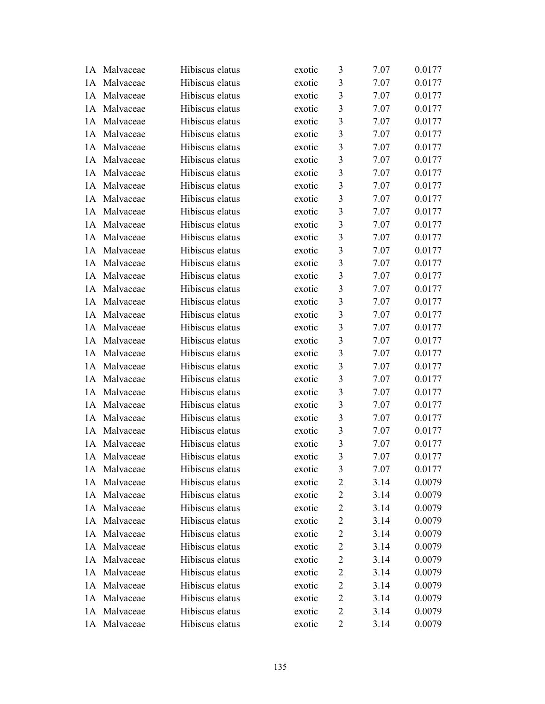|     | 1A Malvaceae | Hibiscus elatus | exotic | 3                       | 7.07 | 0.0177 |
|-----|--------------|-----------------|--------|-------------------------|------|--------|
|     | 1A Malvaceae | Hibiscus elatus | exotic | 3                       | 7.07 | 0.0177 |
| 1A  | Malvaceae    | Hibiscus elatus | exotic | $\overline{\mathbf{3}}$ | 7.07 | 0.0177 |
| 1A  | Malvaceae    | Hibiscus elatus | exotic | $\overline{3}$          | 7.07 | 0.0177 |
| 1A  | Malvaceae    | Hibiscus elatus | exotic | $\mathfrak{Z}$          | 7.07 | 0.0177 |
|     | 1A Malvaceae | Hibiscus elatus | exotic | $\mathfrak{Z}$          | 7.07 | 0.0177 |
|     | 1A Malvaceae | Hibiscus elatus | exotic | $\mathfrak{Z}$          | 7.07 | 0.0177 |
|     | 1A Malvaceae | Hibiscus elatus | exotic | $\mathfrak{Z}$          | 7.07 | 0.0177 |
| 1A  | Malvaceae    | Hibiscus elatus | exotic | $\overline{\mathbf{3}}$ | 7.07 | 0.0177 |
| 1A  | Malvaceae    | Hibiscus elatus | exotic | $\overline{\mathbf{3}}$ | 7.07 | 0.0177 |
| 1A  | Malvaceae    | Hibiscus elatus | exotic | $\mathfrak{Z}$          | 7.07 | 0.0177 |
|     | 1A Malvaceae | Hibiscus elatus | exotic | $\mathfrak{Z}$          | 7.07 | 0.0177 |
| 1A  | Malvaceae    | Hibiscus elatus | exotic | $\mathfrak{Z}$          | 7.07 | 0.0177 |
| 1A  | Malvaceae    | Hibiscus elatus | exotic | $\mathfrak{Z}$          | 7.07 | 0.0177 |
| 1A  | Malvaceae    | Hibiscus elatus | exotic | $\overline{\mathbf{3}}$ | 7.07 | 0.0177 |
|     | 1A Malvaceae | Hibiscus elatus | exotic | $\mathfrak{Z}$          | 7.07 | 0.0177 |
| 1A  | Malvaceae    | Hibiscus elatus | exotic | $\mathfrak{Z}$          | 7.07 | 0.0177 |
| 1A  | Malvaceae    | Hibiscus elatus | exotic | $\mathfrak{Z}$          | 7.07 | 0.0177 |
| 1A  | Malvaceae    | Hibiscus elatus | exotic | $\overline{3}$          | 7.07 | 0.0177 |
|     | 1A Malvaceae | Hibiscus elatus | exotic | $\overline{\mathbf{3}}$ | 7.07 | 0.0177 |
|     | 1A Malvaceae | Hibiscus elatus | exotic | $\mathfrak{Z}$          | 7.07 | 0.0177 |
| 1A  | Malvaceae    | Hibiscus elatus | exotic | $\overline{3}$          | 7.07 | 0.0177 |
| 1A  | Malvaceae    | Hibiscus elatus | exotic | $\mathfrak{Z}$          | 7.07 | 0.0177 |
| 1A  | Malvaceae    | Hibiscus elatus | exotic | $\overline{3}$          | 7.07 | 0.0177 |
|     | 1A Malvaceae | Hibiscus elatus | exotic | $\overline{3}$          | 7.07 | 0.0177 |
|     | 1A Malvaceae | Hibiscus elatus | exotic | $\mathfrak{Z}$          | 7.07 | 0.0177 |
| 1A  | Malvaceae    | Hibiscus elatus | exotic | $\overline{\mathbf{3}}$ | 7.07 | 0.0177 |
| 1A  | Malvaceae    | Hibiscus elatus | exotic | $\mathfrak{Z}$          | 7.07 | 0.0177 |
| 1A  | Malvaceae    | Hibiscus elatus | exotic | $\mathfrak{Z}$          | 7.07 | 0.0177 |
| 1A  | Malvaceae    | Hibiscus elatus | exotic | 3                       | 7.07 | 0.0177 |
|     | 1A Malvaceae | Hibiscus elatus | exotic | 3                       | 7.07 | 0.0177 |
|     | 1A Malvaceae | Hibiscus elatus | exotic | 3                       | 7.07 | 0.0177 |
|     | 1A Malvaceae | Hibiscus elatus | exotic | $\overline{2}$          | 3.14 | 0.0079 |
| 1A  | Malvaceae    | Hibiscus elatus | exotic | $\overline{c}$          | 3.14 | 0.0079 |
| 1A  | Malvaceae    | Hibiscus elatus | exotic | $\overline{2}$          | 3.14 | 0.0079 |
| 1 A | Malvaceae    | Hibiscus elatus | exotic | 2                       | 3.14 | 0.0079 |
|     | 1A Malvaceae | Hibiscus elatus | exotic | 2                       | 3.14 | 0.0079 |
|     | 1A Malvaceae | Hibiscus elatus | exotic | 2                       | 3.14 | 0.0079 |
| 1A  | Malvaceae    | Hibiscus elatus | exotic | $\overline{2}$          | 3.14 | 0.0079 |
| 1A  | Malvaceae    | Hibiscus elatus | exotic | $\overline{c}$          | 3.14 | 0.0079 |
| 1A  | Malvaceae    | Hibiscus elatus | exotic | $\overline{2}$          | 3.14 | 0.0079 |
| 1A  | Malvaceae    | Hibiscus elatus | exotic | 2                       | 3.14 | 0.0079 |
|     | 1A Malvaceae | Hibiscus elatus | exotic | 2                       | 3.14 | 0.0079 |
|     | 1A Malvaceae | Hibiscus elatus | exotic | $\overline{2}$          | 3.14 | 0.0079 |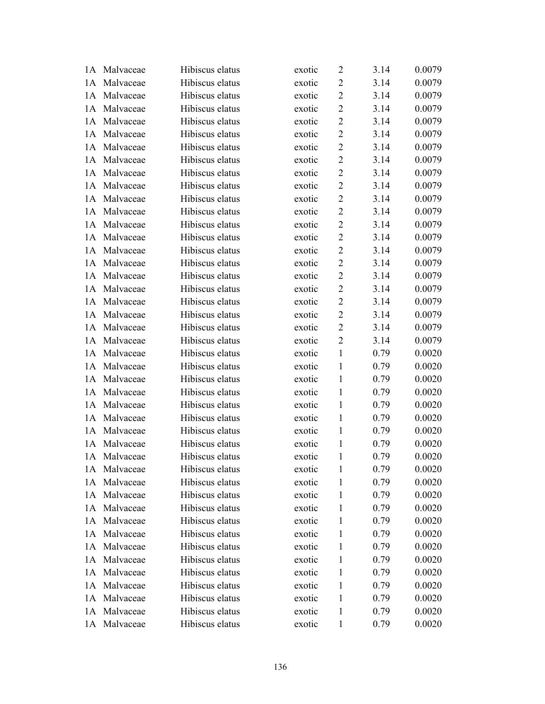|     | 1A Malvaceae | Hibiscus elatus | exotic | 2              | 3.14 | 0.0079 |
|-----|--------------|-----------------|--------|----------------|------|--------|
|     | 1A Malvaceae | Hibiscus elatus | exotic | $\overline{2}$ | 3.14 | 0.0079 |
| 1A  | Malvaceae    | Hibiscus elatus | exotic | $\overline{2}$ | 3.14 | 0.0079 |
| 1A  | Malvaceae    | Hibiscus elatus | exotic | $\overline{2}$ | 3.14 | 0.0079 |
| 1A  | Malvaceae    | Hibiscus elatus | exotic | $\sqrt{2}$     | 3.14 | 0.0079 |
| 1A  | Malvaceae    | Hibiscus elatus | exotic | $\overline{2}$ | 3.14 | 0.0079 |
|     | 1A Malvaceae | Hibiscus elatus | exotic | $\overline{2}$ | 3.14 | 0.0079 |
| 1A  | Malvaceae    | Hibiscus elatus | exotic | $\overline{2}$ | 3.14 | 0.0079 |
| 1A  | Malvaceae    | Hibiscus elatus | exotic | $\overline{2}$ | 3.14 | 0.0079 |
| 1A  | Malvaceae    | Hibiscus elatus | exotic | $\overline{2}$ | 3.14 | 0.0079 |
| 1A  | Malvaceae    | Hibiscus elatus | exotic | $\overline{2}$ | 3.14 | 0.0079 |
| 1A  | Malvaceae    | Hibiscus elatus | exotic | $\overline{2}$ | 3.14 | 0.0079 |
| 1A  | Malvaceae    | Hibiscus elatus | exotic | $\sqrt{2}$     | 3.14 | 0.0079 |
| 1A  | Malvaceae    | Hibiscus elatus | exotic | $\overline{2}$ | 3.14 | 0.0079 |
| 1A  | Malvaceae    | Hibiscus elatus | exotic | $\sqrt{2}$     | 3.14 | 0.0079 |
| 1A  | Malvaceae    | Hibiscus elatus | exotic | $\overline{2}$ | 3.14 | 0.0079 |
| 1A  | Malvaceae    | Hibiscus elatus | exotic | $\sqrt{2}$     | 3.14 | 0.0079 |
| 1A  | Malvaceae    | Hibiscus elatus | exotic | $\sqrt{2}$     | 3.14 | 0.0079 |
| 1A  | Malvaceae    | Hibiscus elatus | exotic | $\overline{2}$ | 3.14 | 0.0079 |
| 1A  | Malvaceae    | Hibiscus elatus | exotic | $\overline{2}$ | 3.14 | 0.0079 |
|     | 1A Malvaceae | Hibiscus elatus | exotic | $\overline{2}$ | 3.14 | 0.0079 |
| 1A  | Malvaceae    | Hibiscus elatus | exotic | $\overline{2}$ | 3.14 | 0.0079 |
| 1A  | Malvaceae    | Hibiscus elatus | exotic | $\mathbf{1}$   | 0.79 | 0.0020 |
| 1A  | Malvaceae    | Hibiscus elatus | exotic | 1              | 0.79 | 0.0020 |
| 1A  | Malvaceae    | Hibiscus elatus | exotic | $\mathbf{1}$   | 0.79 | 0.0020 |
|     | 1A Malvaceae | Hibiscus elatus | exotic | $\mathbf{1}$   | 0.79 | 0.0020 |
| 1A  | Malvaceae    | Hibiscus elatus | exotic | $\mathbf{1}$   | 0.79 | 0.0020 |
| 1A  | Malvaceae    | Hibiscus elatus | exotic | $\mathbf{1}$   | 0.79 | 0.0020 |
| 1A  | Malvaceae    | Hibiscus elatus | exotic | $\mathbf{1}$   | 0.79 | 0.0020 |
| 1A  | Malvaceae    | Hibiscus elatus | exotic | $\mathbf{1}$   | 0.79 | 0.0020 |
|     | 1A Malvaceae | Hibiscus elatus | exotic | 1              | 0.79 | 0.0020 |
|     | 1A Malvaceae | Hibiscus elatus | exotic | 1              | 0.79 | 0.0020 |
| 1A  | Malvaceae    | Hibiscus elatus | exotic | 1              | 0.79 | 0.0020 |
| 1A  | Malvaceae    | Hibiscus elatus | exotic | 1              | 0.79 | 0.0020 |
| 1A  | Malvaceae    | Hibiscus elatus | exotic | 1              | 0.79 | 0.0020 |
| 1 A | Malvaceae    | Hibiscus elatus | exotic | 1              | 0.79 | 0.0020 |
| 1 A | Malvaceae    | Hibiscus elatus | exotic | 1              | 0.79 | 0.0020 |
| 1A  | Malvaceae    | Hibiscus elatus | exotic | 1              | 0.79 | 0.0020 |
| 1A  | Malvaceae    | Hibiscus elatus | exotic | 1              | 0.79 | 0.0020 |
| 1 A | Malvaceae    | Hibiscus elatus | exotic | 1              | 0.79 | 0.0020 |
| 1A  | Malvaceae    | Hibiscus elatus | exotic | 1              | 0.79 | 0.0020 |
| 1 A | Malvaceae    | Hibiscus elatus | exotic | 1              | 0.79 | 0.0020 |
|     | 1A Malvaceae | Hibiscus elatus | exotic | 1              | 0.79 | 0.0020 |
|     | 1A Malvaceae | Hibiscus elatus | exotic | $\mathbf{1}$   | 0.79 | 0.0020 |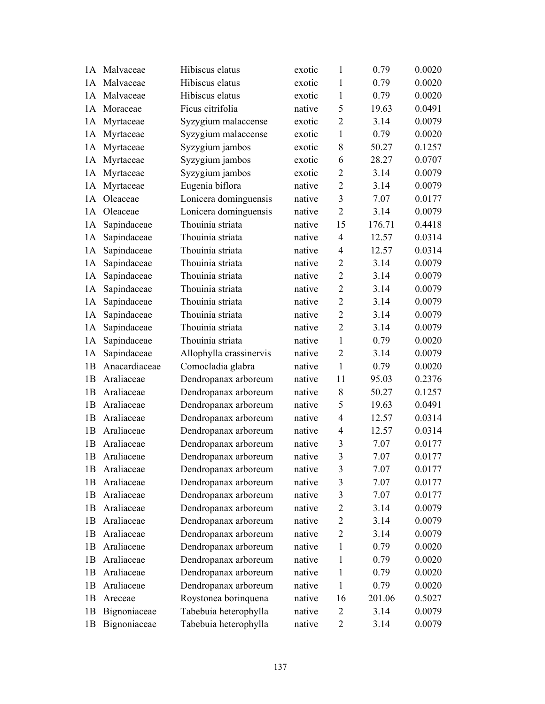|    | 1A Malvaceae  | Hibiscus elatus         | exotic | $\mathbf{1}$   | 0.79   | 0.0020 |
|----|---------------|-------------------------|--------|----------------|--------|--------|
|    | 1A Malvaceae  | Hibiscus elatus         | exotic | 1              | 0.79   | 0.0020 |
| 1A | Malvaceae     | Hibiscus elatus         | exotic | 1              | 0.79   | 0.0020 |
| 1A | Moraceae      | Ficus citrifolia        | native | 5              | 19.63  | 0.0491 |
| 1A | Myrtaceae     | Syzygium malaccense     | exotic | $\overline{2}$ | 3.14   | 0.0079 |
| 1A | Myrtaceae     | Syzygium malaccense     | exotic | $\mathbf{1}$   | 0.79   | 0.0020 |
| 1A | Myrtaceae     | Syzygium jambos         | exotic | 8              | 50.27  | 0.1257 |
| 1A | Myrtaceae     | Syzygium jambos         | exotic | 6              | 28.27  | 0.0707 |
| 1A | Myrtaceae     | Syzygium jambos         | exotic | $\overline{2}$ | 3.14   | 0.0079 |
| 1A | Myrtaceae     | Eugenia biflora         | native | $\overline{2}$ | 3.14   | 0.0079 |
| 1A | Oleaceae      | Lonicera dominguensis   | native | $\overline{3}$ | 7.07   | 0.0177 |
| 1A | Oleaceae      | Lonicera dominguensis   | native | $\overline{2}$ | 3.14   | 0.0079 |
| 1A | Sapindaceae   | Thouinia striata        | native | 15             | 176.71 | 0.4418 |
| 1A | Sapindaceae   | Thouinia striata        | native | $\overline{4}$ | 12.57  | 0.0314 |
| 1A | Sapindaceae   | Thouinia striata        | native | 4              | 12.57  | 0.0314 |
| 1A | Sapindaceae   | Thouinia striata        | native | $\overline{2}$ | 3.14   | 0.0079 |
| 1A | Sapindaceae   | Thouinia striata        | native | $\overline{2}$ | 3.14   | 0.0079 |
| 1A | Sapindaceae   | Thouinia striata        | native | $\overline{2}$ | 3.14   | 0.0079 |
| 1A | Sapindaceae   | Thouinia striata        | native | $\overline{2}$ | 3.14   | 0.0079 |
| 1A | Sapindaceae   | Thouinia striata        | native | $\overline{2}$ | 3.14   | 0.0079 |
| 1A | Sapindaceae   | Thouinia striata        | native | $\overline{2}$ | 3.14   | 0.0079 |
| 1A | Sapindaceae   | Thouinia striata        | native | $\mathbf{1}$   | 0.79   | 0.0020 |
| 1A | Sapindaceae   | Allophylla crassinervis | native | $\overline{2}$ | 3.14   | 0.0079 |
| 1B | Anacardiaceae | Comocladia glabra       | native | $\mathbf{1}$   | 0.79   | 0.0020 |
| 1B | Araliaceae    | Dendropanax arboreum    | native | 11             | 95.03  | 0.2376 |
| 1B | Araliaceae    | Dendropanax arboreum    | native | 8              | 50.27  | 0.1257 |
| 1B | Araliaceae    | Dendropanax arboreum    | native | 5              | 19.63  | 0.0491 |
| 1B | Araliaceae    | Dendropanax arboreum    | native | $\overline{4}$ | 12.57  | 0.0314 |
| 1B | Araliaceae    | Dendropanax arboreum    | native | 4              | 12.57  | 0.0314 |
| 1B | Araliaceae    | Dendropanax arboreum    | native | 3              | 7.07   | 0.0177 |
| 1B | Araliaceae    | Dendropanax arboreum    | native | 3              | 7.07   | 0.0177 |
| 1B | Araliaceae    | Dendropanax arboreum    | native | 3              | 7.07   | 0.0177 |
| 1B | Araliaceae    | Dendropanax arboreum    | native | 3              | 7.07   | 0.0177 |
| 1B | Araliaceae    | Dendropanax arboreum    | native | 3              | 7.07   | 0.0177 |
| 1B | Araliaceae    | Dendropanax arboreum    | native | $\overline{2}$ | 3.14   | 0.0079 |
| 1B | Araliaceae    | Dendropanax arboreum    | native | $\overline{2}$ | 3.14   | 0.0079 |
| 1B | Araliaceae    | Dendropanax arboreum    | native | $\overline{2}$ | 3.14   | 0.0079 |
| 1B | Araliaceae    | Dendropanax arboreum    | native | 1              | 0.79   | 0.0020 |
| 1B | Araliaceae    | Dendropanax arboreum    | native | 1              | 0.79   | 0.0020 |
| 1B | Araliaceae    | Dendropanax arboreum    | native | 1              | 0.79   | 0.0020 |
| 1B | Araliaceae    | Dendropanax arboreum    | native | $\mathbf{1}$   | 0.79   | 0.0020 |
| 1B | Areceae       | Roystonea borinquena    | native | 16             | 201.06 | 0.5027 |
| 1B | Bignoniaceae  | Tabebuia heterophylla   | native | 2              | 3.14   | 0.0079 |
| 1B | Bignoniaceae  | Tabebuia heterophylla   | native | $\overline{2}$ | 3.14   | 0.0079 |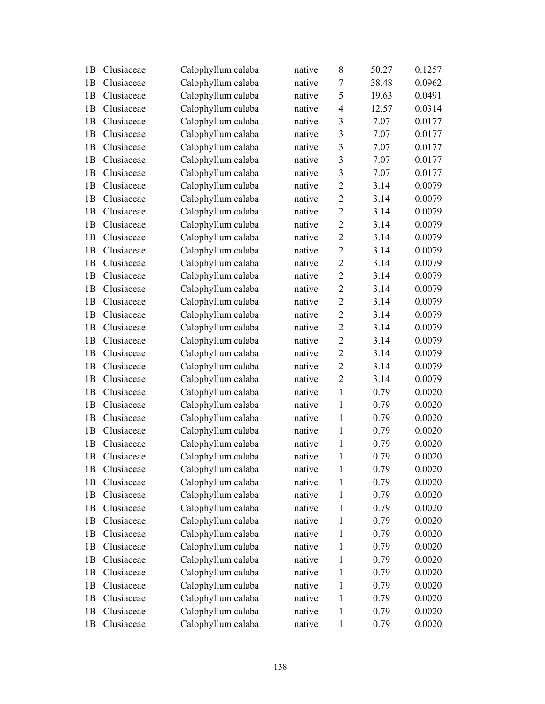| 1B | Clusiaceae | Calophyllum calaba | native | 8              | 50.27 | 0.1257 |
|----|------------|--------------------|--------|----------------|-------|--------|
| 1B | Clusiaceae | Calophyllum calaba | native | $\tau$         | 38.48 | 0.0962 |
| 1B | Clusiaceae | Calophyllum calaba | native | 5              | 19.63 | 0.0491 |
| 1B | Clusiaceae | Calophyllum calaba | native | $\overline{4}$ | 12.57 | 0.0314 |
| 1B | Clusiaceae | Calophyllum calaba | native | 3              | 7.07  | 0.0177 |
| 1B | Clusiaceae | Calophyllum calaba | native | 3              | 7.07  | 0.0177 |
| 1B | Clusiaceae | Calophyllum calaba | native | 3              | 7.07  | 0.0177 |
| 1B | Clusiaceae | Calophyllum calaba | native | 3              | 7.07  | 0.0177 |
| 1B | Clusiaceae | Calophyllum calaba | native | 3              | 7.07  | 0.0177 |
| 1B | Clusiaceae | Calophyllum calaba | native | $\overline{2}$ | 3.14  | 0.0079 |
| 1B | Clusiaceae | Calophyllum calaba | native | $\overline{2}$ | 3.14  | 0.0079 |
| 1B | Clusiaceae | Calophyllum calaba | native | $\overline{2}$ | 3.14  | 0.0079 |
| 1B | Clusiaceae | Calophyllum calaba | native | $\overline{2}$ | 3.14  | 0.0079 |
| 1B | Clusiaceae | Calophyllum calaba | native | $\overline{2}$ | 3.14  | 0.0079 |
| 1B | Clusiaceae | Calophyllum calaba | native | $\overline{2}$ | 3.14  | 0.0079 |
| 1B | Clusiaceae | Calophyllum calaba | native | $\overline{2}$ | 3.14  | 0.0079 |
| 1B | Clusiaceae | Calophyllum calaba | native | $\overline{2}$ | 3.14  | 0.0079 |
| 1B | Clusiaceae | Calophyllum calaba | native | $\overline{2}$ | 3.14  | 0.0079 |
| 1B | Clusiaceae | Calophyllum calaba | native | $\overline{2}$ | 3.14  | 0.0079 |
| 1B | Clusiaceae | Calophyllum calaba | native | $\overline{2}$ | 3.14  | 0.0079 |
| 1B | Clusiaceae | Calophyllum calaba | native | $\overline{2}$ | 3.14  | 0.0079 |
| 1B | Clusiaceae | Calophyllum calaba | native | $\overline{2}$ | 3.14  | 0.0079 |
| 1B | Clusiaceae | Calophyllum calaba | native | $\overline{2}$ | 3.14  | 0.0079 |
| 1B | Clusiaceae | Calophyllum calaba | native | $\overline{2}$ | 3.14  | 0.0079 |
| 1B | Clusiaceae | Calophyllum calaba | native | $\overline{2}$ | 3.14  | 0.0079 |
| 1B | Clusiaceae | Calophyllum calaba | native | $\mathbf{1}$   | 0.79  | 0.0020 |
| 1B | Clusiaceae | Calophyllum calaba | native | $\mathbf{1}$   | 0.79  | 0.0020 |
| 1B | Clusiaceae | Calophyllum calaba | native | $\mathbf{1}$   | 0.79  | 0.0020 |
| 1B | Clusiaceae | Calophyllum calaba | native | $\mathbf{1}$   | 0.79  | 0.0020 |
| 1B | Clusiaceae | Calophyllum calaba | native | $\mathbf{1}$   | 0.79  | 0.0020 |
| 1B | Clusiaceae | Calophyllum calaba | native | $\mathbf{1}$   | 0.79  | 0.0020 |
| 1B | Clusiaceae | Calophyllum calaba | native | $\mathbf{1}$   | 0.79  | 0.0020 |
| 1B | Clusiaceae | Calophyllum calaba | native | 1              | 0.79  | 0.0020 |
| 1B | Clusiaceae | Calophyllum calaba | native | 1              | 0.79  | 0.0020 |
| 1B | Clusiaceae | Calophyllum calaba | native | $\mathbf{1}$   | 0.79  | 0.0020 |
| 1B | Clusiaceae | Calophyllum calaba | native | 1              | 0.79  | 0.0020 |
| 1B | Clusiaceae | Calophyllum calaba | native | $\mathbf{1}$   | 0.79  | 0.0020 |
| 1B | Clusiaceae | Calophyllum calaba | native | 1              | 0.79  | 0.0020 |
| 1B | Clusiaceae | Calophyllum calaba | native | $\mathbf{1}$   | 0.79  | 0.0020 |
| 1B | Clusiaceae | Calophyllum calaba | native | $\mathbf{1}$   | 0.79  | 0.0020 |
| 1B | Clusiaceae | Calophyllum calaba | native | $\mathbf{1}$   | 0.79  | 0.0020 |
| 1B | Clusiaceae | Calophyllum calaba | native | $\mathbf{1}$   | 0.79  | 0.0020 |
| 1B | Clusiaceae | Calophyllum calaba | native | 1              | 0.79  | 0.0020 |
| 1B | Clusiaceae | Calophyllum calaba | native | $\mathbf{1}$   | 0.79  | 0.0020 |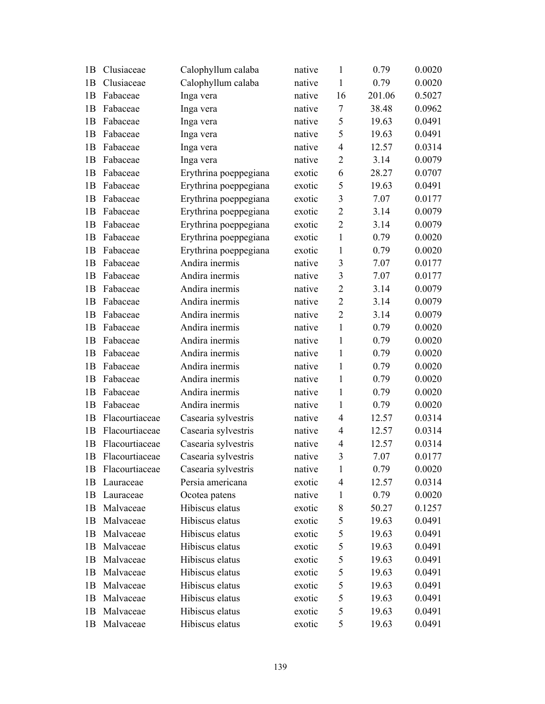| 1B | Clusiaceae     | Calophyllum calaba    | native | $\mathbf{1}$     | 0.79   | 0.0020 |
|----|----------------|-----------------------|--------|------------------|--------|--------|
| 1B | Clusiaceae     | Calophyllum calaba    | native | $\mathbf{1}$     | 0.79   | 0.0020 |
| 1B | Fabaceae       | Inga vera             | native | 16               | 201.06 | 0.5027 |
| 1B | Fabaceae       | Inga vera             | native | $\boldsymbol{7}$ | 38.48  | 0.0962 |
| 1B | Fabaceae       | Inga vera             | native | 5                | 19.63  | 0.0491 |
| 1B | Fabaceae       | Inga vera             | native | 5                | 19.63  | 0.0491 |
| 1B | Fabaceae       | Inga vera             | native | $\overline{4}$   | 12.57  | 0.0314 |
| 1B | Fabaceae       | Inga vera             | native | $\overline{2}$   | 3.14   | 0.0079 |
| 1B | Fabaceae       | Erythrina poeppegiana | exotic | 6                | 28.27  | 0.0707 |
| 1B | Fabaceae       | Erythrina poeppegiana | exotic | 5                | 19.63  | 0.0491 |
| 1B | Fabaceae       | Erythrina poeppegiana | exotic | 3                | 7.07   | 0.0177 |
| 1B | Fabaceae       | Erythrina poeppegiana | exotic | $\overline{2}$   | 3.14   | 0.0079 |
| 1B | Fabaceae       | Erythrina poeppegiana | exotic | $\overline{2}$   | 3.14   | 0.0079 |
| 1B | Fabaceae       | Erythrina poeppegiana | exotic | $\mathbf{1}$     | 0.79   | 0.0020 |
| 1B | Fabaceae       | Erythrina poeppegiana | exotic | $\mathbf{1}$     | 0.79   | 0.0020 |
| 1B | Fabaceae       | Andira inermis        | native | 3                | 7.07   | 0.0177 |
| 1B | Fabaceae       | Andira inermis        | native | $\overline{3}$   | 7.07   | 0.0177 |
| 1B | Fabaceae       | Andira inermis        | native | $\overline{2}$   | 3.14   | 0.0079 |
| 1B | Fabaceae       | Andira inermis        | native | $\overline{2}$   | 3.14   | 0.0079 |
| 1B | Fabaceae       | Andira inermis        | native | $\overline{2}$   | 3.14   | 0.0079 |
| 1B | Fabaceae       | Andira inermis        | native | 1                | 0.79   | 0.0020 |
| 1B | Fabaceae       | Andira inermis        | native | $\mathbf{1}$     | 0.79   | 0.0020 |
| 1B | Fabaceae       | Andira inermis        | native | $\mathbf{1}$     | 0.79   | 0.0020 |
| 1B | Fabaceae       | Andira inermis        | native | $\mathbf{1}$     | 0.79   | 0.0020 |
| 1B | Fabaceae       | Andira inermis        | native | $\mathbf{1}$     | 0.79   | 0.0020 |
| 1B | Fabaceae       | Andira inermis        | native | 1                | 0.79   | 0.0020 |
| 1B | Fabaceae       | Andira inermis        | native | $\mathbf{1}$     | 0.79   | 0.0020 |
| 1B | Flacourtiaceae | Casearia sylvestris   | native | $\overline{4}$   | 12.57  | 0.0314 |
| 1B | Flacourtiaceae | Casearia sylvestris   | native | $\overline{4}$   | 12.57  | 0.0314 |
| 1B | Flacourtiaceae | Casearia sylvestris   | native | $\overline{4}$   | 12.57  | 0.0314 |
| 1B | Flacourtiaceae | Casearia sylvestris   | native | 3                | 7.07   | 0.0177 |
| 1B | Flacourtiaceae | Casearia sylvestris   | native | 1                | 0.79   | 0.0020 |
| 1B | Lauraceae      | Persia americana      | exotic | 4                | 12.57  | 0.0314 |
| 1B | Lauraceae      | Ocotea patens         | native | $\mathbf{1}$     | 0.79   | 0.0020 |
| 1B | Malvaceae      | Hibiscus elatus       | exotic | 8                | 50.27  | 0.1257 |
| 1B | Malvaceae      | Hibiscus elatus       | exotic | 5                | 19.63  | 0.0491 |
| 1B | Malvaceae      | Hibiscus elatus       | exotic | 5                | 19.63  | 0.0491 |
| 1B | Malvaceae      | Hibiscus elatus       | exotic | 5                | 19.63  | 0.0491 |
| 1B | Malvaceae      | Hibiscus elatus       | exotic | 5                | 19.63  | 0.0491 |
| 1B | Malvaceae      | Hibiscus elatus       | exotic | 5                | 19.63  | 0.0491 |
| 1B | Malvaceae      | Hibiscus elatus       | exotic | 5                | 19.63  | 0.0491 |
| 1B | Malvaceae      | Hibiscus elatus       | exotic | 5                | 19.63  | 0.0491 |
| 1B | Malvaceae      | Hibiscus elatus       | exotic | 5                | 19.63  | 0.0491 |
| 1B | Malvaceae      | Hibiscus elatus       | exotic | 5                | 19.63  | 0.0491 |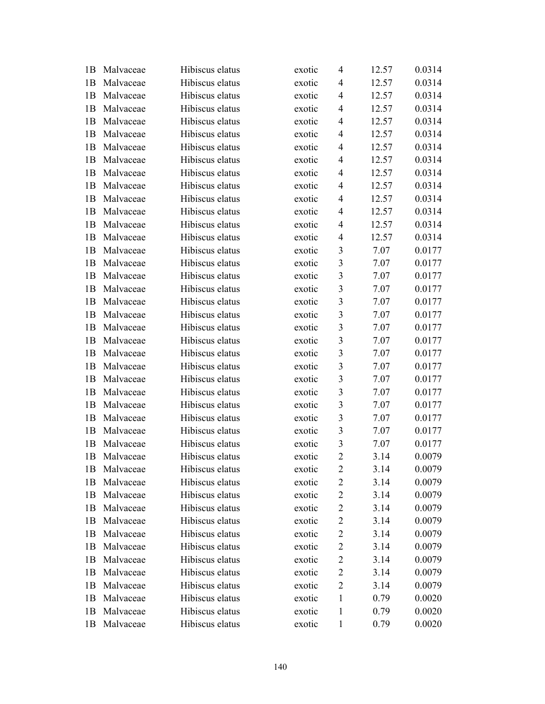| 1B | Malvaceae | Hibiscus elatus | exotic | $\overline{4}$          | 12.57 | 0.0314 |
|----|-----------|-----------------|--------|-------------------------|-------|--------|
| 1B | Malvaceae | Hibiscus elatus | exotic | 4                       | 12.57 | 0.0314 |
| 1B | Malvaceae | Hibiscus elatus | exotic | $\overline{4}$          | 12.57 | 0.0314 |
| 1B | Malvaceae | Hibiscus elatus | exotic | $\overline{4}$          | 12.57 | 0.0314 |
| 1B | Malvaceae | Hibiscus elatus | exotic | $\overline{4}$          | 12.57 | 0.0314 |
| 1B | Malvaceae | Hibiscus elatus | exotic | $\overline{4}$          | 12.57 | 0.0314 |
| 1B | Malvaceae | Hibiscus elatus | exotic | $\overline{4}$          | 12.57 | 0.0314 |
| 1B | Malvaceae | Hibiscus elatus | exotic | $\overline{4}$          | 12.57 | 0.0314 |
| 1B | Malvaceae | Hibiscus elatus | exotic | $\overline{4}$          | 12.57 | 0.0314 |
| 1B | Malvaceae | Hibiscus elatus | exotic | $\overline{4}$          | 12.57 | 0.0314 |
| 1B | Malvaceae | Hibiscus elatus | exotic | $\overline{4}$          | 12.57 | 0.0314 |
| 1B | Malvaceae | Hibiscus elatus | exotic | $\overline{4}$          | 12.57 | 0.0314 |
| 1B | Malvaceae | Hibiscus elatus | exotic | $\overline{4}$          | 12.57 | 0.0314 |
| 1B | Malvaceae | Hibiscus elatus | exotic | 4                       | 12.57 | 0.0314 |
| 1B | Malvaceae | Hibiscus elatus | exotic | $\overline{\mathbf{3}}$ | 7.07  | 0.0177 |
| 1B | Malvaceae | Hibiscus elatus | exotic | $\mathfrak{Z}$          | 7.07  | 0.0177 |
| 1B | Malvaceae | Hibiscus elatus | exotic | $\mathfrak{Z}$          | 7.07  | 0.0177 |
| 1B | Malvaceae | Hibiscus elatus | exotic | $\mathfrak{Z}$          | 7.07  | 0.0177 |
| 1B | Malvaceae | Hibiscus elatus | exotic | $\mathfrak{Z}$          | 7.07  | 0.0177 |
| 1B | Malvaceae | Hibiscus elatus | exotic | $\overline{\mathbf{3}}$ | 7.07  | 0.0177 |
| 1B | Malvaceae | Hibiscus elatus | exotic | 3                       | 7.07  | 0.0177 |
| 1B | Malvaceae | Hibiscus elatus | exotic | $\mathfrak{Z}$          | 7.07  | 0.0177 |
| 1B | Malvaceae | Hibiscus elatus | exotic | 3                       | 7.07  | 0.0177 |
| 1B | Malvaceae | Hibiscus elatus | exotic | $\overline{3}$          | 7.07  | 0.0177 |
| 1B | Malvaceae | Hibiscus elatus | exotic | $\overline{\mathbf{3}}$ | 7.07  | 0.0177 |
| 1B | Malvaceae | Hibiscus elatus | exotic | 3                       | 7.07  | 0.0177 |
| 1B | Malvaceae | Hibiscus elatus | exotic | $\overline{\mathbf{3}}$ | 7.07  | 0.0177 |
| 1B | Malvaceae | Hibiscus elatus | exotic | $\mathfrak{Z}$          | 7.07  | 0.0177 |
| 1B | Malvaceae | Hibiscus elatus | exotic | $\mathfrak{Z}$          | 7.07  | 0.0177 |
| 1B | Malvaceae | Hibiscus elatus | exotic | $\mathfrak{Z}$          | 7.07  | 0.0177 |
| 1B | Malvaceae | Hibiscus elatus | exotic | $\overline{2}$          | 3.14  | 0.0079 |
| 1B | Malvaceae | Hibiscus elatus | exotic | 2                       | 3.14  | 0.0079 |
| 1B | Malvaceae | Hibiscus elatus | exotic | $\overline{c}$          | 3.14  | 0.0079 |
| 1B | Malvaceae | Hibiscus elatus | exotic | $\overline{2}$          | 3.14  | 0.0079 |
| 1B | Malvaceae | Hibiscus elatus | exotic | $\overline{c}$          | 3.14  | 0.0079 |
| 1B | Malvaceae | Hibiscus elatus | exotic | 2                       | 3.14  | 0.0079 |
| 1B | Malvaceae | Hibiscus elatus | exotic | 2                       | 3.14  | 0.0079 |
| 1B | Malvaceae | Hibiscus elatus | exotic | $\overline{2}$          | 3.14  | 0.0079 |
| 1B | Malvaceae | Hibiscus elatus | exotic | $\overline{2}$          | 3.14  | 0.0079 |
| 1B | Malvaceae | Hibiscus elatus | exotic | 2                       | 3.14  | 0.0079 |
| 1B | Malvaceae | Hibiscus elatus | exotic | 2                       | 3.14  | 0.0079 |
| 1B | Malvaceae | Hibiscus elatus | exotic | 1                       | 0.79  | 0.0020 |
| 1B | Malvaceae | Hibiscus elatus | exotic | 1                       | 0.79  | 0.0020 |
| 1B | Malvaceae | Hibiscus elatus | exotic | 1                       | 0.79  | 0.0020 |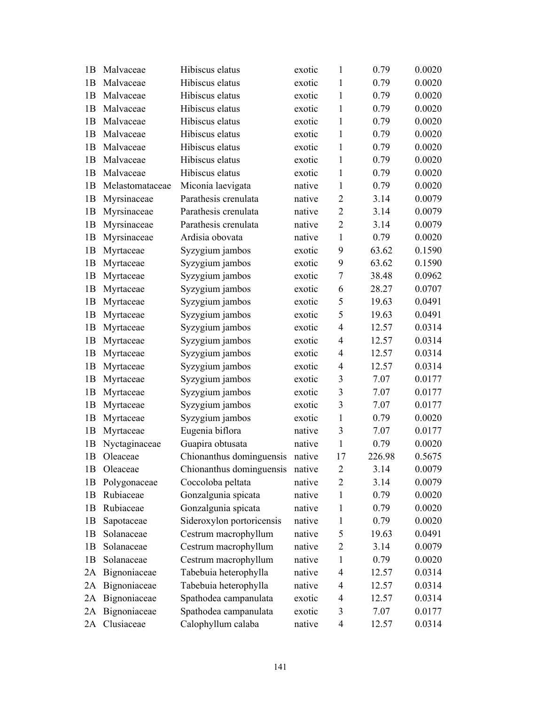| 1B | Malvaceae       | Hibiscus elatus           | exotic | 1                       | 0.79   | 0.0020 |
|----|-----------------|---------------------------|--------|-------------------------|--------|--------|
| 1B | Malvaceae       | Hibiscus elatus           | exotic | $\mathbf{1}$            | 0.79   | 0.0020 |
| 1B | Malvaceae       | Hibiscus elatus           | exotic | $\mathbf{1}$            | 0.79   | 0.0020 |
| 1B | Malvaceae       | Hibiscus elatus           | exotic | 1                       | 0.79   | 0.0020 |
| 1B | Malvaceae       | Hibiscus elatus           | exotic | $\mathbf{1}$            | 0.79   | 0.0020 |
| 1B | Malvaceae       | Hibiscus elatus           | exotic | $\mathbf{1}$            | 0.79   | 0.0020 |
| 1B | Malvaceae       | Hibiscus elatus           | exotic | $\mathbf{1}$            | 0.79   | 0.0020 |
| 1B | Malvaceae       | Hibiscus elatus           | exotic | $\mathbf{1}$            | 0.79   | 0.0020 |
| 1B | Malvaceae       | Hibiscus elatus           | exotic | 1                       | 0.79   | 0.0020 |
| 1B | Melastomataceae | Miconia laevigata         | native | $\mathbf{1}$            | 0.79   | 0.0020 |
| 1B | Myrsinaceae     | Parathesis crenulata      | native | $\overline{2}$          | 3.14   | 0.0079 |
| 1B | Myrsinaceae     | Parathesis crenulata      | native | $\overline{2}$          | 3.14   | 0.0079 |
| 1B | Myrsinaceae     | Parathesis crenulata      | native | $\overline{2}$          | 3.14   | 0.0079 |
| 1B | Myrsinaceae     | Ardisia obovata           | native | $\mathbf{1}$            | 0.79   | 0.0020 |
| 1B | Myrtaceae       | Syzygium jambos           | exotic | 9                       | 63.62  | 0.1590 |
| 1B | Myrtaceae       | Syzygium jambos           | exotic | 9                       | 63.62  | 0.1590 |
| 1B | Myrtaceae       | Syzygium jambos           | exotic | $\tau$                  | 38.48  | 0.0962 |
| 1B | Myrtaceae       | Syzygium jambos           | exotic | 6                       | 28.27  | 0.0707 |
| 1B | Myrtaceae       | Syzygium jambos           | exotic | 5                       | 19.63  | 0.0491 |
| 1B | Myrtaceae       | Syzygium jambos           | exotic | 5                       | 19.63  | 0.0491 |
| 1B | Myrtaceae       | Syzygium jambos           | exotic | $\overline{4}$          | 12.57  | 0.0314 |
| 1B | Myrtaceae       | Syzygium jambos           | exotic | 4                       | 12.57  | 0.0314 |
| 1B | Myrtaceae       | Syzygium jambos           | exotic | $\overline{4}$          | 12.57  | 0.0314 |
| 1B | Myrtaceae       | Syzygium jambos           | exotic | 4                       | 12.57  | 0.0314 |
| 1B | Myrtaceae       | Syzygium jambos           | exotic | 3                       | 7.07   | 0.0177 |
| 1B | Myrtaceae       | Syzygium jambos           | exotic | $\overline{3}$          | 7.07   | 0.0177 |
| 1B | Myrtaceae       | Syzygium jambos           | exotic | $\overline{\mathbf{3}}$ | 7.07   | 0.0177 |
| 1B | Myrtaceae       | Syzygium jambos           | exotic | $\mathbf{1}$            | 0.79   | 0.0020 |
| 1B | Myrtaceae       | Eugenia biflora           | native | $\overline{3}$          | 7.07   | 0.0177 |
| 1B | Nyctaginaceae   | Guapira obtusata          | native | $\mathbf{1}$            | 0.79   | 0.0020 |
| 1B | Oleaceae        | Chionanthus dominguensis  | native | 17                      | 226.98 | 0.5675 |
| 1B | Oleaceae        | Chionanthus dominguensis  | native | $\overline{2}$          | 3.14   | 0.0079 |
| 1B | Polygonaceae    | Coccoloba peltata         | native | $\overline{2}$          | 3.14   | 0.0079 |
| 1B | Rubiaceae       | Gonzalgunia spicata       | native | 1                       | 0.79   | 0.0020 |
| 1B | Rubiaceae       | Gonzalgunia spicata       | native | 1                       | 0.79   | 0.0020 |
| 1B | Sapotaceae      | Sideroxylon portoricensis | native | 1                       | 0.79   | 0.0020 |
| 1B | Solanaceae      | Cestrum macrophyllum      | native | 5                       | 19.63  | 0.0491 |
| 1B | Solanaceae      | Cestrum macrophyllum      | native | $\overline{2}$          | 3.14   | 0.0079 |
| 1B | Solanaceae      | Cestrum macrophyllum      | native | 1                       | 0.79   | 0.0020 |
| 2A | Bignoniaceae    | Tabebuia heterophylla     | native | 4                       | 12.57  | 0.0314 |
| 2A | Bignoniaceae    | Tabebuia heterophylla     | native | 4                       | 12.57  | 0.0314 |
| 2A | Bignoniaceae    | Spathodea campanulata     | exotic | 4                       | 12.57  | 0.0314 |
| 2A | Bignoniaceae    | Spathodea campanulata     | exotic | 3                       | 7.07   | 0.0177 |
| 2A | Clusiaceae      | Calophyllum calaba        | native | $\overline{4}$          | 12.57  | 0.0314 |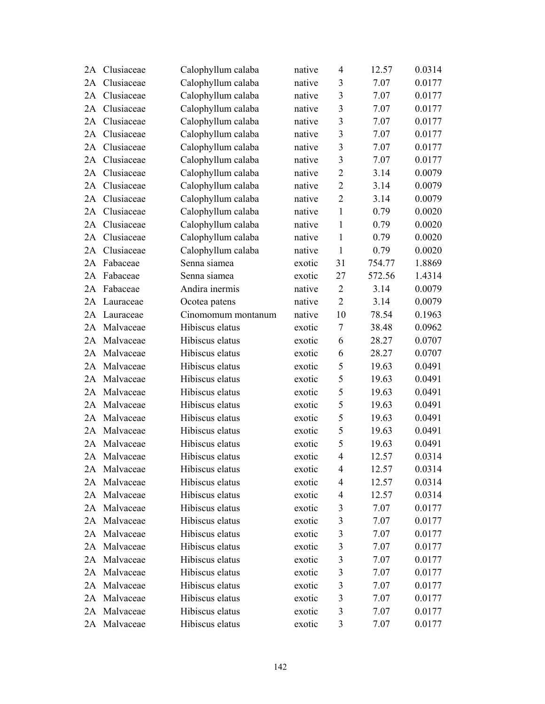| 2A | Clusiaceae   | Calophyllum calaba | native | 4              | 12.57  | 0.0314 |
|----|--------------|--------------------|--------|----------------|--------|--------|
| 2A | Clusiaceae   | Calophyllum calaba | native | 3              | 7.07   | 0.0177 |
| 2A | Clusiaceae   | Calophyllum calaba | native | 3              | 7.07   | 0.0177 |
| 2A | Clusiaceae   | Calophyllum calaba | native | 3              | 7.07   | 0.0177 |
| 2A | Clusiaceae   | Calophyllum calaba | native | 3              | 7.07   | 0.0177 |
| 2A | Clusiaceae   | Calophyllum calaba | native | 3              | 7.07   | 0.0177 |
| 2A | Clusiaceae   | Calophyllum calaba | native | 3              | 7.07   | 0.0177 |
| 2A | Clusiaceae   | Calophyllum calaba | native | $\mathfrak{Z}$ | 7.07   | 0.0177 |
| 2A | Clusiaceae   | Calophyllum calaba | native | $\overline{2}$ | 3.14   | 0.0079 |
| 2A | Clusiaceae   | Calophyllum calaba | native | $\overline{2}$ | 3.14   | 0.0079 |
| 2A | Clusiaceae   | Calophyllum calaba | native | $\overline{2}$ | 3.14   | 0.0079 |
| 2A | Clusiaceae   | Calophyllum calaba | native | $\mathbf{1}$   | 0.79   | 0.0020 |
| 2A | Clusiaceae   | Calophyllum calaba | native | $\mathbf{1}$   | 0.79   | 0.0020 |
| 2A | Clusiaceae   | Calophyllum calaba | native | $\mathbf{1}$   | 0.79   | 0.0020 |
| 2A | Clusiaceae   | Calophyllum calaba | native | $\mathbf{1}$   | 0.79   | 0.0020 |
| 2A | Fabaceae     | Senna siamea       | exotic | 31             | 754.77 | 1.8869 |
| 2A | Fabaceae     | Senna siamea       | exotic | 27             | 572.56 | 1.4314 |
| 2A | Fabaceae     | Andira inermis     | native | $\overline{2}$ | 3.14   | 0.0079 |
| 2A | Lauraceae    | Ocotea patens      | native | $\overline{2}$ | 3.14   | 0.0079 |
| 2A | Lauraceae    | Cinomomum montanum | native | 10             | 78.54  | 0.1963 |
| 2A | Malvaceae    | Hibiscus elatus    | exotic | 7              | 38.48  | 0.0962 |
| 2A | Malvaceae    | Hibiscus elatus    | exotic | 6              | 28.27  | 0.0707 |
| 2A | Malvaceae    | Hibiscus elatus    | exotic | 6              | 28.27  | 0.0707 |
| 2A | Malvaceae    | Hibiscus elatus    | exotic | 5              | 19.63  | 0.0491 |
| 2A | Malvaceae    | Hibiscus elatus    | exotic | 5              | 19.63  | 0.0491 |
| 2A | Malvaceae    | Hibiscus elatus    | exotic | 5              | 19.63  | 0.0491 |
| 2A | Malvaceae    | Hibiscus elatus    | exotic | 5              | 19.63  | 0.0491 |
| 2A | Malvaceae    | Hibiscus elatus    | exotic | 5              | 19.63  | 0.0491 |
| 2A | Malvaceae    | Hibiscus elatus    | exotic | 5              | 19.63  | 0.0491 |
| 2A | Malvaceae    | Hibiscus elatus    | exotic | 5              | 19.63  | 0.0491 |
|    | 2A Malvaceae | Hibiscus elatus    | exotic | $\overline{4}$ | 12.57  | 0.0314 |
| 2A | Malvaceae    | Hibiscus elatus    | exotic | 4              | 12.57  | 0.0314 |
| 2A | Malvaceae    | Hibiscus elatus    | exotic | 4              | 12.57  | 0.0314 |
| 2A | Malvaceae    | Hibiscus elatus    | exotic | 4              | 12.57  | 0.0314 |
| 2A | Malvaceae    | Hibiscus elatus    | exotic | 3              | 7.07   | 0.0177 |
| 2A | Malvaceae    | Hibiscus elatus    | exotic | 3              | 7.07   | 0.0177 |
|    | 2A Malvaceae | Hibiscus elatus    | exotic | 3              | 7.07   | 0.0177 |
|    | 2A Malvaceae | Hibiscus elatus    | exotic | 3              | 7.07   | 0.0177 |
| 2A | Malvaceae    | Hibiscus elatus    | exotic | $\mathfrak{Z}$ | 7.07   | 0.0177 |
| 2A | Malvaceae    | Hibiscus elatus    | exotic | 3              | 7.07   | 0.0177 |
| 2A | Malvaceae    | Hibiscus elatus    | exotic | $\mathfrak{Z}$ | 7.07   | 0.0177 |
|    | 2A Malvaceae | Hibiscus elatus    | exotic | 3              | 7.07   | 0.0177 |
|    | 2A Malvaceae | Hibiscus elatus    | exotic | 3              | 7.07   | 0.0177 |
|    | 2A Malvaceae | Hibiscus elatus    | exotic | 3              | 7.07   | 0.0177 |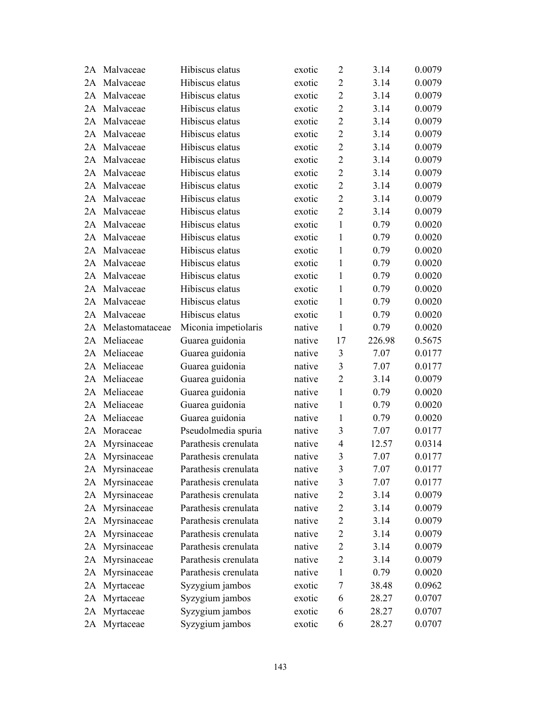| 2A | Malvaceae       | Hibiscus elatus      | exotic | $\overline{2}$ | 3.14   | 0.0079 |
|----|-----------------|----------------------|--------|----------------|--------|--------|
| 2A | Malvaceae       | Hibiscus elatus      | exotic | $\overline{2}$ | 3.14   | 0.0079 |
| 2A | Malvaceae       | Hibiscus elatus      | exotic | $\overline{2}$ | 3.14   | 0.0079 |
| 2A | Malvaceae       | Hibiscus elatus      | exotic | $\overline{2}$ | 3.14   | 0.0079 |
| 2A | Malvaceae       | Hibiscus elatus      | exotic | $\overline{2}$ | 3.14   | 0.0079 |
| 2A | Malvaceae       | Hibiscus elatus      | exotic | $\overline{2}$ | 3.14   | 0.0079 |
| 2A | Malvaceae       | Hibiscus elatus      | exotic | $\overline{2}$ | 3.14   | 0.0079 |
| 2A | Malvaceae       | Hibiscus elatus      | exotic | $\overline{2}$ | 3.14   | 0.0079 |
| 2A | Malvaceae       | Hibiscus elatus      | exotic | $\overline{2}$ | 3.14   | 0.0079 |
| 2A | Malvaceae       | Hibiscus elatus      | exotic | $\overline{2}$ | 3.14   | 0.0079 |
| 2A | Malvaceae       | Hibiscus elatus      | exotic | $\mathbf{2}$   | 3.14   | 0.0079 |
| 2A | Malvaceae       | Hibiscus elatus      | exotic | $\overline{2}$ | 3.14   | 0.0079 |
| 2A | Malvaceae       | Hibiscus elatus      | exotic | $\mathbf{1}$   | 0.79   | 0.0020 |
| 2A | Malvaceae       | Hibiscus elatus      | exotic | $\mathbf{1}$   | 0.79   | 0.0020 |
| 2A | Malvaceae       | Hibiscus elatus      | exotic | $\mathbf{1}$   | 0.79   | 0.0020 |
| 2A | Malvaceae       | Hibiscus elatus      | exotic | 1              | 0.79   | 0.0020 |
| 2A | Malvaceae       | Hibiscus elatus      | exotic | $\mathbf{1}$   | 0.79   | 0.0020 |
| 2A | Malvaceae       | Hibiscus elatus      | exotic | $\mathbf{1}$   | 0.79   | 0.0020 |
| 2A | Malvaceae       | Hibiscus elatus      | exotic | $\mathbf{1}$   | 0.79   | 0.0020 |
| 2A | Malvaceae       | Hibiscus elatus      | exotic | 1              | 0.79   | 0.0020 |
| 2A | Melastomataceae | Miconia impetiolaris | native | $\mathbf{1}$   | 0.79   | 0.0020 |
| 2A | Meliaceae       | Guarea guidonia      | native | 17             | 226.98 | 0.5675 |
| 2A | Meliaceae       | Guarea guidonia      | native | 3              | 7.07   | 0.0177 |
| 2A | Meliaceae       | Guarea guidonia      | native | 3              | 7.07   | 0.0177 |
| 2A | Meliaceae       | Guarea guidonia      | native | $\overline{2}$ | 3.14   | 0.0079 |
| 2A | Meliaceae       | Guarea guidonia      | native | $\mathbf{1}$   | 0.79   | 0.0020 |
| 2A | Meliaceae       | Guarea guidonia      | native | $\mathbf{1}$   | 0.79   | 0.0020 |
| 2A | Meliaceae       | Guarea guidonia      | native | 1              | 0.79   | 0.0020 |
| 2A | Moraceae        | Pseudolmedia spuria  | native | 3              | 7.07   | 0.0177 |
| 2A | Myrsinaceae     | Parathesis crenulata | native | $\overline{4}$ | 12.57  | 0.0314 |
|    | 2A Myrsinaceae  | Parathesis crenulata | native | 3              | 7.07   | 0.0177 |
|    | 2A Myrsinaceae  | Parathesis crenulata | native | 3              | 7.07   | 0.0177 |
| 2A | Myrsinaceae     | Parathesis crenulata | native | 3              | 7.07   | 0.0177 |
| 2A | Myrsinaceae     | Parathesis crenulata | native | $\overline{2}$ | 3.14   | 0.0079 |
| 2A | Myrsinaceae     | Parathesis crenulata | native | $\overline{2}$ | 3.14   | 0.0079 |
| 2A | Myrsinaceae     | Parathesis crenulata | native | $\overline{2}$ | 3.14   | 0.0079 |
| 2A | Myrsinaceae     | Parathesis crenulata | native | $\overline{2}$ | 3.14   | 0.0079 |
| 2A | Myrsinaceae     | Parathesis crenulata | native | $\overline{2}$ | 3.14   | 0.0079 |
| 2A | Myrsinaceae     | Parathesis crenulata | native | $\overline{2}$ | 3.14   | 0.0079 |
| 2A | Myrsinaceae     | Parathesis crenulata | native | 1              | 0.79   | 0.0020 |
| 2A | Myrtaceae       | Syzygium jambos      | exotic | $\tau$         | 38.48  | 0.0962 |
| 2A | Myrtaceae       | Syzygium jambos      | exotic | 6              | 28.27  | 0.0707 |
| 2A | Myrtaceae       | Syzygium jambos      | exotic | 6              | 28.27  | 0.0707 |
|    | 2A Myrtaceae    | Syzygium jambos      | exotic | 6              | 28.27  | 0.0707 |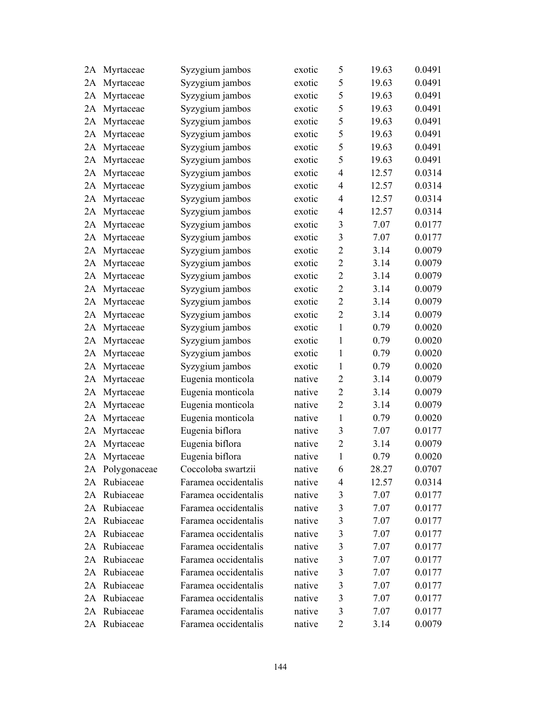| 2A | Myrtaceae       | Syzygium jambos      | exotic | 5              | 19.63 | 0.0491 |
|----|-----------------|----------------------|--------|----------------|-------|--------|
| 2A | Myrtaceae       | Syzygium jambos      | exotic | 5              | 19.63 | 0.0491 |
| 2A | Myrtaceae       | Syzygium jambos      | exotic | 5              | 19.63 | 0.0491 |
| 2A | Myrtaceae       | Syzygium jambos      | exotic | 5              | 19.63 | 0.0491 |
| 2A | Myrtaceae       | Syzygium jambos      | exotic | 5              | 19.63 | 0.0491 |
| 2A | Myrtaceae       | Syzygium jambos      | exotic | 5              | 19.63 | 0.0491 |
| 2A | Myrtaceae       | Syzygium jambos      | exotic | 5              | 19.63 | 0.0491 |
| 2A | Myrtaceae       | Syzygium jambos      | exotic | 5              | 19.63 | 0.0491 |
| 2A | Myrtaceae       | Syzygium jambos      | exotic | $\overline{4}$ | 12.57 | 0.0314 |
| 2A | Myrtaceae       | Syzygium jambos      | exotic | $\overline{4}$ | 12.57 | 0.0314 |
| 2A | Myrtaceae       | Syzygium jambos      | exotic | $\overline{4}$ | 12.57 | 0.0314 |
| 2A | Myrtaceae       | Syzygium jambos      | exotic | $\overline{4}$ | 12.57 | 0.0314 |
| 2A | Myrtaceae       | Syzygium jambos      | exotic | 3              | 7.07  | 0.0177 |
| 2A | Myrtaceae       | Syzygium jambos      | exotic | 3              | 7.07  | 0.0177 |
| 2A | Myrtaceae       | Syzygium jambos      | exotic | $\overline{2}$ | 3.14  | 0.0079 |
| 2A | Myrtaceae       | Syzygium jambos      | exotic | $\overline{2}$ | 3.14  | 0.0079 |
| 2A | Myrtaceae       | Syzygium jambos      | exotic | $\sqrt{2}$     | 3.14  | 0.0079 |
| 2A | Myrtaceae       | Syzygium jambos      | exotic | $\overline{2}$ | 3.14  | 0.0079 |
| 2A | Myrtaceae       | Syzygium jambos      | exotic | $\overline{2}$ | 3.14  | 0.0079 |
| 2A | Myrtaceae       | Syzygium jambos      | exotic | $\overline{2}$ | 3.14  | 0.0079 |
| 2A | Myrtaceae       | Syzygium jambos      | exotic | $\mathbf{1}$   | 0.79  | 0.0020 |
| 2A | Myrtaceae       | Syzygium jambos      | exotic | $\mathbf{1}$   | 0.79  | 0.0020 |
| 2A | Myrtaceae       | Syzygium jambos      | exotic | $\mathbf{1}$   | 0.79  | 0.0020 |
| 2A | Myrtaceae       | Syzygium jambos      | exotic | $\mathbf{1}$   | 0.79  | 0.0020 |
| 2A | Myrtaceae       | Eugenia monticola    | native | $\overline{2}$ | 3.14  | 0.0079 |
| 2A | Myrtaceae       | Eugenia monticola    | native | $\overline{2}$ | 3.14  | 0.0079 |
| 2A | Myrtaceae       | Eugenia monticola    | native | $\overline{2}$ | 3.14  | 0.0079 |
| 2A | Myrtaceae       | Eugenia monticola    | native | $\mathbf{1}$   | 0.79  | 0.0020 |
| 2A | Myrtaceae       | Eugenia biflora      | native | 3              | 7.07  | 0.0177 |
| 2A | Myrtaceae       | Eugenia biflora      | native | $\overline{2}$ | 3.14  | 0.0079 |
| 2A | Myrtaceae       | Eugenia biflora      | native | $\mathbf{1}$   | 0.79  | 0.0020 |
|    | 2A Polygonaceae | Coccoloba swartzii   | native | 6              | 28.27 | 0.0707 |
| 2A | Rubiaceae       | Faramea occidentalis | native | 4              | 12.57 | 0.0314 |
| 2A | Rubiaceae       | Faramea occidentalis | native | 3              | 7.07  | 0.0177 |
| 2A | Rubiaceae       | Faramea occidentalis | native | $\mathfrak{Z}$ | 7.07  | 0.0177 |
| 2A | Rubiaceae       | Faramea occidentalis | native | $\mathfrak{Z}$ | 7.07  | 0.0177 |
|    | 2A Rubiaceae    | Faramea occidentalis | native | 3              | 7.07  | 0.0177 |
| 2A | Rubiaceae       | Faramea occidentalis | native | 3              | 7.07  | 0.0177 |
| 2A | Rubiaceae       | Faramea occidentalis | native | $\mathfrak{Z}$ | 7.07  | 0.0177 |
| 2A | Rubiaceae       | Faramea occidentalis | native | $\mathfrak{Z}$ | 7.07  | 0.0177 |
| 2A | Rubiaceae       | Faramea occidentalis | native | $\mathfrak{Z}$ | 7.07  | 0.0177 |
|    | 2A Rubiaceae    | Faramea occidentalis | native | 3              | 7.07  | 0.0177 |
|    | 2A Rubiaceae    | Faramea occidentalis | native | 3              | 7.07  | 0.0177 |
|    | 2A Rubiaceae    | Faramea occidentalis | native | $\overline{2}$ | 3.14  | 0.0079 |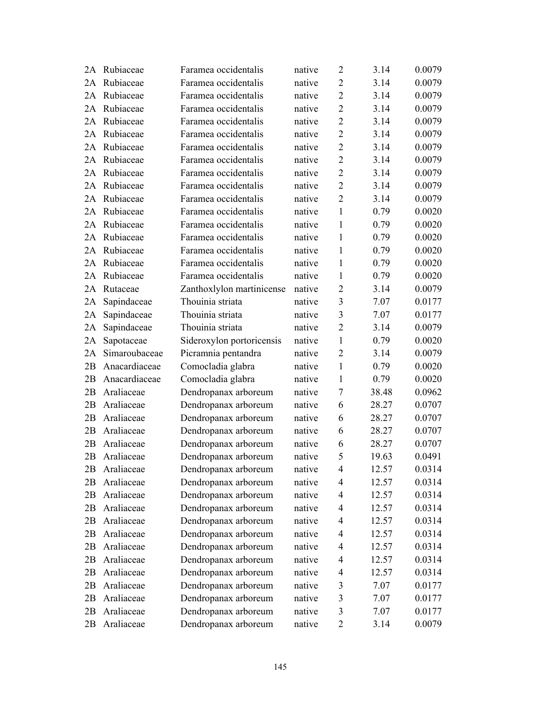| 2A | Rubiaceae     | Faramea occidentalis      | native | $\overline{2}$ | 3.14  | 0.0079 |
|----|---------------|---------------------------|--------|----------------|-------|--------|
| 2A | Rubiaceae     | Faramea occidentalis      | native | $\overline{2}$ | 3.14  | 0.0079 |
| 2A | Rubiaceae     | Faramea occidentalis      | native | $\overline{2}$ | 3.14  | 0.0079 |
| 2A | Rubiaceae     | Faramea occidentalis      | native | $\overline{2}$ | 3.14  | 0.0079 |
| 2A | Rubiaceae     | Faramea occidentalis      | native | $\overline{2}$ | 3.14  | 0.0079 |
| 2A | Rubiaceae     | Faramea occidentalis      | native | $\overline{2}$ | 3.14  | 0.0079 |
| 2A | Rubiaceae     | Faramea occidentalis      | native | $\overline{2}$ | 3.14  | 0.0079 |
| 2A | Rubiaceae     | Faramea occidentalis      | native | $\overline{2}$ | 3.14  | 0.0079 |
| 2A | Rubiaceae     | Faramea occidentalis      | native | $\overline{2}$ | 3.14  | 0.0079 |
| 2A | Rubiaceae     | Faramea occidentalis      | native | $\overline{2}$ | 3.14  | 0.0079 |
| 2A | Rubiaceae     | Faramea occidentalis      | native | $\overline{2}$ | 3.14  | 0.0079 |
| 2A | Rubiaceae     | Faramea occidentalis      | native | 1              | 0.79  | 0.0020 |
| 2A | Rubiaceae     | Faramea occidentalis      | native | 1              | 0.79  | 0.0020 |
| 2A | Rubiaceae     | Faramea occidentalis      | native | 1              | 0.79  | 0.0020 |
| 2A | Rubiaceae     | Faramea occidentalis      | native | 1              | 0.79  | 0.0020 |
| 2A | Rubiaceae     | Faramea occidentalis      | native | 1              | 0.79  | 0.0020 |
| 2A | Rubiaceae     | Faramea occidentalis      | native | 1              | 0.79  | 0.0020 |
| 2A | Rutaceae      | Zanthoxlylon martinicense | native | $\overline{2}$ | 3.14  | 0.0079 |
| 2A | Sapindaceae   | Thouinia striata          | native | 3              | 7.07  | 0.0177 |
| 2A | Sapindaceae   | Thouinia striata          | native | 3              | 7.07  | 0.0177 |
| 2A | Sapindaceae   | Thouinia striata          | native | $\overline{2}$ | 3.14  | 0.0079 |
| 2A | Sapotaceae    | Sideroxylon portoricensis | native | 1              | 0.79  | 0.0020 |
| 2A | Simaroubaceae | Picramnia pentandra       | native | $\overline{2}$ | 3.14  | 0.0079 |
| 2B | Anacardiaceae | Comocladia glabra         | native | $\mathbf{1}$   | 0.79  | 0.0020 |
| 2B | Anacardiaceae | Comocladia glabra         | native | 1              | 0.79  | 0.0020 |
| 2B | Araliaceae    | Dendropanax arboreum      | native | 7              | 38.48 | 0.0962 |
| 2B | Araliaceae    | Dendropanax arboreum      | native | 6              | 28.27 | 0.0707 |
| 2B | Araliaceae    | Dendropanax arboreum      | native | 6              | 28.27 | 0.0707 |
| 2B | Araliaceae    | Dendropanax arboreum      | native | 6              | 28.27 | 0.0707 |
| 2B | Araliaceae    | Dendropanax arboreum      | native | 6              | 28.27 | 0.0707 |
| 2B | Araliaceae    | Dendropanax arboreum      | native | 5              | 19.63 | 0.0491 |
| 2B | Araliaceae    | Dendropanax arboreum      | native | 4              | 12.57 | 0.0314 |
| 2B | Araliaceae    | Dendropanax arboreum      | native | 4              | 12.57 | 0.0314 |
| 2B | Araliaceae    | Dendropanax arboreum      | native | $\overline{4}$ | 12.57 | 0.0314 |
| 2B | Araliaceae    | Dendropanax arboreum      | native | $\overline{4}$ | 12.57 | 0.0314 |
| 2B | Araliaceae    | Dendropanax arboreum      | native | 4              | 12.57 | 0.0314 |
| 2B | Araliaceae    | Dendropanax arboreum      | native | $\overline{4}$ | 12.57 | 0.0314 |
| 2B | Araliaceae    | Dendropanax arboreum      | native | $\overline{4}$ | 12.57 | 0.0314 |
| 2B | Araliaceae    | Dendropanax arboreum      | native | $\overline{4}$ | 12.57 | 0.0314 |
| 2B | Araliaceae    | Dendropanax arboreum      | native | $\overline{4}$ | 12.57 | 0.0314 |
| 2B | Araliaceae    | Dendropanax arboreum      | native | 3              | 7.07  | 0.0177 |
| 2B | Araliaceae    | Dendropanax arboreum      | native | 3              | 7.07  | 0.0177 |
| 2B | Araliaceae    | Dendropanax arboreum      | native | 3              | 7.07  | 0.0177 |
| 2B | Araliaceae    | Dendropanax arboreum      | native | 2              | 3.14  | 0.0079 |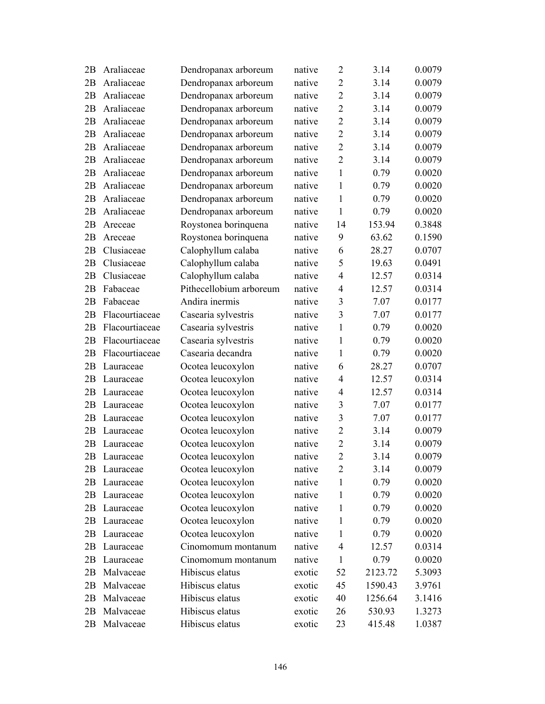| 2B | Araliaceae     | Dendropanax arboreum    | native | $\overline{2}$ | 3.14    | 0.0079 |
|----|----------------|-------------------------|--------|----------------|---------|--------|
| 2B | Araliaceae     | Dendropanax arboreum    | native | $\overline{2}$ | 3.14    | 0.0079 |
| 2B | Araliaceae     | Dendropanax arboreum    | native | $\overline{2}$ | 3.14    | 0.0079 |
| 2B | Araliaceae     | Dendropanax arboreum    | native | $\overline{2}$ | 3.14    | 0.0079 |
| 2B | Araliaceae     | Dendropanax arboreum    | native | $\overline{2}$ | 3.14    | 0.0079 |
| 2B | Araliaceae     | Dendropanax arboreum    | native | $\overline{2}$ | 3.14    | 0.0079 |
| 2B | Araliaceae     | Dendropanax arboreum    | native | $\overline{2}$ | 3.14    | 0.0079 |
| 2B | Araliaceae     | Dendropanax arboreum    | native | $\overline{2}$ | 3.14    | 0.0079 |
| 2B | Araliaceae     | Dendropanax arboreum    | native | $\mathbf{1}$   | 0.79    | 0.0020 |
| 2B | Araliaceae     | Dendropanax arboreum    | native | 1              | 0.79    | 0.0020 |
| 2B | Araliaceae     | Dendropanax arboreum    | native | 1              | 0.79    | 0.0020 |
| 2B | Araliaceae     | Dendropanax arboreum    | native | $\mathbf{1}$   | 0.79    | 0.0020 |
| 2B | Areceae        | Roystonea borinquena    | native | 14             | 153.94  | 0.3848 |
| 2B | Areceae        | Roystonea borinquena    | native | 9              | 63.62   | 0.1590 |
| 2B | Clusiaceae     | Calophyllum calaba      | native | 6              | 28.27   | 0.0707 |
| 2B | Clusiaceae     | Calophyllum calaba      | native | 5              | 19.63   | 0.0491 |
| 2B | Clusiaceae     | Calophyllum calaba      | native | $\overline{4}$ | 12.57   | 0.0314 |
| 2B | Fabaceae       | Pithecellobium arboreum | native | $\overline{4}$ | 12.57   | 0.0314 |
| 2B | Fabaceae       | Andira inermis          | native | 3              | 7.07    | 0.0177 |
| 2B | Flacourtiaceae | Casearia sylvestris     | native | 3              | 7.07    | 0.0177 |
| 2B | Flacourtiaceae | Casearia sylvestris     | native | 1              | 0.79    | 0.0020 |
| 2B | Flacourtiaceae | Casearia sylvestris     | native | 1              | 0.79    | 0.0020 |
| 2B | Flacourtiaceae | Casearia decandra       | native | $\mathbf{1}$   | 0.79    | 0.0020 |
| 2B | Lauraceae      | Ocotea leucoxylon       | native | 6              | 28.27   | 0.0707 |
| 2B | Lauraceae      | Ocotea leucoxylon       | native | $\overline{4}$ | 12.57   | 0.0314 |
| 2B | Lauraceae      | Ocotea leucoxylon       | native | $\overline{4}$ | 12.57   | 0.0314 |
| 2B | Lauraceae      | Ocotea leucoxylon       | native | 3              | 7.07    | 0.0177 |
| 2B | Lauraceae      | Ocotea leucoxylon       | native | $\overline{3}$ | 7.07    | 0.0177 |
| 2B | Lauraceae      | Ocotea leucoxylon       | native | $\overline{2}$ | 3.14    | 0.0079 |
| 2B | Lauraceae      | Ocotea leucoxylon       | native | $\overline{2}$ | 3.14    | 0.0079 |
| 2B | Lauraceae      | Ocotea leucoxylon       | native | $\overline{2}$ | 3.14    | 0.0079 |
| 2B | Lauraceae      | Ocotea leucoxylon       | native | 2              | 3.14    | 0.0079 |
| 2B | Lauraceae      | Ocotea leucoxylon       | native | 1              | 0.79    | 0.0020 |
| 2B | Lauraceae      | Ocotea leucoxylon       | native | 1              | 0.79    | 0.0020 |
| 2B | Lauraceae      | Ocotea leucoxylon       | native | 1              | 0.79    | 0.0020 |
| 2Β | Lauraceae      | Ocotea leucoxylon       | native | 1              | 0.79    | 0.0020 |
| 2Β | Lauraceae      | Ocotea leucoxylon       | native | 1              | 0.79    | 0.0020 |
| 2B | Lauraceae      | Cinomomum montanum      | native | $\overline{4}$ | 12.57   | 0.0314 |
| 2B | Lauraceae      | Cinomomum montanum      | native | $\mathbf{1}$   | 0.79    | 0.0020 |
| 2B | Malvaceae      | Hibiscus elatus         | exotic | 52             | 2123.72 | 5.3093 |
| 2B | Malvaceae      | Hibiscus elatus         | exotic | 45             | 1590.43 | 3.9761 |
| 2B | Malvaceae      | Hibiscus elatus         | exotic | 40             | 1256.64 | 3.1416 |
| 2B | Malvaceae      | Hibiscus elatus         | exotic | 26             | 530.93  | 1.3273 |
| 2B | Malvaceae      | Hibiscus elatus         | exotic | 23             | 415.48  | 1.0387 |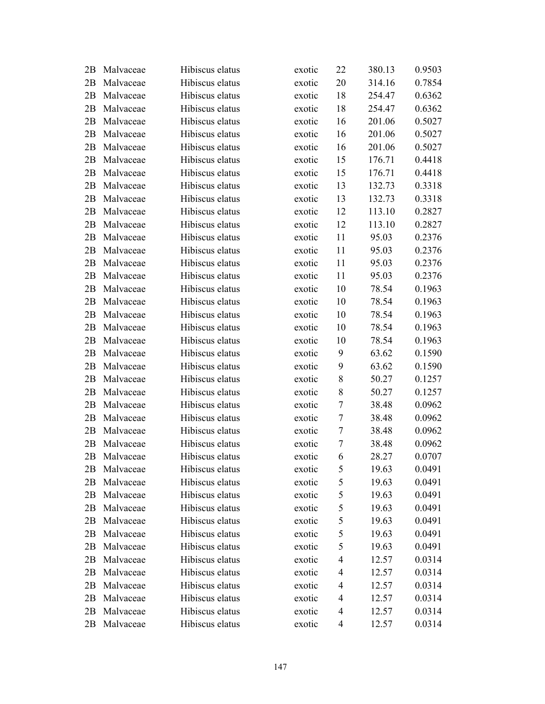| 2Β | Malvaceae | Hibiscus elatus | exotic | 22             | 380.13 | 0.9503 |
|----|-----------|-----------------|--------|----------------|--------|--------|
| 2B | Malvaceae | Hibiscus elatus | exotic | 20             | 314.16 | 0.7854 |
| 2B | Malvaceae | Hibiscus elatus | exotic | 18             | 254.47 | 0.6362 |
| 2B | Malvaceae | Hibiscus elatus | exotic | 18             | 254.47 | 0.6362 |
| 2B | Malvaceae | Hibiscus elatus | exotic | 16             | 201.06 | 0.5027 |
| 2B | Malvaceae | Hibiscus elatus | exotic | 16             | 201.06 | 0.5027 |
| 2B | Malvaceae | Hibiscus elatus | exotic | 16             | 201.06 | 0.5027 |
| 2B | Malvaceae | Hibiscus elatus | exotic | 15             | 176.71 | 0.4418 |
| 2B | Malvaceae | Hibiscus elatus | exotic | 15             | 176.71 | 0.4418 |
| 2B | Malvaceae | Hibiscus elatus | exotic | 13             | 132.73 | 0.3318 |
| 2B | Malvaceae | Hibiscus elatus | exotic | 13             | 132.73 | 0.3318 |
| 2B | Malvaceae | Hibiscus elatus | exotic | 12             | 113.10 | 0.2827 |
| 2B | Malvaceae | Hibiscus elatus | exotic | 12             | 113.10 | 0.2827 |
| 2B | Malvaceae | Hibiscus elatus | exotic | 11             | 95.03  | 0.2376 |
| 2B | Malvaceae | Hibiscus elatus | exotic | 11             | 95.03  | 0.2376 |
| 2B | Malvaceae | Hibiscus elatus | exotic | 11             | 95.03  | 0.2376 |
| 2B | Malvaceae | Hibiscus elatus | exotic | 11             | 95.03  | 0.2376 |
| 2B | Malvaceae | Hibiscus elatus | exotic | 10             | 78.54  | 0.1963 |
| 2B | Malvaceae | Hibiscus elatus | exotic | 10             | 78.54  | 0.1963 |
| 2B | Malvaceae | Hibiscus elatus | exotic | 10             | 78.54  | 0.1963 |
| 2B | Malvaceae | Hibiscus elatus | exotic | 10             | 78.54  | 0.1963 |
| 2B | Malvaceae | Hibiscus elatus | exotic | 10             | 78.54  | 0.1963 |
| 2B | Malvaceae | Hibiscus elatus | exotic | 9              | 63.62  | 0.1590 |
| 2B | Malvaceae | Hibiscus elatus | exotic | 9              | 63.62  | 0.1590 |
| 2B | Malvaceae | Hibiscus elatus | exotic | 8              | 50.27  | 0.1257 |
| 2B | Malvaceae | Hibiscus elatus | exotic | 8              | 50.27  | 0.1257 |
| 2B | Malvaceae | Hibiscus elatus | exotic | $\tau$         | 38.48  | 0.0962 |
| 2B | Malvaceae | Hibiscus elatus | exotic | 7              | 38.48  | 0.0962 |
| 2B | Malvaceae | Hibiscus elatus | exotic | 7              | 38.48  | 0.0962 |
| 2B | Malvaceae | Hibiscus elatus | exotic | 7              | 38.48  | 0.0962 |
| 2Β | Malvaceae | Hibiscus elatus | exotic | 6              | 28.27  | 0.0707 |
| 2Β | Malvaceae | Hibiscus elatus | exotic | 5              | 19.63  | 0.0491 |
| 2B | Malvaceae | Hibiscus elatus | exotic | 5              | 19.63  | 0.0491 |
| 2B | Malvaceae | Hibiscus elatus | exotic | 5              | 19.63  | 0.0491 |
| 2B | Malvaceae | Hibiscus elatus | exotic | 5              | 19.63  | 0.0491 |
| 2Β | Malvaceae | Hibiscus elatus | exotic | 5              | 19.63  | 0.0491 |
| 2Β | Malvaceae | Hibiscus elatus | exotic | 5              | 19.63  | 0.0491 |
| 2Β | Malvaceae | Hibiscus elatus | exotic | 5              | 19.63  | 0.0491 |
| 2B | Malvaceae | Hibiscus elatus | exotic | 4              | 12.57  | 0.0314 |
| 2B | Malvaceae | Hibiscus elatus | exotic | 4              | 12.57  | 0.0314 |
| 2B | Malvaceae | Hibiscus elatus | exotic | 4              | 12.57  | 0.0314 |
| 2Β | Malvaceae | Hibiscus elatus | exotic | 4              | 12.57  | 0.0314 |
| 2B | Malvaceae | Hibiscus elatus | exotic | 4              | 12.57  | 0.0314 |
| 2B | Malvaceae | Hibiscus elatus | exotic | $\overline{4}$ | 12.57  | 0.0314 |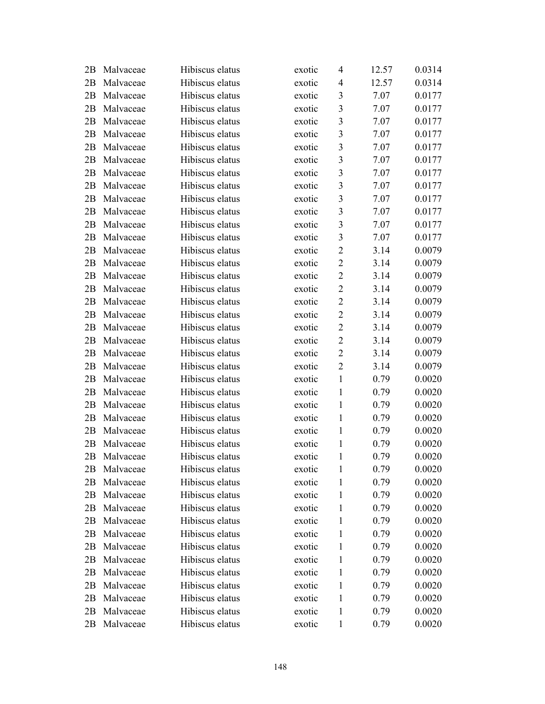| 2Β | Malvaceae | Hibiscus elatus | exotic | 4                       | 12.57 | 0.0314 |
|----|-----------|-----------------|--------|-------------------------|-------|--------|
| 2B | Malvaceae | Hibiscus elatus | exotic | 4                       | 12.57 | 0.0314 |
| 2B | Malvaceae | Hibiscus elatus | exotic | $\mathfrak{Z}$          | 7.07  | 0.0177 |
| 2B | Malvaceae | Hibiscus elatus | exotic | $\overline{\mathbf{3}}$ | 7.07  | 0.0177 |
| 2B | Malvaceae | Hibiscus elatus | exotic | $\overline{\mathbf{3}}$ | 7.07  | 0.0177 |
| 2B | Malvaceae | Hibiscus elatus | exotic | $\overline{\mathbf{3}}$ | 7.07  | 0.0177 |
| 2B | Malvaceae | Hibiscus elatus | exotic | $\overline{\mathbf{3}}$ | 7.07  | 0.0177 |
| 2B | Malvaceae | Hibiscus elatus | exotic | $\overline{\mathbf{3}}$ | 7.07  | 0.0177 |
| 2B | Malvaceae | Hibiscus elatus | exotic | $\overline{\mathbf{3}}$ | 7.07  | 0.0177 |
| 2B | Malvaceae | Hibiscus elatus | exotic | $\overline{\mathbf{3}}$ | 7.07  | 0.0177 |
| 2B | Malvaceae | Hibiscus elatus | exotic | $\overline{\mathbf{3}}$ | 7.07  | 0.0177 |
| 2B | Malvaceae | Hibiscus elatus | exotic | $\overline{\mathbf{3}}$ | 7.07  | 0.0177 |
| 2B | Malvaceae | Hibiscus elatus | exotic | $\overline{\mathbf{3}}$ | 7.07  | 0.0177 |
| 2B | Malvaceae | Hibiscus elatus | exotic | $\overline{\mathbf{3}}$ | 7.07  | 0.0177 |
| 2B | Malvaceae | Hibiscus elatus | exotic | $\overline{2}$          | 3.14  | 0.0079 |
| 2B | Malvaceae | Hibiscus elatus | exotic | $\mathbf{2}$            | 3.14  | 0.0079 |
| 2B | Malvaceae | Hibiscus elatus | exotic | $\overline{2}$          | 3.14  | 0.0079 |
| 2B | Malvaceae | Hibiscus elatus | exotic | $\overline{2}$          | 3.14  | 0.0079 |
| 2B | Malvaceae | Hibiscus elatus | exotic | $\overline{2}$          | 3.14  | 0.0079 |
| 2B | Malvaceae | Hibiscus elatus | exotic | $\overline{2}$          | 3.14  | 0.0079 |
| 2B | Malvaceae | Hibiscus elatus | exotic | $\mathbf{2}$            | 3.14  | 0.0079 |
| 2B | Malvaceae | Hibiscus elatus | exotic | $\overline{2}$          | 3.14  | 0.0079 |
| 2B | Malvaceae | Hibiscus elatus | exotic | $\overline{2}$          | 3.14  | 0.0079 |
| 2B | Malvaceae | Hibiscus elatus | exotic | $\overline{2}$          | 3.14  | 0.0079 |
| 2B | Malvaceae | Hibiscus elatus | exotic | $\mathbf{1}$            | 0.79  | 0.0020 |
| 2B | Malvaceae | Hibiscus elatus | exotic | $\mathbf{1}$            | 0.79  | 0.0020 |
| 2B | Malvaceae | Hibiscus elatus | exotic | $\mathbf{1}$            | 0.79  | 0.0020 |
| 2B | Malvaceae | Hibiscus elatus | exotic | $\mathbf{1}$            | 0.79  | 0.0020 |
| 2B | Malvaceae | Hibiscus elatus | exotic | $\mathbf{1}$            | 0.79  | 0.0020 |
| 2B | Malvaceae | Hibiscus elatus | exotic | $\mathbf{1}$            | 0.79  | 0.0020 |
| 2Β | Malvaceae | Hibiscus elatus | exotic | $\mathbf{1}$            | 0.79  | 0.0020 |
| 2Β | Malvaceae | Hibiscus elatus | exotic | $\mathbf{1}$            | 0.79  | 0.0020 |
| 2B | Malvaceae | Hibiscus elatus | exotic | 1                       | 0.79  | 0.0020 |
| 2B | Malvaceae | Hibiscus elatus | exotic | $\mathbf{1}$            | 0.79  | 0.0020 |
| 2B | Malvaceae | Hibiscus elatus | exotic | 1                       | 0.79  | 0.0020 |
| 2Β | Malvaceae | Hibiscus elatus | exotic | 1                       | 0.79  | 0.0020 |
| 2Β | Malvaceae | Hibiscus elatus | exotic | $\mathbf{1}$            | 0.79  | 0.0020 |
| 2Β | Malvaceae | Hibiscus elatus | exotic | $\mathbf{1}$            | 0.79  | 0.0020 |
| 2B | Malvaceae | Hibiscus elatus | exotic | $\mathbf{1}$            | 0.79  | 0.0020 |
| 2B | Malvaceae | Hibiscus elatus | exotic | 1                       | 0.79  | 0.0020 |
| 2B | Malvaceae | Hibiscus elatus | exotic | $\mathbf{1}$            | 0.79  | 0.0020 |
| 2Β | Malvaceae | Hibiscus elatus | exotic | 1                       | 0.79  | 0.0020 |
| 2B | Malvaceae | Hibiscus elatus | exotic | $\mathbf{1}$            | 0.79  | 0.0020 |
| 2Β | Malvaceae | Hibiscus elatus | exotic | $\mathbf{1}$            | 0.79  | 0.0020 |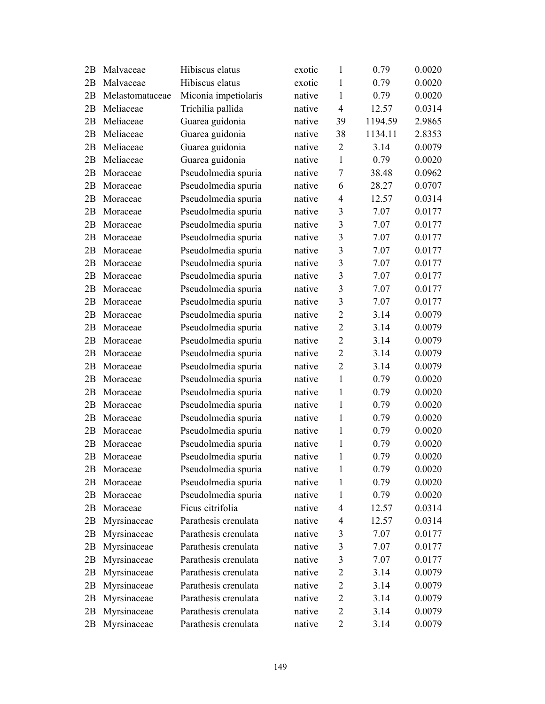| 2Β | Malvaceae       | Hibiscus elatus      | exotic | $\mathbf{1}$   | 0.79    | 0.0020 |
|----|-----------------|----------------------|--------|----------------|---------|--------|
| 2B | Malvaceae       | Hibiscus elatus      | exotic | 1              | 0.79    | 0.0020 |
| 2B | Melastomataceae | Miconia impetiolaris | native | 1              | 0.79    | 0.0020 |
| 2B | Meliaceae       | Trichilia pallida    | native | $\overline{4}$ | 12.57   | 0.0314 |
| 2B | Meliaceae       | Guarea guidonia      | native | 39             | 1194.59 | 2.9865 |
| 2B | Meliaceae       | Guarea guidonia      | native | 38             | 1134.11 | 2.8353 |
| 2B | Meliaceae       | Guarea guidonia      | native | $\overline{2}$ | 3.14    | 0.0079 |
| 2B | Meliaceae       | Guarea guidonia      | native | $\mathbf{1}$   | 0.79    | 0.0020 |
| 2B | Moraceae        | Pseudolmedia spuria  | native | 7              | 38.48   | 0.0962 |
| 2B | Moraceae        | Pseudolmedia spuria  | native | 6              | 28.27   | 0.0707 |
| 2B | Moraceae        | Pseudolmedia spuria  | native | $\overline{4}$ | 12.57   | 0.0314 |
| 2B | Moraceae        | Pseudolmedia spuria  | native | 3              | 7.07    | 0.0177 |
| 2B | Moraceae        | Pseudolmedia spuria  | native | 3              | 7.07    | 0.0177 |
| 2B | Moraceae        | Pseudolmedia spuria  | native | 3              | 7.07    | 0.0177 |
| 2B | Moraceae        | Pseudolmedia spuria  | native | $\overline{3}$ | 7.07    | 0.0177 |
| 2B | Moraceae        | Pseudolmedia spuria  | native | $\overline{3}$ | 7.07    | 0.0177 |
| 2B | Moraceae        | Pseudolmedia spuria  | native | 3              | 7.07    | 0.0177 |
| 2B | Moraceae        | Pseudolmedia spuria  | native | 3              | 7.07    | 0.0177 |
| 2B | Moraceae        | Pseudolmedia spuria  | native | $\overline{3}$ | 7.07    | 0.0177 |
| 2B | Moraceae        | Pseudolmedia spuria  | native | $\overline{2}$ | 3.14    | 0.0079 |
| 2B | Moraceae        | Pseudolmedia spuria  | native | $\overline{2}$ | 3.14    | 0.0079 |
| 2B | Moraceae        | Pseudolmedia spuria  | native | $\overline{2}$ | 3.14    | 0.0079 |
| 2B | Moraceae        | Pseudolmedia spuria  | native | $\overline{2}$ | 3.14    | 0.0079 |
| 2B | Moraceae        | Pseudolmedia spuria  | native | $\overline{2}$ | 3.14    | 0.0079 |
| 2B | Moraceae        | Pseudolmedia spuria  | native | $\mathbf{1}$   | 0.79    | 0.0020 |
| 2B | Moraceae        | Pseudolmedia spuria  | native | 1              | 0.79    | 0.0020 |
| 2B | Moraceae        | Pseudolmedia spuria  | native | $\mathbf{1}$   | 0.79    | 0.0020 |
| 2B | Moraceae        | Pseudolmedia spuria  | native | 1              | 0.79    | 0.0020 |
| 2B | Moraceae        | Pseudolmedia spuria  | native | $\mathbf{1}$   | 0.79    | 0.0020 |
| 2B | Moraceae        | Pseudolmedia spuria  | native | 1              | 0.79    | 0.0020 |
| 2B | Moraceae        | Pseudolmedia spuria  | native | 1              | 0.79    | 0.0020 |
| 2Β | Moraceae        | Pseudolmedia spuria  | native | $\mathbf{1}$   | 0.79    | 0.0020 |
| 2Β | Moraceae        | Pseudolmedia spuria  | native | 1              | 0.79    | 0.0020 |
| 2B | Moraceae        | Pseudolmedia spuria  | native | 1              | 0.79    | 0.0020 |
| 2Β | Moraceae        | Ficus citrifolia     | native | $\overline{4}$ | 12.57   | 0.0314 |
| 2Β | Myrsinaceae     | Parathesis crenulata | native | $\overline{4}$ | 12.57   | 0.0314 |
| 2B | Myrsinaceae     | Parathesis crenulata | native | 3              | 7.07    | 0.0177 |
| 2Β | Myrsinaceae     | Parathesis crenulata | native | 3              | 7.07    | 0.0177 |
| 2B | Myrsinaceae     | Parathesis crenulata | native | $\mathfrak{Z}$ | 7.07    | 0.0177 |
| 2В | Myrsinaceae     | Parathesis crenulata | native | $\mathbf{2}$   | 3.14    | 0.0079 |
| 2B | Myrsinaceae     | Parathesis crenulata | native | $\overline{2}$ | 3.14    | 0.0079 |
| 2В | Myrsinaceae     | Parathesis crenulata | native | $\overline{2}$ | 3.14    | 0.0079 |
| 2B | Myrsinaceae     | Parathesis crenulata | native | $\overline{2}$ | 3.14    | 0.0079 |
| 2В | Myrsinaceae     | Parathesis crenulata | native | $\overline{2}$ | 3.14    | 0.0079 |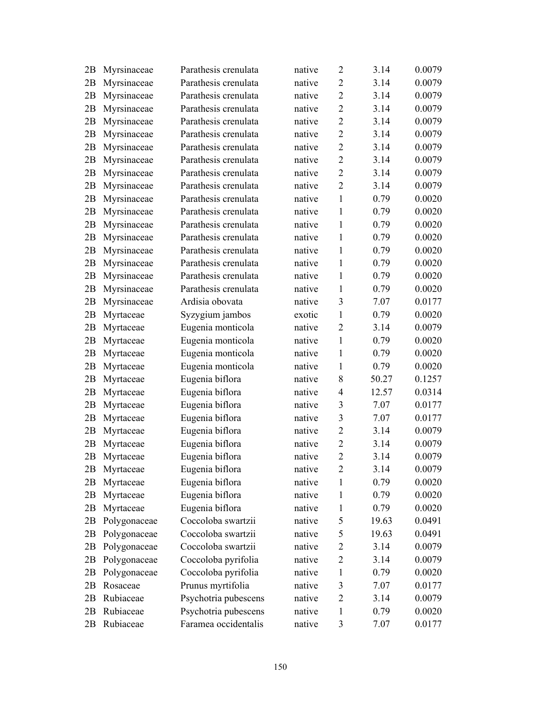| 2Β | Myrsinaceae  | Parathesis crenulata | native | $\overline{2}$ | 3.14  | 0.0079 |
|----|--------------|----------------------|--------|----------------|-------|--------|
| 2B | Myrsinaceae  | Parathesis crenulata | native | $\overline{2}$ | 3.14  | 0.0079 |
| 2B | Myrsinaceae  | Parathesis crenulata | native | $\overline{2}$ | 3.14  | 0.0079 |
| 2B | Myrsinaceae  | Parathesis crenulata | native | $\overline{2}$ | 3.14  | 0.0079 |
| 2B | Myrsinaceae  | Parathesis crenulata | native | $\overline{2}$ | 3.14  | 0.0079 |
| 2B | Myrsinaceae  | Parathesis crenulata | native | $\overline{2}$ | 3.14  | 0.0079 |
| 2B | Myrsinaceae  | Parathesis crenulata | native | $\overline{2}$ | 3.14  | 0.0079 |
| 2B | Myrsinaceae  | Parathesis crenulata | native | $\overline{2}$ | 3.14  | 0.0079 |
| 2B | Myrsinaceae  | Parathesis crenulata | native | $\overline{2}$ | 3.14  | 0.0079 |
| 2B | Myrsinaceae  | Parathesis crenulata | native | $\overline{2}$ | 3.14  | 0.0079 |
| 2B | Myrsinaceae  | Parathesis crenulata | native | $\mathbf{1}$   | 0.79  | 0.0020 |
| 2B | Myrsinaceae  | Parathesis crenulata | native | 1              | 0.79  | 0.0020 |
| 2B | Myrsinaceae  | Parathesis crenulata | native | 1              | 0.79  | 0.0020 |
| 2Β | Myrsinaceae  | Parathesis crenulata | native | $\mathbf{1}$   | 0.79  | 0.0020 |
| 2B | Myrsinaceae  | Parathesis crenulata | native | $\mathbf{1}$   | 0.79  | 0.0020 |
| 2B | Myrsinaceae  | Parathesis crenulata | native | $\mathbf{1}$   | 0.79  | 0.0020 |
| 2B | Myrsinaceae  | Parathesis crenulata | native | 1              | 0.79  | 0.0020 |
| 2B | Myrsinaceae  | Parathesis crenulata | native | 1              | 0.79  | 0.0020 |
| 2Β | Myrsinaceae  | Ardisia obovata      | native | 3              | 7.07  | 0.0177 |
| 2B | Myrtaceae    | Syzygium jambos      | exotic | $\mathbf{1}$   | 0.79  | 0.0020 |
| 2B | Myrtaceae    | Eugenia monticola    | native | $\overline{2}$ | 3.14  | 0.0079 |
| 2B | Myrtaceae    | Eugenia monticola    | native | 1              | 0.79  | 0.0020 |
| 2B | Myrtaceae    | Eugenia monticola    | native | 1              | 0.79  | 0.0020 |
| 2B | Myrtaceae    | Eugenia monticola    | native | $\mathbf{1}$   | 0.79  | 0.0020 |
| 2B | Myrtaceae    | Eugenia biflora      | native | 8              | 50.27 | 0.1257 |
| 2B | Myrtaceae    | Eugenia biflora      | native | $\overline{4}$ | 12.57 | 0.0314 |
| 2B | Myrtaceae    | Eugenia biflora      | native | $\mathfrak{Z}$ | 7.07  | 0.0177 |
| 2B | Myrtaceae    | Eugenia biflora      | native | 3              | 7.07  | 0.0177 |
| 2B | Myrtaceae    | Eugenia biflora      | native | $\overline{2}$ | 3.14  | 0.0079 |
| 2B | Myrtaceae    | Eugenia biflora      | native | $\overline{2}$ | 3.14  | 0.0079 |
| 2Β | Myrtaceae    | Eugenia biflora      | native | $\overline{2}$ | 3.14  | 0.0079 |
| 2В | Myrtaceae    | Eugenia biflora      | native | $\overline{2}$ | 3.14  | 0.0079 |
| 2B | Myrtaceae    | Eugenia biflora      | native | 1              | 0.79  | 0.0020 |
| 2B | Myrtaceae    | Eugenia biflora      | native | 1              | 0.79  | 0.0020 |
| 2B | Myrtaceae    | Eugenia biflora      | native | 1              | 0.79  | 0.0020 |
| 2В | Polygonaceae | Coccoloba swartzii   | native | 5              | 19.63 | 0.0491 |
| 2В | Polygonaceae | Coccoloba swartzii   | native | 5              | 19.63 | 0.0491 |
| 2Β | Polygonaceae | Coccoloba swartzii   | native | $\overline{2}$ | 3.14  | 0.0079 |
| 2B | Polygonaceae | Coccoloba pyrifolia  | native | $\overline{2}$ | 3.14  | 0.0079 |
| 2Β | Polygonaceae | Coccoloba pyrifolia  | native | 1              | 0.79  | 0.0020 |
| 2B | Rosaceae     | Prunus myrtifolia    | native | $\mathfrak{Z}$ | 7.07  | 0.0177 |
| 2Β | Rubiaceae    | Psychotria pubescens | native | $\overline{2}$ | 3.14  | 0.0079 |
| 2В | Rubiaceae    | Psychotria pubescens | native | 1              | 0.79  | 0.0020 |
| 2Β | Rubiaceae    | Faramea occidentalis | native | 3              | 7.07  | 0.0177 |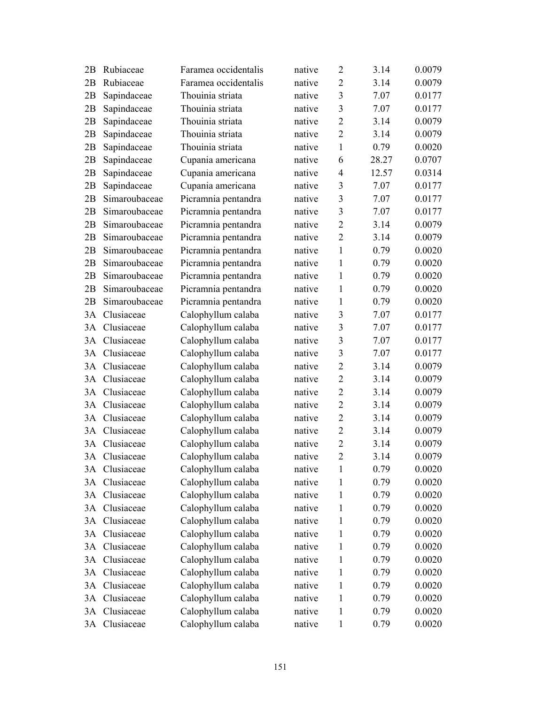| 2В | Rubiaceae     | Faramea occidentalis | native | $\overline{2}$ | 3.14  | 0.0079 |
|----|---------------|----------------------|--------|----------------|-------|--------|
| 2B | Rubiaceae     | Faramea occidentalis | native | $\overline{2}$ | 3.14  | 0.0079 |
| 2B | Sapindaceae   | Thouinia striata     | native | 3              | 7.07  | 0.0177 |
| 2B | Sapindaceae   | Thouinia striata     | native | 3              | 7.07  | 0.0177 |
| 2B | Sapindaceae   | Thouinia striata     | native | $\overline{2}$ | 3.14  | 0.0079 |
| 2B | Sapindaceae   | Thouinia striata     | native | $\overline{2}$ | 3.14  | 0.0079 |
| 2B | Sapindaceae   | Thouinia striata     | native | $\mathbf{1}$   | 0.79  | 0.0020 |
| 2B | Sapindaceae   | Cupania americana    | native | 6              | 28.27 | 0.0707 |
| 2B | Sapindaceae   | Cupania americana    | native | $\overline{4}$ | 12.57 | 0.0314 |
| 2B | Sapindaceae   | Cupania americana    | native | 3              | 7.07  | 0.0177 |
| 2B | Simaroubaceae | Picramnia pentandra  | native | 3              | 7.07  | 0.0177 |
| 2B | Simaroubaceae | Picramnia pentandra  | native | 3              | 7.07  | 0.0177 |
| 2B | Simaroubaceae | Picramnia pentandra  | native | $\overline{2}$ | 3.14  | 0.0079 |
| 2B | Simaroubaceae | Picramnia pentandra  | native | $\overline{2}$ | 3.14  | 0.0079 |
| 2B | Simaroubaceae | Picramnia pentandra  | native | 1              | 0.79  | 0.0020 |
| 2B | Simaroubaceae | Picramnia pentandra  | native | 1              | 0.79  | 0.0020 |
| 2B | Simaroubaceae | Picramnia pentandra  | native | 1              | 0.79  | 0.0020 |
| 2B | Simaroubaceae | Picramnia pentandra  | native | 1              | 0.79  | 0.0020 |
| 2B | Simaroubaceae | Picramnia pentandra  | native | $\mathbf{1}$   | 0.79  | 0.0020 |
| 3A | Clusiaceae    | Calophyllum calaba   | native | 3              | 7.07  | 0.0177 |
| 3A | Clusiaceae    | Calophyllum calaba   | native | 3              | 7.07  | 0.0177 |
| 3A | Clusiaceae    | Calophyllum calaba   | native | 3              | 7.07  | 0.0177 |
| 3A | Clusiaceae    | Calophyllum calaba   | native | 3              | 7.07  | 0.0177 |
| 3A | Clusiaceae    | Calophyllum calaba   | native | $\overline{2}$ | 3.14  | 0.0079 |
| 3A | Clusiaceae    | Calophyllum calaba   | native | $\overline{2}$ | 3.14  | 0.0079 |
| 3A | Clusiaceae    | Calophyllum calaba   | native | $\overline{2}$ | 3.14  | 0.0079 |
| 3A | Clusiaceae    | Calophyllum calaba   | native | $\overline{2}$ | 3.14  | 0.0079 |
| 3A | Clusiaceae    | Calophyllum calaba   | native | $\overline{2}$ | 3.14  | 0.0079 |
| 3A | Clusiaceae    | Calophyllum calaba   | native | $\overline{2}$ | 3.14  | 0.0079 |
| 3A | Clusiaceae    | Calophyllum calaba   | native | $\overline{2}$ | 3.14  | 0.0079 |
|    | 3A Clusiaceae | Calophyllum calaba   | native | $\overline{2}$ | 3.14  | 0.0079 |
| 3A | Clusiaceae    | Calophyllum calaba   | native | 1              | 0.79  | 0.0020 |
| 3A | Clusiaceae    | Calophyllum calaba   | native | 1              | 0.79  | 0.0020 |
| 3A | Clusiaceae    | Calophyllum calaba   | native | 1              | 0.79  | 0.0020 |
| 3A | Clusiaceae    | Calophyllum calaba   | native | 1              | 0.79  | 0.0020 |
| 3A | Clusiaceae    | Calophyllum calaba   | native | 1              | 0.79  | 0.0020 |
| 3A | Clusiaceae    | Calophyllum calaba   | native | 1              | 0.79  | 0.0020 |
| 3A | Clusiaceae    | Calophyllum calaba   | native | 1              | 0.79  | 0.0020 |
| 3A | Clusiaceae    | Calophyllum calaba   | native | 1              | 0.79  | 0.0020 |
| 3A | Clusiaceae    | Calophyllum calaba   | native | 1              | 0.79  | 0.0020 |
| 3A | Clusiaceae    | Calophyllum calaba   | native | 1              | 0.79  | 0.0020 |
| 3A | Clusiaceae    | Calophyllum calaba   | native | 1              | 0.79  | 0.0020 |
| 3A | Clusiaceae    | Calophyllum calaba   | native | 1              | 0.79  | 0.0020 |
|    | 3A Clusiaceae | Calophyllum calaba   | native | $\mathbf{1}$   | 0.79  | 0.0020 |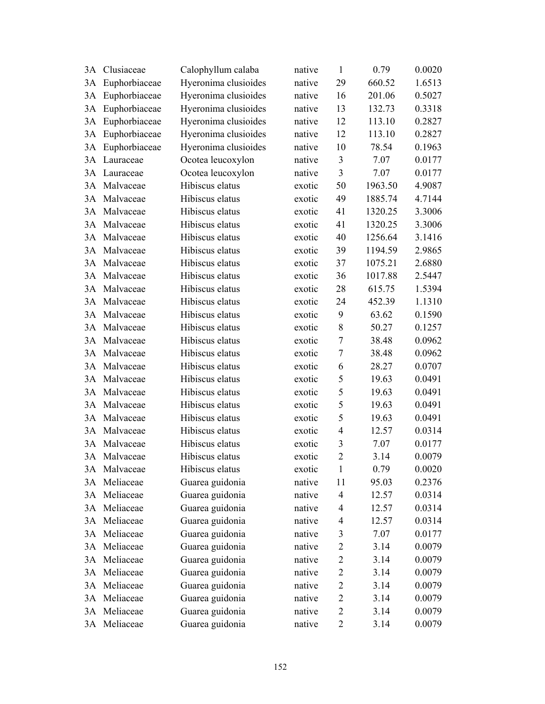| 3A | Clusiaceae    | Calophyllum calaba   | native | $\mathbf{1}$   | 0.79    | 0.0020 |
|----|---------------|----------------------|--------|----------------|---------|--------|
| 3A | Euphorbiaceae | Hyeronima clusioides | native | 29             | 660.52  | 1.6513 |
| 3A | Euphorbiaceae | Hyeronima clusioides | native | 16             | 201.06  | 0.5027 |
| 3A | Euphorbiaceae | Hyeronima clusioides | native | 13             | 132.73  | 0.3318 |
| 3A | Euphorbiaceae | Hyeronima clusioides | native | 12             | 113.10  | 0.2827 |
| 3A | Euphorbiaceae | Hyeronima clusioides | native | 12             | 113.10  | 0.2827 |
| 3A | Euphorbiaceae | Hyeronima clusioides | native | 10             | 78.54   | 0.1963 |
| 3A | Lauraceae     | Ocotea leucoxylon    | native | 3              | 7.07    | 0.0177 |
| 3A | Lauraceae     | Ocotea leucoxylon    | native | $\overline{3}$ | 7.07    | 0.0177 |
| 3A | Malvaceae     | Hibiscus elatus      | exotic | 50             | 1963.50 | 4.9087 |
| 3A | Malvaceae     | Hibiscus elatus      | exotic | 49             | 1885.74 | 4.7144 |
| 3A | Malvaceae     | Hibiscus elatus      | exotic | 41             | 1320.25 | 3.3006 |
| 3A | Malvaceae     | Hibiscus elatus      | exotic | 41             | 1320.25 | 3.3006 |
| 3A | Malvaceae     | Hibiscus elatus      | exotic | 40             | 1256.64 | 3.1416 |
| 3A | Malvaceae     | Hibiscus elatus      | exotic | 39             | 1194.59 | 2.9865 |
| 3A | Malvaceae     | Hibiscus elatus      | exotic | 37             | 1075.21 | 2.6880 |
| 3A | Malvaceae     | Hibiscus elatus      | exotic | 36             | 1017.88 | 2.5447 |
| 3A | Malvaceae     | Hibiscus elatus      | exotic | 28             | 615.75  | 1.5394 |
| 3A | Malvaceae     | Hibiscus elatus      | exotic | 24             | 452.39  | 1.1310 |
| 3A | Malvaceae     | Hibiscus elatus      | exotic | 9              | 63.62   | 0.1590 |
| 3A | Malvaceae     | Hibiscus elatus      | exotic | 8              | 50.27   | 0.1257 |
| 3A | Malvaceae     | Hibiscus elatus      | exotic | $\overline{7}$ | 38.48   | 0.0962 |
| 3A | Malvaceae     | Hibiscus elatus      | exotic | $\tau$         | 38.48   | 0.0962 |
| 3A | Malvaceae     | Hibiscus elatus      | exotic | 6              | 28.27   | 0.0707 |
| 3A | Malvaceae     | Hibiscus elatus      | exotic | 5              | 19.63   | 0.0491 |
| 3A | Malvaceae     | Hibiscus elatus      | exotic | 5              | 19.63   | 0.0491 |
| 3A | Malvaceae     | Hibiscus elatus      | exotic | 5              | 19.63   | 0.0491 |
| 3A | Malvaceae     | Hibiscus elatus      | exotic | 5              | 19.63   | 0.0491 |
| 3A | Malvaceae     | Hibiscus elatus      | exotic | $\overline{4}$ | 12.57   | 0.0314 |
| 3A | Malvaceae     | Hibiscus elatus      | exotic | 3              | 7.07    | 0.0177 |
|    | 3A Malvaceae  | Hibiscus elatus      | exotic | $\overline{2}$ | 3.14    | 0.0079 |
|    | 3A Malvaceae  | Hibiscus elatus      | exotic | $\mathbf{1}$   | 0.79    | 0.0020 |
| 3A | Meliaceae     | Guarea guidonia      | native | 11             | 95.03   | 0.2376 |
| 3A | Meliaceae     | Guarea guidonia      | native | $\overline{4}$ | 12.57   | 0.0314 |
| 3A | Meliaceae     | Guarea guidonia      | native | $\overline{4}$ | 12.57   | 0.0314 |
| 3A | Meliaceae     | Guarea guidonia      | native | $\overline{4}$ | 12.57   | 0.0314 |
|    | 3A Meliaceae  | Guarea guidonia      | native | 3              | 7.07    | 0.0177 |
| 3A | Meliaceae     | Guarea guidonia      | native | $\overline{2}$ | 3.14    | 0.0079 |
| 3A | Meliaceae     | Guarea guidonia      | native | $\overline{2}$ | 3.14    | 0.0079 |
| 3A | Meliaceae     | Guarea guidonia      | native | $\overline{2}$ | 3.14    | 0.0079 |
| 3A | Meliaceae     | Guarea guidonia      | native | $\overline{2}$ | 3.14    | 0.0079 |
| 3A | Meliaceae     | Guarea guidonia      | native | $\overline{2}$ | 3.14    | 0.0079 |
|    | 3A Meliaceae  | Guarea guidonia      | native | $\overline{2}$ | 3.14    | 0.0079 |
|    | 3A Meliaceae  | Guarea guidonia      | native | $\mathbf{2}$   | 3.14    | 0.0079 |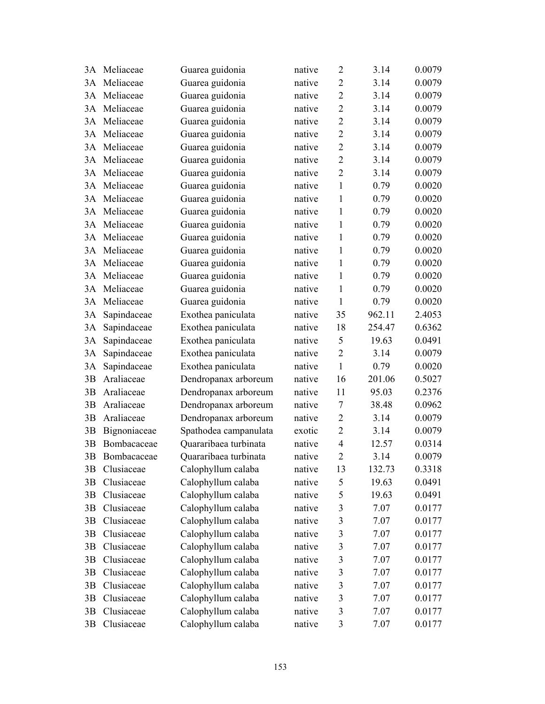|    | 3A Meliaceae | Guarea guidonia       | native | $\overline{2}$          | 3.14   | 0.0079 |
|----|--------------|-----------------------|--------|-------------------------|--------|--------|
|    | 3A Meliaceae | Guarea guidonia       | native | $\overline{2}$          | 3.14   | 0.0079 |
| 3A | Meliaceae    | Guarea guidonia       | native | $\overline{2}$          | 3.14   | 0.0079 |
| 3A | Meliaceae    | Guarea guidonia       | native | $\overline{2}$          | 3.14   | 0.0079 |
| 3A | Meliaceae    | Guarea guidonia       | native | $\overline{2}$          | 3.14   | 0.0079 |
| 3A | Meliaceae    | Guarea guidonia       | native | $\overline{2}$          | 3.14   | 0.0079 |
| 3A | Meliaceae    | Guarea guidonia       | native | $\overline{2}$          | 3.14   | 0.0079 |
| 3A | Meliaceae    | Guarea guidonia       | native | $\overline{2}$          | 3.14   | 0.0079 |
| 3A | Meliaceae    | Guarea guidonia       | native | $\overline{2}$          | 3.14   | 0.0079 |
| 3A | Meliaceae    | Guarea guidonia       | native | $\mathbf{1}$            | 0.79   | 0.0020 |
| 3A | Meliaceae    | Guarea guidonia       | native | $\mathbf{1}$            | 0.79   | 0.0020 |
| 3A | Meliaceae    | Guarea guidonia       | native | $\mathbf{1}$            | 0.79   | 0.0020 |
| 3A | Meliaceae    | Guarea guidonia       | native | $\mathbf{1}$            | 0.79   | 0.0020 |
| 3A | Meliaceae    | Guarea guidonia       | native | $\mathbf{1}$            | 0.79   | 0.0020 |
| 3A | Meliaceae    | Guarea guidonia       | native | 1                       | 0.79   | 0.0020 |
| 3A | Meliaceae    | Guarea guidonia       | native | $\mathbf{1}$            | 0.79   | 0.0020 |
| 3A | Meliaceae    | Guarea guidonia       | native | $\mathbf{1}$            | 0.79   | 0.0020 |
| 3A | Meliaceae    | Guarea guidonia       | native | $\mathbf{1}$            | 0.79   | 0.0020 |
| 3A | Meliaceae    | Guarea guidonia       | native | $\mathbf{1}$            | 0.79   | 0.0020 |
| 3A | Sapindaceae  | Exothea paniculata    | native | 35                      | 962.11 | 2.4053 |
| 3A | Sapindaceae  | Exothea paniculata    | native | 18                      | 254.47 | 0.6362 |
| 3A | Sapindaceae  | Exothea paniculata    | native | 5                       | 19.63  | 0.0491 |
| 3A | Sapindaceae  | Exothea paniculata    | native | $\overline{2}$          | 3.14   | 0.0079 |
| 3A | Sapindaceae  | Exothea paniculata    | native | $\mathbf{1}$            | 0.79   | 0.0020 |
| 3B | Araliaceae   | Dendropanax arboreum  | native | 16                      | 201.06 | 0.5027 |
| 3B | Araliaceae   | Dendropanax arboreum  | native | 11                      | 95.03  | 0.2376 |
| 3B | Araliaceae   | Dendropanax arboreum  | native | $\tau$                  | 38.48  | 0.0962 |
| 3B | Araliaceae   | Dendropanax arboreum  | native | $\overline{2}$          | 3.14   | 0.0079 |
| 3B | Bignoniaceae | Spathodea campanulata | exotic | $\overline{2}$          | 3.14   | 0.0079 |
| 3B | Bombacaceae  | Quararibaea turbinata | native | $\overline{4}$          | 12.57  | 0.0314 |
| 3B | Bombacaceae  | Quararibaea turbinata | native | $\overline{2}$          | 3.14   | 0.0079 |
| 3B | Clusiaceae   | Calophyllum calaba    | native | 13                      | 132.73 | 0.3318 |
| 3B | Clusiaceae   | Calophyllum calaba    | native | 5                       | 19.63  | 0.0491 |
| 3B | Clusiaceae   | Calophyllum calaba    | native | 5                       | 19.63  | 0.0491 |
| 3B | Clusiaceae   | Calophyllum calaba    | native | $\mathfrak{Z}$          | 7.07   | 0.0177 |
| 3B | Clusiaceae   | Calophyllum calaba    | native | $\mathfrak{Z}$          | 7.07   | 0.0177 |
| 3B | Clusiaceae   | Calophyllum calaba    | native | $\mathfrak{Z}$          | 7.07   | 0.0177 |
| 3B | Clusiaceae   | Calophyllum calaba    | native | $\mathfrak{Z}$          | 7.07   | 0.0177 |
| 3B | Clusiaceae   | Calophyllum calaba    | native | $\mathfrak{Z}$          | 7.07   | 0.0177 |
| 3B | Clusiaceae   | Calophyllum calaba    | native | $\overline{\mathbf{3}}$ | 7.07   | 0.0177 |
| 3B | Clusiaceae   | Calophyllum calaba    | native | $\mathfrak{Z}$          | 7.07   | 0.0177 |
| 3B | Clusiaceae   | Calophyllum calaba    | native | $\mathfrak{Z}$          | 7.07   | 0.0177 |
| 3B | Clusiaceae   | Calophyllum calaba    | native | $\mathfrak{Z}$          | 7.07   | 0.0177 |
| 3B | Clusiaceae   | Calophyllum calaba    | native | 3                       | 7.07   | 0.0177 |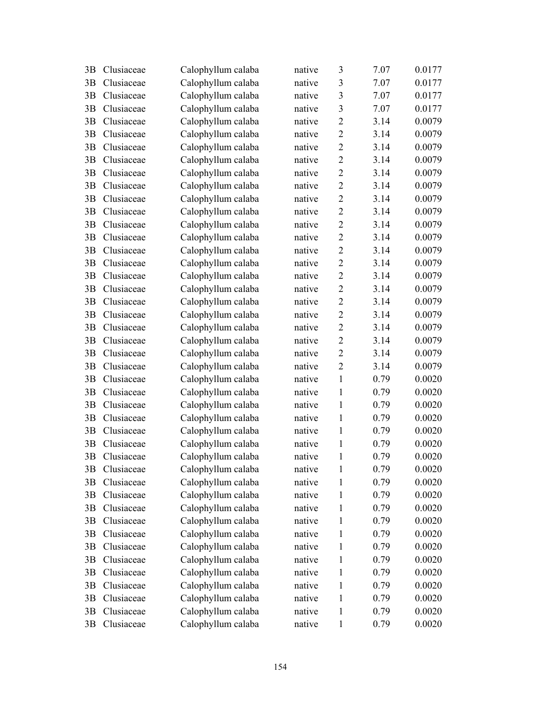| 3B | Clusiaceae | Calophyllum calaba | native | 3              | 7.07 | 0.0177 |
|----|------------|--------------------|--------|----------------|------|--------|
| 3B | Clusiaceae | Calophyllum calaba | native | 3              | 7.07 | 0.0177 |
| 3B | Clusiaceae | Calophyllum calaba | native | $\mathfrak{Z}$ | 7.07 | 0.0177 |
| 3B | Clusiaceae | Calophyllum calaba | native | $\overline{3}$ | 7.07 | 0.0177 |
| 3B | Clusiaceae | Calophyllum calaba | native | $\overline{2}$ | 3.14 | 0.0079 |
| 3B | Clusiaceae | Calophyllum calaba | native | $\overline{2}$ | 3.14 | 0.0079 |
| 3B | Clusiaceae | Calophyllum calaba | native | $\overline{2}$ | 3.14 | 0.0079 |
| 3B | Clusiaceae | Calophyllum calaba | native | $\overline{2}$ | 3.14 | 0.0079 |
| 3B | Clusiaceae | Calophyllum calaba | native | $\overline{2}$ | 3.14 | 0.0079 |
| 3B | Clusiaceae | Calophyllum calaba | native | $\overline{2}$ | 3.14 | 0.0079 |
| 3B | Clusiaceae | Calophyllum calaba | native | $\overline{2}$ | 3.14 | 0.0079 |
| 3B | Clusiaceae | Calophyllum calaba | native | $\overline{2}$ | 3.14 | 0.0079 |
| 3B | Clusiaceae | Calophyllum calaba | native | $\overline{2}$ | 3.14 | 0.0079 |
| 3B | Clusiaceae | Calophyllum calaba | native | $\overline{2}$ | 3.14 | 0.0079 |
| 3B | Clusiaceae | Calophyllum calaba | native | $\overline{2}$ | 3.14 | 0.0079 |
| 3B | Clusiaceae | Calophyllum calaba | native | $\overline{2}$ | 3.14 | 0.0079 |
| 3B | Clusiaceae | Calophyllum calaba | native | $\overline{2}$ | 3.14 | 0.0079 |
| 3B | Clusiaceae | Calophyllum calaba | native | $\overline{2}$ | 3.14 | 0.0079 |
| 3B | Clusiaceae | Calophyllum calaba | native | $\overline{2}$ | 3.14 | 0.0079 |
| 3B | Clusiaceae | Calophyllum calaba | native | $\overline{2}$ | 3.14 | 0.0079 |
| 3B | Clusiaceae | Calophyllum calaba | native | $\overline{2}$ | 3.14 | 0.0079 |
| 3B | Clusiaceae | Calophyllum calaba | native | $\overline{2}$ | 3.14 | 0.0079 |
| 3B | Clusiaceae | Calophyllum calaba | native | $\overline{2}$ | 3.14 | 0.0079 |
| 3B | Clusiaceae | Calophyllum calaba | native | $\overline{2}$ | 3.14 | 0.0079 |
| 3B | Clusiaceae | Calophyllum calaba | native | $\mathbf{1}$   | 0.79 | 0.0020 |
| 3B | Clusiaceae | Calophyllum calaba | native | $\mathbf{1}$   | 0.79 | 0.0020 |
| 3B | Clusiaceae | Calophyllum calaba | native | $\mathbf{1}$   | 0.79 | 0.0020 |
| 3B | Clusiaceae | Calophyllum calaba | native | 1              | 0.79 | 0.0020 |
| 3B | Clusiaceae | Calophyllum calaba | native | $\mathbf{1}$   | 0.79 | 0.0020 |
| 3B | Clusiaceae | Calophyllum calaba | native | $\mathbf{1}$   | 0.79 | 0.0020 |
| 3B | Clusiaceae | Calophyllum calaba | native | 1              | 0.79 | 0.0020 |
| 3B | Clusiaceae | Calophyllum calaba | native | 1              | 0.79 | 0.0020 |
| 3B | Clusiaceae | Calophyllum calaba | native | 1              | 0.79 | 0.0020 |
| 3B | Clusiaceae | Calophyllum calaba | native | 1              | 0.79 | 0.0020 |
| 3B | Clusiaceae | Calophyllum calaba | native | 1              | 0.79 | 0.0020 |
| 3B | Clusiaceae | Calophyllum calaba | native | 1              | 0.79 | 0.0020 |
| 3B | Clusiaceae | Calophyllum calaba | native | 1              | 0.79 | 0.0020 |
| 3B | Clusiaceae | Calophyllum calaba | native | 1              | 0.79 | 0.0020 |
| 3B | Clusiaceae | Calophyllum calaba | native | 1              | 0.79 | 0.0020 |
| 3B | Clusiaceae | Calophyllum calaba | native | 1              | 0.79 | 0.0020 |
| 3B | Clusiaceae | Calophyllum calaba | native | 1              | 0.79 | 0.0020 |
| 3B | Clusiaceae | Calophyllum calaba | native | 1              | 0.79 | 0.0020 |
| 3B | Clusiaceae | Calophyllum calaba | native | 1              | 0.79 | 0.0020 |
| 3B | Clusiaceae | Calophyllum calaba | native | 1              | 0.79 | 0.0020 |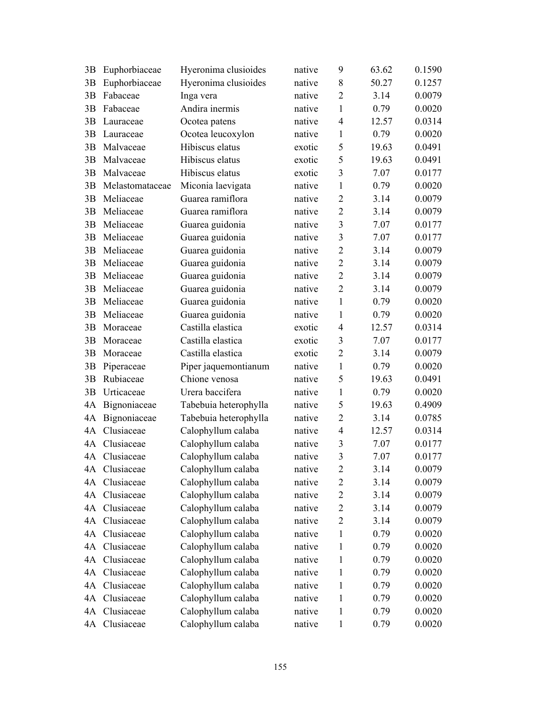| 3B | Euphorbiaceae   | Hyeronima clusioides  | native | 9              | 63.62 | 0.1590 |
|----|-----------------|-----------------------|--------|----------------|-------|--------|
| 3B | Euphorbiaceae   | Hyeronima clusioides  | native | 8              | 50.27 | 0.1257 |
| 3B | Fabaceae        | Inga vera             | native | $\overline{2}$ | 3.14  | 0.0079 |
| 3B | Fabaceae        | Andira inermis        | native | 1              | 0.79  | 0.0020 |
| 3B | Lauraceae       | Ocotea patens         | native | $\overline{4}$ | 12.57 | 0.0314 |
| 3B | Lauraceae       | Ocotea leucoxylon     | native | $\mathbf{1}$   | 0.79  | 0.0020 |
| 3B | Malvaceae       | Hibiscus elatus       | exotic | 5              | 19.63 | 0.0491 |
| 3B | Malvaceae       | Hibiscus elatus       | exotic | 5              | 19.63 | 0.0491 |
| 3B | Malvaceae       | Hibiscus elatus       | exotic | $\overline{3}$ | 7.07  | 0.0177 |
| 3B | Melastomataceae | Miconia laevigata     | native | $\mathbf{1}$   | 0.79  | 0.0020 |
| 3B | Meliaceae       | Guarea ramiflora      | native | $\overline{2}$ | 3.14  | 0.0079 |
| 3B | Meliaceae       | Guarea ramiflora      | native | $\overline{2}$ | 3.14  | 0.0079 |
| 3B | Meliaceae       | Guarea guidonia       | native | 3              | 7.07  | 0.0177 |
| 3B | Meliaceae       | Guarea guidonia       | native | 3              | 7.07  | 0.0177 |
| 3B | Meliaceae       | Guarea guidonia       | native | $\overline{2}$ | 3.14  | 0.0079 |
| 3B | Meliaceae       | Guarea guidonia       | native | $\overline{2}$ | 3.14  | 0.0079 |
| 3B | Meliaceae       | Guarea guidonia       | native | $\overline{2}$ | 3.14  | 0.0079 |
| 3B | Meliaceae       | Guarea guidonia       | native | $\overline{2}$ | 3.14  | 0.0079 |
| 3B | Meliaceae       | Guarea guidonia       | native | $\mathbf{1}$   | 0.79  | 0.0020 |
| 3B | Meliaceae       | Guarea guidonia       | native | $\mathbf{1}$   | 0.79  | 0.0020 |
| 3B | Moraceae        | Castilla elastica     | exotic | $\overline{4}$ | 12.57 | 0.0314 |
| 3B | Moraceae        | Castilla elastica     | exotic | 3              | 7.07  | 0.0177 |
| 3B | Moraceae        | Castilla elastica     | exotic | $\overline{2}$ | 3.14  | 0.0079 |
| 3B | Piperaceae      | Piper jaquemontianum  | native | $\mathbf{1}$   | 0.79  | 0.0020 |
| 3B | Rubiaceae       | Chione venosa         | native | 5              | 19.63 | 0.0491 |
| 3B | Urticaceae      | Urera baccifera       | native | $\mathbf{1}$   | 0.79  | 0.0020 |
| 4A | Bignoniaceae    | Tabebuia heterophylla | native | 5              | 19.63 | 0.4909 |
| 4A | Bignoniaceae    | Tabebuia heterophylla | native | $\overline{2}$ | 3.14  | 0.0785 |
| 4A | Clusiaceae      | Calophyllum calaba    | native | $\overline{4}$ | 12.57 | 0.0314 |
| 4A | Clusiaceae      | Calophyllum calaba    | native | 3              | 7.07  | 0.0177 |
|    | 4A Clusiaceae   | Calophyllum calaba    | native | $\overline{3}$ | 7.07  | 0.0177 |
| 4A | Clusiaceae      | Calophyllum calaba    | native | 2              | 3.14  | 0.0079 |
| 4A | Clusiaceae      | Calophyllum calaba    | native | $\overline{2}$ | 3.14  | 0.0079 |
| 4A | Clusiaceae      | Calophyllum calaba    | native | $\overline{2}$ | 3.14  | 0.0079 |
| 4A | Clusiaceae      | Calophyllum calaba    | native | $\overline{2}$ | 3.14  | 0.0079 |
| 4A | Clusiaceae      | Calophyllum calaba    | native | $\overline{2}$ | 3.14  | 0.0079 |
| 4A | Clusiaceae      | Calophyllum calaba    | native | $\mathbf{1}$   | 0.79  | 0.0020 |
| 4A | Clusiaceae      | Calophyllum calaba    | native | 1              | 0.79  | 0.0020 |
| 4A | Clusiaceae      | Calophyllum calaba    | native | 1              | 0.79  | 0.0020 |
| 4A | Clusiaceae      | Calophyllum calaba    | native | 1              | 0.79  | 0.0020 |
| 4A | Clusiaceae      | Calophyllum calaba    | native | 1              | 0.79  | 0.0020 |
| 4A | Clusiaceae      | Calophyllum calaba    | native | 1              | 0.79  | 0.0020 |
| 4A | Clusiaceae      | Calophyllum calaba    | native | 1              | 0.79  | 0.0020 |
| 4A | Clusiaceae      | Calophyllum calaba    | native | $\mathbf{1}$   | 0.79  | 0.0020 |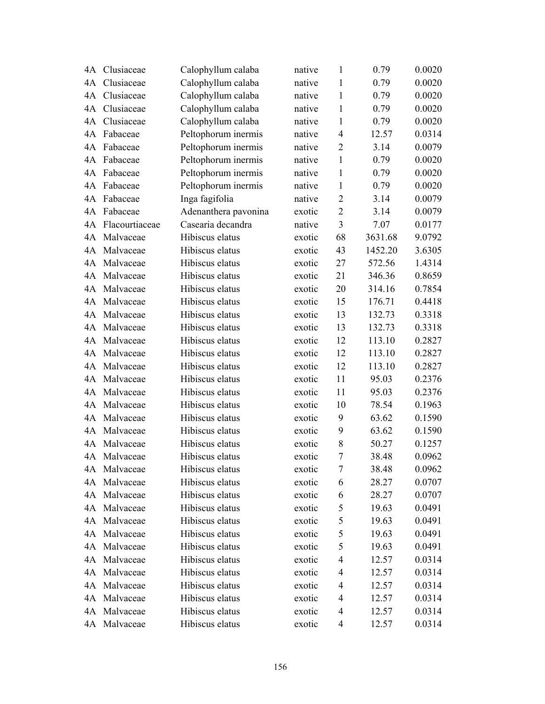| 4A | Clusiaceae     | Calophyllum calaba   | native | $\mathbf{1}$   | 0.79    | 0.0020 |
|----|----------------|----------------------|--------|----------------|---------|--------|
| 4A | Clusiaceae     | Calophyllum calaba   | native | 1              | 0.79    | 0.0020 |
| 4A | Clusiaceae     | Calophyllum calaba   | native | $\mathbf{1}$   | 0.79    | 0.0020 |
| 4A | Clusiaceae     | Calophyllum calaba   | native | 1              | 0.79    | 0.0020 |
| 4A | Clusiaceae     | Calophyllum calaba   | native | $\mathbf{1}$   | 0.79    | 0.0020 |
| 4A | Fabaceae       | Peltophorum inermis  | native | $\overline{4}$ | 12.57   | 0.0314 |
| 4A | Fabaceae       | Peltophorum inermis  | native | $\overline{2}$ | 3.14    | 0.0079 |
| 4A | Fabaceae       | Peltophorum inermis  | native | $\mathbf{1}$   | 0.79    | 0.0020 |
| 4A | Fabaceae       | Peltophorum inermis  | native | 1              | 0.79    | 0.0020 |
| 4A | Fabaceae       | Peltophorum inermis  | native | $\mathbf{1}$   | 0.79    | 0.0020 |
| 4A | Fabaceae       | Inga fagifolia       | native | $\overline{2}$ | 3.14    | 0.0079 |
| 4A | Fabaceae       | Adenanthera pavonina | exotic | $\overline{2}$ | 3.14    | 0.0079 |
| 4A | Flacourtiaceae | Casearia decandra    | native | 3              | 7.07    | 0.0177 |
| 4A | Malvaceae      | Hibiscus elatus      | exotic | 68             | 3631.68 | 9.0792 |
| 4A | Malvaceae      | Hibiscus elatus      | exotic | 43             | 1452.20 | 3.6305 |
| 4A | Malvaceae      | Hibiscus elatus      | exotic | 27             | 572.56  | 1.4314 |
| 4A | Malvaceae      | Hibiscus elatus      | exotic | 21             | 346.36  | 0.8659 |
| 4A | Malvaceae      | Hibiscus elatus      | exotic | 20             | 314.16  | 0.7854 |
| 4A | Malvaceae      | Hibiscus elatus      | exotic | 15             | 176.71  | 0.4418 |
| 4A | Malvaceae      | Hibiscus elatus      | exotic | 13             | 132.73  | 0.3318 |
| 4A | Malvaceae      | Hibiscus elatus      | exotic | 13             | 132.73  | 0.3318 |
| 4A | Malvaceae      | Hibiscus elatus      | exotic | 12             | 113.10  | 0.2827 |
| 4A | Malvaceae      | Hibiscus elatus      | exotic | 12             | 113.10  | 0.2827 |
| 4A | Malvaceae      | Hibiscus elatus      | exotic | 12             | 113.10  | 0.2827 |
| 4A | Malvaceae      | Hibiscus elatus      | exotic | 11             | 95.03   | 0.2376 |
| 4A | Malvaceae      | Hibiscus elatus      | exotic | 11             | 95.03   | 0.2376 |
| 4A | Malvaceae      | Hibiscus elatus      | exotic | 10             | 78.54   | 0.1963 |
| 4A | Malvaceae      | Hibiscus elatus      | exotic | 9              | 63.62   | 0.1590 |
| 4A | Malvaceae      | Hibiscus elatus      | exotic | 9              | 63.62   | 0.1590 |
| 4A | Malvaceae      | Hibiscus elatus      | exotic | 8              | 50.27   | 0.1257 |
|    | 4A Malvaceae   | Hibiscus elatus      | exotic | 7              | 38.48   | 0.0962 |
|    | 4A Malvaceae   | Hibiscus elatus      | exotic | 7              | 38.48   | 0.0962 |
| 4A | Malvaceae      | Hibiscus elatus      | exotic | 6              | 28.27   | 0.0707 |
| 4A | Malvaceae      | Hibiscus elatus      | exotic | 6              | 28.27   | 0.0707 |
| 4A | Malvaceae      | Hibiscus elatus      | exotic | 5              | 19.63   | 0.0491 |
| 4A | Malvaceae      | Hibiscus elatus      | exotic | 5              | 19.63   | 0.0491 |
| 4A | Malvaceae      | Hibiscus elatus      | exotic | 5              | 19.63   | 0.0491 |
|    | 4A Malvaceae   | Hibiscus elatus      | exotic | 5              | 19.63   | 0.0491 |
| 4A | Malvaceae      | Hibiscus elatus      | exotic | $\overline{4}$ | 12.57   | 0.0314 |
| 4Α | Malvaceae      | Hibiscus elatus      | exotic | $\overline{4}$ | 12.57   | 0.0314 |
| 4A | Malvaceae      | Hibiscus elatus      | exotic | 4              | 12.57   | 0.0314 |
| 4Α | Malvaceae      | Hibiscus elatus      | exotic | $\overline{4}$ | 12.57   | 0.0314 |
|    | 4A Malvaceae   | Hibiscus elatus      | exotic | 4              | 12.57   | 0.0314 |
|    | 4A Malvaceae   | Hibiscus elatus      | exotic | 4              | 12.57   | 0.0314 |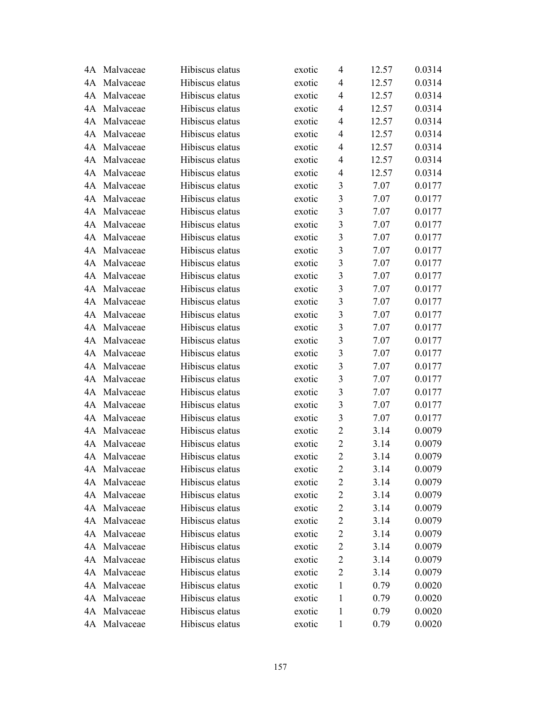|    | 4A Malvaceae | Hibiscus elatus | exotic | 4                       | 12.57 | 0.0314 |
|----|--------------|-----------------|--------|-------------------------|-------|--------|
|    | 4A Malvaceae | Hibiscus elatus | exotic | 4                       | 12.57 | 0.0314 |
| 4A | Malvaceae    | Hibiscus elatus | exotic | $\overline{4}$          | 12.57 | 0.0314 |
| 4A | Malvaceae    | Hibiscus elatus | exotic | 4                       | 12.57 | 0.0314 |
| 4A | Malvaceae    | Hibiscus elatus | exotic | 4                       | 12.57 | 0.0314 |
|    | 4A Malvaceae | Hibiscus elatus | exotic | $\overline{4}$          | 12.57 | 0.0314 |
|    | 4A Malvaceae | Hibiscus elatus | exotic | $\overline{4}$          | 12.57 | 0.0314 |
|    | 4A Malvaceae | Hibiscus elatus | exotic | $\overline{4}$          | 12.57 | 0.0314 |
| 4A | Malvaceae    | Hibiscus elatus | exotic | $\overline{4}$          | 12.57 | 0.0314 |
| 4A | Malvaceae    | Hibiscus elatus | exotic | 3                       | 7.07  | 0.0177 |
| 4A | Malvaceae    | Hibiscus elatus | exotic | 3                       | 7.07  | 0.0177 |
|    | 4A Malvaceae | Hibiscus elatus | exotic | $\overline{\mathbf{3}}$ | 7.07  | 0.0177 |
|    | 4A Malvaceae | Hibiscus elatus | exotic | $\overline{\mathbf{3}}$ | 7.07  | 0.0177 |
|    | 4A Malvaceae | Hibiscus elatus | exotic | $\overline{\mathbf{3}}$ | 7.07  | 0.0177 |
| 4A | Malvaceae    | Hibiscus elatus | exotic | $\overline{\mathbf{3}}$ | 7.07  | 0.0177 |
| 4A | Malvaceae    | Hibiscus elatus | exotic | $\overline{\mathbf{3}}$ | 7.07  | 0.0177 |
|    | 4A Malvaceae | Hibiscus elatus | exotic | $\overline{\mathbf{3}}$ | 7.07  | 0.0177 |
|    | 4A Malvaceae | Hibiscus elatus | exotic | $\overline{\mathbf{3}}$ | 7.07  | 0.0177 |
|    | 4A Malvaceae | Hibiscus elatus | exotic | $\overline{\mathbf{3}}$ | 7.07  | 0.0177 |
| 4A | Malvaceae    | Hibiscus elatus | exotic | $\overline{\mathbf{3}}$ | 7.07  | 0.0177 |
|    | 4A Malvaceae | Hibiscus elatus | exotic | 3                       | 7.07  | 0.0177 |
|    | 4A Malvaceae | Hibiscus elatus | exotic | $\overline{\mathbf{3}}$ | 7.07  | 0.0177 |
| 4A | Malvaceae    | Hibiscus elatus | exotic | $\overline{\mathbf{3}}$ | 7.07  | 0.0177 |
| 4A | Malvaceae    | Hibiscus elatus | exotic | $\overline{\mathbf{3}}$ | 7.07  | 0.0177 |
|    | 4A Malvaceae | Hibiscus elatus | exotic | $\overline{\mathbf{3}}$ | 7.07  | 0.0177 |
|    | 4A Malvaceae | Hibiscus elatus | exotic | $\overline{\mathbf{3}}$ | 7.07  | 0.0177 |
| 4A | Malvaceae    | Hibiscus elatus | exotic | $\overline{\mathbf{3}}$ | 7.07  | 0.0177 |
| 4A | Malvaceae    | Hibiscus elatus | exotic | $\overline{\mathbf{3}}$ | 7.07  | 0.0177 |
| 4A | Malvaceae    | Hibiscus elatus | exotic | $\overline{2}$          | 3.14  | 0.0079 |
|    | 4A Malvaceae | Hibiscus elatus | exotic | $\overline{2}$          | 3.14  | 0.0079 |
|    | 4A Malvaceae | Hibiscus elatus | exotic | $\overline{2}$          | 3.14  | 0.0079 |
|    | 4A Malvaceae | Hibiscus elatus | exotic | $\overline{c}$          | 3.14  | 0.0079 |
|    | 4A Malvaceae | Hibiscus elatus | exotic | $\overline{c}$          | 3.14  | 0.0079 |
| 4A | Malvaceae    | Hibiscus elatus | exotic | $\overline{2}$          | 3.14  | 0.0079 |
|    | 4A Malvaceae | Hibiscus elatus | exotic | $\overline{c}$          | 3.14  | 0.0079 |
|    | 4A Malvaceae | Hibiscus elatus | exotic | $\overline{c}$          | 3.14  | 0.0079 |
|    | 4A Malvaceae | Hibiscus elatus | exotic | $\overline{c}$          | 3.14  | 0.0079 |
|    | 4A Malvaceae | Hibiscus elatus | exotic | $\overline{c}$          | 3.14  | 0.0079 |
| 4A | Malvaceae    | Hibiscus elatus | exotic | $\overline{2}$          | 3.14  | 0.0079 |
| 4A | Malvaceae    | Hibiscus elatus | exotic | $\overline{2}$          | 3.14  | 0.0079 |
| 4A | Malvaceae    | Hibiscus elatus | exotic | $\mathbf{1}$            | 0.79  | 0.0020 |
|    | 4A Malvaceae | Hibiscus elatus | exotic | 1                       | 0.79  | 0.0020 |
|    | 4A Malvaceae | Hibiscus elatus | exotic | 1                       | 0.79  | 0.0020 |
|    | 4A Malvaceae | Hibiscus elatus | exotic | $\mathbf{1}$            | 0.79  | 0.0020 |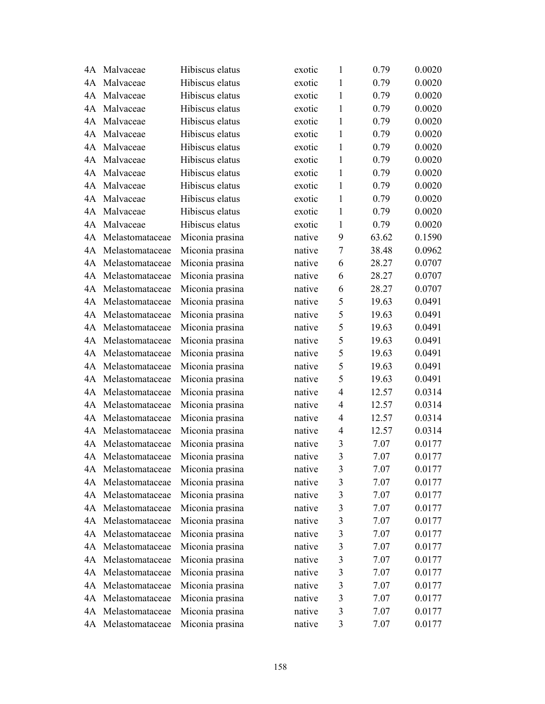| 4A | Malvaceae          | Hibiscus elatus | exotic | 1              | 0.79  | 0.0020 |
|----|--------------------|-----------------|--------|----------------|-------|--------|
| 4A | Malvaceae          | Hibiscus elatus | exotic | 1              | 0.79  | 0.0020 |
| 4A | Malvaceae          | Hibiscus elatus | exotic | 1              | 0.79  | 0.0020 |
| 4A | Malvaceae          | Hibiscus elatus | exotic | 1              | 0.79  | 0.0020 |
| 4A | Malvaceae          | Hibiscus elatus | exotic | 1              | 0.79  | 0.0020 |
| 4A | Malvaceae          | Hibiscus elatus | exotic | 1              | 0.79  | 0.0020 |
| 4A | Malvaceae          | Hibiscus elatus | exotic | 1              | 0.79  | 0.0020 |
| 4A | Malvaceae          | Hibiscus elatus | exotic | 1              | 0.79  | 0.0020 |
| 4A | Malvaceae          | Hibiscus elatus | exotic | $\mathbf{1}$   | 0.79  | 0.0020 |
| 4A | Malvaceae          | Hibiscus elatus | exotic | 1              | 0.79  | 0.0020 |
| 4A | Malvaceae          | Hibiscus elatus | exotic | 1              | 0.79  | 0.0020 |
| 4A | Malvaceae          | Hibiscus elatus | exotic | 1              | 0.79  | 0.0020 |
| 4A | Malvaceae          | Hibiscus elatus | exotic | 1              | 0.79  | 0.0020 |
| 4A | Melastomataceae    | Miconia prasina | native | 9              | 63.62 | 0.1590 |
| 4A | Melastomataceae    | Miconia prasina | native | 7              | 38.48 | 0.0962 |
| 4A | Melastomataceae    | Miconia prasina | native | 6              | 28.27 | 0.0707 |
| 4A | Melastomataceae    | Miconia prasina | native | 6              | 28.27 | 0.0707 |
| 4A | Melastomataceae    | Miconia prasina | native | 6              | 28.27 | 0.0707 |
| 4A | Melastomataceae    | Miconia prasina | native | 5              | 19.63 | 0.0491 |
| 4A | Melastomataceae    | Miconia prasina | native | 5              | 19.63 | 0.0491 |
| 4A | Melastomataceae    | Miconia prasina | native | 5              | 19.63 | 0.0491 |
| 4A | Melastomataceae    | Miconia prasina | native | 5              | 19.63 | 0.0491 |
| 4A | Melastomataceae    | Miconia prasina | native | 5              | 19.63 | 0.0491 |
| 4A | Melastomataceae    | Miconia prasina | native | 5              | 19.63 | 0.0491 |
| 4A | Melastomataceae    | Miconia prasina | native | 5              | 19.63 | 0.0491 |
| 4A | Melastomataceae    | Miconia prasina | native | $\overline{4}$ | 12.57 | 0.0314 |
| 4A | Melastomataceae    | Miconia prasina | native | $\overline{4}$ | 12.57 | 0.0314 |
| 4A | Melastomataceae    | Miconia prasina | native | $\overline{4}$ | 12.57 | 0.0314 |
| 4A | Melastomataceae    | Miconia prasina | native | $\overline{4}$ | 12.57 | 0.0314 |
| 4A | Melastomataceae    | Miconia prasina | native | 3              | 7.07  | 0.0177 |
|    | 4A Melastomataceae | Miconia prasina | native | $\overline{3}$ | 7.07  | 0.0177 |
| 4A | Melastomataceae    | Miconia prasina | native | 3              | 7.07  | 0.0177 |
| 4A | Melastomataceae    | Miconia prasina | native | 3              | 7.07  | 0.0177 |
| 4A | Melastomataceae    | Miconia prasina | native | $\mathfrak{Z}$ | 7.07  | 0.0177 |
| 4A | Melastomataceae    | Miconia prasina | native | $\mathfrak{Z}$ | 7.07  | 0.0177 |
| 4A | Melastomataceae    | Miconia prasina | native | $\mathfrak{Z}$ | 7.07  | 0.0177 |
| 4A | Melastomataceae    | Miconia prasina | native | 3              | 7.07  | 0.0177 |
| 4A | Melastomataceae    | Miconia prasina | native | 3              | 7.07  | 0.0177 |
| 4A | Melastomataceae    | Miconia prasina | native | $\mathfrak{Z}$ | 7.07  | 0.0177 |
| 4A | Melastomataceae    | Miconia prasina | native | $\mathfrak{Z}$ | 7.07  | 0.0177 |
| 4A | Melastomataceae    | Miconia prasina | native | $\mathfrak{Z}$ | 7.07  | 0.0177 |
| 4A | Melastomataceae    | Miconia prasina | native | 3              | 7.07  | 0.0177 |
| 4A | Melastomataceae    | Miconia prasina | native | 3              | 7.07  | 0.0177 |
| 4A | Melastomataceae    | Miconia prasina | native | 3              | 7.07  | 0.0177 |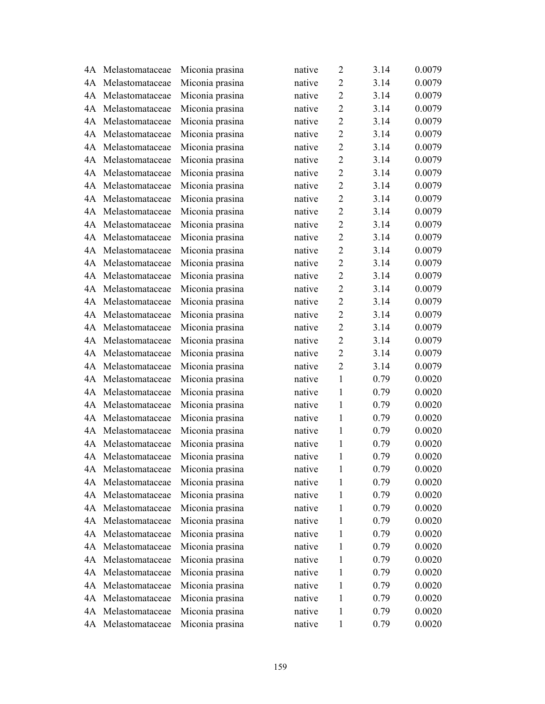|    | 4A Melastomataceae | Miconia prasina | native | $\overline{2}$ | 3.14 | 0.0079 |
|----|--------------------|-----------------|--------|----------------|------|--------|
| 4A | Melastomataceae    | Miconia prasina | native | $\overline{2}$ | 3.14 | 0.0079 |
| 4A | Melastomataceae    | Miconia prasina | native | $\overline{2}$ | 3.14 | 0.0079 |
| 4A | Melastomataceae    | Miconia prasina | native | $\overline{2}$ | 3.14 | 0.0079 |
| 4A | Melastomataceae    | Miconia prasina | native | $\overline{2}$ | 3.14 | 0.0079 |
| 4A | Melastomataceae    | Miconia prasina | native | $\overline{2}$ | 3.14 | 0.0079 |
| 4A | Melastomataceae    | Miconia prasina | native | $\overline{2}$ | 3.14 | 0.0079 |
| 4A | Melastomataceae    | Miconia prasina | native | $\overline{2}$ | 3.14 | 0.0079 |
| 4A | Melastomataceae    | Miconia prasina | native | $\overline{2}$ | 3.14 | 0.0079 |
| 4A | Melastomataceae    | Miconia prasina | native | $\overline{2}$ | 3.14 | 0.0079 |
| 4A | Melastomataceae    | Miconia prasina | native | $\overline{2}$ | 3.14 | 0.0079 |
| 4A | Melastomataceae    | Miconia prasina | native | $\overline{2}$ | 3.14 | 0.0079 |
| 4A | Melastomataceae    | Miconia prasina | native | $\overline{2}$ | 3.14 | 0.0079 |
| 4A | Melastomataceae    | Miconia prasina | native | $\overline{2}$ | 3.14 | 0.0079 |
| 4A | Melastomataceae    | Miconia prasina | native | $\overline{2}$ | 3.14 | 0.0079 |
| 4A | Melastomataceae    | Miconia prasina | native | $\overline{2}$ | 3.14 | 0.0079 |
| 4A | Melastomataceae    | Miconia prasina | native | $\overline{2}$ | 3.14 | 0.0079 |
| 4A | Melastomataceae    | Miconia prasina | native | $\overline{2}$ | 3.14 | 0.0079 |
| 4A | Melastomataceae    | Miconia prasina | native | $\overline{2}$ | 3.14 | 0.0079 |
| 4A | Melastomataceae    | Miconia prasina | native | $\overline{2}$ | 3.14 | 0.0079 |
| 4A | Melastomataceae    | Miconia prasina | native | $\overline{2}$ | 3.14 | 0.0079 |
| 4A | Melastomataceae    | Miconia prasina | native | $\overline{2}$ | 3.14 | 0.0079 |
| 4A | Melastomataceae    | Miconia prasina | native | $\overline{2}$ | 3.14 | 0.0079 |
| 4A | Melastomataceae    | Miconia prasina | native | $\overline{2}$ | 3.14 | 0.0079 |
| 4A | Melastomataceae    | Miconia prasina | native | $\mathbf{1}$   | 0.79 | 0.0020 |
| 4A | Melastomataceae    | Miconia prasina | native | 1              | 0.79 | 0.0020 |
| 4A | Melastomataceae    | Miconia prasina | native | $\mathbf{1}$   | 0.79 | 0.0020 |
| 4A | Melastomataceae    | Miconia prasina | native | 1              | 0.79 | 0.0020 |
| 4A | Melastomataceae    | Miconia prasina | native | 1              | 0.79 | 0.0020 |
| 4A | Melastomataceae    | Miconia prasina | native | 1              | 0.79 | 0.0020 |
|    | 4A Melastomataceae | Miconia prasina | native | 1              | 0.79 | 0.0020 |
|    | 4A Melastomataceae | Miconia prasina | native | 1              | 0.79 | 0.0020 |
| 4A | Melastomataceae    | Miconia prasina | native | 1              | 0.79 | 0.0020 |
| 4A | Melastomataceae    | Miconia prasina | native | 1              | 0.79 | 0.0020 |
| 4A | Melastomataceae    | Miconia prasina | native | 1              | 0.79 | 0.0020 |
| 4A | Melastomataceae    | Miconia prasina | native | 1              | 0.79 | 0.0020 |
| 4A | Melastomataceae    | Miconia prasina | native | 1              | 0.79 | 0.0020 |
| 4A | Melastomataceae    | Miconia prasina | native | 1              | 0.79 | 0.0020 |
| 4A | Melastomataceae    | Miconia prasina | native | 1              | 0.79 | 0.0020 |
| 4A | Melastomataceae    | Miconia prasina | native | 1              | 0.79 | 0.0020 |
| 4A | Melastomataceae    | Miconia prasina | native | 1              | 0.79 | 0.0020 |
| 4A | Melastomataceae    | Miconia prasina | native | 1              | 0.79 | 0.0020 |
| 4A | Melastomataceae    | Miconia prasina | native | 1              | 0.79 | 0.0020 |
| 4A | Melastomataceae    | Miconia prasina | native | 1              | 0.79 | 0.0020 |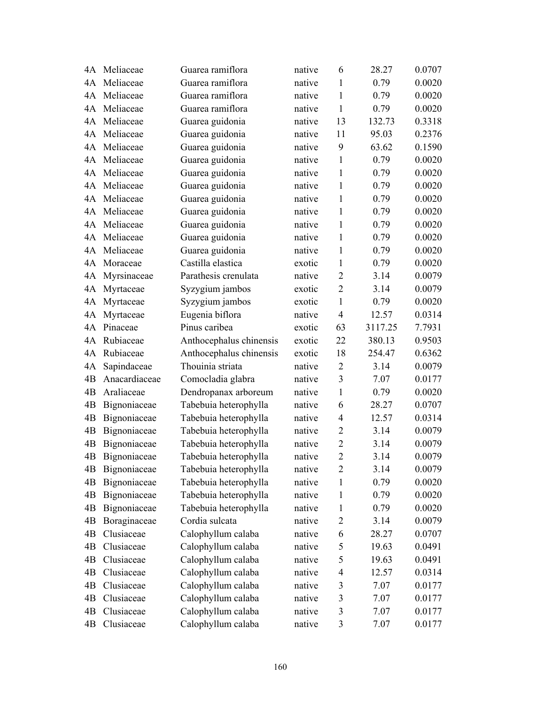| 4A | Meliaceae     | Guarea ramiflora        | native | 6              | 28.27   | 0.0707 |
|----|---------------|-------------------------|--------|----------------|---------|--------|
|    | 4A Meliaceae  | Guarea ramiflora        | native | $\mathbf{1}$   | 0.79    | 0.0020 |
| 4A | Meliaceae     | Guarea ramiflora        | native | 1              | 0.79    | 0.0020 |
| 4A | Meliaceae     | Guarea ramiflora        | native | $\mathbf{1}$   | 0.79    | 0.0020 |
| 4A | Meliaceae     | Guarea guidonia         | native | 13             | 132.73  | 0.3318 |
| 4A | Meliaceae     | Guarea guidonia         | native | 11             | 95.03   | 0.2376 |
| 4A | Meliaceae     | Guarea guidonia         | native | 9              | 63.62   | 0.1590 |
| 4A | Meliaceae     | Guarea guidonia         | native | $\mathbf{1}$   | 0.79    | 0.0020 |
| 4A | Meliaceae     | Guarea guidonia         | native | $\mathbf{1}$   | 0.79    | 0.0020 |
| 4A | Meliaceae     | Guarea guidonia         | native | $\mathbf{1}$   | 0.79    | 0.0020 |
| 4A | Meliaceae     | Guarea guidonia         | native | 1              | 0.79    | 0.0020 |
| 4A | Meliaceae     | Guarea guidonia         | native | 1              | 0.79    | 0.0020 |
| 4A | Meliaceae     | Guarea guidonia         | native | 1              | 0.79    | 0.0020 |
| 4A | Meliaceae     | Guarea guidonia         | native | $\mathbf{1}$   | 0.79    | 0.0020 |
| 4A | Meliaceae     | Guarea guidonia         | native | $\mathbf{1}$   | 0.79    | 0.0020 |
| 4A | Moraceae      | Castilla elastica       | exotic | 1              | 0.79    | 0.0020 |
| 4A | Myrsinaceae   | Parathesis crenulata    | native | $\overline{2}$ | 3.14    | 0.0079 |
| 4A | Myrtaceae     | Syzygium jambos         | exotic | $\overline{2}$ | 3.14    | 0.0079 |
| 4A | Myrtaceae     | Syzygium jambos         | exotic | $\mathbf{1}$   | 0.79    | 0.0020 |
| 4A | Myrtaceae     | Eugenia biflora         | native | $\overline{4}$ | 12.57   | 0.0314 |
| 4A | Pinaceae      | Pinus caribea           | exotic | 63             | 3117.25 | 7.7931 |
| 4A | Rubiaceae     | Anthocephalus chinensis | exotic | 22             | 380.13  | 0.9503 |
| 4A | Rubiaceae     | Anthocephalus chinensis | exotic | 18             | 254.47  | 0.6362 |
| 4A | Sapindaceae   | Thouinia striata        | native | $\overline{2}$ | 3.14    | 0.0079 |
| 4B | Anacardiaceae | Comocladia glabra       | native | 3              | 7.07    | 0.0177 |
| 4B | Araliaceae    | Dendropanax arboreum    | native | $\mathbf{1}$   | 0.79    | 0.0020 |
| 4B | Bignoniaceae  | Tabebuia heterophylla   | native | 6              | 28.27   | 0.0707 |
| 4B | Bignoniaceae  | Tabebuia heterophylla   | native | 4              | 12.57   | 0.0314 |
| 4B | Bignoniaceae  | Tabebuia heterophylla   | native | $\overline{2}$ | 3.14    | 0.0079 |
| 4B | Bignoniaceae  | Tabebuia heterophylla   | native | $\overline{2}$ | 3.14    | 0.0079 |
| 4B | Bignoniaceae  | Tabebuia heterophylla   | native | $\overline{2}$ | 3.14    | 0.0079 |
| 4B | Bignoniaceae  | Tabebuia heterophylla   | native | $\overline{2}$ | 3.14    | 0.0079 |
| 4B | Bignoniaceae  | Tabebuia heterophylla   | native | 1              | 0.79    | 0.0020 |
| 4B | Bignoniaceae  | Tabebuia heterophylla   | native | 1              | 0.79    | 0.0020 |
| 4B | Bignoniaceae  | Tabebuia heterophylla   | native | 1              | 0.79    | 0.0020 |
| 4B | Boraginaceae  | Cordia sulcata          | native | $\overline{2}$ | 3.14    | 0.0079 |
| 4B | Clusiaceae    | Calophyllum calaba      | native | 6              | 28.27   | 0.0707 |
| 4B | Clusiaceae    | Calophyllum calaba      | native | 5              | 19.63   | 0.0491 |
| 4B | Clusiaceae    | Calophyllum calaba      | native | 5              | 19.63   | 0.0491 |
| 4B | Clusiaceae    | Calophyllum calaba      | native | $\overline{4}$ | 12.57   | 0.0314 |
| 4B | Clusiaceae    | Calophyllum calaba      | native | $\mathfrak{Z}$ | 7.07    | 0.0177 |
| 4B | Clusiaceae    | Calophyllum calaba      | native | $\mathfrak{Z}$ | 7.07    | 0.0177 |
| 4B | Clusiaceae    | Calophyllum calaba      | native | $\mathfrak{Z}$ | 7.07    | 0.0177 |
| 4B | Clusiaceae    | Calophyllum calaba      | native | $\mathfrak{Z}$ | 7.07    | 0.0177 |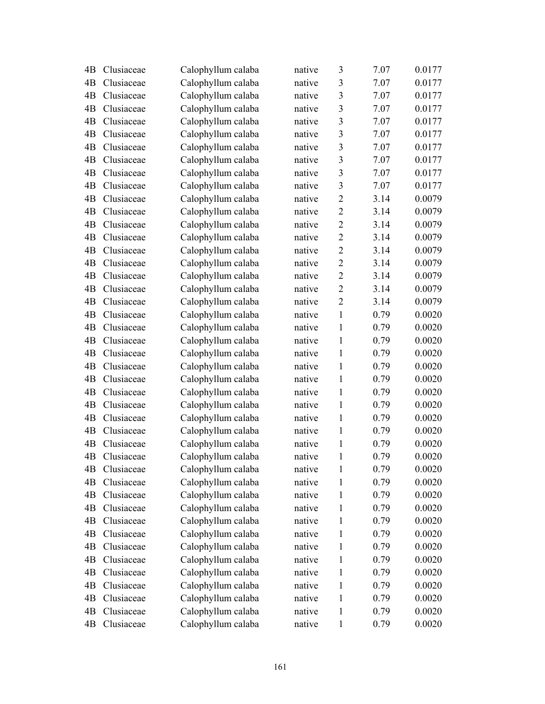| 4B | Clusiaceae | Calophyllum calaba | native | 3                       | 7.07 | 0.0177 |
|----|------------|--------------------|--------|-------------------------|------|--------|
| 4B | Clusiaceae | Calophyllum calaba | native | 3                       | 7.07 | 0.0177 |
| 4B | Clusiaceae | Calophyllum calaba | native | $\overline{\mathbf{3}}$ | 7.07 | 0.0177 |
| 4B | Clusiaceae | Calophyllum calaba | native | $\overline{3}$          | 7.07 | 0.0177 |
| 4B | Clusiaceae | Calophyllum calaba | native | 3                       | 7.07 | 0.0177 |
| 4B | Clusiaceae | Calophyllum calaba | native | 3                       | 7.07 | 0.0177 |
| 4B | Clusiaceae | Calophyllum calaba | native | 3                       | 7.07 | 0.0177 |
| 4B | Clusiaceae | Calophyllum calaba | native | 3                       | 7.07 | 0.0177 |
| 4B | Clusiaceae | Calophyllum calaba | native | 3                       | 7.07 | 0.0177 |
| 4B | Clusiaceae | Calophyllum calaba | native | $\overline{3}$          | 7.07 | 0.0177 |
| 4B | Clusiaceae | Calophyllum calaba | native | $\overline{2}$          | 3.14 | 0.0079 |
| 4B | Clusiaceae | Calophyllum calaba | native | $\overline{2}$          | 3.14 | 0.0079 |
| 4B | Clusiaceae | Calophyllum calaba | native | $\overline{2}$          | 3.14 | 0.0079 |
| 4B | Clusiaceae | Calophyllum calaba | native | $\overline{2}$          | 3.14 | 0.0079 |
| 4B | Clusiaceae | Calophyllum calaba | native | $\overline{2}$          | 3.14 | 0.0079 |
| 4B | Clusiaceae | Calophyllum calaba | native | $\overline{2}$          | 3.14 | 0.0079 |
| 4B | Clusiaceae | Calophyllum calaba | native | $\overline{2}$          | 3.14 | 0.0079 |
| 4B | Clusiaceae | Calophyllum calaba | native | $\overline{2}$          | 3.14 | 0.0079 |
| 4B | Clusiaceae | Calophyllum calaba | native | $\overline{2}$          | 3.14 | 0.0079 |
| 4B | Clusiaceae | Calophyllum calaba | native | $\mathbf{1}$            | 0.79 | 0.0020 |
| 4B | Clusiaceae | Calophyllum calaba | native | $\mathbf{1}$            | 0.79 | 0.0020 |
| 4B | Clusiaceae | Calophyllum calaba | native | $\mathbf{1}$            | 0.79 | 0.0020 |
| 4B | Clusiaceae | Calophyllum calaba | native | $\mathbf{1}$            | 0.79 | 0.0020 |
| 4B | Clusiaceae | Calophyllum calaba | native | $\mathbf{1}$            | 0.79 | 0.0020 |
| 4B | Clusiaceae | Calophyllum calaba | native | $\mathbf{1}$            | 0.79 | 0.0020 |
| 4B | Clusiaceae | Calophyllum calaba | native | 1                       | 0.79 | 0.0020 |
| 4B | Clusiaceae | Calophyllum calaba | native | $\mathbf{1}$            | 0.79 | 0.0020 |
| 4B | Clusiaceae | Calophyllum calaba | native | 1                       | 0.79 | 0.0020 |
| 4B | Clusiaceae | Calophyllum calaba | native | $\mathbf{1}$            | 0.79 | 0.0020 |
| 4B | Clusiaceae | Calophyllum calaba | native | 1                       | 0.79 | 0.0020 |
| 4B | Clusiaceae | Calophyllum calaba | native | 1                       | 0.79 | 0.0020 |
| 4B | Clusiaceae | Calophyllum calaba | native | $\mathbf{1}$            | 0.79 | 0.0020 |
| 4B | Clusiaceae | Calophyllum calaba | native | 1                       | 0.79 | 0.0020 |
| 4B | Clusiaceae | Calophyllum calaba | native | 1                       | 0.79 | 0.0020 |
| 4B | Clusiaceae | Calophyllum calaba | native | 1                       | 0.79 | 0.0020 |
| 4B | Clusiaceae | Calophyllum calaba | native | 1                       | 0.79 | 0.0020 |
| 4B | Clusiaceae | Calophyllum calaba | native | 1                       | 0.79 | 0.0020 |
| 4B | Clusiaceae | Calophyllum calaba | native | 1                       | 0.79 | 0.0020 |
| 4B | Clusiaceae | Calophyllum calaba | native | 1                       | 0.79 | 0.0020 |
| 4B | Clusiaceae | Calophyllum calaba | native | 1                       | 0.79 | 0.0020 |
| 4B | Clusiaceae | Calophyllum calaba | native | 1                       | 0.79 | 0.0020 |
| 4B | Clusiaceae | Calophyllum calaba | native | 1                       | 0.79 | 0.0020 |
| 4B | Clusiaceae | Calophyllum calaba | native | 1                       | 0.79 | 0.0020 |
| 4B | Clusiaceae | Calophyllum calaba | native | $\mathbf{1}$            | 0.79 | 0.0020 |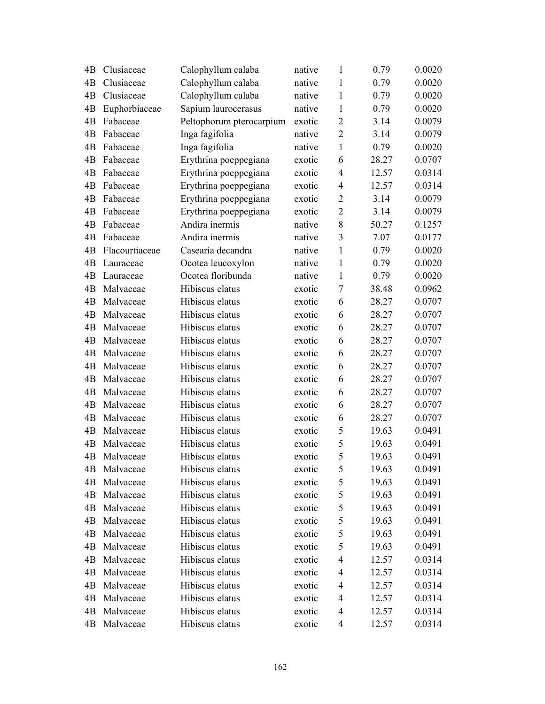| 4B | Clusiaceae     | Calophyllum calaba       | native | $\mathbf{1}$   | 0.79  | 0.0020 |
|----|----------------|--------------------------|--------|----------------|-------|--------|
| 4B | Clusiaceae     | Calophyllum calaba       | native | 1              | 0.79  | 0.0020 |
| 4B | Clusiaceae     | Calophyllum calaba       | native | $\mathbf{1}$   | 0.79  | 0.0020 |
| 4B | Euphorbiaceae  | Sapium laurocerasus      | native | $\mathbf{1}$   | 0.79  | 0.0020 |
| 4B | Fabaceae       | Peltophorum pterocarpium | exotic | $\overline{2}$ | 3.14  | 0.0079 |
| 4B | Fabaceae       | Inga fagifolia           | native | $\overline{2}$ | 3.14  | 0.0079 |
| 4B | Fabaceae       | Inga fagifolia           | native | $\mathbf{1}$   | 0.79  | 0.0020 |
| 4B | Fabaceae       | Erythrina poeppegiana    | exotic | 6              | 28.27 | 0.0707 |
| 4B | Fabaceae       | Erythrina poeppegiana    | exotic | 4              | 12.57 | 0.0314 |
| 4B | Fabaceae       | Erythrina poeppegiana    | exotic | 4              | 12.57 | 0.0314 |
| 4B | Fabaceae       | Erythrina poeppegiana    | exotic | $\overline{2}$ | 3.14  | 0.0079 |
| 4B | Fabaceae       | Erythrina poeppegiana    | exotic | $\overline{2}$ | 3.14  | 0.0079 |
| 4B | Fabaceae       | Andira inermis           | native | 8              | 50.27 | 0.1257 |
| 4B | Fabaceae       | Andira inermis           | native | 3              | 7.07  | 0.0177 |
| 4B | Flacourtiaceae | Casearia decandra        | native | 1              | 0.79  | 0.0020 |
| 4B | Lauraceae      | Ocotea leucoxylon        | native | 1              | 0.79  | 0.0020 |
| 4B | Lauraceae      | Ocotea floribunda        | native | $\mathbf{1}$   | 0.79  | 0.0020 |
| 4B | Malvaceae      | Hibiscus elatus          | exotic | $\tau$         | 38.48 | 0.0962 |
| 4B | Malvaceae      | Hibiscus elatus          | exotic | 6              | 28.27 | 0.0707 |
| 4B | Malvaceae      | Hibiscus elatus          | exotic | 6              | 28.27 | 0.0707 |
| 4B | Malvaceae      | Hibiscus elatus          | exotic | 6              | 28.27 | 0.0707 |
| 4B | Malvaceae      | Hibiscus elatus          | exotic | 6              | 28.27 | 0.0707 |
| 4B | Malvaceae      | Hibiscus elatus          | exotic | 6              | 28.27 | 0.0707 |
| 4B | Malvaceae      | Hibiscus elatus          | exotic | 6              | 28.27 | 0.0707 |
| 4B | Malvaceae      | Hibiscus elatus          | exotic | 6              | 28.27 | 0.0707 |
| 4B | Malvaceae      | Hibiscus elatus          | exotic | 6              | 28.27 | 0.0707 |
| 4B | Malvaceae      | Hibiscus elatus          | exotic | 6              | 28.27 | 0.0707 |
| 4B | Malvaceae      | Hibiscus elatus          | exotic | 6              | 28.27 | 0.0707 |
| 4B | Malvaceae      | Hibiscus elatus          | exotic | 5              | 19.63 | 0.0491 |
| 4B | Malvaceae      | Hibiscus elatus          | exotic | 5              | 19.63 | 0.0491 |
| 4B | Malvaceae      | Hibiscus elatus          | exotic | 5              | 19.63 | 0.0491 |
| 4B | Malvaceae      | Hibiscus elatus          | exotic | 5              | 19.63 | 0.0491 |
| 4B | Malvaceae      | Hibiscus elatus          | exotic | 5              | 19.63 | 0.0491 |
| 4B | Malvaceae      | Hibiscus elatus          | exotic | 5              | 19.63 | 0.0491 |
| 4B | Malvaceae      | Hibiscus elatus          | exotic | 5              | 19.63 | 0.0491 |
| 4B | Malvaceae      | Hibiscus elatus          | exotic | 5              | 19.63 | 0.0491 |
| 4B | Malvaceae      | Hibiscus elatus          | exotic | 5              | 19.63 | 0.0491 |
| 4B | Malvaceae      | Hibiscus elatus          | exotic | 5              | 19.63 | 0.0491 |
| 4B | Malvaceae      | Hibiscus elatus          | exotic | 4              | 12.57 | 0.0314 |
| 4B | Malvaceae      | Hibiscus elatus          | exotic | 4              | 12.57 | 0.0314 |
| 4B | Malvaceae      | Hibiscus elatus          | exotic | 4              | 12.57 | 0.0314 |
| 4B | Malvaceae      | Hibiscus elatus          | exotic | 4              | 12.57 | 0.0314 |
| 4B | Malvaceae      | Hibiscus elatus          | exotic | 4              | 12.57 | 0.0314 |
| 4B | Malvaceae      | Hibiscus elatus          | exotic | 4              | 12.57 | 0.0314 |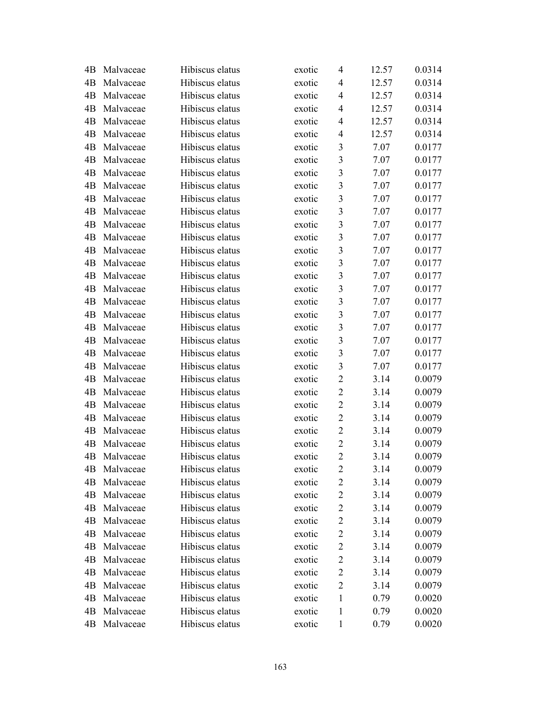| 4B | Malvaceae | Hibiscus elatus | exotic | 4                       | 12.57 | 0.0314 |
|----|-----------|-----------------|--------|-------------------------|-------|--------|
| 4B | Malvaceae | Hibiscus elatus | exotic | 4                       | 12.57 | 0.0314 |
| 4B | Malvaceae | Hibiscus elatus | exotic | $\overline{4}$          | 12.57 | 0.0314 |
| 4B | Malvaceae | Hibiscus elatus | exotic | $\overline{4}$          | 12.57 | 0.0314 |
| 4B | Malvaceae | Hibiscus elatus | exotic | $\overline{4}$          | 12.57 | 0.0314 |
| 4B | Malvaceae | Hibiscus elatus | exotic | $\overline{4}$          | 12.57 | 0.0314 |
| 4B | Malvaceae | Hibiscus elatus | exotic | 3                       | 7.07  | 0.0177 |
| 4B | Malvaceae | Hibiscus elatus | exotic | $\overline{\mathbf{3}}$ | 7.07  | 0.0177 |
| 4B | Malvaceae | Hibiscus elatus | exotic | $\overline{3}$          | 7.07  | 0.0177 |
| 4B | Malvaceae | Hibiscus elatus | exotic | $\overline{3}$          | 7.07  | 0.0177 |
| 4B | Malvaceae | Hibiscus elatus | exotic | $\overline{3}$          | 7.07  | 0.0177 |
| 4B | Malvaceae | Hibiscus elatus | exotic | $\mathfrak{Z}$          | 7.07  | 0.0177 |
| 4B | Malvaceae | Hibiscus elatus | exotic | $\overline{\mathbf{3}}$ | 7.07  | 0.0177 |
| 4B | Malvaceae | Hibiscus elatus | exotic | $\overline{3}$          | 7.07  | 0.0177 |
| 4B | Malvaceae | Hibiscus elatus | exotic | $\overline{\mathbf{3}}$ | 7.07  | 0.0177 |
| 4B | Malvaceae | Hibiscus elatus | exotic | $\mathfrak{Z}$          | 7.07  | 0.0177 |
| 4B | Malvaceae | Hibiscus elatus | exotic | $\mathfrak{Z}$          | 7.07  | 0.0177 |
| 4B | Malvaceae | Hibiscus elatus | exotic | $\overline{\mathbf{3}}$ | 7.07  | 0.0177 |
| 4B | Malvaceae | Hibiscus elatus | exotic | $\overline{3}$          | 7.07  | 0.0177 |
| 4B | Malvaceae | Hibiscus elatus | exotic | $\overline{\mathbf{3}}$ | 7.07  | 0.0177 |
| 4B | Malvaceae | Hibiscus elatus | exotic | $\overline{3}$          | 7.07  | 0.0177 |
| 4B | Malvaceae | Hibiscus elatus | exotic | $\mathfrak{Z}$          | 7.07  | 0.0177 |
| 4B | Malvaceae | Hibiscus elatus | exotic | $\overline{\mathbf{3}}$ | 7.07  | 0.0177 |
| 4B | Malvaceae | Hibiscus elatus | exotic | $\mathfrak{Z}$          | 7.07  | 0.0177 |
| 4B | Malvaceae | Hibiscus elatus | exotic | $\overline{2}$          | 3.14  | 0.0079 |
| 4B | Malvaceae | Hibiscus elatus | exotic | $\overline{2}$          | 3.14  | 0.0079 |
| 4B | Malvaceae | Hibiscus elatus | exotic | $\overline{2}$          | 3.14  | 0.0079 |
| 4B | Malvaceae | Hibiscus elatus | exotic | $\mathbf{2}$            | 3.14  | 0.0079 |
| 4B | Malvaceae | Hibiscus elatus | exotic | $\overline{2}$          | 3.14  | 0.0079 |
| 4B | Malvaceae | Hibiscus elatus | exotic | $\overline{2}$          | 3.14  | 0.0079 |
| 4B | Malvaceae | Hibiscus elatus | exotic | $\overline{2}$          | 3.14  | 0.0079 |
| 4B | Malvaceae | Hibiscus elatus | exotic | $\overline{c}$          | 3.14  | 0.0079 |
| 4B | Malvaceae | Hibiscus elatus | exotic | $\overline{c}$          | 3.14  | 0.0079 |
| 4B | Malvaceae | Hibiscus elatus | exotic | $\overline{2}$          | 3.14  | 0.0079 |
| 4B | Malvaceae | Hibiscus elatus | exotic | $\overline{c}$          | 3.14  | 0.0079 |
| 4B | Malvaceae | Hibiscus elatus | exotic | $\overline{c}$          | 3.14  | 0.0079 |
| 4B | Malvaceae | Hibiscus elatus | exotic | $\overline{2}$          | 3.14  | 0.0079 |
| 4B | Malvaceae | Hibiscus elatus | exotic | $\overline{2}$          | 3.14  | 0.0079 |
| 4B | Malvaceae | Hibiscus elatus | exotic | $\overline{c}$          | 3.14  | 0.0079 |
| 4B | Malvaceae | Hibiscus elatus | exotic | $\overline{2}$          | 3.14  | 0.0079 |
| 4B | Malvaceae | Hibiscus elatus | exotic | $\overline{2}$          | 3.14  | 0.0079 |
| 4B | Malvaceae | Hibiscus elatus | exotic | 1                       | 0.79  | 0.0020 |
| 4B | Malvaceae | Hibiscus elatus | exotic | 1                       | 0.79  | 0.0020 |
| 4B | Malvaceae | Hibiscus elatus | exotic | $\mathbf{1}$            | 0.79  | 0.0020 |
|    |           |                 |        |                         |       |        |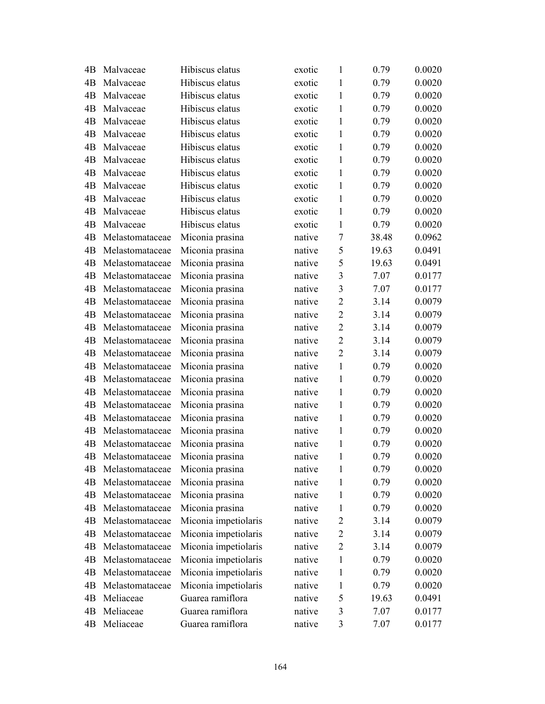| 4B | Malvaceae       | Hibiscus elatus      | exotic | 1              | 0.79  | 0.0020 |
|----|-----------------|----------------------|--------|----------------|-------|--------|
| 4B | Malvaceae       | Hibiscus elatus      | exotic | 1              | 0.79  | 0.0020 |
| 4B | Malvaceae       | Hibiscus elatus      | exotic | 1              | 0.79  | 0.0020 |
| 4B | Malvaceae       | Hibiscus elatus      | exotic | 1              | 0.79  | 0.0020 |
| 4B | Malvaceae       | Hibiscus elatus      | exotic | 1              | 0.79  | 0.0020 |
| 4B | Malvaceae       | Hibiscus elatus      | exotic | 1              | 0.79  | 0.0020 |
| 4B | Malvaceae       | Hibiscus elatus      | exotic | $\mathbf{1}$   | 0.79  | 0.0020 |
| 4B | Malvaceae       | Hibiscus elatus      | exotic | $\mathbf{1}$   | 0.79  | 0.0020 |
| 4B | Malvaceae       | Hibiscus elatus      | exotic | 1              | 0.79  | 0.0020 |
| 4B | Malvaceae       | Hibiscus elatus      | exotic | 1              | 0.79  | 0.0020 |
| 4B | Malvaceae       | Hibiscus elatus      | exotic | 1              | 0.79  | 0.0020 |
| 4B | Malvaceae       | Hibiscus elatus      | exotic | 1              | 0.79  | 0.0020 |
| 4B | Malvaceae       | Hibiscus elatus      | exotic | 1              | 0.79  | 0.0020 |
| 4B | Melastomataceae | Miconia prasina      | native | 7              | 38.48 | 0.0962 |
| 4B | Melastomataceae | Miconia prasina      | native | 5              | 19.63 | 0.0491 |
| 4B | Melastomataceae | Miconia prasina      | native | 5              | 19.63 | 0.0491 |
| 4B | Melastomataceae | Miconia prasina      | native | 3              | 7.07  | 0.0177 |
| 4B | Melastomataceae | Miconia prasina      | native | 3              | 7.07  | 0.0177 |
| 4B | Melastomataceae | Miconia prasina      | native | $\overline{2}$ | 3.14  | 0.0079 |
| 4B | Melastomataceae | Miconia prasina      | native | $\overline{2}$ | 3.14  | 0.0079 |
| 4B | Melastomataceae | Miconia prasina      | native | $\overline{2}$ | 3.14  | 0.0079 |
| 4B | Melastomataceae | Miconia prasina      | native | $\overline{2}$ | 3.14  | 0.0079 |
| 4B | Melastomataceae | Miconia prasina      | native | $\overline{2}$ | 3.14  | 0.0079 |
| 4B | Melastomataceae | Miconia prasina      | native | 1              | 0.79  | 0.0020 |
| 4B | Melastomataceae | Miconia prasina      | native | 1              | 0.79  | 0.0020 |
| 4B | Melastomataceae | Miconia prasina      | native | 1              | 0.79  | 0.0020 |
| 4B | Melastomataceae | Miconia prasina      | native | $\mathbf{1}$   | 0.79  | 0.0020 |
| 4B | Melastomataceae | Miconia prasina      | native | 1              | 0.79  | 0.0020 |
| 4B | Melastomataceae | Miconia prasina      | native | 1              | 0.79  | 0.0020 |
| 4B | Melastomataceae | Miconia prasina      | native | 1              | 0.79  | 0.0020 |
| 4B | Melastomataceae | Miconia prasina      | native | 1              | 0.79  | 0.0020 |
| 4B | Melastomataceae | Miconia prasina      | native | 1              | 0.79  | 0.0020 |
| 4B | Melastomataceae | Miconia prasina      | native | 1              | 0.79  | 0.0020 |
| 4B | Melastomataceae | Miconia prasina      | native | 1              | 0.79  | 0.0020 |
| 4B | Melastomataceae | Miconia prasina      | native | 1              | 0.79  | 0.0020 |
| 4B | Melastomataceae | Miconia impetiolaris | native | $\overline{2}$ | 3.14  | 0.0079 |
| 4B | Melastomataceae | Miconia impetiolaris | native | 2              | 3.14  | 0.0079 |
| 4B | Melastomataceae | Miconia impetiolaris | native | $\overline{2}$ | 3.14  | 0.0079 |
| 4B | Melastomataceae | Miconia impetiolaris | native | 1              | 0.79  | 0.0020 |
| 4B | Melastomataceae | Miconia impetiolaris | native | 1              | 0.79  | 0.0020 |
| 4B | Melastomataceae | Miconia impetiolaris | native | 1              | 0.79  | 0.0020 |
| 4B | Meliaceae       | Guarea ramiflora     | native | 5              | 19.63 | 0.0491 |
| 4B | Meliaceae       | Guarea ramiflora     | native | 3              | 7.07  | 0.0177 |
| 4B | Meliaceae       | Guarea ramiflora     | native | 3              | 7.07  | 0.0177 |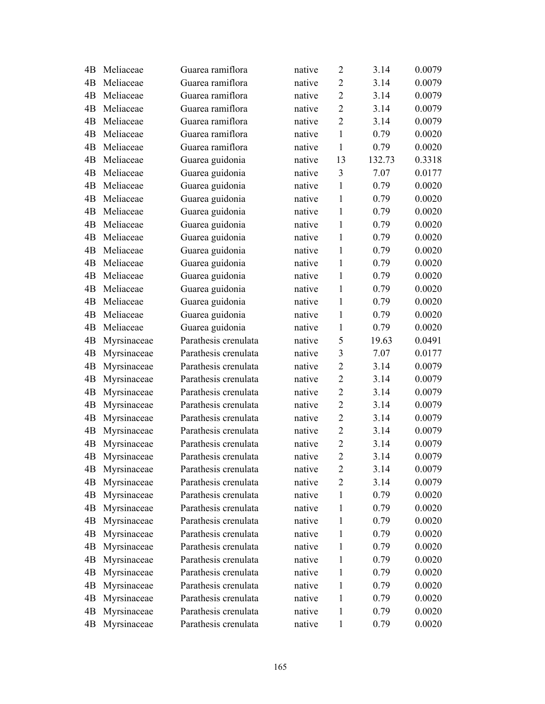| 4B | Meliaceae   | Guarea ramiflora     | native | $\overline{2}$ | 3.14   | 0.0079 |
|----|-------------|----------------------|--------|----------------|--------|--------|
| 4B | Meliaceae   | Guarea ramiflora     | native | $\overline{2}$ | 3.14   | 0.0079 |
| 4B | Meliaceae   | Guarea ramiflora     | native | $\overline{2}$ | 3.14   | 0.0079 |
| 4B | Meliaceae   | Guarea ramiflora     | native | $\overline{2}$ | 3.14   | 0.0079 |
| 4B | Meliaceae   | Guarea ramiflora     | native | $\overline{2}$ | 3.14   | 0.0079 |
| 4B | Meliaceae   | Guarea ramiflora     | native | $\mathbf{1}$   | 0.79   | 0.0020 |
| 4B | Meliaceae   | Guarea ramiflora     | native | $\mathbf{1}$   | 0.79   | 0.0020 |
| 4B | Meliaceae   | Guarea guidonia      | native | 13             | 132.73 | 0.3318 |
| 4B | Meliaceae   | Guarea guidonia      | native | 3              | 7.07   | 0.0177 |
| 4B | Meliaceae   | Guarea guidonia      | native | $\mathbf{1}$   | 0.79   | 0.0020 |
| 4B | Meliaceae   | Guarea guidonia      | native | 1              | 0.79   | 0.0020 |
| 4B | Meliaceae   | Guarea guidonia      | native | $\mathbf{1}$   | 0.79   | 0.0020 |
| 4B | Meliaceae   | Guarea guidonia      | native | $\mathbf{1}$   | 0.79   | 0.0020 |
| 4B | Meliaceae   | Guarea guidonia      | native | $\mathbf{1}$   | 0.79   | 0.0020 |
| 4B | Meliaceae   | Guarea guidonia      | native | $\mathbf{1}$   | 0.79   | 0.0020 |
| 4B | Meliaceae   | Guarea guidonia      | native | 1              | 0.79   | 0.0020 |
| 4B | Meliaceae   | Guarea guidonia      | native | $\mathbf{1}$   | 0.79   | 0.0020 |
| 4B | Meliaceae   | Guarea guidonia      | native | 1              | 0.79   | 0.0020 |
| 4B | Meliaceae   | Guarea guidonia      | native | $\mathbf{1}$   | 0.79   | 0.0020 |
| 4B | Meliaceae   | Guarea guidonia      | native | $\mathbf{1}$   | 0.79   | 0.0020 |
| 4B | Meliaceae   | Guarea guidonia      | native | $\mathbf{1}$   | 0.79   | 0.0020 |
| 4B | Myrsinaceae | Parathesis crenulata | native | 5              | 19.63  | 0.0491 |
| 4B | Myrsinaceae | Parathesis crenulata | native | 3              | 7.07   | 0.0177 |
| 4B | Myrsinaceae | Parathesis crenulata | native | $\overline{2}$ | 3.14   | 0.0079 |
| 4B | Myrsinaceae | Parathesis crenulata | native | $\overline{2}$ | 3.14   | 0.0079 |
| 4B | Myrsinaceae | Parathesis crenulata | native | $\overline{2}$ | 3.14   | 0.0079 |
| 4B | Myrsinaceae | Parathesis crenulata | native | $\overline{2}$ | 3.14   | 0.0079 |
| 4B | Myrsinaceae | Parathesis crenulata | native | $\overline{2}$ | 3.14   | 0.0079 |
| 4B | Myrsinaceae | Parathesis crenulata | native | $\overline{2}$ | 3.14   | 0.0079 |
| 4B | Myrsinaceae | Parathesis crenulata | native | $\overline{2}$ | 3.14   | 0.0079 |
| 4B | Myrsinaceae | Parathesis crenulata | native | $\overline{2}$ | 3.14   | 0.0079 |
| 4B | Myrsinaceae | Parathesis crenulata | native | $\overline{2}$ | 3.14   | 0.0079 |
| 4B | Myrsinaceae | Parathesis crenulata | native | $\overline{2}$ | 3.14   | 0.0079 |
| 4B | Myrsinaceae | Parathesis crenulata | native | 1              | 0.79   | 0.0020 |
| 4B | Myrsinaceae | Parathesis crenulata | native | 1              | 0.79   | 0.0020 |
| 4B | Myrsinaceae | Parathesis crenulata | native | 1              | 0.79   | 0.0020 |
| 4B | Myrsinaceae | Parathesis crenulata | native | $\mathbf{1}$   | 0.79   | 0.0020 |
| 4B | Myrsinaceae | Parathesis crenulata | native | 1              | 0.79   | 0.0020 |
| 4B | Myrsinaceae | Parathesis crenulata | native | 1              | 0.79   | 0.0020 |
| 4B | Myrsinaceae | Parathesis crenulata | native | 1              | 0.79   | 0.0020 |
| 4B | Myrsinaceae | Parathesis crenulata | native | 1              | 0.79   | 0.0020 |
| 4B | Myrsinaceae | Parathesis crenulata | native | $\mathbf{1}$   | 0.79   | 0.0020 |
| 4B | Myrsinaceae | Parathesis crenulata | native | $\mathbf{1}$   | 0.79   | 0.0020 |
| 4B | Myrsinaceae | Parathesis crenulata | native | 1              | 0.79   | 0.0020 |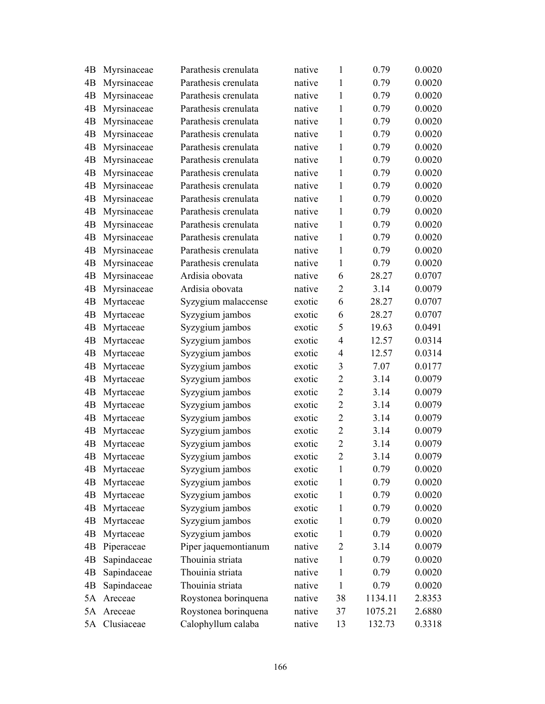| 4B | Myrsinaceae | Parathesis crenulata | native | $\mathbf{1}$   | 0.79    | 0.0020 |
|----|-------------|----------------------|--------|----------------|---------|--------|
| 4B | Myrsinaceae | Parathesis crenulata | native | 1              | 0.79    | 0.0020 |
| 4B | Myrsinaceae | Parathesis crenulata | native | 1              | 0.79    | 0.0020 |
| 4B | Myrsinaceae | Parathesis crenulata | native | 1              | 0.79    | 0.0020 |
| 4B | Myrsinaceae | Parathesis crenulata | native | 1              | 0.79    | 0.0020 |
| 4B | Myrsinaceae | Parathesis crenulata | native | 1              | 0.79    | 0.0020 |
| 4B | Myrsinaceae | Parathesis crenulata | native | $\mathbf{1}$   | 0.79    | 0.0020 |
| 4B | Myrsinaceae | Parathesis crenulata | native | $\mathbf{1}$   | 0.79    | 0.0020 |
| 4B | Myrsinaceae | Parathesis crenulata | native | 1              | 0.79    | 0.0020 |
| 4B | Myrsinaceae | Parathesis crenulata | native | 1              | 0.79    | 0.0020 |
| 4B | Myrsinaceae | Parathesis crenulata | native | 1              | 0.79    | 0.0020 |
| 4B | Myrsinaceae | Parathesis crenulata | native | $\mathbf{1}$   | 0.79    | 0.0020 |
| 4B | Myrsinaceae | Parathesis crenulata | native | 1              | 0.79    | 0.0020 |
| 4B | Myrsinaceae | Parathesis crenulata | native | $\mathbf{1}$   | 0.79    | 0.0020 |
| 4B | Myrsinaceae | Parathesis crenulata | native | 1              | 0.79    | 0.0020 |
| 4B | Myrsinaceae | Parathesis crenulata | native | $\mathbf{1}$   | 0.79    | 0.0020 |
| 4B | Myrsinaceae | Ardisia obovata      | native | 6              | 28.27   | 0.0707 |
| 4B | Myrsinaceae | Ardisia obovata      | native | $\overline{2}$ | 3.14    | 0.0079 |
| 4B | Myrtaceae   | Syzygium malaccense  | exotic | 6              | 28.27   | 0.0707 |
| 4B | Myrtaceae   | Syzygium jambos      | exotic | 6              | 28.27   | 0.0707 |
| 4B | Myrtaceae   | Syzygium jambos      | exotic | 5              | 19.63   | 0.0491 |
| 4B | Myrtaceae   | Syzygium jambos      | exotic | $\overline{4}$ | 12.57   | 0.0314 |
| 4B | Myrtaceae   | Syzygium jambos      | exotic | $\overline{4}$ | 12.57   | 0.0314 |
| 4B | Myrtaceae   | Syzygium jambos      | exotic | 3              | 7.07    | 0.0177 |
| 4B | Myrtaceae   | Syzygium jambos      | exotic | $\overline{2}$ | 3.14    | 0.0079 |
| 4B | Myrtaceae   | Syzygium jambos      | exotic | $\overline{2}$ | 3.14    | 0.0079 |
| 4B | Myrtaceae   | Syzygium jambos      | exotic | $\overline{2}$ | 3.14    | 0.0079 |
| 4B | Myrtaceae   | Syzygium jambos      | exotic | $\overline{2}$ | 3.14    | 0.0079 |
| 4B | Myrtaceae   | Syzygium jambos      | exotic | $\overline{2}$ | 3.14    | 0.0079 |
| 4B | Myrtaceae   | Syzygium jambos      | exotic | $\overline{2}$ | 3.14    | 0.0079 |
| 4B | Myrtaceae   | Syzygium jambos      | exotic | $\overline{2}$ | 3.14    | 0.0079 |
| 4B | Myrtaceae   | Syzygium jambos      | exotic | 1              | 0.79    | 0.0020 |
| 4B | Myrtaceae   | Syzygium jambos      | exotic | 1              | 0.79    | 0.0020 |
| 4B | Myrtaceae   | Syzygium jambos      | exotic | 1              | 0.79    | 0.0020 |
| 4B | Myrtaceae   | Syzygium jambos      | exotic | 1              | 0.79    | 0.0020 |
| 4B | Myrtaceae   | Syzygium jambos      | exotic | 1              | 0.79    | 0.0020 |
| 4B | Myrtaceae   | Syzygium jambos      | exotic | $\mathbf{1}$   | 0.79    | 0.0020 |
| 4B | Piperaceae  | Piper jaquemontianum | native | 2              | 3.14    | 0.0079 |
| 4B | Sapindaceae | Thouinia striata     | native | 1              | 0.79    | 0.0020 |
| 4B | Sapindaceae | Thouinia striata     | native | 1              | 0.79    | 0.0020 |
| 4B | Sapindaceae | Thouinia striata     | native | $\mathbf{1}$   | 0.79    | 0.0020 |
| 5A | Areceae     | Roystonea borinquena | native | 38             | 1134.11 | 2.8353 |
| 5A | Areceae     | Roystonea borinquena | native | 37             | 1075.21 | 2.6880 |
| 5A | Clusiaceae  | Calophyllum calaba   | native | 13             | 132.73  | 0.3318 |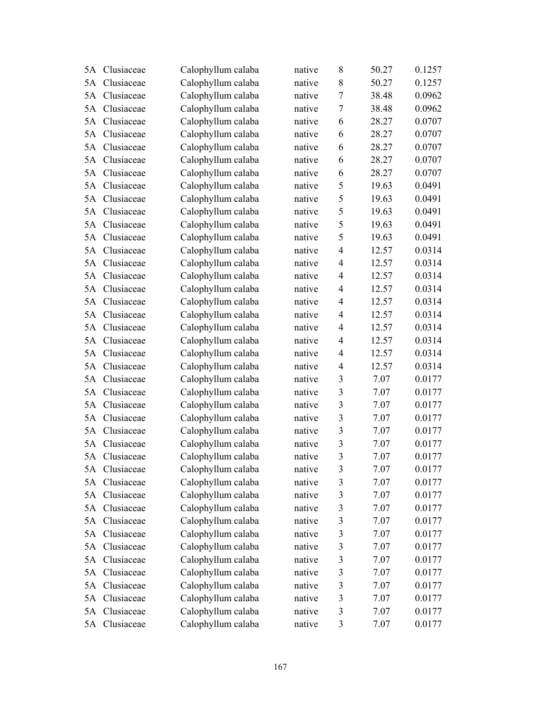| 5A | Clusiaceae    | Calophyllum calaba | native | 8                       | 50.27 | 0.1257 |
|----|---------------|--------------------|--------|-------------------------|-------|--------|
| 5A | Clusiaceae    | Calophyllum calaba | native | 8                       | 50.27 | 0.1257 |
| 5A | Clusiaceae    | Calophyllum calaba | native | $\overline{7}$          | 38.48 | 0.0962 |
| 5A | Clusiaceae    | Calophyllum calaba | native | $\tau$                  | 38.48 | 0.0962 |
| 5A | Clusiaceae    | Calophyllum calaba | native | 6                       | 28.27 | 0.0707 |
| 5A | Clusiaceae    | Calophyllum calaba | native | 6                       | 28.27 | 0.0707 |
| 5A | Clusiaceae    | Calophyllum calaba | native | 6                       | 28.27 | 0.0707 |
| 5A | Clusiaceae    | Calophyllum calaba | native | 6                       | 28.27 | 0.0707 |
| 5A | Clusiaceae    | Calophyllum calaba | native | 6                       | 28.27 | 0.0707 |
| 5A | Clusiaceae    | Calophyllum calaba | native | 5                       | 19.63 | 0.0491 |
| 5A | Clusiaceae    | Calophyllum calaba | native | 5                       | 19.63 | 0.0491 |
| 5A | Clusiaceae    | Calophyllum calaba | native | 5                       | 19.63 | 0.0491 |
| 5A | Clusiaceae    | Calophyllum calaba | native | 5                       | 19.63 | 0.0491 |
| 5A | Clusiaceae    | Calophyllum calaba | native | 5                       | 19.63 | 0.0491 |
| 5A | Clusiaceae    | Calophyllum calaba | native | $\overline{4}$          | 12.57 | 0.0314 |
| 5A | Clusiaceae    | Calophyllum calaba | native | $\overline{4}$          | 12.57 | 0.0314 |
| 5A | Clusiaceae    | Calophyllum calaba | native | $\overline{4}$          | 12.57 | 0.0314 |
| 5A | Clusiaceae    | Calophyllum calaba | native | $\overline{4}$          | 12.57 | 0.0314 |
| 5A | Clusiaceae    | Calophyllum calaba | native | $\overline{4}$          | 12.57 | 0.0314 |
| 5A | Clusiaceae    | Calophyllum calaba | native | $\overline{4}$          | 12.57 | 0.0314 |
| 5A | Clusiaceae    | Calophyllum calaba | native | $\overline{4}$          | 12.57 | 0.0314 |
| 5A | Clusiaceae    | Calophyllum calaba | native | $\overline{4}$          | 12.57 | 0.0314 |
| 5A | Clusiaceae    | Calophyllum calaba | native | $\overline{4}$          | 12.57 | 0.0314 |
| 5A | Clusiaceae    | Calophyllum calaba | native | $\overline{4}$          | 12.57 | 0.0314 |
| 5A | Clusiaceae    | Calophyllum calaba | native | 3                       | 7.07  | 0.0177 |
| 5A | Clusiaceae    | Calophyllum calaba | native | 3                       | 7.07  | 0.0177 |
| 5A | Clusiaceae    | Calophyllum calaba | native | $\overline{\mathbf{3}}$ | 7.07  | 0.0177 |
| 5A | Clusiaceae    | Calophyllum calaba | native | 3                       | 7.07  | 0.0177 |
| 5A | Clusiaceae    | Calophyllum calaba | native | $\mathfrak{Z}$          | 7.07  | 0.0177 |
| 5A | Clusiaceae    | Calophyllum calaba | native | 3                       | 7.07  | 0.0177 |
|    | 5A Clusiaceae | Calophyllum calaba | native | 3                       | 7.07  | 0.0177 |
| 5A | Clusiaceae    | Calophyllum calaba | native | 3                       | 7.07  | 0.0177 |
| 5A | Clusiaceae    | Calophyllum calaba | native | 3                       | 7.07  | 0.0177 |
| 5A | Clusiaceae    | Calophyllum calaba | native | $\mathfrak{Z}$          | 7.07  | 0.0177 |
| 5A | Clusiaceae    | Calophyllum calaba | native | $\mathfrak{Z}$          | 7.07  | 0.0177 |
| 5A | Clusiaceae    | Calophyllum calaba | native | $\mathfrak{Z}$          | 7.07  | 0.0177 |
| 5A | Clusiaceae    | Calophyllum calaba | native | 3                       | 7.07  | 0.0177 |
| 5A | Clusiaceae    | Calophyllum calaba | native | $\mathfrak{Z}$          | 7.07  | 0.0177 |
| 5A | Clusiaceae    | Calophyllum calaba | native | $\mathfrak{Z}$          | 7.07  | 0.0177 |
| 5A | Clusiaceae    | Calophyllum calaba | native | $\overline{\mathbf{3}}$ | 7.07  | 0.0177 |
| 5A | Clusiaceae    | Calophyllum calaba | native | $\mathfrak{Z}$          | 7.07  | 0.0177 |
| 5A | Clusiaceae    | Calophyllum calaba | native | 3                       | 7.07  | 0.0177 |
| 5A | Clusiaceae    | Calophyllum calaba | native | $\mathfrak{Z}$          | 7.07  | 0.0177 |
|    | 5A Clusiaceae | Calophyllum calaba | native | 3                       | 7.07  | 0.0177 |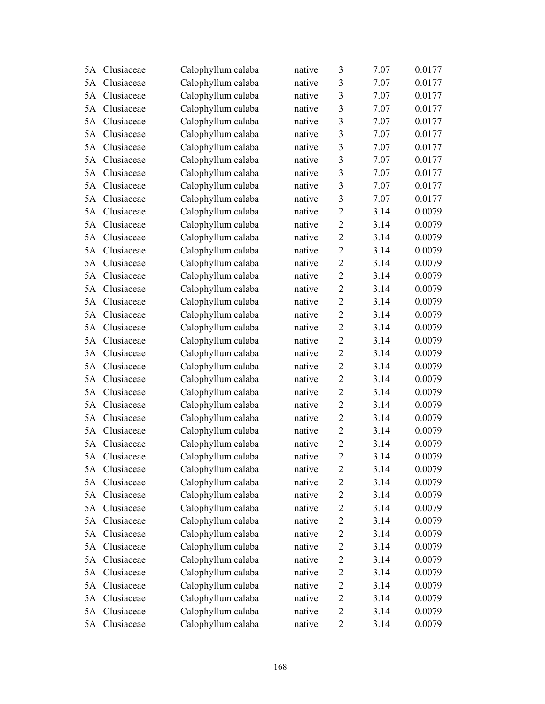| 5A | Clusiaceae    | Calophyllum calaba | native | 3              | 7.07 | 0.0177 |
|----|---------------|--------------------|--------|----------------|------|--------|
| 5A | Clusiaceae    | Calophyllum calaba | native | 3              | 7.07 | 0.0177 |
| 5A | Clusiaceae    | Calophyllum calaba | native | 3              | 7.07 | 0.0177 |
| 5A | Clusiaceae    | Calophyllum calaba | native | 3              | 7.07 | 0.0177 |
| 5A | Clusiaceae    | Calophyllum calaba | native | 3              | 7.07 | 0.0177 |
| 5A | Clusiaceae    | Calophyllum calaba | native | 3              | 7.07 | 0.0177 |
| 5A | Clusiaceae    | Calophyllum calaba | native | 3              | 7.07 | 0.0177 |
| 5A | Clusiaceae    | Calophyllum calaba | native | $\mathfrak{Z}$ | 7.07 | 0.0177 |
| 5A | Clusiaceae    | Calophyllum calaba | native | $\overline{3}$ | 7.07 | 0.0177 |
| 5A | Clusiaceae    | Calophyllum calaba | native | 3              | 7.07 | 0.0177 |
| 5A | Clusiaceae    | Calophyllum calaba | native | 3              | 7.07 | 0.0177 |
| 5A | Clusiaceae    | Calophyllum calaba | native | $\overline{2}$ | 3.14 | 0.0079 |
| 5A | Clusiaceae    | Calophyllum calaba | native | $\overline{2}$ | 3.14 | 0.0079 |
| 5A | Clusiaceae    | Calophyllum calaba | native | $\overline{2}$ | 3.14 | 0.0079 |
| 5A | Clusiaceae    | Calophyllum calaba | native | $\overline{2}$ | 3.14 | 0.0079 |
| 5A | Clusiaceae    | Calophyllum calaba | native | $\overline{2}$ | 3.14 | 0.0079 |
| 5A | Clusiaceae    | Calophyllum calaba | native | $\overline{2}$ | 3.14 | 0.0079 |
| 5A | Clusiaceae    | Calophyllum calaba | native | $\overline{2}$ | 3.14 | 0.0079 |
| 5A | Clusiaceae    | Calophyllum calaba | native | $\overline{2}$ | 3.14 | 0.0079 |
| 5A | Clusiaceae    | Calophyllum calaba | native | $\overline{2}$ | 3.14 | 0.0079 |
| 5A | Clusiaceae    | Calophyllum calaba | native | $\overline{2}$ | 3.14 | 0.0079 |
| 5A | Clusiaceae    | Calophyllum calaba | native | $\overline{2}$ | 3.14 | 0.0079 |
| 5A | Clusiaceae    | Calophyllum calaba | native | $\overline{2}$ | 3.14 | 0.0079 |
| 5A | Clusiaceae    | Calophyllum calaba | native | $\overline{2}$ | 3.14 | 0.0079 |
| 5A | Clusiaceae    | Calophyllum calaba | native | $\overline{2}$ | 3.14 | 0.0079 |
| 5A | Clusiaceae    | Calophyllum calaba | native | $\overline{2}$ | 3.14 | 0.0079 |
| 5A | Clusiaceae    | Calophyllum calaba | native | $\overline{2}$ | 3.14 | 0.0079 |
| 5A | Clusiaceae    | Calophyllum calaba | native | $\overline{2}$ | 3.14 | 0.0079 |
| 5A | Clusiaceae    | Calophyllum calaba | native | $\overline{2}$ | 3.14 | 0.0079 |
| 5A | Clusiaceae    | Calophyllum calaba | native | $\overline{2}$ | 3.14 | 0.0079 |
|    | 5A Clusiaceae | Calophyllum calaba | native | $\overline{2}$ | 3.14 | 0.0079 |
| 5A | Clusiaceae    | Calophyllum calaba | native | $\overline{c}$ | 3.14 | 0.0079 |
| 5A | Clusiaceae    | Calophyllum calaba | native | $\overline{2}$ | 3.14 | 0.0079 |
| 5A | Clusiaceae    | Calophyllum calaba | native | $\overline{2}$ | 3.14 | 0.0079 |
| 5A | Clusiaceae    | Calophyllum calaba | native | $\overline{2}$ | 3.14 | 0.0079 |
| 5A | Clusiaceae    | Calophyllum calaba | native | $\overline{2}$ | 3.14 | 0.0079 |
| 5A | Clusiaceae    | Calophyllum calaba | native | $\overline{2}$ | 3.14 | 0.0079 |
| 5A | Clusiaceae    | Calophyllum calaba | native | $\mathbf{2}$   | 3.14 | 0.0079 |
| 5A | Clusiaceae    | Calophyllum calaba | native | $\overline{2}$ | 3.14 | 0.0079 |
| 5A | Clusiaceae    | Calophyllum calaba | native | $\overline{2}$ | 3.14 | 0.0079 |
| 5A | Clusiaceae    | Calophyllum calaba | native | $\overline{2}$ | 3.14 | 0.0079 |
| 5A | Clusiaceae    | Calophyllum calaba | native | $\mathbf{2}$   | 3.14 | 0.0079 |
| 5A | Clusiaceae    | Calophyllum calaba | native | $\overline{c}$ | 3.14 | 0.0079 |
|    | 5A Clusiaceae | Calophyllum calaba | native | $\overline{2}$ | 3.14 | 0.0079 |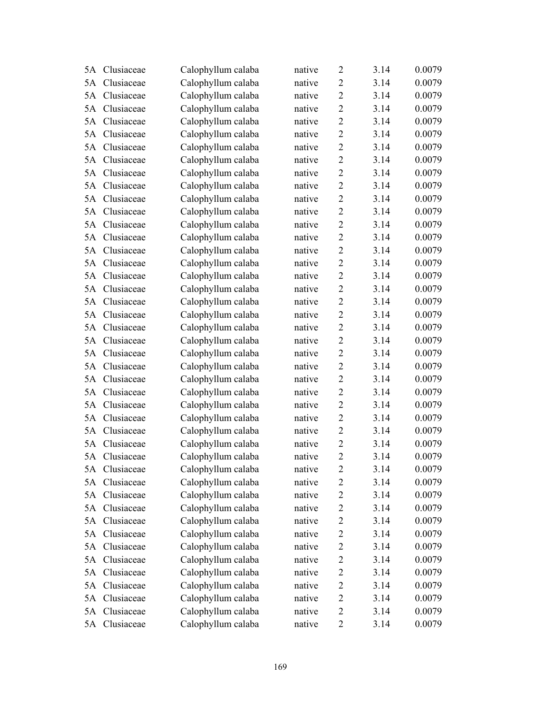| 5A | Clusiaceae    | Calophyllum calaba | native | $\overline{2}$ | 3.14 | 0.0079 |
|----|---------------|--------------------|--------|----------------|------|--------|
| 5A | Clusiaceae    | Calophyllum calaba | native | $\overline{2}$ | 3.14 | 0.0079 |
| 5A | Clusiaceae    | Calophyllum calaba | native | $\overline{2}$ | 3.14 | 0.0079 |
| 5A | Clusiaceae    | Calophyllum calaba | native | $\overline{2}$ | 3.14 | 0.0079 |
| 5A | Clusiaceae    | Calophyllum calaba | native | $\overline{2}$ | 3.14 | 0.0079 |
| 5A | Clusiaceae    | Calophyllum calaba | native | $\overline{2}$ | 3.14 | 0.0079 |
| 5A | Clusiaceae    | Calophyllum calaba | native | $\overline{2}$ | 3.14 | 0.0079 |
| 5A | Clusiaceae    | Calophyllum calaba | native | $\overline{2}$ | 3.14 | 0.0079 |
| 5A | Clusiaceae    | Calophyllum calaba | native | $\overline{2}$ | 3.14 | 0.0079 |
| 5A | Clusiaceae    | Calophyllum calaba | native | $\overline{2}$ | 3.14 | 0.0079 |
| 5A | Clusiaceae    | Calophyllum calaba | native | $\overline{2}$ | 3.14 | 0.0079 |
| 5A | Clusiaceae    | Calophyllum calaba | native | $\overline{2}$ | 3.14 | 0.0079 |
| 5A | Clusiaceae    | Calophyllum calaba | native | $\overline{2}$ | 3.14 | 0.0079 |
| 5A | Clusiaceae    | Calophyllum calaba | native | $\overline{2}$ | 3.14 | 0.0079 |
| 5A | Clusiaceae    | Calophyllum calaba | native | $\overline{2}$ | 3.14 | 0.0079 |
| 5A | Clusiaceae    | Calophyllum calaba | native | $\overline{2}$ | 3.14 | 0.0079 |
| 5A | Clusiaceae    | Calophyllum calaba | native | $\overline{2}$ | 3.14 | 0.0079 |
| 5A | Clusiaceae    | Calophyllum calaba | native | $\overline{2}$ | 3.14 | 0.0079 |
| 5A | Clusiaceae    | Calophyllum calaba | native | $\overline{2}$ | 3.14 | 0.0079 |
| 5A | Clusiaceae    | Calophyllum calaba | native | $\overline{2}$ | 3.14 | 0.0079 |
| 5A | Clusiaceae    | Calophyllum calaba | native | $\overline{2}$ | 3.14 | 0.0079 |
| 5A | Clusiaceae    | Calophyllum calaba | native | $\overline{2}$ | 3.14 | 0.0079 |
| 5A | Clusiaceae    | Calophyllum calaba | native | $\overline{2}$ | 3.14 | 0.0079 |
| 5A | Clusiaceae    | Calophyllum calaba | native | $\overline{2}$ | 3.14 | 0.0079 |
| 5A | Clusiaceae    | Calophyllum calaba | native | $\overline{2}$ | 3.14 | 0.0079 |
| 5A | Clusiaceae    | Calophyllum calaba | native | $\overline{2}$ | 3.14 | 0.0079 |
| 5A | Clusiaceae    | Calophyllum calaba | native | $\overline{2}$ | 3.14 | 0.0079 |
| 5A | Clusiaceae    | Calophyllum calaba | native | $\sqrt{2}$     | 3.14 | 0.0079 |
| 5A | Clusiaceae    | Calophyllum calaba | native | $\overline{2}$ | 3.14 | 0.0079 |
| 5A | Clusiaceae    | Calophyllum calaba | native | $\overline{2}$ | 3.14 | 0.0079 |
|    | 5A Clusiaceae | Calophyllum calaba | native | $\overline{2}$ | 3.14 | 0.0079 |
| 5A | Clusiaceae    | Calophyllum calaba | native | 2              | 3.14 | 0.0079 |
| 5A | Clusiaceae    | Calophyllum calaba | native | $\overline{c}$ | 3.14 | 0.0079 |
| 5A | Clusiaceae    | Calophyllum calaba | native | $\overline{2}$ | 3.14 | 0.0079 |
| 5A | Clusiaceae    | Calophyllum calaba | native | $\mathbf{2}$   | 3.14 | 0.0079 |
| 5A | Clusiaceae    | Calophyllum calaba | native | $\overline{2}$ | 3.14 | 0.0079 |
| 5A | Clusiaceae    | Calophyllum calaba | native | $\overline{2}$ | 3.14 | 0.0079 |
| 5A | Clusiaceae    | Calophyllum calaba | native | $\mathbf{2}$   | 3.14 | 0.0079 |
| 5A | Clusiaceae    | Calophyllum calaba | native | $\mathbf{2}$   | 3.14 | 0.0079 |
| 5A | Clusiaceae    | Calophyllum calaba | native | $\overline{2}$ | 3.14 | 0.0079 |
| 5A | Clusiaceae    | Calophyllum calaba | native | $\overline{2}$ | 3.14 | 0.0079 |
| 5A | Clusiaceae    | Calophyllum calaba | native | $\mathbf{2}$   | 3.14 | 0.0079 |
| 5A | Clusiaceae    | Calophyllum calaba | native | $\mathbf{2}$   | 3.14 | 0.0079 |
|    | 5A Clusiaceae | Calophyllum calaba | native | $\overline{2}$ | 3.14 | 0.0079 |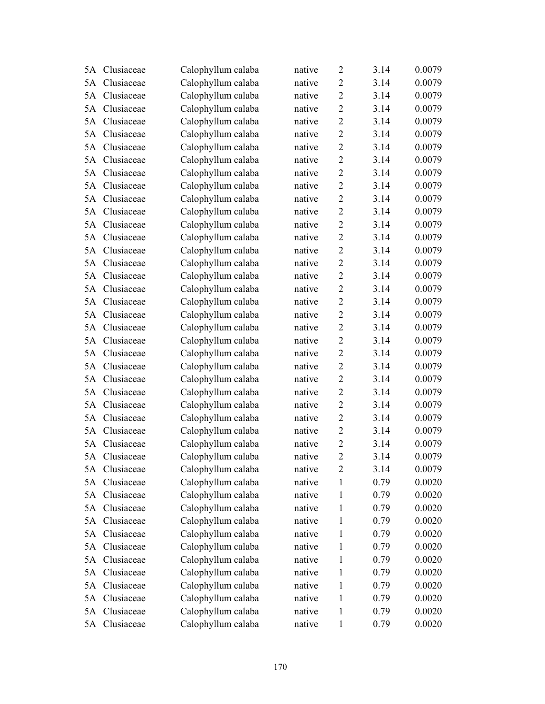| 5A | Clusiaceae    | Calophyllum calaba | native | $\overline{2}$ | 3.14 | 0.0079 |
|----|---------------|--------------------|--------|----------------|------|--------|
| 5A | Clusiaceae    | Calophyllum calaba | native | $\overline{2}$ | 3.14 | 0.0079 |
| 5A | Clusiaceae    | Calophyllum calaba | native | $\overline{2}$ | 3.14 | 0.0079 |
| 5A | Clusiaceae    | Calophyllum calaba | native | $\overline{2}$ | 3.14 | 0.0079 |
| 5A | Clusiaceae    | Calophyllum calaba | native | $\overline{2}$ | 3.14 | 0.0079 |
| 5A | Clusiaceae    | Calophyllum calaba | native | $\overline{2}$ | 3.14 | 0.0079 |
| 5A | Clusiaceae    | Calophyllum calaba | native | $\overline{2}$ | 3.14 | 0.0079 |
| 5A | Clusiaceae    | Calophyllum calaba | native | $\overline{2}$ | 3.14 | 0.0079 |
| 5A | Clusiaceae    | Calophyllum calaba | native | $\overline{2}$ | 3.14 | 0.0079 |
| 5A | Clusiaceae    | Calophyllum calaba | native | $\overline{2}$ | 3.14 | 0.0079 |
| 5A | Clusiaceae    | Calophyllum calaba | native | $\overline{2}$ | 3.14 | 0.0079 |
| 5A | Clusiaceae    | Calophyllum calaba | native | $\overline{2}$ | 3.14 | 0.0079 |
| 5A | Clusiaceae    | Calophyllum calaba | native | $\overline{2}$ | 3.14 | 0.0079 |
| 5A | Clusiaceae    | Calophyllum calaba | native | $\overline{2}$ | 3.14 | 0.0079 |
| 5A | Clusiaceae    | Calophyllum calaba | native | $\overline{2}$ | 3.14 | 0.0079 |
| 5A | Clusiaceae    | Calophyllum calaba | native | $\overline{2}$ | 3.14 | 0.0079 |
| 5A | Clusiaceae    | Calophyllum calaba | native | $\overline{2}$ | 3.14 | 0.0079 |
| 5A | Clusiaceae    | Calophyllum calaba | native | $\overline{2}$ | 3.14 | 0.0079 |
| 5A | Clusiaceae    | Calophyllum calaba | native | $\overline{2}$ | 3.14 | 0.0079 |
| 5A | Clusiaceae    | Calophyllum calaba | native | $\overline{2}$ | 3.14 | 0.0079 |
| 5A | Clusiaceae    | Calophyllum calaba | native | $\overline{2}$ | 3.14 | 0.0079 |
| 5A | Clusiaceae    | Calophyllum calaba | native | $\overline{2}$ | 3.14 | 0.0079 |
| 5A | Clusiaceae    | Calophyllum calaba | native | $\overline{2}$ | 3.14 | 0.0079 |
| 5A | Clusiaceae    | Calophyllum calaba | native | $\overline{2}$ | 3.14 | 0.0079 |
| 5A | Clusiaceae    | Calophyllum calaba | native | $\overline{2}$ | 3.14 | 0.0079 |
| 5A | Clusiaceae    | Calophyllum calaba | native | $\overline{2}$ | 3.14 | 0.0079 |
| 5A | Clusiaceae    | Calophyllum calaba | native | $\overline{2}$ | 3.14 | 0.0079 |
| 5A | Clusiaceae    | Calophyllum calaba | native | $\overline{2}$ | 3.14 | 0.0079 |
| 5A | Clusiaceae    | Calophyllum calaba | native | $\overline{2}$ | 3.14 | 0.0079 |
| 5A | Clusiaceae    | Calophyllum calaba | native | $\overline{2}$ | 3.14 | 0.0079 |
|    | 5A Clusiaceae | Calophyllum calaba | native | $\overline{2}$ | 3.14 | 0.0079 |
| 5A | Clusiaceae    | Calophyllum calaba | native | $\overline{2}$ | 3.14 | 0.0079 |
| 5A | Clusiaceae    | Calophyllum calaba | native | 1              | 0.79 | 0.0020 |
| 5A | Clusiaceae    | Calophyllum calaba | native | 1              | 0.79 | 0.0020 |
| 5A | Clusiaceae    | Calophyllum calaba | native | $\mathbf{1}$   | 0.79 | 0.0020 |
| 5A | Clusiaceae    | Calophyllum calaba | native | 1              | 0.79 | 0.0020 |
| 5A | Clusiaceae    | Calophyllum calaba | native | $\mathbf{1}$   | 0.79 | 0.0020 |
| 5A | Clusiaceae    | Calophyllum calaba | native | 1              | 0.79 | 0.0020 |
| 5A | Clusiaceae    | Calophyllum calaba | native | $\mathbf{1}$   | 0.79 | 0.0020 |
| 5A | Clusiaceae    | Calophyllum calaba | native | 1              | 0.79 | 0.0020 |
| 5A | Clusiaceae    | Calophyllum calaba | native | 1              | 0.79 | 0.0020 |
| 5A | Clusiaceae    | Calophyllum calaba | native | $\mathbf{1}$   | 0.79 | 0.0020 |
| 5A | Clusiaceae    | Calophyllum calaba | native | 1              | 0.79 | 0.0020 |
| 5A | Clusiaceae    | Calophyllum calaba | native | $\mathbf{1}$   | 0.79 | 0.0020 |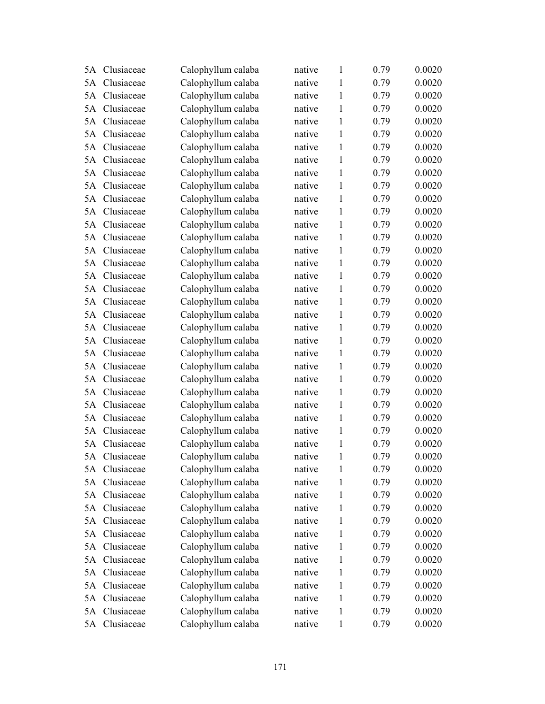| 5A | Clusiaceae    | Calophyllum calaba | native | $\mathbf{1}$ | 0.79 | 0.0020 |
|----|---------------|--------------------|--------|--------------|------|--------|
| 5A | Clusiaceae    | Calophyllum calaba | native | 1            | 0.79 | 0.0020 |
| 5A | Clusiaceae    | Calophyllum calaba | native | $\mathbf{1}$ | 0.79 | 0.0020 |
| 5A | Clusiaceae    | Calophyllum calaba | native | 1            | 0.79 | 0.0020 |
| 5A | Clusiaceae    | Calophyllum calaba | native | $\mathbf{1}$ | 0.79 | 0.0020 |
| 5A | Clusiaceae    | Calophyllum calaba | native | 1            | 0.79 | 0.0020 |
| 5A | Clusiaceae    | Calophyllum calaba | native | 1            | 0.79 | 0.0020 |
| 5A | Clusiaceae    | Calophyllum calaba | native | $\mathbf{1}$ | 0.79 | 0.0020 |
| 5A | Clusiaceae    | Calophyllum calaba | native | $\mathbf{1}$ | 0.79 | 0.0020 |
| 5A | Clusiaceae    | Calophyllum calaba | native | $\mathbf{1}$ | 0.79 | 0.0020 |
| 5A | Clusiaceae    | Calophyllum calaba | native | $\mathbf{1}$ | 0.79 | 0.0020 |
| 5A | Clusiaceae    | Calophyllum calaba | native | $\mathbf{1}$ | 0.79 | 0.0020 |
| 5A | Clusiaceae    | Calophyllum calaba | native | $\mathbf{1}$ | 0.79 | 0.0020 |
| 5A | Clusiaceae    | Calophyllum calaba | native | $\mathbf{1}$ | 0.79 | 0.0020 |
| 5A | Clusiaceae    | Calophyllum calaba | native | $\mathbf{1}$ | 0.79 | 0.0020 |
| 5A | Clusiaceae    | Calophyllum calaba | native | 1            | 0.79 | 0.0020 |
| 5A | Clusiaceae    | Calophyllum calaba | native | $\mathbf{1}$ | 0.79 | 0.0020 |
| 5A | Clusiaceae    | Calophyllum calaba | native | $\mathbf{1}$ | 0.79 | 0.0020 |
| 5A | Clusiaceae    | Calophyllum calaba | native | 1            | 0.79 | 0.0020 |
| 5A | Clusiaceae    | Calophyllum calaba | native | $\mathbf{1}$ | 0.79 | 0.0020 |
| 5A | Clusiaceae    | Calophyllum calaba | native | 1            | 0.79 | 0.0020 |
| 5A | Clusiaceae    | Calophyllum calaba | native | $\mathbf{1}$ | 0.79 | 0.0020 |
| 5A | Clusiaceae    | Calophyllum calaba | native | $\mathbf{1}$ | 0.79 | 0.0020 |
| 5A | Clusiaceae    | Calophyllum calaba | native | $\mathbf{1}$ | 0.79 | 0.0020 |
| 5A | Clusiaceae    | Calophyllum calaba | native | $\mathbf{1}$ | 0.79 | 0.0020 |
| 5A | Clusiaceae    | Calophyllum calaba | native | 1            | 0.79 | 0.0020 |
| 5A | Clusiaceae    | Calophyllum calaba | native | $\mathbf{1}$ | 0.79 | 0.0020 |
| 5A | Clusiaceae    | Calophyllum calaba | native | 1            | 0.79 | 0.0020 |
| 5A | Clusiaceae    | Calophyllum calaba | native | $\mathbf{1}$ | 0.79 | 0.0020 |
| 5A | Clusiaceae    | Calophyllum calaba | native | $\mathbf{1}$ | 0.79 | 0.0020 |
|    | 5A Clusiaceae | Calophyllum calaba | native | 1            | 0.79 | 0.0020 |
| 5A | Clusiaceae    | Calophyllum calaba | native | 1            | 0.79 | 0.0020 |
| 5A | Clusiaceae    | Calophyllum calaba | native | 1            | 0.79 | 0.0020 |
| 5A | Clusiaceae    | Calophyllum calaba | native | 1            | 0.79 | 0.0020 |
| 5A | Clusiaceae    | Calophyllum calaba | native | $\mathbf{1}$ | 0.79 | 0.0020 |
| 5A | Clusiaceae    | Calophyllum calaba | native | 1            | 0.79 | 0.0020 |
| 5A | Clusiaceae    | Calophyllum calaba | native | 1            | 0.79 | 0.0020 |
| 5A | Clusiaceae    | Calophyllum calaba | native | 1            | 0.79 | 0.0020 |
| 5A | Clusiaceae    | Calophyllum calaba | native | 1            | 0.79 | 0.0020 |
| 5A | Clusiaceae    | Calophyllum calaba | native | 1            | 0.79 | 0.0020 |
| 5A | Clusiaceae    | Calophyllum calaba | native | 1            | 0.79 | 0.0020 |
| 5A | Clusiaceae    | Calophyllum calaba | native | 1            | 0.79 | 0.0020 |
| 5A | Clusiaceae    | Calophyllum calaba | native | 1            | 0.79 | 0.0020 |
| 5A | Clusiaceae    | Calophyllum calaba | native | $\mathbf{1}$ | 0.79 | 0.0020 |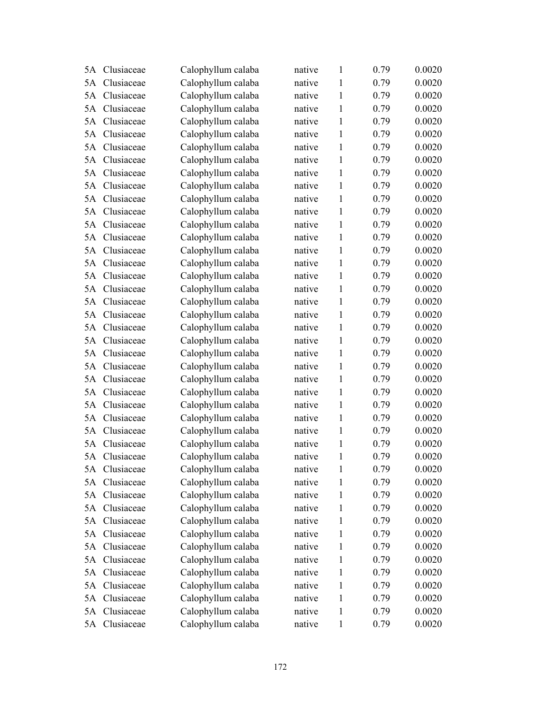| 5A | Clusiaceae    | Calophyllum calaba | native | $\mathbf{1}$ | 0.79 | 0.0020 |
|----|---------------|--------------------|--------|--------------|------|--------|
| 5A | Clusiaceae    | Calophyllum calaba | native | 1            | 0.79 | 0.0020 |
| 5A | Clusiaceae    | Calophyllum calaba | native | $\mathbf{1}$ | 0.79 | 0.0020 |
| 5A | Clusiaceae    | Calophyllum calaba | native | 1            | 0.79 | 0.0020 |
| 5A | Clusiaceae    | Calophyllum calaba | native | $\mathbf{1}$ | 0.79 | 0.0020 |
| 5A | Clusiaceae    | Calophyllum calaba | native | 1            | 0.79 | 0.0020 |
| 5A | Clusiaceae    | Calophyllum calaba | native | 1            | 0.79 | 0.0020 |
| 5A | Clusiaceae    | Calophyllum calaba | native | $\mathbf{1}$ | 0.79 | 0.0020 |
| 5A | Clusiaceae    | Calophyllum calaba | native | $\mathbf{1}$ | 0.79 | 0.0020 |
| 5A | Clusiaceae    | Calophyllum calaba | native | $\mathbf{1}$ | 0.79 | 0.0020 |
| 5A | Clusiaceae    | Calophyllum calaba | native | $\mathbf{1}$ | 0.79 | 0.0020 |
| 5A | Clusiaceae    | Calophyllum calaba | native | $\mathbf{1}$ | 0.79 | 0.0020 |
| 5A | Clusiaceae    | Calophyllum calaba | native | $\mathbf{1}$ | 0.79 | 0.0020 |
| 5A | Clusiaceae    | Calophyllum calaba | native | $\mathbf{1}$ | 0.79 | 0.0020 |
| 5A | Clusiaceae    | Calophyllum calaba | native | $\mathbf{1}$ | 0.79 | 0.0020 |
| 5A | Clusiaceae    | Calophyllum calaba | native | 1            | 0.79 | 0.0020 |
| 5A | Clusiaceae    | Calophyllum calaba | native | $\mathbf{1}$ | 0.79 | 0.0020 |
| 5A | Clusiaceae    | Calophyllum calaba | native | $\mathbf{1}$ | 0.79 | 0.0020 |
| 5A | Clusiaceae    | Calophyllum calaba | native | 1            | 0.79 | 0.0020 |
| 5A | Clusiaceae    | Calophyllum calaba | native | $\mathbf{1}$ | 0.79 | 0.0020 |
| 5A | Clusiaceae    | Calophyllum calaba | native | 1            | 0.79 | 0.0020 |
| 5A | Clusiaceae    | Calophyllum calaba | native | $\mathbf{1}$ | 0.79 | 0.0020 |
| 5A | Clusiaceae    | Calophyllum calaba | native | $\mathbf{1}$ | 0.79 | 0.0020 |
| 5A | Clusiaceae    | Calophyllum calaba | native | $\mathbf{1}$ | 0.79 | 0.0020 |
| 5A | Clusiaceae    | Calophyllum calaba | native | $\mathbf{1}$ | 0.79 | 0.0020 |
| 5A | Clusiaceae    | Calophyllum calaba | native | 1            | 0.79 | 0.0020 |
| 5A | Clusiaceae    | Calophyllum calaba | native | $\mathbf{1}$ | 0.79 | 0.0020 |
| 5A | Clusiaceae    | Calophyllum calaba | native | $\mathbf{1}$ | 0.79 | 0.0020 |
| 5A | Clusiaceae    | Calophyllum calaba | native | $\mathbf{1}$ | 0.79 | 0.0020 |
| 5A | Clusiaceae    | Calophyllum calaba | native | $\mathbf{1}$ | 0.79 | 0.0020 |
|    | 5A Clusiaceae | Calophyllum calaba | native | $\mathbf{1}$ | 0.79 | 0.0020 |
| 5A | Clusiaceae    | Calophyllum calaba | native | 1            | 0.79 | 0.0020 |
| 5A | Clusiaceae    | Calophyllum calaba | native | 1            | 0.79 | 0.0020 |
| 5A | Clusiaceae    | Calophyllum calaba | native | 1            | 0.79 | 0.0020 |
| 5A | Clusiaceae    | Calophyllum calaba | native | $\mathbf{1}$ | 0.79 | 0.0020 |
| 5A | Clusiaceae    | Calophyllum calaba | native | 1            | 0.79 | 0.0020 |
| 5A | Clusiaceae    | Calophyllum calaba | native | $\mathbf{1}$ | 0.79 | 0.0020 |
| 5A | Clusiaceae    | Calophyllum calaba | native | 1            | 0.79 | 0.0020 |
| 5A | Clusiaceae    | Calophyllum calaba | native | 1            | 0.79 | 0.0020 |
| 5A | Clusiaceae    | Calophyllum calaba | native | $\mathbf{1}$ | 0.79 | 0.0020 |
| 5A | Clusiaceae    | Calophyllum calaba | native | 1            | 0.79 | 0.0020 |
| 5A | Clusiaceae    | Calophyllum calaba | native | $\mathbf{1}$ | 0.79 | 0.0020 |
| 5A | Clusiaceae    | Calophyllum calaba | native | $\mathbf{1}$ | 0.79 | 0.0020 |
| 5A | Clusiaceae    | Calophyllum calaba | native | $\mathbf{1}$ | 0.79 | 0.0020 |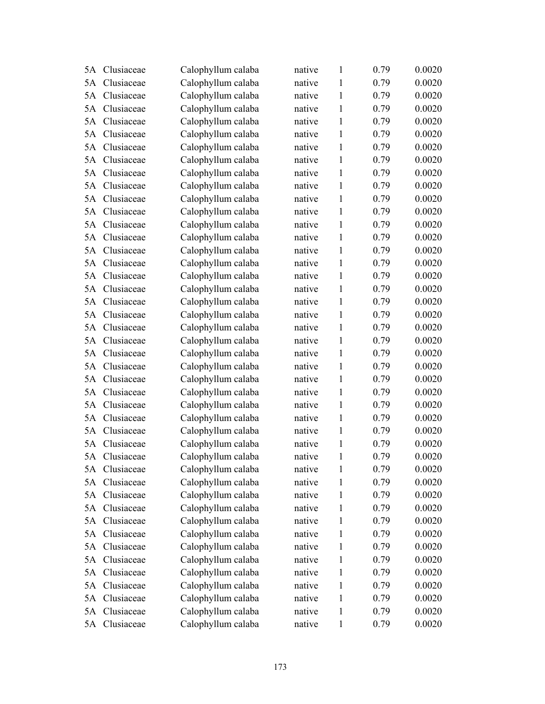| 5A | Clusiaceae    | Calophyllum calaba | native | $\mathbf{1}$ | 0.79 | 0.0020 |
|----|---------------|--------------------|--------|--------------|------|--------|
| 5A | Clusiaceae    | Calophyllum calaba | native | 1            | 0.79 | 0.0020 |
| 5A | Clusiaceae    | Calophyllum calaba | native | $\mathbf{1}$ | 0.79 | 0.0020 |
| 5A | Clusiaceae    | Calophyllum calaba | native | $\mathbf{1}$ | 0.79 | 0.0020 |
| 5A | Clusiaceae    | Calophyllum calaba | native | $\mathbf{1}$ | 0.79 | 0.0020 |
| 5A | Clusiaceae    | Calophyllum calaba | native | 1            | 0.79 | 0.0020 |
| 5A | Clusiaceae    | Calophyllum calaba | native | 1            | 0.79 | 0.0020 |
| 5A | Clusiaceae    | Calophyllum calaba | native | $\mathbf{1}$ | 0.79 | 0.0020 |
| 5A | Clusiaceae    | Calophyllum calaba | native | $\mathbf{1}$ | 0.79 | 0.0020 |
| 5A | Clusiaceae    | Calophyllum calaba | native | $\mathbf{1}$ | 0.79 | 0.0020 |
| 5A | Clusiaceae    | Calophyllum calaba | native | $\mathbf{1}$ | 0.79 | 0.0020 |
| 5A | Clusiaceae    | Calophyllum calaba | native | $\mathbf{1}$ | 0.79 | 0.0020 |
| 5A | Clusiaceae    | Calophyllum calaba | native | $\mathbf{1}$ | 0.79 | 0.0020 |
| 5A | Clusiaceae    | Calophyllum calaba | native | $\mathbf{1}$ | 0.79 | 0.0020 |
| 5A | Clusiaceae    | Calophyllum calaba | native | $\mathbf{1}$ | 0.79 | 0.0020 |
| 5A | Clusiaceae    | Calophyllum calaba | native | 1            | 0.79 | 0.0020 |
| 5A | Clusiaceae    | Calophyllum calaba | native | $\mathbf{1}$ | 0.79 | 0.0020 |
| 5A | Clusiaceae    | Calophyllum calaba | native | $\mathbf{1}$ | 0.79 | 0.0020 |
| 5A | Clusiaceae    | Calophyllum calaba | native | 1            | 0.79 | 0.0020 |
| 5A | Clusiaceae    | Calophyllum calaba | native | $\mathbf{1}$ | 0.79 | 0.0020 |
| 5A | Clusiaceae    | Calophyllum calaba | native | 1            | 0.79 | 0.0020 |
| 5A | Clusiaceae    | Calophyllum calaba | native | $\mathbf{1}$ | 0.79 | 0.0020 |
| 5A | Clusiaceae    | Calophyllum calaba | native | $\mathbf{1}$ | 0.79 | 0.0020 |
| 5A | Clusiaceae    | Calophyllum calaba | native | $\mathbf{1}$ | 0.79 | 0.0020 |
| 5A | Clusiaceae    | Calophyllum calaba | native | $\mathbf{1}$ | 0.79 | 0.0020 |
| 5A | Clusiaceae    | Calophyllum calaba | native | 1            | 0.79 | 0.0020 |
| 5A | Clusiaceae    | Calophyllum calaba | native | $\mathbf{1}$ | 0.79 | 0.0020 |
| 5A | Clusiaceae    | Calophyllum calaba | native | $\mathbf{1}$ | 0.79 | 0.0020 |
| 5A | Clusiaceae    | Calophyllum calaba | native | $\mathbf{1}$ | 0.79 | 0.0020 |
| 5A | Clusiaceae    | Calophyllum calaba | native | $\mathbf{1}$ | 0.79 | 0.0020 |
|    | 5A Clusiaceae | Calophyllum calaba | native | $\mathbf{1}$ | 0.79 | 0.0020 |
| 5A | Clusiaceae    | Calophyllum calaba | native | 1            | 0.79 | 0.0020 |
| 5A | Clusiaceae    | Calophyllum calaba | native | 1            | 0.79 | 0.0020 |
| 5A | Clusiaceae    | Calophyllum calaba | native | 1            | 0.79 | 0.0020 |
| 5A | Clusiaceae    | Calophyllum calaba | native | $\mathbf{1}$ | 0.79 | 0.0020 |
| 5A | Clusiaceae    | Calophyllum calaba | native | 1            | 0.79 | 0.0020 |
| 5A | Clusiaceae    | Calophyllum calaba | native | $\mathbf{1}$ | 0.79 | 0.0020 |
| 5A | Clusiaceae    | Calophyllum calaba | native | 1            | 0.79 | 0.0020 |
| 5A | Clusiaceae    | Calophyllum calaba | native | 1            | 0.79 | 0.0020 |
| 5A | Clusiaceae    | Calophyllum calaba | native | $\mathbf{1}$ | 0.79 | 0.0020 |
| 5A | Clusiaceae    | Calophyllum calaba | native | 1            | 0.79 | 0.0020 |
| 5A | Clusiaceae    | Calophyllum calaba | native | $\mathbf{1}$ | 0.79 | 0.0020 |
| 5A | Clusiaceae    | Calophyllum calaba | native | $\mathbf{1}$ | 0.79 | 0.0020 |
|    | 5A Clusiaceae | Calophyllum calaba | native | $\mathbf{1}$ | 0.79 | 0.0020 |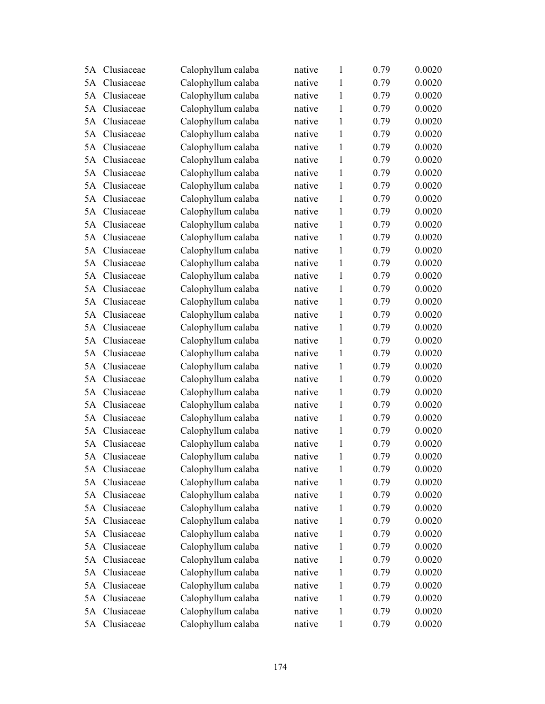| 5A | Clusiaceae    | Calophyllum calaba | native | $\mathbf{1}$ | 0.79 | 0.0020 |
|----|---------------|--------------------|--------|--------------|------|--------|
| 5A | Clusiaceae    | Calophyllum calaba | native | 1            | 0.79 | 0.0020 |
| 5A | Clusiaceae    | Calophyllum calaba | native | $\mathbf{1}$ | 0.79 | 0.0020 |
| 5A | Clusiaceae    | Calophyllum calaba | native | $\mathbf{1}$ | 0.79 | 0.0020 |
| 5A | Clusiaceae    | Calophyllum calaba | native | $\mathbf{1}$ | 0.79 | 0.0020 |
| 5A | Clusiaceae    | Calophyllum calaba | native | 1            | 0.79 | 0.0020 |
| 5A | Clusiaceae    | Calophyllum calaba | native | 1            | 0.79 | 0.0020 |
| 5A | Clusiaceae    | Calophyllum calaba | native | $\mathbf{1}$ | 0.79 | 0.0020 |
| 5A | Clusiaceae    | Calophyllum calaba | native | $\mathbf{1}$ | 0.79 | 0.0020 |
| 5A | Clusiaceae    | Calophyllum calaba | native | $\mathbf{1}$ | 0.79 | 0.0020 |
| 5A | Clusiaceae    | Calophyllum calaba | native | $\mathbf{1}$ | 0.79 | 0.0020 |
| 5A | Clusiaceae    | Calophyllum calaba | native | $\mathbf{1}$ | 0.79 | 0.0020 |
| 5A | Clusiaceae    | Calophyllum calaba | native | $\mathbf{1}$ | 0.79 | 0.0020 |
| 5A | Clusiaceae    | Calophyllum calaba | native | $\mathbf{1}$ | 0.79 | 0.0020 |
| 5A | Clusiaceae    | Calophyllum calaba | native | $\mathbf{1}$ | 0.79 | 0.0020 |
| 5A | Clusiaceae    | Calophyllum calaba | native | 1            | 0.79 | 0.0020 |
| 5A | Clusiaceae    | Calophyllum calaba | native | $\mathbf{1}$ | 0.79 | 0.0020 |
| 5A | Clusiaceae    | Calophyllum calaba | native | $\mathbf{1}$ | 0.79 | 0.0020 |
| 5A | Clusiaceae    | Calophyllum calaba | native | 1            | 0.79 | 0.0020 |
| 5A | Clusiaceae    | Calophyllum calaba | native | $\mathbf{1}$ | 0.79 | 0.0020 |
| 5A | Clusiaceae    | Calophyllum calaba | native | 1            | 0.79 | 0.0020 |
| 5A | Clusiaceae    | Calophyllum calaba | native | $\mathbf{1}$ | 0.79 | 0.0020 |
| 5A | Clusiaceae    | Calophyllum calaba | native | $\mathbf{1}$ | 0.79 | 0.0020 |
| 5A | Clusiaceae    | Calophyllum calaba | native | $\mathbf{1}$ | 0.79 | 0.0020 |
| 5A | Clusiaceae    | Calophyllum calaba | native | $\mathbf{1}$ | 0.79 | 0.0020 |
| 5A | Clusiaceae    | Calophyllum calaba | native | 1            | 0.79 | 0.0020 |
| 5A | Clusiaceae    | Calophyllum calaba | native | $\mathbf{1}$ | 0.79 | 0.0020 |
| 5A | Clusiaceae    | Calophyllum calaba | native | $\mathbf{1}$ | 0.79 | 0.0020 |
| 5A | Clusiaceae    | Calophyllum calaba | native | $\mathbf{1}$ | 0.79 | 0.0020 |
| 5A | Clusiaceae    | Calophyllum calaba | native | $\mathbf{1}$ | 0.79 | 0.0020 |
|    | 5A Clusiaceae | Calophyllum calaba | native | $\mathbf{1}$ | 0.79 | 0.0020 |
| 5A | Clusiaceae    | Calophyllum calaba | native | 1            | 0.79 | 0.0020 |
| 5A | Clusiaceae    | Calophyllum calaba | native | 1            | 0.79 | 0.0020 |
| 5A | Clusiaceae    | Calophyllum calaba | native | 1            | 0.79 | 0.0020 |
| 5A | Clusiaceae    | Calophyllum calaba | native | 1            | 0.79 | 0.0020 |
| 5A | Clusiaceae    | Calophyllum calaba | native | 1            | 0.79 | 0.0020 |
| 5A | Clusiaceae    | Calophyllum calaba | native | $\mathbf{1}$ | 0.79 | 0.0020 |
| 5A | Clusiaceae    | Calophyllum calaba | native | 1            | 0.79 | 0.0020 |
| 5A | Clusiaceae    | Calophyllum calaba | native | 1            | 0.79 | 0.0020 |
| 5A | Clusiaceae    | Calophyllum calaba | native | $\mathbf{1}$ | 0.79 | 0.0020 |
| 5A | Clusiaceae    | Calophyllum calaba | native | 1            | 0.79 | 0.0020 |
| 5A | Clusiaceae    | Calophyllum calaba | native | $\mathbf{1}$ | 0.79 | 0.0020 |
| 5A | Clusiaceae    | Calophyllum calaba | native | $\mathbf{1}$ | 0.79 | 0.0020 |
|    | 5A Clusiaceae | Calophyllum calaba | native | $\mathbf{1}$ | 0.79 | 0.0020 |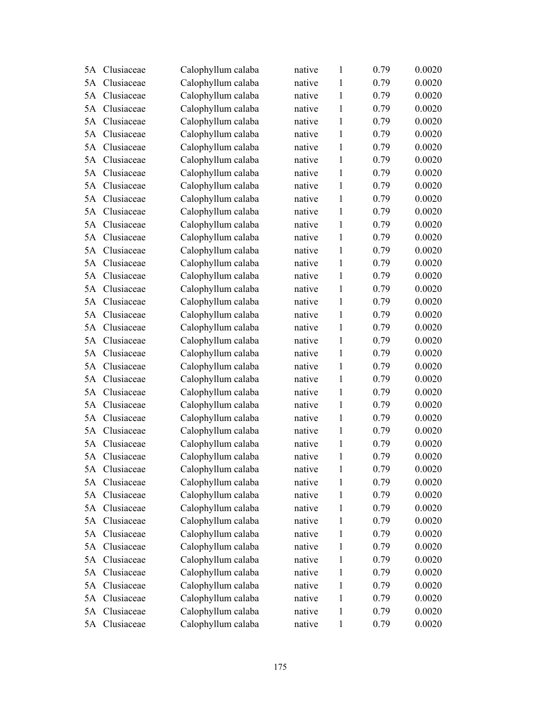| 5A | Clusiaceae    | Calophyllum calaba | native | $\mathbf{1}$ | 0.79 | 0.0020 |
|----|---------------|--------------------|--------|--------------|------|--------|
| 5A | Clusiaceae    | Calophyllum calaba | native | 1            | 0.79 | 0.0020 |
| 5A | Clusiaceae    | Calophyllum calaba | native | $\mathbf{1}$ | 0.79 | 0.0020 |
| 5A | Clusiaceae    | Calophyllum calaba | native | 1            | 0.79 | 0.0020 |
| 5A | Clusiaceae    | Calophyllum calaba | native | $\mathbf{1}$ | 0.79 | 0.0020 |
| 5A | Clusiaceae    | Calophyllum calaba | native | 1            | 0.79 | 0.0020 |
| 5A | Clusiaceae    | Calophyllum calaba | native | 1            | 0.79 | 0.0020 |
| 5A | Clusiaceae    | Calophyllum calaba | native | $\mathbf{1}$ | 0.79 | 0.0020 |
| 5A | Clusiaceae    | Calophyllum calaba | native | $\mathbf{1}$ | 0.79 | 0.0020 |
| 5A | Clusiaceae    | Calophyllum calaba | native | $\mathbf{1}$ | 0.79 | 0.0020 |
| 5A | Clusiaceae    | Calophyllum calaba | native | $\mathbf{1}$ | 0.79 | 0.0020 |
| 5A | Clusiaceae    | Calophyllum calaba | native | $\mathbf{1}$ | 0.79 | 0.0020 |
| 5A | Clusiaceae    | Calophyllum calaba | native | $\mathbf{1}$ | 0.79 | 0.0020 |
| 5A | Clusiaceae    | Calophyllum calaba | native | $\mathbf{1}$ | 0.79 | 0.0020 |
| 5A | Clusiaceae    | Calophyllum calaba | native | $\mathbf{1}$ | 0.79 | 0.0020 |
| 5A | Clusiaceae    | Calophyllum calaba | native | 1            | 0.79 | 0.0020 |
| 5A | Clusiaceae    | Calophyllum calaba | native | $\mathbf{1}$ | 0.79 | 0.0020 |
| 5A | Clusiaceae    | Calophyllum calaba | native | $\mathbf{1}$ | 0.79 | 0.0020 |
| 5A | Clusiaceae    | Calophyllum calaba | native | 1            | 0.79 | 0.0020 |
| 5A | Clusiaceae    | Calophyllum calaba | native | $\mathbf{1}$ | 0.79 | 0.0020 |
| 5A | Clusiaceae    | Calophyllum calaba | native | 1            | 0.79 | 0.0020 |
| 5A | Clusiaceae    | Calophyllum calaba | native | $\mathbf{1}$ | 0.79 | 0.0020 |
| 5A | Clusiaceae    | Calophyllum calaba | native | $\mathbf{1}$ | 0.79 | 0.0020 |
| 5A | Clusiaceae    | Calophyllum calaba | native | $\mathbf{1}$ | 0.79 | 0.0020 |
| 5A | Clusiaceae    | Calophyllum calaba | native | $\mathbf{1}$ | 0.79 | 0.0020 |
| 5A | Clusiaceae    | Calophyllum calaba | native | 1            | 0.79 | 0.0020 |
| 5A | Clusiaceae    | Calophyllum calaba | native | $\mathbf{1}$ | 0.79 | 0.0020 |
| 5A | Clusiaceae    | Calophyllum calaba | native | 1            | 0.79 | 0.0020 |
| 5A | Clusiaceae    | Calophyllum calaba | native | $\mathbf{1}$ | 0.79 | 0.0020 |
| 5A | Clusiaceae    | Calophyllum calaba | native | $\mathbf{1}$ | 0.79 | 0.0020 |
|    | 5A Clusiaceae | Calophyllum calaba | native | 1            | 0.79 | 0.0020 |
| 5A | Clusiaceae    | Calophyllum calaba | native | 1            | 0.79 | 0.0020 |
| 5A | Clusiaceae    | Calophyllum calaba | native | 1            | 0.79 | 0.0020 |
| 5A | Clusiaceae    | Calophyllum calaba | native | 1            | 0.79 | 0.0020 |
| 5A | Clusiaceae    | Calophyllum calaba | native | 1            | 0.79 | 0.0020 |
| 5A | Clusiaceae    | Calophyllum calaba | native | 1            | 0.79 | 0.0020 |
| 5A | Clusiaceae    | Calophyllum calaba | native | 1            | 0.79 | 0.0020 |
| 5A | Clusiaceae    | Calophyllum calaba | native | 1            | 0.79 | 0.0020 |
| 5A | Clusiaceae    | Calophyllum calaba | native | 1            | 0.79 | 0.0020 |
| 5A | Clusiaceae    | Calophyllum calaba | native | 1            | 0.79 | 0.0020 |
| 5A | Clusiaceae    | Calophyllum calaba | native | 1            | 0.79 | 0.0020 |
| 5A | Clusiaceae    | Calophyllum calaba | native | 1            | 0.79 | 0.0020 |
| 5A | Clusiaceae    | Calophyllum calaba | native | 1            | 0.79 | 0.0020 |
|    | 5A Clusiaceae | Calophyllum calaba | native | $\mathbf{1}$ | 0.79 | 0.0020 |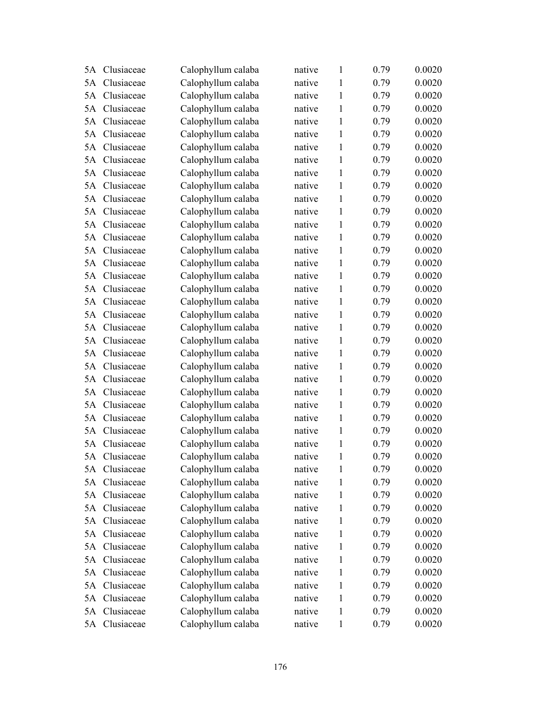| 5A | Clusiaceae    | Calophyllum calaba | native | $\mathbf{1}$ | 0.79 | 0.0020 |
|----|---------------|--------------------|--------|--------------|------|--------|
| 5A | Clusiaceae    | Calophyllum calaba | native | 1            | 0.79 | 0.0020 |
| 5A | Clusiaceae    | Calophyllum calaba | native | $\mathbf{1}$ | 0.79 | 0.0020 |
| 5A | Clusiaceae    | Calophyllum calaba | native | 1            | 0.79 | 0.0020 |
| 5A | Clusiaceae    | Calophyllum calaba | native | $\mathbf{1}$ | 0.79 | 0.0020 |
| 5A | Clusiaceae    | Calophyllum calaba | native | 1            | 0.79 | 0.0020 |
| 5A | Clusiaceae    | Calophyllum calaba | native | 1            | 0.79 | 0.0020 |
| 5A | Clusiaceae    | Calophyllum calaba | native | $\mathbf{1}$ | 0.79 | 0.0020 |
| 5A | Clusiaceae    | Calophyllum calaba | native | $\mathbf{1}$ | 0.79 | 0.0020 |
| 5A | Clusiaceae    | Calophyllum calaba | native | $\mathbf{1}$ | 0.79 | 0.0020 |
| 5A | Clusiaceae    | Calophyllum calaba | native | $\mathbf{1}$ | 0.79 | 0.0020 |
| 5A | Clusiaceae    | Calophyllum calaba | native | $\mathbf{1}$ | 0.79 | 0.0020 |
| 5A | Clusiaceae    | Calophyllum calaba | native | $\mathbf{1}$ | 0.79 | 0.0020 |
| 5A | Clusiaceae    | Calophyllum calaba | native | $\mathbf{1}$ | 0.79 | 0.0020 |
| 5A | Clusiaceae    | Calophyllum calaba | native | $\mathbf{1}$ | 0.79 | 0.0020 |
| 5A | Clusiaceae    | Calophyllum calaba | native | 1            | 0.79 | 0.0020 |
| 5A | Clusiaceae    | Calophyllum calaba | native | $\mathbf{1}$ | 0.79 | 0.0020 |
| 5A | Clusiaceae    | Calophyllum calaba | native | $\mathbf{1}$ | 0.79 | 0.0020 |
| 5A | Clusiaceae    | Calophyllum calaba | native | 1            | 0.79 | 0.0020 |
| 5A | Clusiaceae    | Calophyllum calaba | native | $\mathbf{1}$ | 0.79 | 0.0020 |
| 5A | Clusiaceae    | Calophyllum calaba | native | 1            | 0.79 | 0.0020 |
| 5A | Clusiaceae    | Calophyllum calaba | native | $\mathbf{1}$ | 0.79 | 0.0020 |
| 5A | Clusiaceae    | Calophyllum calaba | native | $\mathbf{1}$ | 0.79 | 0.0020 |
| 5A | Clusiaceae    | Calophyllum calaba | native | $\mathbf{1}$ | 0.79 | 0.0020 |
| 5A | Clusiaceae    | Calophyllum calaba | native | $\mathbf{1}$ | 0.79 | 0.0020 |
| 5A | Clusiaceae    | Calophyllum calaba | native | 1            | 0.79 | 0.0020 |
| 5A | Clusiaceae    | Calophyllum calaba | native | $\mathbf{1}$ | 0.79 | 0.0020 |
| 5A | Clusiaceae    | Calophyllum calaba | native | $\mathbf{1}$ | 0.79 | 0.0020 |
| 5A | Clusiaceae    | Calophyllum calaba | native | $\mathbf{1}$ | 0.79 | 0.0020 |
| 5A | Clusiaceae    | Calophyllum calaba | native | $\mathbf{1}$ | 0.79 | 0.0020 |
|    | 5A Clusiaceae | Calophyllum calaba | native | $\mathbf{1}$ | 0.79 | 0.0020 |
| 5A | Clusiaceae    | Calophyllum calaba | native | 1            | 0.79 | 0.0020 |
| 5A | Clusiaceae    | Calophyllum calaba | native | 1            | 0.79 | 0.0020 |
| 5A | Clusiaceae    | Calophyllum calaba | native | 1            | 0.79 | 0.0020 |
| 5A | Clusiaceae    | Calophyllum calaba | native | 1            | 0.79 | 0.0020 |
| 5A | Clusiaceae    | Calophyllum calaba | native | 1            | 0.79 | 0.0020 |
| 5A | Clusiaceae    | Calophyllum calaba | native | $\mathbf{1}$ | 0.79 | 0.0020 |
| 5A | Clusiaceae    | Calophyllum calaba | native | 1            | 0.79 | 0.0020 |
| 5A | Clusiaceae    | Calophyllum calaba | native | 1            | 0.79 | 0.0020 |
| 5A | Clusiaceae    | Calophyllum calaba | native | $\mathbf{1}$ | 0.79 | 0.0020 |
| 5A | Clusiaceae    | Calophyllum calaba | native | 1            | 0.79 | 0.0020 |
| 5A | Clusiaceae    | Calophyllum calaba | native | $\mathbf{1}$ | 0.79 | 0.0020 |
| 5A | Clusiaceae    | Calophyllum calaba | native | $\mathbf{1}$ | 0.79 | 0.0020 |
| 5A | Clusiaceae    | Calophyllum calaba | native | 1            | 0.79 | 0.0020 |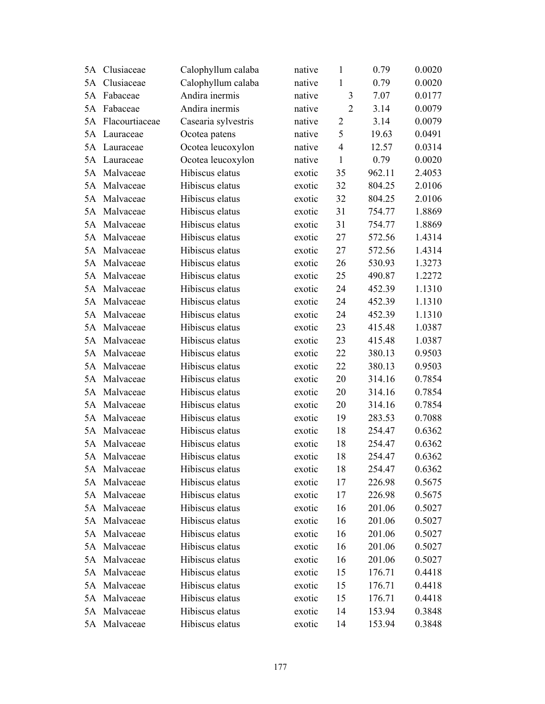| 5A | Clusiaceae     | Calophyllum calaba  | native | $\mathbf{1}$   | 0.79   | 0.0020 |
|----|----------------|---------------------|--------|----------------|--------|--------|
| 5A | Clusiaceae     | Calophyllum calaba  | native | 1              | 0.79   | 0.0020 |
| 5A | Fabaceae       | Andira inermis      | native | 3              | 7.07   | 0.0177 |
| 5A | Fabaceae       | Andira inermis      | native | $\overline{2}$ | 3.14   | 0.0079 |
| 5A | Flacourtiaceae | Casearia sylvestris | native | $\overline{2}$ | 3.14   | 0.0079 |
| 5A | Lauraceae      | Ocotea patens       | native | 5              | 19.63  | 0.0491 |
| 5A | Lauraceae      | Ocotea leucoxylon   | native | $\overline{4}$ | 12.57  | 0.0314 |
| 5A | Lauraceae      | Ocotea leucoxylon   | native | $\mathbf{1}$   | 0.79   | 0.0020 |
| 5A | Malvaceae      | Hibiscus elatus     | exotic | 35             | 962.11 | 2.4053 |
| 5A | Malvaceae      | Hibiscus elatus     | exotic | 32             | 804.25 | 2.0106 |
| 5A | Malvaceae      | Hibiscus elatus     | exotic | 32             | 804.25 | 2.0106 |
| 5A | Malvaceae      | Hibiscus elatus     | exotic | 31             | 754.77 | 1.8869 |
| 5A | Malvaceae      | Hibiscus elatus     | exotic | 31             | 754.77 | 1.8869 |
| 5A | Malvaceae      | Hibiscus elatus     | exotic | 27             | 572.56 | 1.4314 |
| 5A | Malvaceae      | Hibiscus elatus     | exotic | 27             | 572.56 | 1.4314 |
| 5A | Malvaceae      | Hibiscus elatus     | exotic | 26             | 530.93 | 1.3273 |
| 5A | Malvaceae      | Hibiscus elatus     | exotic | 25             | 490.87 | 1.2272 |
| 5A | Malvaceae      | Hibiscus elatus     | exotic | 24             | 452.39 | 1.1310 |
| 5A | Malvaceae      | Hibiscus elatus     | exotic | 24             | 452.39 | 1.1310 |
| 5A | Malvaceae      | Hibiscus elatus     | exotic | 24             | 452.39 | 1.1310 |
| 5A | Malvaceae      | Hibiscus elatus     | exotic | 23             | 415.48 | 1.0387 |
| 5A | Malvaceae      | Hibiscus elatus     | exotic | 23             | 415.48 | 1.0387 |
| 5A | Malvaceae      | Hibiscus elatus     | exotic | 22             | 380.13 | 0.9503 |
| 5A | Malvaceae      | Hibiscus elatus     | exotic | 22             | 380.13 | 0.9503 |
| 5A | Malvaceae      | Hibiscus elatus     | exotic | 20             | 314.16 | 0.7854 |
| 5A | Malvaceae      | Hibiscus elatus     | exotic | 20             | 314.16 | 0.7854 |
| 5A | Malvaceae      | Hibiscus elatus     | exotic | 20             | 314.16 | 0.7854 |
| 5A | Malvaceae      | Hibiscus elatus     | exotic | 19             | 283.53 | 0.7088 |
| 5A | Malvaceae      | Hibiscus elatus     | exotic | 18             | 254.47 | 0.6362 |
| 5A | Malvaceae      | Hibiscus elatus     | exotic | 18             | 254.47 | 0.6362 |
|    | 5A Malvaceae   | Hibiscus elatus     | exotic | 18             | 254.47 | 0.6362 |
| 5A | Malvaceae      | Hibiscus elatus     | exotic | 18             | 254.47 | 0.6362 |
| 5A | Malvaceae      | Hibiscus elatus     | exotic | 17             | 226.98 | 0.5675 |
| 5A | Malvaceae      | Hibiscus elatus     | exotic | 17             | 226.98 | 0.5675 |
| 5A | Malvaceae      | Hibiscus elatus     | exotic | 16             | 201.06 | 0.5027 |
| 5A | Malvaceae      | Hibiscus elatus     | exotic | 16             | 201.06 | 0.5027 |
|    | 5A Malvaceae   | Hibiscus elatus     | exotic | 16             | 201.06 | 0.5027 |
| 5A | Malvaceae      | Hibiscus elatus     | exotic | 16             | 201.06 | 0.5027 |
| 5A | Malvaceae      | Hibiscus elatus     | exotic | 16             | 201.06 | 0.5027 |
| 5A | Malvaceae      | Hibiscus elatus     | exotic | 15             | 176.71 | 0.4418 |
| 5A | Malvaceae      | Hibiscus elatus     | exotic | 15             | 176.71 | 0.4418 |
| 5A | Malvaceae      | Hibiscus elatus     | exotic | 15             | 176.71 | 0.4418 |
|    | 5A Malvaceae   | Hibiscus elatus     | exotic | 14             | 153.94 | 0.3848 |
|    | 5A Malvaceae   | Hibiscus elatus     | exotic | 14             | 153.94 | 0.3848 |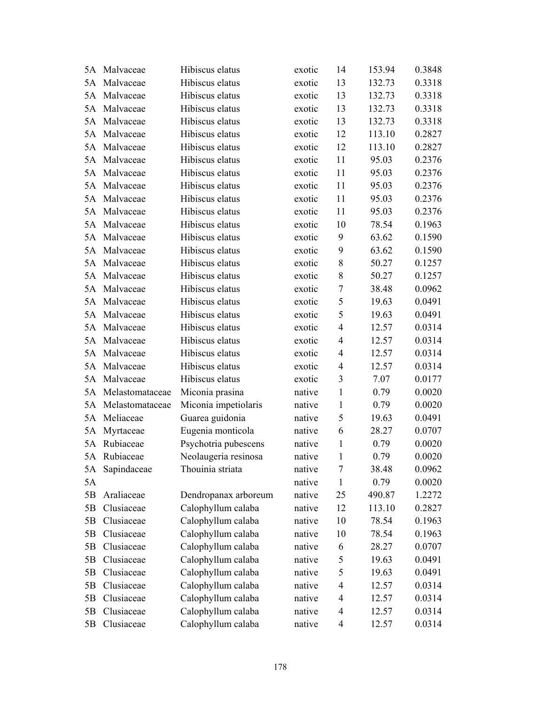| 5A | Malvaceae       | Hibiscus elatus      | exotic | 14             | 153.94 | 0.3848 |
|----|-----------------|----------------------|--------|----------------|--------|--------|
|    | 5A Malvaceae    | Hibiscus elatus      | exotic | 13             | 132.73 | 0.3318 |
| 5A | Malvaceae       | Hibiscus elatus      | exotic | 13             | 132.73 | 0.3318 |
| 5A | Malvaceae       | Hibiscus elatus      | exotic | 13             | 132.73 | 0.3318 |
| 5A | Malvaceae       | Hibiscus elatus      | exotic | 13             | 132.73 | 0.3318 |
| 5A | Malvaceae       | Hibiscus elatus      | exotic | 12             | 113.10 | 0.2827 |
|    | 5A Malvaceae    | Hibiscus elatus      | exotic | 12             | 113.10 | 0.2827 |
| 5A | Malvaceae       | Hibiscus elatus      | exotic | 11             | 95.03  | 0.2376 |
| 5A | Malvaceae       | Hibiscus elatus      | exotic | 11             | 95.03  | 0.2376 |
| 5A | Malvaceae       | Hibiscus elatus      | exotic | 11             | 95.03  | 0.2376 |
| 5A | Malvaceae       | Hibiscus elatus      | exotic | 11             | 95.03  | 0.2376 |
| 5A | Malvaceae       | Hibiscus elatus      | exotic | 11             | 95.03  | 0.2376 |
| 5A | Malvaceae       | Hibiscus elatus      | exotic | 10             | 78.54  | 0.1963 |
| 5A | Malvaceae       | Hibiscus elatus      | exotic | 9              | 63.62  | 0.1590 |
| 5A | Malvaceae       | Hibiscus elatus      | exotic | 9              | 63.62  | 0.1590 |
| 5A | Malvaceae       | Hibiscus elatus      | exotic | 8              | 50.27  | 0.1257 |
| 5A | Malvaceae       | Hibiscus elatus      | exotic | 8              | 50.27  | 0.1257 |
| 5A | Malvaceae       | Hibiscus elatus      | exotic | $\tau$         | 38.48  | 0.0962 |
| 5A | Malvaceae       | Hibiscus elatus      | exotic | 5              | 19.63  | 0.0491 |
|    | 5A Malvaceae    | Hibiscus elatus      | exotic | 5              | 19.63  | 0.0491 |
| 5A | Malvaceae       | Hibiscus elatus      | exotic | $\overline{4}$ | 12.57  | 0.0314 |
| 5A | Malvaceae       | Hibiscus elatus      | exotic | $\overline{4}$ | 12.57  | 0.0314 |
| 5A | Malvaceae       | Hibiscus elatus      | exotic | $\overline{4}$ | 12.57  | 0.0314 |
| 5A | Malvaceae       | Hibiscus elatus      | exotic | $\overline{4}$ | 12.57  | 0.0314 |
|    | 5A Malvaceae    | Hibiscus elatus      | exotic | 3              | 7.07   | 0.0177 |
| 5A | Melastomataceae | Miconia prasina      | native | $\mathbf{1}$   | 0.79   | 0.0020 |
| 5A | Melastomataceae | Miconia impetiolaris | native | $\mathbf{1}$   | 0.79   | 0.0020 |
| 5A | Meliaceae       | Guarea guidonia      | native | 5              | 19.63  | 0.0491 |
| 5A | Myrtaceae       | Eugenia monticola    | native | 6              | 28.27  | 0.0707 |
| 5A | Rubiaceae       | Psychotria pubescens | native | $\mathbf{1}$   | 0.79   | 0.0020 |
|    | 5A Rubiaceae    | Neolaugeria resinosa | native | 1              | 0.79   | 0.0020 |
| 5A | Sapindaceae     | Thouinia striata     | native | 7              | 38.48  | 0.0962 |
| 5A |                 |                      | native | 1              | 0.79   | 0.0020 |
| 5B | Araliaceae      | Dendropanax arboreum | native | 25             | 490.87 | 1.2272 |
| 5B | Clusiaceae      | Calophyllum calaba   | native | 12             | 113.10 | 0.2827 |
| 5B | Clusiaceae      | Calophyllum calaba   | native | 10             | 78.54  | 0.1963 |
| 5B | Clusiaceae      | Calophyllum calaba   | native | 10             | 78.54  | 0.1963 |
| 5B | Clusiaceae      | Calophyllum calaba   | native | 6              | 28.27  | 0.0707 |
| 5B | Clusiaceae      | Calophyllum calaba   | native | 5              | 19.63  | 0.0491 |
| 5B | Clusiaceae      | Calophyllum calaba   | native | 5              | 19.63  | 0.0491 |
| 5B | Clusiaceae      | Calophyllum calaba   | native | $\overline{4}$ | 12.57  | 0.0314 |
| 5B | Clusiaceae      | Calophyllum calaba   | native | $\overline{4}$ | 12.57  | 0.0314 |
| 5B | Clusiaceae      | Calophyllum calaba   | native | 4              | 12.57  | 0.0314 |
| 5B | Clusiaceae      | Calophyllum calaba   | native | 4              | 12.57  | 0.0314 |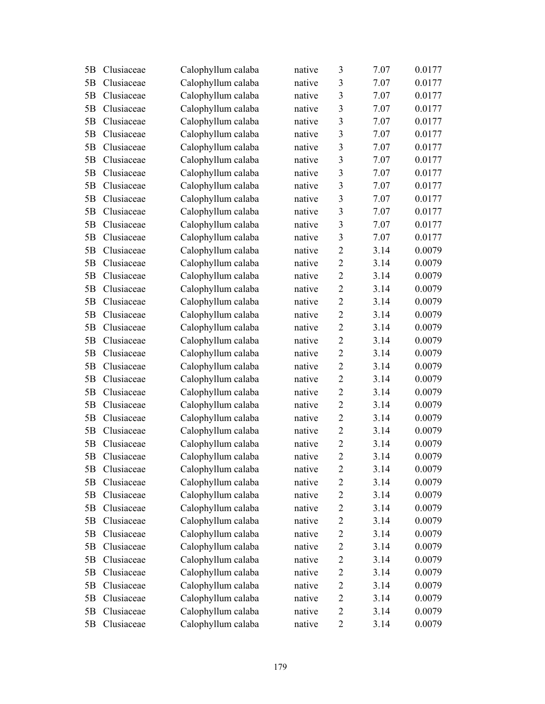| 5B | Clusiaceae | Calophyllum calaba | native | 3              | 7.07 | 0.0177 |
|----|------------|--------------------|--------|----------------|------|--------|
| 5B | Clusiaceae | Calophyllum calaba | native | 3              | 7.07 | 0.0177 |
| 5B | Clusiaceae | Calophyllum calaba | native | $\mathfrak{Z}$ | 7.07 | 0.0177 |
| 5B | Clusiaceae | Calophyllum calaba | native | $\overline{3}$ | 7.07 | 0.0177 |
| 5B | Clusiaceae | Calophyllum calaba | native | 3              | 7.07 | 0.0177 |
| 5B | Clusiaceae | Calophyllum calaba | native | 3              | 7.07 | 0.0177 |
| 5B | Clusiaceae | Calophyllum calaba | native | 3              | 7.07 | 0.0177 |
| 5B | Clusiaceae | Calophyllum calaba | native | 3              | 7.07 | 0.0177 |
| 5B | Clusiaceae | Calophyllum calaba | native | $\overline{3}$ | 7.07 | 0.0177 |
| 5B | Clusiaceae | Calophyllum calaba | native | $\overline{3}$ | 7.07 | 0.0177 |
| 5B | Clusiaceae | Calophyllum calaba | native | 3              | 7.07 | 0.0177 |
| 5B | Clusiaceae | Calophyllum calaba | native | 3              | 7.07 | 0.0177 |
| 5B | Clusiaceae | Calophyllum calaba | native | 3              | 7.07 | 0.0177 |
| 5B | Clusiaceae | Calophyllum calaba | native | 3              | 7.07 | 0.0177 |
| 5B | Clusiaceae | Calophyllum calaba | native | $\overline{2}$ | 3.14 | 0.0079 |
| 5B | Clusiaceae | Calophyllum calaba | native | $\overline{2}$ | 3.14 | 0.0079 |
| 5B | Clusiaceae | Calophyllum calaba | native | $\overline{2}$ | 3.14 | 0.0079 |
| 5B | Clusiaceae | Calophyllum calaba | native | $\overline{2}$ | 3.14 | 0.0079 |
| 5B | Clusiaceae | Calophyllum calaba | native | $\overline{2}$ | 3.14 | 0.0079 |
| 5B | Clusiaceae | Calophyllum calaba | native | $\overline{2}$ | 3.14 | 0.0079 |
| 5B | Clusiaceae | Calophyllum calaba | native | $\overline{2}$ | 3.14 | 0.0079 |
| 5B | Clusiaceae | Calophyllum calaba | native | $\sqrt{2}$     | 3.14 | 0.0079 |
| 5B | Clusiaceae | Calophyllum calaba | native | $\overline{2}$ | 3.14 | 0.0079 |
| 5B | Clusiaceae | Calophyllum calaba | native | $\overline{2}$ | 3.14 | 0.0079 |
| 5B | Clusiaceae | Calophyllum calaba | native | $\overline{2}$ | 3.14 | 0.0079 |
| 5B | Clusiaceae | Calophyllum calaba | native | $\overline{2}$ | 3.14 | 0.0079 |
| 5B | Clusiaceae | Calophyllum calaba | native | $\overline{2}$ | 3.14 | 0.0079 |
| 5B | Clusiaceae | Calophyllum calaba | native | $\sqrt{2}$     | 3.14 | 0.0079 |
| 5B | Clusiaceae | Calophyllum calaba | native | $\overline{2}$ | 3.14 | 0.0079 |
| 5B | Clusiaceae | Calophyllum calaba | native | $\overline{2}$ | 3.14 | 0.0079 |
| 5B | Clusiaceae | Calophyllum calaba | native | $\overline{2}$ | 3.14 | 0.0079 |
| 5B | Clusiaceae | Calophyllum calaba | native | 2              | 3.14 | 0.0079 |
| 5B | Clusiaceae | Calophyllum calaba | native | $\overline{c}$ | 3.14 | 0.0079 |
| 5B | Clusiaceae | Calophyllum calaba | native | $\overline{2}$ | 3.14 | 0.0079 |
| 5B | Clusiaceae | Calophyllum calaba | native | $\overline{2}$ | 3.14 | 0.0079 |
| 5B | Clusiaceae | Calophyllum calaba | native | $\mathbf{2}$   | 3.14 | 0.0079 |
| 5B | Clusiaceae | Calophyllum calaba | native | $\overline{2}$ | 3.14 | 0.0079 |
| 5B | Clusiaceae | Calophyllum calaba | native | $\mathbf{2}$   | 3.14 | 0.0079 |
| 5B | Clusiaceae | Calophyllum calaba | native | $\sqrt{2}$     | 3.14 | 0.0079 |
| 5B | Clusiaceae | Calophyllum calaba | native | $\sqrt{2}$     | 3.14 | 0.0079 |
| 5B | Clusiaceae | Calophyllum calaba | native | $\overline{2}$ | 3.14 | 0.0079 |
| 5B | Clusiaceae | Calophyllum calaba | native | $\overline{2}$ | 3.14 | 0.0079 |
| 5B | Clusiaceae | Calophyllum calaba | native | $\mathbf{2}$   | 3.14 | 0.0079 |
| 5B | Clusiaceae | Calophyllum calaba | native | $\overline{2}$ | 3.14 | 0.0079 |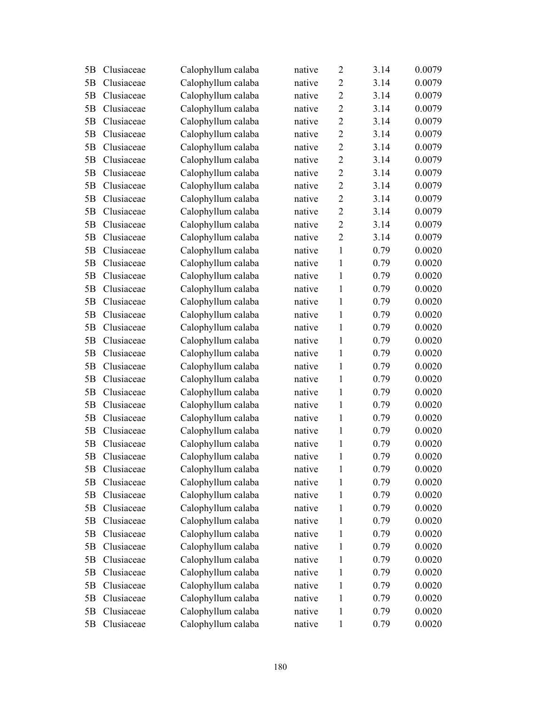| 5B | Clusiaceae | Calophyllum calaba | native | $\overline{2}$ | 3.14 | 0.0079 |
|----|------------|--------------------|--------|----------------|------|--------|
| 5B | Clusiaceae | Calophyllum calaba | native | $\overline{2}$ | 3.14 | 0.0079 |
| 5B | Clusiaceae | Calophyllum calaba | native | $\overline{2}$ | 3.14 | 0.0079 |
| 5B | Clusiaceae | Calophyllum calaba | native | $\overline{2}$ | 3.14 | 0.0079 |
| 5B | Clusiaceae | Calophyllum calaba | native | $\overline{2}$ | 3.14 | 0.0079 |
| 5B | Clusiaceae | Calophyllum calaba | native | $\overline{2}$ | 3.14 | 0.0079 |
| 5B | Clusiaceae | Calophyllum calaba | native | $\overline{2}$ | 3.14 | 0.0079 |
| 5B | Clusiaceae | Calophyllum calaba | native | $\overline{2}$ | 3.14 | 0.0079 |
| 5B | Clusiaceae | Calophyllum calaba | native | $\overline{2}$ | 3.14 | 0.0079 |
| 5B | Clusiaceae | Calophyllum calaba | native | $\overline{2}$ | 3.14 | 0.0079 |
| 5B | Clusiaceae | Calophyllum calaba | native | $\overline{2}$ | 3.14 | 0.0079 |
| 5B | Clusiaceae | Calophyllum calaba | native | $\overline{2}$ | 3.14 | 0.0079 |
| 5B | Clusiaceae | Calophyllum calaba | native | $\overline{2}$ | 3.14 | 0.0079 |
| 5B | Clusiaceae | Calophyllum calaba | native | $\overline{2}$ | 3.14 | 0.0079 |
| 5B | Clusiaceae | Calophyllum calaba | native | $\mathbf{1}$   | 0.79 | 0.0020 |
| 5B | Clusiaceae | Calophyllum calaba | native | 1              | 0.79 | 0.0020 |
| 5B | Clusiaceae | Calophyllum calaba | native | $\mathbf{1}$   | 0.79 | 0.0020 |
| 5B | Clusiaceae | Calophyllum calaba | native | $\mathbf{1}$   | 0.79 | 0.0020 |
| 5B | Clusiaceae | Calophyllum calaba | native | $\mathbf{1}$   | 0.79 | 0.0020 |
| 5B | Clusiaceae | Calophyllum calaba | native | $\mathbf{1}$   | 0.79 | 0.0020 |
| 5B | Clusiaceae | Calophyllum calaba | native | 1              | 0.79 | 0.0020 |
| 5B | Clusiaceae | Calophyllum calaba | native | $\mathbf{1}$   | 0.79 | 0.0020 |
| 5B | Clusiaceae | Calophyllum calaba | native | $\mathbf{1}$   | 0.79 | 0.0020 |
| 5B | Clusiaceae | Calophyllum calaba | native | $\mathbf{1}$   | 0.79 | 0.0020 |
| 5B | Clusiaceae | Calophyllum calaba | native | $\mathbf{1}$   | 0.79 | 0.0020 |
| 5B | Clusiaceae | Calophyllum calaba | native | $\mathbf{1}$   | 0.79 | 0.0020 |
| 5B | Clusiaceae | Calophyllum calaba | native | $\mathbf{1}$   | 0.79 | 0.0020 |
| 5B | Clusiaceae | Calophyllum calaba | native | $\mathbf{1}$   | 0.79 | 0.0020 |
| 5B | Clusiaceae | Calophyllum calaba | native | $\mathbf{1}$   | 0.79 | 0.0020 |
| 5B | Clusiaceae | Calophyllum calaba | native | 1              | 0.79 | 0.0020 |
| 5B | Clusiaceae | Calophyllum calaba | native | $\mathbf{1}$   | 0.79 | 0.0020 |
| 5B | Clusiaceae | Calophyllum calaba | native | 1              | 0.79 | 0.0020 |
| 5B | Clusiaceae | Calophyllum calaba | native | 1              | 0.79 | 0.0020 |
| 5B | Clusiaceae | Calophyllum calaba | native | 1              | 0.79 | 0.0020 |
| 5B | Clusiaceae | Calophyllum calaba | native | 1              | 0.79 | 0.0020 |
| 5B | Clusiaceae | Calophyllum calaba | native | 1              | 0.79 | 0.0020 |
| 5B | Clusiaceae | Calophyllum calaba | native | 1              | 0.79 | 0.0020 |
| 5B | Clusiaceae | Calophyllum calaba | native | 1              | 0.79 | 0.0020 |
| 5B | Clusiaceae | Calophyllum calaba | native | 1              | 0.79 | 0.0020 |
| 5B | Clusiaceae | Calophyllum calaba | native | 1              | 0.79 | 0.0020 |
| 5B | Clusiaceae | Calophyllum calaba | native | 1              | 0.79 | 0.0020 |
| 5B | Clusiaceae | Calophyllum calaba | native | 1              | 0.79 | 0.0020 |
| 5B | Clusiaceae | Calophyllum calaba | native | 1              | 0.79 | 0.0020 |
| 5B | Clusiaceae | Calophyllum calaba | native | $\mathbf{1}$   | 0.79 | 0.0020 |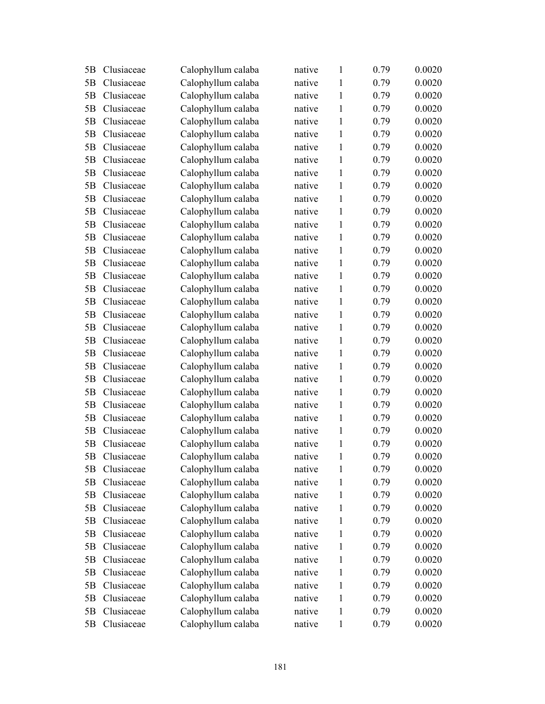| 5B             | Clusiaceae | Calophyllum calaba | native | $\mathbf{1}$ | 0.79 | 0.0020 |
|----------------|------------|--------------------|--------|--------------|------|--------|
| 5 <sub>B</sub> | Clusiaceae | Calophyllum calaba | native | $\mathbf{1}$ | 0.79 | 0.0020 |
| 5B             | Clusiaceae | Calophyllum calaba | native | $\mathbf{1}$ | 0.79 | 0.0020 |
| 5B             | Clusiaceae | Calophyllum calaba | native | $\mathbf{1}$ | 0.79 | 0.0020 |
| 5B             | Clusiaceae | Calophyllum calaba | native | $\mathbf{1}$ | 0.79 | 0.0020 |
| 5B             | Clusiaceae | Calophyllum calaba | native | $\mathbf{1}$ | 0.79 | 0.0020 |
| 5B             | Clusiaceae | Calophyllum calaba | native | $\mathbf{1}$ | 0.79 | 0.0020 |
| 5B             | Clusiaceae | Calophyllum calaba | native | $\mathbf{1}$ | 0.79 | 0.0020 |
| 5B             | Clusiaceae | Calophyllum calaba | native | $\mathbf{1}$ | 0.79 | 0.0020 |
| 5B             | Clusiaceae | Calophyllum calaba | native | $\mathbf{1}$ | 0.79 | 0.0020 |
| 5B             | Clusiaceae | Calophyllum calaba | native | $\mathbf{1}$ | 0.79 | 0.0020 |
| 5B             | Clusiaceae | Calophyllum calaba | native | $\mathbf{1}$ | 0.79 | 0.0020 |
| 5B             | Clusiaceae | Calophyllum calaba | native | $\mathbf{1}$ | 0.79 | 0.0020 |
| 5B             | Clusiaceae | Calophyllum calaba | native | $\mathbf{1}$ | 0.79 | 0.0020 |
| 5B             | Clusiaceae | Calophyllum calaba | native | $\mathbf{1}$ | 0.79 | 0.0020 |
| 5B             | Clusiaceae | Calophyllum calaba | native | 1            | 0.79 | 0.0020 |
| 5B             | Clusiaceae | Calophyllum calaba | native | $\mathbf{1}$ | 0.79 | 0.0020 |
| 5B             | Clusiaceae | Calophyllum calaba | native | $\mathbf{1}$ | 0.79 | 0.0020 |
| 5B             | Clusiaceae | Calophyllum calaba | native | 1            | 0.79 | 0.0020 |
| 5B             | Clusiaceae | Calophyllum calaba | native | $\mathbf{1}$ | 0.79 | 0.0020 |
| 5B             | Clusiaceae | Calophyllum calaba | native | 1            | 0.79 | 0.0020 |
| 5B             | Clusiaceae | Calophyllum calaba | native | $\mathbf{1}$ | 0.79 | 0.0020 |
| 5B             | Clusiaceae | Calophyllum calaba | native | $\mathbf{1}$ | 0.79 | 0.0020 |
| 5B             | Clusiaceae | Calophyllum calaba | native | $\mathbf{1}$ | 0.79 | 0.0020 |
| 5B             | Clusiaceae | Calophyllum calaba | native | $\mathbf{1}$ | 0.79 | 0.0020 |
| 5B             | Clusiaceae | Calophyllum calaba | native | $\mathbf{1}$ | 0.79 | 0.0020 |
| 5B             | Clusiaceae | Calophyllum calaba | native | $\mathbf{1}$ | 0.79 | 0.0020 |
| 5B             | Clusiaceae | Calophyllum calaba | native | $\mathbf{1}$ | 0.79 | 0.0020 |
| 5B             | Clusiaceae | Calophyllum calaba | native | $\mathbf{1}$ | 0.79 | 0.0020 |
| 5B             | Clusiaceae | Calophyllum calaba | native | 1            | 0.79 | 0.0020 |
| 5B             | Clusiaceae | Calophyllum calaba | native | $\mathbf{1}$ | 0.79 | 0.0020 |
| 5B             | Clusiaceae | Calophyllum calaba | native | 1            | 0.79 | 0.0020 |
| 5B             | Clusiaceae | Calophyllum calaba | native | 1            | 0.79 | 0.0020 |
| 5B             | Clusiaceae | Calophyllum calaba | native | 1            | 0.79 | 0.0020 |
| 5B             | Clusiaceae | Calophyllum calaba | native | 1            | 0.79 | 0.0020 |
| 5B             | Clusiaceae | Calophyllum calaba | native | 1            | 0.79 | 0.0020 |
| 5B             | Clusiaceae | Calophyllum calaba | native | 1            | 0.79 | 0.0020 |
| 5B             | Clusiaceae | Calophyllum calaba | native | 1            | 0.79 | 0.0020 |
| 5B             | Clusiaceae | Calophyllum calaba | native | 1            | 0.79 | 0.0020 |
| 5B             | Clusiaceae | Calophyllum calaba | native | 1            | 0.79 | 0.0020 |
| 5B             | Clusiaceae | Calophyllum calaba | native | 1            | 0.79 | 0.0020 |
| 5B             | Clusiaceae | Calophyllum calaba | native | 1            | 0.79 | 0.0020 |
| 5B             | Clusiaceae | Calophyllum calaba | native | 1            | 0.79 | 0.0020 |
| 5B             | Clusiaceae | Calophyllum calaba | native | 1            | 0.79 | 0.0020 |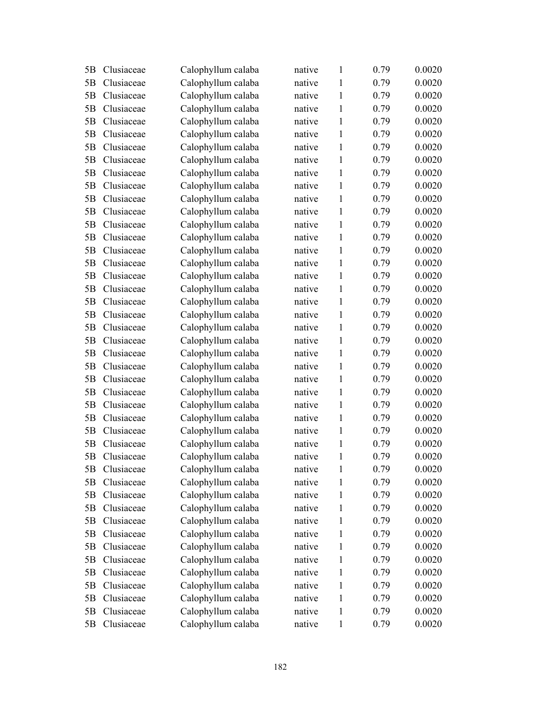| 5B             | Clusiaceae | Calophyllum calaba | native | $\mathbf{1}$ | 0.79 | 0.0020 |
|----------------|------------|--------------------|--------|--------------|------|--------|
| 5 <sub>B</sub> | Clusiaceae | Calophyllum calaba | native | $\mathbf{1}$ | 0.79 | 0.0020 |
| 5B             | Clusiaceae | Calophyllum calaba | native | 1            | 0.79 | 0.0020 |
| 5B             | Clusiaceae | Calophyllum calaba | native | 1            | 0.79 | 0.0020 |
| 5B             | Clusiaceae | Calophyllum calaba | native | 1            | 0.79 | 0.0020 |
| 5B             | Clusiaceae | Calophyllum calaba | native | 1            | 0.79 | 0.0020 |
| 5B             | Clusiaceae | Calophyllum calaba | native | $\mathbf{1}$ | 0.79 | 0.0020 |
| 5B             | Clusiaceae | Calophyllum calaba | native | $\mathbf{1}$ | 0.79 | 0.0020 |
| 5B             | Clusiaceae | Calophyllum calaba | native | $\mathbf{1}$ | 0.79 | 0.0020 |
| 5B             | Clusiaceae | Calophyllum calaba | native | 1            | 0.79 | 0.0020 |
| 5B             | Clusiaceae | Calophyllum calaba | native | $\mathbf{1}$ | 0.79 | 0.0020 |
| 5B             | Clusiaceae | Calophyllum calaba | native | 1            | 0.79 | 0.0020 |
| 5B             | Clusiaceae | Calophyllum calaba | native | $\mathbf{1}$ | 0.79 | 0.0020 |
| 5B             | Clusiaceae | Calophyllum calaba | native | $\mathbf{1}$ | 0.79 | 0.0020 |
| 5B             | Clusiaceae | Calophyllum calaba | native | $\mathbf{1}$ | 0.79 | 0.0020 |
| 5B             | Clusiaceae | Calophyllum calaba | native | 1            | 0.79 | 0.0020 |
| 5B             | Clusiaceae | Calophyllum calaba | native | $\mathbf{1}$ | 0.79 | 0.0020 |
| 5B             | Clusiaceae | Calophyllum calaba | native | $\mathbf{1}$ | 0.79 | 0.0020 |
| 5B             | Clusiaceae | Calophyllum calaba | native | $\mathbf{1}$ | 0.79 | 0.0020 |
| 5B             | Clusiaceae | Calophyllum calaba | native | $\mathbf{1}$ | 0.79 | 0.0020 |
| 5B             | Clusiaceae | Calophyllum calaba | native | 1            | 0.79 | 0.0020 |
| 5B             | Clusiaceae | Calophyllum calaba | native | 1            | 0.79 | 0.0020 |
| 5B             | Clusiaceae | Calophyllum calaba | native | $\mathbf{1}$ | 0.79 | 0.0020 |
| 5B             | Clusiaceae | Calophyllum calaba | native | $\mathbf{1}$ | 0.79 | 0.0020 |
| 5B             | Clusiaceae | Calophyllum calaba | native | $\mathbf{1}$ | 0.79 | 0.0020 |
| 5B             | Clusiaceae | Calophyllum calaba | native | $\mathbf{1}$ | 0.79 | 0.0020 |
| 5B             | Clusiaceae | Calophyllum calaba | native | $\mathbf{1}$ | 0.79 | 0.0020 |
| 5B             | Clusiaceae | Calophyllum calaba | native | $\mathbf{1}$ | 0.79 | 0.0020 |
| 5B             | Clusiaceae | Calophyllum calaba | native | $\mathbf{1}$ | 0.79 | 0.0020 |
| 5B             | Clusiaceae | Calophyllum calaba | native | 1            | 0.79 | 0.0020 |
| 5B             | Clusiaceae | Calophyllum calaba | native | 1            | 0.79 | 0.0020 |
| 5B             | Clusiaceae | Calophyllum calaba | native | 1            | 0.79 | 0.0020 |
| 5B             | Clusiaceae | Calophyllum calaba | native | 1            | 0.79 | 0.0020 |
| 5B             | Clusiaceae | Calophyllum calaba | native | 1            | 0.79 | 0.0020 |
| 5B             | Clusiaceae | Calophyllum calaba | native | 1            | 0.79 | 0.0020 |
| 5B             | Clusiaceae | Calophyllum calaba | native | 1            | 0.79 | 0.0020 |
| 5B             | Clusiaceae | Calophyllum calaba | native | 1            | 0.79 | 0.0020 |
| 5B             | Clusiaceae | Calophyllum calaba | native | 1            | 0.79 | 0.0020 |
| 5B             | Clusiaceae | Calophyllum calaba | native | 1            | 0.79 | 0.0020 |
| 5B             | Clusiaceae | Calophyllum calaba | native | 1            | 0.79 | 0.0020 |
| 5B             | Clusiaceae | Calophyllum calaba | native | 1            | 0.79 | 0.0020 |
| 5B             | Clusiaceae | Calophyllum calaba | native | 1            | 0.79 | 0.0020 |
| 5B             | Clusiaceae | Calophyllum calaba | native | 1            | 0.79 | 0.0020 |
| 5B             | Clusiaceae | Calophyllum calaba | native | $\mathbf{1}$ | 0.79 | 0.0020 |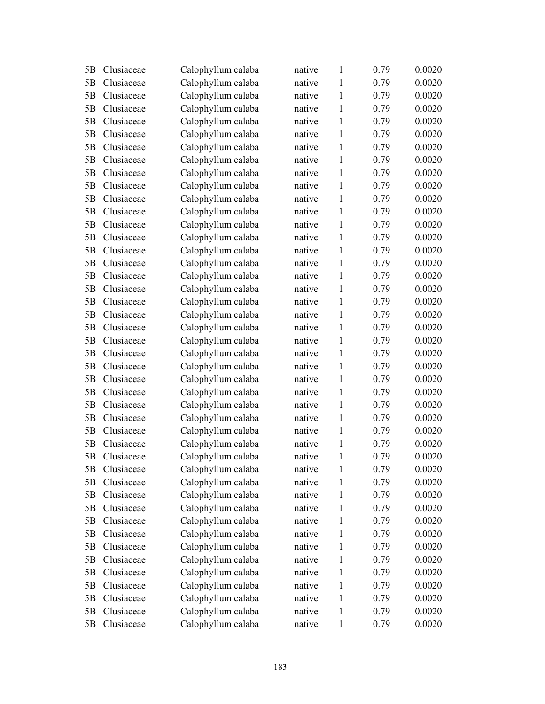| 5B | Clusiaceae | Calophyllum calaba | native | $\mathbf{1}$ | 0.79 | 0.0020 |
|----|------------|--------------------|--------|--------------|------|--------|
| 5B | Clusiaceae | Calophyllum calaba | native | $\mathbf{1}$ | 0.79 | 0.0020 |
| 5B | Clusiaceae | Calophyllum calaba | native | 1            | 0.79 | 0.0020 |
| 5B | Clusiaceae | Calophyllum calaba | native | 1            | 0.79 | 0.0020 |
| 5B | Clusiaceae | Calophyllum calaba | native | 1            | 0.79 | 0.0020 |
| 5B | Clusiaceae | Calophyllum calaba | native | 1            | 0.79 | 0.0020 |
| 5B | Clusiaceae | Calophyllum calaba | native | $\mathbf{1}$ | 0.79 | 0.0020 |
| 5B | Clusiaceae | Calophyllum calaba | native | $\mathbf{1}$ | 0.79 | 0.0020 |
| 5B | Clusiaceae | Calophyllum calaba | native | $\mathbf{1}$ | 0.79 | 0.0020 |
| 5B | Clusiaceae | Calophyllum calaba | native | 1            | 0.79 | 0.0020 |
| 5B | Clusiaceae | Calophyllum calaba | native | $\mathbf{1}$ | 0.79 | 0.0020 |
| 5B | Clusiaceae | Calophyllum calaba | native | 1            | 0.79 | 0.0020 |
| 5B | Clusiaceae | Calophyllum calaba | native | $\mathbf{1}$ | 0.79 | 0.0020 |
| 5B | Clusiaceae | Calophyllum calaba | native | $\mathbf{1}$ | 0.79 | 0.0020 |
| 5B | Clusiaceae | Calophyllum calaba | native | $\mathbf{1}$ | 0.79 | 0.0020 |
| 5B | Clusiaceae | Calophyllum calaba | native | 1            | 0.79 | 0.0020 |
| 5B | Clusiaceae | Calophyllum calaba | native | $\mathbf{1}$ | 0.79 | 0.0020 |
| 5B | Clusiaceae | Calophyllum calaba | native | $\mathbf{1}$ | 0.79 | 0.0020 |
| 5B | Clusiaceae | Calophyllum calaba | native | $\mathbf{1}$ | 0.79 | 0.0020 |
| 5B | Clusiaceae | Calophyllum calaba | native | $\mathbf{1}$ | 0.79 | 0.0020 |
| 5B | Clusiaceae | Calophyllum calaba | native | 1            | 0.79 | 0.0020 |
| 5B | Clusiaceae | Calophyllum calaba | native | 1            | 0.79 | 0.0020 |
| 5B | Clusiaceae | Calophyllum calaba | native | $\mathbf{1}$ | 0.79 | 0.0020 |
| 5B | Clusiaceae | Calophyllum calaba | native | $\mathbf{1}$ | 0.79 | 0.0020 |
| 5B | Clusiaceae | Calophyllum calaba | native | $\mathbf{1}$ | 0.79 | 0.0020 |
| 5B | Clusiaceae | Calophyllum calaba | native | $\mathbf{1}$ | 0.79 | 0.0020 |
| 5B | Clusiaceae | Calophyllum calaba | native | $\mathbf{1}$ | 0.79 | 0.0020 |
| 5B | Clusiaceae | Calophyllum calaba | native | $\mathbf{1}$ | 0.79 | 0.0020 |
| 5B | Clusiaceae | Calophyllum calaba | native | $\mathbf{1}$ | 0.79 | 0.0020 |
| 5B | Clusiaceae | Calophyllum calaba | native | 1            | 0.79 | 0.0020 |
| 5B | Clusiaceae | Calophyllum calaba | native | 1            | 0.79 | 0.0020 |
| 5B | Clusiaceae | Calophyllum calaba | native | 1            | 0.79 | 0.0020 |
| 5B | Clusiaceae | Calophyllum calaba | native | 1            | 0.79 | 0.0020 |
| 5B | Clusiaceae | Calophyllum calaba | native | 1            | 0.79 | 0.0020 |
| 5B | Clusiaceae | Calophyllum calaba | native | 1            | 0.79 | 0.0020 |
| 5B | Clusiaceae | Calophyllum calaba | native | 1            | 0.79 | 0.0020 |
| 5B | Clusiaceae | Calophyllum calaba | native | 1            | 0.79 | 0.0020 |
| 5B | Clusiaceae | Calophyllum calaba | native | 1            | 0.79 | 0.0020 |
| 5B | Clusiaceae | Calophyllum calaba | native | 1            | 0.79 | 0.0020 |
| 5B | Clusiaceae | Calophyllum calaba | native | 1            | 0.79 | 0.0020 |
| 5B | Clusiaceae | Calophyllum calaba | native | 1            | 0.79 | 0.0020 |
| 5B | Clusiaceae | Calophyllum calaba | native | 1            | 0.79 | 0.0020 |
| 5B | Clusiaceae | Calophyllum calaba | native | 1            | 0.79 | 0.0020 |
| 5B | Clusiaceae | Calophyllum calaba | native | $\mathbf{1}$ | 0.79 | 0.0020 |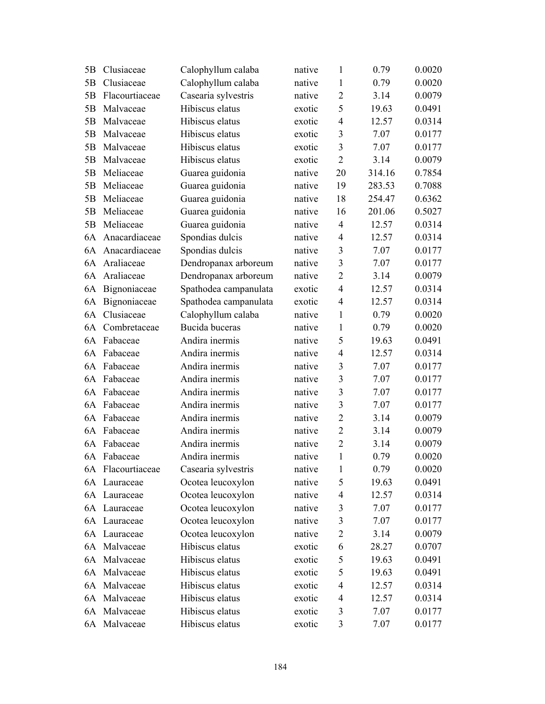| 5B | Clusiaceae        | Calophyllum calaba    | native | $\mathbf{1}$   | 0.79   | 0.0020 |
|----|-------------------|-----------------------|--------|----------------|--------|--------|
| 5B | Clusiaceae        | Calophyllum calaba    | native | $\mathbf{1}$   | 0.79   | 0.0020 |
| 5B | Flacourtiaceae    | Casearia sylvestris   | native | $\overline{2}$ | 3.14   | 0.0079 |
| 5B | Malvaceae         | Hibiscus elatus       | exotic | 5              | 19.63  | 0.0491 |
| 5B | Malvaceae         | Hibiscus elatus       | exotic | $\overline{4}$ | 12.57  | 0.0314 |
| 5B | Malvaceae         | Hibiscus elatus       | exotic | 3              | 7.07   | 0.0177 |
| 5B | Malvaceae         | Hibiscus elatus       | exotic | 3              | 7.07   | 0.0177 |
| 5B | Malvaceae         | Hibiscus elatus       | exotic | $\overline{2}$ | 3.14   | 0.0079 |
| 5B | Meliaceae         | Guarea guidonia       | native | 20             | 314.16 | 0.7854 |
| 5B | Meliaceae         | Guarea guidonia       | native | 19             | 283.53 | 0.7088 |
| 5B | Meliaceae         | Guarea guidonia       | native | 18             | 254.47 | 0.6362 |
| 5B | Meliaceae         | Guarea guidonia       | native | 16             | 201.06 | 0.5027 |
| 5B | Meliaceae         | Guarea guidonia       | native | $\overline{4}$ | 12.57  | 0.0314 |
| 6A | Anacardiaceae     | Spondias dulcis       | native | $\overline{4}$ | 12.57  | 0.0314 |
| 6A | Anacardiaceae     | Spondias dulcis       | native | $\overline{3}$ | 7.07   | 0.0177 |
| 6A | Araliaceae        | Dendropanax arboreum  | native | $\overline{3}$ | 7.07   | 0.0177 |
| 6A | Araliaceae        | Dendropanax arboreum  | native | $\overline{2}$ | 3.14   | 0.0079 |
| 6A | Bignoniaceae      | Spathodea campanulata | exotic | $\overline{4}$ | 12.57  | 0.0314 |
| 6A | Bignoniaceae      | Spathodea campanulata | exotic | 4              | 12.57  | 0.0314 |
| 6A | Clusiaceae        | Calophyllum calaba    | native | $\mathbf{1}$   | 0.79   | 0.0020 |
| 6A | Combretaceae      | Bucida buceras        | native | $\mathbf{1}$   | 0.79   | 0.0020 |
| 6A | Fabaceae          | Andira inermis        | native | 5              | 19.63  | 0.0491 |
| 6A | Fabaceae          | Andira inermis        | native | $\overline{4}$ | 12.57  | 0.0314 |
| 6A | Fabaceae          | Andira inermis        | native | 3              | 7.07   | 0.0177 |
| 6A | Fabaceae          | Andira inermis        | native | 3              | 7.07   | 0.0177 |
| 6A | Fabaceae          | Andira inermis        | native | 3              | 7.07   | 0.0177 |
| 6A | Fabaceae          | Andira inermis        | native | $\overline{3}$ | 7.07   | 0.0177 |
| 6A | Fabaceae          | Andira inermis        | native | $\overline{2}$ | 3.14   | 0.0079 |
| 6A | Fabaceae          | Andira inermis        | native | $\overline{2}$ | 3.14   | 0.0079 |
| 6A | Fabaceae          | Andira inermis        | native | $\overline{2}$ | 3.14   | 0.0079 |
|    | 6A Fabaceae       | Andira inermis        | native | $\mathbf{1}$   | 0.79   | 0.0020 |
|    | 6A Flacourtiaceae | Casearia sylvestris   | native | $\mathbf{1}$   | 0.79   | 0.0020 |
|    | 6A Lauraceae      | Ocotea leucoxylon     | native | 5              | 19.63  | 0.0491 |
|    | 6A Lauraceae      | Ocotea leucoxylon     | native | $\overline{4}$ | 12.57  | 0.0314 |
|    | 6A Lauraceae      | Ocotea leucoxylon     | native | $\mathfrak{Z}$ | 7.07   | 0.0177 |
| 6A | Lauraceae         | Ocotea leucoxylon     | native | $\overline{3}$ | 7.07   | 0.0177 |
|    | 6A Lauraceae      | Ocotea leucoxylon     | native | $\overline{2}$ | 3.14   | 0.0079 |
|    | 6A Malvaceae      | Hibiscus elatus       | exotic | 6              | 28.27  | 0.0707 |
|    | 6A Malvaceae      | Hibiscus elatus       | exotic | 5              | 19.63  | 0.0491 |
| 6A | Malvaceae         | Hibiscus elatus       | exotic | 5              | 19.63  | 0.0491 |
| 6A | Malvaceae         | Hibiscus elatus       | exotic | $\overline{4}$ | 12.57  | 0.0314 |
| 6A | Malvaceae         | Hibiscus elatus       | exotic | $\overline{4}$ | 12.57  | 0.0314 |
| 6A | Malvaceae         | Hibiscus elatus       | exotic | 3              | 7.07   | 0.0177 |
|    | 6A Malvaceae      | Hibiscus elatus       | exotic | $\mathfrak{Z}$ | 7.07   | 0.0177 |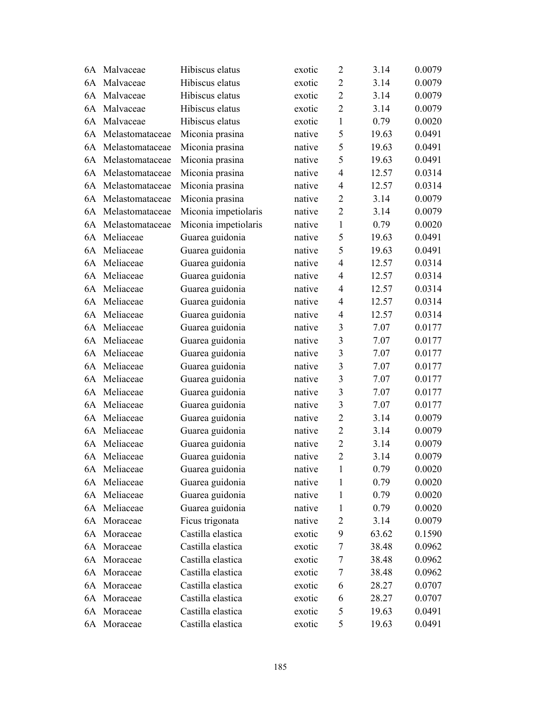| 6A | Malvaceae       | Hibiscus elatus      | exotic | $\overline{2}$   | 3.14  | 0.0079 |
|----|-----------------|----------------------|--------|------------------|-------|--------|
|    | 6A Malvaceae    | Hibiscus elatus      | exotic | $\overline{2}$   | 3.14  | 0.0079 |
| 6A | Malvaceae       | Hibiscus elatus      | exotic | $\overline{2}$   | 3.14  | 0.0079 |
| 6A | Malvaceae       | Hibiscus elatus      | exotic | $\overline{2}$   | 3.14  | 0.0079 |
| 6A | Malvaceae       | Hibiscus elatus      | exotic | $\mathbf{1}$     | 0.79  | 0.0020 |
| 6A | Melastomataceae | Miconia prasina      | native | 5                | 19.63 | 0.0491 |
| 6A | Melastomataceae | Miconia prasina      | native | 5                | 19.63 | 0.0491 |
| 6A | Melastomataceae | Miconia prasina      | native | 5                | 19.63 | 0.0491 |
| 6A | Melastomataceae | Miconia prasina      | native | $\overline{4}$   | 12.57 | 0.0314 |
| 6A | Melastomataceae | Miconia prasina      | native | $\overline{4}$   | 12.57 | 0.0314 |
| 6A | Melastomataceae | Miconia prasina      | native | $\overline{2}$   | 3.14  | 0.0079 |
| 6A | Melastomataceae | Miconia impetiolaris | native | $\overline{2}$   | 3.14  | 0.0079 |
| 6A | Melastomataceae | Miconia impetiolaris | native | $\mathbf{1}$     | 0.79  | 0.0020 |
| 6A | Meliaceae       | Guarea guidonia      | native | 5                | 19.63 | 0.0491 |
| 6A | Meliaceae       | Guarea guidonia      | native | 5                | 19.63 | 0.0491 |
| 6A | Meliaceae       | Guarea guidonia      | native | $\overline{4}$   | 12.57 | 0.0314 |
| 6A | Meliaceae       | Guarea guidonia      | native | $\overline{4}$   | 12.57 | 0.0314 |
| 6A | Meliaceae       | Guarea guidonia      | native | $\overline{4}$   | 12.57 | 0.0314 |
| 6A | Meliaceae       | Guarea guidonia      | native | $\overline{4}$   | 12.57 | 0.0314 |
| 6A | Meliaceae       | Guarea guidonia      | native | $\overline{4}$   | 12.57 | 0.0314 |
| 6A | Meliaceae       | Guarea guidonia      | native | 3                | 7.07  | 0.0177 |
| 6A | Meliaceae       | Guarea guidonia      | native | 3                | 7.07  | 0.0177 |
| 6A | Meliaceae       | Guarea guidonia      | native | 3                | 7.07  | 0.0177 |
| 6A | Meliaceae       | Guarea guidonia      | native | 3                | 7.07  | 0.0177 |
| 6A | Meliaceae       | Guarea guidonia      | native | 3                | 7.07  | 0.0177 |
| 6A | Meliaceae       | Guarea guidonia      | native | 3                | 7.07  | 0.0177 |
| 6A | Meliaceae       | Guarea guidonia      | native | 3                | 7.07  | 0.0177 |
| 6A | Meliaceae       | Guarea guidonia      | native | $\overline{2}$   | 3.14  | 0.0079 |
| 6A | Meliaceae       | Guarea guidonia      | native | $\overline{2}$   | 3.14  | 0.0079 |
| 6A | Meliaceae       | Guarea guidonia      | native | $\overline{2}$   | 3.14  | 0.0079 |
|    | 6A Meliaceae    | Guarea guidonia      | native | $\overline{2}$   | 3.14  | 0.0079 |
|    | 6A Meliaceae    | Guarea guidonia      | native | 1                | 0.79  | 0.0020 |
| 6A | Meliaceae       | Guarea guidonia      | native | 1                | 0.79  | 0.0020 |
| 6A | Meliaceae       | Guarea guidonia      | native | 1                | 0.79  | 0.0020 |
| 6A | Meliaceae       | Guarea guidonia      | native | 1                | 0.79  | 0.0020 |
| 6A | Moraceae        | Ficus trigonata      | native | $\overline{2}$   | 3.14  | 0.0079 |
| 6A | Moraceae        | Castilla elastica    | exotic | 9                | 63.62 | 0.1590 |
| 6A | Moraceae        | Castilla elastica    | exotic | 7                | 38.48 | 0.0962 |
| 6A | Moraceae        | Castilla elastica    | exotic | $\boldsymbol{7}$ | 38.48 | 0.0962 |
| 6A | Moraceae        | Castilla elastica    | exotic | $\tau$           | 38.48 | 0.0962 |
| 6A | Moraceae        | Castilla elastica    | exotic | 6                | 28.27 | 0.0707 |
| 6A | Moraceae        | Castilla elastica    | exotic | 6                | 28.27 | 0.0707 |
| 6A | Moraceae        | Castilla elastica    | exotic | 5                | 19.63 | 0.0491 |
|    | 6A Moraceae     | Castilla elastica    | exotic | 5                | 19.63 | 0.0491 |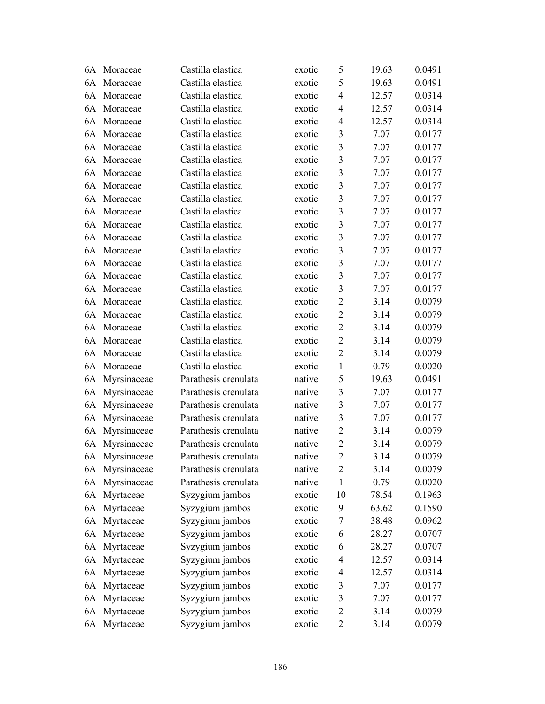| 6A | Moraceae       | Castilla elastica    | exotic | 5                       | 19.63 | 0.0491 |
|----|----------------|----------------------|--------|-------------------------|-------|--------|
| 6A | Moraceae       | Castilla elastica    | exotic | 5                       | 19.63 | 0.0491 |
| 6A | Moraceae       | Castilla elastica    | exotic | 4                       | 12.57 | 0.0314 |
| 6A | Moraceae       | Castilla elastica    | exotic | $\overline{4}$          | 12.57 | 0.0314 |
| 6A | Moraceae       | Castilla elastica    | exotic | 4                       | 12.57 | 0.0314 |
| 6A | Moraceae       | Castilla elastica    | exotic | $\overline{\mathbf{3}}$ | 7.07  | 0.0177 |
| 6A | Moraceae       | Castilla elastica    | exotic | 3                       | 7.07  | 0.0177 |
| 6A | Moraceae       | Castilla elastica    | exotic | $\overline{\mathbf{3}}$ | 7.07  | 0.0177 |
| 6A | Moraceae       | Castilla elastica    | exotic | $\overline{\mathbf{3}}$ | 7.07  | 0.0177 |
| 6A | Moraceae       | Castilla elastica    | exotic | $\overline{\mathbf{3}}$ | 7.07  | 0.0177 |
| 6A | Moraceae       | Castilla elastica    | exotic | 3                       | 7.07  | 0.0177 |
| 6A | Moraceae       | Castilla elastica    | exotic | $\overline{3}$          | 7.07  | 0.0177 |
| 6A | Moraceae       | Castilla elastica    | exotic | $\overline{\mathbf{3}}$ | 7.07  | 0.0177 |
| 6A | Moraceae       | Castilla elastica    | exotic | $\overline{3}$          | 7.07  | 0.0177 |
| 6A | Moraceae       | Castilla elastica    | exotic | $\overline{\mathbf{3}}$ | 7.07  | 0.0177 |
| 6A | Moraceae       | Castilla elastica    | exotic | $\overline{\mathbf{3}}$ | 7.07  | 0.0177 |
| 6A | Moraceae       | Castilla elastica    | exotic | $\overline{3}$          | 7.07  | 0.0177 |
| 6A | Moraceae       | Castilla elastica    | exotic | $\overline{\mathbf{3}}$ | 7.07  | 0.0177 |
| 6A | Moraceae       | Castilla elastica    | exotic | $\overline{2}$          | 3.14  | 0.0079 |
| 6A | Moraceae       | Castilla elastica    | exotic | $\overline{2}$          | 3.14  | 0.0079 |
| 6A | Moraceae       | Castilla elastica    | exotic | $\overline{2}$          | 3.14  | 0.0079 |
| 6A | Moraceae       | Castilla elastica    | exotic | $\overline{2}$          | 3.14  | 0.0079 |
| 6A | Moraceae       | Castilla elastica    | exotic | $\overline{2}$          | 3.14  | 0.0079 |
| 6A | Moraceae       | Castilla elastica    | exotic | $\mathbf{1}$            | 0.79  | 0.0020 |
| 6A | Myrsinaceae    | Parathesis crenulata | native | 5                       | 19.63 | 0.0491 |
| 6A | Myrsinaceae    | Parathesis crenulata | native | 3                       | 7.07  | 0.0177 |
| 6A | Myrsinaceae    | Parathesis crenulata | native | 3                       | 7.07  | 0.0177 |
| 6A | Myrsinaceae    | Parathesis crenulata | native | 3                       | 7.07  | 0.0177 |
| 6A | Myrsinaceae    | Parathesis crenulata | native | $\overline{2}$          | 3.14  | 0.0079 |
| 6A | Myrsinaceae    | Parathesis crenulata | native | $\overline{2}$          | 3.14  | 0.0079 |
|    | 6A Myrsinaceae | Parathesis crenulata | native | $\overline{2}$          | 3.14  | 0.0079 |
|    | 6A Myrsinaceae | Parathesis crenulata | native | $\overline{2}$          | 3.14  | 0.0079 |
| 6A | Myrsinaceae    | Parathesis crenulata | native | 1                       | 0.79  | 0.0020 |
| 6A | Myrtaceae      | Syzygium jambos      | exotic | 10                      | 78.54 | 0.1963 |
| 6A | Myrtaceae      | Syzygium jambos      | exotic | 9                       | 63.62 | 0.1590 |
| 6A | Myrtaceae      | Syzygium jambos      | exotic | 7                       | 38.48 | 0.0962 |
| 6A | Myrtaceae      | Syzygium jambos      | exotic | 6                       | 28.27 | 0.0707 |
| 6A | Myrtaceae      | Syzygium jambos      | exotic | 6                       | 28.27 | 0.0707 |
| 6A | Myrtaceae      | Syzygium jambos      | exotic | $\overline{4}$          | 12.57 | 0.0314 |
| 6A | Myrtaceae      | Syzygium jambos      | exotic | 4                       | 12.57 | 0.0314 |
| 6A | Myrtaceae      | Syzygium jambos      | exotic | $\mathfrak{Z}$          | 7.07  | 0.0177 |
| 6A | Myrtaceae      | Syzygium jambos      | exotic | $\mathfrak{Z}$          | 7.07  | 0.0177 |
| 6A | Myrtaceae      | Syzygium jambos      | exotic | $\overline{c}$          | 3.14  | 0.0079 |
|    | 6A Myrtaceae   | Syzygium jambos      | exotic | $\overline{2}$          | 3.14  | 0.0079 |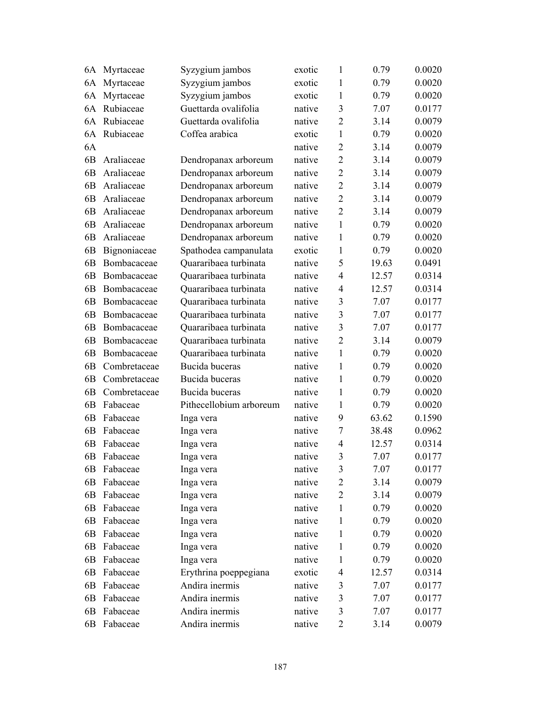| 6A             | Myrtaceae    | Syzygium jambos         | exotic | 1              | 0.79  | 0.0020 |
|----------------|--------------|-------------------------|--------|----------------|-------|--------|
| 6A             | Myrtaceae    | Syzygium jambos         | exotic | 1              | 0.79  | 0.0020 |
| 6A             | Myrtaceae    | Syzygium jambos         | exotic | 1              | 0.79  | 0.0020 |
| 6A             | Rubiaceae    | Guettarda ovalifolia    | native | 3              | 7.07  | 0.0177 |
| 6A             | Rubiaceae    | Guettarda ovalifolia    | native | $\overline{2}$ | 3.14  | 0.0079 |
| 6A             | Rubiaceae    | Coffea arabica          | exotic | $\mathbf{1}$   | 0.79  | 0.0020 |
| 6A             |              |                         | native | $\overline{2}$ | 3.14  | 0.0079 |
| 6B             | Araliaceae   | Dendropanax arboreum    | native | $\overline{2}$ | 3.14  | 0.0079 |
| 6B             | Araliaceae   | Dendropanax arboreum    | native | $\overline{2}$ | 3.14  | 0.0079 |
| 6B             | Araliaceae   | Dendropanax arboreum    | native | $\overline{2}$ | 3.14  | 0.0079 |
| 6B             | Araliaceae   | Dendropanax arboreum    | native | $\overline{2}$ | 3.14  | 0.0079 |
| 6B             | Araliaceae   | Dendropanax arboreum    | native | $\overline{2}$ | 3.14  | 0.0079 |
| 6B             | Araliaceae   | Dendropanax arboreum    | native | $\mathbf{1}$   | 0.79  | 0.0020 |
| 6B             | Araliaceae   | Dendropanax arboreum    | native | $\mathbf{1}$   | 0.79  | 0.0020 |
| 6B             | Bignoniaceae | Spathodea campanulata   | exotic | $\mathbf{1}$   | 0.79  | 0.0020 |
| 6 <sub>B</sub> | Bombacaceae  | Quararibaea turbinata   | native | 5              | 19.63 | 0.0491 |
| 6B             | Bombacaceae  | Quararibaea turbinata   | native | $\overline{4}$ | 12.57 | 0.0314 |
| 6B             | Bombacaceae  | Quararibaea turbinata   | native | $\overline{4}$ | 12.57 | 0.0314 |
| 6B             | Bombacaceae  | Quararibaea turbinata   | native | 3              | 7.07  | 0.0177 |
| 6B             | Bombacaceae  | Quararibaea turbinata   | native | 3              | 7.07  | 0.0177 |
| 6B             | Bombacaceae  | Quararibaea turbinata   | native | 3              | 7.07  | 0.0177 |
| 6B             | Bombacaceae  | Quararibaea turbinata   | native | $\overline{2}$ | 3.14  | 0.0079 |
| 6B             | Bombacaceae  | Quararibaea turbinata   | native | $\mathbf{1}$   | 0.79  | 0.0020 |
| 6B             | Combretaceae | Bucida buceras          | native | $\mathbf{1}$   | 0.79  | 0.0020 |
| 6B             | Combretaceae | Bucida buceras          | native | $\mathbf{1}$   | 0.79  | 0.0020 |
| 6B             | Combretaceae | Bucida buceras          | native | 1              | 0.79  | 0.0020 |
| 6B             | Fabaceae     | Pithecellobium arboreum | native | 1              | 0.79  | 0.0020 |
| 6B             | Fabaceae     | Inga vera               | native | 9              | 63.62 | 0.1590 |
| 6B             | Fabaceae     | Inga vera               | native | $\tau$         | 38.48 | 0.0962 |
| 6B             | Fabaceae     | Inga vera               | native | $\overline{4}$ | 12.57 | 0.0314 |
| 6B             | Fabaceae     | Inga vera               | native | 3              | 7.07  | 0.0177 |
| 6В             | Fabaceae     | Inga vera               | native | 3              | 7.07  | 0.0177 |
| 6B             | Fabaceae     | Inga vera               | native | $\overline{2}$ | 3.14  | 0.0079 |
| 6B             | Fabaceae     | Inga vera               | native | $\overline{2}$ | 3.14  | 0.0079 |
| 6B             | Fabaceae     | Inga vera               | native | $\mathbf{1}$   | 0.79  | 0.0020 |
| 6B             | Fabaceae     | Inga vera               | native | 1              | 0.79  | 0.0020 |
| 6B             | Fabaceae     | Inga vera               | native | 1              | 0.79  | 0.0020 |
| 6B             | Fabaceae     | Inga vera               | native | 1              | 0.79  | 0.0020 |
| 6B             | Fabaceae     | Inga vera               | native | 1              | 0.79  | 0.0020 |
| 6B             | Fabaceae     | Erythrina poeppegiana   | exotic | 4              | 12.57 | 0.0314 |
| 6B             | Fabaceae     | Andira inermis          | native | $\mathfrak{Z}$ | 7.07  | 0.0177 |
| 6B             | Fabaceae     | Andira inermis          | native | 3              | 7.07  | 0.0177 |
| 6B             | Fabaceae     | Andira inermis          | native | 3              | 7.07  | 0.0177 |
| 6B             | Fabaceae     | Andira inermis          | native | $\overline{2}$ | 3.14  | 0.0079 |
|                |              |                         |        |                |       |        |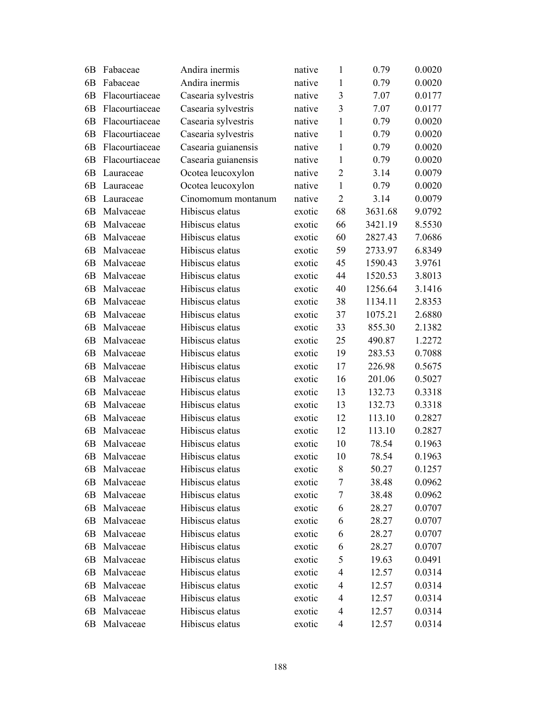| 6 <sub>B</sub> | Fabaceae       | Andira inermis      | native | $\mathbf{1}$   | 0.79    | 0.0020 |
|----------------|----------------|---------------------|--------|----------------|---------|--------|
| 6B             | Fabaceae       | Andira inermis      | native | $\mathbf{1}$   | 0.79    | 0.0020 |
| 6 <sub>B</sub> | Flacourtiaceae | Casearia sylvestris | native | $\overline{3}$ | 7.07    | 0.0177 |
| 6B             | Flacourtiaceae | Casearia sylvestris | native | 3              | 7.07    | 0.0177 |
| 6 <sub>B</sub> | Flacourtiaceae | Casearia sylvestris | native | $\mathbf{1}$   | 0.79    | 0.0020 |
| 6 <sub>B</sub> | Flacourtiaceae | Casearia sylvestris | native | 1              | 0.79    | 0.0020 |
| 6 <sub>B</sub> | Flacourtiaceae | Casearia guianensis | native | $\mathbf{1}$   | 0.79    | 0.0020 |
| 6 <sub>B</sub> | Flacourtiaceae | Casearia guianensis | native | $\mathbf{1}$   | 0.79    | 0.0020 |
| 6B             | Lauraceae      | Ocotea leucoxylon   | native | $\overline{2}$ | 3.14    | 0.0079 |
| 6 <sub>B</sub> | Lauraceae      | Ocotea leucoxylon   | native | $\mathbf{1}$   | 0.79    | 0.0020 |
| 6B             | Lauraceae      | Cinomomum montanum  | native | $\overline{2}$ | 3.14    | 0.0079 |
| 6 <sub>B</sub> | Malvaceae      | Hibiscus elatus     | exotic | 68             | 3631.68 | 9.0792 |
| 6 <sub>B</sub> | Malvaceae      | Hibiscus elatus     | exotic | 66             | 3421.19 | 8.5530 |
| 6 <sub>B</sub> | Malvaceae      | Hibiscus elatus     | exotic | 60             | 2827.43 | 7.0686 |
| 6 <sub>B</sub> | Malvaceae      | Hibiscus elatus     | exotic | 59             | 2733.97 | 6.8349 |
| 6B             | Malvaceae      | Hibiscus elatus     | exotic | 45             | 1590.43 | 3.9761 |
| 6 <sub>B</sub> | Malvaceae      | Hibiscus elatus     | exotic | 44             | 1520.53 | 3.8013 |
| 6 <sub>B</sub> | Malvaceae      | Hibiscus elatus     | exotic | 40             | 1256.64 | 3.1416 |
| 6 <sub>B</sub> | Malvaceae      | Hibiscus elatus     | exotic | 38             | 1134.11 | 2.8353 |
| 6 <sub>B</sub> | Malvaceae      | Hibiscus elatus     | exotic | 37             | 1075.21 | 2.6880 |
| 6 <sub>B</sub> | Malvaceae      | Hibiscus elatus     | exotic | 33             | 855.30  | 2.1382 |
| 6 <sub>B</sub> | Malvaceae      | Hibiscus elatus     | exotic | 25             | 490.87  | 1.2272 |
| 6B             | Malvaceae      | Hibiscus elatus     | exotic | 19             | 283.53  | 0.7088 |
| 6 <sub>B</sub> | Malvaceae      | Hibiscus elatus     | exotic | 17             | 226.98  | 0.5675 |
| 6 <sub>B</sub> | Malvaceae      | Hibiscus elatus     | exotic | 16             | 201.06  | 0.5027 |
| 6 <sub>B</sub> | Malvaceae      | Hibiscus elatus     | exotic | 13             | 132.73  | 0.3318 |
| 6 <sub>B</sub> | Malvaceae      | Hibiscus elatus     | exotic | 13             | 132.73  | 0.3318 |
| 6B             | Malvaceae      | Hibiscus elatus     | exotic | 12             | 113.10  | 0.2827 |
| 6 <sub>B</sub> | Malvaceae      | Hibiscus elatus     | exotic | 12             | 113.10  | 0.2827 |
| 6B             | Malvaceae      | Hibiscus elatus     | exotic | 10             | 78.54   | 0.1963 |
| 6B             | Malvaceae      | Hibiscus elatus     | exotic | 10             | 78.54   | 0.1963 |
| 6B             | Malvaceae      | Hibiscus elatus     | exotic | 8              | 50.27   | 0.1257 |
| 6B             | Malvaceae      | Hibiscus elatus     | exotic | 7              | 38.48   | 0.0962 |
| 6B             | Malvaceae      | Hibiscus elatus     | exotic | 7              | 38.48   | 0.0962 |
| 6B             | Malvaceae      | Hibiscus elatus     | exotic | 6              | 28.27   | 0.0707 |
| 6B             | Malvaceae      | Hibiscus elatus     | exotic | 6              | 28.27   | 0.0707 |
| 6B             | Malvaceae      | Hibiscus elatus     | exotic | 6              | 28.27   | 0.0707 |
| 6B             | Malvaceae      | Hibiscus elatus     | exotic | 6              | 28.27   | 0.0707 |
| 6B             | Malvaceae      | Hibiscus elatus     | exotic | 5              | 19.63   | 0.0491 |
| 6B             | Malvaceae      | Hibiscus elatus     | exotic | 4              | 12.57   | 0.0314 |
| 6B             | Malvaceae      | Hibiscus elatus     | exotic | 4              | 12.57   | 0.0314 |
| 6B             | Malvaceae      | Hibiscus elatus     | exotic | 4              | 12.57   | 0.0314 |
| 6B             | Malvaceae      | Hibiscus elatus     | exotic | 4              | 12.57   | 0.0314 |
| 6B             | Malvaceae      | Hibiscus elatus     | exotic | 4              | 12.57   | 0.0314 |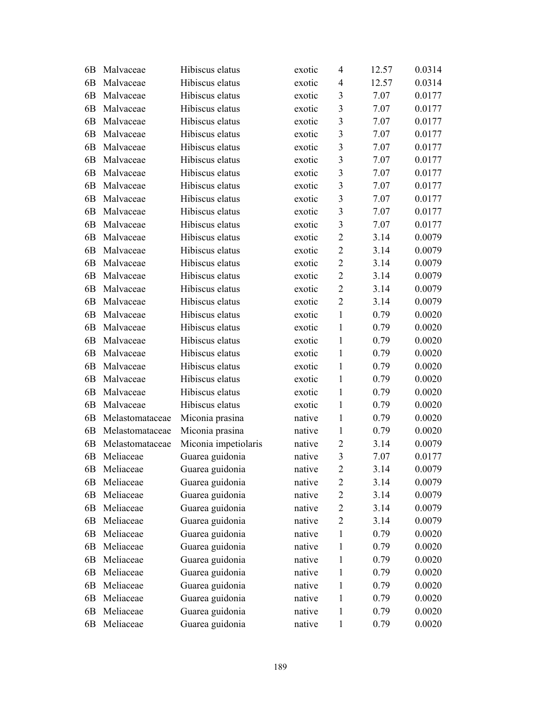| 6B             | Malvaceae       | Hibiscus elatus      | exotic | 4                       | 12.57 | 0.0314 |
|----------------|-----------------|----------------------|--------|-------------------------|-------|--------|
| 6 <sub>B</sub> | Malvaceae       | Hibiscus elatus      | exotic | 4                       | 12.57 | 0.0314 |
| 6B             | Malvaceae       | Hibiscus elatus      | exotic | 3                       | 7.07  | 0.0177 |
| 6 <sub>B</sub> | Malvaceae       | Hibiscus elatus      | exotic | 3                       | 7.07  | 0.0177 |
| 6B             | Malvaceae       | Hibiscus elatus      | exotic | $\overline{3}$          | 7.07  | 0.0177 |
| 6 <sub>B</sub> | Malvaceae       | Hibiscus elatus      | exotic | $\overline{\mathbf{3}}$ | 7.07  | 0.0177 |
| 6 <sub>B</sub> | Malvaceae       | Hibiscus elatus      | exotic | 3                       | 7.07  | 0.0177 |
| 6B             | Malvaceae       | Hibiscus elatus      | exotic | $\overline{\mathbf{3}}$ | 7.07  | 0.0177 |
| 6 <sub>B</sub> | Malvaceae       | Hibiscus elatus      | exotic | $\overline{\mathbf{3}}$ | 7.07  | 0.0177 |
| 6B             | Malvaceae       | Hibiscus elatus      | exotic | $\overline{3}$          | 7.07  | 0.0177 |
| 6 <sub>B</sub> | Malvaceae       | Hibiscus elatus      | exotic | $\overline{\mathbf{3}}$ | 7.07  | 0.0177 |
| 6 <sub>B</sub> | Malvaceae       | Hibiscus elatus      | exotic | 3                       | 7.07  | 0.0177 |
| 6 <sub>B</sub> | Malvaceae       | Hibiscus elatus      | exotic | 3                       | 7.07  | 0.0177 |
| 6 <sub>B</sub> | Malvaceae       | Hibiscus elatus      | exotic | $\overline{2}$          | 3.14  | 0.0079 |
| 6B             | Malvaceae       | Hibiscus elatus      | exotic | $\overline{2}$          | 3.14  | 0.0079 |
| 6 <sub>B</sub> | Malvaceae       | Hibiscus elatus      | exotic | $\overline{2}$          | 3.14  | 0.0079 |
| 6B             | Malvaceae       | Hibiscus elatus      | exotic | $\overline{2}$          | 3.14  | 0.0079 |
| 6 <sub>B</sub> | Malvaceae       | Hibiscus elatus      | exotic | $\overline{2}$          | 3.14  | 0.0079 |
| 6B             | Malvaceae       | Hibiscus elatus      | exotic | $\overline{2}$          | 3.14  | 0.0079 |
| 6B             | Malvaceae       | Hibiscus elatus      | exotic | $\mathbf{1}$            | 0.79  | 0.0020 |
| 6B             | Malvaceae       | Hibiscus elatus      | exotic | 1                       | 0.79  | 0.0020 |
| 6B             | Malvaceae       | Hibiscus elatus      | exotic | $\mathbf{1}$            | 0.79  | 0.0020 |
| 6B             | Malvaceae       | Hibiscus elatus      | exotic | $\mathbf{1}$            | 0.79  | 0.0020 |
| 6B             | Malvaceae       | Hibiscus elatus      | exotic | $\mathbf{1}$            | 0.79  | 0.0020 |
| 6 <sub>B</sub> | Malvaceae       | Hibiscus elatus      | exotic | $\mathbf{1}$            | 0.79  | 0.0020 |
| 6B             | Malvaceae       | Hibiscus elatus      | exotic | 1                       | 0.79  | 0.0020 |
| 6B             | Malvaceae       | Hibiscus elatus      | exotic | $\mathbf{1}$            | 0.79  | 0.0020 |
| 6B             | Melastomataceae | Miconia prasina      | native | $\mathbf{1}$            | 0.79  | 0.0020 |
| 6B             | Melastomataceae | Miconia prasina      | native | $\mathbf{1}$            | 0.79  | 0.0020 |
| 6 <sub>B</sub> | Melastomataceae | Miconia impetiolaris | native | $\overline{2}$          | 3.14  | 0.0079 |
| 6B             | Meliaceae       | Guarea guidonia      | native | $\overline{3}$          | 7.07  | 0.0177 |
| 6B             | Meliaceae       | Guarea guidonia      | native | 2                       | 3.14  | 0.0079 |
| 6B             | Meliaceae       | Guarea guidonia      | native | 2                       | 3.14  | 0.0079 |
| 6B             | Meliaceae       | Guarea guidonia      | native | $\overline{2}$          | 3.14  | 0.0079 |
| 6B             | Meliaceae       | Guarea guidonia      | native | $\overline{2}$          | 3.14  | 0.0079 |
| 6B             | Meliaceae       | Guarea guidonia      | native | $\overline{2}$          | 3.14  | 0.0079 |
| 6B             | Meliaceae       | Guarea guidonia      | native | $\mathbf{1}$            | 0.79  | 0.0020 |
| 6B             | Meliaceae       | Guarea guidonia      | native | 1                       | 0.79  | 0.0020 |
| 6B             | Meliaceae       | Guarea guidonia      | native | 1                       | 0.79  | 0.0020 |
| 6B             | Meliaceae       | Guarea guidonia      | native | $\mathbf{1}$            | 0.79  | 0.0020 |
| 6B             | Meliaceae       | Guarea guidonia      | native | 1                       | 0.79  | 0.0020 |
| 6B             | Meliaceae       | Guarea guidonia      | native | $\mathbf{1}$            | 0.79  | 0.0020 |
| 6B             | Meliaceae       | Guarea guidonia      | native | 1                       | 0.79  | 0.0020 |
| 6B             | Meliaceae       | Guarea guidonia      | native | $\mathbf{1}$            | 0.79  | 0.0020 |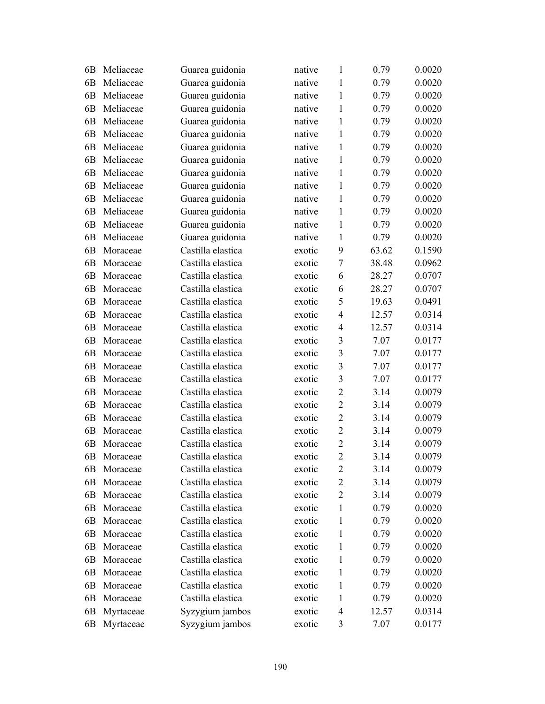| 6B             | Meliaceae | Guarea guidonia   | native | $\mathbf{1}$            | 0.79  | 0.0020 |
|----------------|-----------|-------------------|--------|-------------------------|-------|--------|
| 6B             | Meliaceae | Guarea guidonia   | native | $\mathbf{1}$            | 0.79  | 0.0020 |
| 6 <sub>B</sub> | Meliaceae | Guarea guidonia   | native | $\mathbf{1}$            | 0.79  | 0.0020 |
| 6B             | Meliaceae | Guarea guidonia   | native | 1                       | 0.79  | 0.0020 |
| 6 <sub>B</sub> | Meliaceae | Guarea guidonia   | native | $\mathbf{1}$            | 0.79  | 0.0020 |
| 6 <sub>B</sub> | Meliaceae | Guarea guidonia   | native | $\mathbf{1}$            | 0.79  | 0.0020 |
| 6 <sub>B</sub> | Meliaceae | Guarea guidonia   | native | $\mathbf{1}$            | 0.79  | 0.0020 |
| 6 <sub>B</sub> | Meliaceae | Guarea guidonia   | native | $\mathbf{1}$            | 0.79  | 0.0020 |
| 6B             | Meliaceae | Guarea guidonia   | native | 1                       | 0.79  | 0.0020 |
| 6 <sub>B</sub> | Meliaceae | Guarea guidonia   | native | $\mathbf{1}$            | 0.79  | 0.0020 |
| 6 <sub>B</sub> | Meliaceae | Guarea guidonia   | native | $\mathbf{1}$            | 0.79  | 0.0020 |
| 6 <sub>B</sub> | Meliaceae | Guarea guidonia   | native | $\mathbf{1}$            | 0.79  | 0.0020 |
| 6 <sub>B</sub> | Meliaceae | Guarea guidonia   | native | $\mathbf{1}$            | 0.79  | 0.0020 |
| 6 <sub>B</sub> | Meliaceae | Guarea guidonia   | native | $\mathbf{1}$            | 0.79  | 0.0020 |
| 6 <sub>B</sub> | Moraceae  | Castilla elastica | exotic | 9                       | 63.62 | 0.1590 |
| 6B             | Moraceae  | Castilla elastica | exotic | $\overline{7}$          | 38.48 | 0.0962 |
| 6 <sub>B</sub> | Moraceae  | Castilla elastica | exotic | 6                       | 28.27 | 0.0707 |
| 6 <sub>B</sub> | Moraceae  | Castilla elastica | exotic | 6                       | 28.27 | 0.0707 |
| 6B             | Moraceae  | Castilla elastica | exotic | 5                       | 19.63 | 0.0491 |
| 6 <sub>B</sub> | Moraceae  | Castilla elastica | exotic | $\overline{4}$          | 12.57 | 0.0314 |
| 6B             | Moraceae  | Castilla elastica | exotic | $\overline{4}$          | 12.57 | 0.0314 |
| 6B             | Moraceae  | Castilla elastica | exotic | $\overline{3}$          | 7.07  | 0.0177 |
| 6B             | Moraceae  | Castilla elastica | exotic | $\overline{3}$          | 7.07  | 0.0177 |
| 6 <sub>B</sub> | Moraceae  | Castilla elastica | exotic | $\overline{\mathbf{3}}$ | 7.07  | 0.0177 |
| 6 <sub>B</sub> | Moraceae  | Castilla elastica | exotic | $\overline{\mathbf{3}}$ | 7.07  | 0.0177 |
| 6 <sub>B</sub> | Moraceae  | Castilla elastica | exotic | $\overline{2}$          | 3.14  | 0.0079 |
| 6 <sub>B</sub> | Moraceae  | Castilla elastica | exotic | $\overline{2}$          | 3.14  | 0.0079 |
| 6B             | Moraceae  | Castilla elastica | exotic | $\overline{2}$          | 3.14  | 0.0079 |
| 6 <sub>B</sub> | Moraceae  | Castilla elastica | exotic | $\overline{2}$          | 3.14  | 0.0079 |
| 6 <sub>B</sub> | Moraceae  | Castilla elastica | exotic | $\overline{2}$          | 3.14  | 0.0079 |
| 6B             | Moraceae  | Castilla elastica | exotic | $\overline{2}$          | 3.14  | 0.0079 |
| 6B             | Moraceae  | Castilla elastica | exotic | $\overline{2}$          | 3.14  | 0.0079 |
| 6B             | Moraceae  | Castilla elastica | exotic | $\overline{2}$          | 3.14  | 0.0079 |
| 6B             | Moraceae  | Castilla elastica | exotic | $\overline{2}$          | 3.14  | 0.0079 |
| 6B             | Moraceae  | Castilla elastica | exotic | 1                       | 0.79  | 0.0020 |
| 6B             | Moraceae  | Castilla elastica | exotic | 1                       | 0.79  | 0.0020 |
| 6B             | Moraceae  | Castilla elastica | exotic | 1                       | 0.79  | 0.0020 |
| 6B             | Moraceae  | Castilla elastica | exotic | 1                       | 0.79  | 0.0020 |
| 6 <sub>B</sub> | Moraceae  | Castilla elastica | exotic | 1                       | 0.79  | 0.0020 |
| 6B             | Moraceae  | Castilla elastica | exotic | 1                       | 0.79  | 0.0020 |
| 6B             | Moraceae  | Castilla elastica | exotic | 1                       | 0.79  | 0.0020 |
| 6B             | Moraceae  | Castilla elastica | exotic | 1                       | 0.79  | 0.0020 |
| 6B             | Myrtaceae | Syzygium jambos   | exotic | 4                       | 12.57 | 0.0314 |
| 6 <sub>B</sub> | Myrtaceae | Syzygium jambos   | exotic | 3                       | 7.07  | 0.0177 |